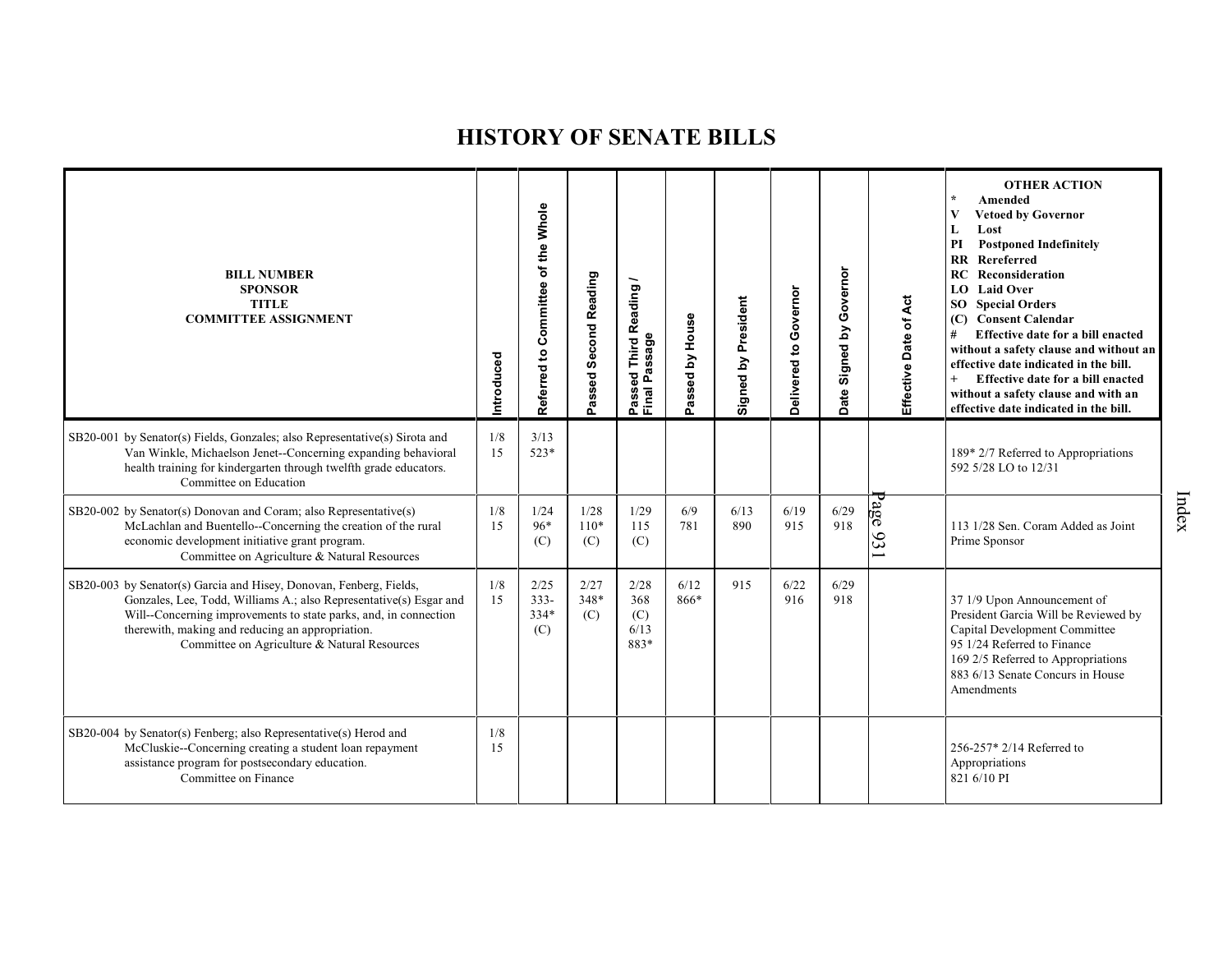| <b>BILL NUMBER</b><br><b>SPONSOR</b><br><b>TITLE</b><br><b>COMMITTEE ASSIGNMENT</b>                                                                                                                                                                                                                              | Introduced | Referred to Committee of the Whole | Passed Second Reading | Reading<br>Passeq<br>Final Passage<br>———————————————————— | assed by House<br>۵ï | President<br>Signed by | Governor<br>$\mathtt{S}$<br>Delivered | Governor<br>Signed by<br>Date | Effective Date of Act | <b>OTHER ACTION</b><br>$\star$<br>Amended<br>$\mathbf{V}$<br><b>Vetoed by Governor</b><br>Lost<br>L<br><b>Postponed Indefinitely</b><br>PI<br>Rereferred<br>$\mathbf{R}\mathbf{R}$<br>RC<br>Reconsideration<br>LO Laid Over<br><b>SO</b> Special Orders<br>(C) Consent Calendar<br>Effective date for a bill enacted<br>#<br>without a safety clause and without an<br>effective date indicated in the bill.<br>Effective date for a bill enacted<br>without a safety clause and with an<br>effective date indicated in the bill. |
|------------------------------------------------------------------------------------------------------------------------------------------------------------------------------------------------------------------------------------------------------------------------------------------------------------------|------------|------------------------------------|-----------------------|------------------------------------------------------------|----------------------|------------------------|---------------------------------------|-------------------------------|-----------------------|-----------------------------------------------------------------------------------------------------------------------------------------------------------------------------------------------------------------------------------------------------------------------------------------------------------------------------------------------------------------------------------------------------------------------------------------------------------------------------------------------------------------------------------|
| SB20-001 by Senator(s) Fields, Gonzales; also Representative(s) Sirota and<br>Van Winkle, Michaelson Jenet--Concerning expanding behavioral<br>health training for kindergarten through twelfth grade educators.<br>Committee on Education                                                                       | 1/8<br>15  | 3/13<br>$523*$                     |                       |                                                            |                      |                        |                                       |                               |                       | 189* 2/7 Referred to Appropriations<br>592 5/28 LO to 12/31                                                                                                                                                                                                                                                                                                                                                                                                                                                                       |
| SB20-002 by Senator(s) Donovan and Coram; also Representative(s)<br>McLachlan and Buentello--Concerning the creation of the rural<br>economic development initiative grant program.<br>Committee on Agriculture & Natural Resources                                                                              | 1/8<br>15  | 1/24<br>96*<br>(C)                 | 1/28<br>$110*$<br>(C) | 1/29<br>115<br>(C)                                         | 6/9<br>781           | 6/13<br>890            | 6/19<br>915                           | 6/29<br>918                   | $\log$<br>931         | 113 1/28 Sen. Coram Added as Joint<br>Prime Sponsor                                                                                                                                                                                                                                                                                                                                                                                                                                                                               |
| SB20-003 by Senator(s) Garcia and Hisey, Donovan, Fenberg, Fields,<br>Gonzales, Lee, Todd, Williams A.; also Representative(s) Esgar and<br>Will--Concerning improvements to state parks, and, in connection<br>therewith, making and reducing an appropriation.<br>Committee on Agriculture & Natural Resources | 1/8<br>15  | 2/25<br>$333 -$<br>334*<br>(C)     | 2/27<br>348*<br>(C)   | 2/28<br>368<br>(C)<br>6/13<br>883*                         | 6/12<br>866*         | 915                    | 6/22<br>916                           | 6/29<br>918                   |                       | 37 1/9 Upon Announcement of<br>President Garcia Will be Reviewed by<br>Capital Development Committee<br>95 1/24 Referred to Finance<br>169 2/5 Referred to Appropriations<br>883 6/13 Senate Concurs in House<br>Amendments                                                                                                                                                                                                                                                                                                       |
| SB20-004 by Senator(s) Fenberg; also Representative(s) Herod and<br>McCluskie--Concerning creating a student loan repayment<br>assistance program for postsecondary education.<br>Committee on Finance                                                                                                           | 1/8<br>15  |                                    |                       |                                                            |                      |                        |                                       |                               |                       | 256-257* 2/14 Referred to<br>Appropriations<br>821 6/10 PI                                                                                                                                                                                                                                                                                                                                                                                                                                                                        |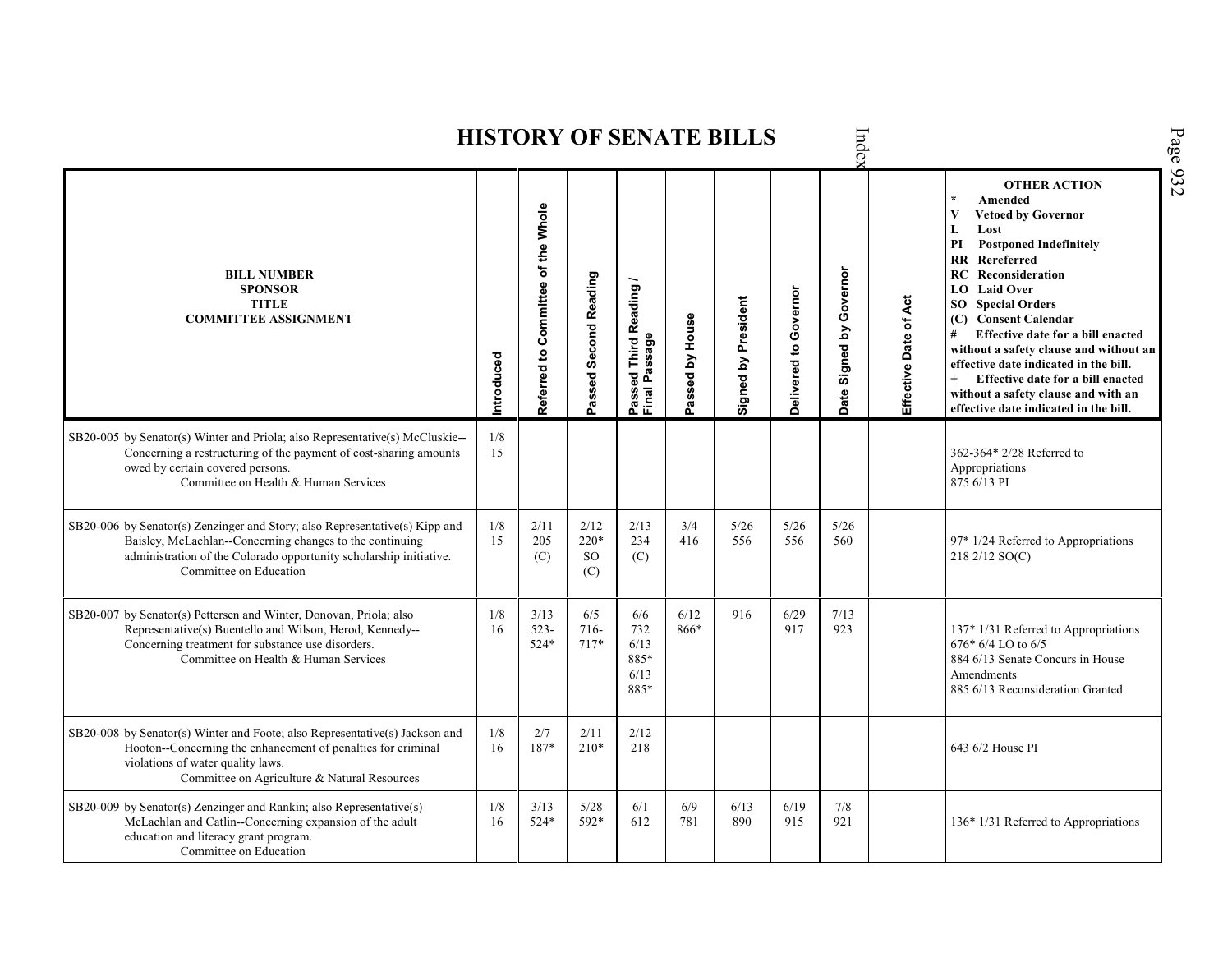|                                                                                                                                                                                                                                         |           |                                    |                            |                                            |                 | <b>HISTORY OF SENATE BILLS</b> |                       | Inde                    |                       | Page 932                                                                                                                                                                                                                                                                                                                                                                                                                                                                                                      |
|-----------------------------------------------------------------------------------------------------------------------------------------------------------------------------------------------------------------------------------------|-----------|------------------------------------|----------------------------|--------------------------------------------|-----------------|--------------------------------|-----------------------|-------------------------|-----------------------|---------------------------------------------------------------------------------------------------------------------------------------------------------------------------------------------------------------------------------------------------------------------------------------------------------------------------------------------------------------------------------------------------------------------------------------------------------------------------------------------------------------|
| <b>BILL NUMBER</b><br><b>SPONSOR</b><br><b>TITLE</b><br><b>COMMITTEE ASSIGNMENT</b>                                                                                                                                                     | ntroduced | Referred to Committee of the Whole | Passed Second Reading      | Passed Third Reading /<br>Final Passage    | Passed by House | Signed by President            | Delivered to Governor | Date Signed by Governor | Effective Date of Act | <b>OTHER ACTION</b><br>Amended<br>V<br><b>Vetoed by Governor</b><br>L<br>Lost<br>PI<br><b>Postponed Indefinitely</b><br><b>RR</b> Rereferred<br><b>RC</b> Reconsideration<br><b>LO</b> Laid Over<br><b>SO</b> Special Orders<br>(C) Consent Calendar<br>Effective date for a bill enacted<br>#<br>without a safety clause and without an<br>effective date indicated in the bill.<br>$+$<br>Effective date for a bill enacted<br>without a safety clause and with an<br>effective date indicated in the bill. |
| SB20-005 by Senator(s) Winter and Priola; also Representative(s) McCluskie--<br>Concerning a restructuring of the payment of cost-sharing amounts<br>owed by certain covered persons.<br>Committee on Health & Human Services           | 1/8<br>15 |                                    |                            |                                            |                 |                                |                       |                         |                       | 362-364* 2/28 Referred to<br>Appropriations<br>875 6/13 PI                                                                                                                                                                                                                                                                                                                                                                                                                                                    |
| SB20-006 by Senator(s) Zenzinger and Story; also Representative(s) Kipp and<br>Baisley, McLachlan--Concerning changes to the continuing<br>administration of the Colorado opportunity scholarship initiative.<br>Committee on Education | 1/8<br>15 | 2/11<br>205<br>(C)                 | 2/12<br>220*<br>SO.<br>(C) | 2/13<br>234<br>(C)                         | 3/4<br>416      | 5/26<br>556                    | $5/26$<br>556         | 5/26<br>560             |                       | 97* 1/24 Referred to Appropriations<br>218 2/12 SO(C)                                                                                                                                                                                                                                                                                                                                                                                                                                                         |
| SB20-007 by Senator(s) Pettersen and Winter, Donovan, Priola; also<br>Representative(s) Buentello and Wilson, Herod, Kennedy--<br>Concerning treatment for substance use disorders.<br>Committee on Health & Human Services             | 1/8<br>16 | 3/13<br>$523 -$<br>524*            | 6/5<br>$716-$<br>$717*$    | 6/6<br>732<br>6/13<br>885*<br>6/13<br>885* | 6/12<br>866*    | 916                            | 6/29<br>917           | 7/13<br>923             |                       | 137* 1/31 Referred to Appropriations<br>676* 6/4 LO to 6/5<br>884 6/13 Senate Concurs in House<br>Amendments<br>885 6/13 Reconsideration Granted                                                                                                                                                                                                                                                                                                                                                              |
| SB20-008 by Senator(s) Winter and Foote; also Representative(s) Jackson and<br>Hooton--Concerning the enhancement of penalties for criminal<br>violations of water quality laws.<br>Committee on Agriculture & Natural Resources        | 1/8<br>16 | 2/7<br>187*                        | 2/11<br>$210*$             | 2/12<br>218                                |                 |                                |                       |                         |                       | 643 6/2 House PI                                                                                                                                                                                                                                                                                                                                                                                                                                                                                              |
| SB20-009 by Senator(s) Zenzinger and Rankin; also Representative(s)<br>McLachlan and Catlin--Concerning expansion of the adult<br>education and literacy grant program.<br>Committee on Education                                       | 1/8<br>16 | 3/13<br>524*                       | 5/28<br>592*               | 6/1<br>612                                 | 6/9<br>781      | 6/13<br>890                    | 6/19<br>915           | 7/8<br>921              |                       | 136* 1/31 Referred to Appropriations                                                                                                                                                                                                                                                                                                                                                                                                                                                                          |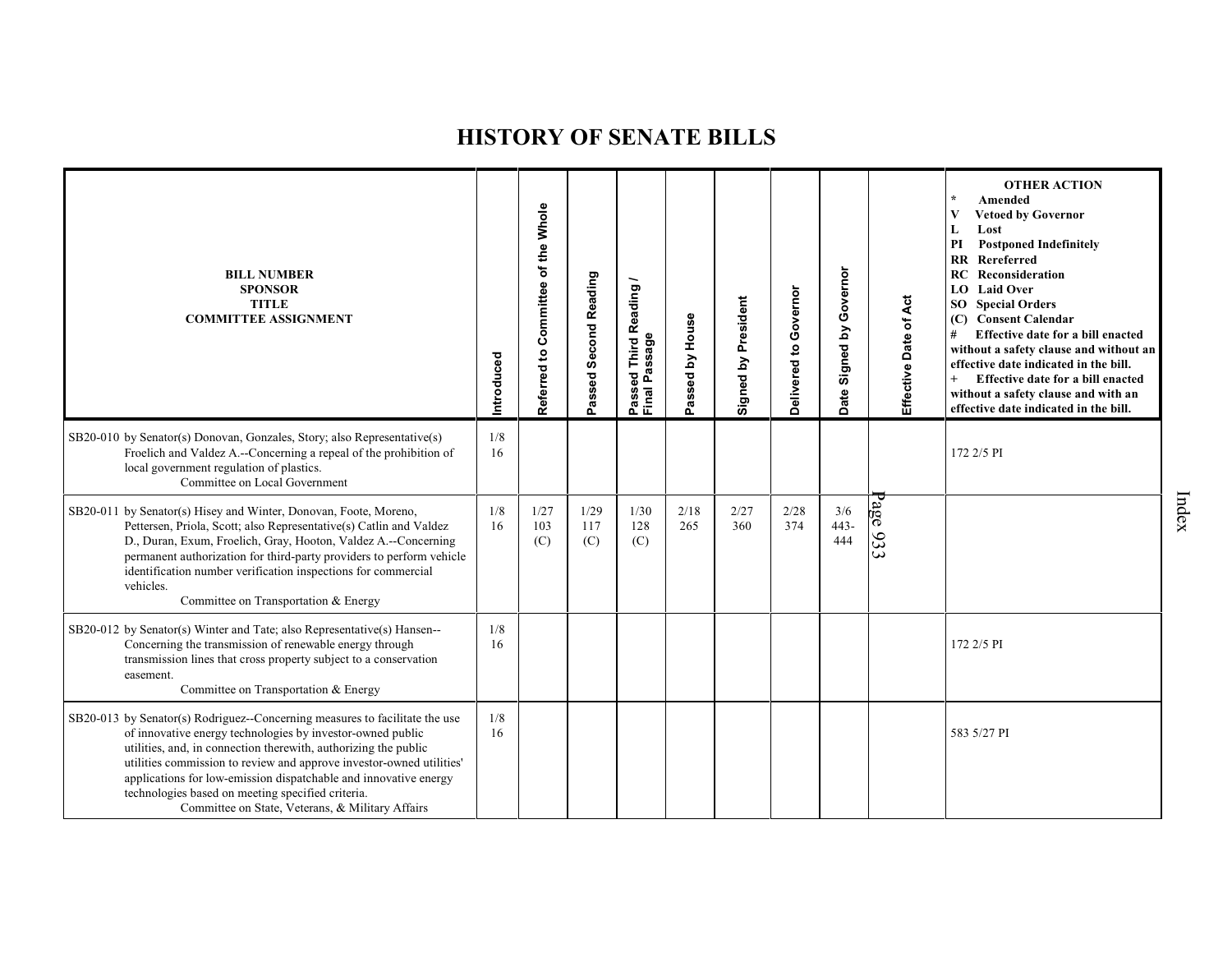| <b>BILL NUMBER</b><br><b>SPONSOR</b><br><b>TITLE</b><br><b>COMMITTEE ASSIGNMENT</b>                                                                                                                                                                                                                                                                                                                                                                               | Introduced | Referred to Committee of the Whole | Passed Second Reading | Reading<br>sage<br>Third<br><b>SD</b><br>ិ<br>ស<br>Ä,<br>Passe<br>Final | Passed by House | Signed by President | Delivered to Governor | Signed by Governor<br>Date | Effective Date of Act | <b>OTHER ACTION</b><br>$\star$<br>Amended<br>$\mathbf{V}$<br><b>Vetoed by Governor</b><br>L<br>Lost<br><b>Postponed Indefinitely</b><br>PI<br><b>RR</b> Rereferred<br>RC<br>Reconsideration<br>LO Laid Over<br>SO <sub>1</sub><br><b>Special Orders</b><br>(C) Consent Calendar<br>Effective date for a bill enacted<br>#<br>without a safety clause and without an<br>effective date indicated in the bill.<br>$^{+}$<br>Effective date for a bill enacted<br>without a safety clause and with an<br>effective date indicated in the bill. |
|-------------------------------------------------------------------------------------------------------------------------------------------------------------------------------------------------------------------------------------------------------------------------------------------------------------------------------------------------------------------------------------------------------------------------------------------------------------------|------------|------------------------------------|-----------------------|-------------------------------------------------------------------------|-----------------|---------------------|-----------------------|----------------------------|-----------------------|---------------------------------------------------------------------------------------------------------------------------------------------------------------------------------------------------------------------------------------------------------------------------------------------------------------------------------------------------------------------------------------------------------------------------------------------------------------------------------------------------------------------------------------------|
| SB20-010 by Senator(s) Donovan, Gonzales, Story; also Representative(s)<br>Froelich and Valdez A.--Concerning a repeal of the prohibition of<br>local government regulation of plastics.<br>Committee on Local Government                                                                                                                                                                                                                                         | 1/8<br>16  |                                    |                       |                                                                         |                 |                     |                       |                            |                       | 172 2/5 PI                                                                                                                                                                                                                                                                                                                                                                                                                                                                                                                                  |
| SB20-011 by Senator(s) Hisey and Winter, Donovan, Foote, Moreno,<br>Pettersen, Priola, Scott; also Representative(s) Catlin and Valdez<br>D., Duran, Exum, Froelich, Gray, Hooton, Valdez A.--Concerning<br>permanent authorization for third-party providers to perform vehicle<br>identification number verification inspections for commercial<br>vehicles.<br>Committee on Transportation & Energy                                                            | 1/8<br>16  | 1/27<br>103<br>(C)                 | 1/29<br>117<br>(C)    | 1/30<br>128<br>(C)                                                      | 2/18<br>265     | 2/27<br>360         | 2/28<br>374           | 3/6<br>443-<br>444         | 386<br>933            |                                                                                                                                                                                                                                                                                                                                                                                                                                                                                                                                             |
| SB20-012 by Senator(s) Winter and Tate; also Representative(s) Hansen--<br>Concerning the transmission of renewable energy through<br>transmission lines that cross property subject to a conservation<br>easement.<br>Committee on Transportation & Energy                                                                                                                                                                                                       | 1/8<br>16  |                                    |                       |                                                                         |                 |                     |                       |                            |                       | 172 2/5 PI                                                                                                                                                                                                                                                                                                                                                                                                                                                                                                                                  |
| SB20-013 by Senator(s) Rodriguez--Concerning measures to facilitate the use<br>of innovative energy technologies by investor-owned public<br>utilities, and, in connection therewith, authorizing the public<br>utilities commission to review and approve investor-owned utilities'<br>applications for low-emission dispatchable and innovative energy<br>technologies based on meeting specified criteria.<br>Committee on State, Veterans, & Military Affairs | 1/8<br>16  |                                    |                       |                                                                         |                 |                     |                       |                            |                       | 583 5/27 PI                                                                                                                                                                                                                                                                                                                                                                                                                                                                                                                                 |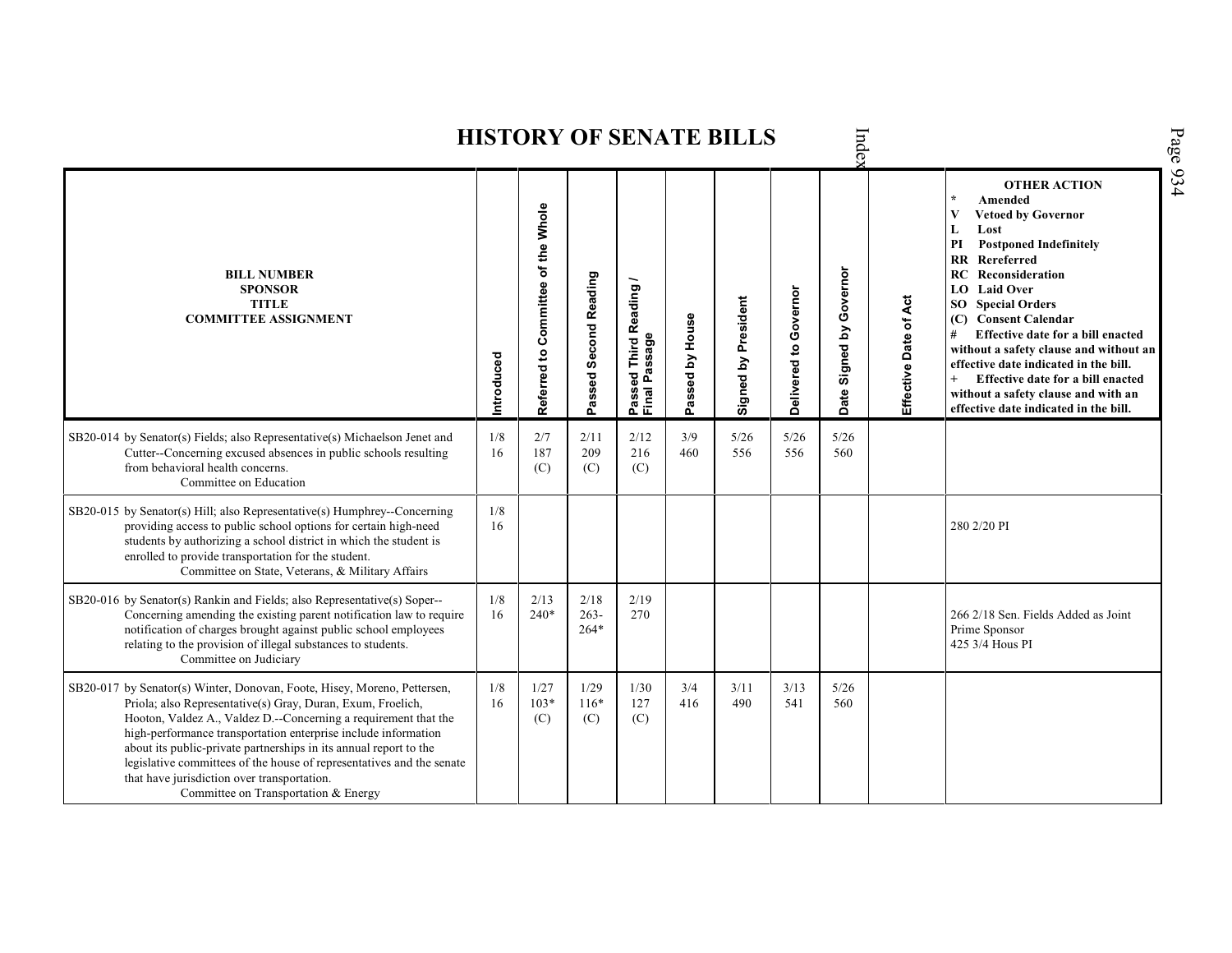|                                                                                                                                                                                                                                                                                                                                                                                                                                                                                                                   |            |                                       |                          |                                         |                 | <b>HISTORY OF SENATE BILLS</b> |                       | Inde                       |                       | Page 934                                                                                                                                                                                                                                                                                                                                                                                                                                                                                                     |
|-------------------------------------------------------------------------------------------------------------------------------------------------------------------------------------------------------------------------------------------------------------------------------------------------------------------------------------------------------------------------------------------------------------------------------------------------------------------------------------------------------------------|------------|---------------------------------------|--------------------------|-----------------------------------------|-----------------|--------------------------------|-----------------------|----------------------------|-----------------------|--------------------------------------------------------------------------------------------------------------------------------------------------------------------------------------------------------------------------------------------------------------------------------------------------------------------------------------------------------------------------------------------------------------------------------------------------------------------------------------------------------------|
| <b>BILL NUMBER</b><br><b>SPONSOR</b><br><b>TITLE</b><br><b>COMMITTEE ASSIGNMENT</b>                                                                                                                                                                                                                                                                                                                                                                                                                               | Introduced | Committee of the Whole<br>Referred to | Passed Second Reading    | Passed Third Reading /<br>Final Passage | Passed by House | Signed by President            | Delivered to Governor | Governor<br>Date Signed by | Effective Date of Act | <b>OTHER ACTION</b><br>Amended<br>V<br><b>Vetoed by Governor</b><br>Lost<br>L<br><b>Postponed Indefinitely</b><br>PI<br><b>RR</b> Rereferred<br>RC<br>Reconsideration<br><b>LO</b> Laid Over<br><b>SO</b> Special Orders<br><b>Consent Calendar</b><br>(C)<br>#<br>Effective date for a bill enacted<br>without a safety clause and without an<br>effective date indicated in the bill.<br>Effective date for a bill enacted<br>without a safety clause and with an<br>effective date indicated in the bill. |
| SB20-014 by Senator(s) Fields; also Representative(s) Michaelson Jenet and<br>Cutter--Concerning excused absences in public schools resulting<br>from behavioral health concerns.<br>Committee on Education                                                                                                                                                                                                                                                                                                       | 1/8<br>16  | 2/7<br>187<br>(C)                     | 2/11<br>209<br>(C)       | 2/12<br>216<br>(C)                      | 3/9<br>460      | 5/26<br>556                    | 5/26<br>556           | 5/26<br>560                |                       |                                                                                                                                                                                                                                                                                                                                                                                                                                                                                                              |
| SB20-015 by Senator(s) Hill; also Representative(s) Humphrey--Concerning<br>providing access to public school options for certain high-need<br>students by authorizing a school district in which the student is<br>enrolled to provide transportation for the student.<br>Committee on State, Veterans, & Military Affairs                                                                                                                                                                                       | 1/8<br>16  |                                       |                          |                                         |                 |                                |                       |                            |                       | 280 2/20 PI                                                                                                                                                                                                                                                                                                                                                                                                                                                                                                  |
| SB20-016 by Senator(s) Rankin and Fields; also Representative(s) Soper--<br>Concerning amending the existing parent notification law to require<br>notification of charges brought against public school employees<br>relating to the provision of illegal substances to students.<br>Committee on Judiciary                                                                                                                                                                                                      | 1/8<br>16  | 2/13<br>$240*$                        | 2/18<br>$263-$<br>$264*$ | 2/19<br>270                             |                 |                                |                       |                            |                       | 266 2/18 Sen. Fields Added as Joint<br>Prime Sponsor<br>425 3/4 Hous PI                                                                                                                                                                                                                                                                                                                                                                                                                                      |
| SB20-017 by Senator(s) Winter, Donovan, Foote, Hisey, Moreno, Pettersen,<br>Priola; also Representative(s) Gray, Duran, Exum, Froelich,<br>Hooton, Valdez A., Valdez D.--Concerning a requirement that the<br>high-performance transportation enterprise include information<br>about its public-private partnerships in its annual report to the<br>legislative committees of the house of representatives and the senate<br>that have jurisdiction over transportation.<br>Committee on Transportation & Energy | 1/8<br>16  | 1/27<br>$103*$<br>(C)                 | 1/29<br>$116*$<br>(C)    | 1/30<br>127<br>(C)                      | 3/4<br>416      | 3/11<br>490                    | 3/13<br>541           | 5/26<br>560                |                       |                                                                                                                                                                                                                                                                                                                                                                                                                                                                                                              |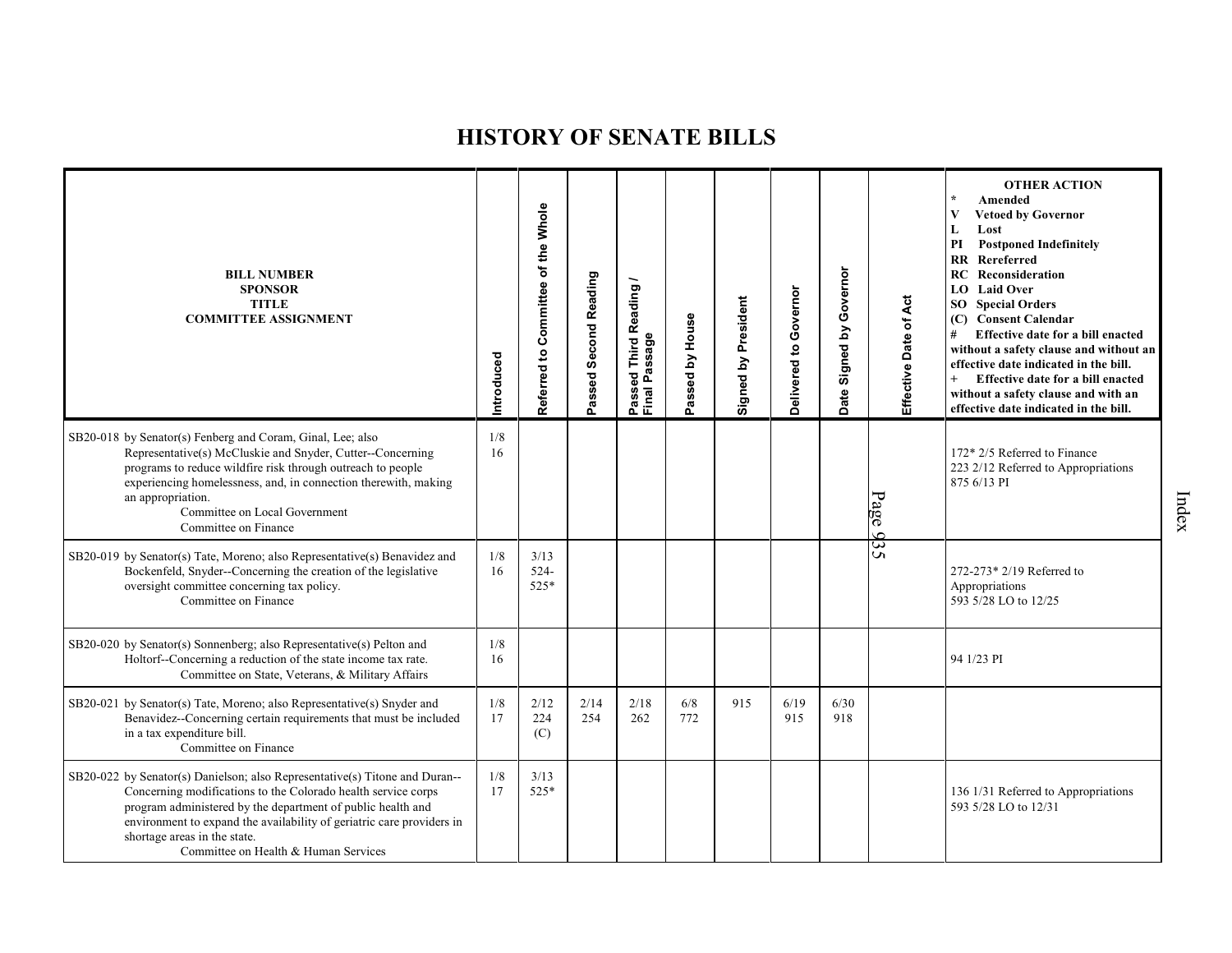| <b>BILL NUMBER</b><br><b>SPONSOR</b><br><b>TITLE</b><br><b>COMMITTEE ASSIGNMENT</b>                                                                                                                                                                                                                                                                          | Introduced | Referred to Committee of the Whole | Passed Second Reading | Reading/<br>Passeu<br>Final Passage<br>———————————————————— | Passed by House | Signed by President | Governor<br>Delivered to | Governor<br>Signed by<br>Date | Effective Date of Act               | <b>OTHER ACTION</b><br>Amended<br><b>Vetoed by Governor</b><br>V<br>Lost<br>L<br><b>Postponed Indefinitely</b><br>PI<br>Rereferred<br>$\mathbf{R} \mathbf{R}$<br>Reconsideration<br>RC<br>LO Laid Over<br><b>SO</b> Special Orders<br>(C) Consent Calendar<br>Effective date for a bill enacted<br>#<br>without a safety clause and without an<br>effective date indicated in the bill.<br>$+$<br>Effective date for a bill enacted<br>without a safety clause and with an<br>effective date indicated in the bill. |
|--------------------------------------------------------------------------------------------------------------------------------------------------------------------------------------------------------------------------------------------------------------------------------------------------------------------------------------------------------------|------------|------------------------------------|-----------------------|-------------------------------------------------------------|-----------------|---------------------|--------------------------|-------------------------------|-------------------------------------|---------------------------------------------------------------------------------------------------------------------------------------------------------------------------------------------------------------------------------------------------------------------------------------------------------------------------------------------------------------------------------------------------------------------------------------------------------------------------------------------------------------------|
| SB20-018 by Senator(s) Fenberg and Coram, Ginal, Lee; also<br>Representative(s) McCluskie and Snyder, Cutter--Concerning<br>programs to reduce wildfire risk through outreach to people<br>experiencing homelessness, and, in connection therewith, making<br>an appropriation.<br>Committee on Local Government<br>Committee on Finance                     | 1/8<br>16  |                                    |                       |                                                             |                 |                     |                          |                               | Page<br>ه                           | 172* 2/5 Referred to Finance<br>223 2/12 Referred to Appropriations<br>875 6/13 PI                                                                                                                                                                                                                                                                                                                                                                                                                                  |
| SB20-019 by Senator(s) Tate, Moreno; also Representative(s) Benavidez and<br>Bockenfeld, Snyder--Concerning the creation of the legislative<br>oversight committee concerning tax policy.<br>Committee on Finance                                                                                                                                            | 1/8<br>16  | 3/13<br>$524 -$<br>525*            |                       |                                                             |                 |                     |                          |                               | $\overline{\mathbf{c}}$<br><b>Ω</b> | 272-273* 2/19 Referred to<br>Appropriations<br>593 5/28 LO to 12/25                                                                                                                                                                                                                                                                                                                                                                                                                                                 |
| SB20-020 by Senator(s) Sonnenberg; also Representative(s) Pelton and<br>Holtorf-Concerning a reduction of the state income tax rate.<br>Committee on State, Veterans, & Military Affairs                                                                                                                                                                     | 1/8<br>16  |                                    |                       |                                                             |                 |                     |                          |                               |                                     | 94 1/23 PI                                                                                                                                                                                                                                                                                                                                                                                                                                                                                                          |
| SB20-021 by Senator(s) Tate, Moreno; also Representative(s) Snyder and<br>Benavidez--Concerning certain requirements that must be included<br>in a tax expenditure bill.<br>Committee on Finance                                                                                                                                                             | 1/8<br>17  | 2/12<br>224<br>(C)                 | 2/14<br>254           | 2/18<br>262                                                 | 6/8<br>772      | 915                 | 6/19<br>915              | 6/30<br>918                   |                                     |                                                                                                                                                                                                                                                                                                                                                                                                                                                                                                                     |
| SB20-022 by Senator(s) Danielson; also Representative(s) Titone and Duran--<br>Concerning modifications to the Colorado health service corps<br>program administered by the department of public health and<br>environment to expand the availability of geriatric care providers in<br>shortage areas in the state.<br>Committee on Health & Human Services | 1/8<br>17  | 3/13<br>525*                       |                       |                                                             |                 |                     |                          |                               |                                     | 136 1/31 Referred to Appropriations<br>593 5/28 LO to 12/31                                                                                                                                                                                                                                                                                                                                                                                                                                                         |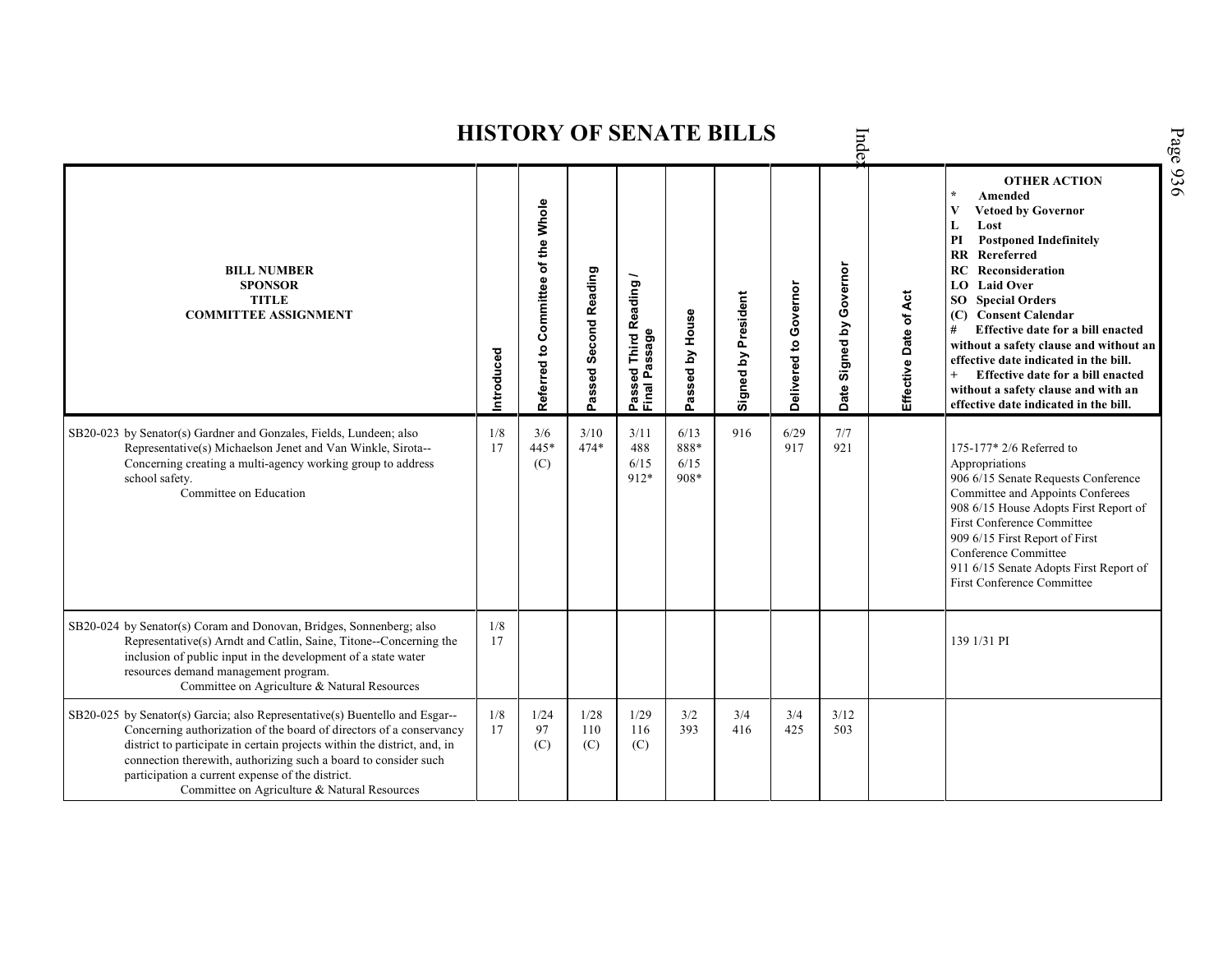Inde **OTHER ACTION \* Amended Referred to Com mittee of the Whole Vetoed by Governor L Lost PI Postponed Indefinitely RR Rereferred Date Signed by Governor RC Reconsideration BILL NUMBER Passed Second Reading Passed Third Reading /** Passed Third Reading<br>Final Passage **SPONSOR LO Laid Over** Delivered to Governor **Delivered to Governor** Signed by President Effective Date of Act **Signed by President Effective Date of Act TITLE SO Special Orders COMMITTEE ASSIGNMENT** Passed by House **(C) Consent Calendar Passed by House # Effective date for a bill enacted Final Passage without a safety clause and without an Introduced effective date indicated in the bill. + Effective date for a bill enacted without a safety clause and with an effective date indicated in the bill.**  6/13 916 6/29 SB20-023 by Senator(s) Gardner and Gonzales, Fields, Lundeen; also 1/8 3/6 3/10 3/11 7/7 474\* Representative(s) Michaelson Jenet and Van Winkle, Sirota-- 17 445\* 488 888\* 917 921 175-177<sup>\*</sup> 2/6 Referred to Appropriations Concerning creating a multi-agency working group to address (C) 6/15 6/15 912\* 906 6/15 Senate Requests Conference school safety. 908\* Committee on Education Committee and Appoints Conferees 908 6/15 House Adopts First Report of First Conference Committee 909 6/15 First Report of First Conference Committee 911 6/15 Senate Adopts First Report of First Conference Committee SB20-024 by Senator(s) Coram and Donovan, Bridges, Sonnenberg; also  $\frac{1}{8}$ Representative(s) Arndt and Catlin, Saine, Titone--Concerning the 17 | 139 1/31 PI inclusion of public input in the development of a state water resources demand management program. Committee on Agriculture & Natural Resources 1/8 SB20-025 by Senator(s) Garcia; also Representative(s) Buentello and Esgar-- 1/24 1/28 1/29 3/2 3/4 3/4 3/12 Concerning authorization of the board of directors of a conservancy 17 97 110 116 393 416 425 503district to participate in certain projects within the district, and, in (C) (C) (C) connection therewith, authorizing such a board to consider such participation a current expense of the district. Committee on Agriculture & Natural Resources

**HISTORY OF SENATE BILLS**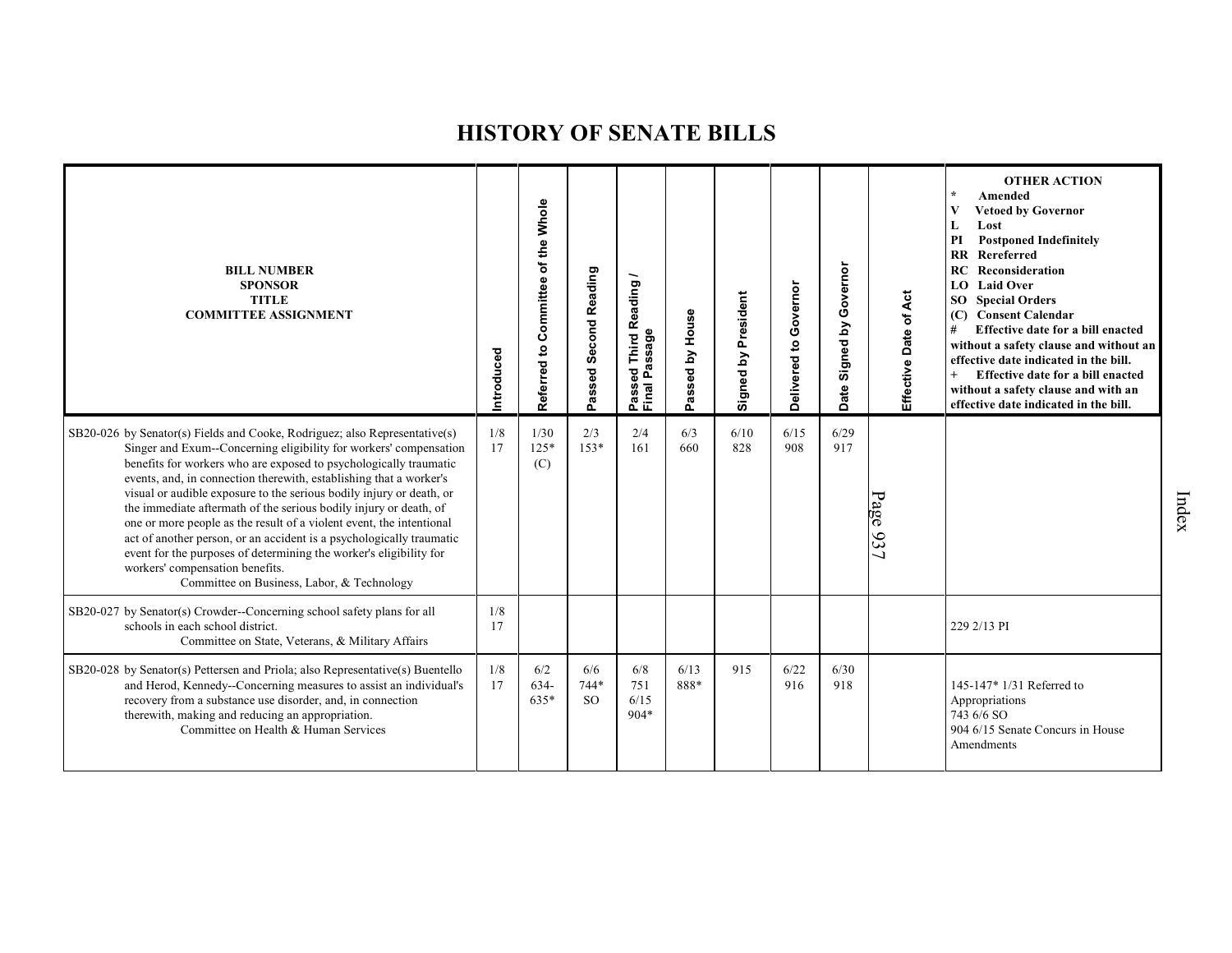| <b>BILL NUMBER</b><br><b>SPONSOR</b><br><b>TITLE</b><br><b>COMMITTEE ASSIGNMENT</b>                                                                                                                                                                                                                                                                                                                                                                                                                                                                                                                                                                                                                                                            | Introduced | Referred to Committee of the Whole | Passed Second Reading    | Reading<br>Passed Third <b>ห</b><br>Final Passage | assed by House<br>o. | Signed by President | Governor<br>Delivered to | Governor<br>Signed by<br>Date | Effective Date of Act | <b>OTHER ACTION</b><br>Amended<br>V<br><b>Vetoed by Governor</b><br>Lost<br>L<br><b>Postponed Indefinitely</b><br>PI<br>Rereferred<br>$\overline{\mathbf{R}}$<br><b>RC</b> Reconsideration<br>LO Laid Over<br><b>SO</b> Special Orders<br>(C) Consent Calendar<br>#<br>Effective date for a bill enacted<br>without a safety clause and without an<br>effective date indicated in the bill.<br>Effective date for a bill enacted<br>without a safety clause and with an<br>effective date indicated in the bill. |
|------------------------------------------------------------------------------------------------------------------------------------------------------------------------------------------------------------------------------------------------------------------------------------------------------------------------------------------------------------------------------------------------------------------------------------------------------------------------------------------------------------------------------------------------------------------------------------------------------------------------------------------------------------------------------------------------------------------------------------------------|------------|------------------------------------|--------------------------|---------------------------------------------------|----------------------|---------------------|--------------------------|-------------------------------|-----------------------|------------------------------------------------------------------------------------------------------------------------------------------------------------------------------------------------------------------------------------------------------------------------------------------------------------------------------------------------------------------------------------------------------------------------------------------------------------------------------------------------------------------|
| SB20-026 by Senator(s) Fields and Cooke, Rodriguez; also Representative(s)<br>Singer and Exum--Concerning eligibility for workers' compensation<br>benefits for workers who are exposed to psychologically traumatic<br>events, and, in connection therewith, establishing that a worker's<br>visual or audible exposure to the serious bodily injury or death, or<br>the immediate aftermath of the serious bodily injury or death, of<br>one or more people as the result of a violent event, the intentional<br>act of another person, or an accident is a psychologically traumatic<br>event for the purposes of determining the worker's eligibility for<br>workers' compensation benefits.<br>Committee on Business, Labor, & Technology | 1/8<br>17  | 1/30<br>$125*$<br>(C)              | 2/3<br>$153*$            | 2/4<br>161                                        | 6/3<br>660           | 6/10<br>828         | 6/15<br>908              | 6/29<br>917                   | Page 937              |                                                                                                                                                                                                                                                                                                                                                                                                                                                                                                                  |
| SB20-027 by Senator(s) Crowder--Concerning school safety plans for all<br>schools in each school district.<br>Committee on State, Veterans, & Military Affairs                                                                                                                                                                                                                                                                                                                                                                                                                                                                                                                                                                                 | 1/8<br>17  |                                    |                          |                                                   |                      |                     |                          |                               |                       | 229 2/13 PI                                                                                                                                                                                                                                                                                                                                                                                                                                                                                                      |
| SB20-028 by Senator(s) Pettersen and Priola; also Representative(s) Buentello<br>and Herod, Kennedy--Concerning measures to assist an individual's<br>recovery from a substance use disorder, and, in connection<br>therewith, making and reducing an appropriation.<br>Committee on Health & Human Services                                                                                                                                                                                                                                                                                                                                                                                                                                   | 1/8<br>17  | 6/2<br>$634-$<br>$635*$            | 6/6<br>744*<br><b>SO</b> | 6/8<br>751<br>6/15<br>$904*$                      | 6/13<br>888*         | 915                 | 6/22<br>916              | 6/30<br>918                   |                       | 145-147* 1/31 Referred to<br>Appropriations<br>743 6/6 SO<br>904 6/15 Senate Concurs in House<br>Amendments                                                                                                                                                                                                                                                                                                                                                                                                      |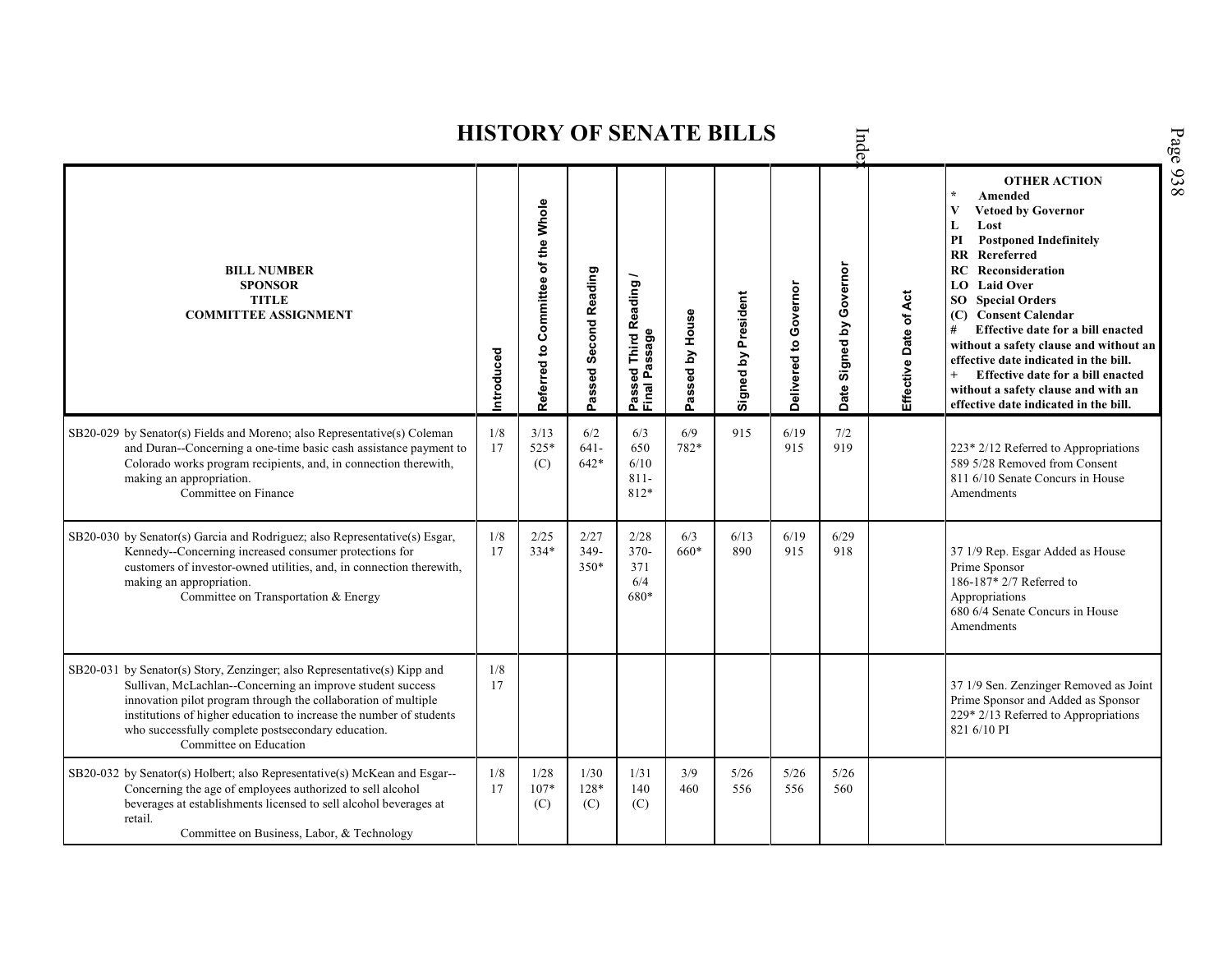|                                                                                                                                                                                                                                                                                                                                                                 |            |                                    |                          |                                                        |                 | <b>HISTORY OF SENATE BILLS</b> |                       | Inde                          |                       |                                                                                                                                                                                                                                                                                                                                                                                                                                                                                                              |
|-----------------------------------------------------------------------------------------------------------------------------------------------------------------------------------------------------------------------------------------------------------------------------------------------------------------------------------------------------------------|------------|------------------------------------|--------------------------|--------------------------------------------------------|-----------------|--------------------------------|-----------------------|-------------------------------|-----------------------|--------------------------------------------------------------------------------------------------------------------------------------------------------------------------------------------------------------------------------------------------------------------------------------------------------------------------------------------------------------------------------------------------------------------------------------------------------------------------------------------------------------|
| <b>BILL NUMBER</b><br><b>SPONSOR</b><br><b>TITLE</b><br><b>COMMITTEE ASSIGNMENT</b>                                                                                                                                                                                                                                                                             | Introduced | Referred to Committee of the Whole | Passed Second Reading    | <b>Third Reading</b><br>Passage<br>g<br>Passe<br>Final | Passed by House | Signed by President            | Delivered to Governor | Governor<br>Signed by<br>Date | Effective Date of Act | <b>OTHER ACTION</b><br>$\star$<br>Amended<br><b>Vetoed by Governor</b><br>Lost<br>L<br>PI<br><b>Postponed Indefinitely</b><br><b>RR</b> Rereferred<br><b>RC</b> Reconsideration<br><b>LO</b> Laid Over<br><b>SO</b> Special Orders<br>(C) Consent Calendar<br>#<br>Effective date for a bill enacted<br>without a safety clause and without an<br>effective date indicated in the bill.<br>Effective date for a bill enacted<br>without a safety clause and with an<br>effective date indicated in the bill. |
| SB20-029 by Senator(s) Fields and Moreno; also Representative(s) Coleman<br>and Duran--Concerning a one-time basic cash assistance payment to<br>Colorado works program recipients, and, in connection therewith,<br>making an appropriation.<br>Committee on Finance                                                                                           | 1/8<br>17  | 3/13<br>525*<br>(C)                | 6/2<br>$641 -$<br>$642*$ | 6/3<br>650<br>6/10<br>$811 -$<br>812*                  | 6/9<br>782*     | 915                            | 6/19<br>915           | 7/2<br>919                    |                       | 223* 2/12 Referred to Appropriations<br>589 5/28 Removed from Consent<br>811 6/10 Senate Concurs in House<br>Amendments                                                                                                                                                                                                                                                                                                                                                                                      |
| SB20-030 by Senator(s) Garcia and Rodriguez; also Representative(s) Esgar,<br>Kennedy--Concerning increased consumer protections for<br>customers of investor-owned utilities, and, in connection therewith,<br>making an appropriation.<br>Committee on Transportation & Energy                                                                                | 1/8<br>17  | 2/25<br>$334*$                     | 2/27<br>349-<br>350*     | 2/28<br>$370-$<br>371<br>6/4<br>680*                   | 6/3<br>660*     | 6/13<br>890                    | 6/19<br>915           | 6/29<br>918                   |                       | 37 1/9 Rep. Esgar Added as House<br>Prime Sponsor<br>186-187* 2/7 Referred to<br>Appropriations<br>680 6/4 Senate Concurs in House<br>Amendments                                                                                                                                                                                                                                                                                                                                                             |
| SB20-031 by Senator(s) Story, Zenzinger; also Representative(s) Kipp and<br>Sullivan, McLachlan--Concerning an improve student success<br>innovation pilot program through the collaboration of multiple<br>institutions of higher education to increase the number of students<br>who successfully complete postsecondary education.<br>Committee on Education | 1/8<br>17  |                                    |                          |                                                        |                 |                                |                       |                               |                       | 37 1/9 Sen. Zenzinger Removed as Joint<br>Prime Sponsor and Added as Sponsor<br>229* 2/13 Referred to Appropriations<br>821 6/10 PI                                                                                                                                                                                                                                                                                                                                                                          |
| SB20-032 by Senator(s) Holbert; also Representative(s) McKean and Esgar--<br>Concerning the age of employees authorized to sell alcohol<br>beverages at establishments licensed to sell alcohol beverages at<br>retail.<br>Committee on Business, Labor, & Technology                                                                                           | 1/8<br>17  | 1/28<br>$107*$<br>(C)              | 1/30<br>128*<br>(C)      | 1/31<br>140<br>(C)                                     | 3/9<br>460      | 5/26<br>556                    | 5/26<br>556           | 5/26<br>560                   |                       |                                                                                                                                                                                                                                                                                                                                                                                                                                                                                                              |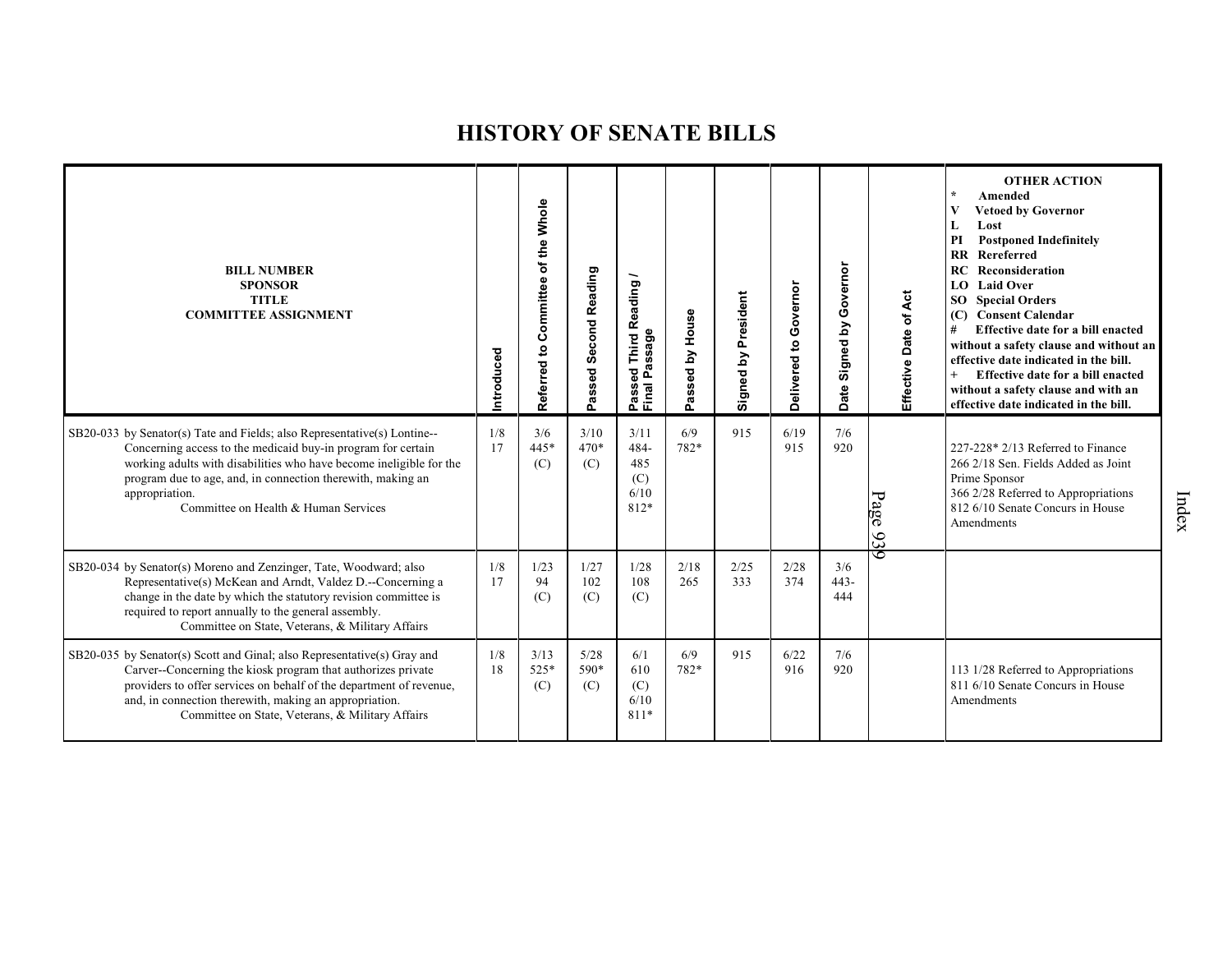| <b>BILL NUMBER</b><br><b>SPONSOR</b><br><b>TITLE</b><br><b>COMMITTEE ASSIGNMENT</b>                                                                                                                                                                                                                                                        | Introduced | Whole<br>of the<br>Committee<br>Referred to | Passed Second Reading | Reading<br>Passage<br>Third<br>Passed<br>Final Pa | House<br>Σ<br>assed<br>൨ | President<br>$\mathbf{\Sigma}$<br>Signed | Governor<br>$\overline{c}$<br>Delivered | Governor<br>Signed by<br>Date | Effective Date of Act | <b>OTHER ACTION</b><br>$\star$<br>Amended<br>V<br><b>Vetoed by Governor</b><br>L<br>Lost<br><b>Postponed Indefinitely</b><br>PI<br>$\overline{\mathbf{R}}$<br>Rereferred<br>Reconsideration<br>RC<br><b>Laid Over</b><br>LO.<br><b>Special Orders</b><br>SO<br><b>Consent Calendar</b><br>(C)<br>Effective date for a bill enacted<br>#<br>without a safety clause and without an<br>effective date indicated in the bill.<br>$+$<br>Effective date for a bill enacted<br>without a safety clause and with an<br>effective date indicated in the bill. |
|--------------------------------------------------------------------------------------------------------------------------------------------------------------------------------------------------------------------------------------------------------------------------------------------------------------------------------------------|------------|---------------------------------------------|-----------------------|---------------------------------------------------|--------------------------|------------------------------------------|-----------------------------------------|-------------------------------|-----------------------|--------------------------------------------------------------------------------------------------------------------------------------------------------------------------------------------------------------------------------------------------------------------------------------------------------------------------------------------------------------------------------------------------------------------------------------------------------------------------------------------------------------------------------------------------------|
| $SB20-033$ by Senator(s) Tate and Fields; also Representative(s) Lontine--<br>Concerning access to the medicaid buy-in program for certain<br>working adults with disabilities who have become ineligible for the<br>program due to age, and, in connection therewith, making an<br>appropriation.<br>Committee on Health & Human Services | 1/8<br>17  | 3/6<br>$445*$<br>(C)                        | 3/10<br>470*<br>(C)   | 3/11<br>484-<br>485<br>(C)<br>6/10<br>812*        | 6/9<br>782*              | 915                                      | 6/19<br>915                             | 7/6<br>920                    | Page<br>93            | 227-228* 2/13 Referred to Finance<br>266 2/18 Sen. Fields Added as Joint<br>Prime Sponsor<br>366 2/28 Referred to Appropriations<br>812 6/10 Senate Concurs in House<br>Amendments                                                                                                                                                                                                                                                                                                                                                                     |
| SB20-034 by Senator(s) Moreno and Zenzinger, Tate, Woodward; also<br>Representative(s) McKean and Arndt, Valdez D.--Concerning a<br>change in the date by which the statutory revision committee is<br>required to report annually to the general assembly.<br>Committee on State, Veterans, & Military Affairs                            | 1/8<br>17  | 1/23<br>94<br>(C)                           | 1/27<br>102<br>(C)    | 1/28<br>108<br>(C)                                | 2/18<br>265              | 2/25<br>333                              | 2/28<br>374                             | 3/6<br>$443 -$<br>444         | 6                     |                                                                                                                                                                                                                                                                                                                                                                                                                                                                                                                                                        |
| SB20-035 by Senator(s) Scott and Ginal; also Representative(s) Gray and<br>Carver--Concerning the kiosk program that authorizes private<br>providers to offer services on behalf of the department of revenue,<br>and, in connection therewith, making an appropriation.<br>Committee on State, Veterans, & Military Affairs               | 1/8<br>18  | 3/13<br>525*<br>(C)                         | 5/28<br>590*<br>(C)   | 6/1<br>610<br>(C)<br>6/10<br>811*                 | 6/9<br>782*              | 915                                      | 6/22<br>916                             | 7/6<br>920                    |                       | 113 1/28 Referred to Appropriations<br>811 6/10 Senate Concurs in House<br>Amendments                                                                                                                                                                                                                                                                                                                                                                                                                                                                  |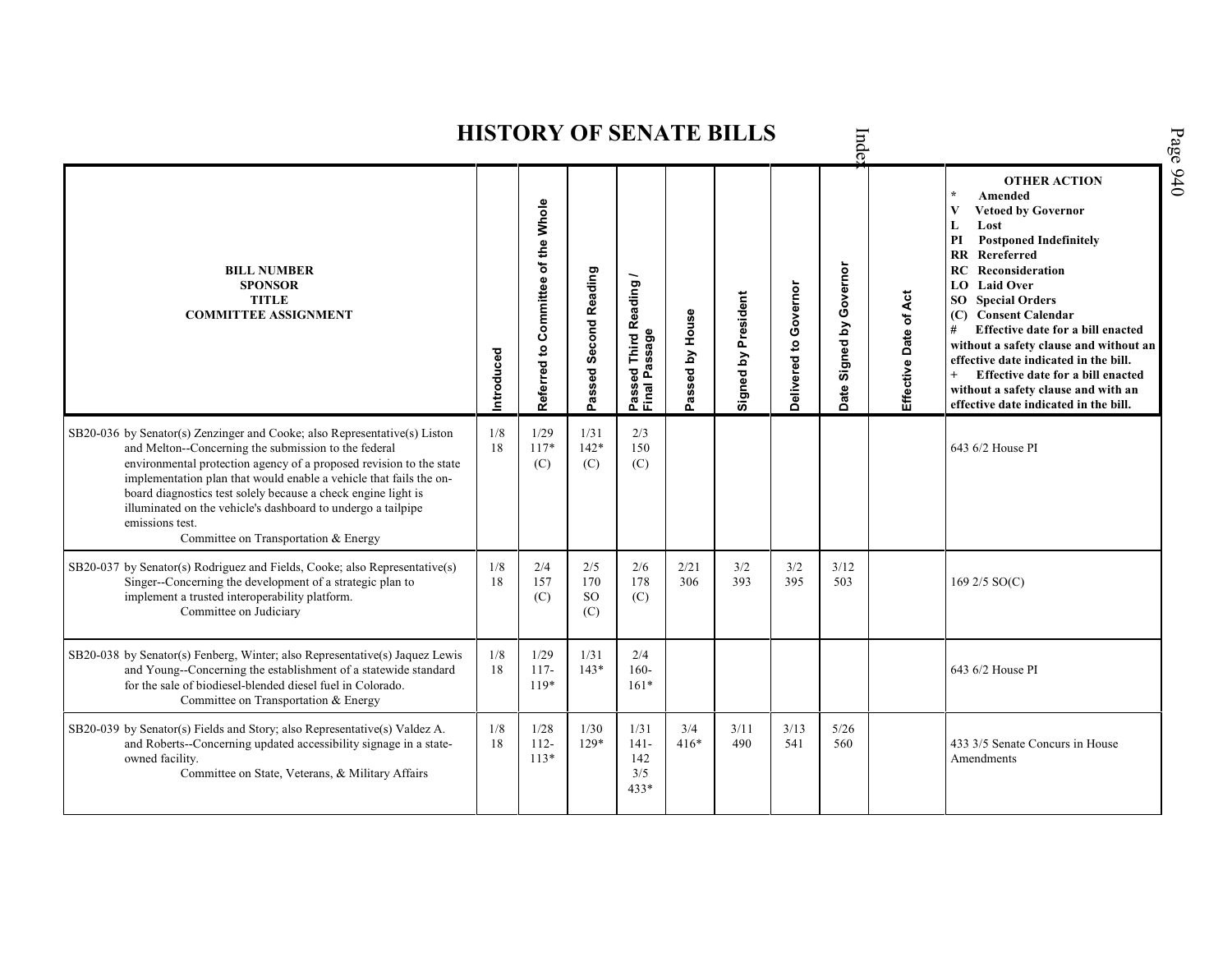**OTHER ACTION \* Amended Referred to Com mittee of the Whole Vetoed by Governor L Lost PI Postponed Indefinitely RR Rereferred Date Signed by Governor RC Reconsideration BILL NUMBER Passed Second Reading Passed Third Reading /** Passed Third Reading<br>Final Passage **SPONSOR LO Laid Over** Delivered to Governor **Delivered to Governor Signed by President** Effective Date of Act **Signed by President Effective Date of Act TITLE SO Special Orders COMMITTEE ASSIGNMENT** Passed by House **(C) Consent Calendar Passed by House # Effective date for a bill enacted Final Passage without a safety clause and without an Introduced effective date indicated in the bill. + Effective date for a bill enacted without a safety clause and with an effective date indicated in the bill.**  1/29 SB20-036 by Senator(s) Zenzinger and Cooke; also Representative(s) Liston 1/8 1/31 2/3 and Melton--Concerning the submission to the federal 18 117\* 142\* 150 643 6/2 House PI environmental protection agency of a proposed revision to the state  $(C)$ (C) (C) implementation plan that would enable a vehicle that fails the onboard diagnostics test solely because a check engine light is illuminated on the vehicle's dashboard to undergo a tailpipe emissions test. Committee on Transportation & Energy SB20-037 by Senator(s) Rodriguez and Fields, Cooke; also Representative(s) 1/8 2/4 2/5 2/6 2/21  $3/2$  $3/2$ 3/12 Singer--Concerning the development of a strategic plan to 18 157 170 178 306 393 395 503 169 2/5 SO(C) implement a trusted interoperability platform. SO (C) (C) Committee on Judiciary (C) 1/31 SB20-038 by Senator(s) Fenberg, Winter; also Representative(s) Jaquez Lewis 1/8 1/29 2/4 and Young--Concerning the establishment of a statewide standard 18 117- 143\* 160- 643 6/2 House PI for the sale of biodiesel-blended diesel fuel in Colorado. 119\* 161\* Committee on Transportation & Energy 1/8 SB20-039 by Senator(s) Fields and Story; also Representative(s) Valdez A. 1/28 1/30 1/31 3/4 3/11 3/13 5/26 and Roberts--Concerning updated accessibility signage in a state-18 112- 129\* 141- 416\* 490 541 560 433 3/5 Senate Concurs in House 113\* owned facility. 142 AmendmentsCommittee on State, Veterans, & Military Affairs 3/5 433\*

**HISTORY OF SENATE BILLS**

Inde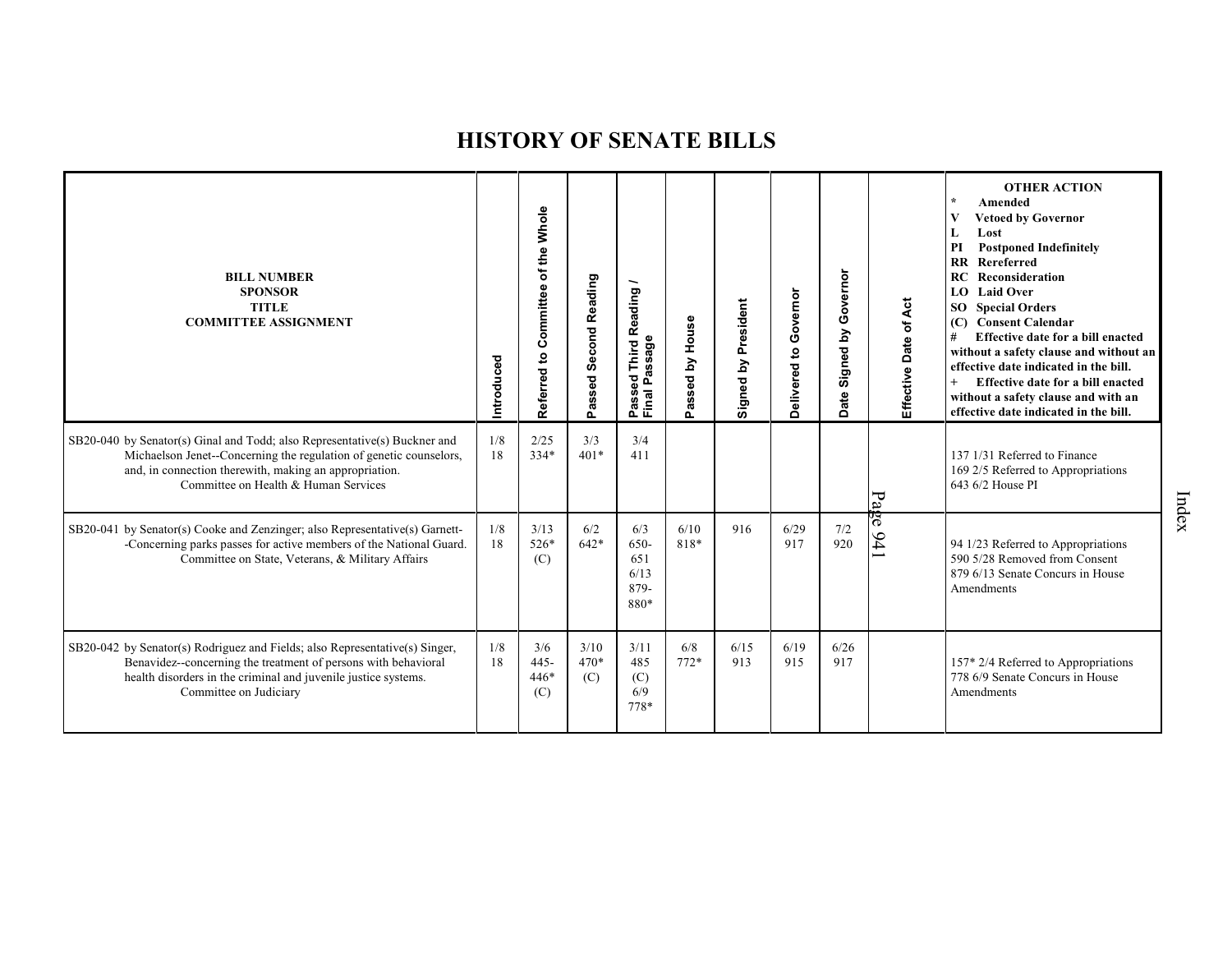| <b>BILL NUMBER</b><br><b>SPONSOR</b><br><b>TITLE</b><br><b>COMMITTEE ASSIGNMENT</b>                                                                                                                                                               | Introduced | Referred to Committee of the Whole | <b>Second Reading</b><br>Passed | Reading<br>ssage<br>Third<br>σ<br>್ಹಾ<br>۵<br>Passe<br>Final | Passed by House | President<br>Signed by | Governor<br>Delivered to | Governor<br>Signed by<br>ate<br>ö | Effective Date of Act | <b>OTHER ACTION</b><br>$\star$<br>Amended<br>$\bf{V}$<br><b>Vetoed by Governor</b><br>Lost<br>L<br><b>Postponed Indefinitely</b><br>PI<br>$\mathbf{R}$<br>Rereferred<br>RC<br>Reconsideration<br>LO.<br><b>Laid Over</b><br><b>SO</b> Special Orders<br><b>Consent Calendar</b><br>(C)<br>#<br>Effective date for a bill enacted<br>without a safety clause and without an<br>effective date indicated in the bill.<br>$+$<br>Effective date for a bill enacted<br>without a safety clause and with an<br>effective date indicated in the bill. |
|---------------------------------------------------------------------------------------------------------------------------------------------------------------------------------------------------------------------------------------------------|------------|------------------------------------|---------------------------------|--------------------------------------------------------------|-----------------|------------------------|--------------------------|-----------------------------------|-----------------------|-------------------------------------------------------------------------------------------------------------------------------------------------------------------------------------------------------------------------------------------------------------------------------------------------------------------------------------------------------------------------------------------------------------------------------------------------------------------------------------------------------------------------------------------------|
| SB20-040 by Senator(s) Ginal and Todd; also Representative(s) Buckner and<br>Michaelson Jenet--Concerning the regulation of genetic counselors,<br>and, in connection therewith, making an appropriation.<br>Committee on Health & Human Services | 1/8<br>18  | 2/25<br>$334*$                     | 3/3<br>$401*$                   | 3/4<br>411                                                   |                 |                        |                          |                                   | Page                  | 137 1/31 Referred to Finance<br>169 2/5 Referred to Appropriations<br>643 6/2 House PI                                                                                                                                                                                                                                                                                                                                                                                                                                                          |
| SB20-041 by Senator(s) Cooke and Zenzinger; also Representative(s) Garnett-<br>-Concerning parks passes for active members of the National Guard.<br>Committee on State, Veterans, & Military Affairs                                             | 1/8<br>18  | 3/13<br>526*<br>(C)                | 6/2<br>$642*$                   | 6/3<br>650-<br>651<br>6/13<br>879-<br>880*                   | 6/10<br>818*    | 916                    | 6/29<br>917              | $7/2$<br>920                      | $\frac{941}{ }$       | 94 1/23 Referred to Appropriations<br>590 5/28 Removed from Consent<br>879 6/13 Senate Concurs in House<br>Amendments                                                                                                                                                                                                                                                                                                                                                                                                                           |
| SB20-042 by Senator(s) Rodriguez and Fields; also Representative(s) Singer,<br>Benavidez--concerning the treatment of persons with behavioral<br>health disorders in the criminal and juvenile justice systems.<br>Committee on Judiciary         | 1/8<br>18  | 3/6<br>$445 -$<br>$446*$<br>(C)    | 3/10<br>$470*$<br>(C)           | 3/11<br>485<br>(C)<br>6/9<br>778*                            | 6/8<br>$772*$   | 6/15<br>913            | 6/19<br>915              | 6/26<br>917                       |                       | 157* 2/4 Referred to Appropriations<br>778 6/9 Senate Concurs in House<br>Amendments                                                                                                                                                                                                                                                                                                                                                                                                                                                            |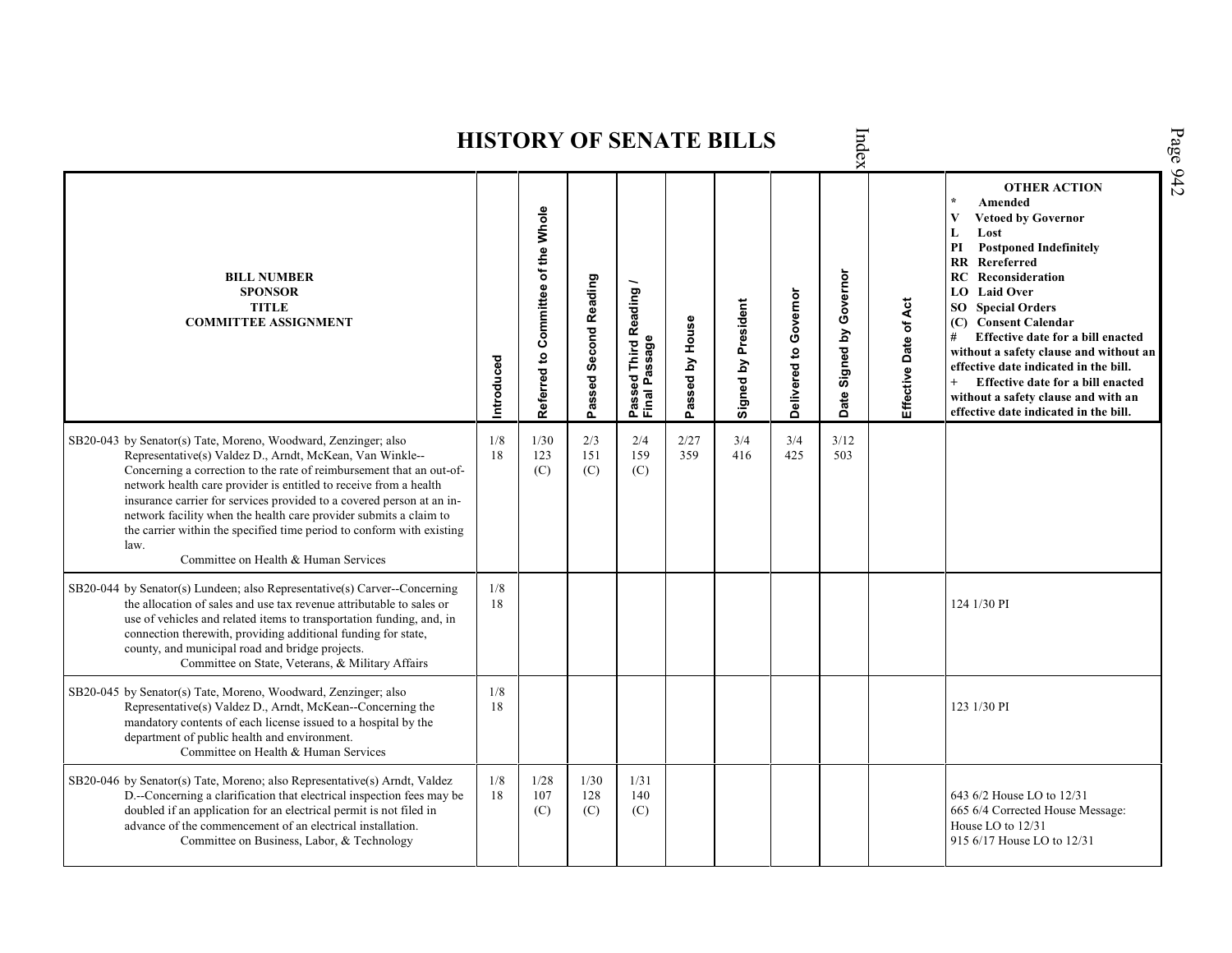Index Page 942 **HISTORY OF SENATE BILLS OTHER ACTION \* Amended Referred to Com mittee of the Whole Vetoed by Governor L Lost PI Postponed Indefinitely RR Rereferred Date Signed by Governor BILL NUMBER RC Reconsideration Passed Second Reading Passed Third Reading /** Passed Third Reading<br>Final Passage **LO Laid Over SPONSOR** Delivered to Governor **Delivered to Governor** Effective Date of Act Signed by President **Effective Date of Act Signed by President SO Special Orders TITLE COMMITTEE ASSIGNMENT (C) Consent Calendar** Passed by House **Passed by House # Effective date for a bill enacted Final Passage without a safety clause and without an Introduced effective date indicated in the bill. + Effective date for a bill enacted without a safety clause and with an effective date indicated in the bill.**  1/8 2/27 3/4 3/4 SB20-043 by Senator(s) Tate, Moreno, Woodward, Zenzinger; also 1/30 2/3 2/4 3/12 Representative(s) Valdez D., Arndt, McKean, Van Winkle-- 18 123 151 159 359 416 425 503 Concerning a correction to the rate of reimbursement that an out-of-(C) (C) (C) network health care provider is entitled to receive from a health insurance carrier for services provided to a covered person at an innetwork facility when the health care provider submits a claim to the carrier within the specified time period to conform with existing law. Committee on Health & Human Services SB20-044 by Senator(s) Lundeen; also Representative(s) Carver--Concerning 1/8 the allocation of sales and use tax revenue attributable to sales or 18 | 124 1/30 PI use of vehicles and related items to transportation funding, and, in connection therewith, providing additional funding for state, county, and municipal road and bridge projects. Committee on State, Veterans, & Military Affairs SB20-045 by Senator(s) Tate, Moreno, Woodward, Zenzinger; also 1/8 Representative(s) Valdez D., Arndt, McKean--Concerning the 18 123 1/30 PI mandatory contents of each license issued to a hospital by the department of public health and environment. Committee on Health & Human Services SB20-046 by Senator(s) Tate, Moreno; also Representative(s) Arndt, Valdez 1/8 1/28 1/30 1/31 D.--Concerning a clarification that electrical inspection fees may be 18 107 128 140 643 6/2 House LO to 12/31 doubled if an application for an electrical permit is not filed in (C) (C) (C) 665 6/4 Corrected House Message: advance of the commencement of an electrical installation. House LO to 12/31 Committee on Business, Labor, & Technology 915 6/17 House LO to 12/31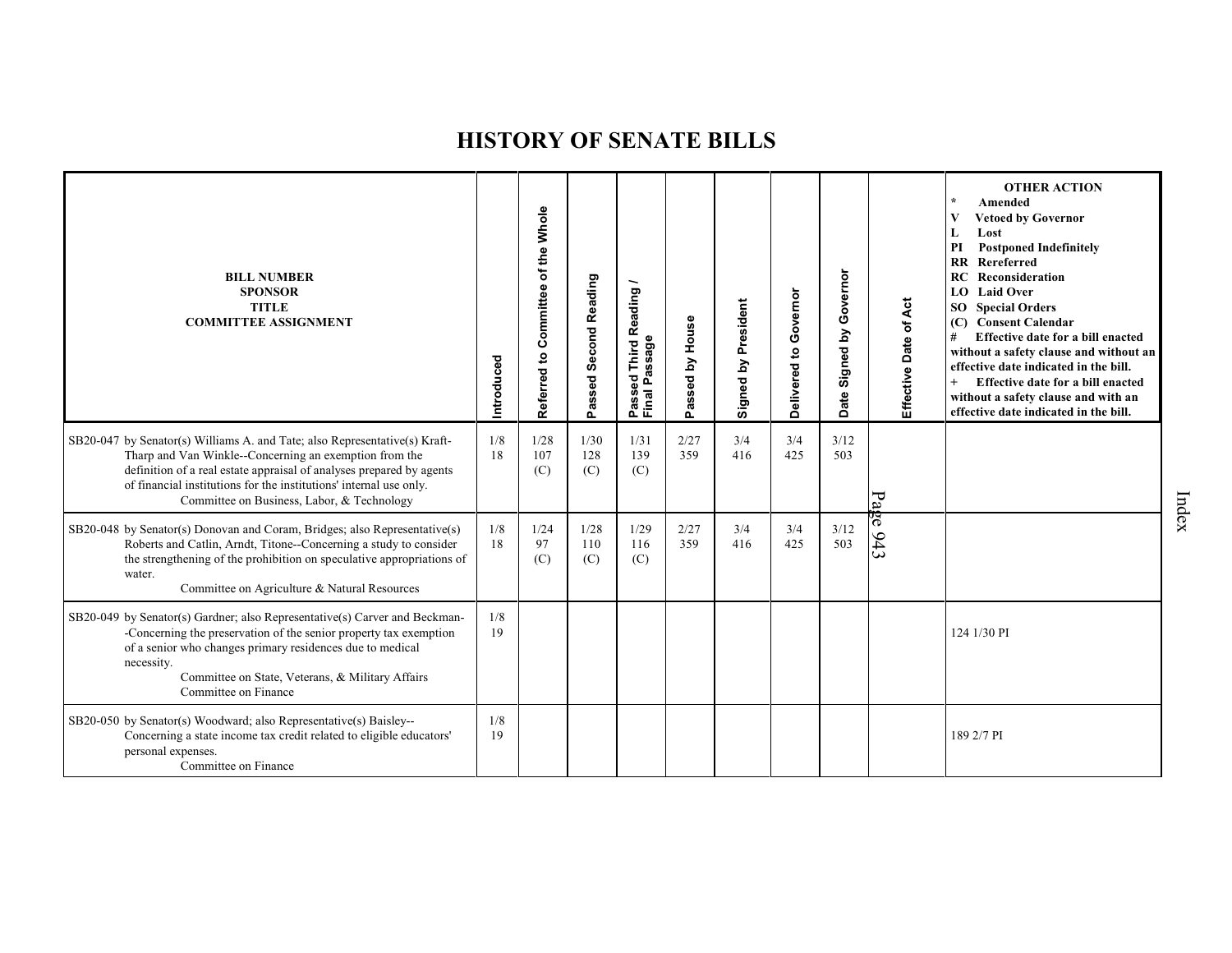| <b>BILL NUMBER</b><br><b>SPONSOR</b><br><b>TITLE</b><br><b>COMMITTEE ASSIGNMENT</b>                                                                                                                                                                                                                                              | Introduced | Referred to Committee of the Whole | Passed Second Reading | Reading<br>assage<br>Third<br>$\overline{\mathbf{c}}$<br>Ä,<br>Φ<br>Passe<br>Final I | Passed by House | Signed by President | Governor<br>$\mathbf{S}$<br>Delivered | Governor<br>Signed by<br><b>Date</b> | Effective Date of Act | <b>OTHER ACTION</b><br>Amended<br><b>Vetoed by Governor</b><br>V<br>Lost<br>L<br><b>Postponed Indefinitely</b><br>PI<br>Rereferred<br>$\mathbf{R}$<br><b>RC</b> Reconsideration<br><b>LO</b> Laid Over<br><b>SO</b> Special Orders<br>(C) Consent Calendar<br>Effective date for a bill enacted<br>#<br>without a safety clause and without an<br>effective date indicated in the bill.<br>Effective date for a bill enacted<br>without a safety clause and with an<br>effective date indicated in the bill. |
|----------------------------------------------------------------------------------------------------------------------------------------------------------------------------------------------------------------------------------------------------------------------------------------------------------------------------------|------------|------------------------------------|-----------------------|--------------------------------------------------------------------------------------|-----------------|---------------------|---------------------------------------|--------------------------------------|-----------------------|--------------------------------------------------------------------------------------------------------------------------------------------------------------------------------------------------------------------------------------------------------------------------------------------------------------------------------------------------------------------------------------------------------------------------------------------------------------------------------------------------------------|
| SB20-047 by Senator(s) Williams A. and Tate; also Representative(s) Kraft-<br>Tharp and Van Winkle--Concerning an exemption from the<br>definition of a real estate appraisal of analyses prepared by agents<br>of financial institutions for the institutions' internal use only.<br>Committee on Business, Labor, & Technology | 1/8<br>18  | 1/28<br>107<br>(C)                 | 1/30<br>128<br>(C)    | 1/31<br>139<br>(C)                                                                   | 2/27<br>359     | 3/4<br>416          | 3/4<br>425                            | 3/12<br>503                          |                       |                                                                                                                                                                                                                                                                                                                                                                                                                                                                                                              |
| SB20-048 by Senator(s) Donovan and Coram, Bridges; also Representative(s)<br>Roberts and Catlin, Arndt, Titone--Concerning a study to consider<br>the strengthening of the prohibition on speculative appropriations of<br>water.<br>Committee on Agriculture & Natural Resources                                                | 1/8<br>18  | 1/24<br>97<br>(C)                  | 1/28<br>110<br>(C)    | 1/29<br>116<br>(C)                                                                   | 2/27<br>359     | 3/4<br>416          | 3/4<br>425                            | 3/12<br>503                          | Page 943              |                                                                                                                                                                                                                                                                                                                                                                                                                                                                                                              |
| SB20-049 by Senator(s) Gardner; also Representative(s) Carver and Beckman-<br>-Concerning the preservation of the senior property tax exemption<br>of a senior who changes primary residences due to medical<br>necessity.<br>Committee on State, Veterans, & Military Affairs<br>Committee on Finance                           | 1/8<br>19  |                                    |                       |                                                                                      |                 |                     |                                       |                                      |                       | 124 1/30 PI                                                                                                                                                                                                                                                                                                                                                                                                                                                                                                  |
| SB20-050 by Senator(s) Woodward; also Representative(s) Baisley--<br>Concerning a state income tax credit related to eligible educators'<br>personal expenses.<br>Committee on Finance                                                                                                                                           | 1/8<br>19  |                                    |                       |                                                                                      |                 |                     |                                       |                                      |                       | 189 2/7 PI                                                                                                                                                                                                                                                                                                                                                                                                                                                                                                   |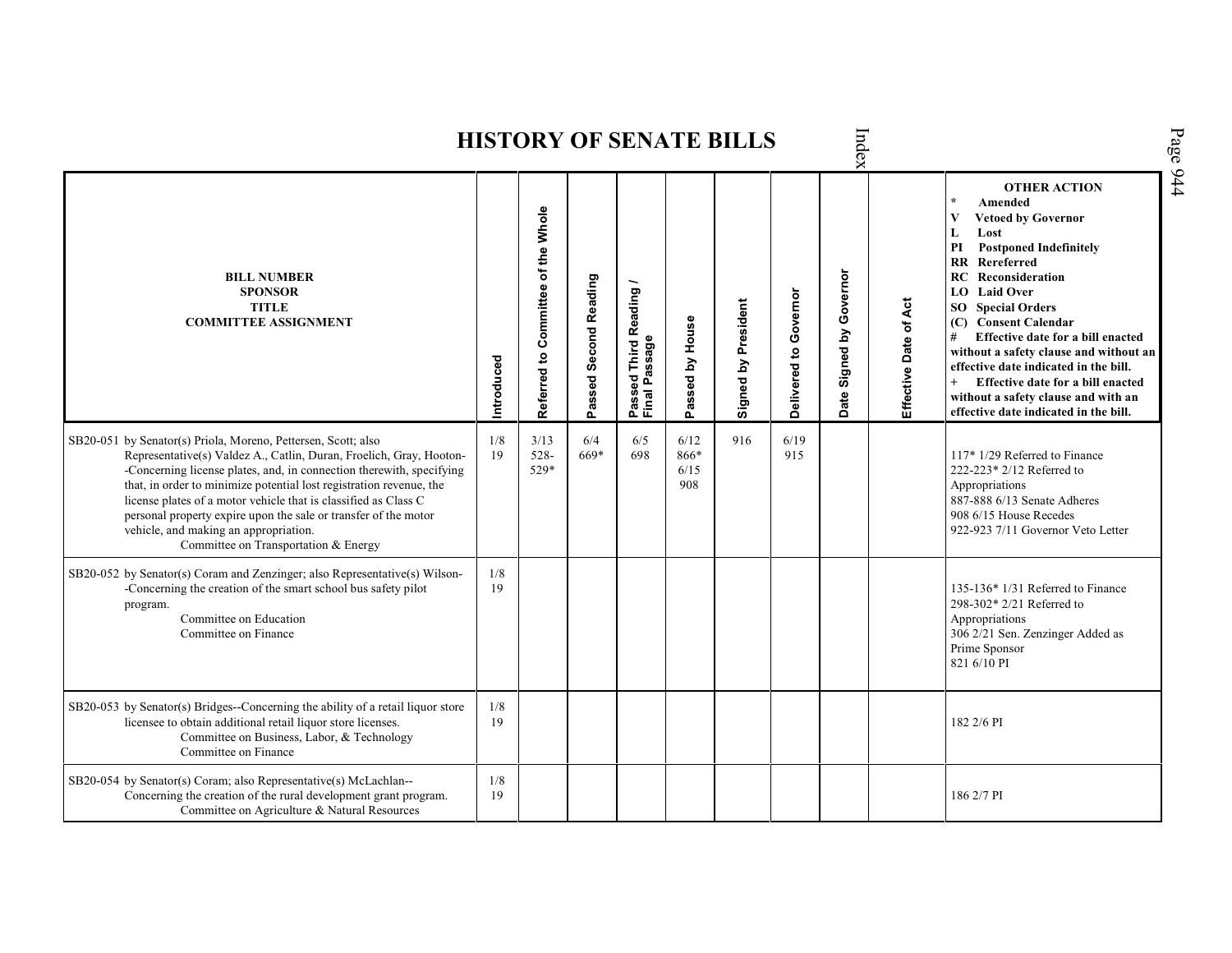Index **HISTORY OF SENATE BILLS OTHER ACTION \* Amended Referred to Com mittee of the Whole Vetoed by Governor L Lost PI Postponed Indefinitely RR Rereferred** Date Signed by Governor **Signed by Governor BILL NUMBER RC Reconsideration Passed Second Reading Passed Third Reading /** Passed Third Reading<br>Final Passage **LO Laid Over SPONSOR** Delivered to Governor **Delivered to Governor** Signed by President Effective Date of Act **Effective Date of Act Signed by President SO Special Orders TITLE COMMITTEE ASSIGNMENT (C) Consent Calendar** Passed by House **Passed by House # Effective date for a bill enacted Final Passage without a safety clause and without an Introduced effective date indicated in the bill. + Effective date for a bill enacted without a safety clause and with an effective date indicated in the bill.**  1/8 3/13 6/4 6/12 916 6/19 SB20-051 by Senator(s) Priola, Moreno, Pettersen, Scott; also 6/5 Representative(s) Valdez A., Catlin, Duran, Froelich, Gray, Hooton- 19 528- 669\* 698 866\* 915 117\* 1/29 Referred to Finance -Concerning license plates, and, in connection therewith, specifying 529\* 6/15 222-223\* 2/12 Referred to that, in order to minimize potential lost registration revenue, the 908 Appropriations license plates of a motor vehicle that is classified as Class C 887-888 6/13 Senate Adheres personal property expire upon the sale or transfer of the motor 908 6/15 House Recedes vehicle, and making an appropriation. 922-923 7/11 Governor Veto Letter Committee on Transportation & Energy SB20-052 by Senator(s) Coram and Zenzinger; also Representative(s) Wilson- 1/8 -Concerning the creation of the smart school bus safety pilot 19 135-136\* 1/31 Referred to Finance program. 298-302\* 2/21 Referred to Committee on Education Appropriations Committee on Finance 306 2/21 Sen. Zenzinger Added as Prime Sponsor 821 6/10 PI SB20-053 by Senator(s) Bridges--Concerning the ability of a retail liquor store 1/8 licensee to obtain additional retail liquor store licenses. 19 182 2/6 PI Committee on Business, Labor, & Technology Committee on Finance SB20-054 by Senator(s) Coram; also Representative(s) McLachlan--  $\frac{1}{8}$ Concerning the creation of the rural development grant program. 19 186 2/7 PICommittee on Agriculture & Natural Resources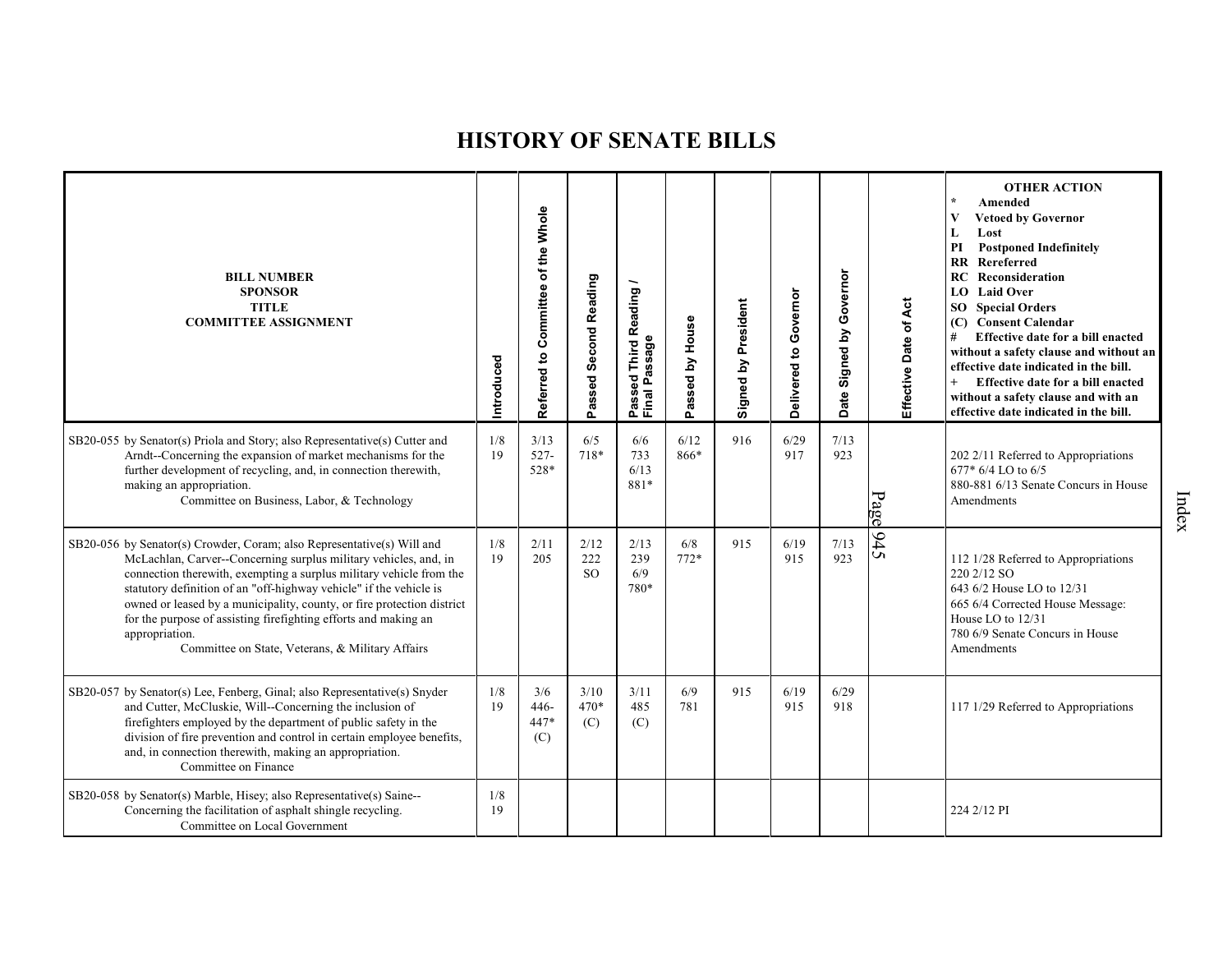| <b>BILL NUMBER</b><br><b>SPONSOR</b><br><b>TITLE</b><br><b>COMMITTEE ASSIGNMENT</b>                                                                                                                                                                                                                                                                                                                                                                                                                        | ntroduced | of the Whole<br>Committee<br>$\mathbf{S}$<br>Referred | Passed Second Reading          | d Third Reading<br>Passed Third <b>R</b><br>Final Passage | House<br>$\mathbf{\Sigma}$<br>sed<br>ä<br>ő. | Signed by President | Delivered to Governor | Governor<br>Signed by<br>ate<br>$\Omega$ | Effective Date of Act | <b>OTHER ACTION</b><br>Amended<br><b>Vetoed by Governor</b><br>V<br>L<br>Lost<br>PI<br><b>Postponed Indefinitely</b><br><b>RR</b> Rereferred<br>Reconsideration<br>RC<br><b>LO</b> Laid Over<br><b>SO</b> Special Orders<br>(C) Consent Calendar<br>#<br>Effective date for a bill enacted<br>without a safety clause and without an<br>effective date indicated in the bill.<br>Effective date for a bill enacted<br>without a safety clause and with an<br>effective date indicated in the bill. |
|------------------------------------------------------------------------------------------------------------------------------------------------------------------------------------------------------------------------------------------------------------------------------------------------------------------------------------------------------------------------------------------------------------------------------------------------------------------------------------------------------------|-----------|-------------------------------------------------------|--------------------------------|-----------------------------------------------------------|----------------------------------------------|---------------------|-----------------------|------------------------------------------|-----------------------|----------------------------------------------------------------------------------------------------------------------------------------------------------------------------------------------------------------------------------------------------------------------------------------------------------------------------------------------------------------------------------------------------------------------------------------------------------------------------------------------------|
| SB20-055 by Senator(s) Priola and Story; also Representative(s) Cutter and<br>Arndt-Concerning the expansion of market mechanisms for the<br>further development of recycling, and, in connection therewith,<br>making an appropriation.<br>Committee on Business, Labor, & Technology                                                                                                                                                                                                                     | 1/8<br>19 | 3/13<br>$527 -$<br>528*                               | 6/5<br>718*                    | 6/6<br>733<br>6/13<br>881*                                | 6/12<br>866*                                 | 916                 | 6/29<br>917           | 7/13<br>923                              | Page                  | 202 2/11 Referred to Appropriations<br>677* 6/4 LO to 6/5<br>880-881 6/13 Senate Concurs in House<br>Amendments                                                                                                                                                                                                                                                                                                                                                                                    |
| SB20-056 by Senator(s) Crowder, Coram; also Representative(s) Will and<br>McLachlan, Carver--Concerning surplus military vehicles, and, in<br>connection therewith, exempting a surplus military vehicle from the<br>statutory definition of an "off-highway vehicle" if the vehicle is<br>owned or leased by a municipality, county, or fire protection district<br>for the purpose of assisting firefighting efforts and making an<br>appropriation.<br>Committee on State, Veterans, & Military Affairs | 1/8<br>19 | 2/11<br>205                                           | 2/12<br>222<br>SO <sub>2</sub> | 2/13<br>239<br>6/9<br>780*                                | 6/8<br>$772*$                                | 915                 | 6/19<br>915           | 7/13<br>923                              | 945                   | 112 1/28 Referred to Appropriations<br>220 2/12 SO<br>643 6/2 House LO to 12/31<br>665 6/4 Corrected House Message:<br>House LO to 12/31<br>780 6/9 Senate Concurs in House<br>Amendments                                                                                                                                                                                                                                                                                                          |
| SB20-057 by Senator(s) Lee, Fenberg, Ginal; also Representative(s) Snyder<br>and Cutter, McCluskie, Will--Concerning the inclusion of<br>firefighters employed by the department of public safety in the<br>division of fire prevention and control in certain employee benefits,<br>and, in connection therewith, making an appropriation.<br>Committee on Finance                                                                                                                                        | 1/8<br>19 | 3/6<br>$446 -$<br>$447*$<br>(C)                       | 3/10<br>470*<br>(C)            | 3/11<br>485<br>(C)                                        | 6/9<br>781                                   | 915                 | 6/19<br>915           | 6/29<br>918                              |                       | 117 1/29 Referred to Appropriations                                                                                                                                                                                                                                                                                                                                                                                                                                                                |
| SB20-058 by Senator(s) Marble, Hisey; also Representative(s) Saine--<br>Concerning the facilitation of asphalt shingle recycling.<br>Committee on Local Government                                                                                                                                                                                                                                                                                                                                         | 1/8<br>19 |                                                       |                                |                                                           |                                              |                     |                       |                                          |                       | 224 2/12 PI                                                                                                                                                                                                                                                                                                                                                                                                                                                                                        |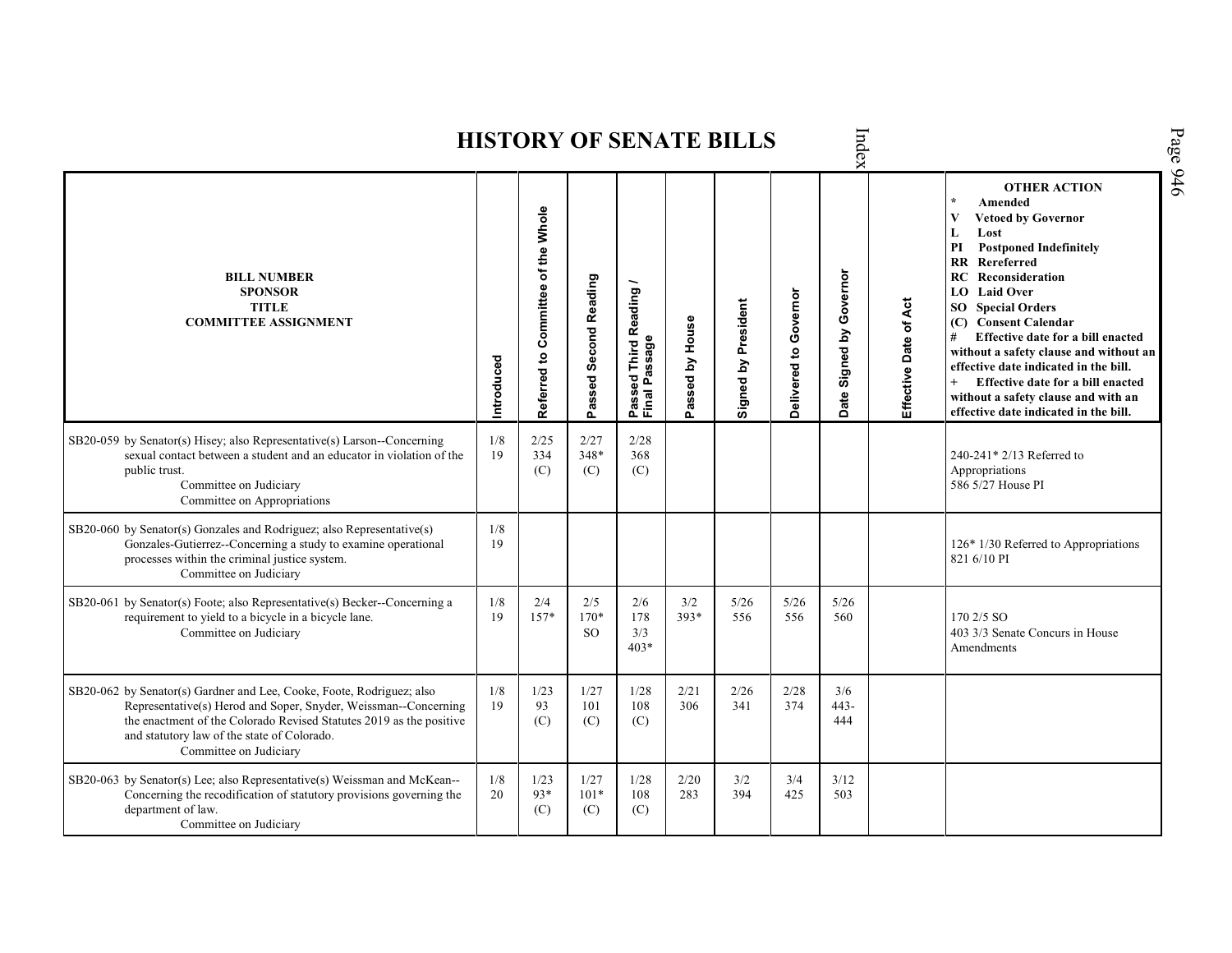|                                                                                                                                                                                                                                                                                          |            |                                    |                          |                                                             |                 | <b>HISTORY OF SENATE BILLS</b> |                       | Index                       |                       |                                                                                                                                                                                                                                                                                                                                                                                                                                                                                                                                        |
|------------------------------------------------------------------------------------------------------------------------------------------------------------------------------------------------------------------------------------------------------------------------------------------|------------|------------------------------------|--------------------------|-------------------------------------------------------------|-----------------|--------------------------------|-----------------------|-----------------------------|-----------------------|----------------------------------------------------------------------------------------------------------------------------------------------------------------------------------------------------------------------------------------------------------------------------------------------------------------------------------------------------------------------------------------------------------------------------------------------------------------------------------------------------------------------------------------|
| <b>BILL NUMBER</b><br><b>SPONSOR</b><br><b>TITLE</b><br><b>COMMITTEE ASSIGNMENT</b>                                                                                                                                                                                                      | Introduced | Referred to Committee of the Whole | Passed Second Reading    | <b>Third Reading</b><br>ssage<br>99<br>o.<br>Passe<br>Final | Passed by House | Signed by President            | Delivered to Governor | Signed by Governor<br>Date: | Effective Date of Act | <b>OTHER ACTION</b><br>$\star$<br>Amended<br>$\mathbf{V}$<br><b>Vetoed by Governor</b><br>L<br>Lost<br><b>Postponed Indefinitely</b><br>PI<br><b>RR</b> Rereferred<br><b>RC</b> Reconsideration<br><b>LO</b> Laid Over<br><b>SO</b> Special Orders<br>(C) Consent Calendar<br>Effective date for a bill enacted<br>#<br>without a safety clause and without an<br>effective date indicated in the bill.<br>$^{+}$<br>Effective date for a bill enacted<br>without a safety clause and with an<br>effective date indicated in the bill. |
| SB20-059 by Senator(s) Hisey; also Representative(s) Larson--Concerning<br>sexual contact between a student and an educator in violation of the<br>public trust.<br>Committee on Judiciary<br>Committee on Appropriations                                                                | 1/8<br>19  | 2/25<br>334<br>(C)                 | 2/27<br>348*<br>(C)      | 2/28<br>368<br>(C)                                          |                 |                                |                       |                             |                       | 240-241* 2/13 Referred to<br>Appropriations<br>586 5/27 House PI                                                                                                                                                                                                                                                                                                                                                                                                                                                                       |
| SB20-060 by Senator(s) Gonzales and Rodriguez; also Representative(s)<br>Gonzales-Gutierrez--Concerning a study to examine operational<br>processes within the criminal justice system.<br>Committee on Judiciary                                                                        | 1/8<br>19  |                                    |                          |                                                             |                 |                                |                       |                             |                       | $126*1/30$ Referred to Appropriations<br>821 6/10 PI                                                                                                                                                                                                                                                                                                                                                                                                                                                                                   |
| SB20-061 by Senator(s) Foote; also Representative(s) Becker--Concerning a<br>requirement to yield to a bicycle in a bicycle lane.<br>Committee on Judiciary                                                                                                                              | 1/8<br>19  | 2/4<br>$157*$                      | 2/5<br>170*<br><b>SO</b> | 2/6<br>178<br>3/3<br>$403*$                                 | 3/2<br>393*     | 5/26<br>556                    | 5/26<br>556           | 5/26<br>560                 |                       | 170 2/5 SO<br>403 3/3 Senate Concurs in House<br>Amendments                                                                                                                                                                                                                                                                                                                                                                                                                                                                            |
| SB20-062 by Senator(s) Gardner and Lee, Cooke, Foote, Rodriguez; also<br>Representative(s) Herod and Soper, Snyder, Weissman--Concerning<br>the enactment of the Colorado Revised Statutes 2019 as the positive<br>and statutory law of the state of Colorado.<br>Committee on Judiciary | 1/8<br>19  | 1/23<br>93<br>(C)                  | 1/27<br>101<br>(C)       | 1/28<br>108<br>(C)                                          | 2/21<br>306     | 2/26<br>341                    | 2/28<br>374           | 3/6<br>$443-$<br>444        |                       |                                                                                                                                                                                                                                                                                                                                                                                                                                                                                                                                        |
| SB20-063 by Senator(s) Lee; also Representative(s) Weissman and McKean--<br>Concerning the recodification of statutory provisions governing the<br>department of law.<br>Committee on Judiciary                                                                                          | 1/8<br>20  | 1/23<br>93*<br>(C)                 | 1/27<br>$101*$<br>(C)    | 1/28<br>108<br>(C)                                          | 2/20<br>283     | 3/2<br>394                     | 3/4<br>425            | 3/12<br>503                 |                       |                                                                                                                                                                                                                                                                                                                                                                                                                                                                                                                                        |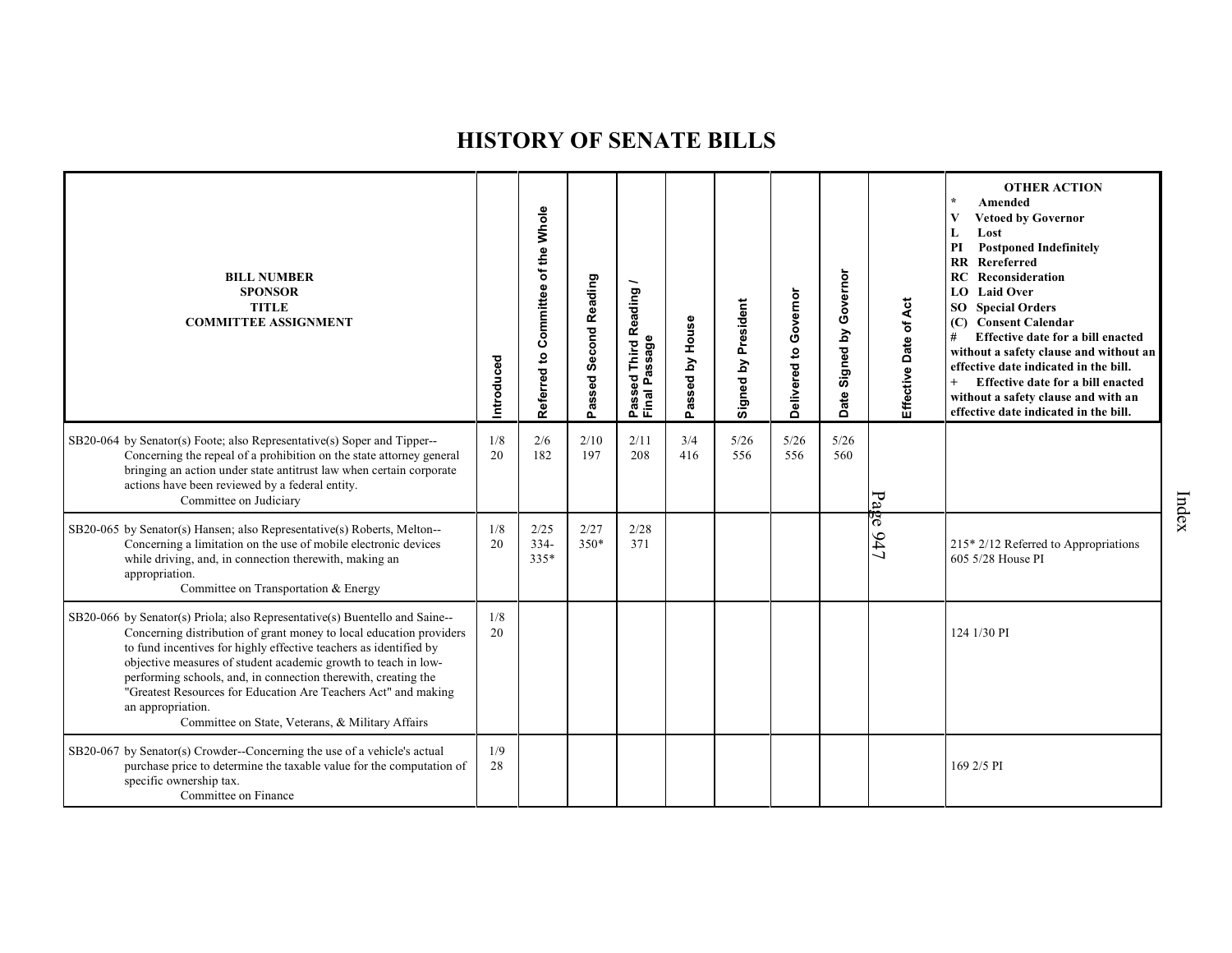| <b>BILL NUMBER</b><br><b>SPONSOR</b><br><b>TITLE</b><br><b>COMMITTEE ASSIGNMENT</b>                                                                                                                                                                                                                                                                                                                                                                                                                    | Introduced | Referred to Committee of the Whole | Passed Second Reading | Reading<br>Passed<br>Final Passage<br>Final Passage | House<br>Passed by | Signed by President | Governor<br>Delivered to | Governor<br>Signed by<br>Date | Effective Date of Act | <b>OTHER ACTION</b><br>$\star$<br>Amended<br>V<br><b>Vetoed by Governor</b><br>Lost<br>L<br><b>Postponed Indefinitely</b><br>PI<br>Rereferred<br>$\mathbf{R}$<br>Reconsideration<br>RC<br>LO Laid Over<br><b>SO</b> Special Orders<br><b>Consent Calendar</b><br>(C)<br>Effective date for a bill enacted<br>#<br>without a safety clause and without an<br>effective date indicated in the bill.<br>Effective date for a bill enacted<br>$+$<br>without a safety clause and with an<br>effective date indicated in the bill. |
|--------------------------------------------------------------------------------------------------------------------------------------------------------------------------------------------------------------------------------------------------------------------------------------------------------------------------------------------------------------------------------------------------------------------------------------------------------------------------------------------------------|------------|------------------------------------|-----------------------|-----------------------------------------------------|--------------------|---------------------|--------------------------|-------------------------------|-----------------------|-------------------------------------------------------------------------------------------------------------------------------------------------------------------------------------------------------------------------------------------------------------------------------------------------------------------------------------------------------------------------------------------------------------------------------------------------------------------------------------------------------------------------------|
| SB20-064 by Senator(s) Foote; also Representative(s) Soper and Tipper--<br>Concerning the repeal of a prohibition on the state attorney general<br>bringing an action under state antitrust law when certain corporate<br>actions have been reviewed by a federal entity.<br>Committee on Judiciary                                                                                                                                                                                                    | 1/8<br>20  | 2/6<br>182                         | 2/10<br>197           | 2/11<br>208                                         | 3/4<br>416         | 5/26<br>556         | 5/26<br>556              | 5/26<br>560                   |                       |                                                                                                                                                                                                                                                                                                                                                                                                                                                                                                                               |
| SB20-065 by Senator(s) Hansen; also Representative(s) Roberts, Melton--<br>Concerning a limitation on the use of mobile electronic devices<br>while driving, and, in connection therewith, making an<br>appropriation.<br>Committee on Transportation & Energy                                                                                                                                                                                                                                         | 1/8<br>20  | 2/25<br>$334-$<br>335*             | 2/27<br>$350*$        | 2/28<br>371                                         |                    |                     |                          |                               | Page 947              | $215*2/12$ Referred to Appropriations<br>605 5/28 House PI                                                                                                                                                                                                                                                                                                                                                                                                                                                                    |
| SB20-066 by Senator(s) Priola; also Representative(s) Buentello and Saine--<br>Concerning distribution of grant money to local education providers<br>to fund incentives for highly effective teachers as identified by<br>objective measures of student academic growth to teach in low-<br>performing schools, and, in connection therewith, creating the<br>"Greatest Resources for Education Are Teachers Act" and making<br>an appropriation.<br>Committee on State, Veterans, & Military Affairs | 1/8<br>20  |                                    |                       |                                                     |                    |                     |                          |                               |                       | 124 1/30 PI                                                                                                                                                                                                                                                                                                                                                                                                                                                                                                                   |
| SB20-067 by Senator(s) Crowder--Concerning the use of a vehicle's actual<br>purchase price to determine the taxable value for the computation of<br>specific ownership tax.<br>Committee on Finance                                                                                                                                                                                                                                                                                                    | 1/9<br>28  |                                    |                       |                                                     |                    |                     |                          |                               |                       | 169 2/5 PI                                                                                                                                                                                                                                                                                                                                                                                                                                                                                                                    |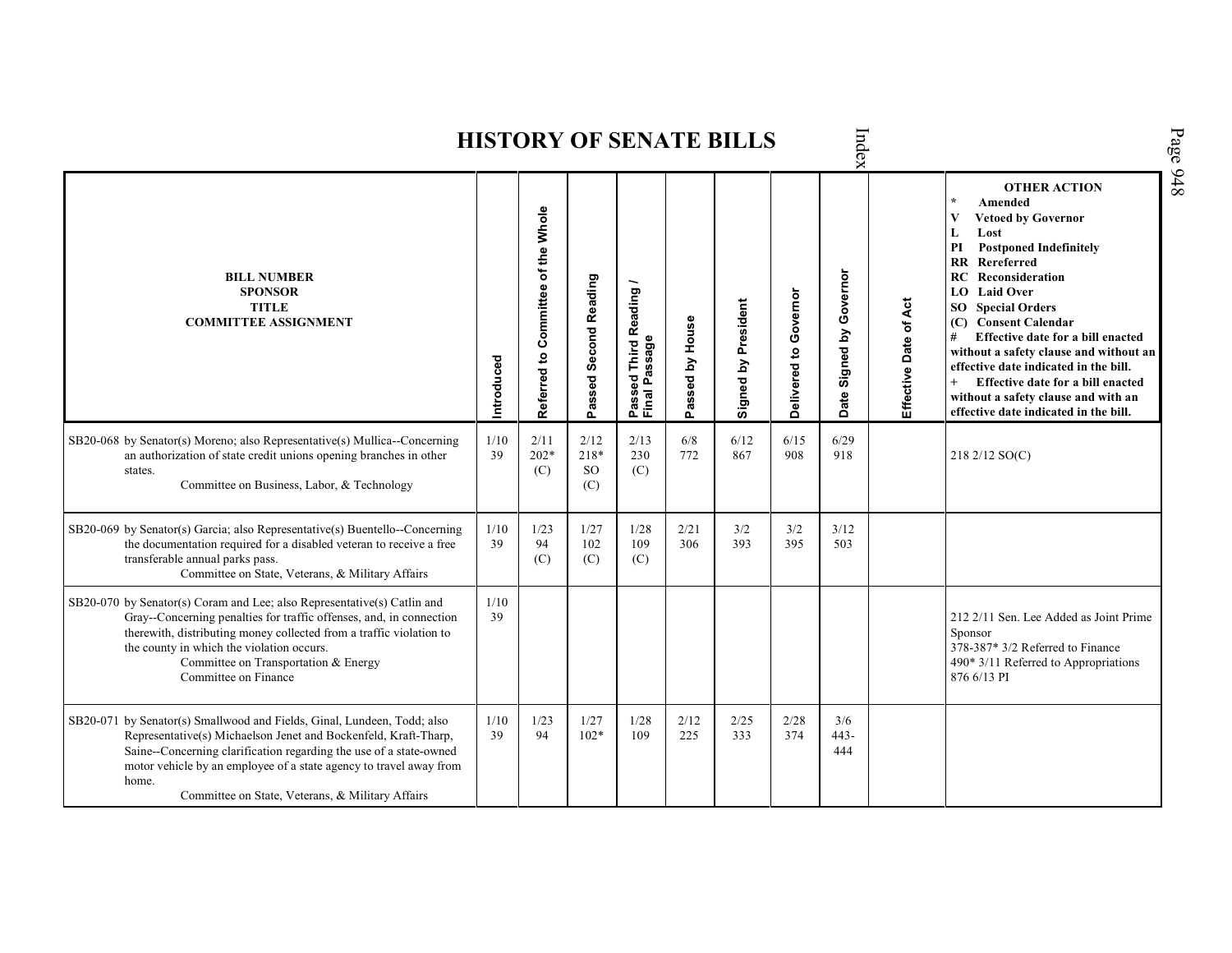|                                                                                                                                                                                                                                                                                                                                                     |            |                                    |                                  |                                                                    |                 | <b>HISTORY OF SENATE BILLS</b> |                       | Index                   |                       |                                                                                                                                                                                                                                                                                                                                                                                                                                                                                                                         |
|-----------------------------------------------------------------------------------------------------------------------------------------------------------------------------------------------------------------------------------------------------------------------------------------------------------------------------------------------------|------------|------------------------------------|----------------------------------|--------------------------------------------------------------------|-----------------|--------------------------------|-----------------------|-------------------------|-----------------------|-------------------------------------------------------------------------------------------------------------------------------------------------------------------------------------------------------------------------------------------------------------------------------------------------------------------------------------------------------------------------------------------------------------------------------------------------------------------------------------------------------------------------|
| <b>BILL NUMBER</b><br><b>SPONSOR</b><br><b>TITLE</b><br><b>COMMITTEE ASSIGNMENT</b>                                                                                                                                                                                                                                                                 | Introduced | Referred to Committee of the Whole | Passed Second Reading            | <b>Third Reading</b><br>issage<br>ᢐ<br>್ಥಾ<br>r.<br>Passe<br>Final | Passed by House | Signed by President            | Delivered to Governor | Date Signed by Governor | Effective Date of Act | <b>OTHER ACTION</b><br>$\star$<br>Amended<br>V<br><b>Vetoed by Governor</b><br>L<br>Lost<br><b>Postponed Indefinitely</b><br>PI<br>Rereferred<br>$\mathbf{R}$<br>Reconsideration<br>RC<br><b>LO</b> Laid Over<br><b>Special Orders</b><br>SO.<br>(C) Consent Calendar<br>Effective date for a bill enacted<br>#<br>without a safety clause and without an<br>effective date indicated in the bill.<br>Effective date for a bill enacted<br>without a safety clause and with an<br>effective date indicated in the bill. |
| SB20-068 by Senator(s) Moreno; also Representative(s) Mullica--Concerning<br>an authorization of state credit unions opening branches in other<br>states.<br>Committee on Business, Labor, & Technology                                                                                                                                             | 1/10<br>39 | 2/11<br>$202*$<br>(C)              | 2/12<br>218*<br><b>SO</b><br>(C) | 2/13<br>230<br>(C)                                                 | 6/8<br>772      | 6/12<br>867                    | 6/15<br>908           | 6/29<br>918             |                       | 218 2/12 SO(C)                                                                                                                                                                                                                                                                                                                                                                                                                                                                                                          |
| SB20-069 by Senator(s) Garcia; also Representative(s) Buentello--Concerning<br>the documentation required for a disabled veteran to receive a free<br>transferable annual parks pass.<br>Committee on State, Veterans, & Military Affairs                                                                                                           | 1/10<br>39 | 1/23<br>94<br>(C)                  | 1/27<br>102<br>(C)               | 1/28<br>109<br>(C)                                                 | 2/21<br>306     | 3/2<br>393                     | 3/2<br>395            | 3/12<br>503             |                       |                                                                                                                                                                                                                                                                                                                                                                                                                                                                                                                         |
| SB20-070 by Senator(s) Coram and Lee; also Representative(s) Catlin and<br>Gray--Concerning penalties for traffic offenses, and, in connection<br>therewith, distributing money collected from a traffic violation to<br>the county in which the violation occurs.<br>Committee on Transportation & Energy<br>Committee on Finance                  | 1/10<br>39 |                                    |                                  |                                                                    |                 |                                |                       |                         |                       | 212 2/11 Sen. Lee Added as Joint Prime<br>Sponsor<br>378-387* 3/2 Referred to Finance<br>$490*3/11$ Referred to Appropriations<br>876 6/13 PI                                                                                                                                                                                                                                                                                                                                                                           |
| SB20-071 by Senator(s) Smallwood and Fields, Ginal, Lundeen, Todd; also<br>Representative(s) Michaelson Jenet and Bockenfeld, Kraft-Tharp,<br>Saine--Concerning clarification regarding the use of a state-owned<br>motor vehicle by an employee of a state agency to travel away from<br>home.<br>Committee on State, Veterans, & Military Affairs | 1/10<br>39 | 1/23<br>94                         | 1/27<br>$102*$                   | 1/28<br>109                                                        | 2/12<br>225     | 2/25<br>333                    | 2/28<br>374           | 3/6<br>$443 -$<br>444   |                       |                                                                                                                                                                                                                                                                                                                                                                                                                                                                                                                         |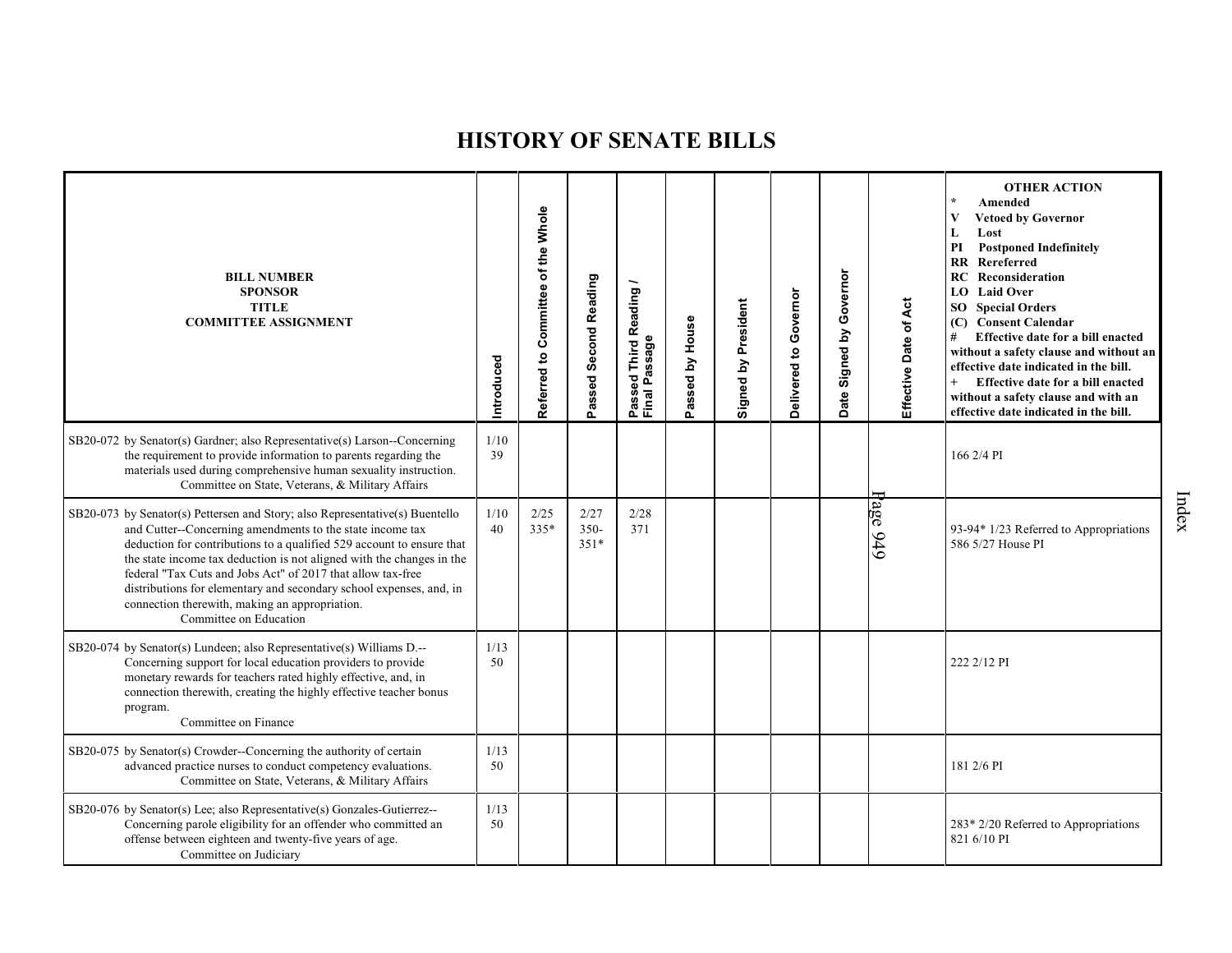| <b>BILL NUMBER</b><br><b>SPONSOR</b><br><b>TITLE</b><br><b>COMMITTEE ASSIGNMENT</b>                                                                                                                                                                                                                                                                                                                                                                                                                           | Introduced | Referred to Committee of the Whole | Passed Second Reading     | Reading<br>ssage<br>Third<br>್ಥಾ<br>غ<br>Passe<br>Final | Passed by House | Signed by President | Delivered to Governor | Governor<br>Signed by<br>Date: | Effective Date of Act | <b>OTHER ACTION</b><br>Amended<br>$\bf{V}$<br><b>Vetoed by Governor</b><br>Lost<br>L<br><b>Postponed Indefinitely</b><br>PI<br>$\mathbf{R} \mathbf{R}$<br>Rereferred<br>Reconsideration<br>RC<br><b>LO</b> Laid Over<br><b>SO</b> Special Orders<br>(C) Consent Calendar<br>Effective date for a bill enacted<br>#<br>without a safety clause and without an<br>effective date indicated in the bill.<br>$^{+}$<br>Effective date for a bill enacted<br>without a safety clause and with an<br>effective date indicated in the bill. |
|---------------------------------------------------------------------------------------------------------------------------------------------------------------------------------------------------------------------------------------------------------------------------------------------------------------------------------------------------------------------------------------------------------------------------------------------------------------------------------------------------------------|------------|------------------------------------|---------------------------|---------------------------------------------------------|-----------------|---------------------|-----------------------|--------------------------------|-----------------------|--------------------------------------------------------------------------------------------------------------------------------------------------------------------------------------------------------------------------------------------------------------------------------------------------------------------------------------------------------------------------------------------------------------------------------------------------------------------------------------------------------------------------------------|
| SB20-072 by Senator(s) Gardner; also Representative(s) Larson--Concerning<br>the requirement to provide information to parents regarding the<br>materials used during comprehensive human sexuality instruction.<br>Committee on State, Veterans, & Military Affairs                                                                                                                                                                                                                                          | 1/10<br>39 |                                    |                           |                                                         |                 |                     |                       |                                |                       | 166 2/4 PI                                                                                                                                                                                                                                                                                                                                                                                                                                                                                                                           |
| SB20-073 by Senator(s) Pettersen and Story; also Representative(s) Buentello<br>and Cutter--Concerning amendments to the state income tax<br>deduction for contributions to a qualified 529 account to ensure that<br>the state income tax deduction is not aligned with the changes in the<br>federal "Tax Cuts and Jobs Act" of 2017 that allow tax-free<br>distributions for elementary and secondary school expenses, and, in<br>connection therewith, making an appropriation.<br>Committee on Education | 1/10<br>40 | 2/25<br>$335*$                     | 2/27<br>$350 -$<br>$351*$ | 2/28<br>371                                             |                 |                     |                       |                                | $\log$<br>949         | 93-94* 1/23 Referred to Appropriations<br>586 5/27 House PI                                                                                                                                                                                                                                                                                                                                                                                                                                                                          |
| SB20-074 by Senator(s) Lundeen; also Representative(s) Williams D.--<br>Concerning support for local education providers to provide<br>monetary rewards for teachers rated highly effective, and, in<br>connection therewith, creating the highly effective teacher bonus<br>program.<br>Committee on Finance                                                                                                                                                                                                 | 1/13<br>50 |                                    |                           |                                                         |                 |                     |                       |                                |                       | 222 2/12 PI                                                                                                                                                                                                                                                                                                                                                                                                                                                                                                                          |
| SB20-075 by Senator(s) Crowder--Concerning the authority of certain<br>advanced practice nurses to conduct competency evaluations.<br>Committee on State, Veterans, & Military Affairs                                                                                                                                                                                                                                                                                                                        | 1/13<br>50 |                                    |                           |                                                         |                 |                     |                       |                                |                       | 181 2/6 PI                                                                                                                                                                                                                                                                                                                                                                                                                                                                                                                           |
| SB20-076 by Senator(s) Lee; also Representative(s) Gonzales-Gutierrez--<br>Concerning parole eligibility for an offender who committed an<br>offense between eighteen and twenty-five years of age.<br>Committee on Judiciary                                                                                                                                                                                                                                                                                 | 1/13<br>50 |                                    |                           |                                                         |                 |                     |                       |                                |                       | 283* 2/20 Referred to Appropriations<br>821 6/10 PI                                                                                                                                                                                                                                                                                                                                                                                                                                                                                  |

Index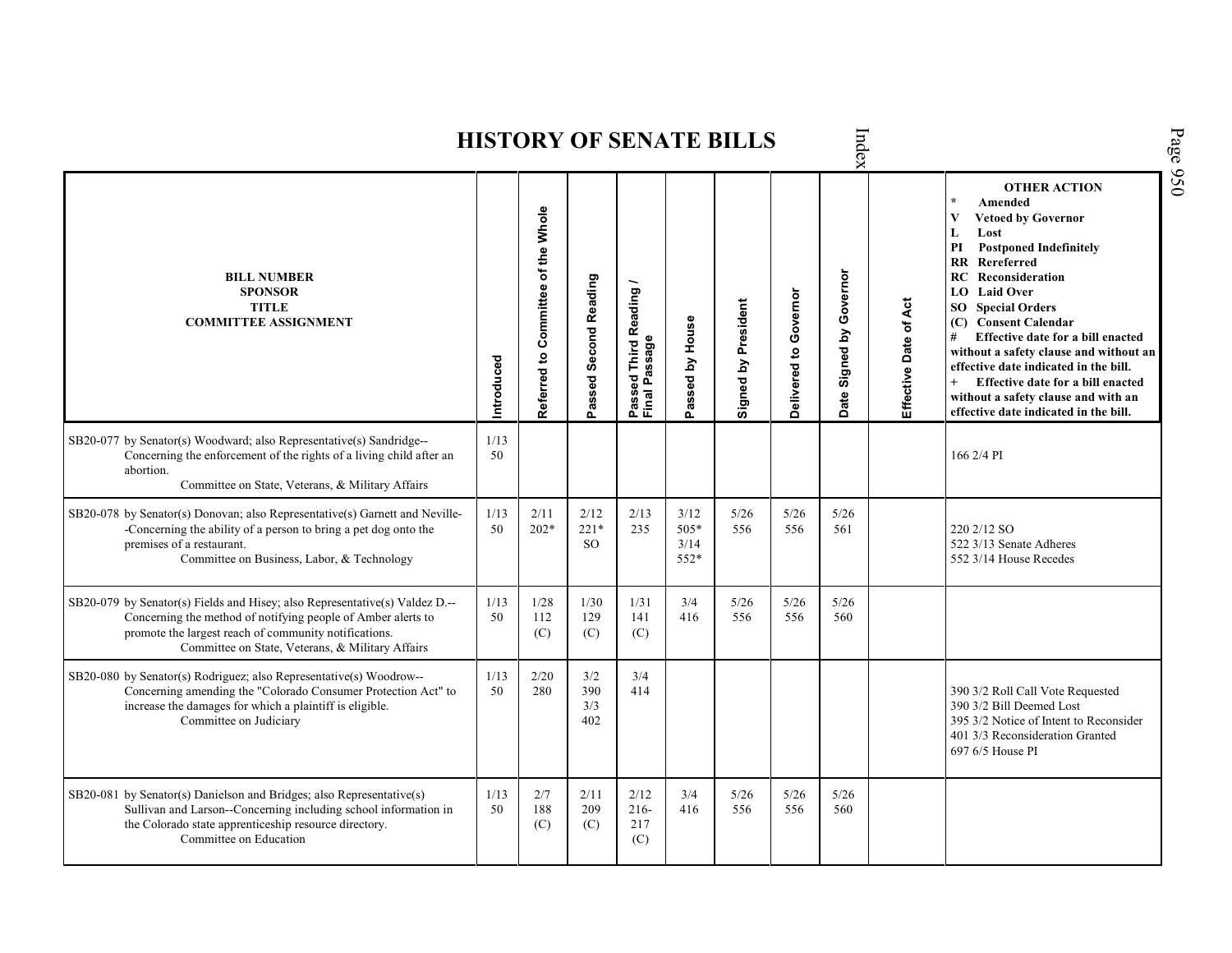|                                                                                                                                                                                                                                                          |            |                                    |                             |                                                  |                                  | <b>HISTORY OF SENATE BILLS</b> |                       | Index                      |                       |                                                                                                                                                                                                                                                                                                                                                                                                                                                                                                                         |
|----------------------------------------------------------------------------------------------------------------------------------------------------------------------------------------------------------------------------------------------------------|------------|------------------------------------|-----------------------------|--------------------------------------------------|----------------------------------|--------------------------------|-----------------------|----------------------------|-----------------------|-------------------------------------------------------------------------------------------------------------------------------------------------------------------------------------------------------------------------------------------------------------------------------------------------------------------------------------------------------------------------------------------------------------------------------------------------------------------------------------------------------------------------|
| <b>BILL NUMBER</b><br><b>SPONSOR</b><br><b>TITLE</b><br><b>COMMITTEE ASSIGNMENT</b>                                                                                                                                                                      | Introduced | Referred to Committee of the Whole | Passed Second Reading       | Passed Third Reading<br>Final Passage<br>Passage | Passed by House                  | Signed by President            | Delivered to Governor | Governor<br>Date Signed by | Effective Date of Act | <b>OTHER ACTION</b><br>$\star$<br>Amended<br>$\overline{\mathbf{V}}$<br><b>Vetoed by Governor</b><br>L<br>Lost<br><b>Postponed Indefinitely</b><br>PI<br><b>RR</b> Rereferred<br>Reconsideration<br>RC<br>LO Laid Over<br><b>SO</b> Special Orders<br>(C) Consent Calendar<br>Effective date for a bill enacted<br>without a safety clause and without an<br>effective date indicated in the bill.<br>Effective date for a bill enacted<br>without a safety clause and with an<br>effective date indicated in the bill. |
| SB20-077 by Senator(s) Woodward; also Representative(s) Sandridge--<br>Concerning the enforcement of the rights of a living child after an<br>abortion.<br>Committee on State, Veterans, & Military Affairs                                              | 1/13<br>50 |                                    |                             |                                                  |                                  |                                |                       |                            |                       | 166 2/4 PI                                                                                                                                                                                                                                                                                                                                                                                                                                                                                                              |
| SB20-078 by Senator(s) Donovan; also Representative(s) Garnett and Neville-<br>-Concerning the ability of a person to bring a pet dog onto the<br>premises of a restaurant.<br>Committee on Business, Labor, & Technology                                | 1/13<br>50 | 2/11<br>$202*$                     | 2/12<br>$221*$<br><b>SO</b> | 2/13<br>235                                      | 3/12<br>$505*$<br>3/14<br>$552*$ | 5/26<br>556                    | 5/26<br>556           | 5/26<br>561                |                       | 220 2/12 SO<br>522 3/13 Senate Adheres<br>552 3/14 House Recedes                                                                                                                                                                                                                                                                                                                                                                                                                                                        |
| SB20-079 by Senator(s) Fields and Hisey; also Representative(s) Valdez D.--<br>Concerning the method of notifying people of Amber alerts to<br>promote the largest reach of community notifications.<br>Committee on State, Veterans, & Military Affairs | 1/13<br>50 | 1/28<br>112<br>(C)                 | 1/30<br>129<br>(C)          | 1/31<br>141<br>(C)                               | 3/4<br>416                       | 5/26<br>556                    | 5/26<br>556           | 5/26<br>560                |                       |                                                                                                                                                                                                                                                                                                                                                                                                                                                                                                                         |
| SB20-080 by Senator(s) Rodriguez; also Representative(s) Woodrow--<br>Concerning amending the "Colorado Consumer Protection Act" to<br>increase the damages for which a plaintiff is eligible.<br>Committee on Judiciary                                 | 1/13<br>50 | 2/20<br>280                        | 3/2<br>390<br>3/3<br>402    | 3/4<br>414                                       |                                  |                                |                       |                            |                       | 390 3/2 Roll Call Vote Requested<br>390 3/2 Bill Deemed Lost<br>395 3/2 Notice of Intent to Reconsider<br>401 3/3 Reconsideration Granted<br>697 6/5 House PI                                                                                                                                                                                                                                                                                                                                                           |
| SB20-081 by Senator(s) Danielson and Bridges; also Representative(s)<br>Sullivan and Larson--Concerning including school information in<br>the Colorado state apprenticeship resource directory.<br>Committee on Education                               | 1/13<br>50 | 2/7<br>188<br>(C)                  | 2/11<br>209<br>(C)          | 2/12<br>$216 -$<br>217<br>(C)                    | 3/4<br>416                       | 5/26<br>556                    | $5/26$<br>556         | 5/26<br>560                |                       |                                                                                                                                                                                                                                                                                                                                                                                                                                                                                                                         |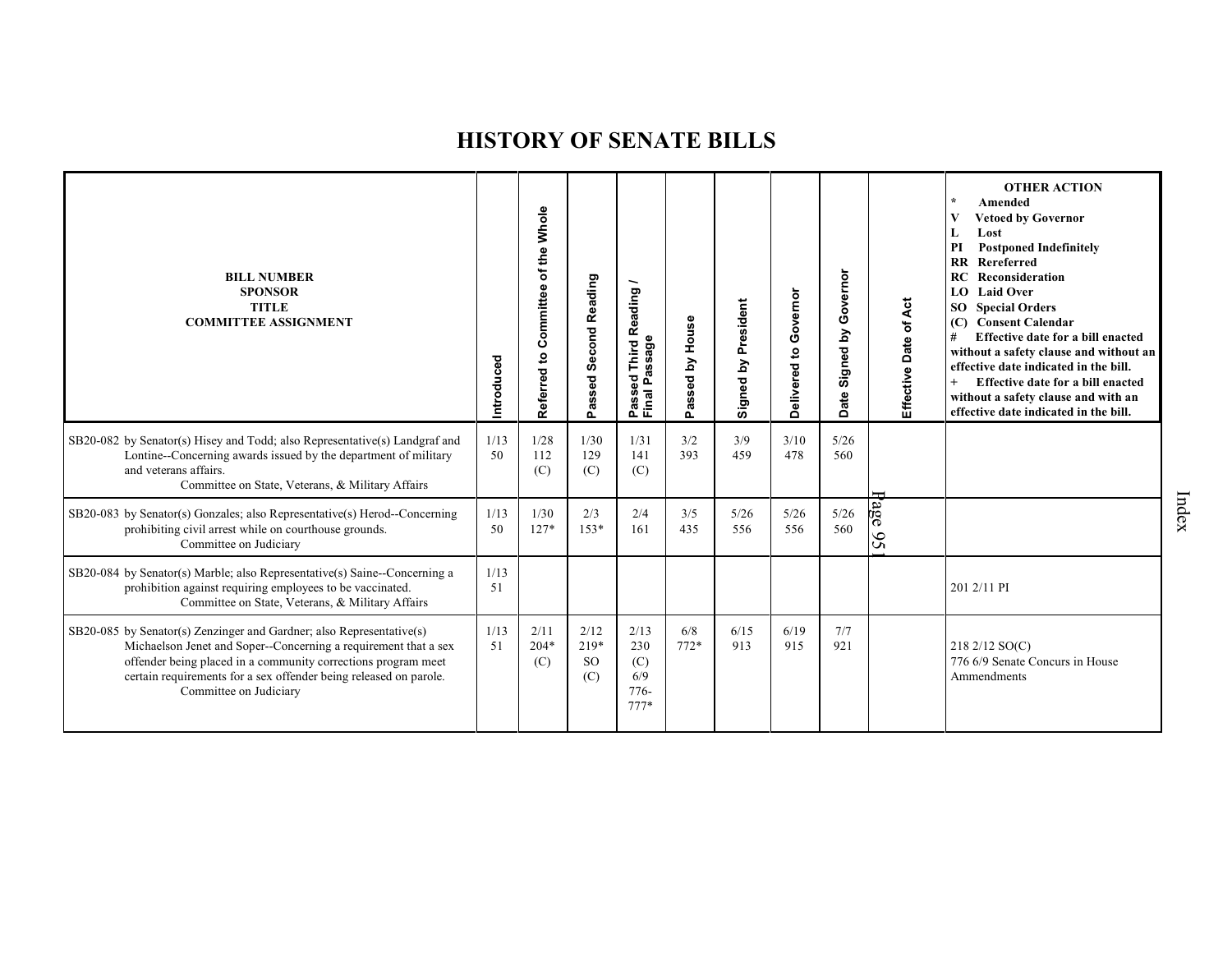| <b>BILL NUMBER</b><br><b>SPONSOR</b><br><b>TITLE</b><br><b>COMMITTEE ASSIGNMENT</b>                                                                                                                                                                                                                     | Introduced | Referred to Committee of the Whole | <b>Second Reading</b><br>Passed        | eading<br>œ<br>age<br>Third<br>g<br>௳<br>Pass<br>Final | Passed by House | Signed by President | Governor<br>Delivered to | Governor<br>Signed by<br><b>Date</b> | Effective Date of Act | <b>OTHER ACTION</b><br>$\star$<br>Amended<br>V<br><b>Vetoed by Governor</b><br>L<br>Lost<br>PI<br><b>Postponed Indefinitely</b><br>Rereferred<br>$\mathbf{R}$<br>RC<br>Reconsideration<br>LO Laid Over<br>SO <sub>1</sub><br><b>Special Orders</b><br><b>Consent Calendar</b><br>(C)<br>Effective date for a bill enacted<br>#<br>without a safety clause and without an<br>effective date indicated in the bill.<br>Effective date for a bill enacted<br>$^{+}$<br>without a safety clause and with an<br>effective date indicated in the bill. |
|---------------------------------------------------------------------------------------------------------------------------------------------------------------------------------------------------------------------------------------------------------------------------------------------------------|------------|------------------------------------|----------------------------------------|--------------------------------------------------------|-----------------|---------------------|--------------------------|--------------------------------------|-----------------------|--------------------------------------------------------------------------------------------------------------------------------------------------------------------------------------------------------------------------------------------------------------------------------------------------------------------------------------------------------------------------------------------------------------------------------------------------------------------------------------------------------------------------------------------------|
| SB20-082 by Senator(s) Hisey and Todd; also Representative(s) Landgraf and<br>Lontine--Concerning awards issued by the department of military<br>and veterans affairs.<br>Committee on State, Veterans, & Military Affairs                                                                              | 1/13<br>50 | 1/28<br>112<br>(C)                 | 1/30<br>129<br>(C)                     | 1/31<br>141<br>(C)                                     | 3/2<br>393      | 3/9<br>459          | 3/10<br>478              | $5/26$<br>560                        |                       |                                                                                                                                                                                                                                                                                                                                                                                                                                                                                                                                                  |
| SB20-083 by Senator(s) Gonzales; also Representative(s) Herod--Concerning<br>prohibiting civil arrest while on courthouse grounds.<br>Committee on Judiciary                                                                                                                                            | 1/13<br>50 | 1/30<br>$127*$                     | 2/3<br>$153*$                          | 2/4<br>161                                             | 3/5<br>435      | 5/26<br>556         | 5/26<br>556              | 5/26<br>560                          | age<br>95             |                                                                                                                                                                                                                                                                                                                                                                                                                                                                                                                                                  |
| SB20-084 by Senator(s) Marble; also Representative(s) Saine--Concerning a<br>prohibition against requiring employees to be vaccinated.<br>Committee on State, Veterans, & Military Affairs                                                                                                              | 1/13<br>51 |                                    |                                        |                                                        |                 |                     |                          |                                      |                       | 201 2/11 PI                                                                                                                                                                                                                                                                                                                                                                                                                                                                                                                                      |
| SB20-085 by Senator(s) Zenzinger and Gardner; also Representative(s)<br>Michaelson Jenet and Soper--Concerning a requirement that a sex<br>offender being placed in a community corrections program meet<br>certain requirements for a sex offender being released on parole.<br>Committee on Judiciary | 1/13<br>51 | 2/11<br>$204*$<br>(C)              | 2/12<br>$219*$<br><sub>SO</sub><br>(C) | 2/13<br>230<br>(C)<br>6/9<br>776-<br>$777*$            | 6/8<br>$772*$   | 6/15<br>913         | 6/19<br>915              | 7/7<br>921                           |                       | 218 2/12 SO(C)<br>776 6/9 Senate Concurs in House<br>Ammendments                                                                                                                                                                                                                                                                                                                                                                                                                                                                                 |

Index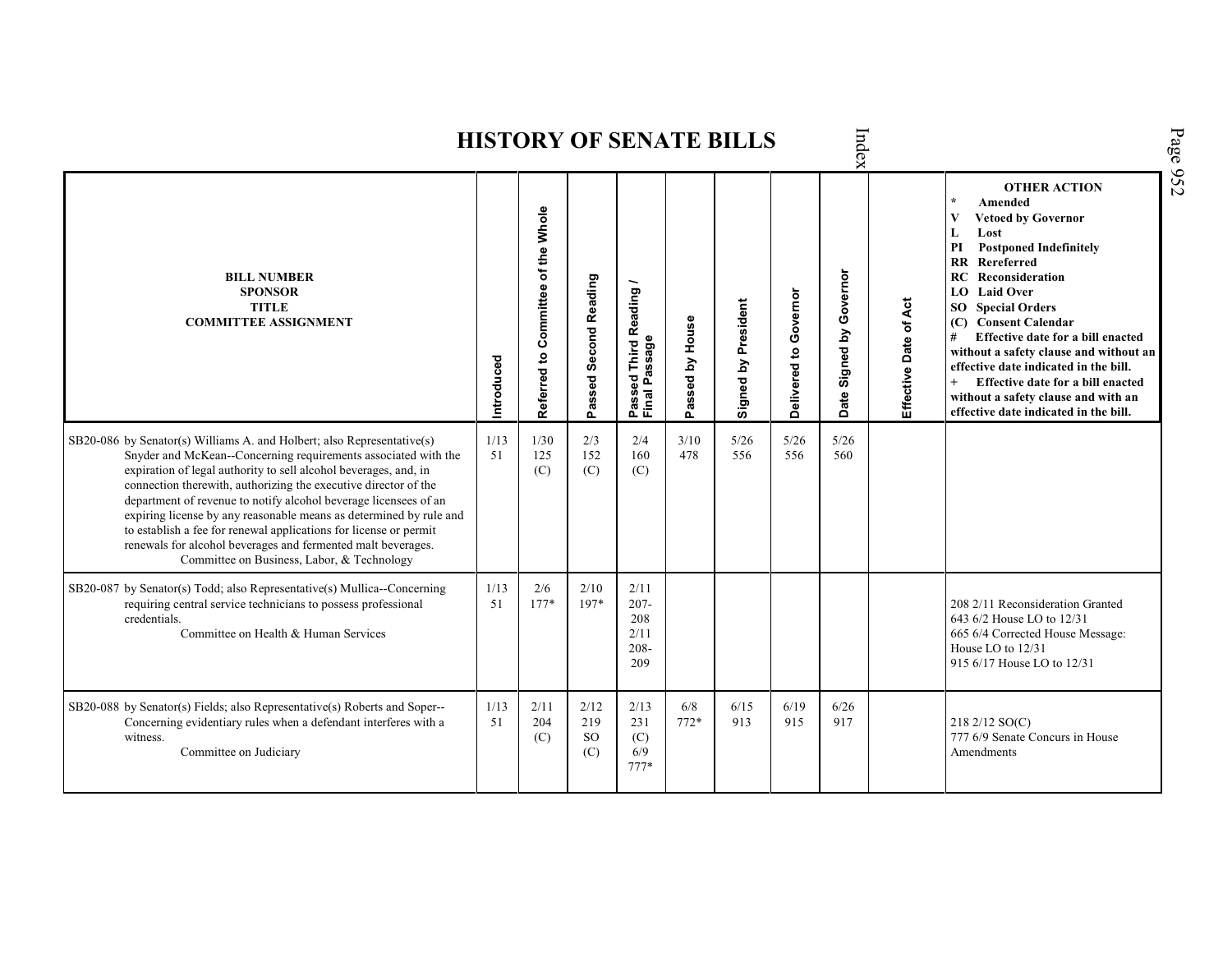|                                                                                                                                                                                                                                                                                                                                                                                                                                                                                                                                                                                                              |            |                                    |                                     |                                                                    |                 | <b>HISTORY OF SENATE BILLS</b> |                       | Index                         |                       |                                                                                                                                                                                                                                                                                                                                                                                                                                                                                                                             |
|--------------------------------------------------------------------------------------------------------------------------------------------------------------------------------------------------------------------------------------------------------------------------------------------------------------------------------------------------------------------------------------------------------------------------------------------------------------------------------------------------------------------------------------------------------------------------------------------------------------|------------|------------------------------------|-------------------------------------|--------------------------------------------------------------------|-----------------|--------------------------------|-----------------------|-------------------------------|-----------------------|-----------------------------------------------------------------------------------------------------------------------------------------------------------------------------------------------------------------------------------------------------------------------------------------------------------------------------------------------------------------------------------------------------------------------------------------------------------------------------------------------------------------------------|
| <b>BILL NUMBER</b><br><b>SPONSOR</b><br><b>TITLE</b><br><b>COMMITTEE ASSIGNMENT</b>                                                                                                                                                                                                                                                                                                                                                                                                                                                                                                                          | Introduced | Referred to Committee of the Whole | Second Reading<br>Passed            | Reading<br>assage<br><b>Third</b><br>sed<br>Ä,<br>Passe<br>Final I | Passed by House | Signed by President            | Delivered to Governor | Governor<br>Signed by<br>Date | Effective Date of Act | <b>OTHER ACTION</b><br>$\star$<br>Amended<br>$\mathbf{V}$<br><b>Vetoed by Governor</b><br>L<br>Lost<br><b>Postponed Indefinitely</b><br>PI<br>RR Rereferred<br>RC<br>Reconsideration<br>LO Laid Over<br><b>SO</b> Special Orders<br><b>Consent Calendar</b><br>(C)<br>#<br>Effective date for a bill enacted<br>without a safety clause and without an<br>effective date indicated in the bill.<br>$+$<br>Effective date for a bill enacted<br>without a safety clause and with an<br>effective date indicated in the bill. |
| SB20-086 by Senator(s) Williams A. and Holbert; also Representative(s)<br>Snyder and McKean--Concerning requirements associated with the<br>expiration of legal authority to sell alcohol beverages, and, in<br>connection therewith, authorizing the executive director of the<br>department of revenue to notify alcohol beverage licensees of an<br>expiring license by any reasonable means as determined by rule and<br>to establish a fee for renewal applications for license or permit<br>renewals for alcohol beverages and fermented malt beverages.<br>Committee on Business, Labor, & Technology | 1/13<br>51 | 1/30<br>125<br>(C)                 | 2/3<br>152<br>(C)                   | 2/4<br>160<br>(C)                                                  | 3/10<br>478     | 5/26<br>556                    | 5/26<br>556           | 5/26<br>560                   |                       |                                                                                                                                                                                                                                                                                                                                                                                                                                                                                                                             |
| SB20-087 by Senator(s) Todd; also Representative(s) Mullica--Concerning<br>requiring central service technicians to possess professional<br>credentials.<br>Committee on Health & Human Services                                                                                                                                                                                                                                                                                                                                                                                                             | 1/13<br>51 | 2/6<br>$177*$                      | 2/10<br>197*                        | 2/11<br>$207 -$<br>208<br>2/11<br>$208 -$<br>209                   |                 |                                |                       |                               |                       | 208 2/11 Reconsideration Granted<br>643 6/2 House LO to 12/31<br>665 6/4 Corrected House Message:<br>House LO to 12/31<br>915 6/17 House LO to 12/31                                                                                                                                                                                                                                                                                                                                                                        |
| SB20-088 by Senator(s) Fields; also Representative(s) Roberts and Soper--<br>Concerning evidentiary rules when a defendant interferes with a<br>witness.<br>Committee on Judiciary                                                                                                                                                                                                                                                                                                                                                                                                                           | 1/13<br>51 | 2/11<br>204<br>(C)                 | 2/12<br>219<br><sub>SO</sub><br>(C) | 2/13<br>231<br>(C)<br>6/9<br>$777*$                                | 6/8<br>$772*$   | 6/15<br>913                    | 6/19<br>915           | 6/26<br>917                   |                       | 218 2/12 SO(C)<br>777 6/9 Senate Concurs in House<br>Amendments                                                                                                                                                                                                                                                                                                                                                                                                                                                             |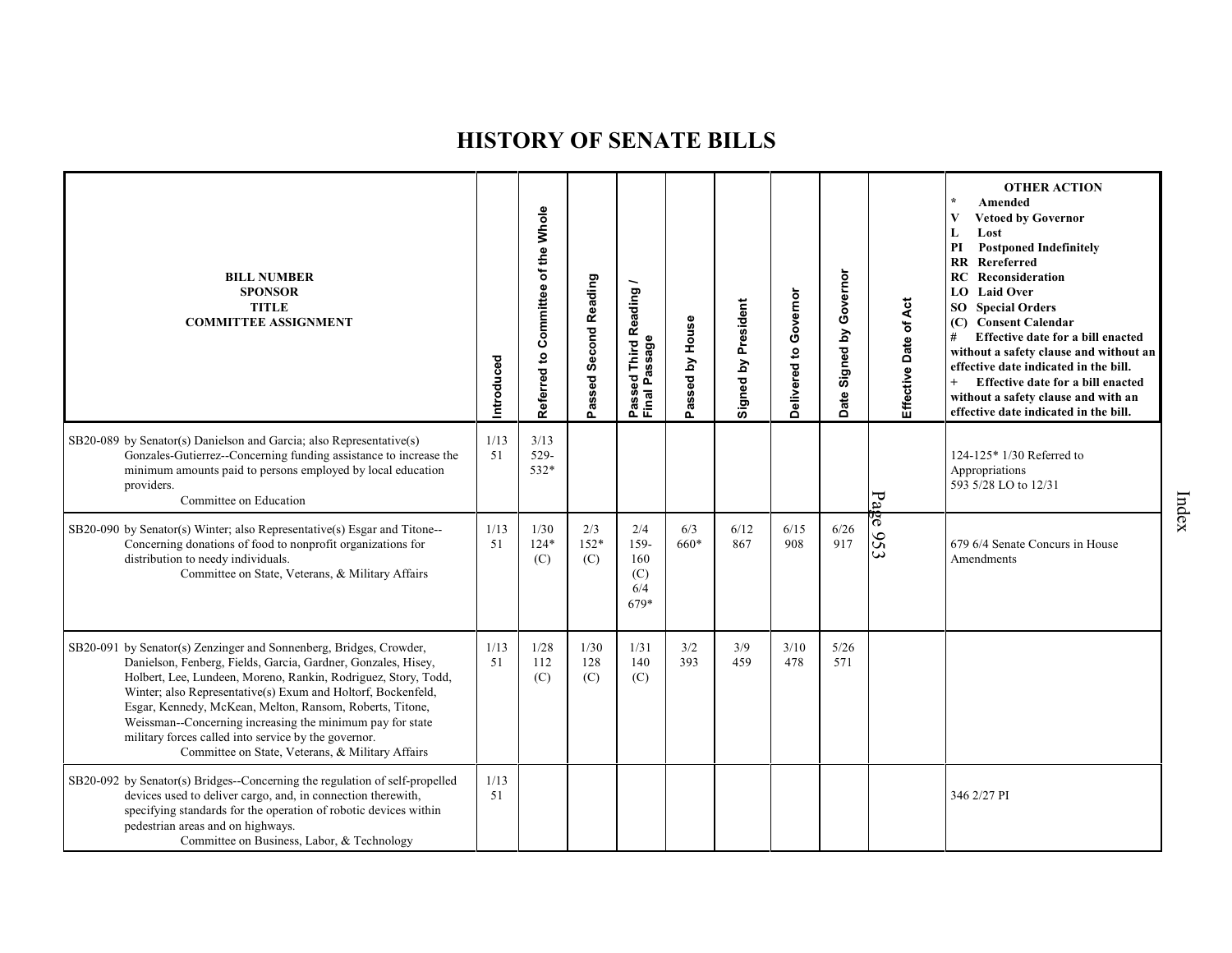| <b>BILL NUMBER</b><br><b>SPONSOR</b><br><b>TITLE</b><br><b>COMMITTEE ASSIGNMENT</b>                                                                                                                                                                                                                                                                                                                                                                                                                        | Introduced | Committee of the Whole<br>Referred to | Passed Second Reading | Reading<br>Passed Third <b>ห</b><br>Final Passage | assed by House<br>௳ | Signed by President | Delivered to Governor | Governor<br>Date Signed by | Effective Date of Act | <b>OTHER ACTION</b><br>Amended<br><b>Vetoed by Governor</b><br>Lost<br>L<br>$\mathbf{PI}$<br><b>Postponed Indefinitely</b><br>Rereferred<br><b>RR</b><br>Reconsideration<br>RC<br><b>Laid Over</b><br>LO<br><b>SO</b> Special Orders<br>(C) Consent Calendar<br>Effective date for a bill enacted<br>#<br>without a safety clause and without an<br>effective date indicated in the bill.<br>Effective date for a bill enacted<br>$+$<br>without a safety clause and with an<br>effective date indicated in the bill. |
|------------------------------------------------------------------------------------------------------------------------------------------------------------------------------------------------------------------------------------------------------------------------------------------------------------------------------------------------------------------------------------------------------------------------------------------------------------------------------------------------------------|------------|---------------------------------------|-----------------------|---------------------------------------------------|---------------------|---------------------|-----------------------|----------------------------|-----------------------|-----------------------------------------------------------------------------------------------------------------------------------------------------------------------------------------------------------------------------------------------------------------------------------------------------------------------------------------------------------------------------------------------------------------------------------------------------------------------------------------------------------------------|
| SB20-089 by Senator(s) Danielson and Garcia; also Representative(s)<br>Gonzales-Gutierrez--Concerning funding assistance to increase the<br>minimum amounts paid to persons employed by local education<br>providers.<br>Committee on Education                                                                                                                                                                                                                                                            | 1/13<br>51 | 3/13<br>529-<br>532*                  |                       |                                                   |                     |                     |                       |                            | Page                  | 124-125* 1/30 Referred to<br>Appropriations<br>593 5/28 LO to 12/31                                                                                                                                                                                                                                                                                                                                                                                                                                                   |
| SB20-090 by Senator(s) Winter; also Representative(s) Esgar and Titone--<br>Concerning donations of food to nonprofit organizations for<br>distribution to needy individuals.<br>Committee on State, Veterans, & Military Affairs                                                                                                                                                                                                                                                                          | 1/13<br>51 | 1/30<br>$124*$<br>(C)                 | 2/3<br>152*<br>(C)    | 2/4<br>159-<br>160<br>(C)<br>6/4<br>679*          | 6/3<br>660*         | 6/12<br>867         | 6/15<br>908           | 6/26<br>917                | 953                   | 679 6/4 Senate Concurs in House<br>Amendments                                                                                                                                                                                                                                                                                                                                                                                                                                                                         |
| SB20-091 by Senator(s) Zenzinger and Sonnenberg, Bridges, Crowder,<br>Danielson, Fenberg, Fields, Garcia, Gardner, Gonzales, Hisey,<br>Holbert, Lee, Lundeen, Moreno, Rankin, Rodriguez, Story, Todd,<br>Winter; also Representative(s) Exum and Holtorf, Bockenfeld,<br>Esgar, Kennedy, McKean, Melton, Ransom, Roberts, Titone,<br>Weissman--Concerning increasing the minimum pay for state<br>military forces called into service by the governor.<br>Committee on State, Veterans, & Military Affairs | 1/13<br>51 | 1/28<br>112<br>(C)                    | 1/30<br>128<br>(C)    | 1/31<br>140<br>(C)                                | 3/2<br>393          | 3/9<br>459          | 3/10<br>478           | 5/26<br>571                |                       |                                                                                                                                                                                                                                                                                                                                                                                                                                                                                                                       |
| SB20-092 by Senator(s) Bridges--Concerning the regulation of self-propelled<br>devices used to deliver cargo, and, in connection therewith,<br>specifying standards for the operation of robotic devices within<br>pedestrian areas and on highways.<br>Committee on Business, Labor, & Technology                                                                                                                                                                                                         | 1/13<br>51 |                                       |                       |                                                   |                     |                     |                       |                            |                       | 346 2/27 PI                                                                                                                                                                                                                                                                                                                                                                                                                                                                                                           |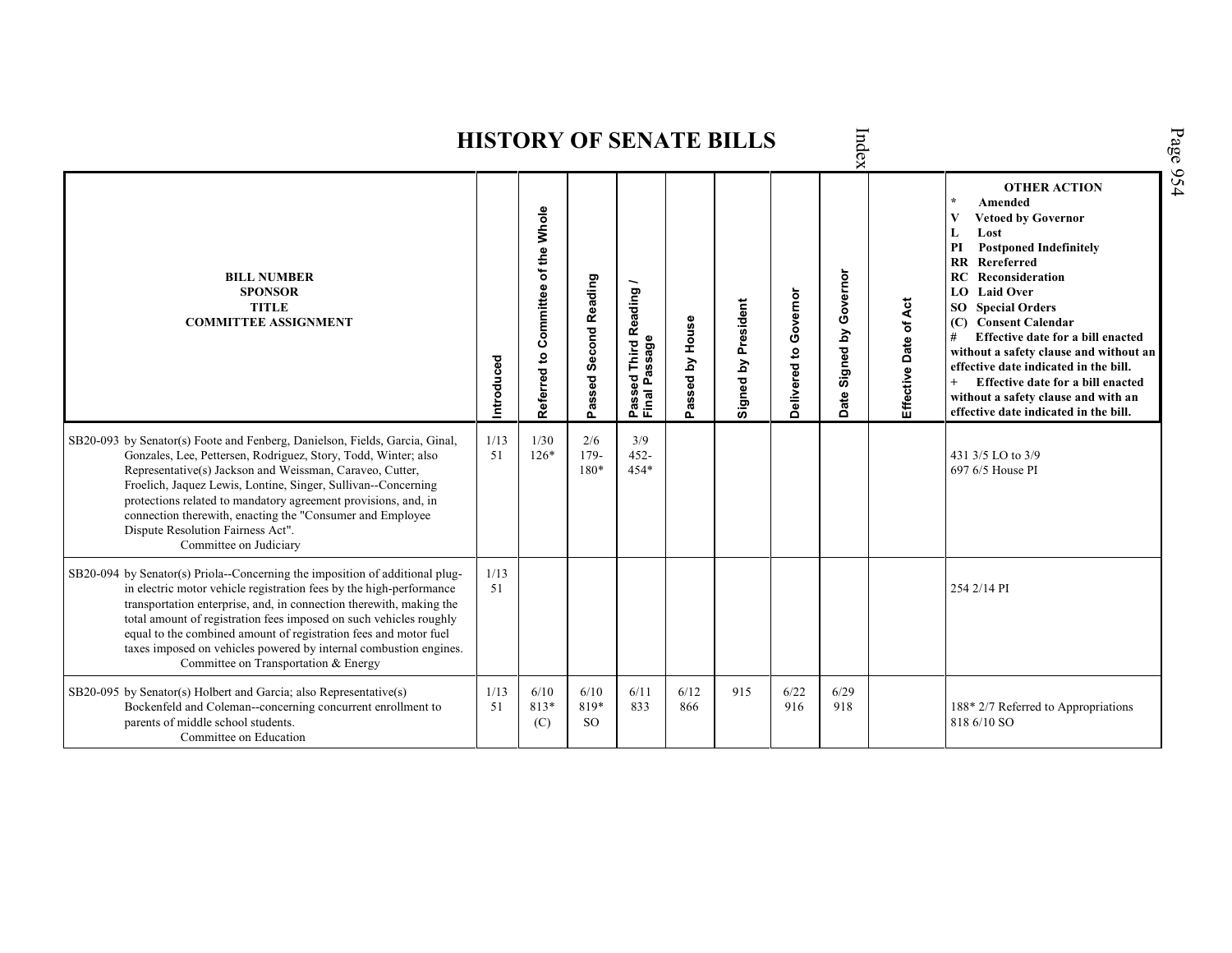| Index<br><b>HISTORY OF SENATE BILLS</b>                                                                                                                                                                                                                                                                                                                                                                                                                                           |            |                                    |                                      |                                                                                        |                         |                     |                       |                               |                       |                                                                                                                                                                                                                                                                                                                                                                                                                                                                                                               |  |  |  |  |
|-----------------------------------------------------------------------------------------------------------------------------------------------------------------------------------------------------------------------------------------------------------------------------------------------------------------------------------------------------------------------------------------------------------------------------------------------------------------------------------|------------|------------------------------------|--------------------------------------|----------------------------------------------------------------------------------------|-------------------------|---------------------|-----------------------|-------------------------------|-----------------------|---------------------------------------------------------------------------------------------------------------------------------------------------------------------------------------------------------------------------------------------------------------------------------------------------------------------------------------------------------------------------------------------------------------------------------------------------------------------------------------------------------------|--|--|--|--|
| <b>BILL NUMBER</b><br><b>SPONSOR</b><br><b>TITLE</b><br><b>COMMITTEE ASSIGNMENT</b>                                                                                                                                                                                                                                                                                                                                                                                               | Introduced | Referred to Committee of the Whole | <b>Second Reading</b><br>assed<br>o. | <b>Third Reading</b><br>assage<br>$\overline{\mathbf{c}}$<br>۵<br>ω<br>Passe<br>Finall | by House<br>assed<br>o. | Signed by President | Delivered to Governor | Governor<br>Signed by<br>Date | Effective Date of Act | <b>OTHER ACTION</b><br>$\star$<br>Amended<br><b>Vetoed by Governor</b><br>V<br>Lost<br>L<br><b>Postponed Indefinitely</b><br>PI<br>RR Rereferred<br><b>RC</b> Reconsideration<br>LO Laid Over<br><b>SO</b> Special Orders<br><b>Consent Calendar</b><br>(C)<br>#<br>Effective date for a bill enacted<br>without a safety clause and without an<br>effective date indicated in the bill.<br>Effective date for a bill enacted<br>without a safety clause and with an<br>effective date indicated in the bill. |  |  |  |  |
| SB20-093 by Senator(s) Foote and Fenberg, Danielson, Fields, Garcia, Ginal,<br>Gonzales, Lee, Pettersen, Rodriguez, Story, Todd, Winter; also<br>Representative(s) Jackson and Weissman, Caraveo, Cutter,<br>Froelich, Jaquez Lewis, Lontine, Singer, Sullivan--Concerning<br>protections related to mandatory agreement provisions, and, in<br>connection therewith, enacting the "Consumer and Employee<br>Dispute Resolution Fairness Act".<br>Committee on Judiciary          | 1/13<br>51 | 1/30<br>$126*$                     | 2/6<br>$179-$<br>$180*$              | 3/9<br>$452 -$<br>$454*$                                                               |                         |                     |                       |                               |                       | 431 3/5 LO to 3/9<br>697 6/5 House PI                                                                                                                                                                                                                                                                                                                                                                                                                                                                         |  |  |  |  |
| SB20-094 by Senator(s) Priola--Concerning the imposition of additional plug-<br>in electric motor vehicle registration fees by the high-performance<br>transportation enterprise, and, in connection therewith, making the<br>total amount of registration fees imposed on such vehicles roughly<br>equal to the combined amount of registration fees and motor fuel<br>taxes imposed on vehicles powered by internal combustion engines.<br>Committee on Transportation & Energy | 1/13<br>51 |                                    |                                      |                                                                                        |                         |                     |                       |                               |                       | 254 2/14 PI                                                                                                                                                                                                                                                                                                                                                                                                                                                                                                   |  |  |  |  |
| SB20-095 by Senator(s) Holbert and Garcia; also Representative(s)<br>Bockenfeld and Coleman--concerning concurrent enrollment to<br>parents of middle school students.<br>Committee on Education                                                                                                                                                                                                                                                                                  | 1/13<br>51 | 6/10<br>813*<br>(C)                | 6/10<br>819*<br><sub>SO</sub>        | 6/11<br>833                                                                            | 6/12<br>866             | 915                 | 6/22<br>916           | 6/29<br>918                   |                       | 188* 2/7 Referred to Appropriations<br>818 6/10 SO                                                                                                                                                                                                                                                                                                                                                                                                                                                            |  |  |  |  |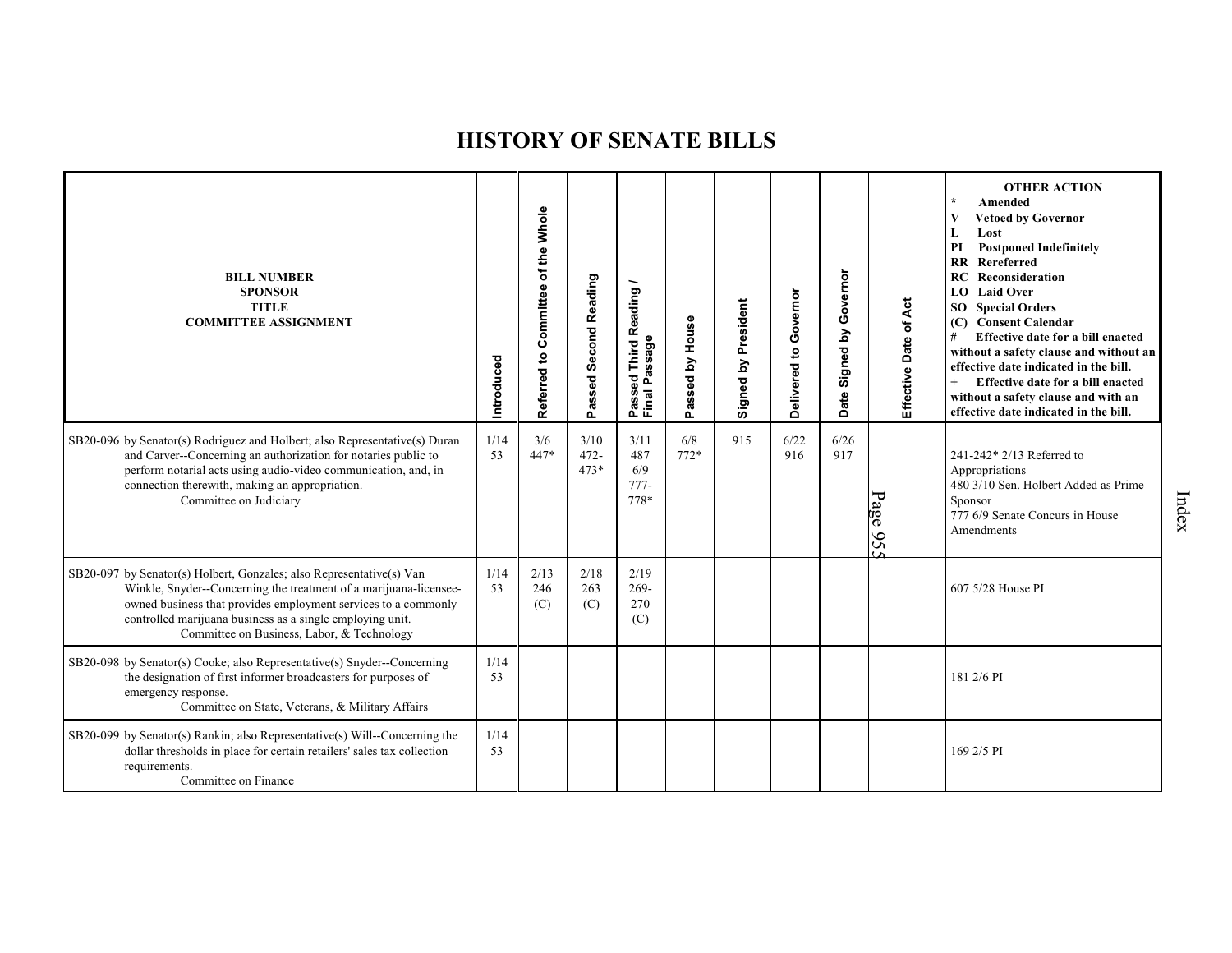| <b>BILL NUMBER</b><br><b>SPONSOR</b><br><b>TITLE</b><br><b>COMMITTEE ASSIGNMENT</b>                                                                                                                                                                                                                                    | Introduced | of the Whole<br>Committee<br>$\mathbf{e}$<br>Referred | Passed Second Reading     | –<br>Reading<br>Passed Third R<br>Final Passage | House<br>issed by<br>ة<br>م | Signed by President | Governor<br>Delivered to | Governor<br>Signed by<br>ate<br>$\Omega$ | Effective Date of Act | <b>OTHER ACTION</b><br>Amended<br><b>Vetoed by Governor</b><br>Lost<br>PI<br><b>Postponed Indefinitely</b><br><b>RR</b> Rereferred<br>Reconsideration<br>RC<br>LO Laid Over<br><b>SO</b> Special Orders<br><b>Consent Calendar</b><br>(C)<br>Effective date for a bill enacted<br>#<br>without a safety clause and without an<br>effective date indicated in the bill.<br>$+$<br>Effective date for a bill enacted<br>without a safety clause and with an<br>effective date indicated in the bill. |
|------------------------------------------------------------------------------------------------------------------------------------------------------------------------------------------------------------------------------------------------------------------------------------------------------------------------|------------|-------------------------------------------------------|---------------------------|-------------------------------------------------|-----------------------------|---------------------|--------------------------|------------------------------------------|-----------------------|----------------------------------------------------------------------------------------------------------------------------------------------------------------------------------------------------------------------------------------------------------------------------------------------------------------------------------------------------------------------------------------------------------------------------------------------------------------------------------------------------|
| SB20-096 by Senator(s) Rodriguez and Holbert; also Representative(s) Duran<br>and Carver--Concerning an authorization for notaries public to<br>perform notarial acts using audio-video communication, and, in<br>connection therewith, making an appropriation.<br>Committee on Judiciary                             | 1/14<br>53 | 3/6<br>447*                                           | 3/10<br>$472 -$<br>$473*$ | 3/11<br>487<br>6/9<br>$777-$<br>778*            | 6/8<br>$772*$               | 915                 | 6/22<br>916              | 6/26<br>917                              | Page<br>95            | 241-242* 2/13 Referred to<br>Appropriations<br>480 3/10 Sen. Holbert Added as Prime<br>Sponsor<br>777 6/9 Senate Concurs in House<br>Amendments                                                                                                                                                                                                                                                                                                                                                    |
| SB20-097 by Senator(s) Holbert, Gonzales; also Representative(s) Van<br>Winkle, Snyder--Concerning the treatment of a marijuana-licensee-<br>owned business that provides employment services to a commonly<br>controlled marijuana business as a single employing unit.<br>Committee on Business, Labor, & Technology | 1/14<br>53 | 2/13<br>246<br>(C)                                    | 2/18<br>263<br>(C)        | 2/19<br>269-<br>270<br>(C)                      |                             |                     |                          |                                          |                       | 607 5/28 House PI                                                                                                                                                                                                                                                                                                                                                                                                                                                                                  |
| SB20-098 by Senator(s) Cooke; also Representative(s) Snyder--Concerning<br>the designation of first informer broadcasters for purposes of<br>emergency response.<br>Committee on State, Veterans, & Military Affairs                                                                                                   | 1/14<br>53 |                                                       |                           |                                                 |                             |                     |                          |                                          |                       | 181 2/6 PI                                                                                                                                                                                                                                                                                                                                                                                                                                                                                         |
| SB20-099 by Senator(s) Rankin; also Representative(s) Will--Concerning the<br>dollar thresholds in place for certain retailers' sales tax collection<br>requirements.<br>Committee on Finance                                                                                                                          | 1/14<br>53 |                                                       |                           |                                                 |                             |                     |                          |                                          |                       | 169 2/5 PI                                                                                                                                                                                                                                                                                                                                                                                                                                                                                         |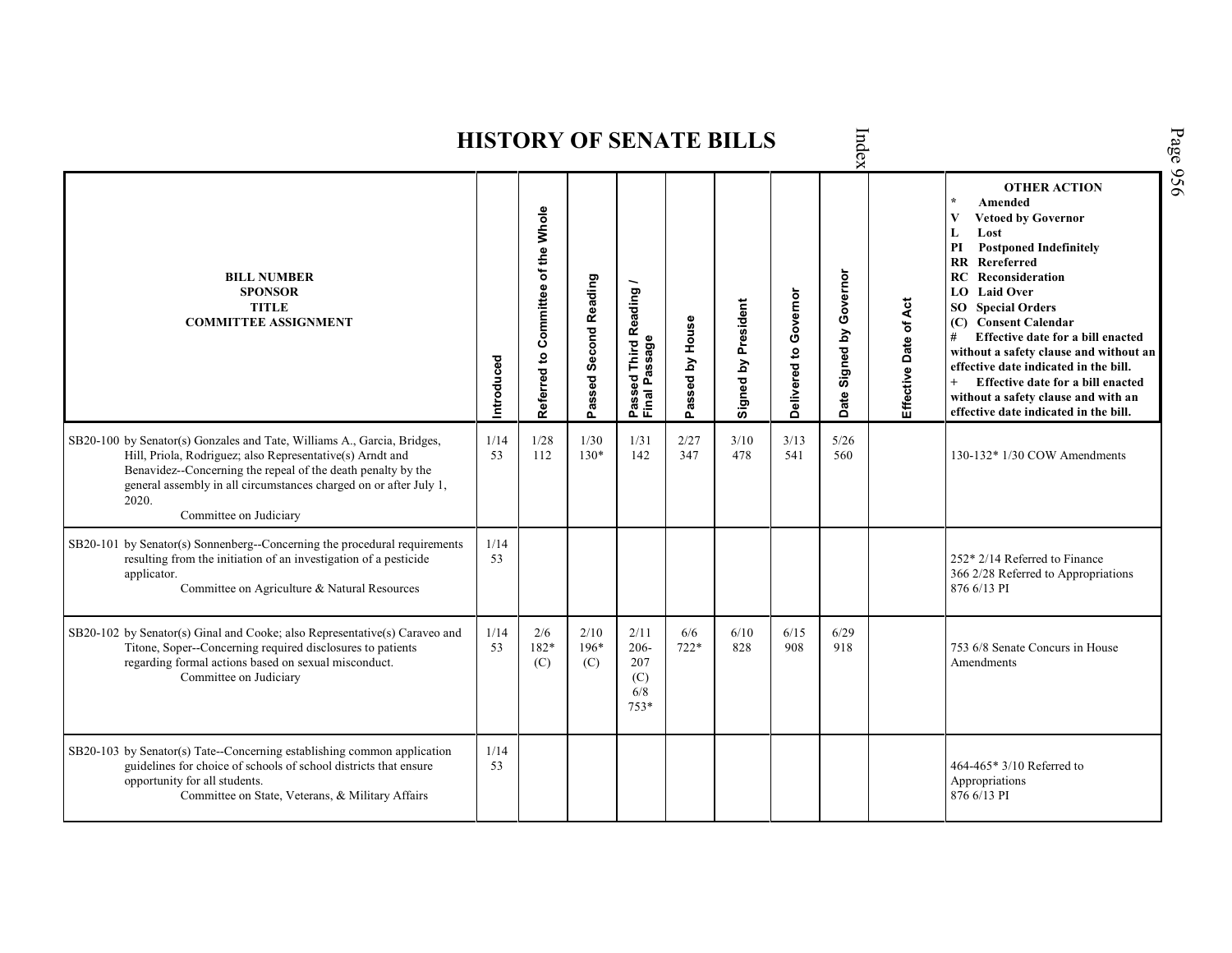|                                                                                                                                                                                                                                                                                                              |            |                                    |                       |                                                      |                 | HISTORY OF SENATE BILLS |                       | ndex                                 |                       |                                                                                                                                                                                                                                                                                                                                                                                                                                                                                                          |
|--------------------------------------------------------------------------------------------------------------------------------------------------------------------------------------------------------------------------------------------------------------------------------------------------------------|------------|------------------------------------|-----------------------|------------------------------------------------------|-----------------|-------------------------|-----------------------|--------------------------------------|-----------------------|----------------------------------------------------------------------------------------------------------------------------------------------------------------------------------------------------------------------------------------------------------------------------------------------------------------------------------------------------------------------------------------------------------------------------------------------------------------------------------------------------------|
| <b>BILL NUMBER</b><br><b>SPONSOR</b><br><b>TITLE</b><br><b>COMMITTEE ASSIGNMENT</b>                                                                                                                                                                                                                          | ntroduced  | Referred to Committee of the Whole | Passed Second Reading | <b>Third Reading</b><br>Passed Innu<br>Final Passage | Passed by House | Signed by President     | Delivered to Governor | Governor<br>Signed by<br><b>Date</b> | Effective Date of Act | <b>OTHER ACTION</b><br>Amended<br>$\star$<br>V<br><b>Vetoed by Governor</b><br>Lost<br>L<br><b>Postponed Indefinitely</b><br>PI<br>RR Rereferred<br><b>RC</b> Reconsideration<br>LO Laid Over<br><b>SO</b> Special Orders<br>(C) Consent Calendar<br>Effective date for a bill enacted<br>without a safety clause and without an<br>effective date indicated in the bill.<br>$^{+}$<br>Effective date for a bill enacted<br>without a safety clause and with an<br>effective date indicated in the bill. |
| SB20-100 by Senator(s) Gonzales and Tate, Williams A., Garcia, Bridges,<br>Hill, Priola, Rodriguez; also Representative(s) Arndt and<br>Benavidez--Concerning the repeal of the death penalty by the<br>general assembly in all circumstances charged on or after July 1,<br>2020.<br>Committee on Judiciary | 1/14<br>53 | 1/28<br>112                        | 1/30<br>$130*$        | 1/31<br>142                                          | 2/27<br>347     | 3/10<br>478             | 3/13<br>541           | 5/26<br>560                          |                       | 130-132* 1/30 COW Amendments                                                                                                                                                                                                                                                                                                                                                                                                                                                                             |
| SB20-101 by Senator(s) Sonnenberg--Concerning the procedural requirements<br>resulting from the initiation of an investigation of a pesticide<br>applicator.<br>Committee on Agriculture & Natural Resources                                                                                                 | 1/14<br>53 |                                    |                       |                                                      |                 |                         |                       |                                      |                       | 252* 2/14 Referred to Finance<br>366 2/28 Referred to Appropriations<br>876 6/13 PI                                                                                                                                                                                                                                                                                                                                                                                                                      |
| SB20-102 by Senator(s) Ginal and Cooke; also Representative(s) Caraveo and<br>Titone, Soper--Concerning required disclosures to patients<br>regarding formal actions based on sexual misconduct.<br>Committee on Judiciary                                                                                   | 1/14<br>53 | 2/6<br>182*<br>(C)                 | 2/10<br>$196*$<br>(C) | 2/11<br>$206 -$<br>207<br>(C)<br>6/8<br>753*         | 6/6<br>$722*$   | 6/10<br>828             | 6/15<br>908           | 6/29<br>918                          |                       | 753 6/8 Senate Concurs in House<br>Amendments                                                                                                                                                                                                                                                                                                                                                                                                                                                            |
| SB20-103 by Senator(s) Tate--Concerning establishing common application<br>guidelines for choice of schools of school districts that ensure<br>opportunity for all students.<br>Committee on State, Veterans, & Military Affairs                                                                             | 1/14<br>53 |                                    |                       |                                                      |                 |                         |                       |                                      |                       | 464-465* 3/10 Referred to<br>Appropriations<br>876 6/13 PI                                                                                                                                                                                                                                                                                                                                                                                                                                               |

 $\mathbf{H}$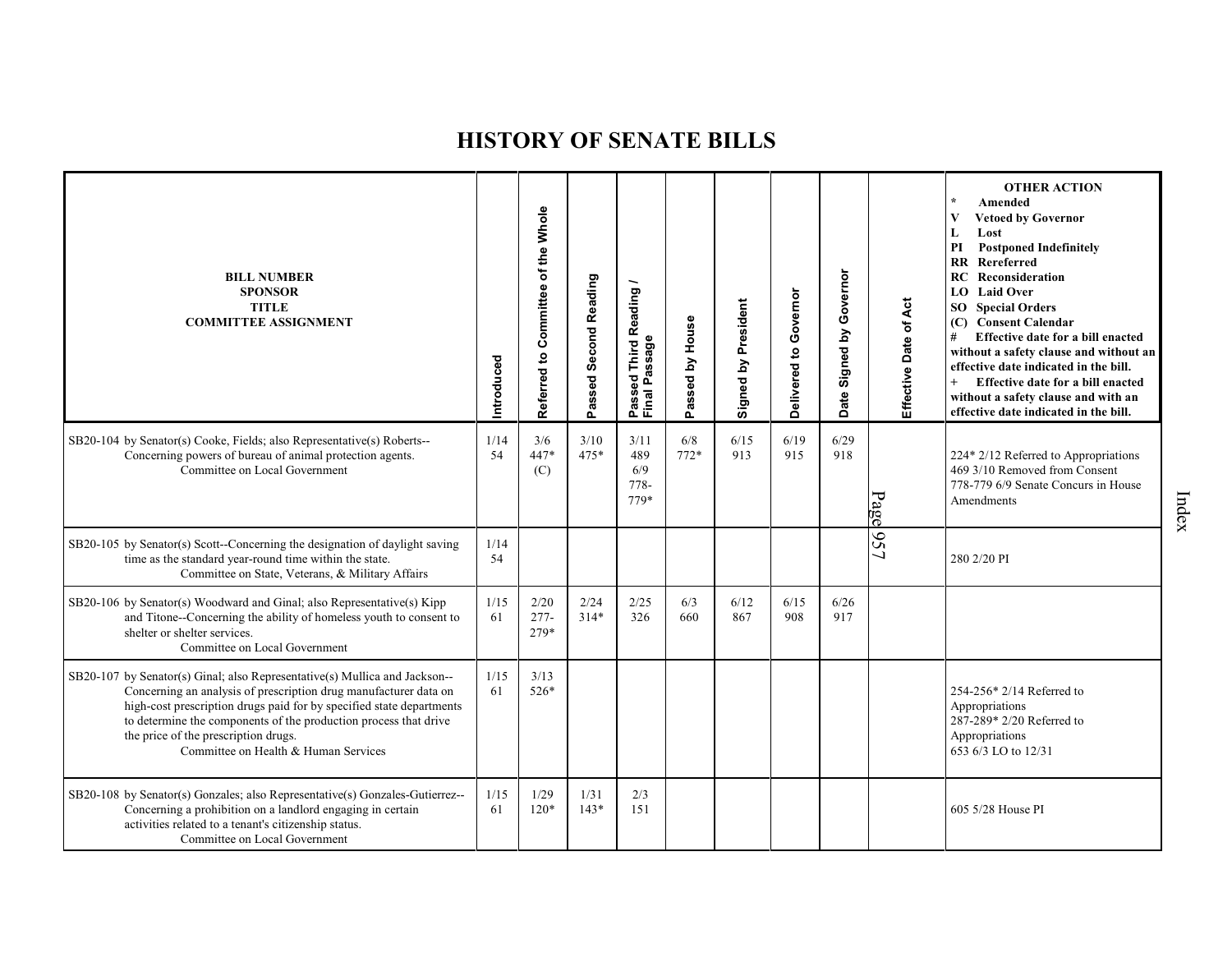| <b>BILL NUMBER</b><br><b>SPONSOR</b><br>TITLE<br><b>COMMITTEE ASSIGNMENT</b>                                                                                                                                                                                                                                                                                               | Introduced | Committee of the Whole<br>Referred to | Passed Second Reading | Third Reading /                    | Passed by House | Signed by President | Delivered to Governor | Governor<br>Signed by<br>Date: | Effective Date of Act | <b>OTHER ACTION</b><br>Amended<br>V<br><b>Vetoed by Governor</b><br>Lost<br>L<br>PI<br><b>Postponed Indefinitely</b><br><b>RR</b> Rereferred<br>Reconsideration<br>RC<br>LO Laid Over<br><b>SO</b> Special Orders<br>(C) Consent Calendar<br>#<br>Effective date for a bill enacted<br>without a safety clause and without an<br>effective date indicated in the bill.<br>$+$<br>Effective date for a bill enacted<br>without a safety clause and with an<br>effective date indicated in the bill. |
|----------------------------------------------------------------------------------------------------------------------------------------------------------------------------------------------------------------------------------------------------------------------------------------------------------------------------------------------------------------------------|------------|---------------------------------------|-----------------------|------------------------------------|-----------------|---------------------|-----------------------|--------------------------------|-----------------------|----------------------------------------------------------------------------------------------------------------------------------------------------------------------------------------------------------------------------------------------------------------------------------------------------------------------------------------------------------------------------------------------------------------------------------------------------------------------------------------------------|
| SB20-104 by Senator(s) Cooke, Fields; also Representative(s) Roberts--<br>Concerning powers of bureau of animal protection agents.<br>Committee on Local Government                                                                                                                                                                                                        | 1/14<br>54 | 3/6<br>447*<br>(C)                    | 3/10<br>$475*$        | 3/11<br>489<br>6/9<br>778-<br>779* | 6/8<br>$772*$   | 6/15<br>913         | 6/19<br>915           | 6/29<br>918                    | Page                  | 224* 2/12 Referred to Appropriations<br>469 3/10 Removed from Consent<br>778-779 6/9 Senate Concurs in House<br>Amendments                                                                                                                                                                                                                                                                                                                                                                         |
| SB20-105 by Senator(s) Scott--Concerning the designation of daylight saving<br>time as the standard year-round time within the state.<br>Committee on State, Veterans, & Military Affairs                                                                                                                                                                                  | 1/14<br>54 |                                       |                       |                                    |                 |                     |                       |                                | 957                   | 280 2/20 PI                                                                                                                                                                                                                                                                                                                                                                                                                                                                                        |
| SB20-106 by Senator(s) Woodward and Ginal; also Representative(s) Kipp<br>and Titone--Concerning the ability of homeless youth to consent to<br>shelter or shelter services.<br>Committee on Local Government                                                                                                                                                              | 1/15<br>61 | 2/20<br>$277 -$<br>279*               | 2/24<br>$314*$        | 2/25<br>326                        | 6/3<br>660      | 6/12<br>867         | 6/15<br>908           | 6/26<br>917                    |                       |                                                                                                                                                                                                                                                                                                                                                                                                                                                                                                    |
| SB20-107 by Senator(s) Ginal; also Representative(s) Mullica and Jackson--<br>Concerning an analysis of prescription drug manufacturer data on<br>high-cost prescription drugs paid for by specified state departments<br>to determine the components of the production process that drive<br>the price of the prescription drugs.<br>Committee on Health & Human Services | 1/15<br>61 | 3/13<br>526*                          |                       |                                    |                 |                     |                       |                                |                       | 254-256* 2/14 Referred to<br>Appropriations<br>287-289* 2/20 Referred to<br>Appropriations<br>653 6/3 LO to 12/31                                                                                                                                                                                                                                                                                                                                                                                  |
| SB20-108 by Senator(s) Gonzales; also Representative(s) Gonzales-Gutierrez--<br>Concerning a prohibition on a landlord engaging in certain<br>activities related to a tenant's citizenship status.<br>Committee on Local Government                                                                                                                                        | 1/15<br>61 | 1/29<br>$120*$                        | 1/31<br>$143*$        | 2/3<br>151                         |                 |                     |                       |                                |                       | 605 5/28 House PI                                                                                                                                                                                                                                                                                                                                                                                                                                                                                  |

Index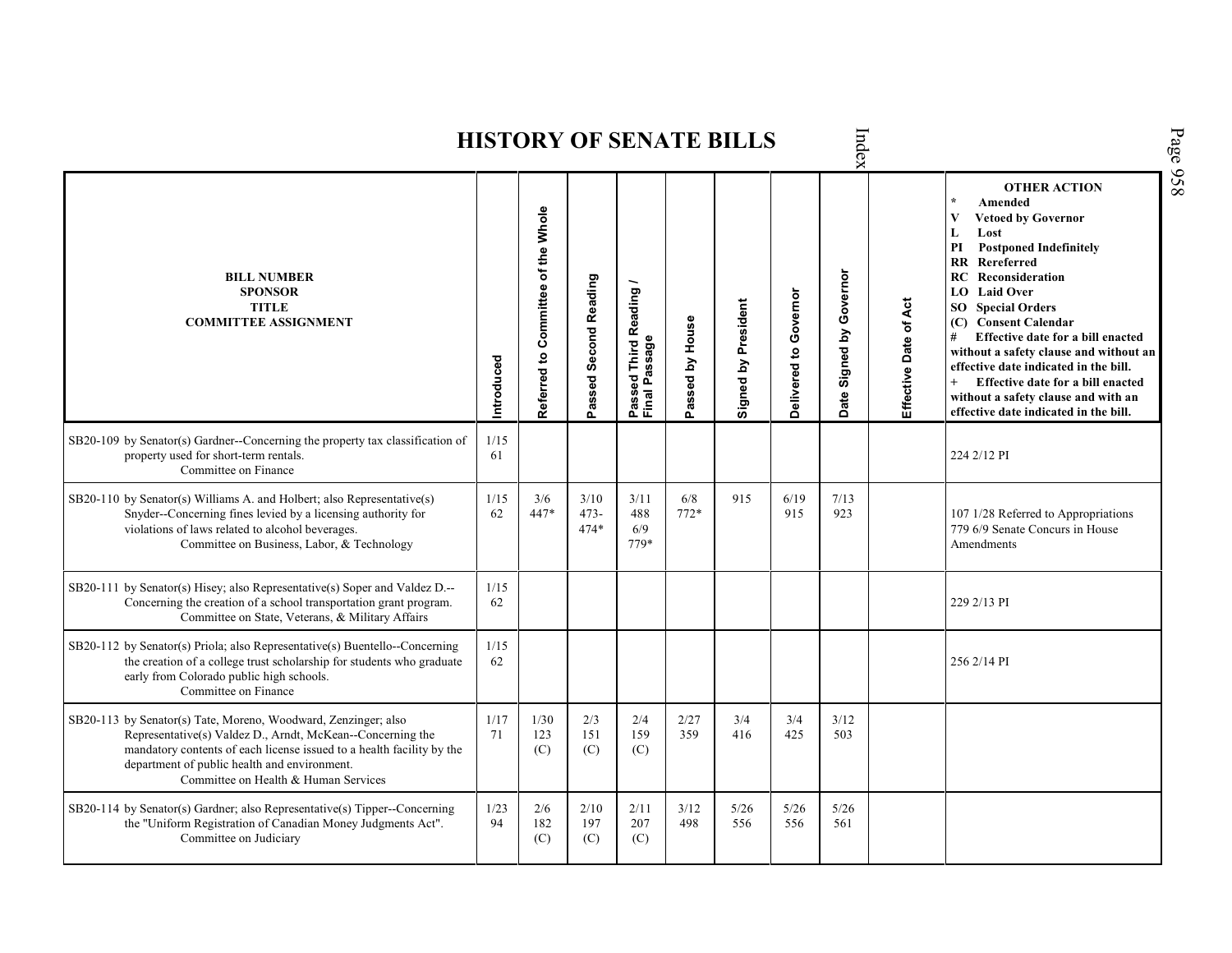| Index<br><b>HISTORY OF SENATE BILLS</b>                                                                                                                                                                                                                                                       |            |                                    |                        |                                                                |                 |                     |                       |                             |                       |                                                                                                                                                                                                                                                                                                                                                                                                                                                                                                                                    |  |  |  |  |
|-----------------------------------------------------------------------------------------------------------------------------------------------------------------------------------------------------------------------------------------------------------------------------------------------|------------|------------------------------------|------------------------|----------------------------------------------------------------|-----------------|---------------------|-----------------------|-----------------------------|-----------------------|------------------------------------------------------------------------------------------------------------------------------------------------------------------------------------------------------------------------------------------------------------------------------------------------------------------------------------------------------------------------------------------------------------------------------------------------------------------------------------------------------------------------------------|--|--|--|--|
| <b>BILL NUMBER</b><br><b>SPONSOR</b><br><b>TITLE</b><br><b>COMMITTEE ASSIGNMENT</b>                                                                                                                                                                                                           | Introduced | Referred to Committee of the Whole | Passed Second Reading  | Reading<br>ssage<br>Third I<br>م<br>م<br>g<br>Passe<br>Final I | Passed by House | Signed by President | Delivered to Governor | Signed by Governor<br>Date: | Effective Date of Act | <b>OTHER ACTION</b><br>Amended<br>$\star$<br>$\overline{\mathbf{V}}$<br><b>Vetoed by Governor</b><br>L<br>Lost<br><b>Postponed Indefinitely</b><br>PI<br>$\mathbf{R}$<br>Rereferred<br>RC<br>Reconsideration<br>LO Laid Over<br><b>SO</b> Special Orders<br>(C) Consent Calendar<br>Effective date for a bill enacted<br>#<br>without a safety clause and without an<br>effective date indicated in the bill.<br>Effective date for a bill enacted<br>without a safety clause and with an<br>effective date indicated in the bill. |  |  |  |  |
| SB20-109 by Senator(s) Gardner--Concerning the property tax classification of<br>property used for short-term rentals.<br>Committee on Finance                                                                                                                                                | 1/15<br>61 |                                    |                        |                                                                |                 |                     |                       |                             |                       | 224 2/12 PI                                                                                                                                                                                                                                                                                                                                                                                                                                                                                                                        |  |  |  |  |
| SB20-110 by Senator(s) Williams A. and Holbert; also Representative(s)<br>Snyder--Concerning fines levied by a licensing authority for<br>violations of laws related to alcohol beverages.<br>Committee on Business, Labor, & Technology                                                      | 1/15<br>62 | 3/6<br>447*                        | 3/10<br>$473-$<br>474* | 3/11<br>488<br>6/9<br>779*                                     | 6/8<br>$772*$   | 915                 | 6/19<br>915           | 7/13<br>923                 |                       | 107 1/28 Referred to Appropriations<br>779 6/9 Senate Concurs in House<br>Amendments                                                                                                                                                                                                                                                                                                                                                                                                                                               |  |  |  |  |
| SB20-111 by Senator(s) Hisey; also Representative(s) Soper and Valdez D.--<br>Concerning the creation of a school transportation grant program.<br>Committee on State, Veterans, & Military Affairs                                                                                           | 1/15<br>62 |                                    |                        |                                                                |                 |                     |                       |                             |                       | 229 2/13 PI                                                                                                                                                                                                                                                                                                                                                                                                                                                                                                                        |  |  |  |  |
| SB20-112 by Senator(s) Priola; also Representative(s) Buentello--Concerning<br>the creation of a college trust scholarship for students who graduate<br>early from Colorado public high schools.<br>Committee on Finance                                                                      | 1/15<br>62 |                                    |                        |                                                                |                 |                     |                       |                             |                       | 256 2/14 PI                                                                                                                                                                                                                                                                                                                                                                                                                                                                                                                        |  |  |  |  |
| SB20-113 by Senator(s) Tate, Moreno, Woodward, Zenzinger; also<br>Representative(s) Valdez D., Arndt, McKean--Concerning the<br>mandatory contents of each license issued to a health facility by the<br>department of public health and environment.<br>Committee on Health & Human Services | 1/17<br>71 | 1/30<br>123<br>(C)                 | 2/3<br>151<br>(C)      | 2/4<br>159<br>(C)                                              | 2/27<br>359     | 3/4<br>416          | 3/4<br>425            | 3/12<br>503                 |                       |                                                                                                                                                                                                                                                                                                                                                                                                                                                                                                                                    |  |  |  |  |
| SB20-114 by Senator(s) Gardner; also Representative(s) Tipper--Concerning<br>the "Uniform Registration of Canadian Money Judgments Act".<br>Committee on Judiciary                                                                                                                            | 1/23<br>94 | 2/6<br>182<br>(C)                  | 2/10<br>197<br>(C)     | 2/11<br>207<br>(C)                                             | 3/12<br>498     | 5/26<br>556         | 5/26<br>556           | 5/26<br>561                 |                       |                                                                                                                                                                                                                                                                                                                                                                                                                                                                                                                                    |  |  |  |  |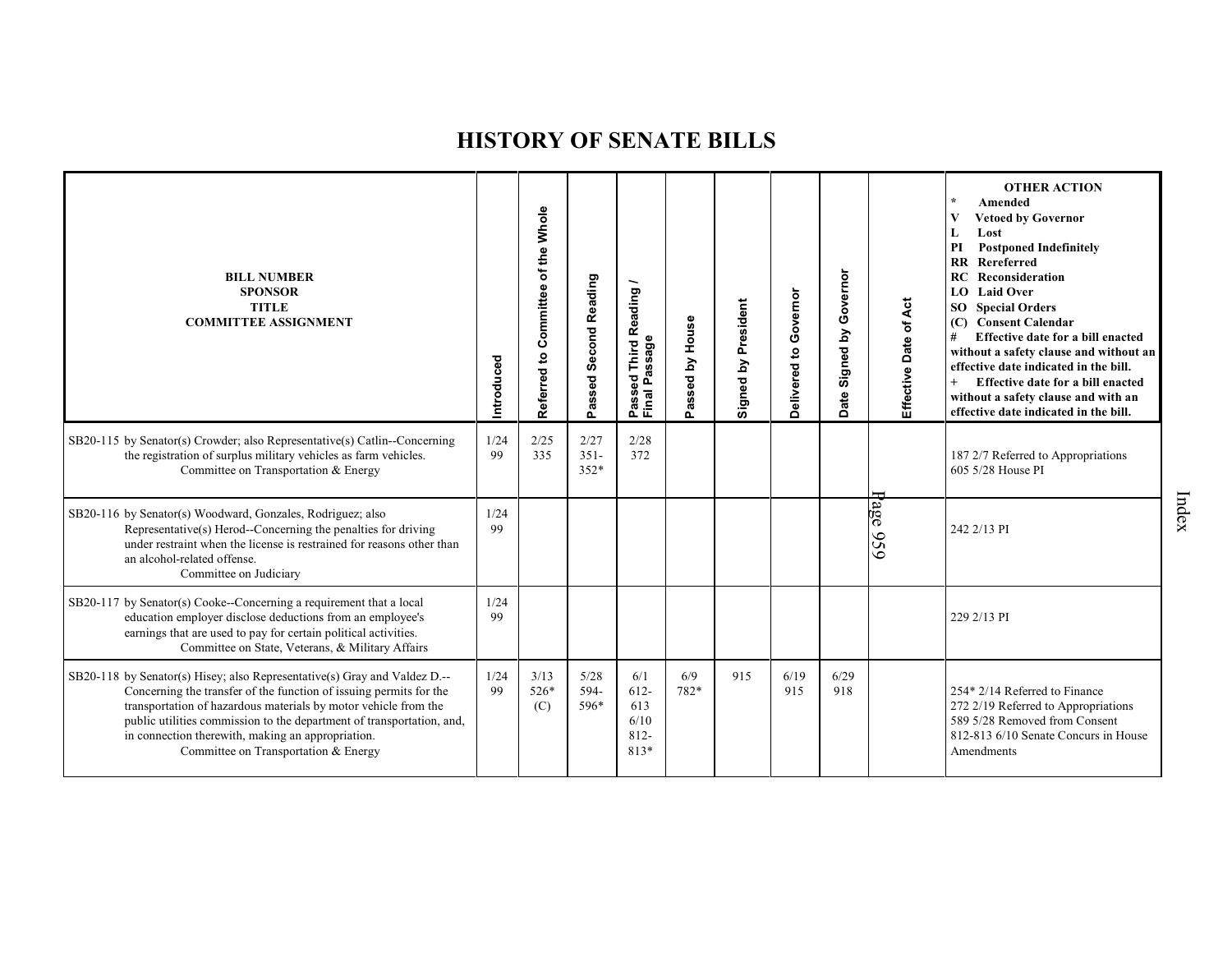| <b>BILL NUMBER</b><br><b>SPONSOR</b><br><b>TITLE</b><br><b>COMMITTEE ASSIGNMENT</b>                                                                                                                                                                                                                                                                                                      | Introduced | Referred to Committee of the Whole | <b>Second Reading</b><br>Passed | Reading<br>ssage<br>Third<br>ℼ<br>g<br>ء<br>Passe<br>Final | by House<br>Passed | Signed by President | Delivered to Governor | Governor<br>$\mathbf{\underline{s}}$<br>Signed<br>ate<br>ó | Effective Date of Act | <b>OTHER ACTION</b><br>$\star$<br>Amended<br><b>Vetoed by Governor</b><br>V<br>Lost<br>L<br><b>Postponed Indefinitely</b><br>PI<br>$\mathbf{R}$<br>Rereferred<br><b>RC</b> Reconsideration<br>LO Laid Over<br><b>SO</b> Special Orders<br><b>Consent Calendar</b><br>(C)<br>#<br>Effective date for a bill enacted<br>without a safety clause and without an<br>effective date indicated in the bill.<br>$\ddot{}$<br>Effective date for a bill enacted<br>without a safety clause and with an<br>effective date indicated in the bill. |
|------------------------------------------------------------------------------------------------------------------------------------------------------------------------------------------------------------------------------------------------------------------------------------------------------------------------------------------------------------------------------------------|------------|------------------------------------|---------------------------------|------------------------------------------------------------|--------------------|---------------------|-----------------------|------------------------------------------------------------|-----------------------|-----------------------------------------------------------------------------------------------------------------------------------------------------------------------------------------------------------------------------------------------------------------------------------------------------------------------------------------------------------------------------------------------------------------------------------------------------------------------------------------------------------------------------------------|
| SB20-115 by Senator(s) Crowder; also Representative(s) Catlin--Concerning<br>the registration of surplus military vehicles as farm vehicles.<br>Committee on Transportation & Energy                                                                                                                                                                                                     | 1/24<br>99 | 2/25<br>335                        | 2/27<br>$351 -$<br>352*         | 2/28<br>372                                                |                    |                     |                       |                                                            |                       | 187 2/7 Referred to Appropriations<br>605 5/28 House PI                                                                                                                                                                                                                                                                                                                                                                                                                                                                                 |
| SB20-116 by Senator(s) Woodward, Gonzales, Rodriguez; also<br>Representative(s) Herod--Concerning the penalties for driving<br>under restraint when the license is restrained for reasons other than<br>an alcohol-related offense.<br>Committee on Judiciary                                                                                                                            | 1/24<br>99 |                                    |                                 |                                                            |                    |                     |                       |                                                            | 'age<br>95<br>ق       | 242 2/13 PI                                                                                                                                                                                                                                                                                                                                                                                                                                                                                                                             |
| SB20-117 by Senator(s) Cooke--Concerning a requirement that a local<br>education employer disclose deductions from an employee's<br>earnings that are used to pay for certain political activities.<br>Committee on State, Veterans, & Military Affairs                                                                                                                                  | 1/24<br>99 |                                    |                                 |                                                            |                    |                     |                       |                                                            |                       | 229 2/13 PI                                                                                                                                                                                                                                                                                                                                                                                                                                                                                                                             |
| SB20-118 by Senator(s) Hisey; also Representative(s) Gray and Valdez D.--<br>Concerning the transfer of the function of issuing permits for the<br>transportation of hazardous materials by motor vehicle from the<br>public utilities commission to the department of transportation, and,<br>in connection therewith, making an appropriation.<br>Committee on Transportation & Energy | 1/24<br>99 | 3/13<br>526*<br>(C)                | 5/28<br>594-<br>596*            | 6/1<br>$612 -$<br>613<br>6/10<br>$812 -$<br>813*           | 6/9<br>782*        | 915                 | 6/19<br>915           | 6/29<br>918                                                |                       | 254* 2/14 Referred to Finance<br>272 2/19 Referred to Appropriations<br>589 5/28 Removed from Consent<br>812-813 6/10 Senate Concurs in House<br>Amendments                                                                                                                                                                                                                                                                                                                                                                             |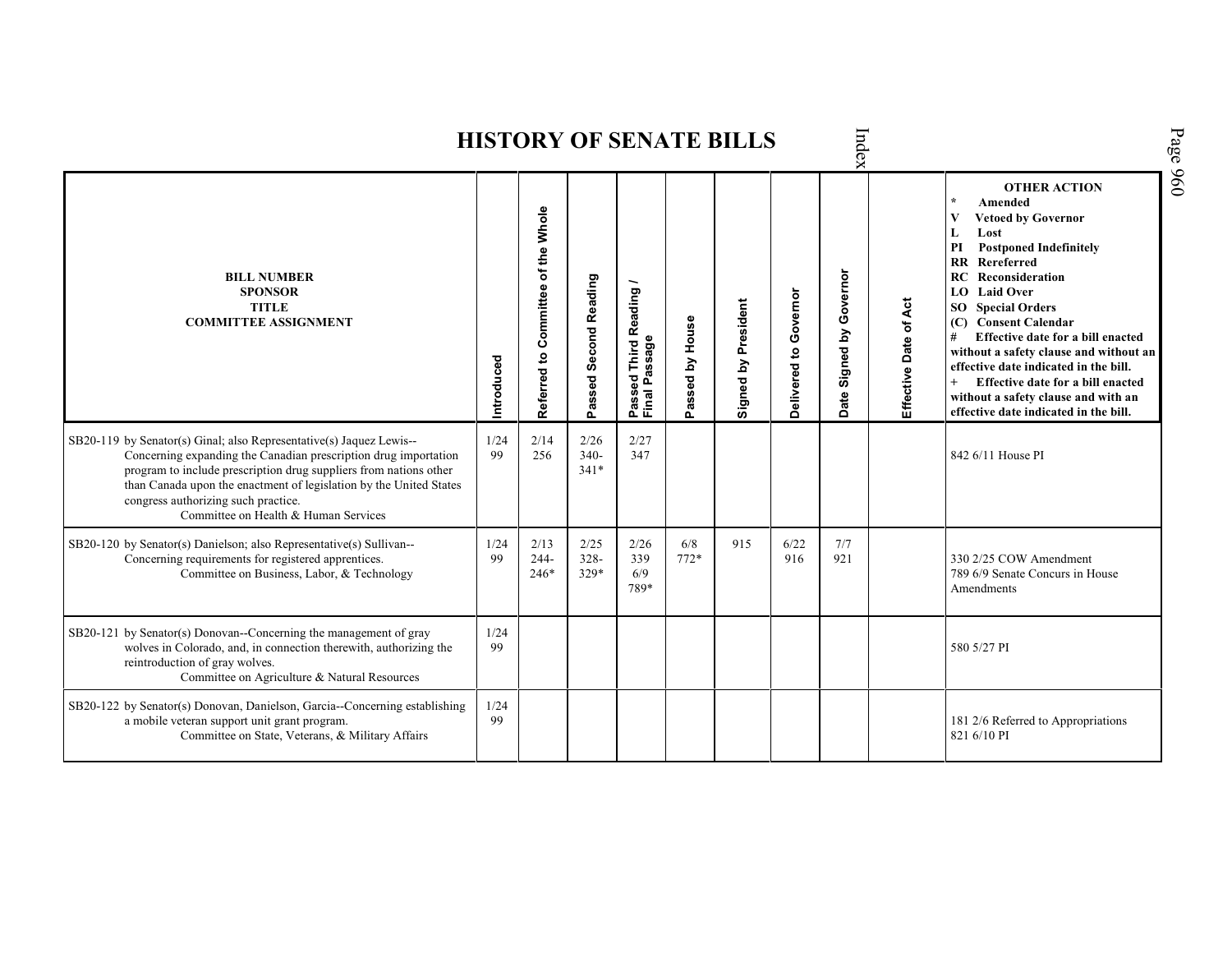| Index<br><b>HISTORY OF SENATE BILLS</b>                                                                                                                                                                                                                                                                                                                          |            |                                                       |                          |                                         |                 |                        |                       |                                   |                       | Page 960                                                                                                                                                                                                                                                                                                                                                                                                                                                                                               |  |
|------------------------------------------------------------------------------------------------------------------------------------------------------------------------------------------------------------------------------------------------------------------------------------------------------------------------------------------------------------------|------------|-------------------------------------------------------|--------------------------|-----------------------------------------|-----------------|------------------------|-----------------------|-----------------------------------|-----------------------|--------------------------------------------------------------------------------------------------------------------------------------------------------------------------------------------------------------------------------------------------------------------------------------------------------------------------------------------------------------------------------------------------------------------------------------------------------------------------------------------------------|--|
| <b>BILL NUMBER</b><br><b>SPONSOR</b><br><b>TITLE</b><br><b>COMMITTEE ASSIGNMENT</b>                                                                                                                                                                                                                                                                              | Introduced | of the Whole<br>Committee<br>$\mathbf{S}$<br>Referred | Passed Second Reading    | Passed Third Reading /<br>Final Passage | Passed by House | President<br>Signed by | Delivered to Governor | Governor<br>Signed by<br>ate<br>ó | Effective Date of Act | <b>OTHER ACTION</b><br>Amended<br>V<br><b>Vetoed by Governor</b><br>L<br>Lost<br>PI<br><b>Postponed Indefinitely</b><br>Rereferred<br>RR<br>RC.<br>Reconsideration<br><b>LO</b> Laid Over<br><b>SO</b> Special Orders<br>(C) Consent Calendar<br>#<br>Effective date for a bill enacted<br>without a safety clause and without an<br>effective date indicated in the bill.<br>$+$<br>Effective date for a bill enacted<br>without a safety clause and with an<br>effective date indicated in the bill. |  |
| SB20-119 by Senator(s) Ginal; also Representative(s) Jaquez Lewis--<br>Concerning expanding the Canadian prescription drug importation<br>program to include prescription drug suppliers from nations other<br>than Canada upon the enactment of legislation by the United States<br>congress authorizing such practice.<br>Committee on Health & Human Services | 1/24<br>99 | 2/14<br>256                                           | 2/26<br>$340-$<br>$341*$ | 2/27<br>347                             |                 |                        |                       |                                   |                       | 842 6/11 House PI                                                                                                                                                                                                                                                                                                                                                                                                                                                                                      |  |
| SB20-120 by Senator(s) Danielson; also Representative(s) Sullivan--<br>Concerning requirements for registered apprentices.<br>Committee on Business, Labor, & Technology                                                                                                                                                                                         | 1/24<br>99 | 2/13<br>$244 -$<br>$246*$                             | 2/25<br>$328 -$<br>329*  | 2/26<br>339<br>6/9<br>789*              | 6/8<br>772*     | 915                    | 6/22<br>916           | 7/7<br>921                        |                       | 330 2/25 COW Amendment<br>789 6/9 Senate Concurs in House<br>Amendments                                                                                                                                                                                                                                                                                                                                                                                                                                |  |
| SB20-121 by Senator(s) Donovan--Concerning the management of gray<br>wolves in Colorado, and, in connection therewith, authorizing the<br>reintroduction of gray wolves.<br>Committee on Agriculture & Natural Resources                                                                                                                                         | 1/24<br>99 |                                                       |                          |                                         |                 |                        |                       |                                   |                       | 580 5/27 PI                                                                                                                                                                                                                                                                                                                                                                                                                                                                                            |  |
| SB20-122 by Senator(s) Donovan, Danielson, Garcia--Concerning establishing<br>a mobile veteran support unit grant program.<br>Committee on State, Veterans, & Military Affairs                                                                                                                                                                                   | 1/24<br>99 |                                                       |                          |                                         |                 |                        |                       |                                   |                       | 181 2/6 Referred to Appropriations<br>821 6/10 PI                                                                                                                                                                                                                                                                                                                                                                                                                                                      |  |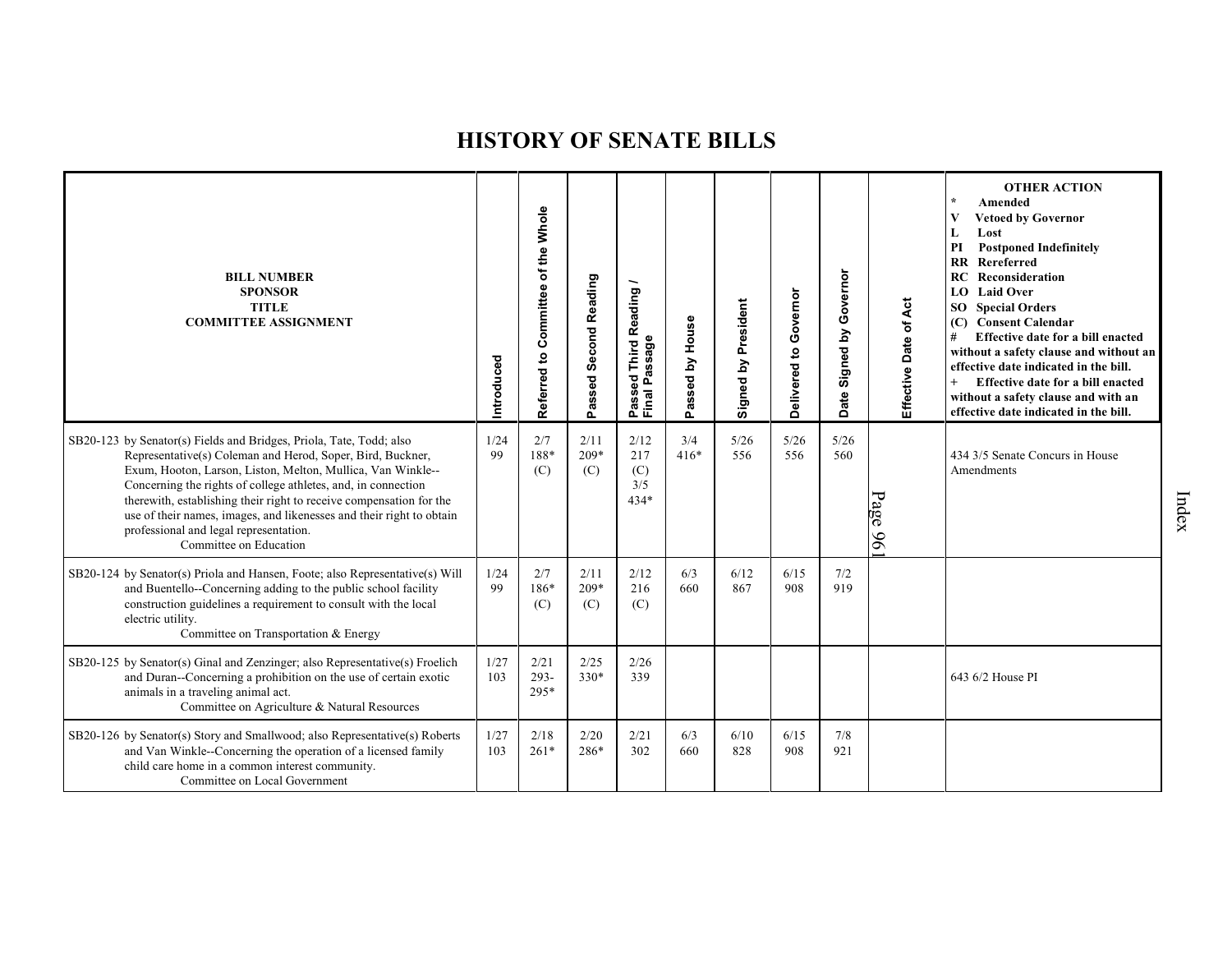| <b>BILL NUMBER</b><br><b>SPONSOR</b><br><b>TITLE</b><br><b>COMMITTEE ASSIGNMENT</b>                                                                                                                                                                                                                                                                                                                                                                                                  | Introduced  | Referred to Committee of the Whole | Passed Second Reading | Reading<br>Passeu<br>Final Passage  | Passed by House | Signed by President | Governor<br>Delivered to | Governor<br>Signed by<br>Date: | Effective Date of Act | <b>OTHER ACTION</b><br>$\star$<br>Amended<br>V<br><b>Vetoed by Governor</b><br>L<br>Lost<br><b>Postponed Indefinitely</b><br>PI<br>$\mathbf{R}$<br>Rereferred<br>Reconsideration<br>RC<br><b>Laid Over</b><br>LO.<br><b>SO</b> Special Orders<br>(C) Consent Calendar<br>#<br>Effective date for a bill enacted<br>without a safety clause and without an<br>effective date indicated in the bill.<br>$+$<br>Effective date for a bill enacted<br>without a safety clause and with an<br>effective date indicated in the bill. |
|--------------------------------------------------------------------------------------------------------------------------------------------------------------------------------------------------------------------------------------------------------------------------------------------------------------------------------------------------------------------------------------------------------------------------------------------------------------------------------------|-------------|------------------------------------|-----------------------|-------------------------------------|-----------------|---------------------|--------------------------|--------------------------------|-----------------------|--------------------------------------------------------------------------------------------------------------------------------------------------------------------------------------------------------------------------------------------------------------------------------------------------------------------------------------------------------------------------------------------------------------------------------------------------------------------------------------------------------------------------------|
| SB20-123 by Senator(s) Fields and Bridges, Priola, Tate, Todd; also<br>Representative(s) Coleman and Herod, Soper, Bird, Buckner,<br>Exum, Hooton, Larson, Liston, Melton, Mullica, Van Winkle--<br>Concerning the rights of college athletes, and, in connection<br>therewith, establishing their right to receive compensation for the<br>use of their names, images, and likenesses and their right to obtain<br>professional and legal representation.<br>Committee on Education | 1/24<br>99  | 2/7<br>188*<br>(C)                 | 2/11<br>$209*$<br>(C) | 2/12<br>217<br>(C)<br>3/5<br>$434*$ | 3/4<br>$416*$   | 5/26<br>556         | 5/26<br>556              | 5/26<br>560                    | Page 96               | 434 3/5 Senate Concurs in House<br>Amendments                                                                                                                                                                                                                                                                                                                                                                                                                                                                                  |
| SB20-124 by Senator(s) Priola and Hansen, Foote; also Representative(s) Will<br>and Buentello--Concerning adding to the public school facility<br>construction guidelines a requirement to consult with the local<br>electric utility.<br>Committee on Transportation & Energy                                                                                                                                                                                                       | 1/24<br>99  | 2/7<br>186*<br>(C)                 | 2/11<br>$209*$<br>(C) | 2/12<br>216<br>(C)                  | 6/3<br>660      | 6/12<br>867         | 6/15<br>908              | 7/2<br>919                     |                       |                                                                                                                                                                                                                                                                                                                                                                                                                                                                                                                                |
| SB20-125 by Senator(s) Ginal and Zenzinger; also Representative(s) Froelich<br>and Duran--Concerning a prohibition on the use of certain exotic<br>animals in a traveling animal act.<br>Committee on Agriculture & Natural Resources                                                                                                                                                                                                                                                | 1/27<br>103 | 2/21<br>$293 -$<br>295*            | 2/25<br>330*          | 2/26<br>339                         |                 |                     |                          |                                |                       | 643 6/2 House PI                                                                                                                                                                                                                                                                                                                                                                                                                                                                                                               |
| SB20-126 by Senator(s) Story and Smallwood; also Representative(s) Roberts<br>and Van Winkle--Concerning the operation of a licensed family<br>child care home in a common interest community.<br>Committee on Local Government                                                                                                                                                                                                                                                      | 1/27<br>103 | 2/18<br>$261*$                     | 2/20<br>286*          | 2/21<br>302                         | 6/3<br>660      | 6/10<br>828         | 6/15<br>908              | 7/8<br>921                     |                       |                                                                                                                                                                                                                                                                                                                                                                                                                                                                                                                                |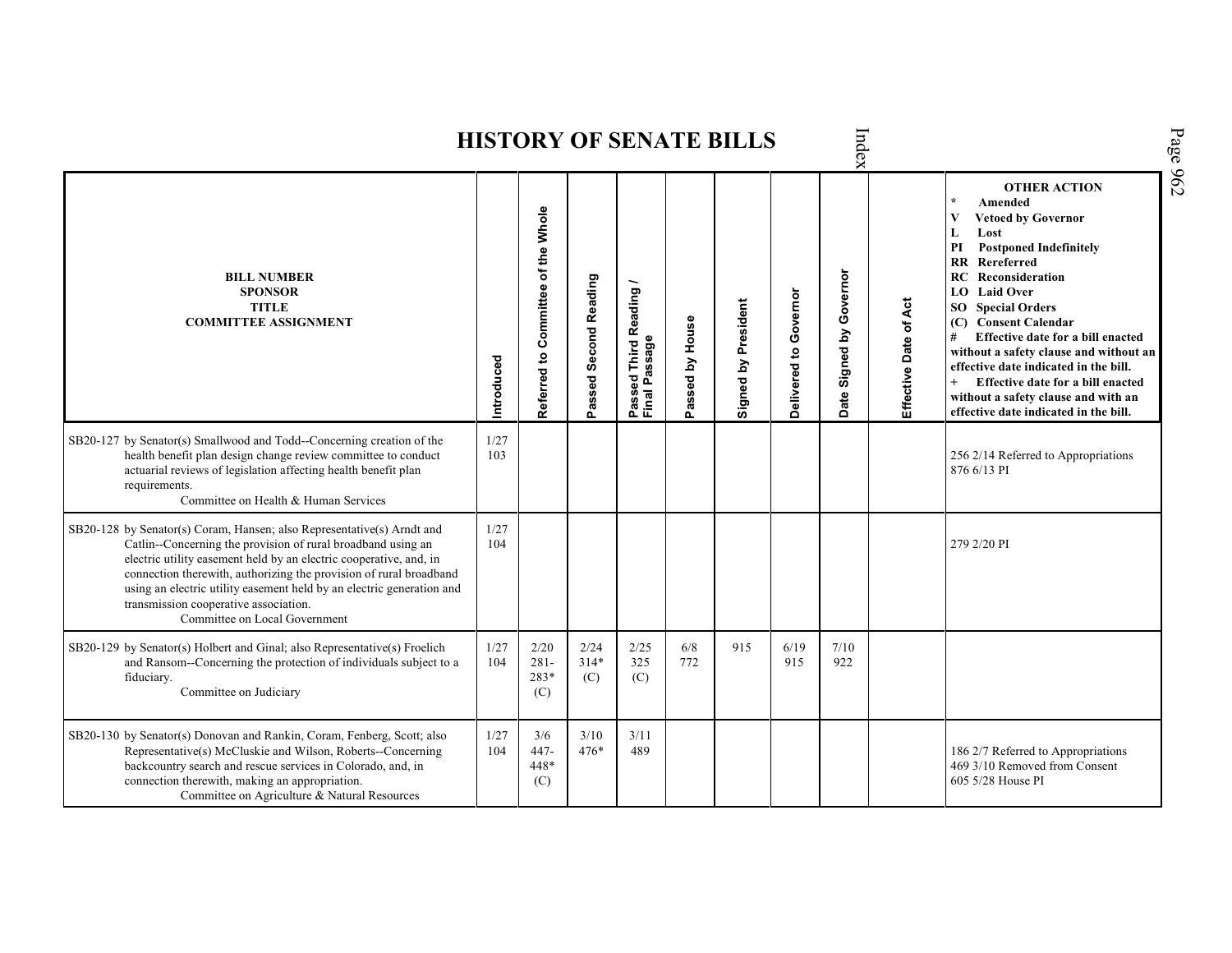Index Page 962 **HISTORY OF SENATE BILLS OTHER ACTION \* Amended Referred to Com mittee of the Whole Vetoed by Governor L Lost PI Postponed Indefinitely RR Rereferred Date Signed by Governor BILL NUMBER RC Reconsideration Passed Second Reading** Passed Third Reading /<br>Final Passage **Passed Third Reading / LO Laid Over SPONSOR** Delivered to Governor **Delivered to Governor** Effective Date of Act Signed by President **Effective Date of Act Signed by President SO Special Orders TITLE COMMITTEE ASSIGNMENT (C) Consent Calendar** Passed by House **Passed by House # Effective date for a bill enacted Final Passage without a safety clause and without an Introduced effective date indicated in the bill. + Effective date for a bill enacted without a safety clause and with an effective date indicated in the bill.**   $\frac{1}{27}$ <br> $\frac{103}{27}$ SB20-127 by Senator(s) Smallwood and Todd--Concerning creation of the health benefit plan design change review committee to conduct 256 2/14 Referred to Appropriations actuarial reviews of legislation affecting health benefit plan 876 6/13 PI requirements. Committee on Health & Human Services SB20-128 by Senator(s) Coram, Hansen; also Representative(s) Arndt and 1/27 Catlin--Concerning the provision of rural broadband using an 104 279 2/20 PI electric utility easement held by an electric cooperative, and, in connection therewith, authorizing the provision of rural broadband using an electric utility easement held by an electric generation and transmission cooperative association. Committee on Local Government SB20-129 by Senator(s) Holbert and Ginal; also Representative(s) Froelich 1/27 2/20 2/24 2/25 6/8 915 6/19 7/10 and Ransom--Concerning the protection of individuals subject to a 104 281- 314\* 325 772 915 922 fiduciary. 283\* (C) (C) Committee on Judiciary (C) SB20-130 by Senator(s) Donovan and Rankin, Coram, Fenberg, Scott; also 1/27 3/6 3/10 3/11 Representative(s) McCluskie and Wilson, Roberts--Concerning 104 447- 476\* 489 **186 2/7 Referred to Appropriations** backcountry search and rescue services in Colorado, and, in 448\* 469 3/10 Removed from Consent connection therewith, making an appropriation. (C) 605 5/28 House PICommittee on Agriculture & Natural Resources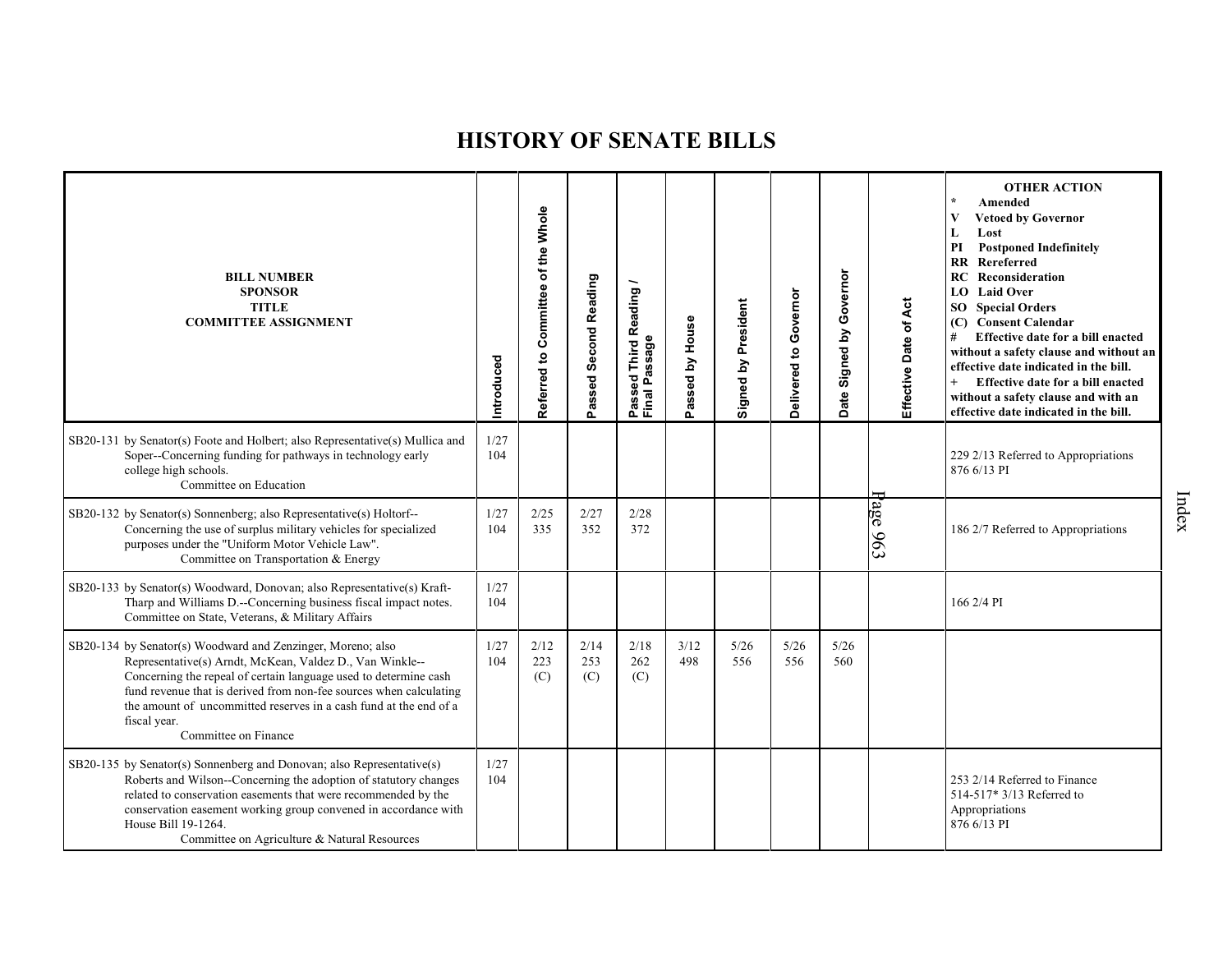| <b>BILL NUMBER</b><br><b>SPONSOR</b><br><b>TITLE</b><br><b>COMMITTEE ASSIGNMENT</b>                                                                                                                                                                                                                                                                                            | Introduced  | Committee of the Whole<br>Referred to | Passed Second Reading | Reading<br>Passed Third R<br>Final Passage | assed by House<br>௳ | Signed by President | Delivered to Governor | Governor<br>$\mathbf{\underline{s}}$<br>Signed<br>Date | Effective Date of Act | <b>OTHER ACTION</b><br>Amended<br><b>Vetoed by Governor</b><br>Lost<br><b>Postponed Indefinitely</b><br>PI<br><b>RR</b> Rereferred<br>RC<br>Reconsideration<br><b>LO</b> Laid Over<br><b>SO</b> Special Orders<br>(C) Consent Calendar<br>#<br>Effective date for a bill enacted<br>without a safety clause and without an<br>effective date indicated in the bill.<br>Effective date for a bill enacted<br>without a safety clause and with an<br>effective date indicated in the bill. |
|--------------------------------------------------------------------------------------------------------------------------------------------------------------------------------------------------------------------------------------------------------------------------------------------------------------------------------------------------------------------------------|-------------|---------------------------------------|-----------------------|--------------------------------------------|---------------------|---------------------|-----------------------|--------------------------------------------------------|-----------------------|------------------------------------------------------------------------------------------------------------------------------------------------------------------------------------------------------------------------------------------------------------------------------------------------------------------------------------------------------------------------------------------------------------------------------------------------------------------------------------------|
| SB20-131 by Senator(s) Foote and Holbert; also Representative(s) Mullica and<br>Soper--Concerning funding for pathways in technology early<br>college high schools.<br>Committee on Education                                                                                                                                                                                  | 1/27<br>104 |                                       |                       |                                            |                     |                     |                       |                                                        |                       | 229 2/13 Referred to Appropriations<br>876 6/13 PI                                                                                                                                                                                                                                                                                                                                                                                                                                       |
| SB20-132 by Senator(s) Sonnenberg; also Representative(s) Holtorf--<br>Concerning the use of surplus military vehicles for specialized<br>purposes under the "Uniform Motor Vehicle Law".<br>Committee on Transportation & Energy                                                                                                                                              | 1/27<br>104 | 2/25<br>335                           | 2/27<br>352           | 2/28<br>372                                |                     |                     |                       |                                                        | age $963$             | 186 2/7 Referred to Appropriations                                                                                                                                                                                                                                                                                                                                                                                                                                                       |
| SB20-133 by Senator(s) Woodward, Donovan; also Representative(s) Kraft-<br>Tharp and Williams D.--Concerning business fiscal impact notes.<br>Committee on State, Veterans, & Military Affairs                                                                                                                                                                                 | 1/27<br>104 |                                       |                       |                                            |                     |                     |                       |                                                        |                       | 166 2/4 PI                                                                                                                                                                                                                                                                                                                                                                                                                                                                               |
| SB20-134 by Senator(s) Woodward and Zenzinger, Moreno; also<br>Representative(s) Arndt, McKean, Valdez D., Van Winkle--<br>Concerning the repeal of certain language used to determine cash<br>fund revenue that is derived from non-fee sources when calculating<br>the amount of uncommitted reserves in a cash fund at the end of a<br>fiscal year.<br>Committee on Finance | 1/27<br>104 | 2/12<br>223<br>(C)                    | 2/14<br>253<br>(C)    | 2/18<br>262<br>(C)                         | 3/12<br>498         | 5/26<br>556         | 5/26<br>556           | 5/26<br>560                                            |                       |                                                                                                                                                                                                                                                                                                                                                                                                                                                                                          |
| SB20-135 by Senator(s) Sonnenberg and Donovan; also Representative(s)<br>Roberts and Wilson--Concerning the adoption of statutory changes<br>related to conservation easements that were recommended by the<br>conservation easement working group convened in accordance with<br>House Bill 19-1264.<br>Committee on Agriculture & Natural Resources                          | 1/27<br>104 |                                       |                       |                                            |                     |                     |                       |                                                        |                       | 253 2/14 Referred to Finance<br>514-517* 3/13 Referred to<br>Appropriations<br>876 6/13 PI                                                                                                                                                                                                                                                                                                                                                                                               |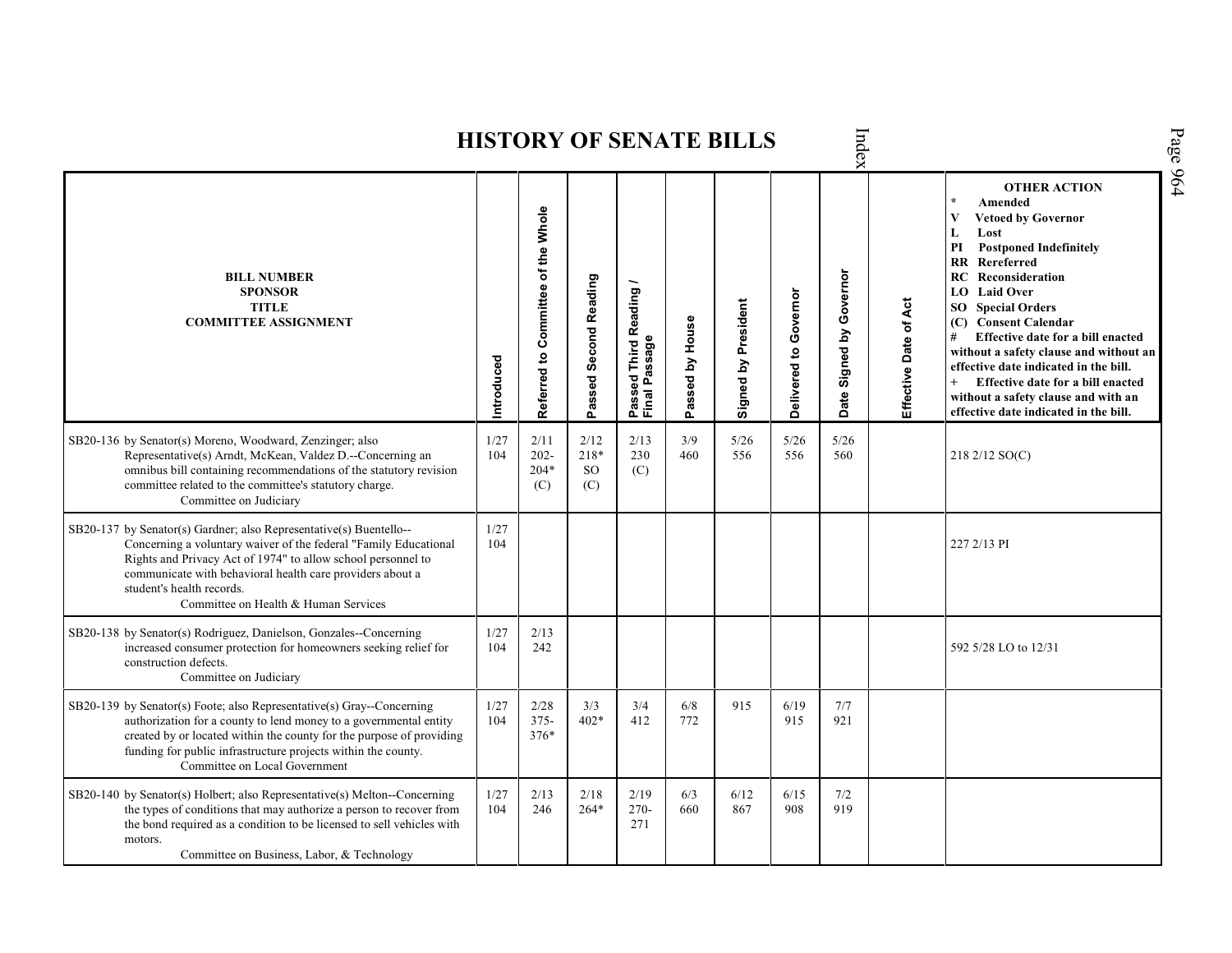Index **OTHER ACTION \* Amended Referred to Com mittee of the Whole Vetoed by Governor L Lost PI Postponed Indefinitely RR Rereferred Date Signed by Governor BILL NUMBER RC Reconsideration Passed Second Reading Passed Third Reading /** Passed Third Reading<br>Final Passage **LO Laid Over SPONSOR** Delivered to Governor **Delivered to Governor** Effective Date of Act Signed by President **Effective Date of Act Signed by President SO Special Orders TITLE COMMITTEE ASSIGNMENT (C) Consent Calendar** Passed by House **Passed by House # Effective date for a bill enacted Final Passage without a safety clause and without an Introduced effective date indicated in the bill. + Effective date for a bill enacted without a safety clause and with an effective date indicated in the bill.**  3/9 SB20-136 by Senator(s) Moreno, Woodward, Zenzinger; also 1/27 2/11 2/12 2/13 5/26 5/26 5/26 Representative(s) Arndt, McKean, Valdez D.--Concerning an 104 202- 218\* 230 460 556 556 560 218 2/12 SO(C) omnibus bill containing recommendations of the statutory revision 204\* SO (C) committee related to the committee's statutory charge. (C) (C) Committee on Judiciary SB20-137 by Senator(s) Gardner; also Representative(s) Buentello-- 1/27 104 227 2/13 PI Concerning a voluntary waiver of the federal "Family Educational Rights and Privacy Act of 1974" to allow school personnel to communicate with behavioral health care providers about a student's health records. Committee on Health & Human Services SB20-138 by Senator(s) Rodriguez, Danielson, Gonzales--Concerning 1/27  $\frac{2}{13}$ increased consumer protection for homeowners seeking relief for 104 592 5/28 LO to 12/31 construction defects. Committee on Judiciary SB20-139 by Senator(s) Foote; also Representative(s) Gray--Concerning 1/27 2/28 3/4 6/8 915 6/19 3/3 7/7 authorization for a county to lend money to a governmental entity 104 375- 402\* 412 772 915 921 created by or located within the county for the purpose of providing 376\* funding for public infrastructure projects within the county. Committee on Local Government SB20-140 by Senator(s) Holbert; also Representative(s) Melton--Concerning 1/27 2/13 2/18 2/19 6/3 6/12 6/15 7/2 the types of conditions that may authorize a person to recover from 104 246 264\* 270- 660 867 908 919the bond required as a condition to be licensed to sell vehicles with 271 motors. Committee on Business, Labor, & Technology

Page 964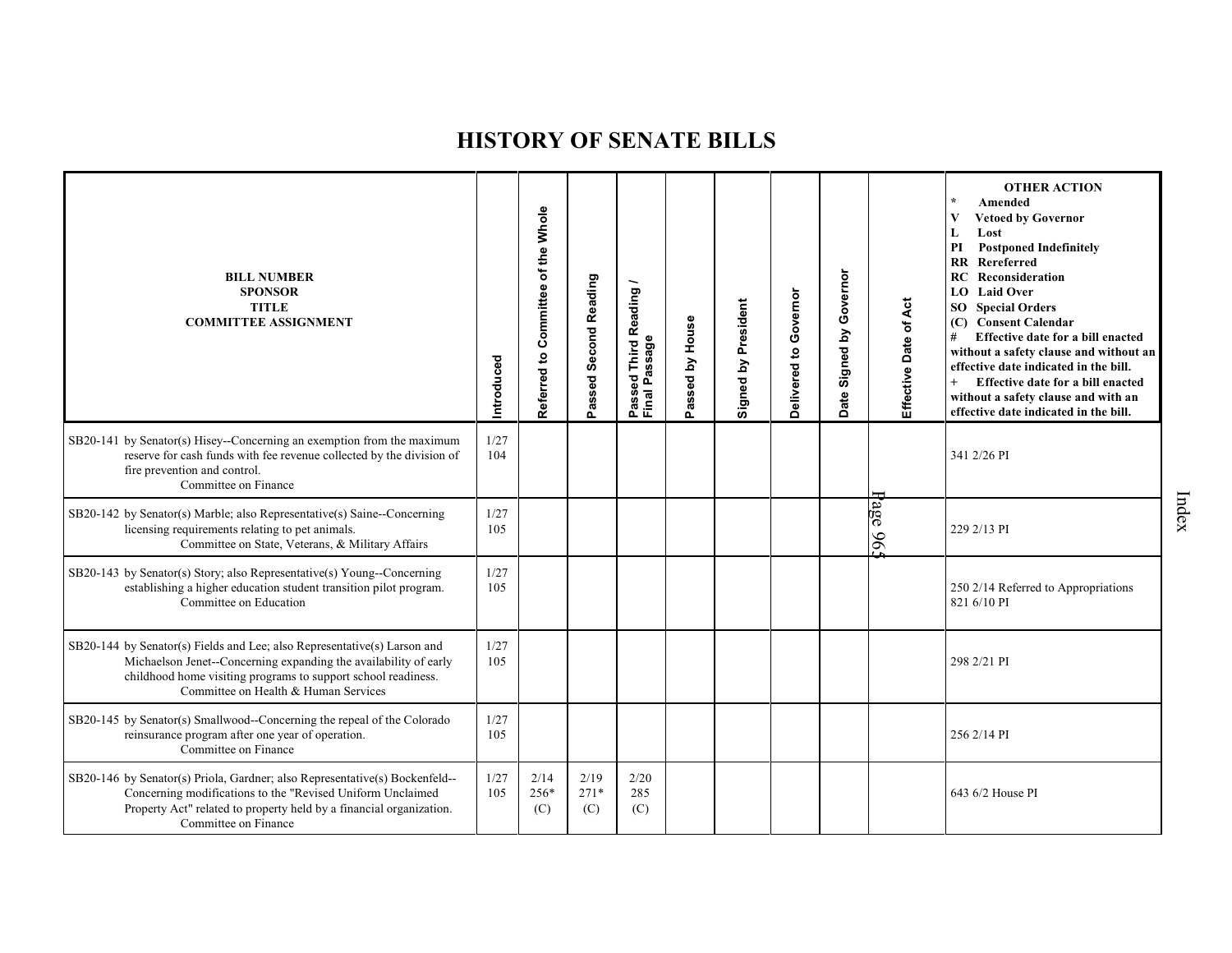| <b>BILL NUMBER</b><br><b>SPONSOR</b><br><b>TITLE</b><br><b>COMMITTEE ASSIGNMENT</b>                                                                                                                                                                   | Introduced  | Referred to Committee of the Whole | Passed Second Reading | Reading<br>Passeu<br>Final Passage | Passed by House | Signed by President | Governor<br>Delivered to | Governor<br>Signed by<br>Date | Effective Date of Act | <b>OTHER ACTION</b><br>$\star$<br>Amended<br>V<br><b>Vetoed by Governor</b><br>Lost<br>L<br><b>Postponed Indefinitely</b><br>PI<br><b>RR</b> Rereferred<br>Reconsideration<br>RC<br><b>Laid Over</b><br>LO.<br><b>SO</b> Special Orders<br>(C) Consent Calendar<br>#<br>Effective date for a bill enacted<br>without a safety clause and without an<br>effective date indicated in the bill.<br>$+$<br>Effective date for a bill enacted<br>without a safety clause and with an<br>effective date indicated in the bill. |
|-------------------------------------------------------------------------------------------------------------------------------------------------------------------------------------------------------------------------------------------------------|-------------|------------------------------------|-----------------------|------------------------------------|-----------------|---------------------|--------------------------|-------------------------------|-----------------------|--------------------------------------------------------------------------------------------------------------------------------------------------------------------------------------------------------------------------------------------------------------------------------------------------------------------------------------------------------------------------------------------------------------------------------------------------------------------------------------------------------------------------|
| SB20-141 by Senator(s) Hisey--Concerning an exemption from the maximum<br>reserve for cash funds with fee revenue collected by the division of<br>fire prevention and control.<br>Committee on Finance                                                | 1/27<br>104 |                                    |                       |                                    |                 |                     |                          |                               |                       | 341 2/26 PI                                                                                                                                                                                                                                                                                                                                                                                                                                                                                                              |
| SB20-142 by Senator(s) Marble; also Representative(s) Saine--Concerning<br>licensing requirements relating to pet animals.<br>Committee on State, Veterans, & Military Affairs                                                                        | 1/27<br>105 |                                    |                       |                                    |                 |                     |                          |                               | Page 96:              | 229 2/13 PI                                                                                                                                                                                                                                                                                                                                                                                                                                                                                                              |
| SB20-143 by Senator(s) Story; also Representative(s) Young--Concerning<br>establishing a higher education student transition pilot program.<br>Committee on Education                                                                                 | 1/27<br>105 |                                    |                       |                                    |                 |                     |                          |                               |                       | 250 2/14 Referred to Appropriations<br>821 6/10 PI                                                                                                                                                                                                                                                                                                                                                                                                                                                                       |
| SB20-144 by Senator(s) Fields and Lee; also Representative(s) Larson and<br>Michaelson Jenet--Concerning expanding the availability of early<br>childhood home visiting programs to support school readiness.<br>Committee on Health & Human Services | 1/27<br>105 |                                    |                       |                                    |                 |                     |                          |                               |                       | 298 2/21 PI                                                                                                                                                                                                                                                                                                                                                                                                                                                                                                              |
| SB20-145 by Senator(s) Smallwood--Concerning the repeal of the Colorado<br>reinsurance program after one year of operation.<br>Committee on Finance                                                                                                   | 1/27<br>105 |                                    |                       |                                    |                 |                     |                          |                               |                       | 256 2/14 PI                                                                                                                                                                                                                                                                                                                                                                                                                                                                                                              |
| SB20-146 by Senator(s) Priola, Gardner; also Representative(s) Bockenfeld--<br>Concerning modifications to the "Revised Uniform Unclaimed<br>Property Act" related to property held by a financial organization.<br>Committee on Finance              | 1/27<br>105 | 2/14<br>256*<br>(C)                | 2/19<br>$271*$<br>(C) | 2/20<br>285<br>(C)                 |                 |                     |                          |                               |                       | 643 6/2 House PI                                                                                                                                                                                                                                                                                                                                                                                                                                                                                                         |

Index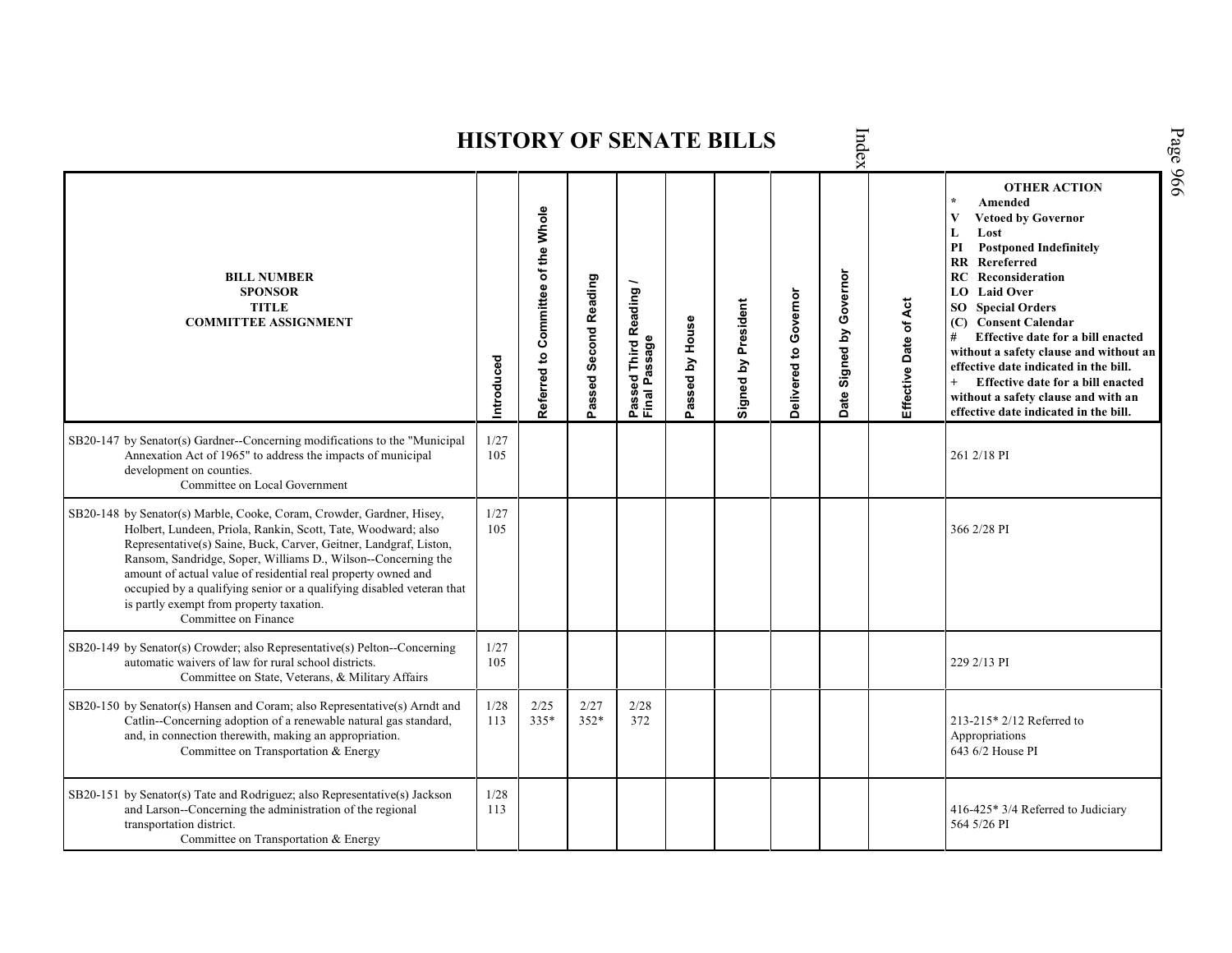| Index<br><b>HISTORY OF SENATE BILLS</b>                                                                                                                                                                                                                                                                                                                                                                                                                                                    |               |                                    |                       |                                         |                 |                     |                       |                            |                       |                                                                                                                                                                                                                                                                                                                                                                                                                                                                                                                                                     |
|--------------------------------------------------------------------------------------------------------------------------------------------------------------------------------------------------------------------------------------------------------------------------------------------------------------------------------------------------------------------------------------------------------------------------------------------------------------------------------------------|---------------|------------------------------------|-----------------------|-----------------------------------------|-----------------|---------------------|-----------------------|----------------------------|-----------------------|-----------------------------------------------------------------------------------------------------------------------------------------------------------------------------------------------------------------------------------------------------------------------------------------------------------------------------------------------------------------------------------------------------------------------------------------------------------------------------------------------------------------------------------------------------|
| <b>BILL NUMBER</b><br><b>SPONSOR</b><br><b>TITLE</b><br><b>COMMITTEE ASSIGNMENT</b>                                                                                                                                                                                                                                                                                                                                                                                                        | Introduced    | Referred to Committee of the Whole | Passed Second Reading | Passed Third Reading /<br>Final Passage | Passed by House | Signed by President | Delivered to Governor | Governor<br>Date Signed by | Effective Date of Act | Page 966<br><b>OTHER ACTION</b><br>Amended<br>V<br><b>Vetoed by Governor</b><br>L<br>Lost<br><b>Postponed Indefinitely</b><br>РI<br>$\mathbf{R}\mathbf{R}$<br>Rereferred<br>RC<br>Reconsideration<br><b>Laid Over</b><br>LO.<br><b>SO</b> Special Orders<br><b>Consent Calendar</b><br>(C)<br>#<br>Effective date for a bill enacted<br>without a safety clause and without an<br>effective date indicated in the bill.<br>$+$<br>Effective date for a bill enacted<br>without a safety clause and with an<br>effective date indicated in the bill. |
| SB20-147 by Senator(s) Gardner--Concerning modifications to the "Municipal<br>Annexation Act of 1965" to address the impacts of municipal<br>development on counties.<br>Committee on Local Government                                                                                                                                                                                                                                                                                     | 1/27<br>105   |                                    |                       |                                         |                 |                     |                       |                            |                       | 261 2/18 PI                                                                                                                                                                                                                                                                                                                                                                                                                                                                                                                                         |
| SB20-148 by Senator(s) Marble, Cooke, Coram, Crowder, Gardner, Hisey,<br>Holbert, Lundeen, Priola, Rankin, Scott, Tate, Woodward; also<br>Representative(s) Saine, Buck, Carver, Geitner, Landgraf, Liston,<br>Ransom, Sandridge, Soper, Williams D., Wilson--Concerning the<br>amount of actual value of residential real property owned and<br>occupied by a qualifying senior or a qualifying disabled veteran that<br>is partly exempt from property taxation.<br>Committee on Finance | 1/27<br>105   |                                    |                       |                                         |                 |                     |                       |                            |                       | 366 2/28 PI                                                                                                                                                                                                                                                                                                                                                                                                                                                                                                                                         |
| SB20-149 by Senator(s) Crowder; also Representative(s) Pelton--Concerning<br>automatic waivers of law for rural school districts.<br>Committee on State, Veterans, & Military Affairs                                                                                                                                                                                                                                                                                                      | 1/27<br>105   |                                    |                       |                                         |                 |                     |                       |                            |                       | 229 2/13 PI                                                                                                                                                                                                                                                                                                                                                                                                                                                                                                                                         |
| SB20-150 by Senator(s) Hansen and Coram; also Representative(s) Arndt and<br>Catlin--Concerning adoption of a renewable natural gas standard,<br>and, in connection therewith, making an appropriation.<br>Committee on Transportation & Energy                                                                                                                                                                                                                                            | $1/28$<br>113 | 2/25<br>$335*$                     | 2/27<br>$352*$        | 2/28<br>372                             |                 |                     |                       |                            |                       | 213-215* 2/12 Referred to<br>Appropriations<br>643 6/2 House PI                                                                                                                                                                                                                                                                                                                                                                                                                                                                                     |
| SB20-151 by Senator(s) Tate and Rodriguez; also Representative(s) Jackson<br>and Larson--Concerning the administration of the regional<br>transportation district.<br>Committee on Transportation & Energy                                                                                                                                                                                                                                                                                 | 1/28<br>113   |                                    |                       |                                         |                 |                     |                       |                            |                       | 416-425* 3/4 Referred to Judiciary<br>564 5/26 PI                                                                                                                                                                                                                                                                                                                                                                                                                                                                                                   |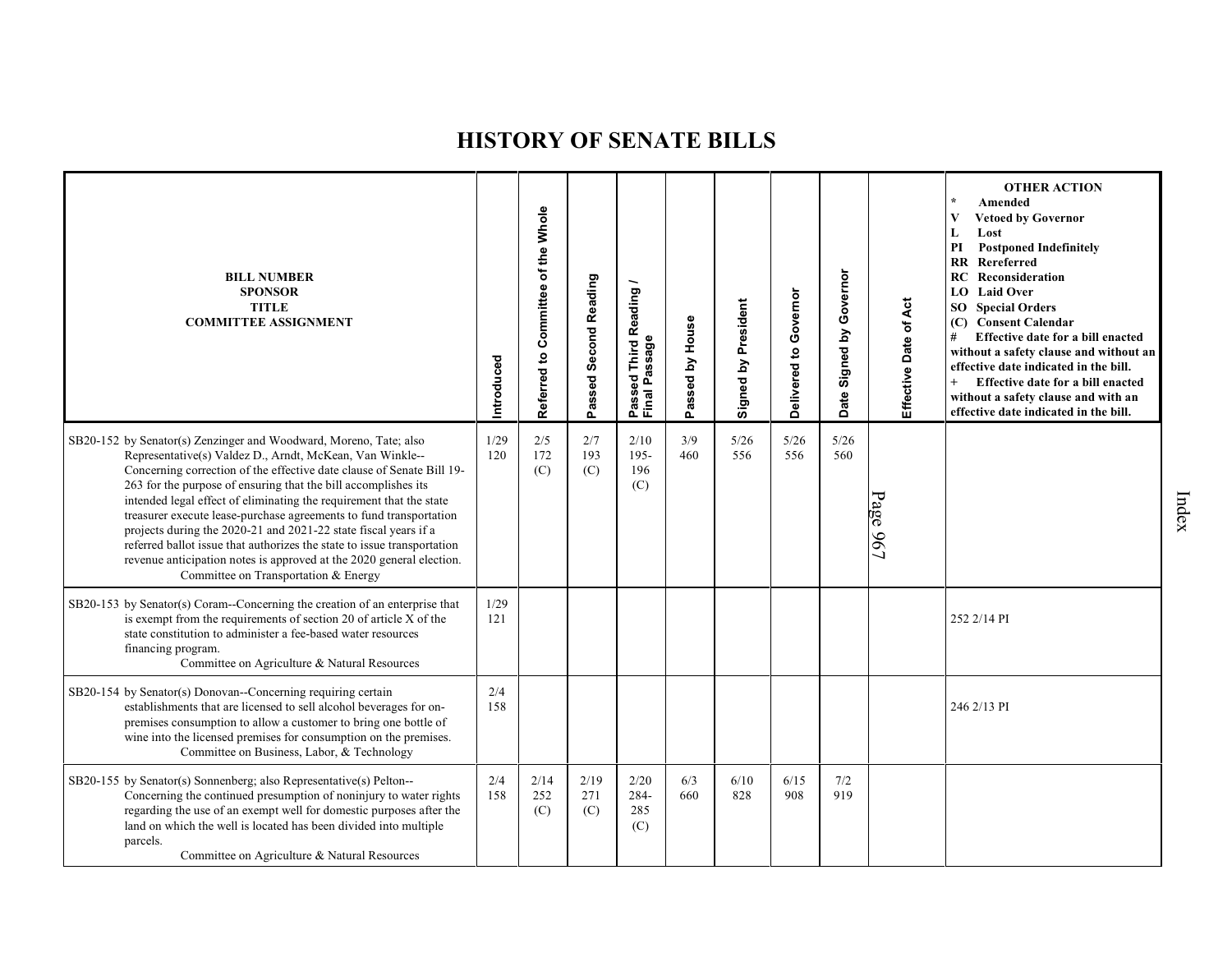| <b>BILL NUMBER</b><br><b>SPONSOR</b><br><b>TITLE</b><br><b>COMMITTEE ASSIGNMENT</b>                                                                                                                                                                                                                                                                                                                                                                                                                                                                                                                                                                                                 | Introduced  | Referred to Committee of the Whole | Passed Second Reading | Reading<br>assage<br><b>Third</b><br>ಕ್ಷ<br>Passed<br>Final Pa | Passed by House | Signed by President | Governor<br>Delivered to | Governor<br>Date Signed by | Effective Date of Act | <b>OTHER ACTION</b><br>Amended<br>V<br><b>Vetoed by Governor</b><br>L<br>Lost<br>PI<br><b>Postponed Indefinitely</b><br><b>RR</b> Rereferred<br><b>RC</b> Reconsideration<br>LO Laid Over<br><b>SO</b> Special Orders<br>(C) Consent Calendar<br>#<br>Effective date for a bill enacted<br>without a safety clause and without an<br>effective date indicated in the bill.<br>$+$<br>Effective date for a bill enacted<br>without a safety clause and with an<br>effective date indicated in the bill. |
|-------------------------------------------------------------------------------------------------------------------------------------------------------------------------------------------------------------------------------------------------------------------------------------------------------------------------------------------------------------------------------------------------------------------------------------------------------------------------------------------------------------------------------------------------------------------------------------------------------------------------------------------------------------------------------------|-------------|------------------------------------|-----------------------|----------------------------------------------------------------|-----------------|---------------------|--------------------------|----------------------------|-----------------------|--------------------------------------------------------------------------------------------------------------------------------------------------------------------------------------------------------------------------------------------------------------------------------------------------------------------------------------------------------------------------------------------------------------------------------------------------------------------------------------------------------|
| SB20-152 by Senator(s) Zenzinger and Woodward, Moreno, Tate; also<br>Representative(s) Valdez D., Arndt, McKean, Van Winkle--<br>Concerning correction of the effective date clause of Senate Bill 19-<br>263 for the purpose of ensuring that the bill accomplishes its<br>intended legal effect of eliminating the requirement that the state<br>treasurer execute lease-purchase agreements to fund transportation<br>projects during the 2020-21 and 2021-22 state fiscal years if a<br>referred ballot issue that authorizes the state to issue transportation<br>revenue anticipation notes is approved at the 2020 general election.<br>Committee on Transportation & Energy | 1/29<br>120 | 2/5<br>172<br>(C)                  | 2/7<br>193<br>(C)     | 2/10<br>$195 -$<br>196<br>(C)                                  | 3/9<br>460      | $5/26$<br>556       | 5/26<br>556              | 5/26<br>560                | Page 967              |                                                                                                                                                                                                                                                                                                                                                                                                                                                                                                        |
| SB20-153 by Senator(s) Coram--Concerning the creation of an enterprise that<br>is exempt from the requirements of section 20 of article X of the<br>state constitution to administer a fee-based water resources<br>financing program.<br>Committee on Agriculture & Natural Resources                                                                                                                                                                                                                                                                                                                                                                                              | 1/29<br>121 |                                    |                       |                                                                |                 |                     |                          |                            |                       | 252 2/14 PI                                                                                                                                                                                                                                                                                                                                                                                                                                                                                            |
| SB20-154 by Senator(s) Donovan--Concerning requiring certain<br>establishments that are licensed to sell alcohol beverages for on-<br>premises consumption to allow a customer to bring one bottle of<br>wine into the licensed premises for consumption on the premises.<br>Committee on Business, Labor, & Technology                                                                                                                                                                                                                                                                                                                                                             | 2/4<br>158  |                                    |                       |                                                                |                 |                     |                          |                            |                       | 246 2/13 PI                                                                                                                                                                                                                                                                                                                                                                                                                                                                                            |
| SB20-155 by Senator(s) Sonnenberg; also Representative(s) Pelton--<br>Concerning the continued presumption of noninjury to water rights<br>regarding the use of an exempt well for domestic purposes after the<br>land on which the well is located has been divided into multiple<br>parcels.<br>Committee on Agriculture & Natural Resources                                                                                                                                                                                                                                                                                                                                      | 2/4<br>158  | 2/14<br>252<br>(C)                 | 2/19<br>271<br>(C)    | 2/20<br>284-<br>285<br>(C)                                     | 6/3<br>660      | 6/10<br>828         | 6/15<br>908              | 7/2<br>919                 |                       |                                                                                                                                                                                                                                                                                                                                                                                                                                                                                                        |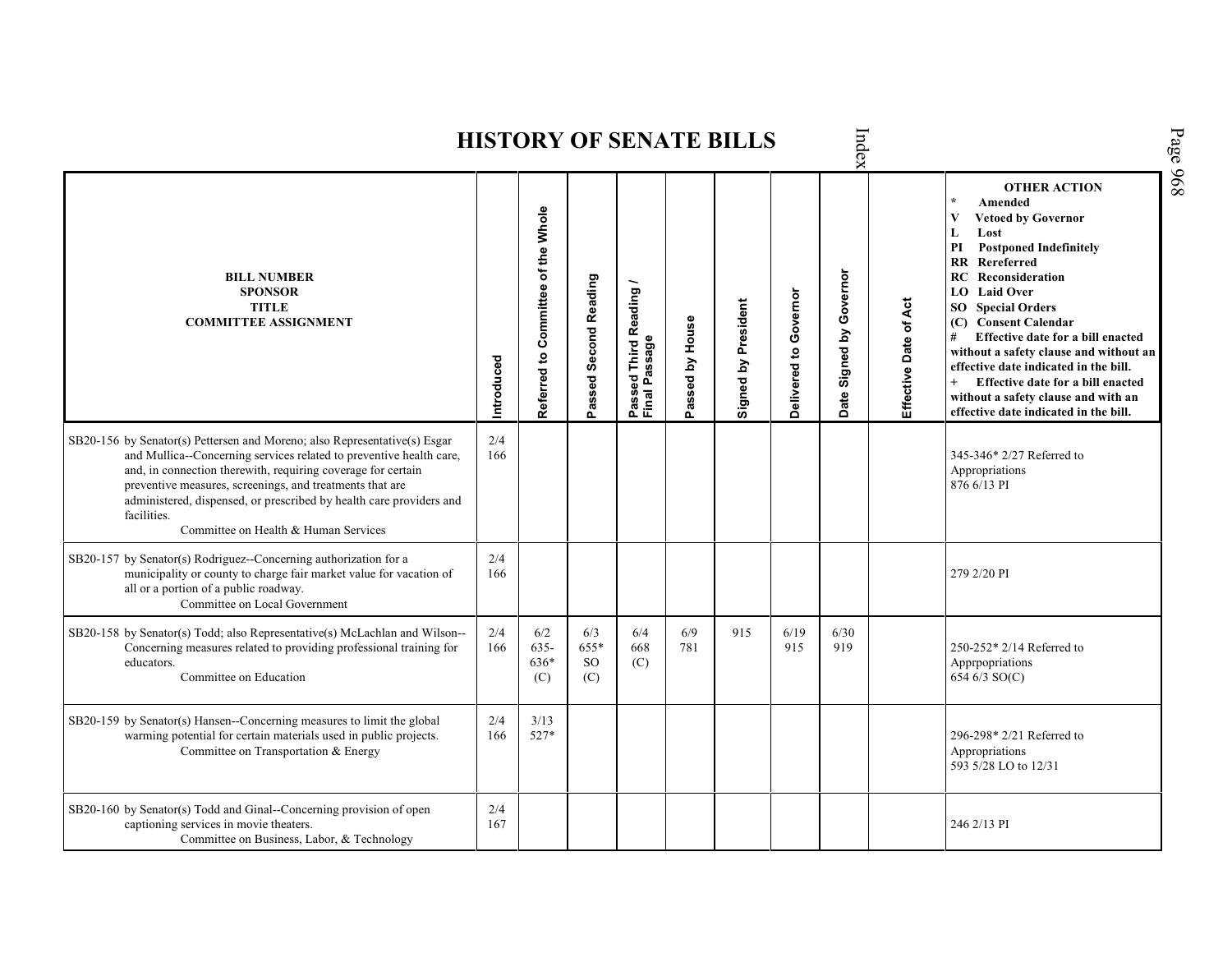| Page 968<br>Index<br><b>HISTORY OF SENATE BILLS</b>                                                                                                                                                                                                                                                                                                                                                        |            |                                    |                                 |                                                    |                 |                     |                       |                         |                       |                                                                                                                                                                                                                                                                                                                                                                                                                                                                                                                            |  |  |  |  |
|------------------------------------------------------------------------------------------------------------------------------------------------------------------------------------------------------------------------------------------------------------------------------------------------------------------------------------------------------------------------------------------------------------|------------|------------------------------------|---------------------------------|----------------------------------------------------|-----------------|---------------------|-----------------------|-------------------------|-----------------------|----------------------------------------------------------------------------------------------------------------------------------------------------------------------------------------------------------------------------------------------------------------------------------------------------------------------------------------------------------------------------------------------------------------------------------------------------------------------------------------------------------------------------|--|--|--|--|
| <b>BILL NUMBER</b><br><b>SPONSOR</b><br><b>TITLE</b><br><b>COMMITTEE ASSIGNMENT</b>                                                                                                                                                                                                                                                                                                                        | Introduced | Referred to Committee of the Whole | Passed Second Reading           | Third Reading /<br>Passed Third R<br>Final Passage | Passed by House | Signed by President | Delivered to Governor | Date Signed by Governor | Effective Date of Act | <b>OTHER ACTION</b><br>Amended<br>$\bf{V}$<br><b>Vetoed by Governor</b><br>Lost<br>L<br><b>Postponed Indefinitely</b><br>PI<br>RR<br>Rereferred<br>RC<br>Reconsideration<br><b>Laid Over</b><br>LO.<br><b>SO</b> Special Orders<br><b>Consent Calendar</b><br>(C)<br>Effective date for a bill enacted<br>#<br>without a safety clause and without an<br>effective date indicated in the bill.<br>$+$<br>Effective date for a bill enacted<br>without a safety clause and with an<br>effective date indicated in the bill. |  |  |  |  |
| SB20-156 by Senator(s) Pettersen and Moreno; also Representative(s) Esgar<br>and Mullica--Concerning services related to preventive health care,<br>and, in connection therewith, requiring coverage for certain<br>preventive measures, screenings, and treatments that are<br>administered, dispensed, or prescribed by health care providers and<br>facilities.<br>Committee on Health & Human Services | 2/4<br>166 |                                    |                                 |                                                    |                 |                     |                       |                         |                       | 345-346* 2/27 Referred to<br>Appropriations<br>876 6/13 PI                                                                                                                                                                                                                                                                                                                                                                                                                                                                 |  |  |  |  |
| SB20-157 by Senator(s) Rodriguez--Concerning authorization for a<br>municipality or county to charge fair market value for vacation of<br>all or a portion of a public roadway.<br>Committee on Local Government                                                                                                                                                                                           | 2/4<br>166 |                                    |                                 |                                                    |                 |                     |                       |                         |                       | 279 2/20 PI                                                                                                                                                                                                                                                                                                                                                                                                                                                                                                                |  |  |  |  |
| SB20-158 by Senator(s) Todd; also Representative(s) McLachlan and Wilson--<br>Concerning measures related to providing professional training for<br>educators.<br>Committee on Education                                                                                                                                                                                                                   | 2/4<br>166 | 6/2<br>$635 -$<br>636*<br>(C)      | 6/3<br>655*<br><b>SO</b><br>(C) | 6/4<br>668<br>(C)                                  | 6/9<br>781      | 915                 | 6/19<br>915           | 6/30<br>919             |                       | 250-252* 2/14 Referred to<br>Apprpopriations<br>654 6/3 SO(C)                                                                                                                                                                                                                                                                                                                                                                                                                                                              |  |  |  |  |
| SB20-159 by Senator(s) Hansen--Concerning measures to limit the global<br>warming potential for certain materials used in public projects.<br>Committee on Transportation & Energy                                                                                                                                                                                                                         | 2/4<br>166 | 3/13<br>527*                       |                                 |                                                    |                 |                     |                       |                         |                       | 296-298* 2/21 Referred to<br>Appropriations<br>593 5/28 LO to 12/31                                                                                                                                                                                                                                                                                                                                                                                                                                                        |  |  |  |  |
| SB20-160 by Senator(s) Todd and Ginal--Concerning provision of open<br>captioning services in movie theaters.<br>Committee on Business, Labor, & Technology                                                                                                                                                                                                                                                | 2/4<br>167 |                                    |                                 |                                                    |                 |                     |                       |                         |                       | 246 2/13 PI                                                                                                                                                                                                                                                                                                                                                                                                                                                                                                                |  |  |  |  |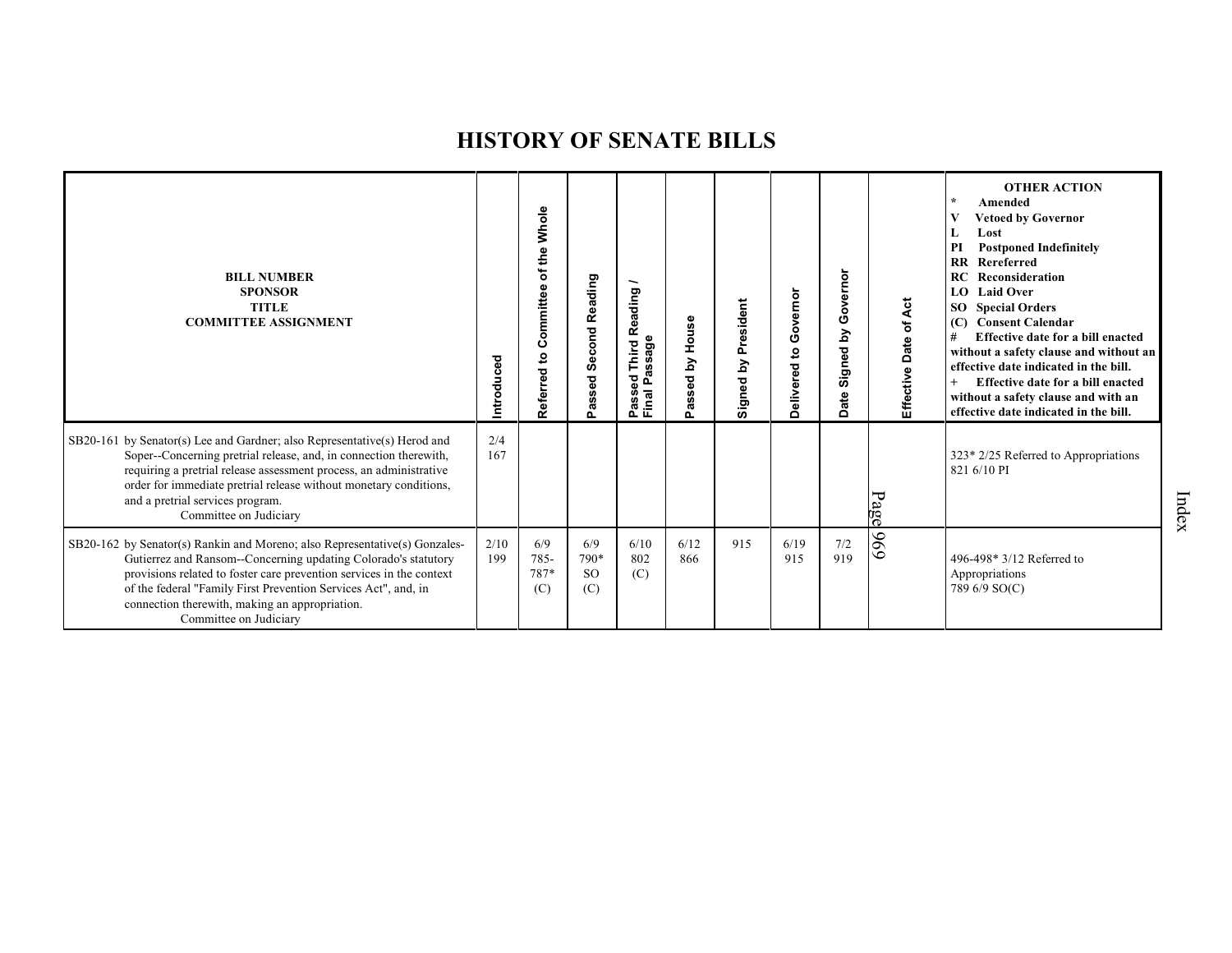| <b>BILL NUMBER</b><br><b>SPONSOR</b><br><b>TITLE</b><br><b>COMMITTEE ASSIGNMENT</b>                                                                                                                                                                                                                                                                                | Introduced  | of the Whole<br>Committee<br>Referred to | <b>Second Reading</b><br>Passed     | Reading<br>hird<br>ğ<br>Sag<br>ŭ.<br>Δ<br>Passe<br>Final | House<br>Σq<br>assed<br>n. | President<br>Signed by | overnor<br>Ō<br>$\mathbf{c}$<br>Delivered | overnor<br>ပ<br>Σ<br>Signed<br>ate<br>ó | Effective Date of Act | <b>OTHER ACTION</b><br>Amended<br>$\rightarrow$<br><b>Vetoed by Governor</b><br>Lost<br>L<br><b>Postponed Indefinitely</b><br>PI<br>Rereferred<br>$_{\rm RR}$<br>RC<br>Reconsideration<br><b>Laid Over</b><br>LO.<br><b>Special Orders</b><br>SO.<br><b>Consent Calendar</b><br>(C)<br>Effective date for a bill enacted<br>#<br>without a safety clause and without an<br>effective date indicated in the bill.<br>Effective date for a bill enacted<br>without a safety clause and with an<br>effective date indicated in the bill. |
|--------------------------------------------------------------------------------------------------------------------------------------------------------------------------------------------------------------------------------------------------------------------------------------------------------------------------------------------------------------------|-------------|------------------------------------------|-------------------------------------|----------------------------------------------------------|----------------------------|------------------------|-------------------------------------------|-----------------------------------------|-----------------------|---------------------------------------------------------------------------------------------------------------------------------------------------------------------------------------------------------------------------------------------------------------------------------------------------------------------------------------------------------------------------------------------------------------------------------------------------------------------------------------------------------------------------------------|
| SB20-161 by Senator(s) Lee and Gardner; also Representative(s) Herod and<br>Soper--Concerning pretrial release, and, in connection therewith,<br>requiring a pretrial release assessment process, an administrative<br>order for immediate pretrial release without monetary conditions,<br>and a pretrial services program.<br>Committee on Judiciary             | 2/4<br>167  |                                          |                                     |                                                          |                            |                        |                                           |                                         | Page                  | 323* 2/25 Referred to Appropriations<br>821 6/10 PI                                                                                                                                                                                                                                                                                                                                                                                                                                                                                   |
| SB20-162 by Senator(s) Rankin and Moreno; also Representative(s) Gonzales-<br>Gutierrez and Ransom--Concerning updating Colorado's statutory<br>provisions related to foster care prevention services in the context<br>of the federal "Family First Prevention Services Act", and, in<br>connection therewith, making an appropriation.<br>Committee on Judiciary | 2/10<br>199 | 6/9<br>785-<br>787*<br>(C)               | 6/9<br>790*<br><sub>SO</sub><br>(C) | 6/10<br>802<br>(C)                                       | 6/12<br>866                | 915                    | 6/19<br>915                               | $7/2$<br>919                            | 969                   | 496-498* 3/12 Referred to<br>Appropriations<br>789 6/9 SO(C)                                                                                                                                                                                                                                                                                                                                                                                                                                                                          |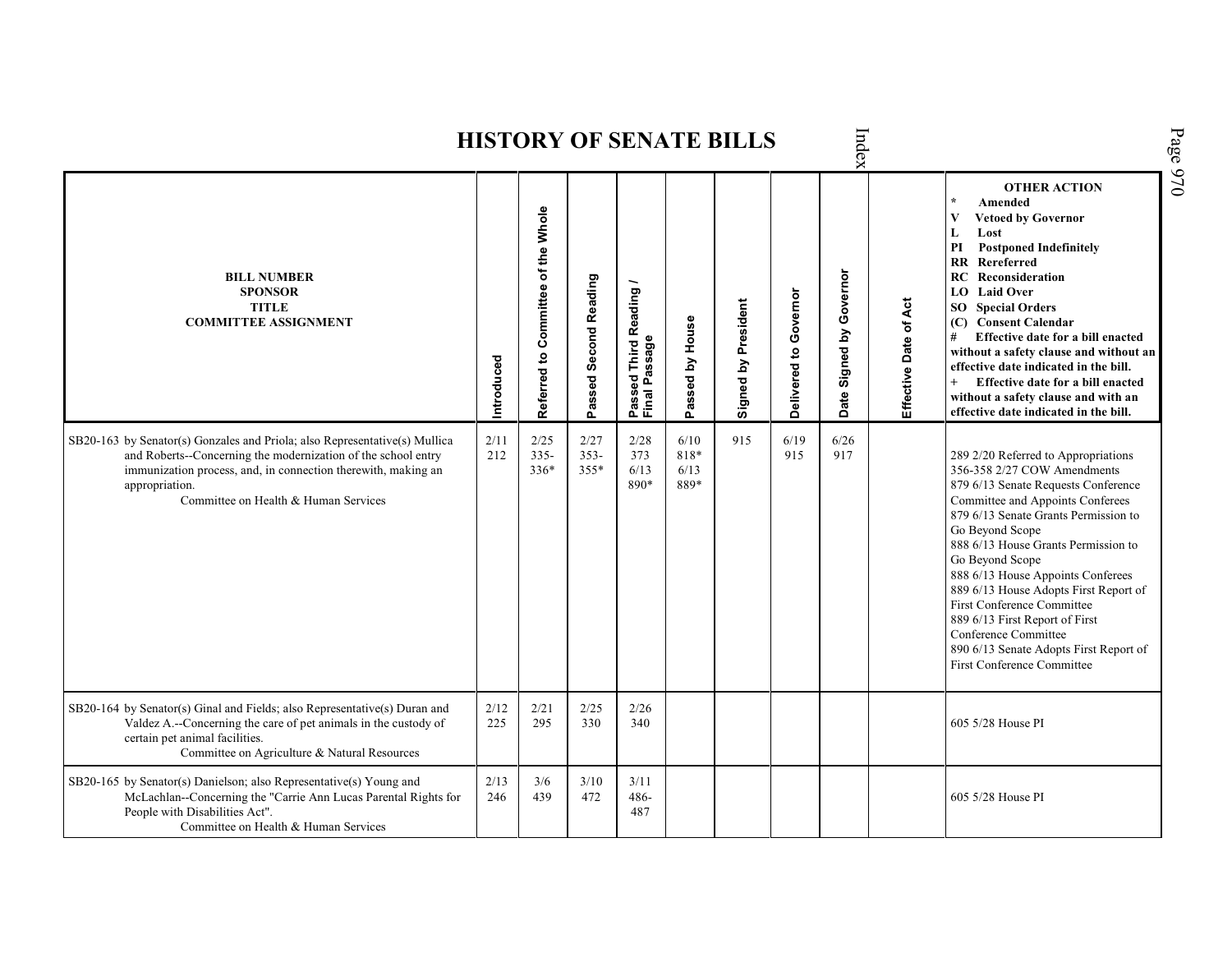Index **OTHER ACTION \* Amended Referred to Com mittee of the Whole Vetoed by Governor L Lost PI Postponed Indefinitely RR Rereferred Date Signed by Governor BILL NUMBER RC Reconsideration Passed Second Reading Passed Third Reading /** Passed Third Reading<br>Final Passage **LO Laid Over SPONSOR** Delivered to Governor **Delivered to Governor** Signed by President Effective Date of Act **Effective Date of Act Signed by President SO Special Orders TITLE COMMITTEE ASSIGNMENT (C) Consent Calendar** Passed by House **Passed by House # Effective date for a bill enacted Final Passage without a safety clause and without an Introduced effective date indicated in the bill. + Effective date for a bill enacted without a safety clause and with an effective date indicated in the bill.**  2/25 2/28 6/10 915 6/19 SB20-163 by Senator(s) Gonzales and Priola; also Representative(s) Mullica 2/11 2/27 6/26 and Roberts--Concerning the modernization of the school entry 212 335- 353- 373 818\* 915 917 289 2/20 Referred to Appropriations immunization process, and, in connection therewith, making an 336\* 355\* 6/13 6/13 356-358 2/27 COW Amendments 890\* 889\* 879 6/13 Senate Requests Conference appropriation. Committee on Health & Human Services Committee and Appoints Conferees 879 6/13 Senate Grants Permission to Go Beyond Scope 888 6/13 House Grants Permission to Go Beyond Scope 888 6/13 House Appoints Conferees 889 6/13 House Adopts First Report of First Conference Committee 889 6/13 First Report of First Conference Committee 890 6/13 Senate Adopts First Report of First Conference Committee SB20-164 by Senator(s) Ginal and Fields; also Representative(s) Duran and 2/12 2/21 2/25  $\frac{2}{240}$ Valdez A.--Concerning the care of pet animals in the custody of 340 605 5/28 House PI 225 295 330 certain pet animal facilities. Committee on Agriculture & Natural Resources SB20-165 by Senator(s) Danielson; also Representative(s) Young and 2/13 3/6 3/10 3/11 McLachlan--Concerning the "Carrie Ann Lucas Parental Rights for 246 439 472 486- 605 5/28 House PIPeople with Disabilities Act". 487 Committee on Health & Human Services

**HISTORY OF SENATE BILLS**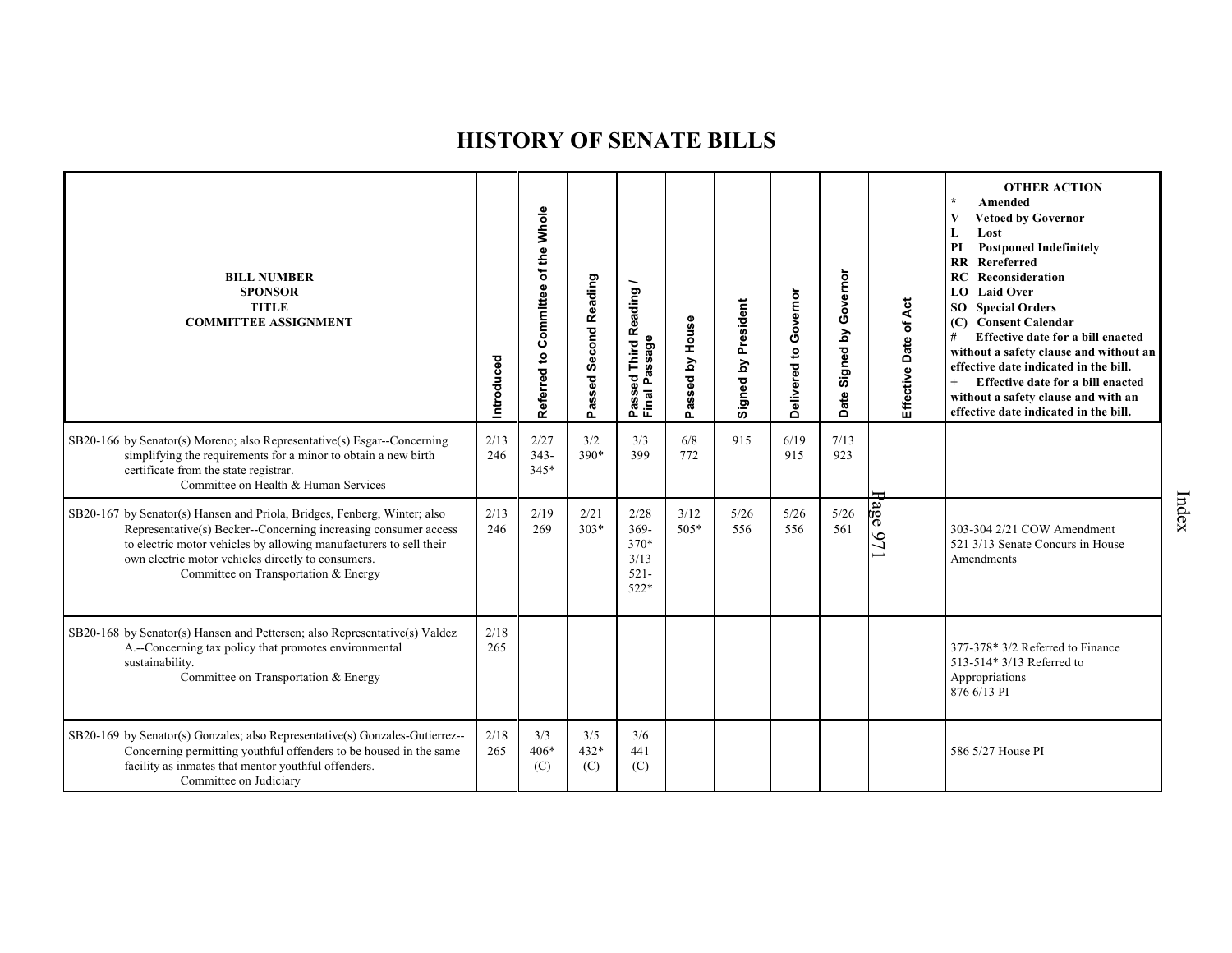| <b>BILL NUMBER</b><br><b>SPONSOR</b><br><b>TITLE</b><br><b>COMMITTEE ASSIGNMENT</b>                                                                                                                                                                                                                             | Introduced  | Referred to Committee of the Whole | assed Second Reading<br>o. | Reading<br>ssage<br>Third<br>ದ<br>g<br>≏<br>Passe<br>Final | by House<br>assed<br>௳ | Signed by President | Delivered to Governor | Signed by Governor<br>Date | Effective Date of Act | <b>OTHER ACTION</b><br>$\star$<br>Amended<br><b>Vetoed by Governor</b><br>V<br>Lost<br>L<br><b>Postponed Indefinitely</b><br>PI<br><b>RR</b> Rereferred<br>Reconsideration<br>RC<br>LO Laid Over<br>SO Special Orders<br>(C) Consent Calendar<br>#<br>Effective date for a bill enacted<br>without a safety clause and without an<br>effective date indicated in the bill.<br>$+$<br>Effective date for a bill enacted<br>without a safety clause and with an<br>effective date indicated in the bill. |
|-----------------------------------------------------------------------------------------------------------------------------------------------------------------------------------------------------------------------------------------------------------------------------------------------------------------|-------------|------------------------------------|----------------------------|------------------------------------------------------------|------------------------|---------------------|-----------------------|----------------------------|-----------------------|--------------------------------------------------------------------------------------------------------------------------------------------------------------------------------------------------------------------------------------------------------------------------------------------------------------------------------------------------------------------------------------------------------------------------------------------------------------------------------------------------------|
| SB20-166 by Senator(s) Moreno; also Representative(s) Esgar--Concerning<br>simplifying the requirements for a minor to obtain a new birth<br>certificate from the state registrar.<br>Committee on Health & Human Services                                                                                      | 2/13<br>246 | 2/27<br>$343-$<br>$345*$           | 3/2<br>$390*$              | 3/3<br>399                                                 | 6/8<br>772             | 915                 | 6/19<br>915           | 7/13<br>923                |                       |                                                                                                                                                                                                                                                                                                                                                                                                                                                                                                        |
| SB20-167 by Senator(s) Hansen and Priola, Bridges, Fenberg, Winter; also<br>Representative(s) Becker--Concerning increasing consumer access<br>to electric motor vehicles by allowing manufacturers to sell their<br>own electric motor vehicles directly to consumers.<br>Committee on Transportation & Energy | 2/13<br>246 | 2/19<br>269                        | 2/21<br>$303*$             | 2/28<br>$369 -$<br>370*<br>3/13<br>$521 -$<br>$522*$       | 3/12<br>$505*$         | 5/26<br>556         | 5/26<br>556           | 5/26<br>561                | $\rm age$<br>97       | 303-304 2/21 COW Amendment<br>521 3/13 Senate Concurs in House<br>Amendments                                                                                                                                                                                                                                                                                                                                                                                                                           |
| SB20-168 by Senator(s) Hansen and Pettersen; also Representative(s) Valdez<br>A.--Concerning tax policy that promotes environmental<br>sustainability.<br>Committee on Transportation & Energy                                                                                                                  | 2/18<br>265 |                                    |                            |                                                            |                        |                     |                       |                            |                       | 377-378* 3/2 Referred to Finance<br>513-514* 3/13 Referred to<br>Appropriations<br>876 6/13 PI                                                                                                                                                                                                                                                                                                                                                                                                         |
| SB20-169 by Senator(s) Gonzales; also Representative(s) Gonzales-Gutierrez--<br>Concerning permitting youthful offenders to be housed in the same<br>facility as inmates that mentor youthful offenders.<br>Committee on Judiciary                                                                              | 2/18<br>265 | 3/3<br>$406*$<br>(C)               | 3/5<br>$432*$<br>(C)       | 3/6<br>441<br>(C)                                          |                        |                     |                       |                            |                       | 586 5/27 House PI                                                                                                                                                                                                                                                                                                                                                                                                                                                                                      |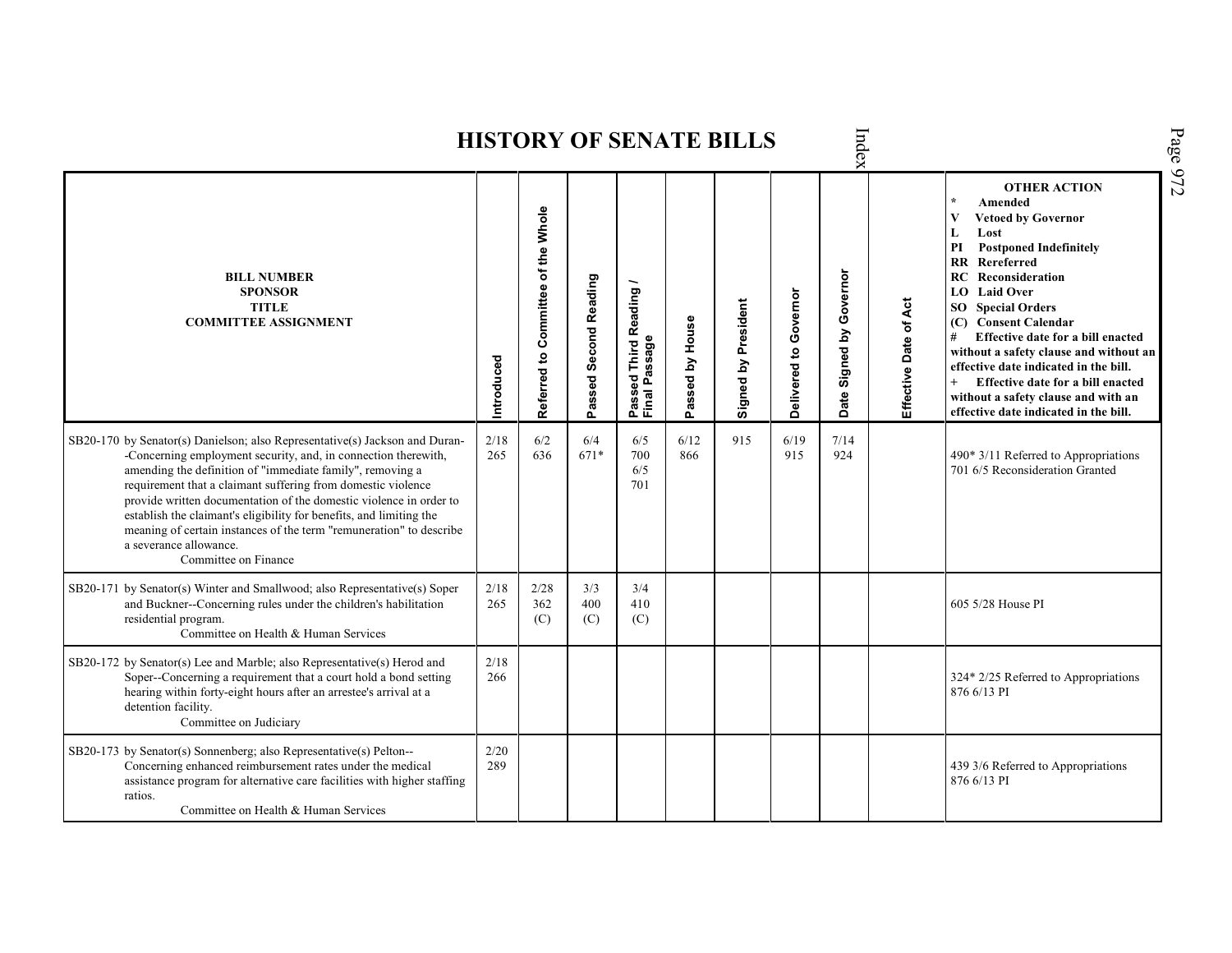| Page 972<br>Index<br><b>HISTORY OF SENATE BILLS</b>                                                                                                                                                                                                                                                                                                                                                                                                                                                                                              |             |                                    |                       |                                         |                 |                     |                       |                            |                       |                                                                                                                                                                                                                                                                                                                                                                                                                                                                                                       |  |  |  |  |
|--------------------------------------------------------------------------------------------------------------------------------------------------------------------------------------------------------------------------------------------------------------------------------------------------------------------------------------------------------------------------------------------------------------------------------------------------------------------------------------------------------------------------------------------------|-------------|------------------------------------|-----------------------|-----------------------------------------|-----------------|---------------------|-----------------------|----------------------------|-----------------------|-------------------------------------------------------------------------------------------------------------------------------------------------------------------------------------------------------------------------------------------------------------------------------------------------------------------------------------------------------------------------------------------------------------------------------------------------------------------------------------------------------|--|--|--|--|
| <b>BILL NUMBER</b><br><b>SPONSOR</b><br><b>TITLE</b><br><b>COMMITTEE ASSIGNMENT</b>                                                                                                                                                                                                                                                                                                                                                                                                                                                              | Introduced  | Referred to Committee of the Whole | Passed Second Reading | Passed Third Reading /<br>Final Passage | Passed by House | Signed by President | Delivered to Governor | Governor<br>Date Signed by | Effective Date of Act | <b>OTHER ACTION</b><br>Amended<br>V<br><b>Vetoed by Governor</b><br>Lost<br>L<br><b>Postponed Indefinitely</b><br>PI<br>Rereferred<br><b>RR</b><br>Reconsideration<br>RC<br><b>LO</b> Laid Over<br><b>SO</b> Special Orders<br>(C) Consent Calendar<br>Effective date for a bill enacted<br>#<br>without a safety clause and without an<br>effective date indicated in the bill.<br>Effective date for a bill enacted<br>without a safety clause and with an<br>effective date indicated in the bill. |  |  |  |  |
| SB20-170 by Senator(s) Danielson; also Representative(s) Jackson and Duran-<br>-Concerning employment security, and, in connection therewith,<br>amending the definition of "immediate family", removing a<br>requirement that a claimant suffering from domestic violence<br>provide written documentation of the domestic violence in order to<br>establish the claimant's eligibility for benefits, and limiting the<br>meaning of certain instances of the term "remuneration" to describe<br>a severance allowance.<br>Committee on Finance | 2/18<br>265 | 6/2<br>636                         | 6/4<br>671*           | 6/5<br>700<br>6/5<br>701                | 6/12<br>866     | 915                 | 6/19<br>915           | 7/14<br>924                |                       | $490*3/11$ Referred to Appropriations<br>701 6/5 Reconsideration Granted                                                                                                                                                                                                                                                                                                                                                                                                                              |  |  |  |  |
| SB20-171 by Senator(s) Winter and Smallwood; also Representative(s) Soper<br>and Buckner--Concerning rules under the children's habilitation<br>residential program.<br>Committee on Health & Human Services                                                                                                                                                                                                                                                                                                                                     | 2/18<br>265 | 2/28<br>362<br>(C)                 | 3/3<br>400<br>(C)     | 3/4<br>410<br>(C)                       |                 |                     |                       |                            |                       | 605 5/28 House PI                                                                                                                                                                                                                                                                                                                                                                                                                                                                                     |  |  |  |  |
| SB20-172 by Senator(s) Lee and Marble; also Representative(s) Herod and<br>Soper--Concerning a requirement that a court hold a bond setting<br>hearing within forty-eight hours after an arrestee's arrival at a<br>detention facility.<br>Committee on Judiciary                                                                                                                                                                                                                                                                                | 2/18<br>266 |                                    |                       |                                         |                 |                     |                       |                            |                       | 324* 2/25 Referred to Appropriations<br>876 6/13 PI                                                                                                                                                                                                                                                                                                                                                                                                                                                   |  |  |  |  |
| SB20-173 by Senator(s) Sonnenberg; also Representative(s) Pelton--<br>Concerning enhanced reimbursement rates under the medical<br>assistance program for alternative care facilities with higher staffing<br>ratios.<br>Committee on Health & Human Services                                                                                                                                                                                                                                                                                    | 2/20<br>289 |                                    |                       |                                         |                 |                     |                       |                            |                       | 439 3/6 Referred to Appropriations<br>876 6/13 PI                                                                                                                                                                                                                                                                                                                                                                                                                                                     |  |  |  |  |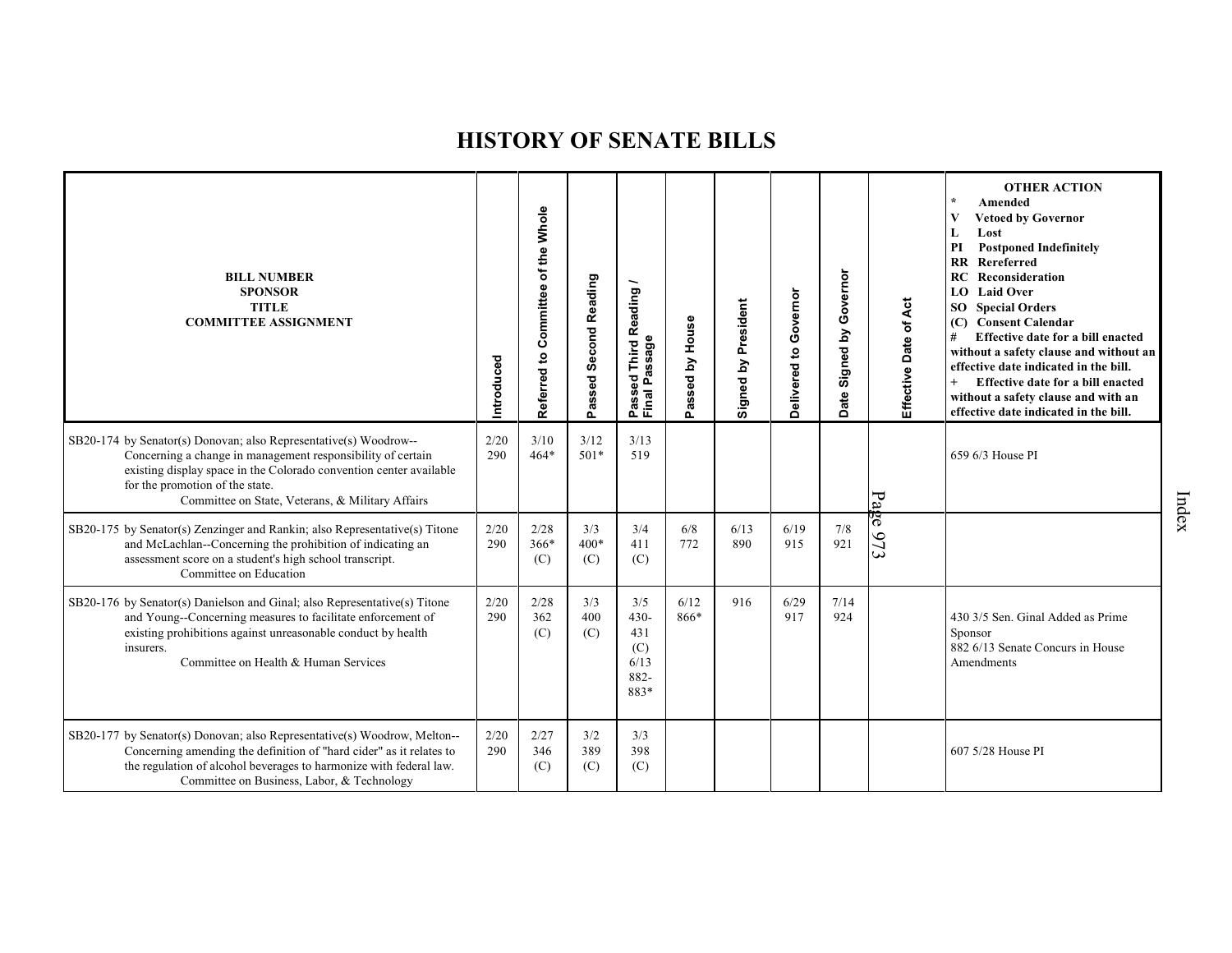| <b>BILL NUMBER</b><br><b>SPONSOR</b><br><b>TITLE</b><br><b>COMMITTEE ASSIGNMENT</b>                                                                                                                                                                                                          | ntroduced   | of the Whole<br>Committee<br>$\mathbf{S}$<br>Referred | Passed Second Reading | Reading<br>Passed Third R<br>Final Passage           | House<br>$\mathbf{\Sigma}$<br><b>ssed</b><br>ೲ<br>o. | Signed by President | Delivered to Governor | Governor<br>Signed by<br>ate<br>Δ | Effective Date of Act | <b>OTHER ACTION</b><br>Amended<br><b>Vetoed by Governor</b><br>Lost<br><b>Postponed Indefinitely</b><br>PI<br><b>RR</b> Rereferred<br>Reconsideration<br>RC<br>LO Laid Over<br><b>SO</b> Special Orders<br>(C) Consent Calendar<br>Effective date for a bill enacted<br>without a safety clause and without an<br>effective date indicated in the bill.<br>$+$<br>Effective date for a bill enacted<br>without a safety clause and with an<br>effective date indicated in the bill. |
|----------------------------------------------------------------------------------------------------------------------------------------------------------------------------------------------------------------------------------------------------------------------------------------------|-------------|-------------------------------------------------------|-----------------------|------------------------------------------------------|------------------------------------------------------|---------------------|-----------------------|-----------------------------------|-----------------------|-------------------------------------------------------------------------------------------------------------------------------------------------------------------------------------------------------------------------------------------------------------------------------------------------------------------------------------------------------------------------------------------------------------------------------------------------------------------------------------|
| SB20-174 by Senator(s) Donovan; also Representative(s) Woodrow--<br>Concerning a change in management responsibility of certain<br>existing display space in the Colorado convention center available<br>for the promotion of the state.<br>Committee on State, Veterans, & Military Affairs | 2/20<br>290 | 3/10<br>$464*$                                        | 3/12<br>$501*$        | 3/13<br>519                                          |                                                      |                     |                       |                                   | Page                  | 659 6/3 House PI                                                                                                                                                                                                                                                                                                                                                                                                                                                                    |
| SB20-175 by Senator(s) Zenzinger and Rankin; also Representative(s) Titone<br>and McLachlan--Concerning the prohibition of indicating an<br>assessment score on a student's high school transcript.<br>Committee on Education                                                                | 2/20<br>290 | 2/28<br>$366*$<br>(C)                                 | 3/3<br>$400*$<br>(C)  | 3/4<br>411<br>(C)                                    | 6/8<br>772                                           | 6/13<br>890         | 6/19<br>915           | 7/8<br>921                        | 673                   |                                                                                                                                                                                                                                                                                                                                                                                                                                                                                     |
| SB20-176 by Senator(s) Danielson and Ginal; also Representative(s) Titone<br>and Young--Concerning measures to facilitate enforcement of<br>existing prohibitions against unreasonable conduct by health<br>insurers.<br>Committee on Health & Human Services                                | 2/20<br>290 | 2/28<br>362<br>(C)                                    | 3/3<br>400<br>(C)     | 3/5<br>$430 -$<br>431<br>(C)<br>6/13<br>882-<br>883* | 6/12<br>866*                                         | 916                 | 6/29<br>917           | 7/14<br>924                       |                       | 430 3/5 Sen. Ginal Added as Prime<br>Sponsor<br>882 6/13 Senate Concurs in House<br>Amendments                                                                                                                                                                                                                                                                                                                                                                                      |
| SB20-177 by Senator(s) Donovan; also Representative(s) Woodrow, Melton--<br>Concerning amending the definition of "hard cider" as it relates to<br>the regulation of alcohol beverages to harmonize with federal law.<br>Committee on Business, Labor, & Technology                          | 2/20<br>290 | 2/27<br>346<br>(C)                                    | 3/2<br>389<br>(C)     | 3/3<br>398<br>(C)                                    |                                                      |                     |                       |                                   |                       | 607 5/28 House PI                                                                                                                                                                                                                                                                                                                                                                                                                                                                   |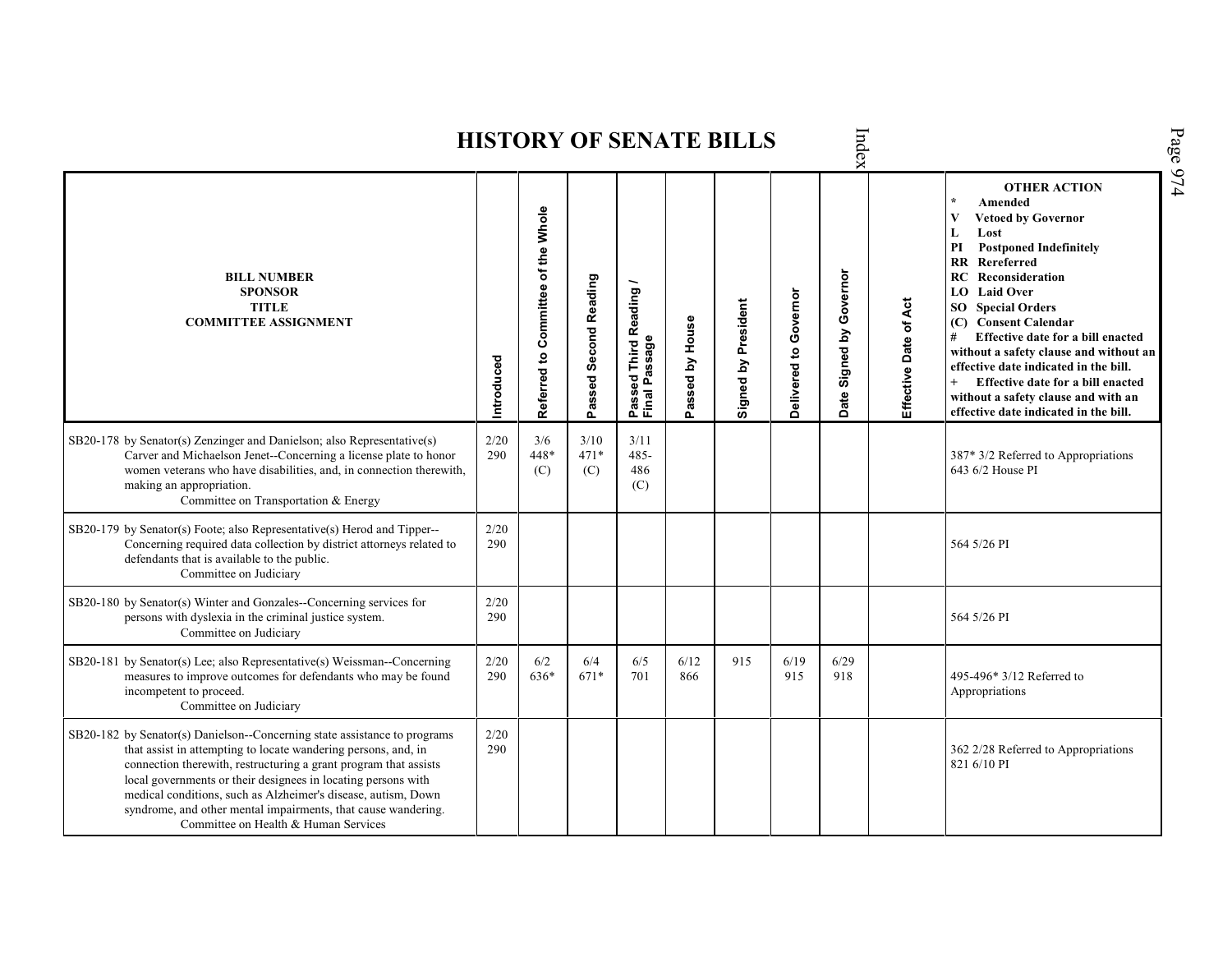Index Page 974 **HISTORY OF SENATE BILLS OTHER ACTION \* Amended Referred to Com mittee of the Whole Vetoed by Governor L Lost PI Postponed Indefinitely RR Rereferred Date Signed by Governor BILL NUMBER RC Reconsideration Passed Second Reading Passed Third Reading /** Passed Third Reading<br>Final Passage **LO Laid Over SPONSOR** Delivered to Governor **Delivered to Governor** Effective Date of Act Signed by President **Effective Date of Act Signed by President SO Special Orders TITLE COMMITTEE ASSIGNMENT (C) Consent Calendar** Passed by House **Passed by House # Effective date for a bill enacted Final Passage without a safety clause and without an Introduced effective date indicated in the bill. + Effective date for a bill enacted without a safety clause and with an effective date indicated in the bill.**  2/20 SB20-178 by Senator(s) Zenzinger and Danielson; also Representative(s) 3/6 3/10 3/11 Carver and Michaelson Jenet--Concerning a license plate to honor 290 448\* 471\* 485- 387\* 3/2 Referred to Appropriations women veterans who have disabilities, and, in connection therewith, 643 6/2 House PI (C) (C) 486 making an appropriation. (C) Committee on Transportation & Energy SB20-179 by Senator(s) Foote; also Representative(s) Herod and Tipper-- 2/20 Concerning required data collection by district attorneys related to 290 364 5/26 PI defendants that is available to the public. Committee on Judiciary SB20-180 by Senator(s) Winter and Gonzales--Concerning services for 2/20 persons with dyslexia in the criminal justice system. 290 364 5/26 PI Committee on Judiciary SB20-181 by Senator(s) Lee; also Representative(s) Weissman--Concerning 2/20 6/2 6/4 6/5 6/12 915 6/19 6/29 290 671\* measures to improve outcomes for defendants who may be found 636\* 701 866 915 918 495-496\* 3/12 Referred to incompetent to proceed. Appropriations Committee on Judiciary SB20-182 by Senator(s) Danielson--Concerning state assistance to programs 2/20 that assist in attempting to locate wandering persons, and, in 290 362 2/28 Referred to Appropriations connection therewith, restructuring a grant program that assists 821 6/10 PIlocal governments or their designees in locating persons with medical conditions, such as Alzheimer's disease, autism, Down syndrome, and other mental impairments, that cause wandering. Committee on Health & Human Services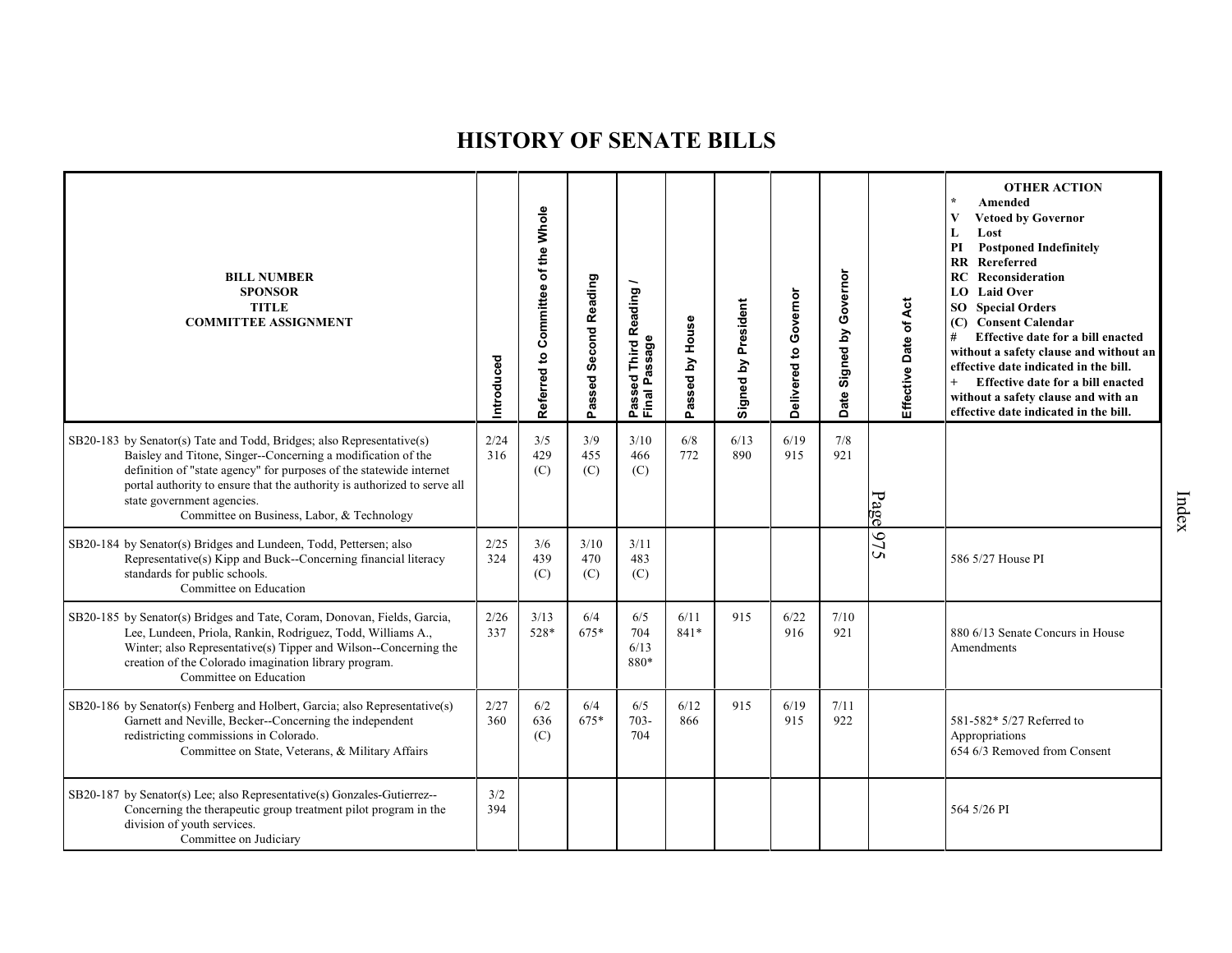| <b>BILL NUMBER</b><br><b>SPONSOR</b><br><b>TITLE</b><br><b>COMMITTEE ASSIGNMENT</b>                                                                                                                                                                                                                                                                                  | Introduced  | of the Whole<br>Committee<br>Referred to | Passed Second Reading | <b>Third Reading</b><br>Passed Third R<br>Final Passage | House<br>Issed by<br>혼 | Signed by President | Delivered to Governor | Governor<br>Δ<br>Signed I<br>Date | Effective Date of Act | <b>OTHER ACTION</b><br>Amended<br><b>Vetoed by Governor</b><br>Lost<br>L<br><b>Postponed Indefinitely</b><br>PI<br>RR Rereferred<br>Reconsideration<br><b>RC</b><br><b>LO</b> Laid Over<br><b>SO</b> Special Orders<br>(C) Consent Calendar<br>#<br>Effective date for a bill enacted<br>without a safety clause and without an<br>effective date indicated in the bill.<br>Effective date for a bill enacted<br>$^{+}$<br>without a safety clause and with an<br>effective date indicated in the bill. |
|----------------------------------------------------------------------------------------------------------------------------------------------------------------------------------------------------------------------------------------------------------------------------------------------------------------------------------------------------------------------|-------------|------------------------------------------|-----------------------|---------------------------------------------------------|------------------------|---------------------|-----------------------|-----------------------------------|-----------------------|---------------------------------------------------------------------------------------------------------------------------------------------------------------------------------------------------------------------------------------------------------------------------------------------------------------------------------------------------------------------------------------------------------------------------------------------------------------------------------------------------------|
| SB20-183 by Senator(s) Tate and Todd, Bridges; also Representative(s)<br>Baisley and Titone, Singer--Concerning a modification of the<br>definition of "state agency" for purposes of the statewide internet<br>portal authority to ensure that the authority is authorized to serve all<br>state government agencies.<br>Committee on Business, Labor, & Technology | 2/24<br>316 | 3/5<br>429<br>(C)                        | 3/9<br>455<br>(C)     | 3/10<br>466<br>(C)                                      | 6/8<br>772             | 6/13<br>890         | 6/19<br>915           | 7/8<br>921                        | Page                  |                                                                                                                                                                                                                                                                                                                                                                                                                                                                                                         |
| SB20-184 by Senator(s) Bridges and Lundeen, Todd, Pettersen; also<br>Representative(s) Kipp and Buck--Concerning financial literacy<br>standards for public schools.<br>Committee on Education                                                                                                                                                                       | 2/25<br>324 | 3/6<br>439<br>(C)                        | 3/10<br>470<br>(C)    | 3/11<br>483<br>(C)                                      |                        |                     |                       |                                   | 6/5                   | 586 5/27 House PI                                                                                                                                                                                                                                                                                                                                                                                                                                                                                       |
| SB20-185 by Senator(s) Bridges and Tate, Coram, Donovan, Fields, Garcia,<br>Lee, Lundeen, Priola, Rankin, Rodriguez, Todd, Williams A.,<br>Winter; also Representative(s) Tipper and Wilson--Concerning the<br>creation of the Colorado imagination library program.<br>Committee on Education                                                                       | 2/26<br>337 | 3/13<br>528*                             | 6/4<br>675*           | 6/5<br>704<br>6/13<br>880*                              | 6/11<br>$841*$         | 915                 | 6/22<br>916           | 7/10<br>921                       |                       | 880 6/13 Senate Concurs in House<br>Amendments                                                                                                                                                                                                                                                                                                                                                                                                                                                          |
| SB20-186 by Senator(s) Fenberg and Holbert, Garcia; also Representative(s)<br>Garnett and Neville, Becker--Concerning the independent<br>redistricting commissions in Colorado.<br>Committee on State, Veterans, & Military Affairs                                                                                                                                  | 2/27<br>360 | 6/2<br>636<br>(C)                        | 6/4<br>675*           | 6/5<br>$703 -$<br>704                                   | 6/12<br>866            | 915                 | 6/19<br>915           | 7/11<br>922                       |                       | 581-582* 5/27 Referred to<br>Appropriations<br>654 6/3 Removed from Consent                                                                                                                                                                                                                                                                                                                                                                                                                             |
| SB20-187 by Senator(s) Lee; also Representative(s) Gonzales-Gutierrez--<br>Concerning the therapeutic group treatment pilot program in the<br>division of youth services.<br>Committee on Judiciary                                                                                                                                                                  | 3/2<br>394  |                                          |                       |                                                         |                        |                     |                       |                                   |                       | 564 5/26 PI                                                                                                                                                                                                                                                                                                                                                                                                                                                                                             |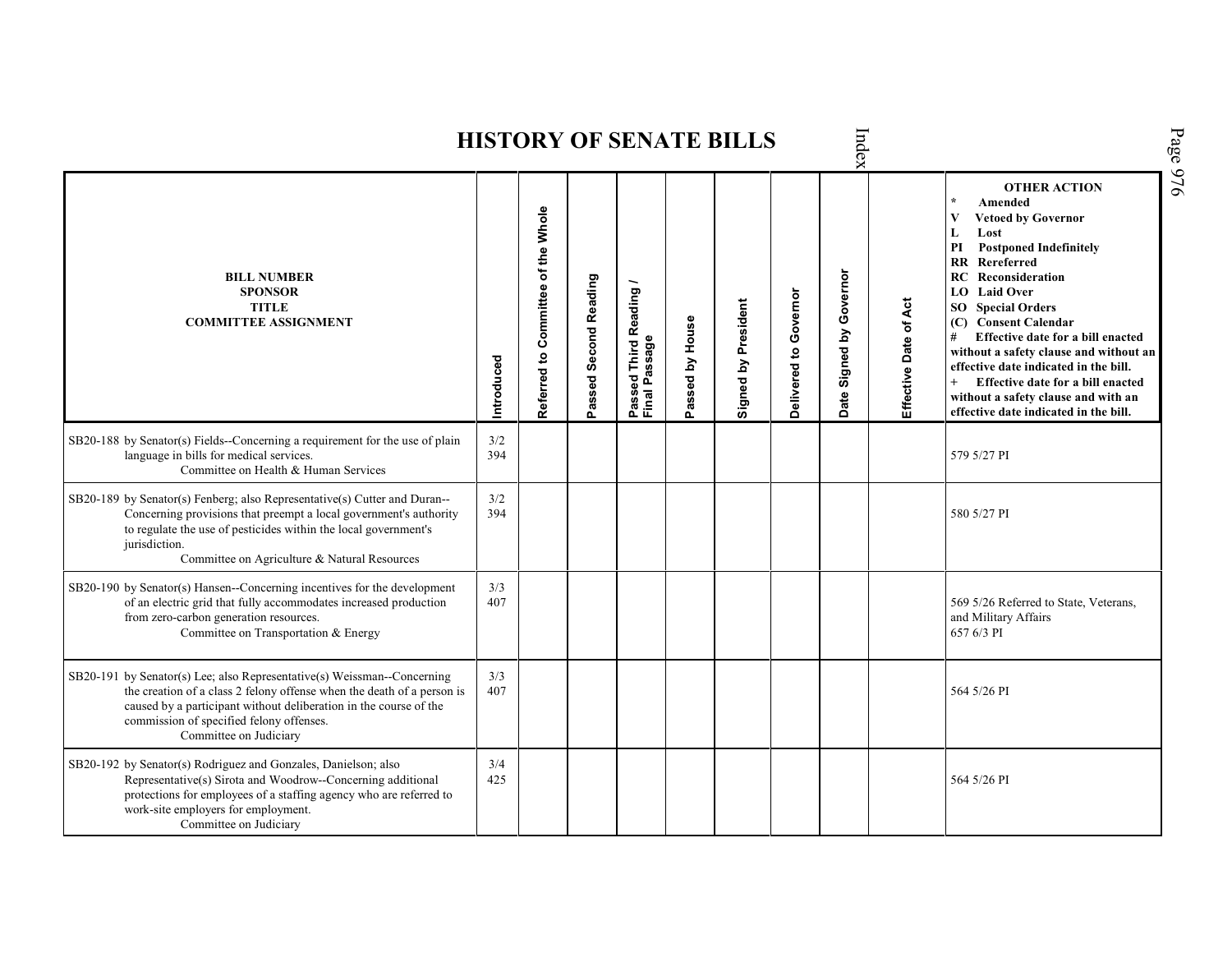Page 976 Index **HISTORY OF SENATE BILLS OTHER ACTION \* Amended Referred to Com mittee of the Whole Vetoed by Governor L Lost PI Postponed Indefinitely RR Rereferred Date Signed by Governor BILL NUMBER RC Reconsideration Passed Second Reading** Passed Third Reading /<br>Final Passage **Passed Third Reading / LO Laid Over SPONSOR** Delivered to Governor **Delivered to Governor** Signed by President Effective Date of Act **Effective Date of Act Signed by President SO Special Orders TITLE COMMITTEE ASSIGNMENT (C) Consent Calendar** Passed by House **Passed by House # Effective date for a bill enacted Final Passage without a safety clause and without an Introduced effective date indicated in the bill. + Effective date for a bill enacted without a safety clause and with an effective date indicated in the bill.**  SB20-188 by Senator(s) Fields--Concerning a requirement for the use of plain  $3/2$ <br>394 language in bills for medical services. 579 5/27 PI Committee on Health & Human Services SB20-189 by Senator(s) Fenberg; also Representative(s) Cutter and Duran--  $3/2$ <br>394 Concerning provisions that preempt a local government's authority 394 580 5/27 PI to regulate the use of pesticides within the local government's jurisdiction. Committee on Agriculture & Natural Resources SB20-190 by Senator(s) Hansen--Concerning incentives for the development  $3/3$ <br>407 of an electric grid that fully accommodates increased production 569 5/26 Referred to State, Veterans, from zero-carbon generation resources. and Military Affairs Committee on Transportation & Energy 657 6/3 PI 3/3 SB20-191 by Senator(s) Lee; also Representative(s) Weissman--Concerning the creation of a class 2 felony offense when the death of a person is 407 564 5/26 PI caused by a participant without deliberation in the course of the commission of specified felony offenses. Committee on Judiciary SB20-192 by Senator(s) Rodriguez and Gonzales, Danielson; also 3/4 Representative(s) Sirota and Woodrow--Concerning additional 425 564 5/26 PIprotections for employees of a staffing agency who are referred to work-site employers for employment. Committee on Judiciary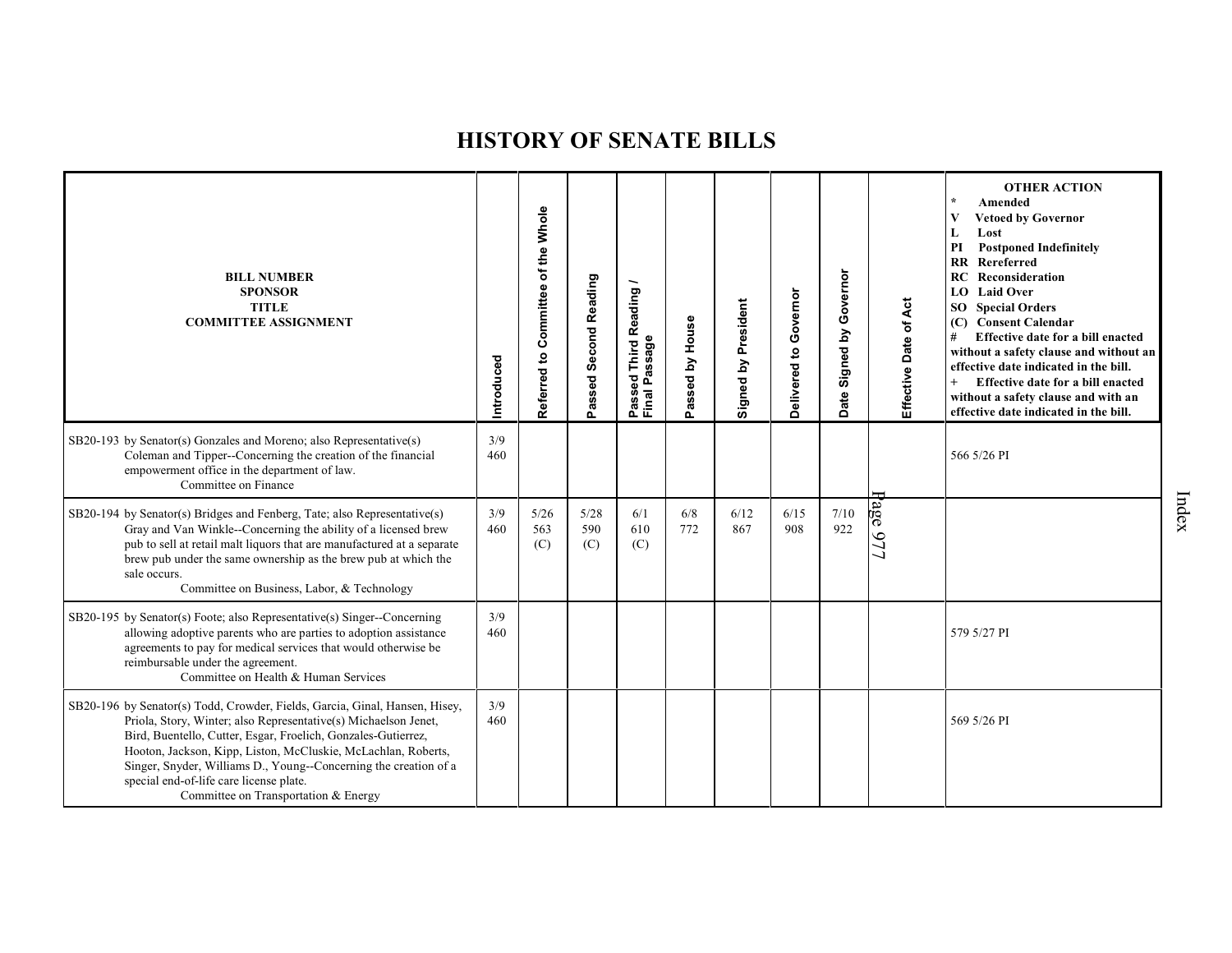| <b>BILL NUMBER</b><br><b>SPONSOR</b><br><b>TITLE</b><br><b>COMMITTEE ASSIGNMENT</b>                                                                                                                                                                                                                                                                                                                                                     | Introduced | Referred to Committee of the Whole | Passed Second Reading | Reading<br>sage<br>Third<br>Ŵ,<br>ᠭᡦ<br>g<br>≏<br>Pass<br>Final | Passed by House | Signed by President | Governor<br>Delivered to | Governor<br>Date Signed by | Effective Date of Act | <b>OTHER ACTION</b><br>$\star$<br>Amended<br>V<br><b>Vetoed by Governor</b><br>Lost<br>L<br><b>Postponed Indefinitely</b><br>PI<br>Rereferred<br>$\mathbf{R}$<br>RC<br>Reconsideration<br>LO Laid Over<br><b>SO</b> Special Orders<br>(C) Consent Calendar<br>Effective date for a bill enacted<br>#<br>without a safety clause and without an<br>effective date indicated in the bill.<br>Effective date for a bill enacted<br>without a safety clause and with an<br>effective date indicated in the bill. |
|-----------------------------------------------------------------------------------------------------------------------------------------------------------------------------------------------------------------------------------------------------------------------------------------------------------------------------------------------------------------------------------------------------------------------------------------|------------|------------------------------------|-----------------------|-----------------------------------------------------------------|-----------------|---------------------|--------------------------|----------------------------|-----------------------|--------------------------------------------------------------------------------------------------------------------------------------------------------------------------------------------------------------------------------------------------------------------------------------------------------------------------------------------------------------------------------------------------------------------------------------------------------------------------------------------------------------|
| SB20-193 by Senator(s) Gonzales and Moreno; also Representative(s)<br>Coleman and Tipper--Concerning the creation of the financial<br>empowerment office in the department of law.<br>Committee on Finance                                                                                                                                                                                                                              | 3/9<br>460 |                                    |                       |                                                                 |                 |                     |                          |                            |                       | 566 5/26 PI                                                                                                                                                                                                                                                                                                                                                                                                                                                                                                  |
| SB20-194 by Senator(s) Bridges and Fenberg, Tate; also Representative(s)<br>Gray and Van Winkle--Concerning the ability of a licensed brew<br>pub to sell at retail malt liquors that are manufactured at a separate<br>brew pub under the same ownership as the brew pub at which the<br>sale occurs.<br>Committee on Business, Labor, & Technology                                                                                    | 3/9<br>460 | 5/26<br>563<br>(C)                 | 5/28<br>590<br>(C)    | 6/1<br>610<br>(C)                                               | 6/8<br>772      | 6/12<br>867         | 6/15<br>908              | 7/10<br>922                | <b>Page 977</b>       |                                                                                                                                                                                                                                                                                                                                                                                                                                                                                                              |
| SB20-195 by Senator(s) Foote; also Representative(s) Singer--Concerning<br>allowing adoptive parents who are parties to adoption assistance<br>agreements to pay for medical services that would otherwise be<br>reimbursable under the agreement.<br>Committee on Health & Human Services                                                                                                                                              | 3/9<br>460 |                                    |                       |                                                                 |                 |                     |                          |                            |                       | 579 5/27 PI                                                                                                                                                                                                                                                                                                                                                                                                                                                                                                  |
| SB20-196 by Senator(s) Todd, Crowder, Fields, Garcia, Ginal, Hansen, Hisey,<br>Priola, Story, Winter; also Representative(s) Michaelson Jenet,<br>Bird, Buentello, Cutter, Esgar, Froelich, Gonzales-Gutierrez,<br>Hooton, Jackson, Kipp, Liston, McCluskie, McLachlan, Roberts,<br>Singer, Snyder, Williams D., Young--Concerning the creation of a<br>special end-of-life care license plate.<br>Committee on Transportation & Energy | 3/9<br>460 |                                    |                       |                                                                 |                 |                     |                          |                            |                       | 569 5/26 PI                                                                                                                                                                                                                                                                                                                                                                                                                                                                                                  |

Index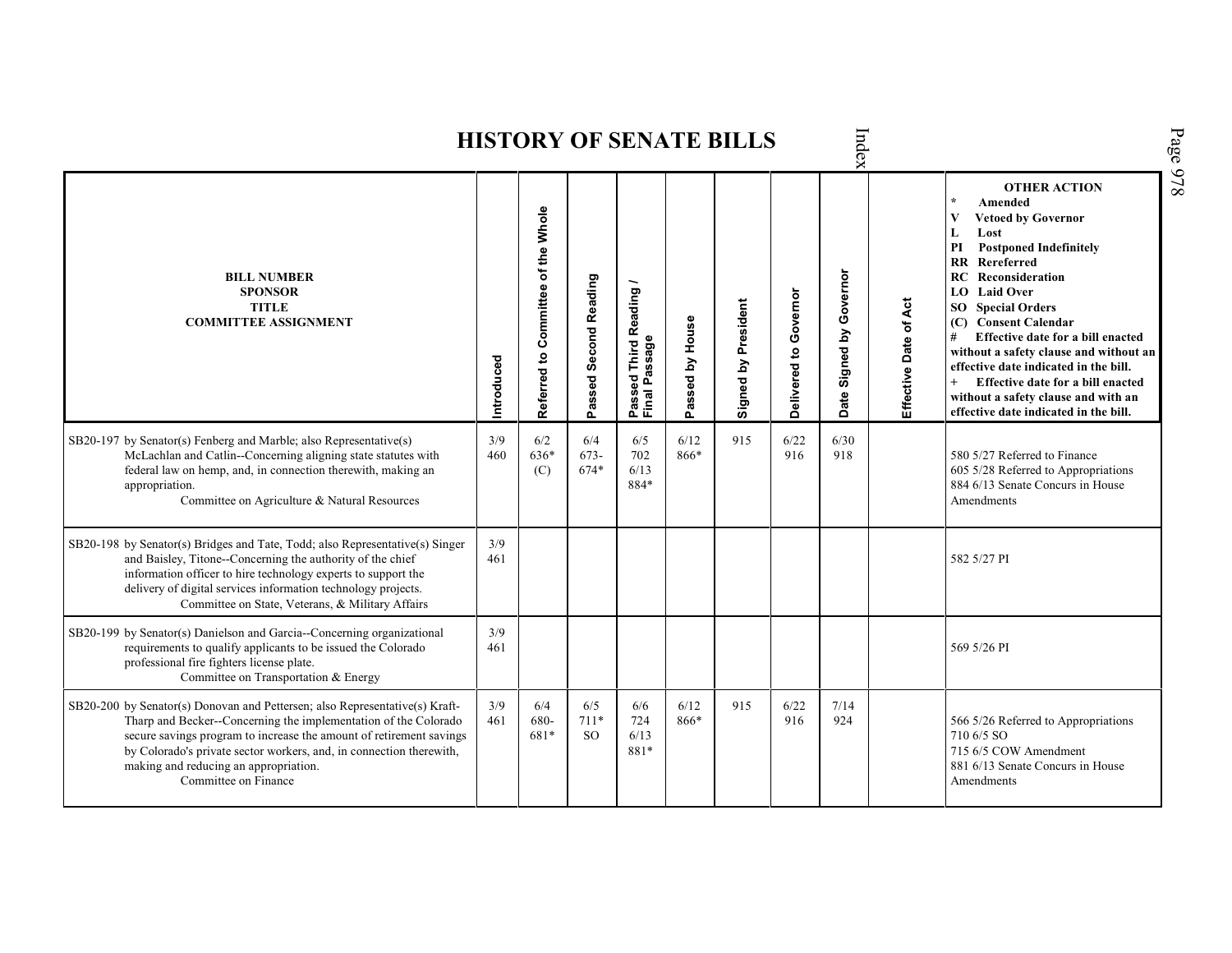|                                                                                                                                                                                                                                                                                                                                                               |            |                                    |                       |                                                                  |                 | <b>HISTORY OF SENATE BILLS</b> |                       | Index                                |                       |                                                                                                                                                                                                                                                                                                                                                                                                                                                                                                           |
|---------------------------------------------------------------------------------------------------------------------------------------------------------------------------------------------------------------------------------------------------------------------------------------------------------------------------------------------------------------|------------|------------------------------------|-----------------------|------------------------------------------------------------------|-----------------|--------------------------------|-----------------------|--------------------------------------|-----------------------|-----------------------------------------------------------------------------------------------------------------------------------------------------------------------------------------------------------------------------------------------------------------------------------------------------------------------------------------------------------------------------------------------------------------------------------------------------------------------------------------------------------|
| <b>BILL NUMBER</b><br><b>SPONSOR</b><br><b>TITLE</b><br><b>COMMITTEE ASSIGNMENT</b>                                                                                                                                                                                                                                                                           | Introduced | Referred to Committee of the Whole | Passed Second Reading | Reading<br>ssage<br>Third I<br>ᠭᢐ<br>್ಥಾ<br>Δ.<br>Passe<br>Final | Passed by House | Signed by President            | Delivered to Governor | Governor<br>Signed by<br><b>Date</b> | Effective Date of Act | <b>OTHER ACTION</b><br>$\star$<br>Amended<br>V<br><b>Vetoed by Governor</b><br>L<br>Lost<br><b>Postponed Indefinitely</b><br>PI<br>RR<br>Rereferred<br>Reconsideration<br>RC<br><b>LO</b> Laid Over<br><b>SO</b> Special Orders<br>(C) Consent Calendar<br>Effective date for a bill enacted<br>#<br>without a safety clause and without an<br>effective date indicated in the bill.<br>Effective date for a bill enacted<br>without a safety clause and with an<br>effective date indicated in the bill. |
| SB20-197 by Senator(s) Fenberg and Marble; also Representative(s)<br>McLachlan and Catlin--Concerning aligning state statutes with<br>federal law on hemp, and, in connection therewith, making an<br>appropriation.<br>Committee on Agriculture & Natural Resources                                                                                          | 3/9<br>460 | 6/2<br>636*<br>(C)                 | 6/4<br>$673-$<br>674* | 6/5<br>702<br>6/13<br>884*                                       | 6/12<br>866*    | 915                            | 6/22<br>916           | 6/30<br>918                          |                       | 580 5/27 Referred to Finance<br>605 5/28 Referred to Appropriations<br>884 6/13 Senate Concurs in House<br>Amendments                                                                                                                                                                                                                                                                                                                                                                                     |
| SB20-198 by Senator(s) Bridges and Tate, Todd; also Representative(s) Singer<br>and Baisley, Titone--Concerning the authority of the chief<br>information officer to hire technology experts to support the<br>delivery of digital services information technology projects.<br>Committee on State, Veterans, & Military Affairs                              | 3/9<br>461 |                                    |                       |                                                                  |                 |                                |                       |                                      |                       | 582 5/27 PI                                                                                                                                                                                                                                                                                                                                                                                                                                                                                               |
| SB20-199 by Senator(s) Danielson and Garcia--Concerning organizational<br>requirements to qualify applicants to be issued the Colorado<br>professional fire fighters license plate.<br>Committee on Transportation & Energy                                                                                                                                   | 3/9<br>461 |                                    |                       |                                                                  |                 |                                |                       |                                      |                       | 569 5/26 PI                                                                                                                                                                                                                                                                                                                                                                                                                                                                                               |
| SB20-200 by Senator(s) Donovan and Pettersen; also Representative(s) Kraft-<br>Tharp and Becker--Concerning the implementation of the Colorado<br>secure savings program to increase the amount of retirement savings<br>by Colorado's private sector workers, and, in connection therewith,<br>making and reducing an appropriation.<br>Committee on Finance | 3/9<br>461 | 6/4<br>680-<br>681*                | 6/5<br>$711*$<br>SO.  | 6/6<br>724<br>6/13<br>881*                                       | 6/12<br>866*    | 915                            | 6/22<br>916           | 7/14<br>924                          |                       | 566 5/26 Referred to Appropriations<br>710 6/5 SO<br>715 6/5 COW Amendment<br>881 6/13 Senate Concurs in House<br>Amendments                                                                                                                                                                                                                                                                                                                                                                              |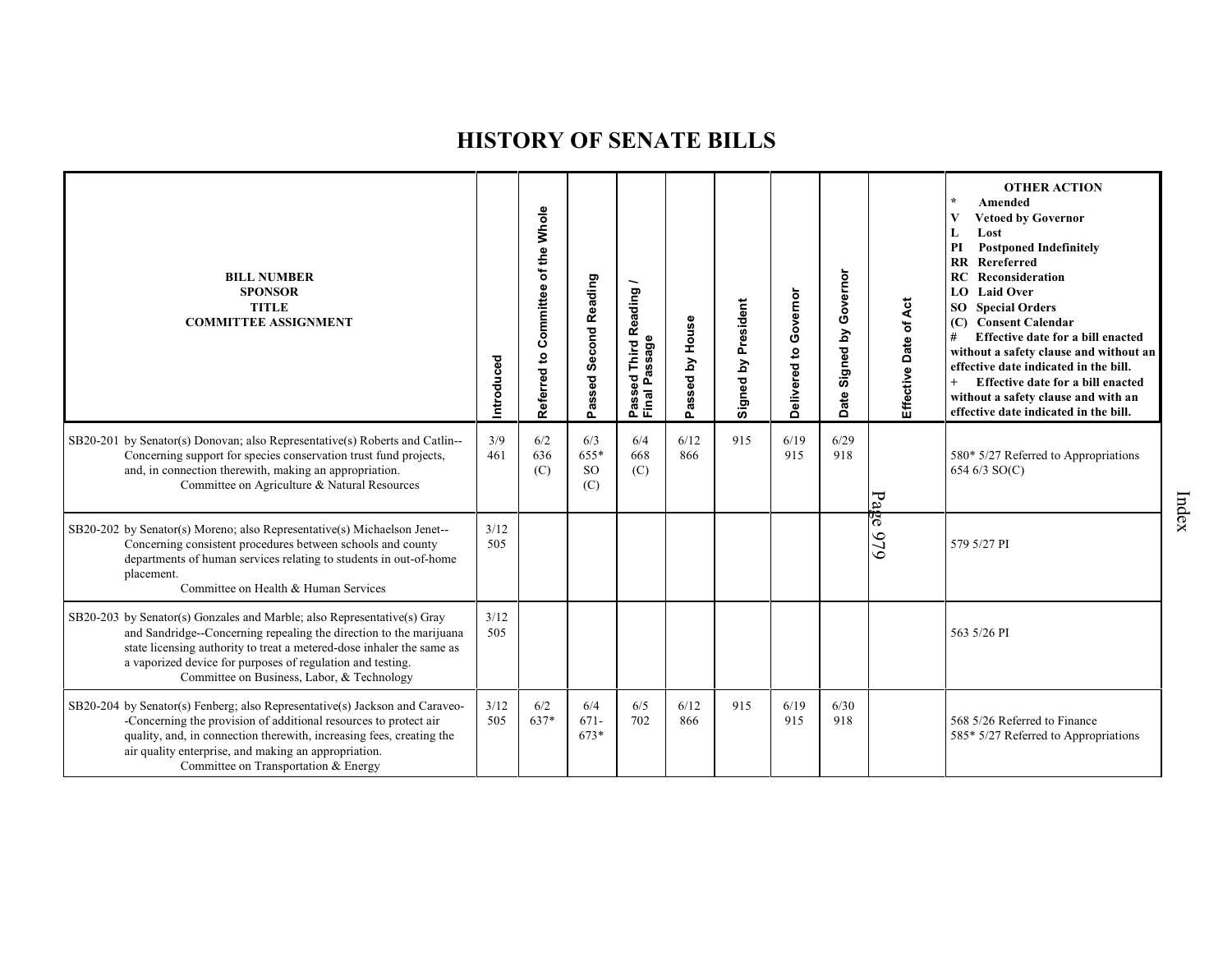| <b>BILL NUMBER</b><br><b>SPONSOR</b><br><b>TITLE</b><br><b>COMMITTEE ASSIGNMENT</b>                                                                                                                                                                                                                                               | Introduced  | of the Whole<br>Committee<br>Referred to | Passed Second Reading           | Third Reading /<br>Passed Third R<br>Final Passage | House<br>assed by<br>ء | Signed by President | Governor<br>Delivered to | Governor<br>Signed by<br>Date | Effective Date of Act | <b>OTHER ACTION</b><br>Amended<br><b>Vetoed by Governor</b><br>Lost<br>L<br><b>Postponed Indefinitely</b><br>PI<br><b>RR</b> Rereferred<br><b>RC</b> Reconsideration<br>LO Laid Over<br><b>SO</b> Special Orders<br>(C) Consent Calendar<br>#<br>Effective date for a bill enacted<br>without a safety clause and without an<br>effective date indicated in the bill.<br>Effective date for a bill enacted<br>without a safety clause and with an<br>effective date indicated in the bill. |
|-----------------------------------------------------------------------------------------------------------------------------------------------------------------------------------------------------------------------------------------------------------------------------------------------------------------------------------|-------------|------------------------------------------|---------------------------------|----------------------------------------------------|------------------------|---------------------|--------------------------|-------------------------------|-----------------------|--------------------------------------------------------------------------------------------------------------------------------------------------------------------------------------------------------------------------------------------------------------------------------------------------------------------------------------------------------------------------------------------------------------------------------------------------------------------------------------------|
| SB20-201 by Senator(s) Donovan; also Representative(s) Roberts and Catlin--<br>Concerning support for species conservation trust fund projects,<br>and, in connection therewith, making an appropriation.<br>Committee on Agriculture & Natural Resources                                                                         | 3/9<br>461  | 6/2<br>636<br>(C)                        | 6/3<br>655*<br><b>SO</b><br>(C) | 6/4<br>668<br>(C)                                  | 6/12<br>866            | 915                 | 6/19<br>915              | 6/29<br>918                   | Page                  | 580* 5/27 Referred to Appropriations<br>654 6/3 SO(C)                                                                                                                                                                                                                                                                                                                                                                                                                                      |
| SB20-202 by Senator(s) Moreno; also Representative(s) Michaelson Jenet--<br>Concerning consistent procedures between schools and county<br>departments of human services relating to students in out-of-home<br>placement.<br>Committee on Health & Human Services                                                                | 3/12<br>505 |                                          |                                 |                                                    |                        |                     |                          |                               | 979                   | 579 5/27 PI                                                                                                                                                                                                                                                                                                                                                                                                                                                                                |
| SB20-203 by Senator(s) Gonzales and Marble; also Representative(s) Gray<br>and Sandridge-Concerning repealing the direction to the marijuana<br>state licensing authority to treat a metered-dose inhaler the same as<br>a vaporized device for purposes of regulation and testing.<br>Committee on Business, Labor, & Technology | 3/12<br>505 |                                          |                                 |                                                    |                        |                     |                          |                               |                       | 563 5/26 PI                                                                                                                                                                                                                                                                                                                                                                                                                                                                                |
| SB20-204 by Senator(s) Fenberg; also Representative(s) Jackson and Caraveo-<br>-Concerning the provision of additional resources to protect air<br>quality, and, in connection therewith, increasing fees, creating the<br>air quality enterprise, and making an appropriation.<br>Committee on Transportation & Energy           | 3/12<br>505 | 6/2<br>637*                              | 6/4<br>$671-$<br>673*           | 6/5<br>702                                         | 6/12<br>866            | 915                 | 6/19<br>915              | 6/30<br>918                   |                       | 568 5/26 Referred to Finance<br>585* 5/27 Referred to Appropriations                                                                                                                                                                                                                                                                                                                                                                                                                       |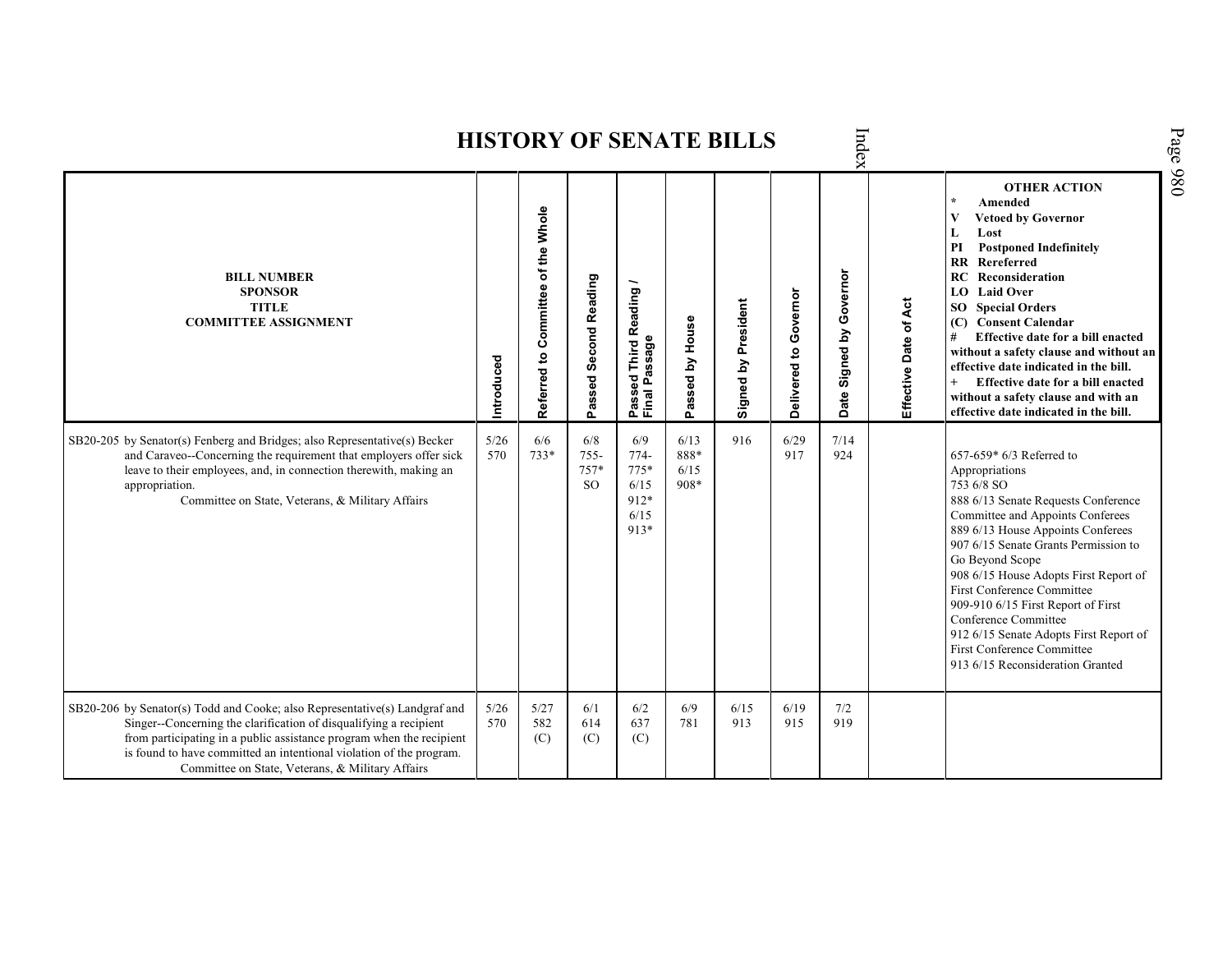|                                                                                                                                                                                                                                                                                                                                                    |             |                                    |                                 |                                                                        |                              | <b>HISTORY OF SENATE BILLS</b> |                       | Index                         |                          |                                                                                                                                                                                                                                                                                                                                                                                                                                                                                                                                  |
|----------------------------------------------------------------------------------------------------------------------------------------------------------------------------------------------------------------------------------------------------------------------------------------------------------------------------------------------------|-------------|------------------------------------|---------------------------------|------------------------------------------------------------------------|------------------------------|--------------------------------|-----------------------|-------------------------------|--------------------------|----------------------------------------------------------------------------------------------------------------------------------------------------------------------------------------------------------------------------------------------------------------------------------------------------------------------------------------------------------------------------------------------------------------------------------------------------------------------------------------------------------------------------------|
| <b>BILL NUMBER</b><br><b>SPONSOR</b><br><b>TITLE</b><br><b>COMMITTEE ASSIGNMENT</b>                                                                                                                                                                                                                                                                | Introduced  | Referred to Committee of the Whole | Passed Second Reading           | Reading<br><b>issage</b><br>Third I<br>œ<br>ဥ္စ<br>ء<br>Passe<br>Final | by House<br>Passed           | Signed by President            | Delivered to Governor | Governor<br>Signed by<br>Date | of Act<br>Effective Date | <b>OTHER ACTION</b><br>$\star$<br>Amended<br>$\mathbf{V}$<br><b>Vetoed by Governor</b><br>L<br>Lost<br><b>Postponed Indefinitely</b><br>PI<br>$\mathbf{R}$<br>Rereferred<br><b>RC</b> Reconsideration<br>LO Laid Over<br><b>SO</b> Special Orders<br>(C) Consent Calendar<br>Effective date for a bill enacted<br>without a safety clause and without an<br>effective date indicated in the bill.<br>Effective date for a bill enacted<br>$^{+}$<br>without a safety clause and with an<br>effective date indicated in the bill. |
| SB20-205 by Senator(s) Fenberg and Bridges; also Representative(s) Becker<br>and Caraveo--Concerning the requirement that employers offer sick<br>leave to their employees, and, in connection therewith, making an<br>appropriation.<br>Committee on State, Veterans, & Military Affairs                                                          | 5/26<br>570 | 6/6<br>733*                        | 6/8<br>$755 -$<br>$757*$<br>SO. | 6/9<br>$774-$<br>$775*$<br>6/15<br>912*<br>6/15<br>913*                | 6/13<br>888*<br>6/15<br>908* | 916                            | 6/29<br>917           | 7/14<br>924                   |                          | 657-659* 6/3 Referred to<br>Appropriations<br>753 6/8 SO<br>888 6/13 Senate Requests Conference<br>Committee and Appoints Conferees<br>889 6/13 House Appoints Conferees<br>907 6/15 Senate Grants Permission to<br>Go Beyond Scope<br>908 6/15 House Adopts First Report of<br>First Conference Committee<br>909-910 6/15 First Report of First<br>Conference Committee<br>912 6/15 Senate Adopts First Report of<br><b>First Conference Committee</b><br>913 6/15 Reconsideration Granted                                      |
| SB20-206 by Senator(s) Todd and Cooke; also Representative(s) Landgraf and<br>Singer--Concerning the clarification of disqualifying a recipient<br>from participating in a public assistance program when the recipient<br>is found to have committed an intentional violation of the program.<br>Committee on State, Veterans, & Military Affairs | 5/26<br>570 | 5/27<br>582<br>(C)                 | 6/1<br>614<br>(C)               | 6/2<br>637<br>(C)                                                      | 6/9<br>781                   | 6/15<br>913                    | 6/19<br>915           | 7/2<br>919                    |                          |                                                                                                                                                                                                                                                                                                                                                                                                                                                                                                                                  |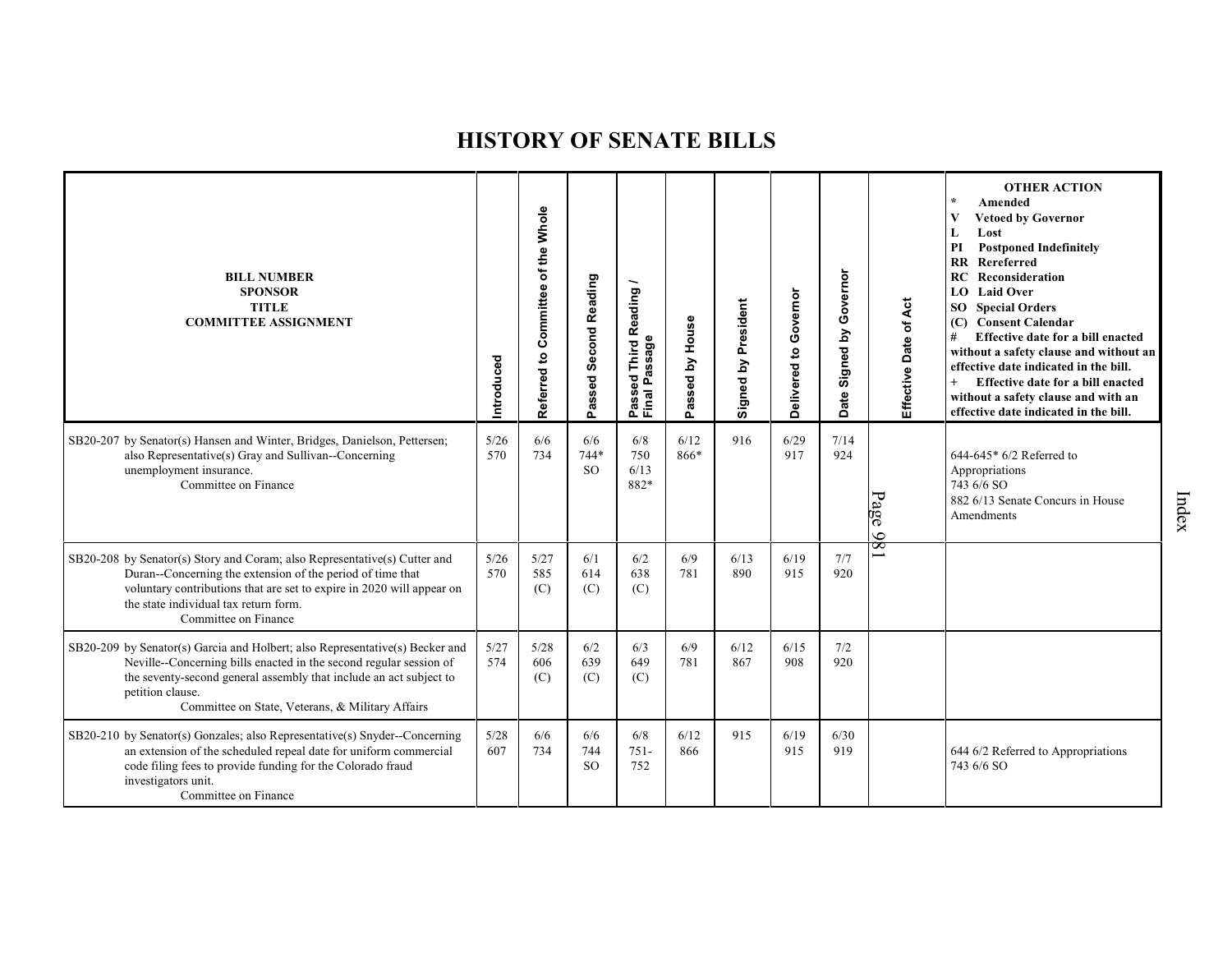| <b>BILL NUMBER</b><br><b>SPONSOR</b><br><b>TITLE</b><br><b>COMMITTEE ASSIGNMENT</b>                                                                                                                                                                                                              | Introduced  | of the Whole<br>Committee<br>Referred to | Passed Second Reading          | Reading<br>Passed Third R<br>Final Passage | House<br>λá<br>Passed | Signed by President | Governor<br>Delivered to | Governor<br>Signed by<br>ate<br>$\Omega$ | Effective Date of Act | <b>OTHER ACTION</b><br>Amended<br><b>Vetoed by Governor</b><br>Lost<br>L<br><b>Postponed Indefinitely</b><br>PI<br>Rereferred<br>$\mathbf{R}$<br>Reconsideration<br>RC<br><b>LO</b> Laid Over<br><b>SO</b> Special Orders<br><b>Consent Calendar</b><br>(C)<br>#<br>Effective date for a bill enacted<br>without a safety clause and without an<br>effective date indicated in the bill.<br>Effective date for a bill enacted<br>without a safety clause and with an<br>effective date indicated in the bill. |
|--------------------------------------------------------------------------------------------------------------------------------------------------------------------------------------------------------------------------------------------------------------------------------------------------|-------------|------------------------------------------|--------------------------------|--------------------------------------------|-----------------------|---------------------|--------------------------|------------------------------------------|-----------------------|---------------------------------------------------------------------------------------------------------------------------------------------------------------------------------------------------------------------------------------------------------------------------------------------------------------------------------------------------------------------------------------------------------------------------------------------------------------------------------------------------------------|
| SB20-207 by Senator(s) Hansen and Winter, Bridges, Danielson, Pettersen;<br>also Representative(s) Gray and Sullivan--Concerning<br>unemployment insurance.<br>Committee on Finance                                                                                                              | 5/26<br>570 | 6/6<br>734                               | 6/6<br>$744*$<br><sub>SO</sub> | 6/8<br>750<br>6/13<br>882*                 | 6/12<br>866*          | 916                 | 6/29<br>917              | 7/14<br>924                              | Page<br>86            | 644-645* 6/2 Referred to<br>Appropriations<br>743 6/6 SO<br>882 6/13 Senate Concurs in House<br>Amendments                                                                                                                                                                                                                                                                                                                                                                                                    |
| SB20-208 by Senator(s) Story and Coram; also Representative(s) Cutter and<br>Duran--Concerning the extension of the period of time that<br>voluntary contributions that are set to expire in 2020 will appear on<br>the state individual tax return form.<br>Committee on Finance                | 5/26<br>570 | 5/27<br>585<br>(C)                       | 6/1<br>614<br>(C)              | 6/2<br>638<br>(C)                          | 6/9<br>781            | 6/13<br>890         | 6/19<br>915              | 7/7<br>920                               |                       |                                                                                                                                                                                                                                                                                                                                                                                                                                                                                                               |
| SB20-209 by Senator(s) Garcia and Holbert; also Representative(s) Becker and<br>Neville--Concerning bills enacted in the second regular session of<br>the seventy-second general assembly that include an act subject to<br>petition clause.<br>Committee on State, Veterans, & Military Affairs | 5/27<br>574 | 5/28<br>606<br>(C)                       | 6/2<br>639<br>(C)              | 6/3<br>649<br>(C)                          | 6/9<br>781            | 6/12<br>867         | 6/15<br>908              | 7/2<br>920                               |                       |                                                                                                                                                                                                                                                                                                                                                                                                                                                                                                               |
| SB20-210 by Senator(s) Gonzales; also Representative(s) Snyder--Concerning<br>an extension of the scheduled repeal date for uniform commercial<br>code filing fees to provide funding for the Colorado fraud<br>investigators unit.<br>Committee on Finance                                      | 5/28<br>607 | 6/6<br>734                               | 6/6<br>744<br><sub>SO</sub>    | 6/8<br>$751 -$<br>752                      | 6/12<br>866           | 915                 | 6/19<br>915              | 6/30<br>919                              |                       | 644 6/2 Referred to Appropriations<br>743 6/6 SO                                                                                                                                                                                                                                                                                                                                                                                                                                                              |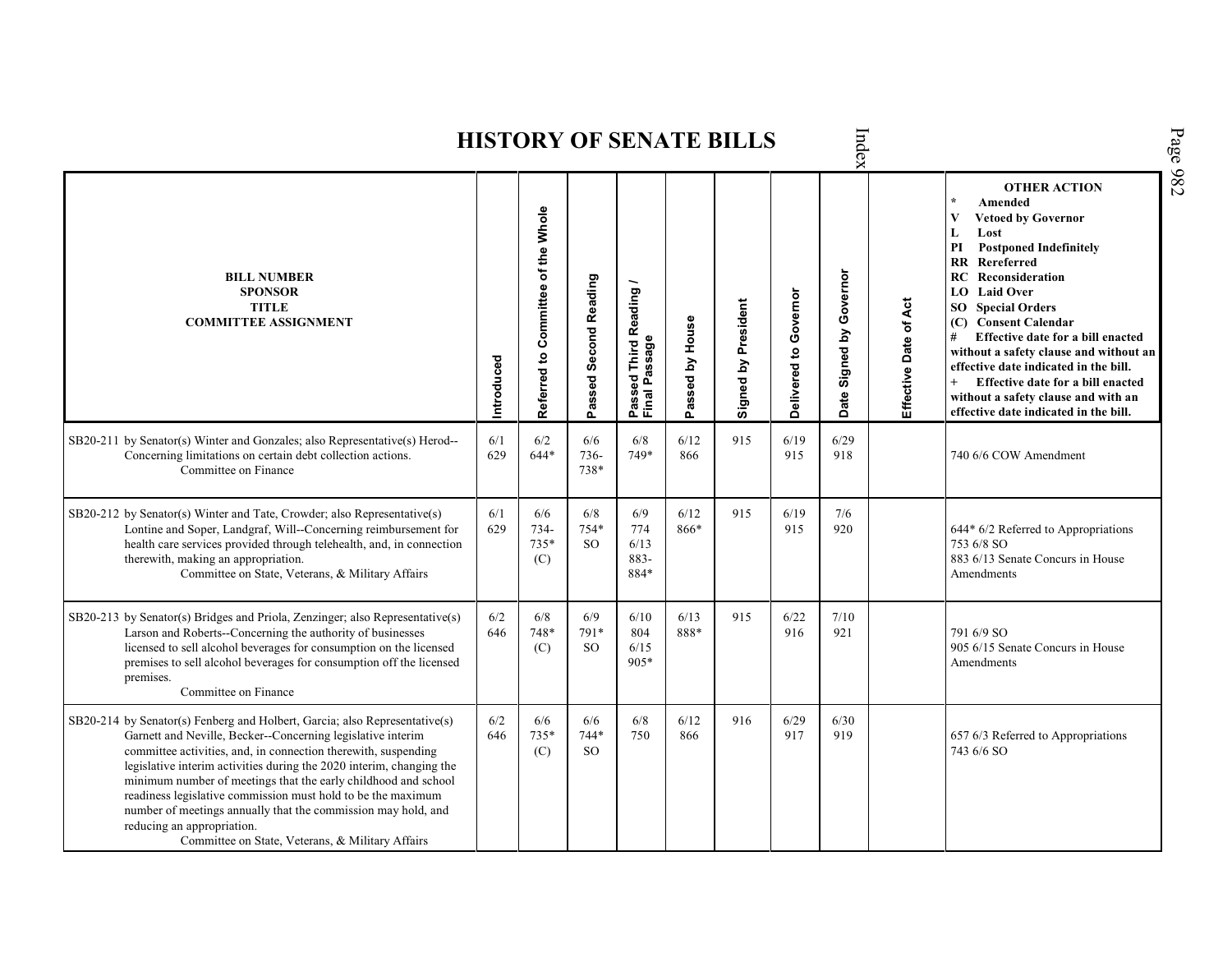| Index<br><b>HISTORY OF SENATE BILLS</b>                                                                                                                                                                                                                                                                                                                                                                                                                                                                                                                                  |            |                                    |                              |                                         |                 |                     |                       |                             |                       |                                                                                                                                                                                                                                                                                                                                                                                                                                                                                                                                    |  |  |  |
|--------------------------------------------------------------------------------------------------------------------------------------------------------------------------------------------------------------------------------------------------------------------------------------------------------------------------------------------------------------------------------------------------------------------------------------------------------------------------------------------------------------------------------------------------------------------------|------------|------------------------------------|------------------------------|-----------------------------------------|-----------------|---------------------|-----------------------|-----------------------------|-----------------------|------------------------------------------------------------------------------------------------------------------------------------------------------------------------------------------------------------------------------------------------------------------------------------------------------------------------------------------------------------------------------------------------------------------------------------------------------------------------------------------------------------------------------------|--|--|--|
| <b>BILL NUMBER</b><br><b>SPONSOR</b><br><b>TITLE</b><br><b>COMMITTEE ASSIGNMENT</b>                                                                                                                                                                                                                                                                                                                                                                                                                                                                                      | Introduced | Referred to Committee of the Whole | Passed Second Reading        | Passed Third Reading /<br>Final Passage | Passed by House | Signed by President | Delivered to Governor | Signed by Governor<br>Date: | Effective Date of Act | Page 982<br><b>OTHER ACTION</b><br>Amended<br><b>Vetoed by Governor</b><br>V<br>Lost<br>L<br><b>Postponed Indefinitely</b><br>PI<br><b>RR</b> Rereferred<br>RC<br>Reconsideration<br>LO<br><b>Laid Over</b><br><b>SO</b> Special Orders<br><b>Consent Calendar</b><br>(C)<br>Effective date for a bill enacted<br>#<br>without a safety clause and without an<br>effective date indicated in the bill.<br>Effective date for a bill enacted<br>$+$<br>without a safety clause and with an<br>effective date indicated in the bill. |  |  |  |
| SB20-211 by Senator(s) Winter and Gonzales; also Representative(s) Herod--<br>Concerning limitations on certain debt collection actions.<br>Committee on Finance                                                                                                                                                                                                                                                                                                                                                                                                         | 6/1<br>629 | 6/2<br>$644*$                      | 6/6<br>736-<br>738*          | 6/8<br>749*                             | $6/12$<br>866   | 915                 | 6/19<br>915           | 6/29<br>918                 |                       | 740 6/6 COW Amendment                                                                                                                                                                                                                                                                                                                                                                                                                                                                                                              |  |  |  |
| SB20-212 by Senator(s) Winter and Tate, Crowder; also Representative(s)<br>Lontine and Soper, Landgraf, Will--Concerning reimbursement for<br>health care services provided through telehealth, and, in connection<br>therewith, making an appropriation.<br>Committee on State, Veterans, & Military Affairs                                                                                                                                                                                                                                                            | 6/1<br>629 | 6/6<br>734-<br>$735*$<br>(C)       | 6/8<br>754*<br>SO.           | 6/9<br>774<br>6/13<br>883-<br>884*      | 6/12<br>866*    | 915                 | 6/19<br>915           | 7/6<br>920                  |                       | 644* 6/2 Referred to Appropriations<br>753 6/8 SO<br>883 6/13 Senate Concurs in House<br>Amendments                                                                                                                                                                                                                                                                                                                                                                                                                                |  |  |  |
| SB20-213 by Senator(s) Bridges and Priola, Zenzinger; also Representative(s)<br>Larson and Roberts--Concerning the authority of businesses<br>licensed to sell alcohol beverages for consumption on the licensed<br>premises to sell alcohol beverages for consumption off the licensed<br>premises.<br>Committee on Finance                                                                                                                                                                                                                                             | 6/2<br>646 | 6/8<br>748*<br>(C)                 | 6/9<br>791*<br>SO.           | 6/10<br>804<br>6/15<br>$905*$           | 6/13<br>888*    | 915                 | 6/22<br>916           | 7/10<br>921                 |                       | 791 6/9 SO<br>905 6/15 Senate Concurs in House<br>Amendments                                                                                                                                                                                                                                                                                                                                                                                                                                                                       |  |  |  |
| SB20-214 by Senator(s) Fenberg and Holbert, Garcia; also Representative(s)<br>Garnett and Neville, Becker--Concerning legislative interim<br>committee activities, and, in connection therewith, suspending<br>legislative interim activities during the 2020 interim, changing the<br>minimum number of meetings that the early childhood and school<br>readiness legislative commission must hold to be the maximum<br>number of meetings annually that the commission may hold, and<br>reducing an appropriation.<br>Committee on State, Veterans, & Military Affairs | 6/2<br>646 | 6/6<br>735*<br>(C)                 | 6/6<br>744*<br><sub>SO</sub> | 6/8<br>750                              | 6/12<br>866     | 916                 | 6/29<br>917           | 6/30<br>919                 |                       | 657 6/3 Referred to Appropriations<br>743 6/6 SO                                                                                                                                                                                                                                                                                                                                                                                                                                                                                   |  |  |  |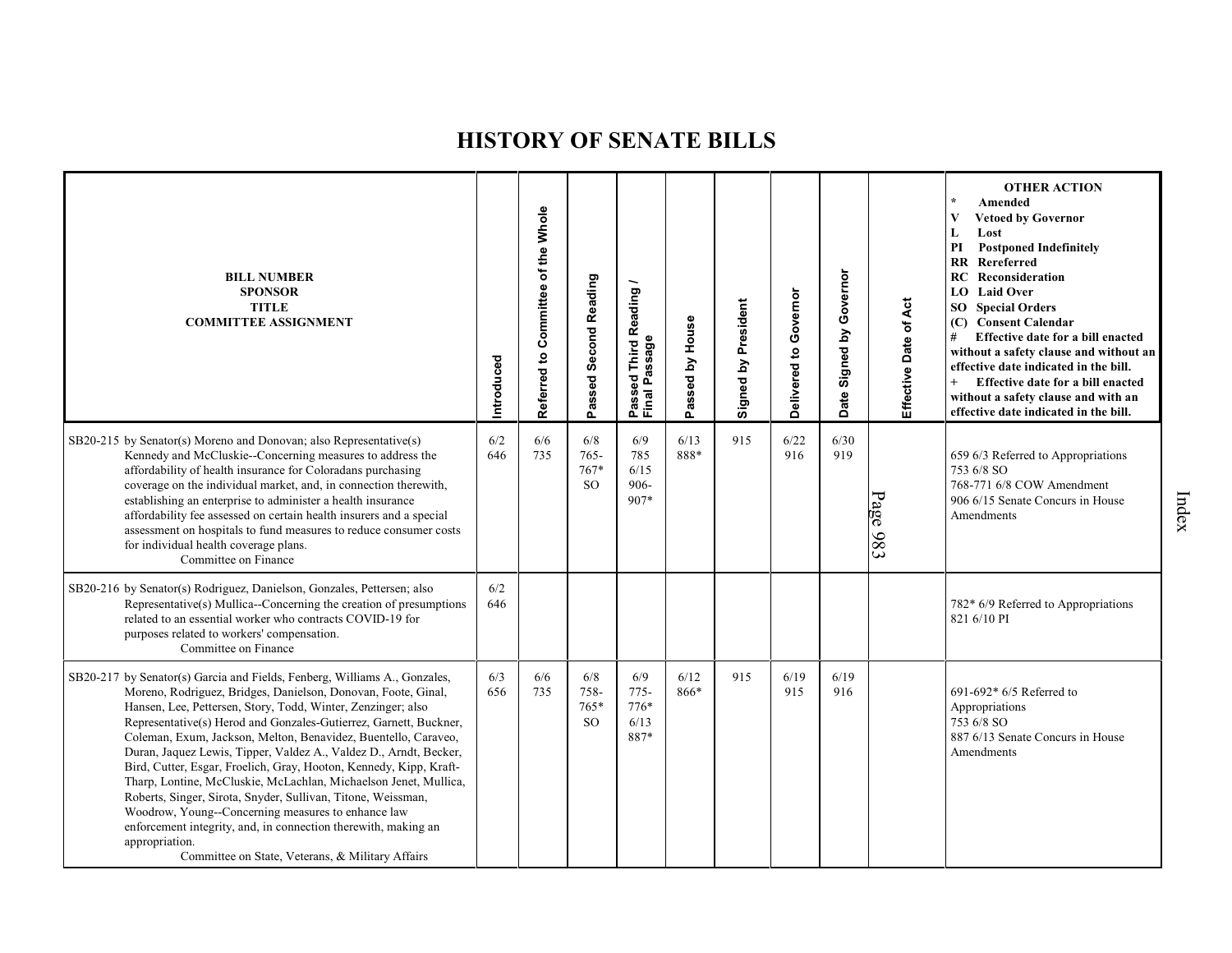| <b>BILL NUMBER</b><br><b>SPONSOR</b><br><b>TITLE</b><br><b>COMMITTEE ASSIGNMENT</b>                                                                                                                                                                                                                                                                                                                                                                                                                                                                                                                                                                                                                                                                                                                                            | ntroduced  | Committee of the Whole<br>Referred to | Passed Second Reading                  | <b>Third Reading</b><br>Passed Third R<br>Final Passage | House<br>Passed by | Signed by President | Delivered to Governor | Governor<br>$\mathbf{\Sigma}$<br>Signed<br>Date | Effective Date of Act | <b>OTHER ACTION</b><br>Amended<br><b>Vetoed by Governor</b><br>L<br>Lost<br>PI<br><b>Postponed Indefinitely</b><br>RR Rereferred<br><b>RC</b> Reconsideration<br>LO Laid Over<br><b>SO</b> Special Orders<br>(C) Consent Calendar<br>#<br>Effective date for a bill enacted<br>without a safety clause and without an<br>effective date indicated in the bill.<br>Effective date for a bill enacted<br>$^{+}$<br>without a safety clause and with an<br>effective date indicated in the bill. |
|--------------------------------------------------------------------------------------------------------------------------------------------------------------------------------------------------------------------------------------------------------------------------------------------------------------------------------------------------------------------------------------------------------------------------------------------------------------------------------------------------------------------------------------------------------------------------------------------------------------------------------------------------------------------------------------------------------------------------------------------------------------------------------------------------------------------------------|------------|---------------------------------------|----------------------------------------|---------------------------------------------------------|--------------------|---------------------|-----------------------|-------------------------------------------------|-----------------------|-----------------------------------------------------------------------------------------------------------------------------------------------------------------------------------------------------------------------------------------------------------------------------------------------------------------------------------------------------------------------------------------------------------------------------------------------------------------------------------------------|
| SB20-215 by Senator(s) Moreno and Donovan; also Representative(s)<br>Kennedy and McCluskie--Concerning measures to address the<br>affordability of health insurance for Coloradans purchasing<br>coverage on the individual market, and, in connection therewith,<br>establishing an enterprise to administer a health insurance<br>affordability fee assessed on certain health insurers and a special<br>assessment on hospitals to fund measures to reduce consumer costs<br>for individual health coverage plans.<br>Committee on Finance                                                                                                                                                                                                                                                                                  | 6/2<br>646 | 6/6<br>735                            | 6/8<br>$765 -$<br>767*<br><b>SO</b>    | 6/9<br>785<br>6/15<br>$906 -$<br>907*                   | 6/13<br>888*       | 915                 | 6/22<br>916           | 6/30<br>919                                     | Page 983              | 659 6/3 Referred to Appropriations<br>753 6/8 SO<br>768-771 6/8 COW Amendment<br>906 6/15 Senate Concurs in House<br>Amendments                                                                                                                                                                                                                                                                                                                                                               |
| SB20-216 by Senator(s) Rodriguez, Danielson, Gonzales, Pettersen; also<br>Representative(s) Mullica--Concerning the creation of presumptions<br>related to an essential worker who contracts COVID-19 for<br>purposes related to workers' compensation.<br>Committee on Finance                                                                                                                                                                                                                                                                                                                                                                                                                                                                                                                                                | 6/2<br>646 |                                       |                                        |                                                         |                    |                     |                       |                                                 |                       | 782* 6/9 Referred to Appropriations<br>821 6/10 PI                                                                                                                                                                                                                                                                                                                                                                                                                                            |
| SB20-217 by Senator(s) Garcia and Fields, Fenberg, Williams A., Gonzales,<br>Moreno, Rodriguez, Bridges, Danielson, Donovan, Foote, Ginal,<br>Hansen, Lee, Pettersen, Story, Todd, Winter, Zenzinger; also<br>Representative(s) Herod and Gonzales-Gutierrez, Garnett, Buckner,<br>Coleman, Exum, Jackson, Melton, Benavidez, Buentello, Caraveo,<br>Duran, Jaquez Lewis, Tipper, Valdez A., Valdez D., Arndt, Becker,<br>Bird, Cutter, Esgar, Froelich, Gray, Hooton, Kennedy, Kipp, Kraft-<br>Tharp, Lontine, McCluskie, McLachlan, Michaelson Jenet, Mullica,<br>Roberts, Singer, Sirota, Snyder, Sullivan, Titone, Weissman,<br>Woodrow, Young--Concerning measures to enhance law<br>enforcement integrity, and, in connection therewith, making an<br>appropriation.<br>Committee on State, Veterans, & Military Affairs | 6/3<br>656 | 6/6<br>735                            | 6/8<br>758-<br>$765*$<br><sub>SO</sub> | 6/9<br>$775-$<br>$776*$<br>6/13<br>887*                 | 6/12<br>866*       | 915                 | 6/19<br>915           | 6/19<br>916                                     |                       | $691-692*6/5$ Referred to<br>Appropriations<br>753 6/8 SO<br>887 6/13 Senate Concurs in House<br>Amendments                                                                                                                                                                                                                                                                                                                                                                                   |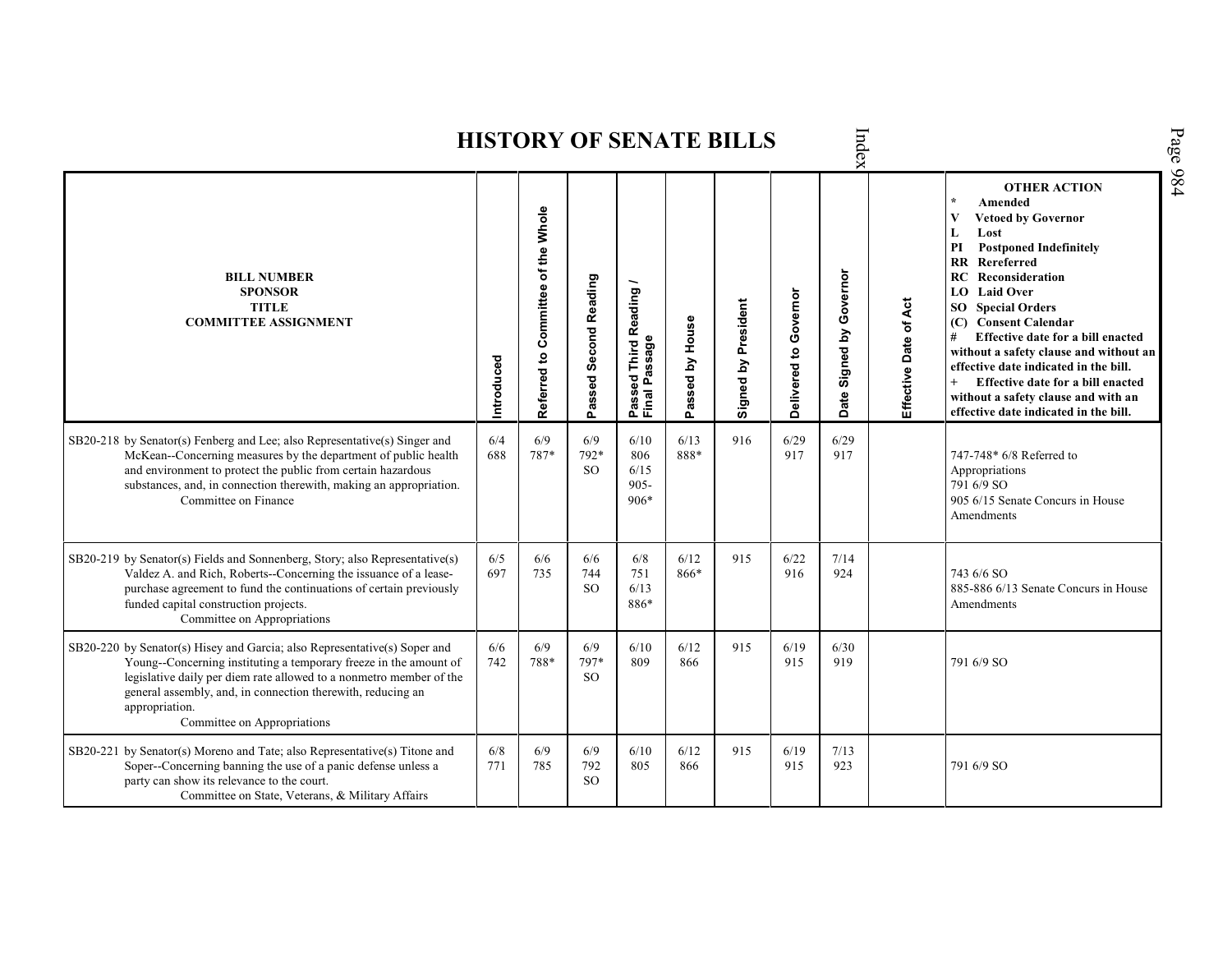|                                                                                                                                                                                                                                                                                                                                       |            |                                    |                              |                                                              |                 | <b>HISTORY OF SENATE BILLS</b> |                       | Index                                |                       |                                                                                                                                                                                                                                                                                                                                                                                                                                                                                                               |
|---------------------------------------------------------------------------------------------------------------------------------------------------------------------------------------------------------------------------------------------------------------------------------------------------------------------------------------|------------|------------------------------------|------------------------------|--------------------------------------------------------------|-----------------|--------------------------------|-----------------------|--------------------------------------|-----------------------|---------------------------------------------------------------------------------------------------------------------------------------------------------------------------------------------------------------------------------------------------------------------------------------------------------------------------------------------------------------------------------------------------------------------------------------------------------------------------------------------------------------|
| <b>BILL NUMBER</b><br><b>SPONSOR</b><br><b>TITLE</b><br><b>COMMITTEE ASSIGNMENT</b>                                                                                                                                                                                                                                                   | Introduced | Referred to Committee of the Whole | Passed Second Reading        | Reading<br>ssage<br>Third<br>م<br>م<br>್ಥಾ<br>Passe<br>Final | Passed by House | Signed by President            | Delivered to Governor | Governor<br>Signed by<br><b>Date</b> | Effective Date of Act | <b>OTHER ACTION</b><br>$\star$<br>Amended<br>V<br><b>Vetoed by Governor</b><br>L<br>Lost<br><b>Postponed Indefinitely</b><br>PI<br><b>RR</b> Rereferred<br>RC<br>Reconsideration<br><b>LO</b> Laid Over<br><b>SO</b> Special Orders<br>(C) Consent Calendar<br>Effective date for a bill enacted<br>#<br>without a safety clause and without an<br>effective date indicated in the bill.<br>Effective date for a bill enacted<br>without a safety clause and with an<br>effective date indicated in the bill. |
| SB20-218 by Senator(s) Fenberg and Lee; also Representative(s) Singer and<br>McKean--Concerning measures by the department of public health<br>and environment to protect the public from certain hazardous<br>substances, and, in connection therewith, making an appropriation.<br>Committee on Finance                             | 6/4<br>688 | 6/9<br>787*                        | 6/9<br>792*<br><sub>SO</sub> | 6/10<br>806<br>6/15<br>$905 -$<br>$906*$                     | 6/13<br>888*    | 916                            | 6/29<br>917           | 6/29<br>917                          |                       | 747-748* 6/8 Referred to<br>Appropriations<br>791 6/9 SO<br>905 6/15 Senate Concurs in House<br>Amendments                                                                                                                                                                                                                                                                                                                                                                                                    |
| SB20-219 by Senator(s) Fields and Sonnenberg, Story; also Representative(s)<br>Valdez A. and Rich, Roberts--Concerning the issuance of a lease-<br>purchase agreement to fund the continuations of certain previously<br>funded capital construction projects.<br>Committee on Appropriations                                         | 6/5<br>697 | 6/6<br>735                         | 6/6<br>744<br><sub>SO</sub>  | 6/8<br>751<br>6/13<br>886*                                   | 6/12<br>866*    | 915                            | 6/22<br>916           | 7/14<br>924                          |                       | 743 6/6 SO<br>885-886 6/13 Senate Concurs in House<br>Amendments                                                                                                                                                                                                                                                                                                                                                                                                                                              |
| SB20-220 by Senator(s) Hisey and Garcia; also Representative(s) Soper and<br>Young--Concerning instituting a temporary freeze in the amount of<br>legislative daily per diem rate allowed to a nonmetro member of the<br>general assembly, and, in connection therewith, reducing an<br>appropriation.<br>Committee on Appropriations | 6/6<br>742 | 6/9<br>788*                        | 6/9<br>797*<br>SO.           | 6/10<br>809                                                  | 6/12<br>866     | 915                            | 6/19<br>915           | 6/30<br>919                          |                       | 791 6/9 SO                                                                                                                                                                                                                                                                                                                                                                                                                                                                                                    |
| SB20-221 by Senator(s) Moreno and Tate; also Representative(s) Titone and<br>Soper--Concerning banning the use of a panic defense unless a<br>party can show its relevance to the court.<br>Committee on State, Veterans, & Military Affairs                                                                                          | 6/8<br>771 | 6/9<br>785                         | 6/9<br>792<br><sub>SO</sub>  | 6/10<br>805                                                  | 6/12<br>866     | 915                            | 6/19<br>915           | 7/13<br>923                          |                       | 791 6/9 SO                                                                                                                                                                                                                                                                                                                                                                                                                                                                                                    |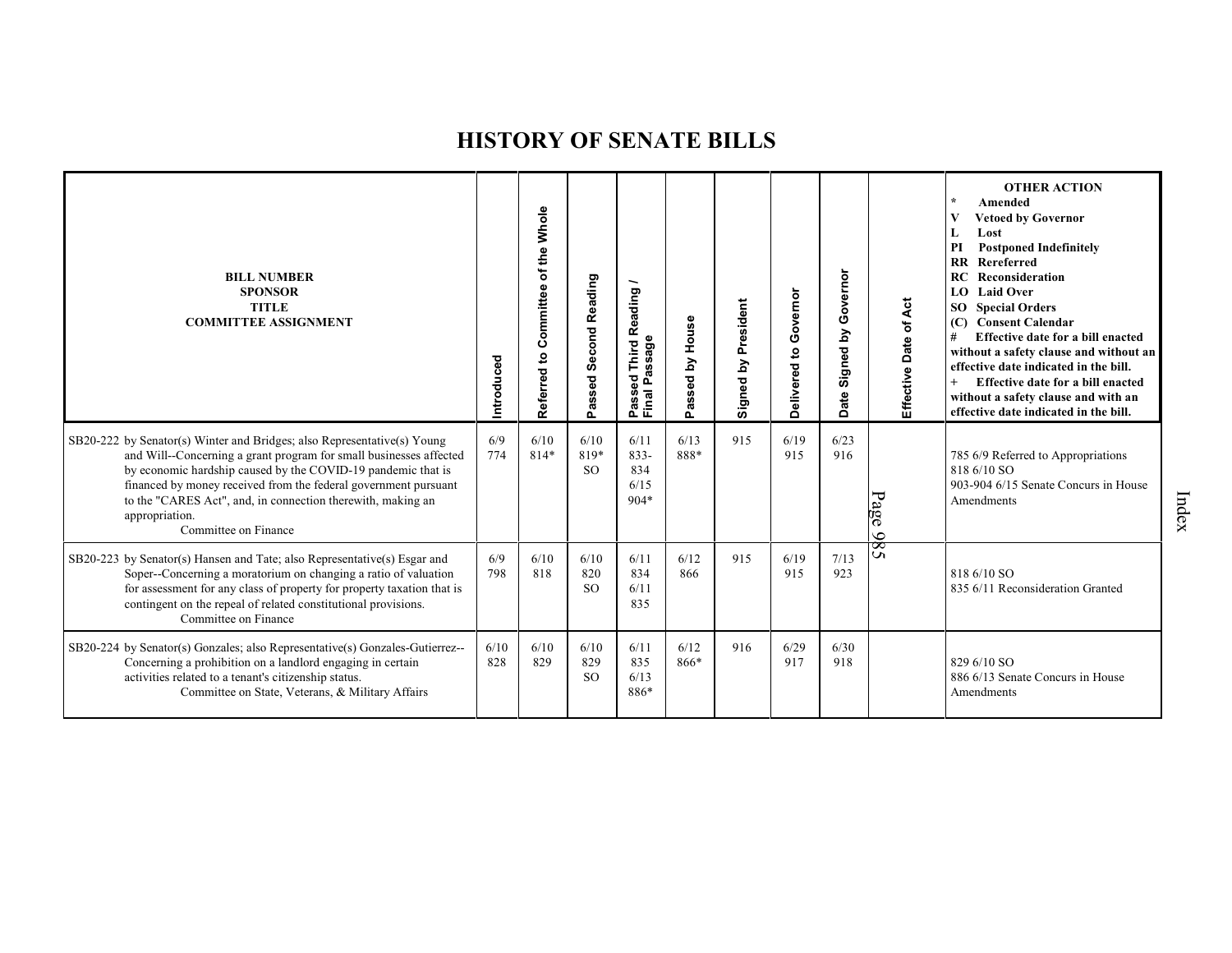| <b>BILL NUMBER</b><br><b>SPONSOR</b><br><b>TITLE</b><br><b>COMMITTEE ASSIGNMENT</b>                                                                                                                                                                                                                                                                                                       | Introduced  | of the Whole<br>Committee<br>Referred to | <b>Second Reading</b><br>Passed | –<br>Reading<br>Passage<br>Third<br>assed<br>Passe<br>Final I | House<br>$\mathbf{\Sigma}$<br>ssed<br>$\ddot{\sigma}$<br>o. | President<br>Signed by | Governor<br>Delivered to | overnor<br>O<br><u>لا</u><br>Signed<br>ate<br>ó | Effective Date of Act | <b>OTHER ACTION</b><br>Amended<br><b>Vetoed by Governor</b><br>Lost<br>L<br><b>Postponed Indefinitely</b><br>PI<br>Rereferred<br>$\mathbf{R}$<br>Reconsideration<br><b>RC</b><br>LO Laid Over<br><b>SO</b> Special Orders<br><b>Consent Calendar</b><br>(C)<br>Effective date for a bill enacted<br>#<br>without a safety clause and without an<br>effective date indicated in the bill.<br>Effective date for a bill enacted<br>without a safety clause and with an<br>effective date indicated in the bill. |
|-------------------------------------------------------------------------------------------------------------------------------------------------------------------------------------------------------------------------------------------------------------------------------------------------------------------------------------------------------------------------------------------|-------------|------------------------------------------|---------------------------------|---------------------------------------------------------------|-------------------------------------------------------------|------------------------|--------------------------|-------------------------------------------------|-----------------------|---------------------------------------------------------------------------------------------------------------------------------------------------------------------------------------------------------------------------------------------------------------------------------------------------------------------------------------------------------------------------------------------------------------------------------------------------------------------------------------------------------------|
| SB20-222 by Senator(s) Winter and Bridges; also Representative(s) Young<br>and Will--Concerning a grant program for small businesses affected<br>by economic hardship caused by the COVID-19 pandemic that is<br>financed by money received from the federal government pursuant<br>to the "CARES Act", and, in connection therewith, making an<br>appropriation.<br>Committee on Finance | 6/9<br>774  | 6/10<br>$814*$                           | 6/10<br>819*<br>SO <sub>2</sub> | 6/11<br>$833 -$<br>834<br>6/15<br>$904*$                      | 6/13<br>888*                                                | 915                    | 6/19<br>915              | 6/23<br>916                                     | Page                  | 785 6/9 Referred to Appropriations<br>818 6/10 SO<br>903-904 6/15 Senate Concurs in House<br>Amendments                                                                                                                                                                                                                                                                                                                                                                                                       |
| SB20-223 by Senator(s) Hansen and Tate; also Representative(s) Esgar and<br>Soper--Concerning a moratorium on changing a ratio of valuation<br>for assessment for any class of property for property taxation that is<br>contingent on the repeal of related constitutional provisions.<br>Committee on Finance                                                                           | 6/9<br>798  | 6/10<br>818                              | 6/10<br>820<br>SO <sub>2</sub>  | 6/11<br>834<br>6/11<br>835                                    | 6/12<br>866                                                 | 915                    | 6/19<br>915              | 7/13<br>923                                     | 586                   | 818 6/10 SO<br>835 6/11 Reconsideration Granted                                                                                                                                                                                                                                                                                                                                                                                                                                                               |
| SB20-224 by Senator(s) Gonzales; also Representative(s) Gonzales-Gutierrez--<br>Concerning a prohibition on a landlord engaging in certain<br>activities related to a tenant's citizenship status.<br>Committee on State, Veterans, & Military Affairs                                                                                                                                    | 6/10<br>828 | 6/10<br>829                              | 6/10<br>829<br><b>SO</b>        | 6/11<br>835<br>6/13<br>886*                                   | 6/12<br>866*                                                | 916                    | 6/29<br>917              | 6/30<br>918                                     |                       | 829 6/10 SO<br>886 6/13 Senate Concurs in House<br>Amendments                                                                                                                                                                                                                                                                                                                                                                                                                                                 |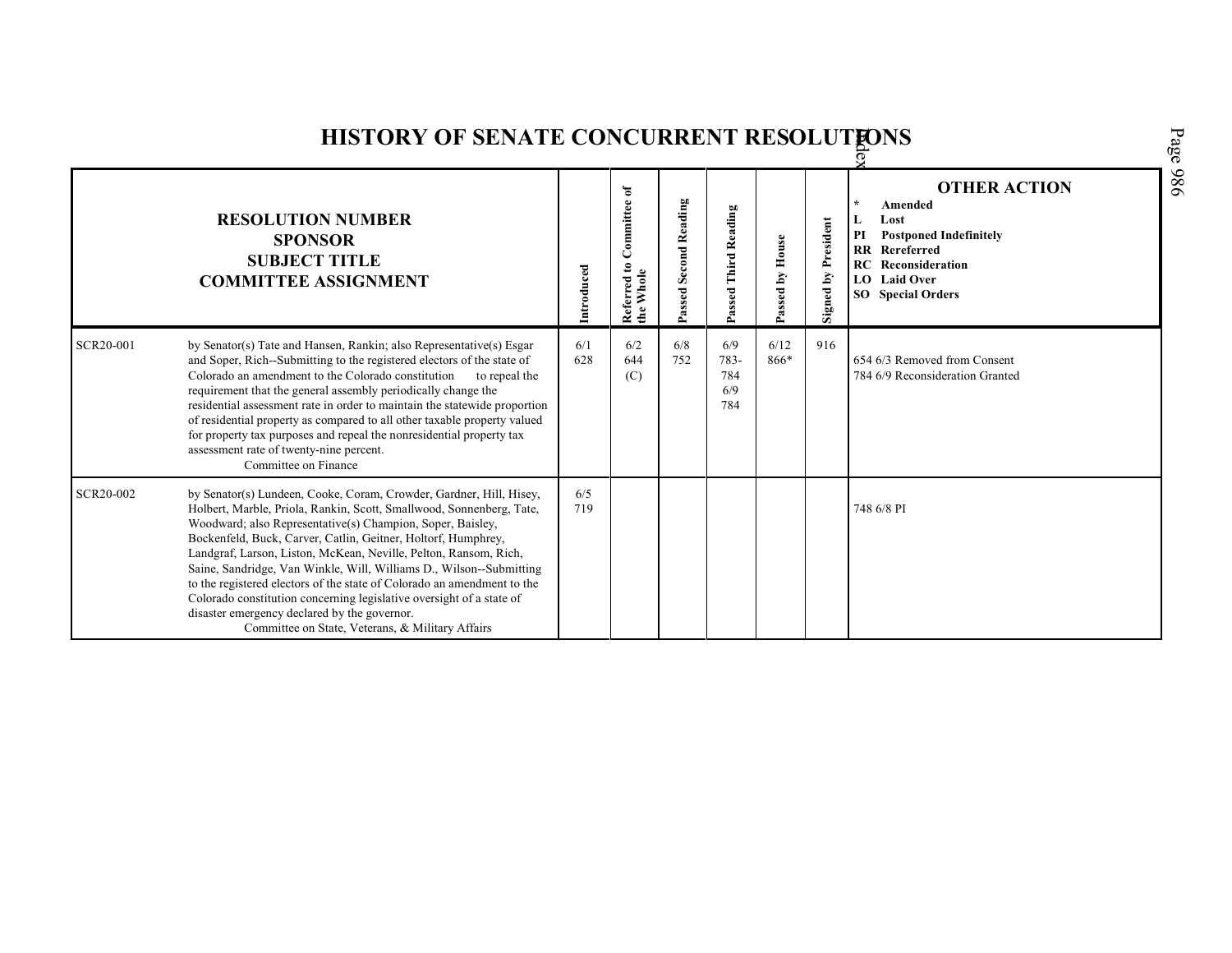|           | <b>HISTORY OF SENATE CONCURRENT RESOLUTIONS</b>                                                                                                                                                                                                                                                                                                                                                                                                                                                                                                                                                                                                                              |            |                                                   |                       |                                  |                 |                            |                                                                                                                                                                                |  |  |  |  |
|-----------|------------------------------------------------------------------------------------------------------------------------------------------------------------------------------------------------------------------------------------------------------------------------------------------------------------------------------------------------------------------------------------------------------------------------------------------------------------------------------------------------------------------------------------------------------------------------------------------------------------------------------------------------------------------------------|------------|---------------------------------------------------|-----------------------|----------------------------------|-----------------|----------------------------|--------------------------------------------------------------------------------------------------------------------------------------------------------------------------------|--|--|--|--|
|           | <b>RESOLUTION NUMBER</b><br><b>SPONSOR</b><br><b>SUBJECT TITLE</b><br><b>COMMITTEE ASSIGNMENT</b>                                                                                                                                                                                                                                                                                                                                                                                                                                                                                                                                                                            | Introduced | Committee of<br>Referred to <b>(</b><br>the Whole | Passed Second Reading | Passed Third Reading             | Passed by House | <b>Signed by President</b> | <b>OTHER ACTION</b><br>Amended<br>Lost<br><b>Postponed Indefinitely</b><br>PI<br><b>RR</b> Rereferred<br><b>RC</b> Reconsideration<br>LO Laid Over<br><b>SO</b> Special Orders |  |  |  |  |
| SCR20-001 | by Senator(s) Tate and Hansen, Rankin; also Representative(s) Esgar<br>and Soper, Rich-Submitting to the registered electors of the state of<br>Colorado an amendment to the Colorado constitution<br>to repeal the<br>requirement that the general assembly periodically change the<br>residential assessment rate in order to maintain the statewide proportion<br>of residential property as compared to all other taxable property valued<br>for property tax purposes and repeal the nonresidential property tax<br>assessment rate of twenty-nine percent.<br>Committee on Finance                                                                                     | 6/1<br>628 | 6/2<br>644<br>(C)                                 | 6/8<br>752            | 6/9<br>783-<br>784<br>6/9<br>784 | 6/12<br>866*    | 916                        | 654 6/3 Removed from Consent<br>784 6/9 Reconsideration Granted                                                                                                                |  |  |  |  |
| SCR20-002 | by Senator(s) Lundeen, Cooke, Coram, Crowder, Gardner, Hill, Hisey,<br>Holbert, Marble, Priola, Rankin, Scott, Smallwood, Sonnenberg, Tate,<br>Woodward; also Representative(s) Champion, Soper, Baisley,<br>Bockenfeld, Buck, Carver, Catlin, Geitner, Holtorf, Humphrey,<br>Landgraf, Larson, Liston, McKean, Neville, Pelton, Ransom, Rich,<br>Saine, Sandridge, Van Winkle, Will, Williams D., Wilson--Submitting<br>to the registered electors of the state of Colorado an amendment to the<br>Colorado constitution concerning legislative oversight of a state of<br>disaster emergency declared by the governor.<br>Committee on State, Veterans, & Military Affairs | 6/5<br>719 |                                                   |                       |                                  |                 |                            | 748 6/8 PI                                                                                                                                                                     |  |  |  |  |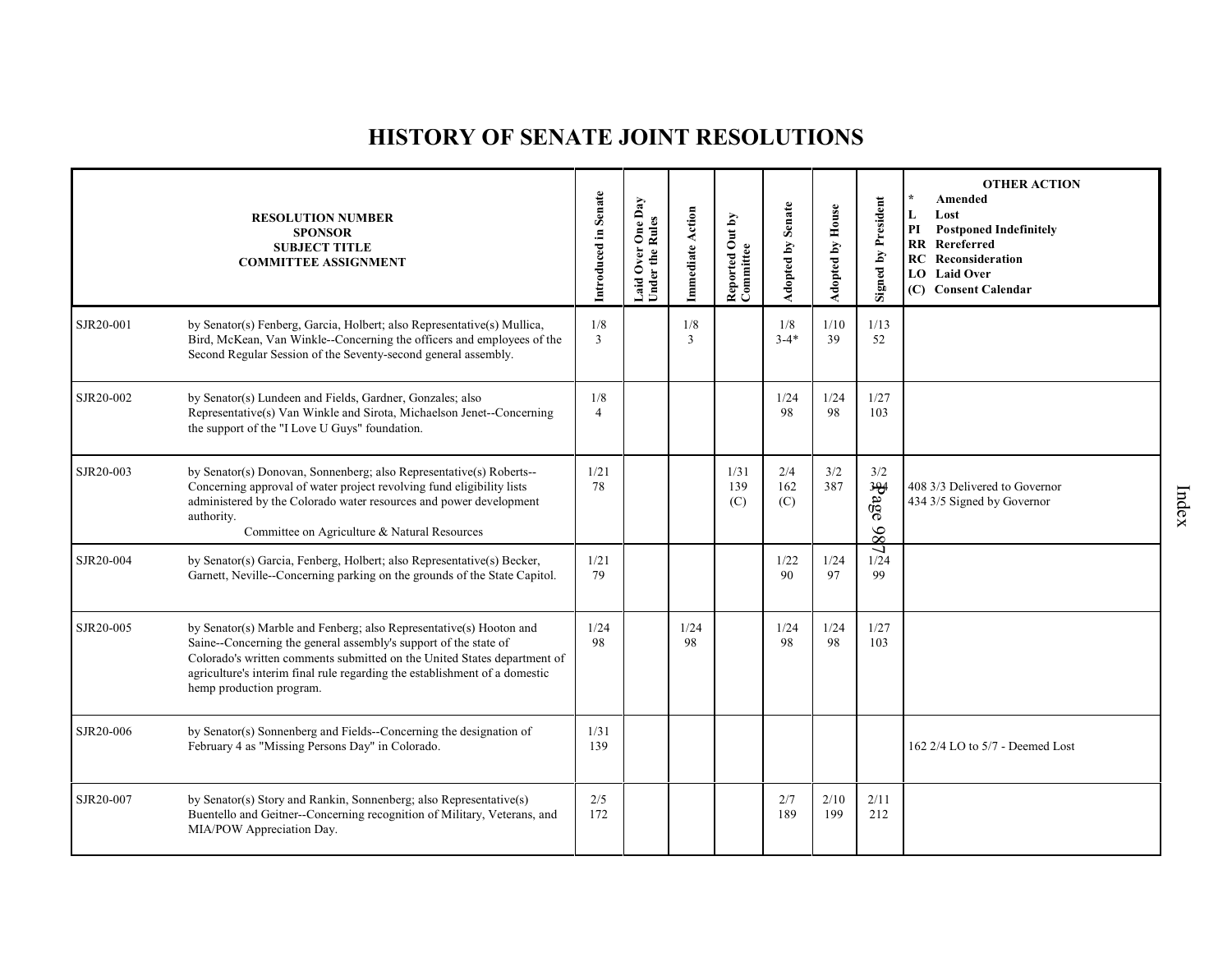# **HISTORY OF SENATE JOINT RESOLUTIONS**

|           | <b>RESOLUTION NUMBER</b><br><b>SPONSOR</b><br><b>SUBJECT TITLE</b><br><b>COMMITTEE ASSIGNMENT</b>                                                                                                                                                                                                                             | Introduced in Senate  | One Day<br><b>Under the Rules</b><br>Over<br>Laid | Immediate Action | Reported Out by<br>Committee | <b>Adopted by Senate</b> | <b>Adopted by House</b> | <b>Signed by President</b> | <b>OTHER ACTION</b><br>Amended<br>$\star$<br>L<br>Lost<br>PI<br><b>Postponed Indefinitely</b><br>RR Rereferred<br><b>RC</b> Reconsideration<br><b>LO</b> Laid Over<br>(C) Consent Calendar |
|-----------|-------------------------------------------------------------------------------------------------------------------------------------------------------------------------------------------------------------------------------------------------------------------------------------------------------------------------------|-----------------------|---------------------------------------------------|------------------|------------------------------|--------------------------|-------------------------|----------------------------|--------------------------------------------------------------------------------------------------------------------------------------------------------------------------------------------|
| SJR20-001 | by Senator(s) Fenberg, Garcia, Holbert; also Representative(s) Mullica,<br>Bird, McKean, Van Winkle-Concerning the officers and employees of the<br>Second Regular Session of the Seventy-second general assembly.                                                                                                            | 1/8<br>$\overline{3}$ |                                                   | 1/8<br>3         |                              | 1/8<br>$3 - 4*$          | 1/10<br>39              | 1/13<br>52                 |                                                                                                                                                                                            |
| SJR20-002 | by Senator(s) Lundeen and Fields, Gardner, Gonzales; also<br>Representative(s) Van Winkle and Sirota, Michaelson Jenet-Concerning<br>the support of the "I Love U Guys" foundation.                                                                                                                                           | 1/8<br>$\overline{4}$ |                                                   |                  |                              | 1/24<br>98               | 1/24<br>98              | 1/27<br>103                |                                                                                                                                                                                            |
| SJR20-003 | by Senator(s) Donovan, Sonnenberg; also Representative(s) Roberts--<br>Concerning approval of water project revolving fund eligibility lists<br>administered by the Colorado water resources and power development<br>authority.<br>Committee on Agriculture & Natural Resources                                              | 1/21<br>78            |                                                   |                  | 1/31<br>139<br>(C)           | 2/4<br>162<br>(C)        | 3/2<br>387              | 3/2<br><b>Rage</b><br>86   | 408 3/3 Delivered to Governor<br>434 3/5 Signed by Governor                                                                                                                                |
| SJR20-004 | by Senator(s) Garcia, Fenberg, Holbert; also Representative(s) Becker,<br>Garnett, Neville--Concerning parking on the grounds of the State Capitol.                                                                                                                                                                           | 1/21<br>79            |                                                   |                  |                              | 1/22<br>90               | 1/24<br>97              | ر<br>1/24<br>99            |                                                                                                                                                                                            |
| SJR20-005 | by Senator(s) Marble and Fenberg; also Representative(s) Hooton and<br>Saine--Concerning the general assembly's support of the state of<br>Colorado's written comments submitted on the United States department of<br>agriculture's interim final rule regarding the establishment of a domestic<br>hemp production program. | 1/24<br>98            |                                                   | 1/24<br>98       |                              | 1/24<br>98               | 1/24<br>98              | 1/27<br>103                |                                                                                                                                                                                            |
| SJR20-006 | by Senator(s) Sonnenberg and Fields--Concerning the designation of<br>February 4 as "Missing Persons Day" in Colorado.                                                                                                                                                                                                        | 1/31<br>139           |                                                   |                  |                              |                          |                         |                            | 162 2/4 LO to 5/7 - Deemed Lost                                                                                                                                                            |
| SJR20-007 | by Senator(s) Story and Rankin, Sonnenberg; also Representative(s)<br>Buentello and Geitner--Concerning recognition of Military, Veterans, and<br>MIA/POW Appreciation Day.                                                                                                                                                   | 2/5<br>172            |                                                   |                  |                              | 2/7<br>189               | 2/10<br>199             | 2/11<br>212                |                                                                                                                                                                                            |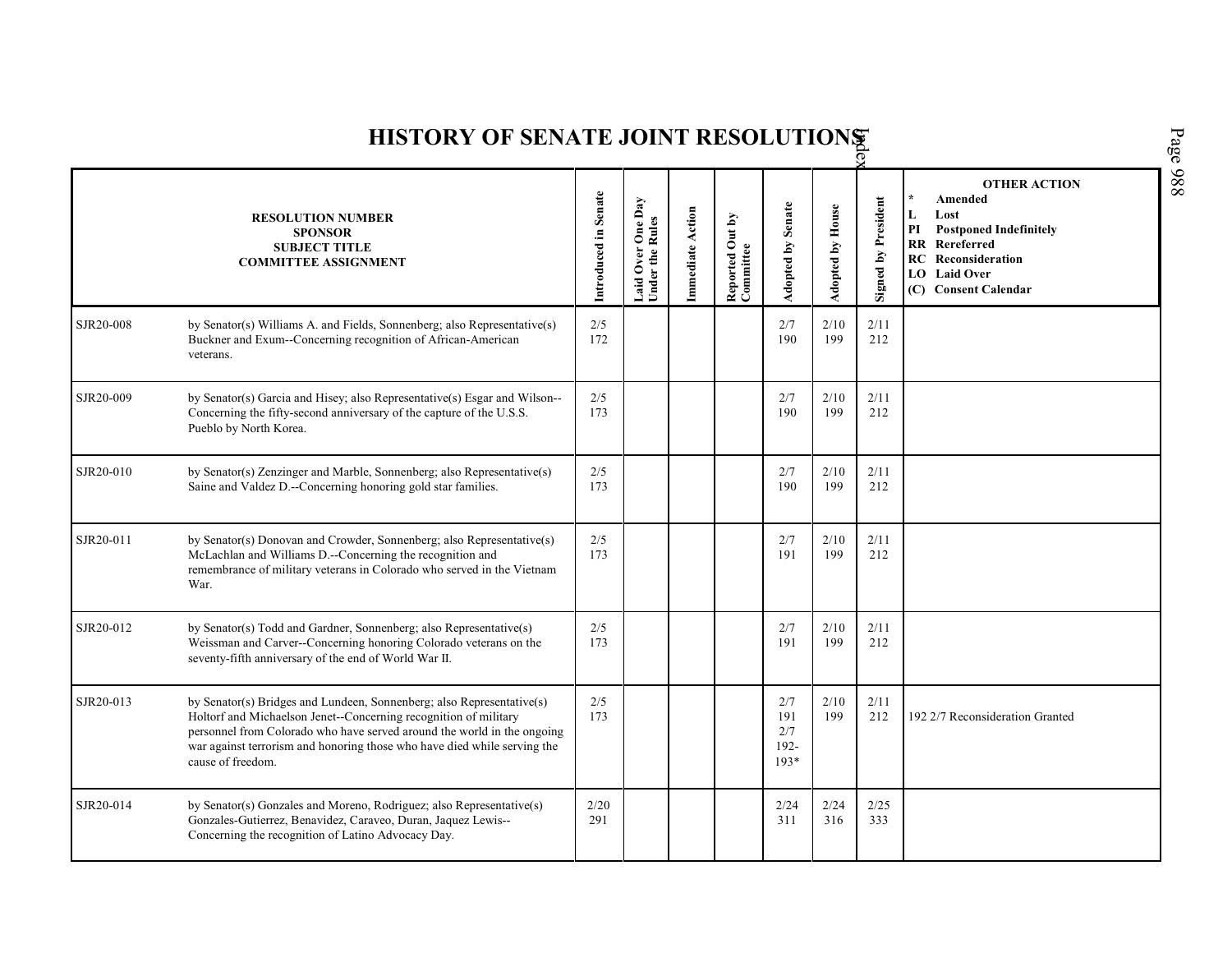| Page 988<br>HISTORY OF SENATE JOINT RESOLUTIONS |                                                                                                                                                                                                                                                                                                                       |                      |                                      |                  |                              |                                        |                         |                            |                                                                                                                                                                          |  |  |
|-------------------------------------------------|-----------------------------------------------------------------------------------------------------------------------------------------------------------------------------------------------------------------------------------------------------------------------------------------------------------------------|----------------------|--------------------------------------|------------------|------------------------------|----------------------------------------|-------------------------|----------------------------|--------------------------------------------------------------------------------------------------------------------------------------------------------------------------|--|--|
|                                                 | <b>RESOLUTION NUMBER</b><br><b>SPONSOR</b><br><b>SUBJECT TITLE</b><br><b>COMMITTEE ASSIGNMENT</b>                                                                                                                                                                                                                     | Introduced in Senate | Laid Over One Day<br>Under the Rules | Immediate Action | Reported Out by<br>Committee | <b>Adopted by Senate</b>               | <b>Adopted by House</b> | <b>Signed by President</b> | <b>OTHER ACTION</b><br>Amended<br>L<br>Lost<br>PI<br><b>Postponed Indefinitely</b><br>RR Rereferred<br><b>RC</b> Reconsideration<br>LO Laid Over<br>(C) Consent Calendar |  |  |
| SJR20-008                                       | by Senator(s) Williams A. and Fields, Sonnenberg; also Representative(s)<br>Buckner and Exum--Concerning recognition of African-American<br>veterans.                                                                                                                                                                 | 2/5<br>172           |                                      |                  |                              | 2/7<br>190                             | 2/10<br>199             | 2/11<br>212                |                                                                                                                                                                          |  |  |
| SJR20-009                                       | by Senator(s) Garcia and Hisey; also Representative(s) Esgar and Wilson--<br>Concerning the fifty-second anniversary of the capture of the U.S.S.<br>Pueblo by North Korea.                                                                                                                                           | 2/5<br>173           |                                      |                  |                              | 2/7<br>190                             | 2/10<br>199             | 2/11<br>212                |                                                                                                                                                                          |  |  |
| SJR20-010                                       | by Senator(s) Zenzinger and Marble, Sonnenberg; also Representative(s)<br>Saine and Valdez D.--Concerning honoring gold star families.                                                                                                                                                                                | 2/5<br>173           |                                      |                  |                              | 2/7<br>190                             | 2/10<br>199             | 2/11<br>212                |                                                                                                                                                                          |  |  |
| SJR20-011                                       | by Senator(s) Donovan and Crowder, Sonnenberg; also Representative(s)<br>McLachlan and Williams D.--Concerning the recognition and<br>remembrance of military veterans in Colorado who served in the Vietnam<br>War.                                                                                                  | 2/5<br>173           |                                      |                  |                              | 2/7<br>191                             | 2/10<br>199             | 2/11<br>212                |                                                                                                                                                                          |  |  |
| SJR20-012                                       | by Senator(s) Todd and Gardner, Sonnenberg; also Representative(s)<br>Weissman and Carver--Concerning honoring Colorado veterans on the<br>seventy-fifth anniversary of the end of World War II.                                                                                                                      | 2/5<br>173           |                                      |                  |                              | 2/7<br>191                             | 2/10<br>199             | 2/11<br>212                |                                                                                                                                                                          |  |  |
| SJR20-013                                       | by Senator(s) Bridges and Lundeen, Sonnenberg; also Representative(s)<br>Holtorf and Michaelson Jenet--Concerning recognition of military<br>personnel from Colorado who have served around the world in the ongoing<br>war against terrorism and honoring those who have died while serving the<br>cause of freedom. | $2/5$<br>173         |                                      |                  |                              | 2/7<br>191<br>2/7<br>$192 -$<br>$193*$ | 2/10<br>199             | 2/11<br>212                | 192 2/7 Reconsideration Granted                                                                                                                                          |  |  |
| SJR20-014                                       | by Senator(s) Gonzales and Moreno, Rodriguez; also Representative(s)<br>Gonzales-Gutierrez, Benavidez, Caraveo, Duran, Jaquez Lewis--<br>Concerning the recognition of Latino Advocacy Day.                                                                                                                           | 2/20<br>291          |                                      |                  |                              | 2/24<br>311                            | 2/24<br>316             | 2/25<br>333                |                                                                                                                                                                          |  |  |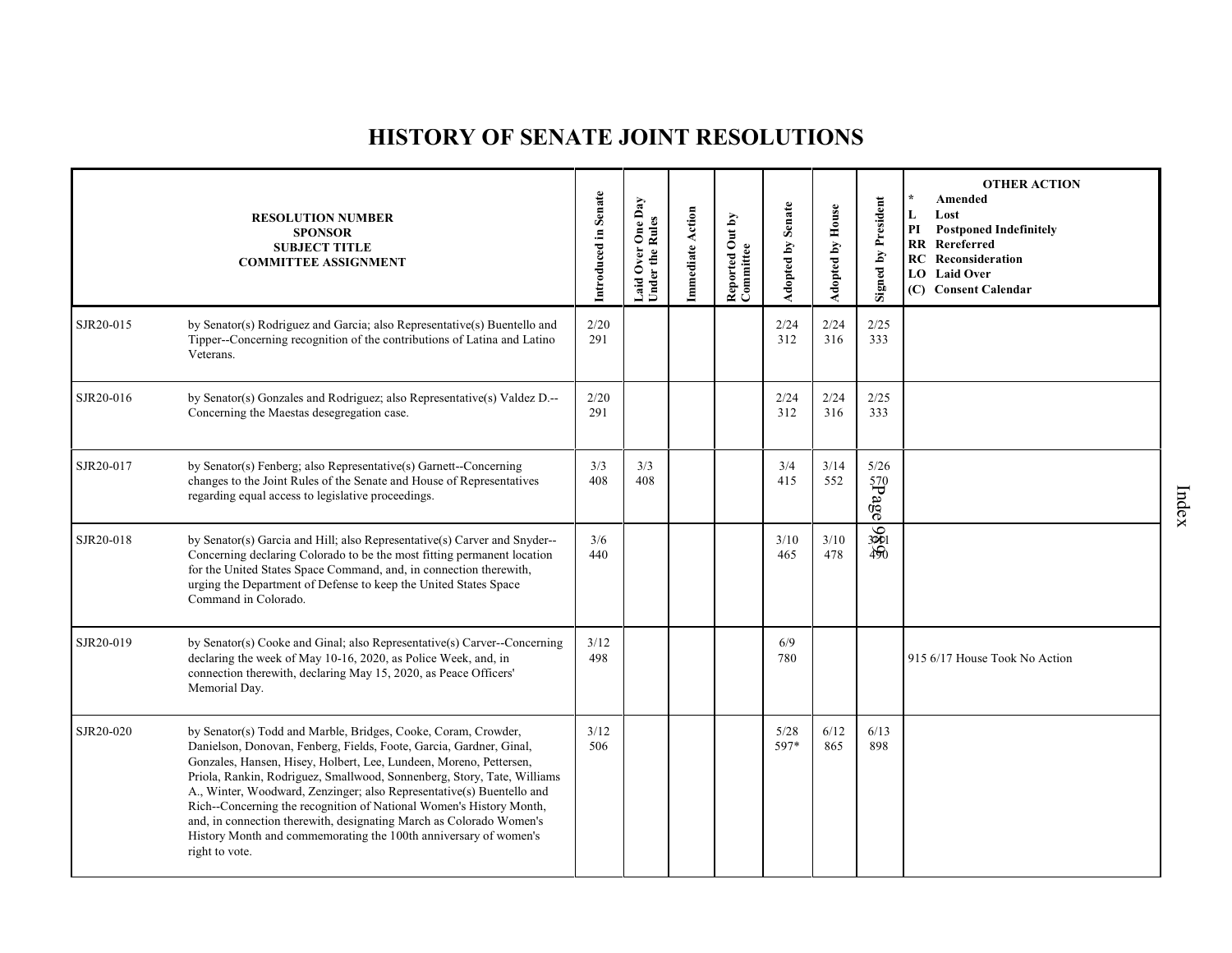# **HISTORY OF SENATE JOINT RESOLUTIONS**

|           | <b>RESOLUTION NUMBER</b><br><b>SPONSOR</b><br><b>SUBJECT TITLE</b><br><b>COMMITTEE ASSIGNMENT</b>                                                                                                                                                                                                                                                                                                                                                                                                                                                                                                   | Introduced in Senate | One Day<br>Laid Over One I<br>Under the Rules | <b>Immediate Action</b> | Reported Out by<br>Committee | Adopted by Senate | <b>Adopted by House</b> | <b>Signed by President</b> | <b>OTHER ACTION</b><br>$\star$<br>Amended<br>L<br>Lost<br>PI<br><b>Postponed Indefinitely</b><br><b>RR</b> Rereferred<br><b>RC</b> Reconsideration<br><b>LO</b> Laid Over<br>(C) Consent Calendar |
|-----------|-----------------------------------------------------------------------------------------------------------------------------------------------------------------------------------------------------------------------------------------------------------------------------------------------------------------------------------------------------------------------------------------------------------------------------------------------------------------------------------------------------------------------------------------------------------------------------------------------------|----------------------|-----------------------------------------------|-------------------------|------------------------------|-------------------|-------------------------|----------------------------|---------------------------------------------------------------------------------------------------------------------------------------------------------------------------------------------------|
| SJR20-015 | by Senator(s) Rodriguez and Garcia; also Representative(s) Buentello and<br>Tipper--Concerning recognition of the contributions of Latina and Latino<br>Veterans.                                                                                                                                                                                                                                                                                                                                                                                                                                   | 2/20<br>291          |                                               |                         |                              | 2/24<br>312       | 2/24<br>316             | 2/25<br>333                |                                                                                                                                                                                                   |
| SJR20-016 | by Senator(s) Gonzales and Rodriguez; also Representative(s) Valdez D.--<br>Concerning the Maestas desegregation case.                                                                                                                                                                                                                                                                                                                                                                                                                                                                              | 2/20<br>291          |                                               |                         |                              | 2/24<br>312       | 2/24<br>316             | 2/25<br>333                |                                                                                                                                                                                                   |
| SJR20-017 | by Senator(s) Fenberg; also Representative(s) Garnett--Concerning<br>changes to the Joint Rules of the Senate and House of Representatives<br>regarding equal access to legislative proceedings.                                                                                                                                                                                                                                                                                                                                                                                                    | 3/3<br>408           | 3/3<br>408                                    |                         |                              | 3/4<br>415        | 3/14<br>552             | 5/26<br>aged39             |                                                                                                                                                                                                   |
| SJR20-018 | by Senator(s) Garcia and Hill; also Representative(s) Carver and Snyder--<br>Concerning declaring Colorado to be the most fitting permanent location<br>for the United States Space Command, and, in connection therewith,<br>urging the Department of Defense to keep the United States Space<br>Command in Colorado.                                                                                                                                                                                                                                                                              | 3/6<br>440           |                                               |                         |                              | 3/10<br>465       | 3/10<br>478             | 386                        |                                                                                                                                                                                                   |
| SJR20-019 | by Senator(s) Cooke and Ginal; also Representative(s) Carver--Concerning<br>declaring the week of May 10-16, 2020, as Police Week, and, in<br>connection therewith, declaring May 15, 2020, as Peace Officers'<br>Memorial Day.                                                                                                                                                                                                                                                                                                                                                                     | 3/12<br>498          |                                               |                         |                              | 6/9<br>780        |                         |                            | 915 6/17 House Took No Action                                                                                                                                                                     |
| SJR20-020 | by Senator(s) Todd and Marble, Bridges, Cooke, Coram, Crowder,<br>Danielson, Donovan, Fenberg, Fields, Foote, Garcia, Gardner, Ginal,<br>Gonzales, Hansen, Hisey, Holbert, Lee, Lundeen, Moreno, Pettersen,<br>Priola, Rankin, Rodriguez, Smallwood, Sonnenberg, Story, Tate, Williams<br>A., Winter, Woodward, Zenzinger; also Representative(s) Buentello and<br>Rich--Concerning the recognition of National Women's History Month,<br>and, in connection therewith, designating March as Colorado Women's<br>History Month and commemorating the 100th anniversary of women's<br>right to vote. | 3/12<br>506          |                                               |                         |                              | 5/28<br>597*      | 6/12<br>865             | 6/13<br>898                |                                                                                                                                                                                                   |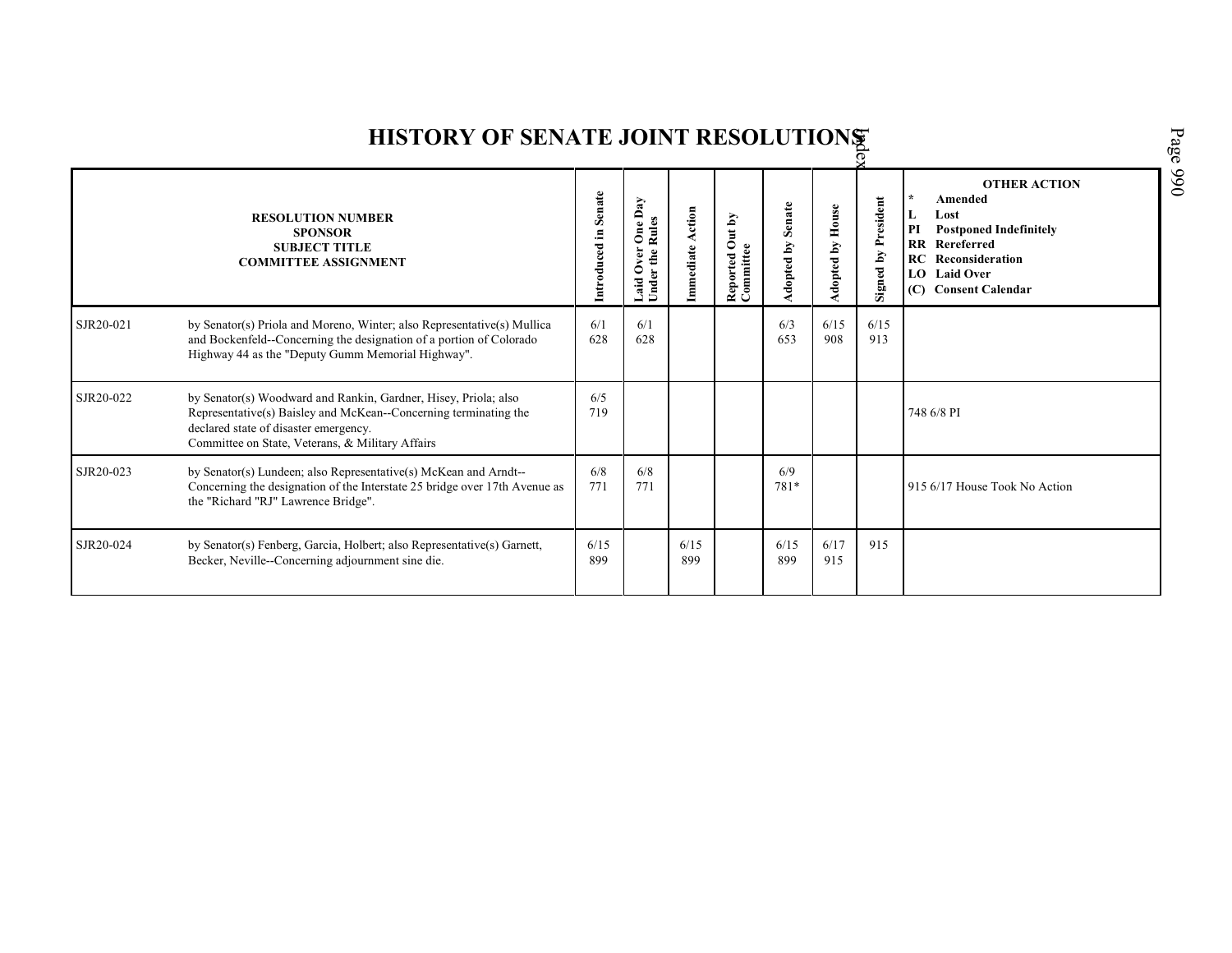|           | <b>HISTORY OF SENATE JOINT RESOLUTIONS</b>                                                                                                                                                                                       |                      |                                                                       |                  |                              |                      |                     |                                             |                                                                                                                                                                                                     |  |  |  |
|-----------|----------------------------------------------------------------------------------------------------------------------------------------------------------------------------------------------------------------------------------|----------------------|-----------------------------------------------------------------------|------------------|------------------------------|----------------------|---------------------|---------------------------------------------|-----------------------------------------------------------------------------------------------------------------------------------------------------------------------------------------------------|--|--|--|
|           | <b>RESOLUTION NUMBER</b><br><b>SPONSOR</b><br><b>SUBJECT TITLE</b><br><b>COMMITTEE ASSIGNMENT</b>                                                                                                                                | Introduced in Senate | $_{\text{Day}}$<br><b>Rul</b><br>the<br>0<br>£<br>aid<br>$\mathbf{g}$ | Immediate Action | Reported Out by<br>Committee | Senate<br>Adopted by | House<br>Adopted by | President<br>$\mathbf{\tilde{M}}$<br>Signed | <b>OTHER ACTION</b><br>$\lambda$<br>Amended<br>Lost<br>L<br>PI<br><b>Postponed Indefinitely</b><br><b>RR</b> Rereferred<br><b>RC</b> Reconsideration<br><b>LO</b> Laid Over<br>(C) Consent Calendar |  |  |  |
| SJR20-021 | by Senator(s) Priola and Moreno, Winter; also Representative(s) Mullica<br>and Bockenfeld--Concerning the designation of a portion of Colorado<br>Highway 44 as the "Deputy Gumm Memorial Highway".                              | 6/1<br>628           | 6/1<br>628                                                            |                  |                              | 6/3<br>653           | 6/15<br>908         | 6/15<br>913                                 |                                                                                                                                                                                                     |  |  |  |
| SJR20-022 | by Senator(s) Woodward and Rankin, Gardner, Hisey, Priola; also<br>Representative(s) Baisley and McKean--Concerning terminating the<br>declared state of disaster emergency.<br>Committee on State, Veterans, & Military Affairs | 6/5<br>719           |                                                                       |                  |                              |                      |                     |                                             | 748 6/8 PI                                                                                                                                                                                          |  |  |  |
| SJR20-023 | by Senator(s) Lundeen; also Representative(s) McKean and Arndt--<br>Concerning the designation of the Interstate 25 bridge over 17th Avenue as<br>the "Richard "RJ" Lawrence Bridge".                                            | 6/8<br>771           | 6/8<br>771                                                            |                  |                              | 6/9<br>781*          |                     |                                             | 915 6/17 House Took No Action                                                                                                                                                                       |  |  |  |
| SJR20-024 | by Senator(s) Fenberg, Garcia, Holbert; also Representative(s) Garnett,<br>Becker, Neville--Concerning adjournment sine die.                                                                                                     | 6/15<br>899          |                                                                       | 6/15<br>899      |                              | 6/15<br>899          | 6/17<br>915         | 915                                         |                                                                                                                                                                                                     |  |  |  |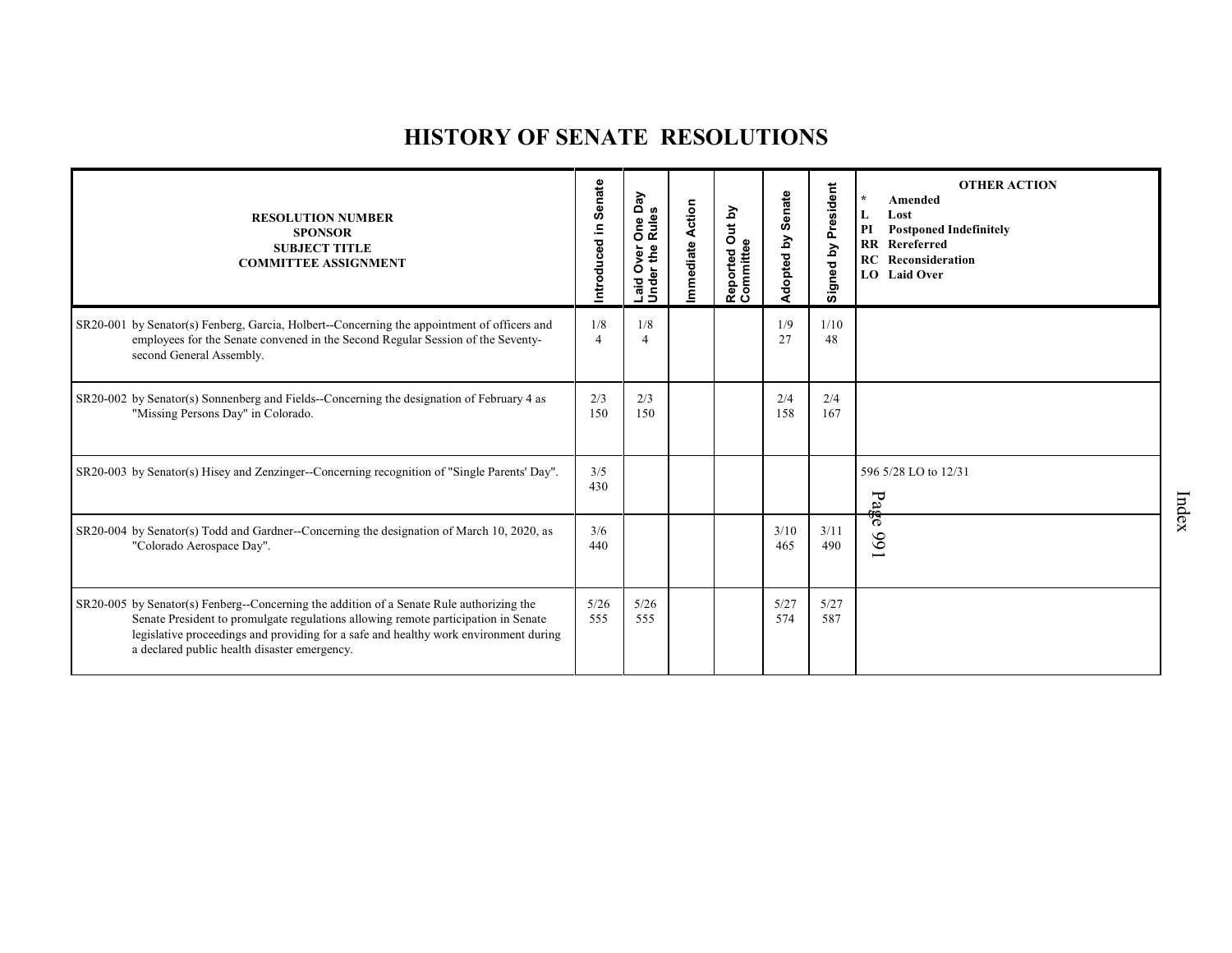# **HISTORY OF SENATE RESOLUTIONS**

| <b>RESOLUTION NUMBER</b><br><b>SPONSOR</b><br><b>SUBJECT TITLE</b><br><b>COMMITTEE ASSIGNMENT</b>                                                                                                                                                                                                                      | Senate<br>Introduced in | Day<br>One D<br>Rules<br>ω<br>Laid Over<br>Under the | <b>Action</b><br>Immediate | <u>ڇ</u><br>$\vec{5}$<br>ω<br>Reported<br>Committee | Senate<br>Adopted by | President<br>Signed by | <b>OTHER ACTION</b><br>$\star$<br>Amended<br>L<br>Lost<br>PI<br><b>Postponed Indefinitely</b><br>RR Rereferred<br>RC<br>Reconsideration<br>LO Laid Over |
|------------------------------------------------------------------------------------------------------------------------------------------------------------------------------------------------------------------------------------------------------------------------------------------------------------------------|-------------------------|------------------------------------------------------|----------------------------|-----------------------------------------------------|----------------------|------------------------|---------------------------------------------------------------------------------------------------------------------------------------------------------|
| SR20-001 by Senator(s) Fenberg, Garcia, Holbert--Concerning the appointment of officers and<br>employees for the Senate convened in the Second Regular Session of the Seventy-<br>second General Assembly.                                                                                                             | 1/8<br>$\overline{4}$   | 1/8                                                  |                            |                                                     | 1/9<br>27            | 1/10<br>48             |                                                                                                                                                         |
| SR20-002 by Senator(s) Sonnenberg and Fields--Concerning the designation of February 4 as<br>"Missing Persons Day" in Colorado.                                                                                                                                                                                        | 2/3<br>150              | 2/3<br>150                                           |                            |                                                     | 2/4<br>158           | 2/4<br>167             |                                                                                                                                                         |
| SR20-003 by Senator(s) Hisey and Zenzinger-Concerning recognition of "Single Parents' Day".                                                                                                                                                                                                                            | 3/5<br>430              |                                                      |                            |                                                     |                      |                        | 596 5/28 LO to 12/31<br>Pa                                                                                                                              |
| SR20-004 by Senator(s) Todd and Gardner--Concerning the designation of March 10, 2020, as<br>"Colorado Aerospace Day".                                                                                                                                                                                                 | 3/6<br>440              |                                                      |                            |                                                     | 3/10<br>465          | 3/11<br>490            | लैं<br>166                                                                                                                                              |
| SR20-005 by Senator(s) Fenberg--Concerning the addition of a Senate Rule authorizing the<br>Senate President to promulgate regulations allowing remote participation in Senate<br>legislative proceedings and providing for a safe and healthy work environment during<br>a declared public health disaster emergency. | 5/26<br>555             | 5/26<br>555                                          |                            |                                                     | 5/27<br>574          | 5/27<br>587            |                                                                                                                                                         |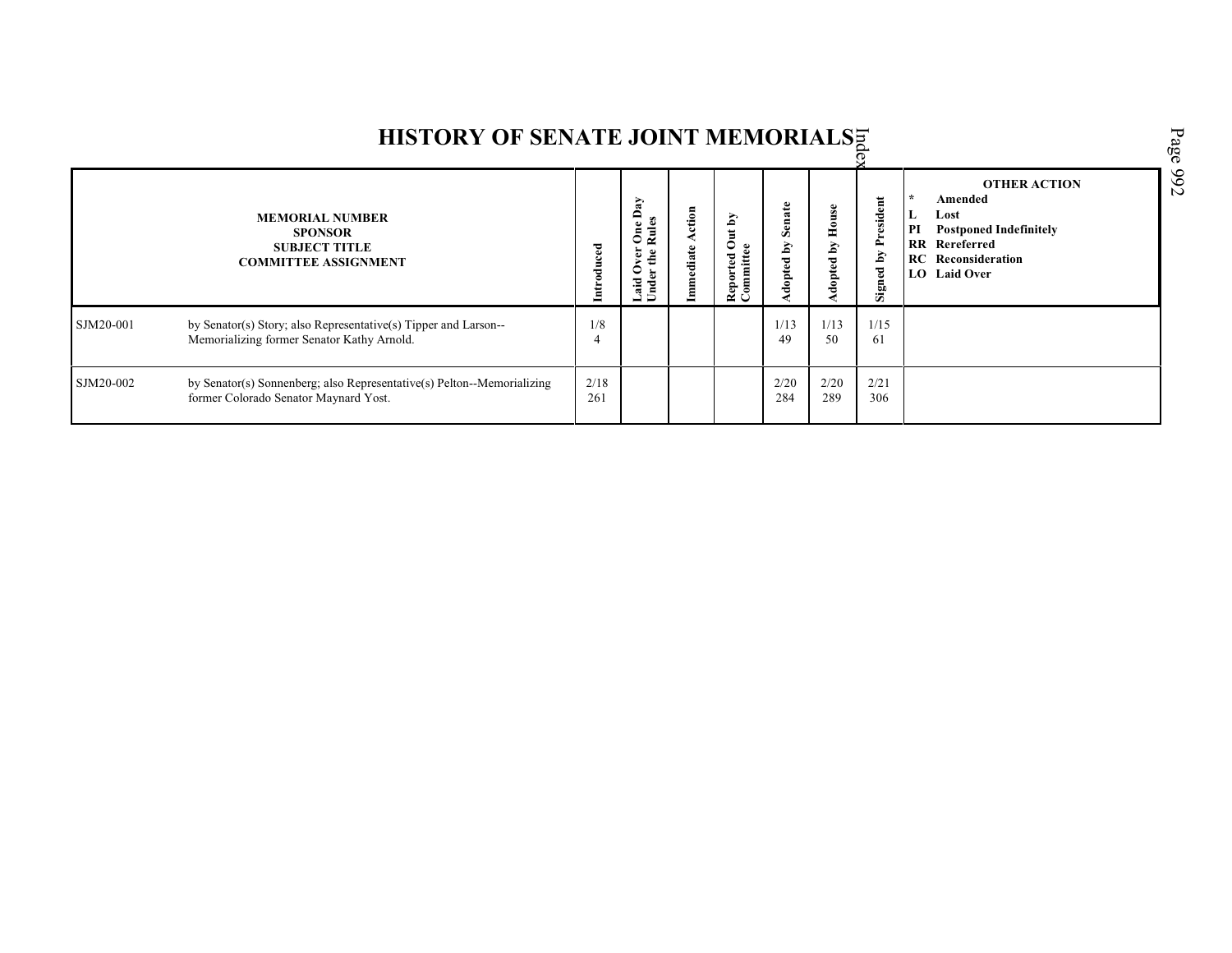|           | HISTORY OF SENATE JOINT MEMORIALSE                                                                              |             |                                                                                               |                  |                                                                 |                                       |                       |                            |                                                                                                                                                     | Page |
|-----------|-----------------------------------------------------------------------------------------------------------------|-------------|-----------------------------------------------------------------------------------------------|------------------|-----------------------------------------------------------------|---------------------------------------|-----------------------|----------------------------|-----------------------------------------------------------------------------------------------------------------------------------------------------|------|
|           | <b>MEMORIAL NUMBER</b><br><b>SPONSOR</b><br><b>SUBJECT TITLE</b><br><b>COMMITTEE ASSIGNMENT</b>                 |             | Day<br>Rules<br>$\bullet$<br>ర్<br>the<br>$\overline{\mathbf{v}}$<br>0<br><b>Under</b><br>aid | ction<br>mediate | $\mathbf{\hat{A}}$<br>$\overline{d}$<br>mittee<br>Reported<br>ඨ | Senate<br>$\mathbf{\hat{A}}$<br>opted | House<br>Уq<br>dopted | <b>Signed by President</b> | <b>OTHER ACTION</b><br>Amended<br>L<br>Lost<br>PI<br><b>Postponed Indefinitely</b><br><b>RR</b> Rereferred<br>Reconsideration<br>RC<br>LO Laid Over | 766  |
| SJM20-001 | by Senator(s) Story; also Representative(s) Tipper and Larson--<br>Memorializing former Senator Kathy Arnold.   | 1/8         |                                                                                               |                  |                                                                 | 1/13<br>49                            | 1/13<br>50            | 1/15<br>61                 |                                                                                                                                                     |      |
| SJM20-002 | by Senator(s) Sonnenberg; also Representative(s) Pelton--Memorializing<br>former Colorado Senator Maynard Yost. | 2/18<br>261 |                                                                                               |                  |                                                                 | 2/20<br>284                           | 2/20<br>289           | 2/21<br>306                |                                                                                                                                                     |      |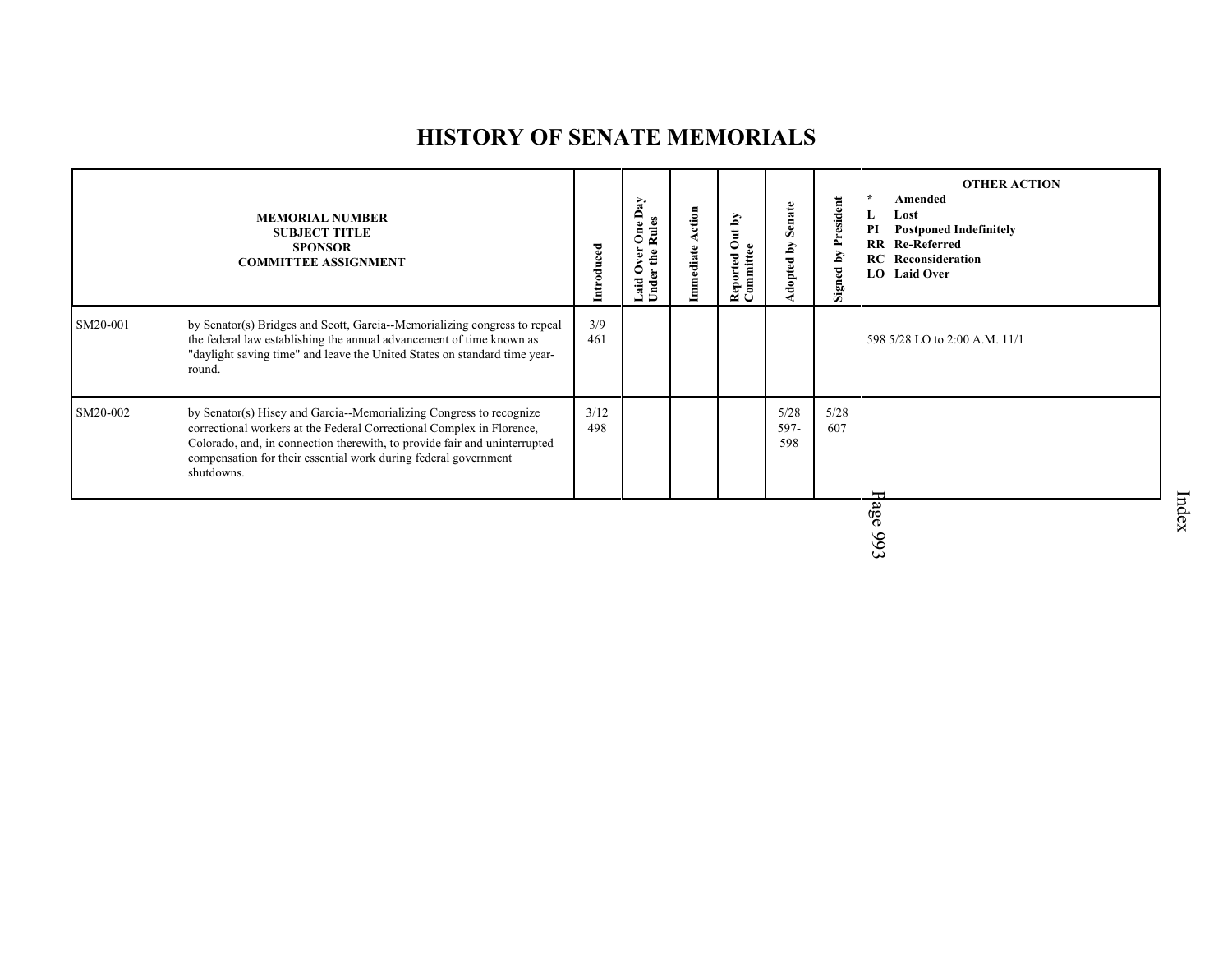# **HISTORY OF SENATE MEMORIALS**

| 3/9<br>SM20-001<br>by Senator(s) Bridges and Scott, Garcia--Memorializing congress to repeal<br>the federal law establishing the annual advancement of time known as<br>461<br>598 5/28 LO to 2:00 A.M. 11/1<br>"daylight saving time" and leave the United States on standard time year-<br>round.<br>5/28<br>5/28<br>3/12<br>SM20-002<br>by Senator(s) Hisey and Garcia--Memorializing Congress to recognize<br>correctional workers at the Federal Correctional Complex in Florence,<br>597-<br>498<br>607<br>Colorado, and, in connection therewith, to provide fair and uninterrupted<br>598<br>compensation for their essential work during federal government<br>shutdowns. | <b>MEMORIAL NUMBER</b><br><b>SUBJECT TITLE</b><br><b>SPONSOR</b><br><b>COMMITTEE ASSIGNMENT</b> | Introduced | Day<br>$\bullet$<br>Ž<br>€<br>ä<br>aid<br>Ĕ | ction<br>ediate | Š<br>$\overline{\mathbf{a}}$<br>Reported O<br>Committee | Senate<br>$\tilde{\mathbf{A}}$<br>opted | President<br>Signed by | <b>OTHER ACTION</b><br>Amended<br>Lost<br>L<br><b>Postponed Indefinitely</b><br>PI<br><b>RR</b> Re-Referred<br><b>RC</b> Reconsideration<br>LO Laid Over |
|------------------------------------------------------------------------------------------------------------------------------------------------------------------------------------------------------------------------------------------------------------------------------------------------------------------------------------------------------------------------------------------------------------------------------------------------------------------------------------------------------------------------------------------------------------------------------------------------------------------------------------------------------------------------------------|-------------------------------------------------------------------------------------------------|------------|---------------------------------------------|-----------------|---------------------------------------------------------|-----------------------------------------|------------------------|----------------------------------------------------------------------------------------------------------------------------------------------------------|
|                                                                                                                                                                                                                                                                                                                                                                                                                                                                                                                                                                                                                                                                                    |                                                                                                 |            |                                             |                 |                                                         |                                         |                        |                                                                                                                                                          |
|                                                                                                                                                                                                                                                                                                                                                                                                                                                                                                                                                                                                                                                                                    |                                                                                                 |            |                                             |                 |                                                         |                                         |                        |                                                                                                                                                          |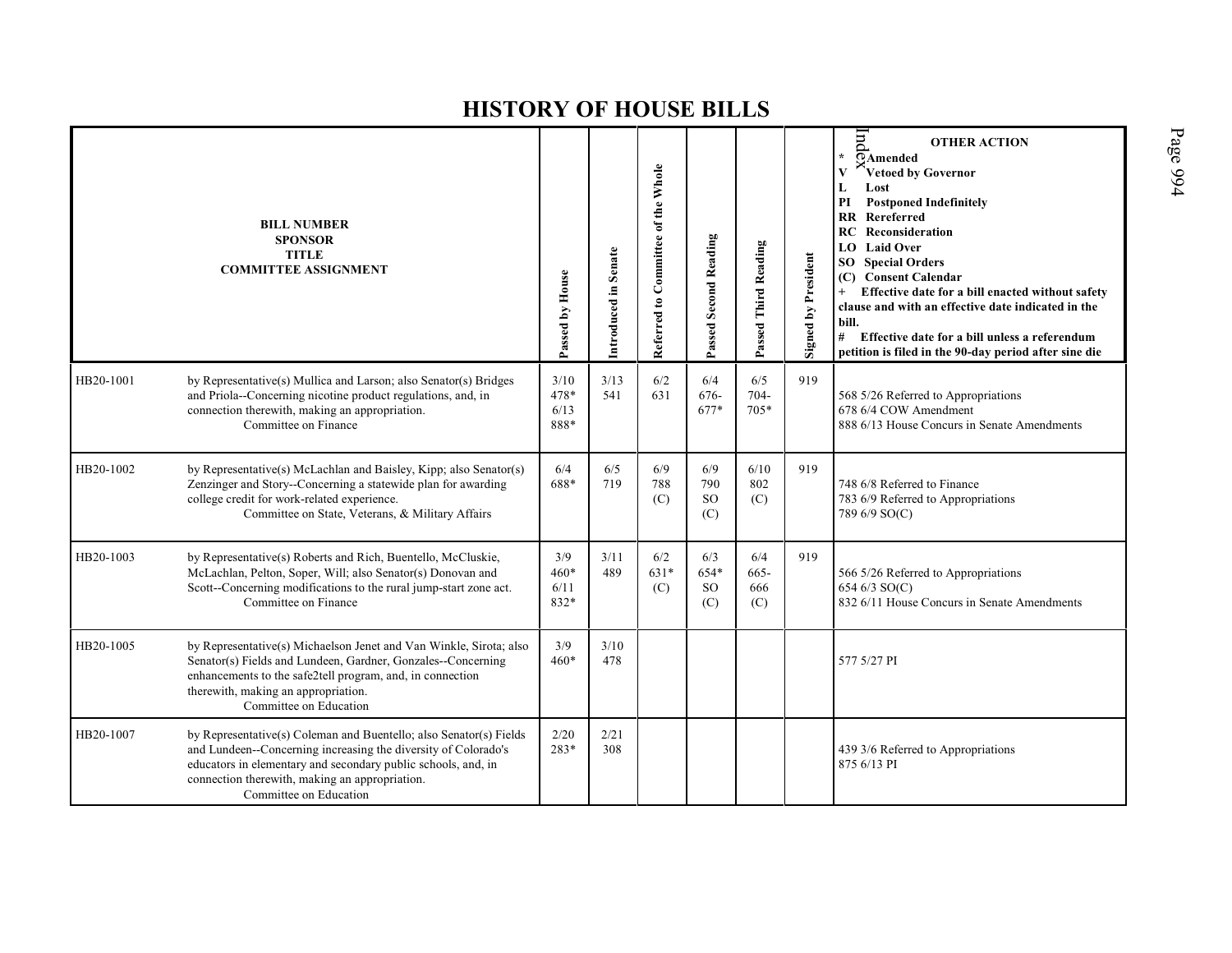|           | <b>BILL NUMBER</b><br><b>SPONSOR</b><br><b>TITLE</b><br><b>COMMITTEE ASSIGNMENT</b>                                                                                                                                                                                               | Passed by House                | Introduced in Senate | Referred to Committee of the Whole | Passed Second Reading               | Passed Third Reading      | Signed by President | pu<br><b>OTHER ACTION</b><br>$\overline{Q}$ Amended<br>Vetoed by Governor<br>V<br>Lost<br>L<br><b>Postponed Indefinitely</b><br>PI<br><b>RR</b> Rereferred<br><b>RC</b> Reconsideration<br><b>Laid Over</b><br>LO.<br><b>SO</b> Special Orders<br><b>Consent Calendar</b><br>(C)<br>Effective date for a bill enacted without safety<br>$+$<br>clause and with an effective date indicated in the<br>bill.<br># Effective date for a bill unless a referendum<br>petition is filed in the 90-day period after sine die |
|-----------|-----------------------------------------------------------------------------------------------------------------------------------------------------------------------------------------------------------------------------------------------------------------------------------|--------------------------------|----------------------|------------------------------------|-------------------------------------|---------------------------|---------------------|------------------------------------------------------------------------------------------------------------------------------------------------------------------------------------------------------------------------------------------------------------------------------------------------------------------------------------------------------------------------------------------------------------------------------------------------------------------------------------------------------------------------|
| HB20-1001 | by Representative(s) Mullica and Larson; also Senator(s) Bridges<br>and Priola--Concerning nicotine product regulations, and, in<br>connection therewith, making an appropriation.<br>Committee on Finance                                                                        | 3/10<br>$478*$<br>6/13<br>888* | 3/13<br>541          | 6/2<br>631                         | 6/4<br>676-<br>677*                 | 6/5<br>$704 -$<br>705*    | 919                 | 568 5/26 Referred to Appropriations<br>678 6/4 COW Amendment<br>888 6/13 House Concurs in Senate Amendments                                                                                                                                                                                                                                                                                                                                                                                                            |
| HB20-1002 | by Representative(s) McLachlan and Baisley, Kipp; also Senator(s)<br>Zenzinger and Story--Concerning a statewide plan for awarding<br>college credit for work-related experience.<br>Committee on State, Veterans, & Military Affairs                                             | 6/4<br>688*                    | 6/5<br>719           | 6/9<br>788<br>(C)                  | 6/9<br>790<br><sub>SO</sub><br>(C)  | 6/10<br>802<br>(C)        | 919                 | 748 6/8 Referred to Finance<br>783 6/9 Referred to Appropriations<br>789 6/9 SO(C)                                                                                                                                                                                                                                                                                                                                                                                                                                     |
| HB20-1003 | by Representative(s) Roberts and Rich, Buentello, McCluskie,<br>McLachlan, Pelton, Soper, Will; also Senator(s) Donovan and<br>Scott--Concerning modifications to the rural jump-start zone act.<br>Committee on Finance                                                          | 3/9<br>$460*$<br>6/11<br>832*  | 3/11<br>489          | 6/2<br>631*<br>(C)                 | 6/3<br>654*<br><sub>SO</sub><br>(C) | 6/4<br>665-<br>666<br>(C) | 919                 | 566 5/26 Referred to Appropriations<br>654 6/3 SO(C)<br>832 6/11 House Concurs in Senate Amendments                                                                                                                                                                                                                                                                                                                                                                                                                    |
| HB20-1005 | by Representative(s) Michaelson Jenet and Van Winkle, Sirota; also<br>Senator(s) Fields and Lundeen, Gardner, Gonzales--Concerning<br>enhancements to the safe2tell program, and, in connection<br>therewith, making an appropriation.<br>Committee on Education                  | 3/9<br>$460*$                  | 3/10<br>478          |                                    |                                     |                           |                     | 577 5/27 PI                                                                                                                                                                                                                                                                                                                                                                                                                                                                                                            |
| HB20-1007 | by Representative(s) Coleman and Buentello; also Senator(s) Fields<br>and Lundeen--Concerning increasing the diversity of Colorado's<br>educators in elementary and secondary public schools, and, in<br>connection therewith, making an appropriation.<br>Committee on Education | 2/20<br>283*                   | 2/21<br>308          |                                    |                                     |                           |                     | 439 3/6 Referred to Appropriations<br>875 6/13 PI                                                                                                                                                                                                                                                                                                                                                                                                                                                                      |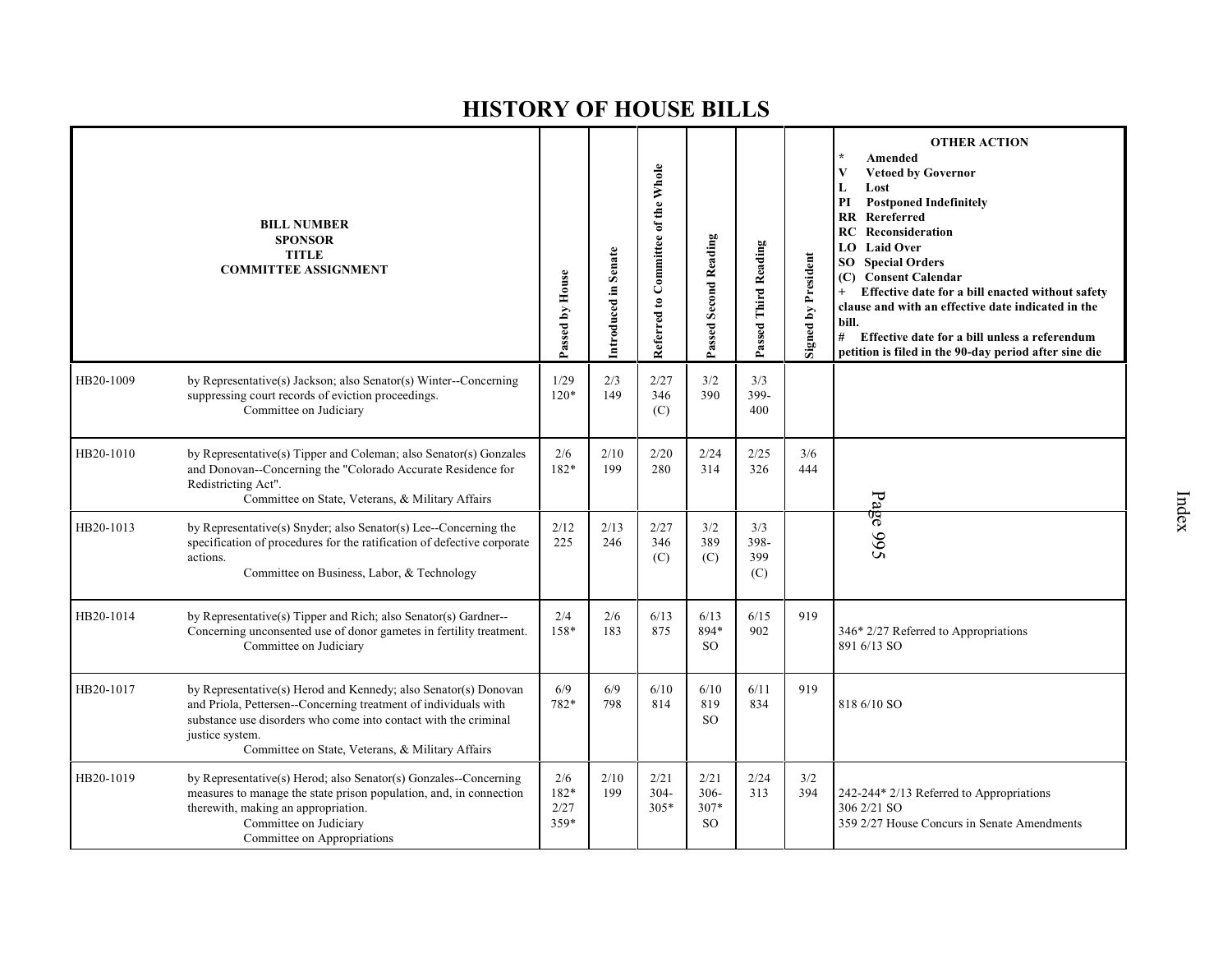|           | <b>BILL NUMBER</b><br><b>SPONSOR</b><br><b>TITLE</b><br><b>COMMITTEE ASSIGNMENT</b>                                                                                                                                                                                          | Passed by House             | Introduced in Senate | Referred to Committee of the Whole | Passed Second Reading                  | Passed Third Reading      | <b>Signed by President</b> | <b>OTHER ACTION</b><br>$\star$<br>Amended<br>$\mathbf{V}$<br><b>Vetoed by Governor</b><br>L<br>Lost<br>PI<br><b>Postponed Indefinitely</b><br>Rereferred<br>RR<br>Reconsideration<br>RC.<br><b>Laid Over</b><br>LO.<br><b>SO</b> Special Orders<br><b>Consent Calendar</b><br>(C)<br>Effective date for a bill enacted without safety<br>$+$<br>clause and with an effective date indicated in the<br>bill.<br>#<br>Effective date for a bill unless a referendum<br>petition is filed in the 90-day period after sine die |
|-----------|------------------------------------------------------------------------------------------------------------------------------------------------------------------------------------------------------------------------------------------------------------------------------|-----------------------------|----------------------|------------------------------------|----------------------------------------|---------------------------|----------------------------|----------------------------------------------------------------------------------------------------------------------------------------------------------------------------------------------------------------------------------------------------------------------------------------------------------------------------------------------------------------------------------------------------------------------------------------------------------------------------------------------------------------------------|
| HB20-1009 | by Representative(s) Jackson; also Senator(s) Winter--Concerning<br>suppressing court records of eviction proceedings.<br>Committee on Judiciary                                                                                                                             | 1/29<br>$120*$              | 2/3<br>149           | 2/27<br>346<br>(C)                 | 3/2<br>390                             | 3/3<br>399-<br>400        |                            |                                                                                                                                                                                                                                                                                                                                                                                                                                                                                                                            |
| HB20-1010 | by Representative(s) Tipper and Coleman; also Senator(s) Gonzales<br>and Donovan--Concerning the "Colorado Accurate Residence for<br>Redistricting Act".<br>Committee on State, Veterans, & Military Affairs                                                                 | 2/6<br>182*                 | 2/10<br>199          | 2/20<br>280                        | 2/24<br>314                            | 2/25<br>326               | 3/6<br>444                 |                                                                                                                                                                                                                                                                                                                                                                                                                                                                                                                            |
| HB20-1013 | by Representative(s) Snyder; also Senator(s) Lee--Concerning the<br>specification of procedures for the ratification of defective corporate<br>actions.<br>Committee on Business, Labor, & Technology                                                                        | 2/12<br>225                 | 2/13<br>246          | 2/27<br>346<br>(C)                 | 3/2<br>389<br>(C)                      | 3/3<br>398-<br>399<br>(C) |                            | Page 995                                                                                                                                                                                                                                                                                                                                                                                                                                                                                                                   |
| HB20-1014 | by Representative(s) Tipper and Rich; also Senator(s) Gardner--<br>Concerning unconsented use of donor gametes in fertility treatment.<br>Committee on Judiciary                                                                                                             | 2/4<br>158*                 | 2/6<br>183           | 6/13<br>875                        | 6/13<br>894*<br>SO.                    | 6/15<br>902               | 919                        | 346* 2/27 Referred to Appropriations<br>891 6/13 SO                                                                                                                                                                                                                                                                                                                                                                                                                                                                        |
| HB20-1017 | by Representative(s) Herod and Kennedy; also Senator(s) Donovan<br>and Priola, Pettersen--Concerning treatment of individuals with<br>substance use disorders who come into contact with the criminal<br>justice system.<br>Committee on State, Veterans, & Military Affairs | 6/9<br>782*                 | 6/9<br>798           | 6/10<br>814                        | 6/10<br>819<br><sub>SO</sub>           | 6/11<br>834               | 919                        | 818 6/10 SO                                                                                                                                                                                                                                                                                                                                                                                                                                                                                                                |
| HB20-1019 | by Representative(s) Herod; also Senator(s) Gonzales--Concerning<br>measures to manage the state prison population, and, in connection<br>therewith, making an appropriation.<br>Committee on Judiciary<br>Committee on Appropriations                                       | 2/6<br>182*<br>2/27<br>359* | 2/10<br>199          | 2/21<br>$304 -$<br>$305*$          | 2/21<br>$306 -$<br>$307*$<br><b>SO</b> | 2/24<br>313               | 3/2<br>394                 | 242-244* 2/13 Referred to Appropriations<br>306 2/21 SO<br>359 2/27 House Concurs in Senate Amendments                                                                                                                                                                                                                                                                                                                                                                                                                     |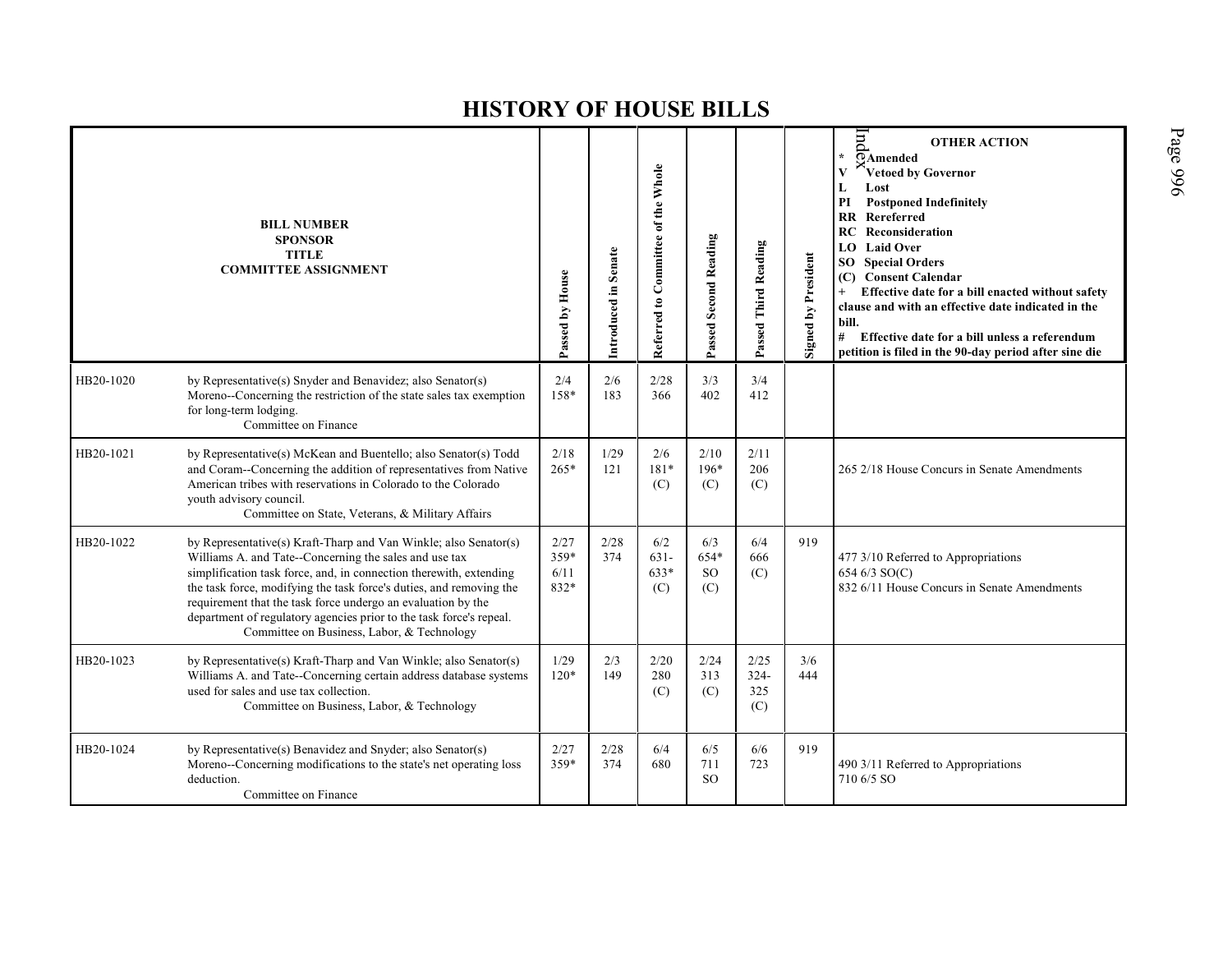|           | <b>BILL NUMBER</b><br><b>SPONSOR</b><br><b>TITLE</b><br><b>COMMITTEE ASSIGNMENT</b>                                                                                                                                                                                                                                                                                                                                                                          | Passed by House              | Introduced in Senate | Referred to Committee of the Whole | Passed Second Reading               | Passed Third Reading          | Signed by President | pu<br><b>OTHER ACTION</b><br>$\star$<br>$\overline{Q}$ Amended<br>Vetoed by Governor<br>V<br>Lost<br>L<br>PI<br><b>Postponed Indefinitely</b><br><b>RR</b> Rereferred<br><b>RC</b> Reconsideration<br><b>Laid Over</b><br>LO.<br><b>SO</b> Special Orders<br>(C) Consent Calendar<br>Effective date for a bill enacted without safety<br>$+$<br>clause and with an effective date indicated in the<br>bill.<br>#<br>Effective date for a bill unless a referendum<br>petition is filed in the 90-day period after sine die |
|-----------|--------------------------------------------------------------------------------------------------------------------------------------------------------------------------------------------------------------------------------------------------------------------------------------------------------------------------------------------------------------------------------------------------------------------------------------------------------------|------------------------------|----------------------|------------------------------------|-------------------------------------|-------------------------------|---------------------|----------------------------------------------------------------------------------------------------------------------------------------------------------------------------------------------------------------------------------------------------------------------------------------------------------------------------------------------------------------------------------------------------------------------------------------------------------------------------------------------------------------------------|
| HB20-1020 | by Representative(s) Snyder and Benavidez; also Senator(s)<br>Moreno--Concerning the restriction of the state sales tax exemption<br>for long-term lodging.<br>Committee on Finance                                                                                                                                                                                                                                                                          | 2/4<br>158*                  | 2/6<br>183           | 2/28<br>366                        | 3/3<br>402                          | 3/4<br>412                    |                     |                                                                                                                                                                                                                                                                                                                                                                                                                                                                                                                            |
| HB20-1021 | by Representative(s) McKean and Buentello; also Senator(s) Todd<br>and Coram--Concerning the addition of representatives from Native<br>American tribes with reservations in Colorado to the Colorado<br>youth advisory council.<br>Committee on State, Veterans, & Military Affairs                                                                                                                                                                         | 2/18<br>$265*$               | 1/29<br>121          | 2/6<br>$181*$<br>(C)               | 2/10<br>$196*$<br>(C)               | 2/11<br>206<br>(C)            |                     | 265 2/18 House Concurs in Senate Amendments                                                                                                                                                                                                                                                                                                                                                                                                                                                                                |
| HB20-1022 | by Representative(s) Kraft-Tharp and Van Winkle; also Senator(s)<br>Williams A. and Tate--Concerning the sales and use tax<br>simplification task force, and, in connection therewith, extending<br>the task force, modifying the task force's duties, and removing the<br>requirement that the task force undergo an evaluation by the<br>department of regulatory agencies prior to the task force's repeal.<br>Committee on Business, Labor, & Technology | 2/27<br>359*<br>6/11<br>832* | 2/28<br>374          | 6/2<br>$631 -$<br>$633*$<br>(C)    | 6/3<br>654*<br><sub>SO</sub><br>(C) | 6/4<br>666<br>(C)             | 919                 | 477 3/10 Referred to Appropriations<br>654 6/3 SO(C)<br>832 6/11 House Concurs in Senate Amendments                                                                                                                                                                                                                                                                                                                                                                                                                        |
| HB20-1023 | by Representative(s) Kraft-Tharp and Van Winkle; also Senator(s)<br>Williams A. and Tate--Concerning certain address database systems<br>used for sales and use tax collection.<br>Committee on Business, Labor, & Technology                                                                                                                                                                                                                                | 1/29<br>$120*$               | 2/3<br>149           | 2/20<br>280<br>(C)                 | 2/24<br>313<br>(C)                  | 2/25<br>$324 -$<br>325<br>(C) | 3/6<br>444          |                                                                                                                                                                                                                                                                                                                                                                                                                                                                                                                            |
| HB20-1024 | by Representative(s) Benavidez and Snyder; also Senator(s)<br>Moreno--Concerning modifications to the state's net operating loss<br>deduction.<br>Committee on Finance                                                                                                                                                                                                                                                                                       | 2/27<br>359*                 | 2/28<br>374          | 6/4<br>680                         | 6/5<br>711<br><sub>SO</sub>         | 6/6<br>723                    | 919                 | 490 3/11 Referred to Appropriations<br>710 6/5 SO                                                                                                                                                                                                                                                                                                                                                                                                                                                                          |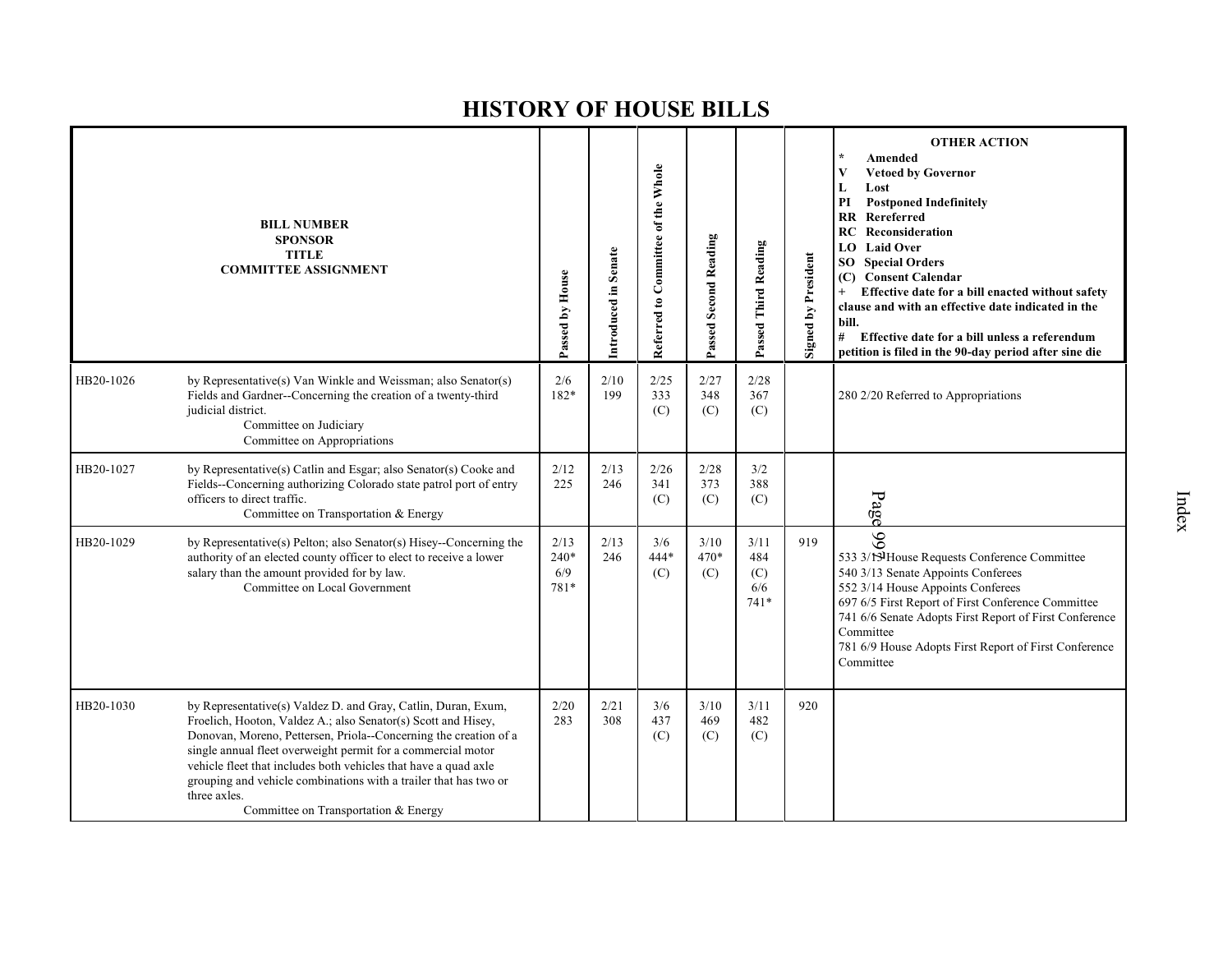|           | <b>BILL NUMBER</b><br><b>SPONSOR</b><br><b>TITLE</b><br><b>COMMITTEE ASSIGNMENT</b>                                                                                                                                                                                                                                                                                                                                                                               | Passed by House               | Introduced in Senate | Referred to Committee of the Whole | Passed Second Reading | Passed Third Reading                | <b>Signed by President</b> | <b>OTHER ACTION</b><br>Amended<br><b>Vetoed by Governor</b><br>V<br>Lost<br>L<br>PI<br><b>Postponed Indefinitely</b><br>Rereferred<br>$\mathbf{R}$<br>RC<br>Reconsideration<br><b>Laid Over</b><br>LO.<br>SO<br><b>Special Orders</b><br>(C) Consent Calendar<br>Effective date for a bill enacted without safety<br>clause and with an effective date indicated in the<br>bill.<br>#<br>Effective date for a bill unless a referendum<br>petition is filed in the 90-day period after sine die |
|-----------|-------------------------------------------------------------------------------------------------------------------------------------------------------------------------------------------------------------------------------------------------------------------------------------------------------------------------------------------------------------------------------------------------------------------------------------------------------------------|-------------------------------|----------------------|------------------------------------|-----------------------|-------------------------------------|----------------------------|-------------------------------------------------------------------------------------------------------------------------------------------------------------------------------------------------------------------------------------------------------------------------------------------------------------------------------------------------------------------------------------------------------------------------------------------------------------------------------------------------|
| HB20-1026 | by Representative(s) Van Winkle and Weissman; also Senator(s)<br>Fields and Gardner--Concerning the creation of a twenty-third<br>judicial district.<br>Committee on Judiciary<br>Committee on Appropriations                                                                                                                                                                                                                                                     | 2/6<br>182*                   | 2/10<br>199          | 2/25<br>333<br>(C)                 | 2/27<br>348<br>(C)    | 2/28<br>367<br>(C)                  |                            | 280 2/20 Referred to Appropriations                                                                                                                                                                                                                                                                                                                                                                                                                                                             |
| HB20-1027 | by Representative(s) Catlin and Esgar; also Senator(s) Cooke and<br>Fields--Concerning authorizing Colorado state patrol port of entry<br>officers to direct traffic.<br>Committee on Transportation & Energy                                                                                                                                                                                                                                                     | 2/12<br>225                   | 2/13<br>246          | 2/26<br>341<br>(C)                 | 2/28<br>373<br>(C)    | 3/2<br>388<br>(C)                   |                            | Page                                                                                                                                                                                                                                                                                                                                                                                                                                                                                            |
| HB20-1029 | by Representative(s) Pelton; also Senator(s) Hisey--Concerning the<br>authority of an elected county officer to elect to receive a lower<br>salary than the amount provided for by law.<br>Committee on Local Government                                                                                                                                                                                                                                          | 2/13<br>$240*$<br>6/9<br>781* | 2/13<br>246          | 3/6<br>$444*$<br>(C)               | 3/10<br>$470*$<br>(C) | 3/11<br>484<br>(C)<br>6/6<br>$741*$ | 919                        | 99<br>533 3/13 House Requests Conference Committee<br>540 3/13 Senate Appoints Conferees<br>552 3/14 House Appoints Conferees<br>697 6/5 First Report of First Conference Committee<br>741 6/6 Senate Adopts First Report of First Conference<br>Committee<br>781 6/9 House Adopts First Report of First Conference<br>Committee                                                                                                                                                                |
| HB20-1030 | by Representative(s) Valdez D. and Gray, Catlin, Duran, Exum,<br>Froelich, Hooton, Valdez A.; also Senator(s) Scott and Hisey,<br>Donovan, Moreno, Pettersen, Priola--Concerning the creation of a<br>single annual fleet overweight permit for a commercial motor<br>vehicle fleet that includes both vehicles that have a quad axle<br>grouping and vehicle combinations with a trailer that has two or<br>three axles.<br>Committee on Transportation & Energy | 2/20<br>283                   | 2/21<br>308          | 3/6<br>437<br>(C)                  | 3/10<br>469<br>(C)    | 3/11<br>482<br>(C)                  | 920                        |                                                                                                                                                                                                                                                                                                                                                                                                                                                                                                 |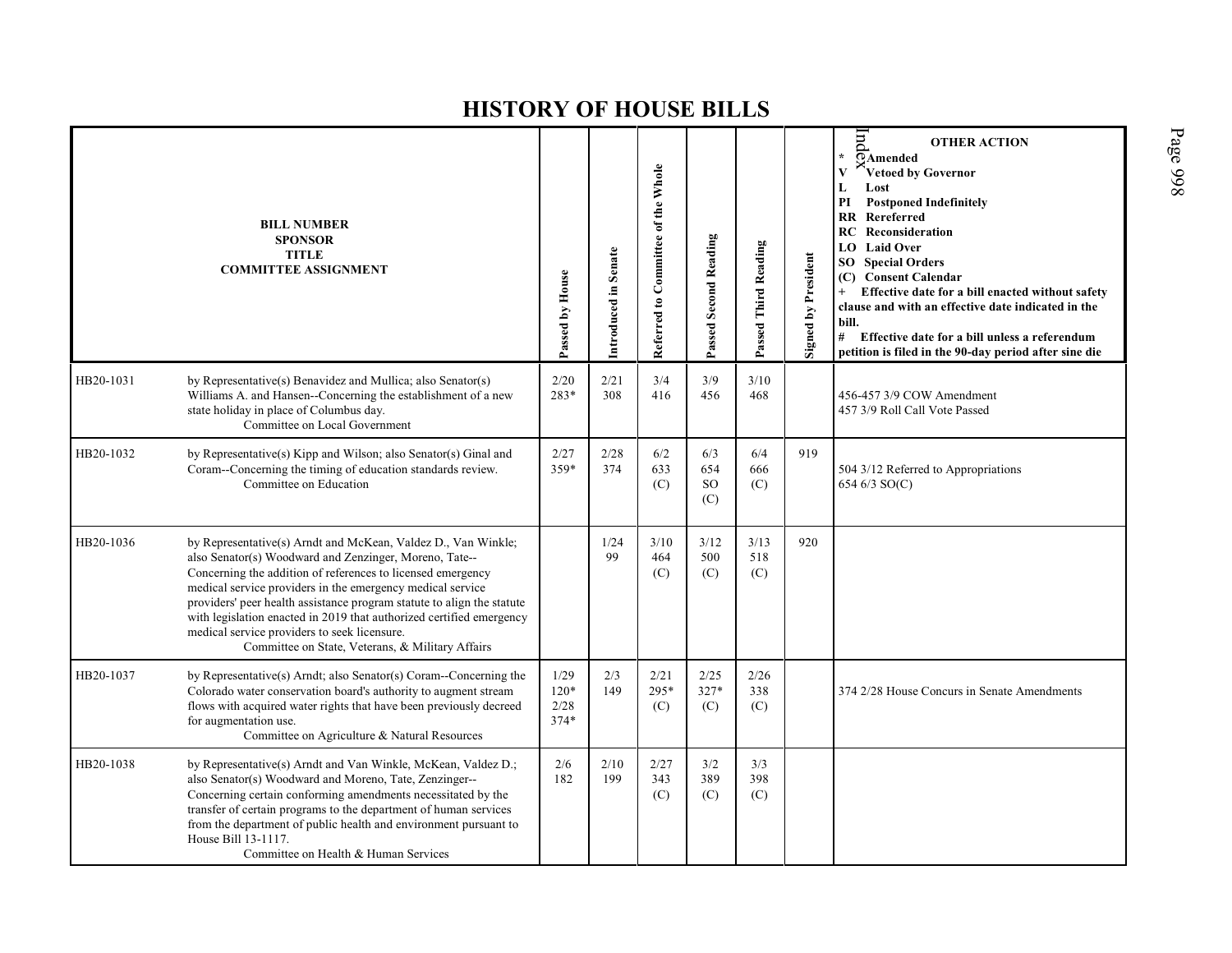|           | <b>BILL NUMBER</b><br><b>SPONSOR</b><br><b>TITLE</b><br><b>COMMITTEE ASSIGNMENT</b>                                                                                                                                                                                                                                                                                                                                                                                                                        | Passed by House                  | Introduced in Senate | Referred to Committee of the Whole | Passed Second Reading          | Passed Third Reading | <b>Signed by President</b> | Ind<br><b>OTHER ACTION</b><br>$\star$<br>OAmended<br><sup>s</sup> Vetoed by Governor<br>V<br>Lost<br>L<br>PI<br><b>Postponed Indefinitely</b><br><b>RR</b> Rereferred<br><b>RC</b> Reconsideration<br>LO Laid Over<br><b>SO</b> Special Orders<br>(C) Consent Calendar<br>Effective date for a bill enacted without safety<br>clause and with an effective date indicated in the<br>bill.<br># Effective date for a bill unless a referendum<br>petition is filed in the 90-day period after sine die |
|-----------|------------------------------------------------------------------------------------------------------------------------------------------------------------------------------------------------------------------------------------------------------------------------------------------------------------------------------------------------------------------------------------------------------------------------------------------------------------------------------------------------------------|----------------------------------|----------------------|------------------------------------|--------------------------------|----------------------|----------------------------|-------------------------------------------------------------------------------------------------------------------------------------------------------------------------------------------------------------------------------------------------------------------------------------------------------------------------------------------------------------------------------------------------------------------------------------------------------------------------------------------------------|
| HB20-1031 | by Representative(s) Benavidez and Mullica; also Senator(s)<br>Williams A. and Hansen--Concerning the establishment of a new<br>state holiday in place of Columbus day.<br>Committee on Local Government                                                                                                                                                                                                                                                                                                   | 2/20<br>283*                     | 2/21<br>308          | 3/4<br>416                         | 3/9<br>456                     | 3/10<br>468          |                            | 456-457 3/9 COW Amendment<br>457 3/9 Roll Call Vote Passed                                                                                                                                                                                                                                                                                                                                                                                                                                            |
| HB20-1032 | by Representative(s) Kipp and Wilson; also Senator(s) Ginal and<br>Coram--Concerning the timing of education standards review.<br>Committee on Education                                                                                                                                                                                                                                                                                                                                                   | 2/27<br>359*                     | 2/28<br>374          | 6/2<br>633<br>(C)                  | 6/3<br>654<br><b>SO</b><br>(C) | 6/4<br>666<br>(C)    | 919                        | 504 3/12 Referred to Appropriations<br>654 6/3 SO(C)                                                                                                                                                                                                                                                                                                                                                                                                                                                  |
| HB20-1036 | by Representative(s) Arndt and McKean, Valdez D., Van Winkle;<br>also Senator(s) Woodward and Zenzinger, Moreno, Tate--<br>Concerning the addition of references to licensed emergency<br>medical service providers in the emergency medical service<br>providers' peer health assistance program statute to align the statute<br>with legislation enacted in 2019 that authorized certified emergency<br>medical service providers to seek licensure.<br>Committee on State, Veterans, & Military Affairs |                                  | 1/24<br>99           | 3/10<br>464<br>(C)                 | 3/12<br>500<br>(C)             | 3/13<br>518<br>(C)   | 920                        |                                                                                                                                                                                                                                                                                                                                                                                                                                                                                                       |
| HB20-1037 | by Representative(s) Arndt; also Senator(s) Coram--Concerning the<br>Colorado water conservation board's authority to augment stream<br>flows with acquired water rights that have been previously decreed<br>for augmentation use.<br>Committee on Agriculture & Natural Resources                                                                                                                                                                                                                        | 1/29<br>$120*$<br>2/28<br>$374*$ | 2/3<br>149           | 2/21<br>295*<br>(C)                | 2/25<br>327*<br>(C)            | 2/26<br>338<br>(C)   |                            | 374 2/28 House Concurs in Senate Amendments                                                                                                                                                                                                                                                                                                                                                                                                                                                           |
| HB20-1038 | by Representative(s) Arndt and Van Winkle, McKean, Valdez D.;<br>also Senator(s) Woodward and Moreno, Tate, Zenzinger--<br>Concerning certain conforming amendments necessitated by the<br>transfer of certain programs to the department of human services<br>from the department of public health and environment pursuant to<br>House Bill 13-1117.<br>Committee on Health & Human Services                                                                                                             | 2/6<br>182                       | 2/10<br>199          | 2/27<br>343<br>(C)                 | 3/2<br>389<br>(C)              | 3/3<br>398<br>(C)    |                            |                                                                                                                                                                                                                                                                                                                                                                                                                                                                                                       |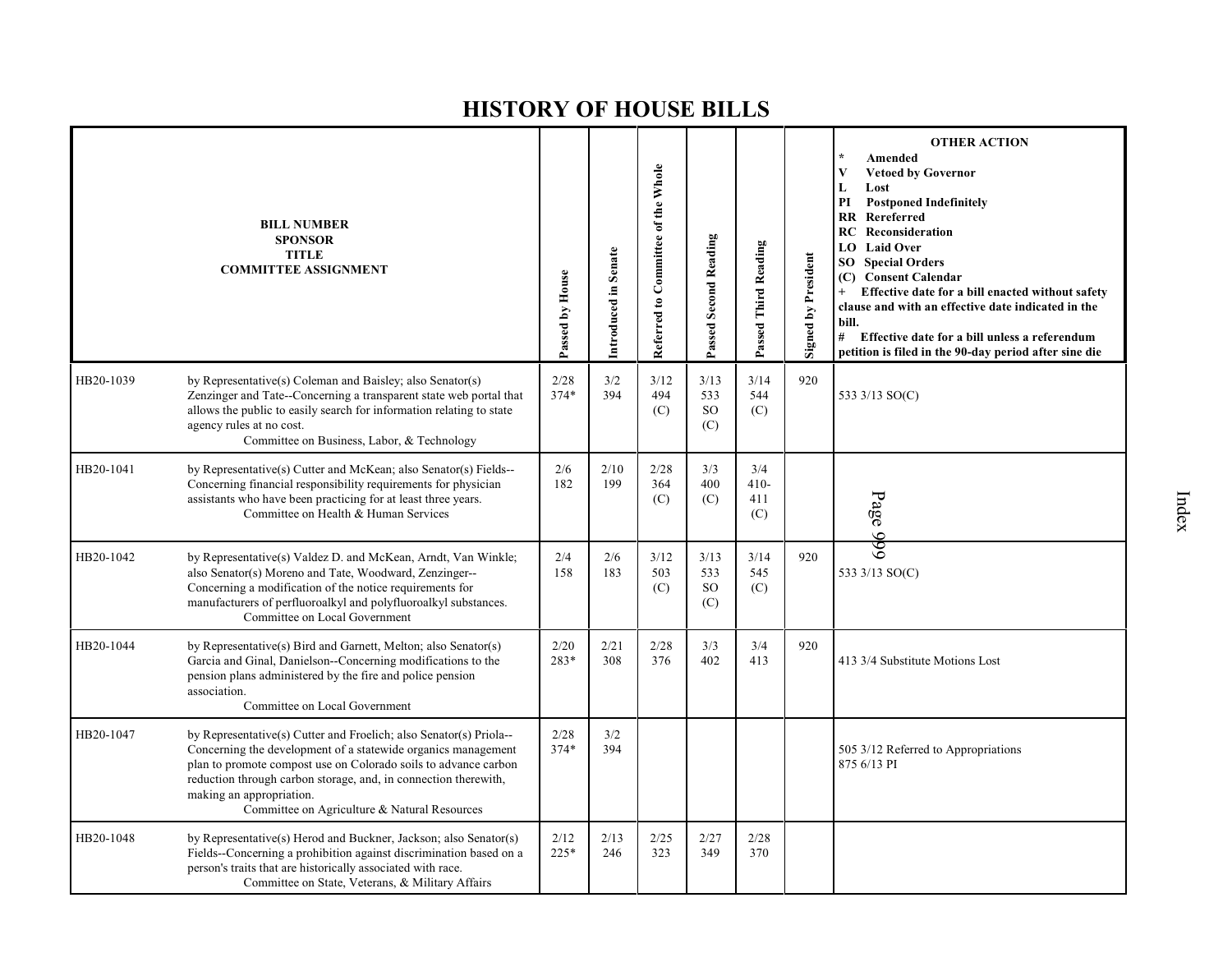|           | <b>BILL NUMBER</b><br><b>SPONSOR</b><br><b>TITLE</b><br><b>COMMITTEE ASSIGNMENT</b>                                                                                                                                                                                                                                                                   | Passed by House | Introduced in Senate | Referred to Committee of the Whole | Passed Second Reading           | Passed Third Reading        | <b>Signed by President</b> | <b>OTHER ACTION</b><br>Amended<br>V<br><b>Vetoed by Governor</b><br>$\mathbf L$<br>Lost<br>PI<br><b>Postponed Indefinitely</b><br>Rereferred<br><b>RR</b><br>Reconsideration<br>RC<br><b>Laid Over</b><br>LO.<br><b>SO</b> Special Orders<br>(C) Consent Calendar<br>Effective date for a bill enacted without safety<br>clause and with an effective date indicated in the<br>bill.<br>#<br>Effective date for a bill unless a referendum<br>petition is filed in the 90-day period after sine die |
|-----------|-------------------------------------------------------------------------------------------------------------------------------------------------------------------------------------------------------------------------------------------------------------------------------------------------------------------------------------------------------|-----------------|----------------------|------------------------------------|---------------------------------|-----------------------------|----------------------------|-----------------------------------------------------------------------------------------------------------------------------------------------------------------------------------------------------------------------------------------------------------------------------------------------------------------------------------------------------------------------------------------------------------------------------------------------------------------------------------------------------|
| HB20-1039 | by Representative(s) Coleman and Baisley; also Senator(s)<br>Zenzinger and Tate--Concerning a transparent state web portal that<br>allows the public to easily search for information relating to state<br>agency rules at no cost.<br>Committee on Business, Labor, & Technology                                                                     | 2/28<br>$374*$  | 3/2<br>394           | 3/12<br>494<br>(C)                 | 3/13<br>533<br><b>SO</b><br>(C) | 3/14<br>544<br>(C)          | 920                        | 533 3/13 SO(C)                                                                                                                                                                                                                                                                                                                                                                                                                                                                                      |
| HB20-1041 | by Representative(s) Cutter and McKean; also Senator(s) Fields--<br>Concerning financial responsibility requirements for physician<br>assistants who have been practicing for at least three years.<br>Committee on Health & Human Services                                                                                                           | 2/6<br>182      | 2/10<br>199          | 2/28<br>364<br>(C)                 | 3/3<br>400<br>(C)               | 3/4<br>$410-$<br>411<br>(C) |                            | Page 999                                                                                                                                                                                                                                                                                                                                                                                                                                                                                            |
| HB20-1042 | by Representative(s) Valdez D. and McKean, Arndt, Van Winkle;<br>also Senator(s) Moreno and Tate, Woodward, Zenzinger--<br>Concerning a modification of the notice requirements for<br>manufacturers of perfluoroalkyl and polyfluoroalkyl substances.<br>Committee on Local Government                                                               | 2/4<br>158      | 2/6<br>183           | 3/12<br>503<br>(C)                 | 3/13<br>533<br>SO<br>(C)        | 3/14<br>545<br>(C)          | 920                        | 533 3/13 SO(C)                                                                                                                                                                                                                                                                                                                                                                                                                                                                                      |
| HB20-1044 | by Representative(s) Bird and Garnett, Melton; also Senator(s)<br>Garcia and Ginal, Danielson--Concerning modifications to the<br>pension plans administered by the fire and police pension<br>association.<br>Committee on Local Government                                                                                                          | 2/20<br>283*    | 2/21<br>308          | 2/28<br>376                        | 3/3<br>402                      | 3/4<br>413                  | 920                        | 413 3/4 Substitute Motions Lost                                                                                                                                                                                                                                                                                                                                                                                                                                                                     |
| HB20-1047 | by Representative(s) Cutter and Froelich; also Senator(s) Priola--<br>Concerning the development of a statewide organics management<br>plan to promote compost use on Colorado soils to advance carbon<br>reduction through carbon storage, and, in connection therewith,<br>making an appropriation.<br>Committee on Agriculture & Natural Resources | 2/28<br>$374*$  | 3/2<br>394           |                                    |                                 |                             |                            | 505 3/12 Referred to Appropriations<br>875 6/13 PI                                                                                                                                                                                                                                                                                                                                                                                                                                                  |
| HB20-1048 | by Representative(s) Herod and Buckner, Jackson; also Senator(s)<br>Fields--Concerning a prohibition against discrimination based on a<br>person's traits that are historically associated with race.<br>Committee on State, Veterans, & Military Affairs                                                                                             | 2/12<br>225*    | 2/13<br>246          | 2/25<br>323                        | 2/27<br>349                     | 2/28<br>370                 |                            |                                                                                                                                                                                                                                                                                                                                                                                                                                                                                                     |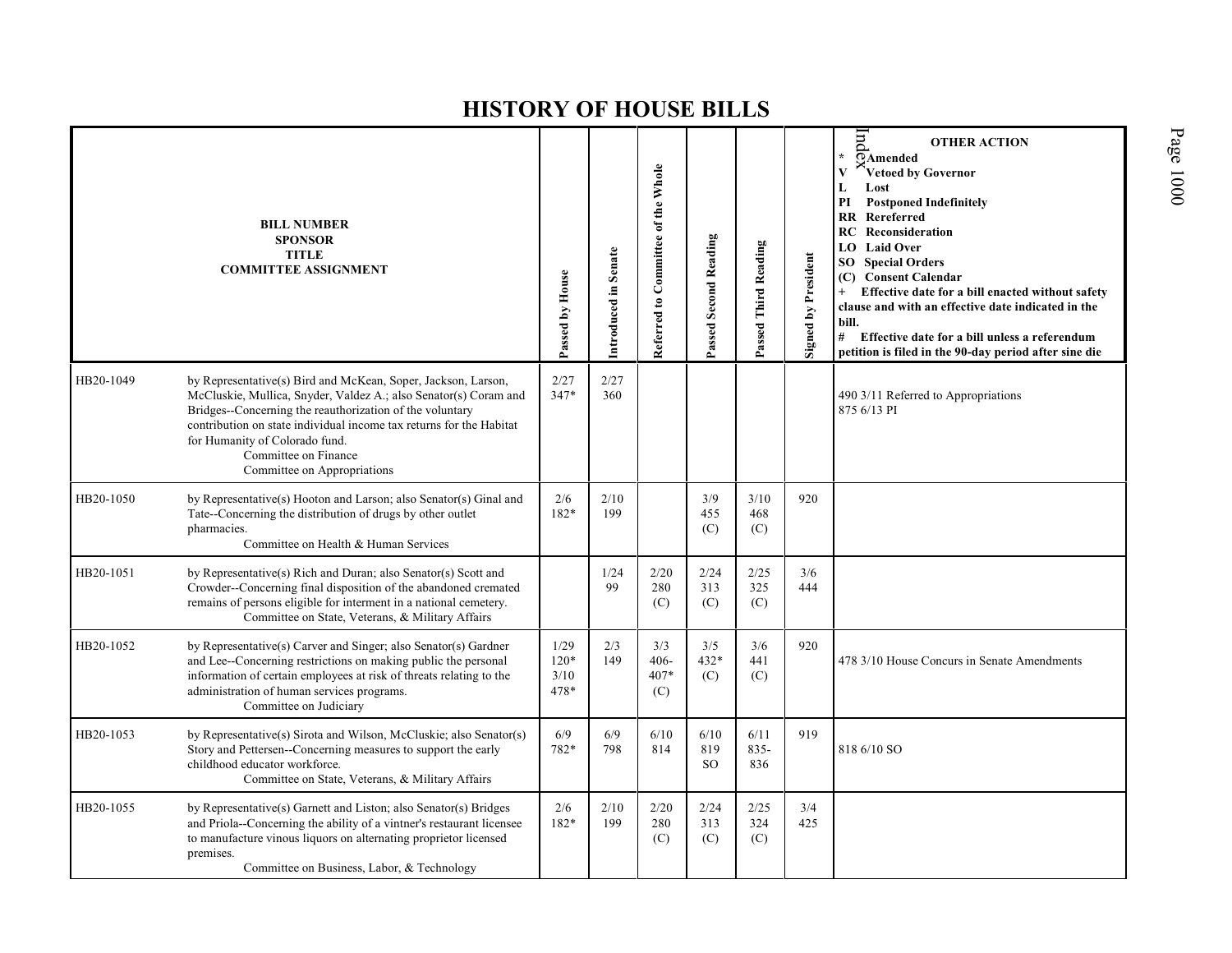|           | <b>BILL NUMBER</b><br><b>SPONSOR</b><br><b>TITLE</b><br><b>COMMITTEE ASSIGNMENT</b>                                                                                                                                                                                                                                                                           | Passed by House                | Introduced in Senate | Referred to Committee of the Whole | Passed Second Reading        | Passed Third Reading   | Signed by President | pu<br><b>OTHER ACTION</b><br>¥.<br>$\overline{O}$ Amended<br>Vetoed by Governor<br>V<br>Lost<br>L<br><b>Postponed Indefinitely</b><br>PI<br><b>RR</b> Rereferred<br>Reconsideration<br>RC.<br><b>LO</b> Laid Over<br><b>SO</b> Special Orders<br>(C) Consent Calendar<br>Effective date for a bill enacted without safety<br>clause and with an effective date indicated in the<br>bill.<br># Effective date for a bill unless a referendum<br>petition is filed in the 90-day period after sine die |
|-----------|---------------------------------------------------------------------------------------------------------------------------------------------------------------------------------------------------------------------------------------------------------------------------------------------------------------------------------------------------------------|--------------------------------|----------------------|------------------------------------|------------------------------|------------------------|---------------------|------------------------------------------------------------------------------------------------------------------------------------------------------------------------------------------------------------------------------------------------------------------------------------------------------------------------------------------------------------------------------------------------------------------------------------------------------------------------------------------------------|
| HB20-1049 | by Representative(s) Bird and McKean, Soper, Jackson, Larson,<br>McCluskie, Mullica, Snyder, Valdez A.; also Senator(s) Coram and<br>Bridges--Concerning the reauthorization of the voluntary<br>contribution on state individual income tax returns for the Habitat<br>for Humanity of Colorado fund.<br>Committee on Finance<br>Committee on Appropriations | 2/27<br>$347*$                 | 2/27<br>360          |                                    |                              |                        |                     | 490 3/11 Referred to Appropriations<br>875 6/13 PI                                                                                                                                                                                                                                                                                                                                                                                                                                                   |
| HB20-1050 | by Representative(s) Hooton and Larson; also Senator(s) Ginal and<br>Tate--Concerning the distribution of drugs by other outlet<br>pharmacies.<br>Committee on Health & Human Services                                                                                                                                                                        | 2/6<br>182*                    | 2/10<br>199          |                                    | 3/9<br>455<br>(C)            | 3/10<br>468<br>(C)     | 920                 |                                                                                                                                                                                                                                                                                                                                                                                                                                                                                                      |
| HB20-1051 | by Representative(s) Rich and Duran; also Senator(s) Scott and<br>Crowder--Concerning final disposition of the abandoned cremated<br>remains of persons eligible for interment in a national cemetery.<br>Committee on State, Veterans, & Military Affairs                                                                                                    |                                | 1/24<br>99           | 2/20<br>280<br>(C)                 | 2/24<br>313<br>(C)           | 2/25<br>325<br>(C)     | 3/6<br>444          |                                                                                                                                                                                                                                                                                                                                                                                                                                                                                                      |
| HB20-1052 | by Representative(s) Carver and Singer; also Senator(s) Gardner<br>and Lee--Concerning restrictions on making public the personal<br>information of certain employees at risk of threats relating to the<br>administration of human services programs.<br>Committee on Judiciary                                                                              | 1/29<br>$120*$<br>3/10<br>478* | 2/3<br>149           | 3/3<br>$406 -$<br>407*<br>(C)      | 3/5<br>$432*$<br>(C)         | 3/6<br>441<br>(C)      | 920                 | 478 3/10 House Concurs in Senate Amendments                                                                                                                                                                                                                                                                                                                                                                                                                                                          |
| HB20-1053 | by Representative(s) Sirota and Wilson, McCluskie; also Senator(s)<br>Story and Pettersen--Concerning measures to support the early<br>childhood educator workforce.<br>Committee on State, Veterans, & Military Affairs                                                                                                                                      | 6/9<br>782*                    | 6/9<br>798           | 6/10<br>814                        | 6/10<br>819<br><sub>SO</sub> | 6/11<br>$835 -$<br>836 | 919                 | 818 6/10 SO                                                                                                                                                                                                                                                                                                                                                                                                                                                                                          |
| HB20-1055 | by Representative(s) Garnett and Liston; also Senator(s) Bridges<br>and Priola--Concerning the ability of a vintner's restaurant licensee<br>to manufacture vinous liquors on alternating proprietor licensed<br>premises.<br>Committee on Business, Labor, & Technology                                                                                      | 2/6<br>182*                    | 2/10<br>199          | 2/20<br>280<br>(C)                 | 2/24<br>313<br>(C)           | 2/25<br>324<br>(C)     | 3/4<br>425          |                                                                                                                                                                                                                                                                                                                                                                                                                                                                                                      |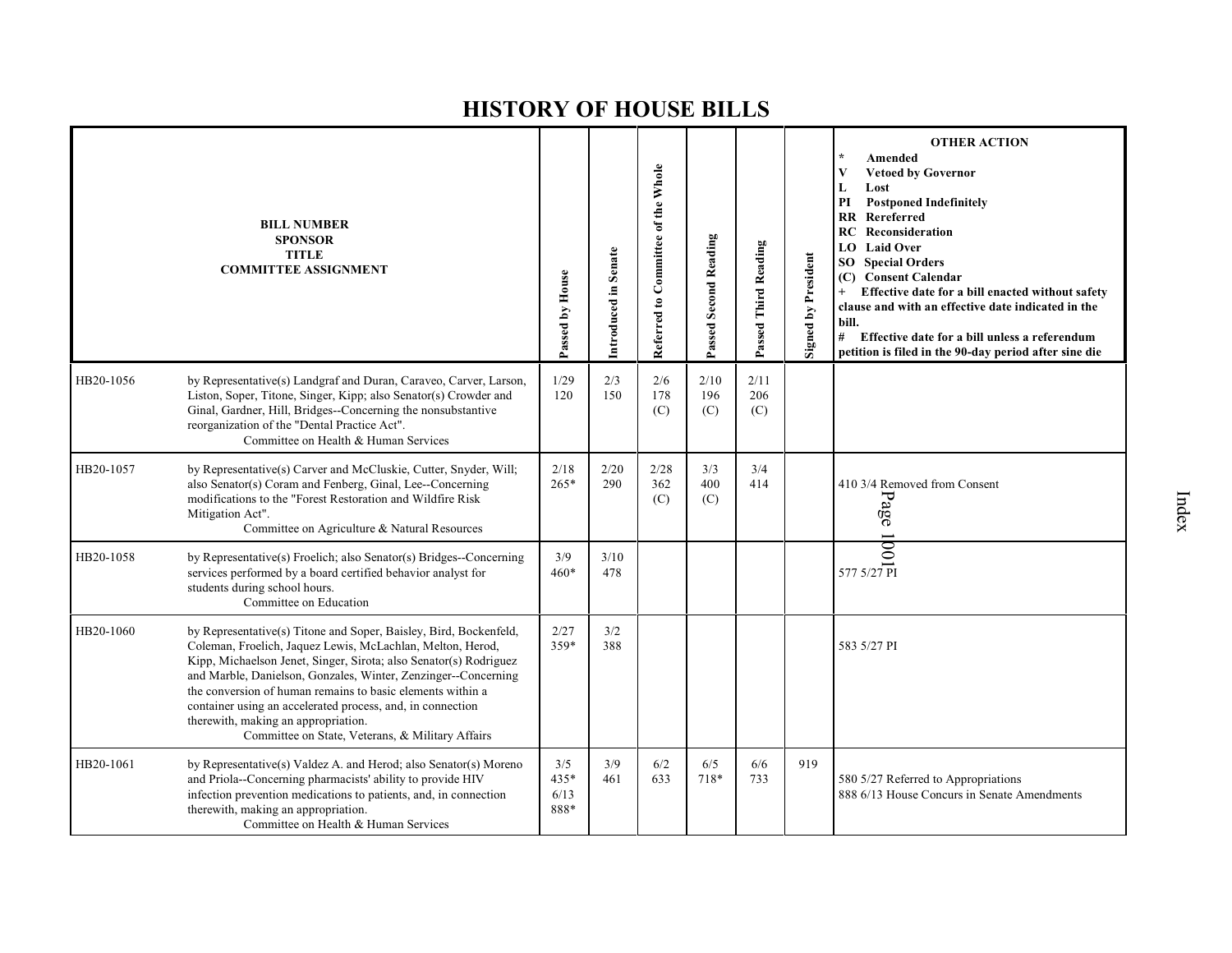|           | <b>BILL NUMBER</b><br><b>SPONSOR</b><br><b>TITLE</b><br><b>COMMITTEE ASSIGNMENT</b>                                                                                                                                                                                                                                                                                                                                                                                                           | Passed by House               | Introduced in Senate | Referred to Committee of the Whole | Passed Second Reading | Passed Third Reading | <b>Signed by President</b> | <b>OTHER ACTION</b><br>Amended<br><b>Vetoed by Governor</b><br>V<br>Lost<br>L<br>PI<br><b>Postponed Indefinitely</b><br>Rereferred<br><b>RR</b><br><b>RC</b> Reconsideration<br><b>Laid Over</b><br>LO.<br><b>Special Orders</b><br>SO<br><b>Consent Calendar</b><br>(C)<br>Effective date for a bill enacted without safety<br>clause and with an effective date indicated in the<br>bill.<br>#<br>Effective date for a bill unless a referendum<br>petition is filed in the 90-day period after sine die |
|-----------|-----------------------------------------------------------------------------------------------------------------------------------------------------------------------------------------------------------------------------------------------------------------------------------------------------------------------------------------------------------------------------------------------------------------------------------------------------------------------------------------------|-------------------------------|----------------------|------------------------------------|-----------------------|----------------------|----------------------------|------------------------------------------------------------------------------------------------------------------------------------------------------------------------------------------------------------------------------------------------------------------------------------------------------------------------------------------------------------------------------------------------------------------------------------------------------------------------------------------------------------|
| HB20-1056 | by Representative(s) Landgraf and Duran, Caraveo, Carver, Larson,<br>Liston, Soper, Titone, Singer, Kipp; also Senator(s) Crowder and<br>Ginal, Gardner, Hill, Bridges--Concerning the nonsubstantive<br>reorganization of the "Dental Practice Act".<br>Committee on Health & Human Services                                                                                                                                                                                                 | 1/29<br>120                   | 2/3<br>150           | 2/6<br>178<br>(C)                  | 2/10<br>196<br>(C)    | 2/11<br>206<br>(C)   |                            |                                                                                                                                                                                                                                                                                                                                                                                                                                                                                                            |
| HB20-1057 | by Representative(s) Carver and McCluskie, Cutter, Snyder, Will;<br>also Senator(s) Coram and Fenberg, Ginal, Lee--Concerning<br>modifications to the "Forest Restoration and Wildfire Risk<br>Mitigation Act".<br>Committee on Agriculture & Natural Resources                                                                                                                                                                                                                               | 2/18<br>265*                  | 2/20<br>290          | 2/28<br>362<br>(C)                 | 3/3<br>400<br>(C)     | 3/4<br>414           |                            | 410 3/4 Removed from Consent<br>Page                                                                                                                                                                                                                                                                                                                                                                                                                                                                       |
| HB20-1058 | by Representative(s) Froelich; also Senator(s) Bridges--Concerning<br>services performed by a board certified behavior analyst for<br>students during school hours.<br>Committee on Education                                                                                                                                                                                                                                                                                                 | 3/9<br>$460*$                 | 3/10<br>478          |                                    |                       |                      |                            |                                                                                                                                                                                                                                                                                                                                                                                                                                                                                                            |
| HB20-1060 | by Representative(s) Titone and Soper, Baisley, Bird, Bockenfeld,<br>Coleman, Froelich, Jaquez Lewis, McLachlan, Melton, Herod,<br>Kipp, Michaelson Jenet, Singer, Sirota; also Senator(s) Rodriguez<br>and Marble, Danielson, Gonzales, Winter, Zenzinger--Concerning<br>the conversion of human remains to basic elements within a<br>container using an accelerated process, and, in connection<br>therewith, making an appropriation.<br>Committee on State, Veterans, & Military Affairs | 2/27<br>359*                  | 3/2<br>388           |                                    |                       |                      |                            | 583 5/27 PI                                                                                                                                                                                                                                                                                                                                                                                                                                                                                                |
| HB20-1061 | by Representative(s) Valdez A. and Herod; also Senator(s) Moreno<br>and Priola--Concerning pharmacists' ability to provide HIV<br>infection prevention medications to patients, and, in connection<br>therewith, making an appropriation.<br>Committee on Health & Human Services                                                                                                                                                                                                             | 3/5<br>$435*$<br>6/13<br>888* | 3/9<br>461           | 6/2<br>633                         | 6/5<br>718*           | 6/6<br>733           | 919                        | 580 5/27 Referred to Appropriations<br>888 6/13 House Concurs in Senate Amendments                                                                                                                                                                                                                                                                                                                                                                                                                         |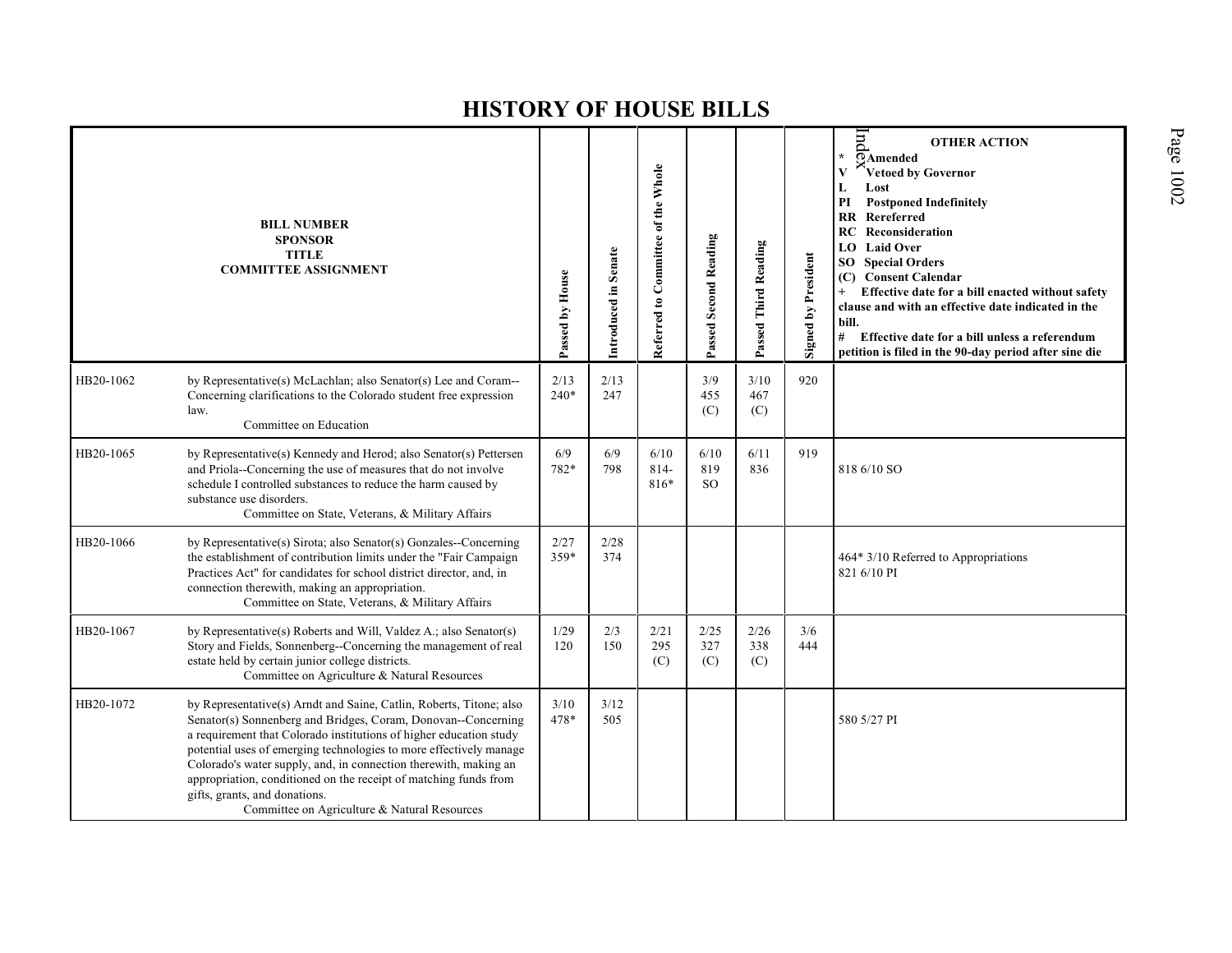|           | <b>BILL NUMBER</b><br><b>SPONSOR</b><br><b>TITLE</b><br><b>COMMITTEE ASSIGNMENT</b>                                                                                                                                                                                                                                                                                                                                                                                                                       | Passed by House | Introduced in Senate | Referred to Committee of the Whole | Passed Second Reading    | Passed Third Reading | <b>Signed by President</b> | lnd<br><b>OTHER ACTION</b><br>$\overline{Q}$ Amended<br>Vetoed by Governor<br>Lost<br>L<br><b>Postponed Indefinitely</b><br>PI<br>Rereferred<br><b>RR</b><br>RC<br>Reconsideration<br><b>LO</b> Laid Over<br>SO<br><b>Special Orders</b><br><b>Consent Calendar</b><br>(C)<br>Effective date for a bill enacted without safety<br>clause and with an effective date indicated in the<br>bill.<br>#<br>Effective date for a bill unless a referendum<br>petition is filed in the 90-day period after sine die |
|-----------|-----------------------------------------------------------------------------------------------------------------------------------------------------------------------------------------------------------------------------------------------------------------------------------------------------------------------------------------------------------------------------------------------------------------------------------------------------------------------------------------------------------|-----------------|----------------------|------------------------------------|--------------------------|----------------------|----------------------------|--------------------------------------------------------------------------------------------------------------------------------------------------------------------------------------------------------------------------------------------------------------------------------------------------------------------------------------------------------------------------------------------------------------------------------------------------------------------------------------------------------------|
| HB20-1062 | by Representative(s) McLachlan; also Senator(s) Lee and Coram--<br>Concerning clarifications to the Colorado student free expression<br>law.<br>Committee on Education                                                                                                                                                                                                                                                                                                                                    | 2/13<br>$240*$  | 2/13<br>247          |                                    | 3/9<br>455<br>(C)        | 3/10<br>467<br>(C)   | 920                        |                                                                                                                                                                                                                                                                                                                                                                                                                                                                                                              |
| HB20-1065 | by Representative(s) Kennedy and Herod; also Senator(s) Pettersen<br>and Priola--Concerning the use of measures that do not involve<br>schedule I controlled substances to reduce the harm caused by<br>substance use disorders.<br>Committee on State, Veterans, & Military Affairs                                                                                                                                                                                                                      | 6/9<br>782*     | 6/9<br>798           | 6/10<br>$814-$<br>816*             | 6/10<br>819<br><b>SO</b> | 6/11<br>836          | 919                        | 818 6/10 SO                                                                                                                                                                                                                                                                                                                                                                                                                                                                                                  |
| HB20-1066 | by Representative(s) Sirota; also Senator(s) Gonzales--Concerning<br>the establishment of contribution limits under the "Fair Campaign<br>Practices Act" for candidates for school district director, and, in<br>connection therewith, making an appropriation.<br>Committee on State, Veterans, & Military Affairs                                                                                                                                                                                       | 2/27<br>359*    | 2/28<br>374          |                                    |                          |                      |                            | 464* 3/10 Referred to Appropriations<br>821 6/10 PI                                                                                                                                                                                                                                                                                                                                                                                                                                                          |
| HB20-1067 | by Representative(s) Roberts and Will, Valdez A.; also Senator(s)<br>Story and Fields, Sonnenberg--Concerning the management of real<br>estate held by certain junior college districts.<br>Committee on Agriculture & Natural Resources                                                                                                                                                                                                                                                                  | 1/29<br>120     | 2/3<br>150           | 2/21<br>295<br>(C)                 | 2/25<br>327<br>(C)       | 2/26<br>338<br>(C)   | 3/6<br>444                 |                                                                                                                                                                                                                                                                                                                                                                                                                                                                                                              |
| HB20-1072 | by Representative(s) Arndt and Saine, Catlin, Roberts, Titone; also<br>Senator(s) Sonnenberg and Bridges, Coram, Donovan--Concerning<br>a requirement that Colorado institutions of higher education study<br>potential uses of emerging technologies to more effectively manage<br>Colorado's water supply, and, in connection therewith, making an<br>appropriation, conditioned on the receipt of matching funds from<br>gifts, grants, and donations.<br>Committee on Agriculture & Natural Resources | 3/10<br>478*    | 3/12<br>505          |                                    |                          |                      |                            | 580 5/27 PI                                                                                                                                                                                                                                                                                                                                                                                                                                                                                                  |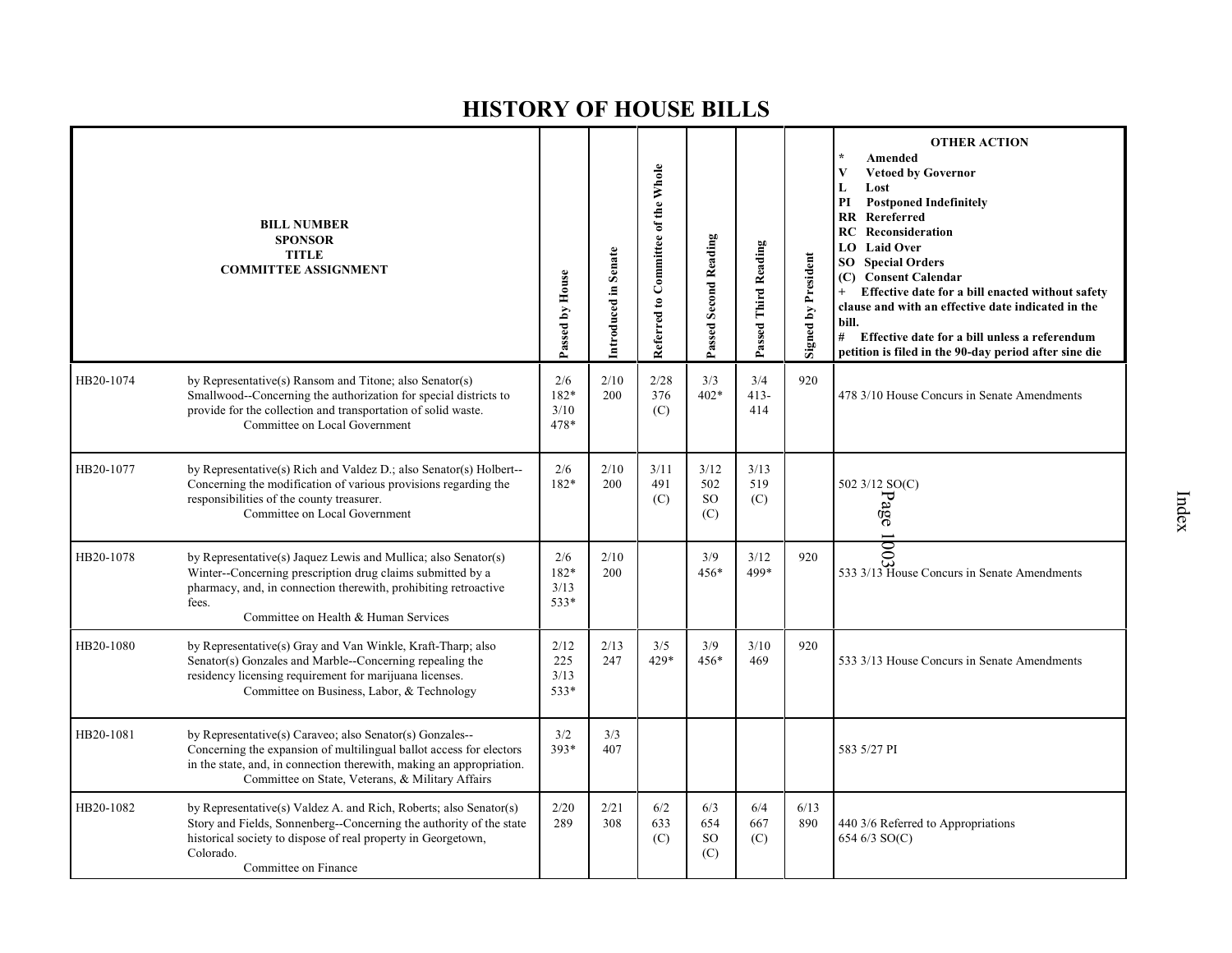|           | <b>BILL NUMBER</b><br><b>SPONSOR</b><br><b>TITLE</b><br><b>COMMITTEE ASSIGNMENT</b>                                                                                                                                                                         | Passed by House             | Introduced in Senate | Referred to Committee of the Whole | Passed Second Reading              | Passed Third Reading | <b>Signed by President</b> | <b>OTHER ACTION</b><br>Amended<br>V<br><b>Vetoed by Governor</b><br>L<br>Lost<br>PI<br><b>Postponed Indefinitely</b><br><b>RR</b> Rereferred<br>Reconsideration<br>RC<br><b>LO</b> Laid Over<br><b>SO</b> Special Orders<br>(C) Consent Calendar<br>Effective date for a bill enacted without safety<br>$+$<br>clause and with an effective date indicated in the<br>bill.<br>#<br>Effective date for a bill unless a referendum<br>petition is filed in the 90-day period after sine die |
|-----------|-------------------------------------------------------------------------------------------------------------------------------------------------------------------------------------------------------------------------------------------------------------|-----------------------------|----------------------|------------------------------------|------------------------------------|----------------------|----------------------------|-------------------------------------------------------------------------------------------------------------------------------------------------------------------------------------------------------------------------------------------------------------------------------------------------------------------------------------------------------------------------------------------------------------------------------------------------------------------------------------------|
| HB20-1074 | by Representative(s) Ransom and Titone; also Senator(s)<br>Smallwood--Concerning the authorization for special districts to<br>provide for the collection and transportation of solid waste.<br>Committee on Local Government                               | 2/6<br>182*<br>3/10<br>478* | 2/10<br>200          | 2/28<br>376<br>(C)                 | 3/3<br>$402*$                      | 3/4<br>$413-$<br>414 | 920                        | 478 3/10 House Concurs in Senate Amendments                                                                                                                                                                                                                                                                                                                                                                                                                                               |
| HB20-1077 | by Representative(s) Rich and Valdez D.; also Senator(s) Holbert--<br>Concerning the modification of various provisions regarding the<br>responsibilities of the county treasurer.<br>Committee on Local Government                                         | 2/6<br>182*                 | 2/10<br>200          | 3/11<br>491<br>(C)                 | 3/12<br>502<br><b>SO</b><br>(C)    | 3/13<br>519<br>(C)   |                            | 502 3/12 SO(C)<br>Page                                                                                                                                                                                                                                                                                                                                                                                                                                                                    |
| HB20-1078 | by Representative(s) Jaquez Lewis and Mullica; also Senator(s)<br>Winter--Concerning prescription drug claims submitted by a<br>pharmacy, and, in connection therewith, prohibiting retroactive<br>fees.<br>Committee on Health & Human Services            | 2/6<br>182*<br>3/13<br>533* | 2/10<br>200          |                                    | 3/9<br>456*                        | 3/12<br>499*         | 920                        | 533 3/13 House Concurs in Senate Amendments                                                                                                                                                                                                                                                                                                                                                                                                                                               |
| HB20-1080 | by Representative(s) Gray and Van Winkle, Kraft-Tharp; also<br>Senator(s) Gonzales and Marble--Concerning repealing the<br>residency licensing requirement for marijuana licenses.<br>Committee on Business, Labor, & Technology                            | 2/12<br>225<br>3/13<br>533* | 2/13<br>247          | 3/5<br>429*                        | 3/9<br>456*                        | 3/10<br>469          | 920                        | 533 3/13 House Concurs in Senate Amendments                                                                                                                                                                                                                                                                                                                                                                                                                                               |
| HB20-1081 | by Representative(s) Caraveo; also Senator(s) Gonzales--<br>Concerning the expansion of multilingual ballot access for electors<br>in the state, and, in connection therewith, making an appropriation.<br>Committee on State, Veterans, & Military Affairs | 3/2<br>$393*$               | 3/3<br>407           |                                    |                                    |                      |                            | 583 5/27 PI                                                                                                                                                                                                                                                                                                                                                                                                                                                                               |
| HB20-1082 | by Representative(s) Valdez A. and Rich, Roberts; also Senator(s)<br>Story and Fields, Sonnenberg--Concerning the authority of the state<br>historical society to dispose of real property in Georgetown,<br>Colorado.<br>Committee on Finance              | 2/20<br>289                 | 2/21<br>308          | 6/2<br>633<br>(C)                  | 6/3<br>654<br><sub>SO</sub><br>(C) | 6/4<br>667<br>(C)    | 6/13<br>890                | 440 3/6 Referred to Appropriations<br>654 6/3 SO(C)                                                                                                                                                                                                                                                                                                                                                                                                                                       |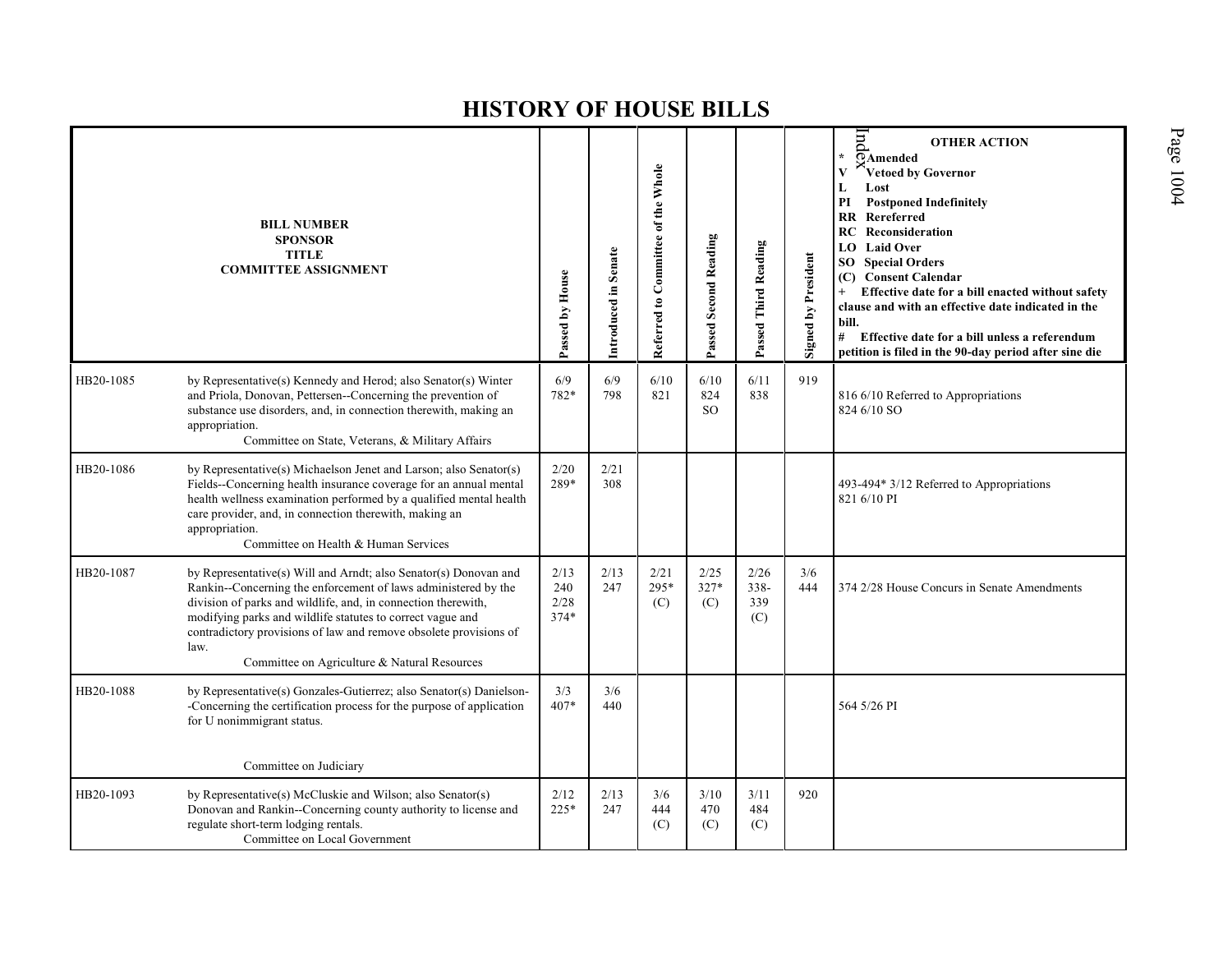|           | <b>BILL NUMBER</b><br><b>SPONSOR</b><br><b>TITLE</b><br><b>COMMITTEE ASSIGNMENT</b>                                                                                                                                                                                                                                                                                                            | Passed by House               | Introduced in Senate | Referred to Committee of the Whole | <b>Passed Second Reading</b>   | Passed Third Reading          | <b>Signed by President</b> | pup<br><b>OTHER ACTION</b><br>$\star$<br>$\overline{O}$ Amended<br>$\mathbf{V}$<br>Vetoed by Governor<br>L<br>Lost<br>$\mathbf{PI}$<br><b>Postponed Indefinitely</b><br>Rereferred<br>RR<br><b>RC</b> Reconsideration<br><b>Laid Over</b><br>LO.<br>SO Special Orders<br><b>Consent Calendar</b><br>(C)<br>Effective date for a bill enacted without safety<br>$+$<br>clause and with an effective date indicated in the<br>bill.<br>#<br>Effective date for a bill unless a referendum<br>petition is filed in the 90-day period after sine die |
|-----------|------------------------------------------------------------------------------------------------------------------------------------------------------------------------------------------------------------------------------------------------------------------------------------------------------------------------------------------------------------------------------------------------|-------------------------------|----------------------|------------------------------------|--------------------------------|-------------------------------|----------------------------|--------------------------------------------------------------------------------------------------------------------------------------------------------------------------------------------------------------------------------------------------------------------------------------------------------------------------------------------------------------------------------------------------------------------------------------------------------------------------------------------------------------------------------------------------|
| HB20-1085 | by Representative(s) Kennedy and Herod; also Senator(s) Winter<br>and Priola, Donovan, Pettersen--Concerning the prevention of<br>substance use disorders, and, in connection therewith, making an<br>appropriation.<br>Committee on State, Veterans, & Military Affairs                                                                                                                       | 6/9<br>782*                   | 6/9<br>798           | 6/10<br>821                        | 6/10<br>824<br>SO <sub>1</sub> | 6/11<br>838                   | 919                        | 816 6/10 Referred to Appropriations<br>824 6/10 SO                                                                                                                                                                                                                                                                                                                                                                                                                                                                                               |
| HB20-1086 | by Representative(s) Michaelson Jenet and Larson; also Senator(s)<br>Fields--Concerning health insurance coverage for an annual mental<br>health wellness examination performed by a qualified mental health<br>care provider, and, in connection therewith, making an<br>appropriation.<br>Committee on Health & Human Services                                                               | 2/20<br>289*                  | 2/21<br>308          |                                    |                                |                               |                            | 493-494* 3/12 Referred to Appropriations<br>821 6/10 PI                                                                                                                                                                                                                                                                                                                                                                                                                                                                                          |
| HB20-1087 | by Representative(s) Will and Arndt; also Senator(s) Donovan and<br>Rankin--Concerning the enforcement of laws administered by the<br>division of parks and wildlife, and, in connection therewith,<br>modifying parks and wildlife statutes to correct vague and<br>contradictory provisions of law and remove obsolete provisions of<br>law.<br>Committee on Agriculture & Natural Resources | 2/13<br>240<br>2/28<br>$374*$ | 2/13<br>247          | 2/21<br>295*<br>(C)                | 2/25<br>327*<br>(C)            | 2/26<br>$338 -$<br>339<br>(C) | 3/6<br>444                 | 374 2/28 House Concurs in Senate Amendments                                                                                                                                                                                                                                                                                                                                                                                                                                                                                                      |
| HB20-1088 | by Representative(s) Gonzales-Gutierrez; also Senator(s) Danielson-<br>-Concerning the certification process for the purpose of application<br>for U nonimmigrant status.<br>Committee on Judiciary                                                                                                                                                                                            | 3/3<br>407*                   | 3/6<br>440           |                                    |                                |                               |                            | 564 5/26 PI                                                                                                                                                                                                                                                                                                                                                                                                                                                                                                                                      |
| HB20-1093 | by Representative(s) McCluskie and Wilson; also Senator(s)<br>Donovan and Rankin--Concerning county authority to license and<br>regulate short-term lodging rentals.<br>Committee on Local Government                                                                                                                                                                                          | 2/12<br>$225*$                | 2/13<br>247          | 3/6<br>444<br>(C)                  | 3/10<br>470<br>(C)             | 3/11<br>484<br>(C)            | 920                        |                                                                                                                                                                                                                                                                                                                                                                                                                                                                                                                                                  |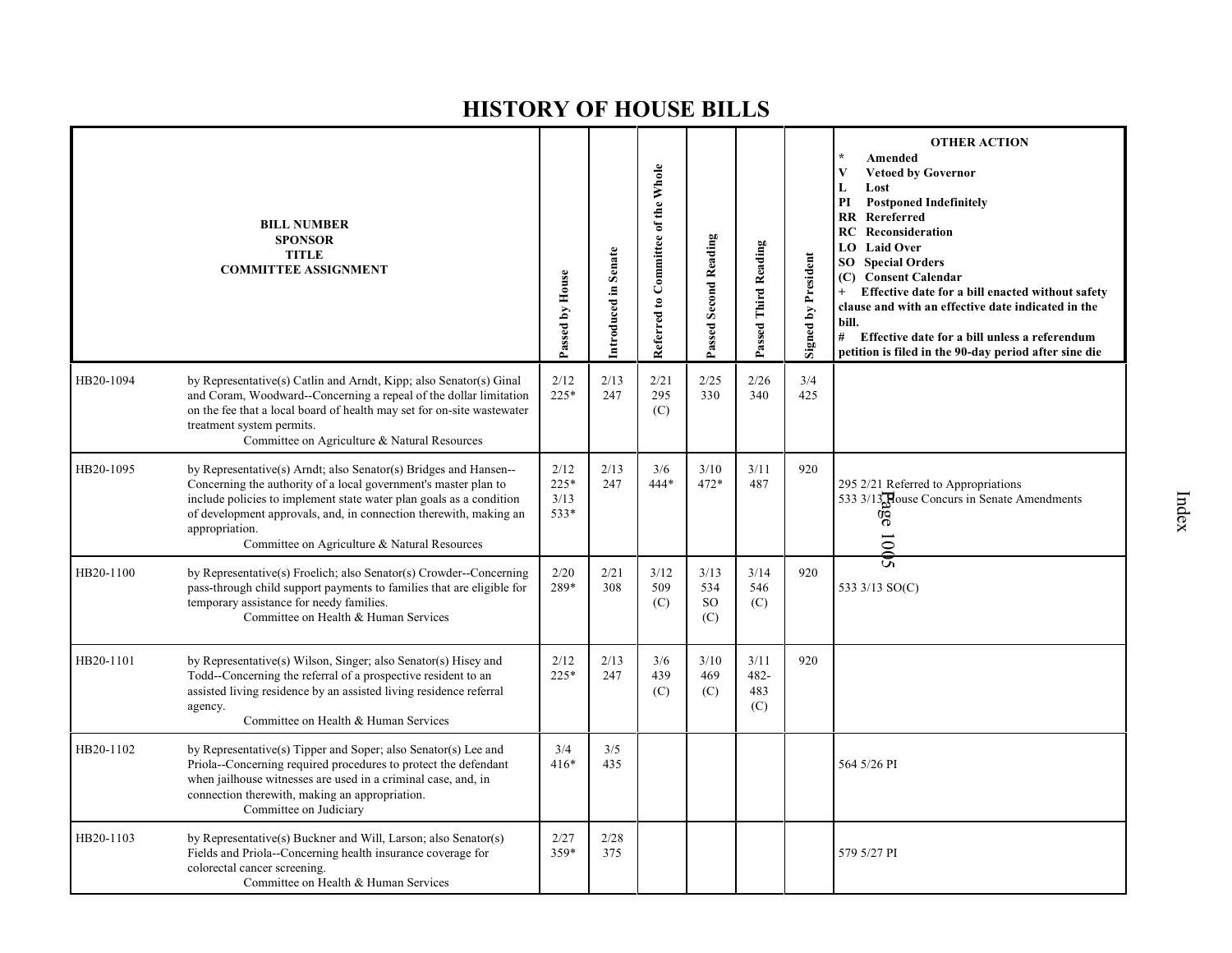|           | <b>BILL NUMBER</b><br><b>SPONSOR</b><br><b>TITLE</b><br><b>COMMITTEE ASSIGNMENT</b>                                                                                                                                                                                                                                                               | Passed by House                | Introduced in Senate | Referred to Committee of the Whole | Passed Second Reading           | Passed Third Reading          | <b>Signed by President</b> | <b>OTHER ACTION</b><br>Amended<br>V<br><b>Vetoed by Governor</b><br>L<br>Lost<br><b>Postponed Indefinitely</b><br>PI<br>Rereferred<br>RR<br>Reconsideration<br>RC<br><b>Laid Over</b><br>LO.<br><b>Special Orders</b><br>SO<br>(C) Consent Calendar<br>Effective date for a bill enacted without safety<br>$+$<br>clause and with an effective date indicated in the<br>bill.<br>#<br>Effective date for a bill unless a referendum<br>petition is filed in the 90-day period after sine die |
|-----------|---------------------------------------------------------------------------------------------------------------------------------------------------------------------------------------------------------------------------------------------------------------------------------------------------------------------------------------------------|--------------------------------|----------------------|------------------------------------|---------------------------------|-------------------------------|----------------------------|----------------------------------------------------------------------------------------------------------------------------------------------------------------------------------------------------------------------------------------------------------------------------------------------------------------------------------------------------------------------------------------------------------------------------------------------------------------------------------------------|
| HB20-1094 | by Representative(s) Catlin and Arndt, Kipp; also Senator(s) Ginal<br>and Coram, Woodward--Concerning a repeal of the dollar limitation<br>on the fee that a local board of health may set for on-site wastewater<br>treatment system permits.<br>Committee on Agriculture & Natural Resources                                                    | 2/12<br>$225*$                 | 2/13<br>247          | 2/21<br>295<br>(C)                 | 2/25<br>330                     | 2/26<br>340                   | 3/4<br>425                 |                                                                                                                                                                                                                                                                                                                                                                                                                                                                                              |
| HB20-1095 | by Representative(s) Arndt; also Senator(s) Bridges and Hansen--<br>Concerning the authority of a local government's master plan to<br>include policies to implement state water plan goals as a condition<br>of development approvals, and, in connection therewith, making an<br>appropriation.<br>Committee on Agriculture & Natural Resources | 2/12<br>$225*$<br>3/13<br>533* | 2/13<br>247          | 3/6<br>444*                        | 3/10<br>472*                    | 3/11<br>487                   | 920                        | 295 2/21 Referred to Appropriations<br>533 3/13 House Concurs in Senate Amendments<br>age $1005$                                                                                                                                                                                                                                                                                                                                                                                             |
| HB20-1100 | by Representative(s) Froelich; also Senator(s) Crowder--Concerning<br>pass-through child support payments to families that are eligible for<br>temporary assistance for needy families.<br>Committee on Health & Human Services                                                                                                                   | 2/20<br>289*                   | 2/21<br>308          | 3/12<br>509<br>(C)                 | 3/13<br>534<br><b>SO</b><br>(C) | 3/14<br>546<br>(C)            | 920                        | 533 3/13 SO(C)                                                                                                                                                                                                                                                                                                                                                                                                                                                                               |
| HB20-1101 | by Representative(s) Wilson, Singer; also Senator(s) Hisey and<br>Todd--Concerning the referral of a prospective resident to an<br>assisted living residence by an assisted living residence referral<br>agency.<br>Committee on Health & Human Services                                                                                          | 2/12<br>$225*$                 | 2/13<br>247          | 3/6<br>439<br>(C)                  | 3/10<br>469<br>(C)              | 3/11<br>$482 -$<br>483<br>(C) | 920                        |                                                                                                                                                                                                                                                                                                                                                                                                                                                                                              |
| HB20-1102 | by Representative(s) Tipper and Soper; also Senator(s) Lee and<br>Priola--Concerning required procedures to protect the defendant<br>when jailhouse witnesses are used in a criminal case, and, in<br>connection therewith, making an appropriation.<br>Committee on Judiciary                                                                    | 3/4<br>$416*$                  | 3/5<br>435           |                                    |                                 |                               |                            | 564 5/26 PI                                                                                                                                                                                                                                                                                                                                                                                                                                                                                  |
| HB20-1103 | by Representative(s) Buckner and Will, Larson; also Senator(s)<br>Fields and Priola--Concerning health insurance coverage for<br>colorectal cancer screening.<br>Committee on Health & Human Services                                                                                                                                             | 2/27<br>359*                   | 2/28<br>375          |                                    |                                 |                               |                            | 579 5/27 PI                                                                                                                                                                                                                                                                                                                                                                                                                                                                                  |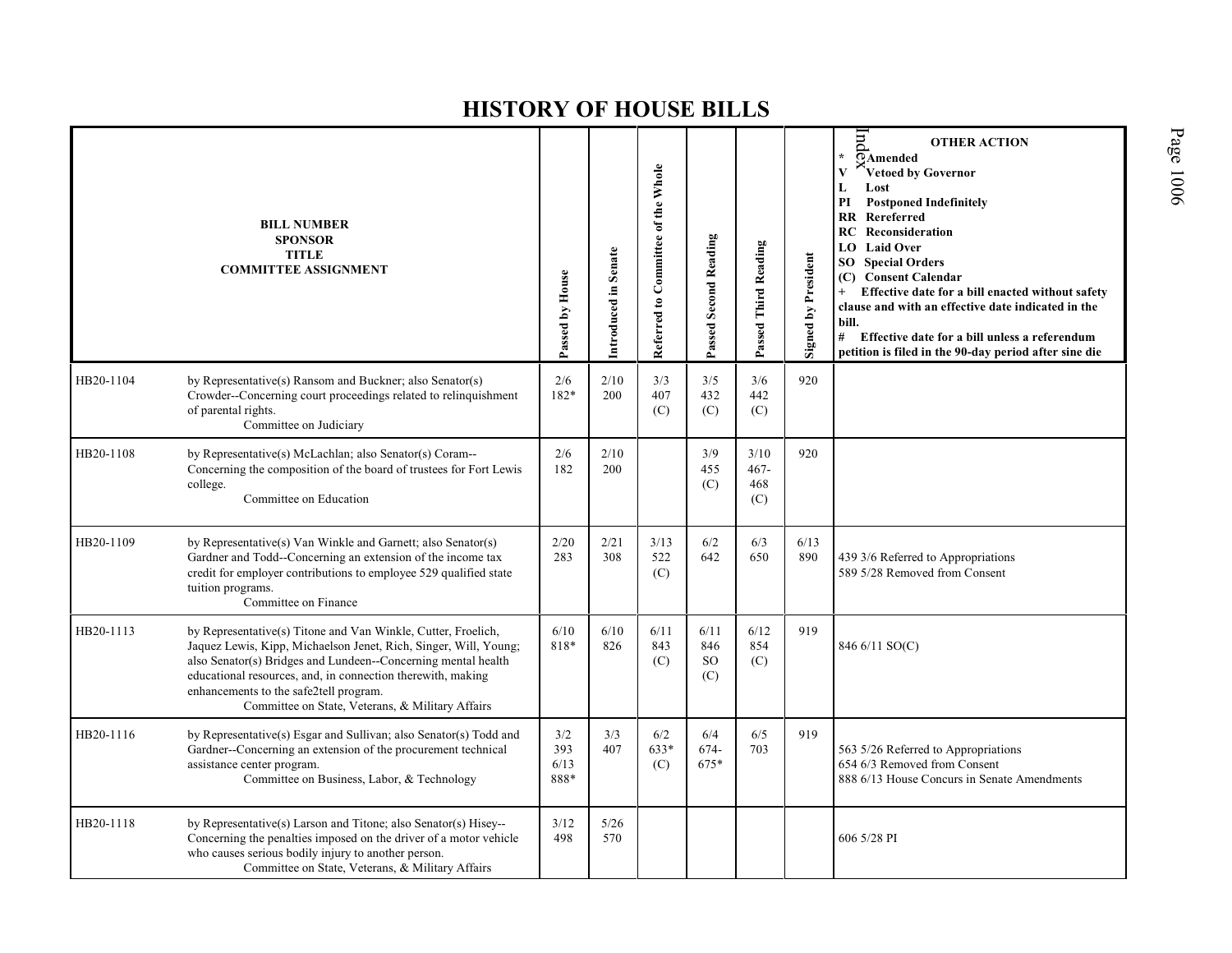|           | <b>BILL NUMBER</b><br><b>SPONSOR</b><br><b>TITLE</b><br><b>COMMITTEE ASSIGNMENT</b>                                                                                                                                                                                                                                                                             | Passed by House            | Introduced in Senate | Referred to Committee of the Whole | Passed Second Reading               | Passed Third Reading          | Signed by President | pu<br><b>OTHER ACTION</b><br>$\star$<br>OAmended<br>Vetoed by Governor<br>V<br>Lost<br>L<br>PI<br><b>Postponed Indefinitely</b><br><b>RR</b> Rereferred<br>Reconsideration<br>RC<br>LO Laid Over<br><b>Special Orders</b><br>SO.<br>(C) Consent Calendar<br>Effective date for a bill enacted without safety<br>clause and with an effective date indicated in the<br>bill.<br># Effective date for a bill unless a referendum<br>petition is filed in the 90-day period after sine die |
|-----------|-----------------------------------------------------------------------------------------------------------------------------------------------------------------------------------------------------------------------------------------------------------------------------------------------------------------------------------------------------------------|----------------------------|----------------------|------------------------------------|-------------------------------------|-------------------------------|---------------------|-----------------------------------------------------------------------------------------------------------------------------------------------------------------------------------------------------------------------------------------------------------------------------------------------------------------------------------------------------------------------------------------------------------------------------------------------------------------------------------------|
| HB20-1104 | by Representative(s) Ransom and Buckner; also Senator(s)<br>Crowder--Concerning court proceedings related to relinquishment<br>of parental rights.<br>Committee on Judiciary                                                                                                                                                                                    | 2/6<br>182*                | 2/10<br>200          | 3/3<br>407<br>(C)                  | 3/5<br>432<br>(C)                   | 3/6<br>442<br>(C)             | 920                 |                                                                                                                                                                                                                                                                                                                                                                                                                                                                                         |
| HB20-1108 | by Representative(s) McLachlan; also Senator(s) Coram--<br>Concerning the composition of the board of trustees for Fort Lewis<br>college.<br>Committee on Education                                                                                                                                                                                             | 2/6<br>182                 | 2/10<br>200          |                                    | 3/9<br>455<br>(C)                   | 3/10<br>$467 -$<br>468<br>(C) | 920                 |                                                                                                                                                                                                                                                                                                                                                                                                                                                                                         |
| HB20-1109 | by Representative(s) Van Winkle and Garnett; also Senator(s)<br>Gardner and Todd--Concerning an extension of the income tax<br>credit for employer contributions to employee 529 qualified state<br>tuition programs.<br>Committee on Finance                                                                                                                   | 2/20<br>283                | 2/21<br>308          | 3/13<br>522<br>(C)                 | 6/2<br>642                          | 6/3<br>650                    | 6/13<br>890         | 439 3/6 Referred to Appropriations<br>589 5/28 Removed from Consent                                                                                                                                                                                                                                                                                                                                                                                                                     |
| HB20-1113 | by Representative(s) Titone and Van Winkle, Cutter, Froelich,<br>Jaquez Lewis, Kipp, Michaelson Jenet, Rich, Singer, Will, Young;<br>also Senator(s) Bridges and Lundeen--Concerning mental health<br>educational resources, and, in connection therewith, making<br>enhancements to the safe2tell program.<br>Committee on State, Veterans, & Military Affairs | 6/10<br>818*               | 6/10<br>826          | 6/11<br>843<br>(C)                 | 6/11<br>846<br><sub>SO</sub><br>(C) | 6/12<br>854<br>(C)            | 919                 | 846 6/11 SO(C)                                                                                                                                                                                                                                                                                                                                                                                                                                                                          |
| HB20-1116 | by Representative(s) Esgar and Sullivan; also Senator(s) Todd and<br>Gardner--Concerning an extension of the procurement technical<br>assistance center program.<br>Committee on Business, Labor, & Technology                                                                                                                                                  | 3/2<br>393<br>6/13<br>888* | 3/3<br>407           | 6/2<br>633*<br>(C)                 | 6/4<br>674-<br>675*                 | 6/5<br>703                    | 919                 | 563 5/26 Referred to Appropriations<br>654 6/3 Removed from Consent<br>888 6/13 House Concurs in Senate Amendments                                                                                                                                                                                                                                                                                                                                                                      |
| HB20-1118 | by Representative(s) Larson and Titone; also Senator(s) Hisey--<br>Concerning the penalties imposed on the driver of a motor vehicle<br>who causes serious bodily injury to another person.<br>Committee on State, Veterans, & Military Affairs                                                                                                                 | 3/12<br>498                | 5/26<br>570          |                                    |                                     |                               |                     | 606 5/28 PI                                                                                                                                                                                                                                                                                                                                                                                                                                                                             |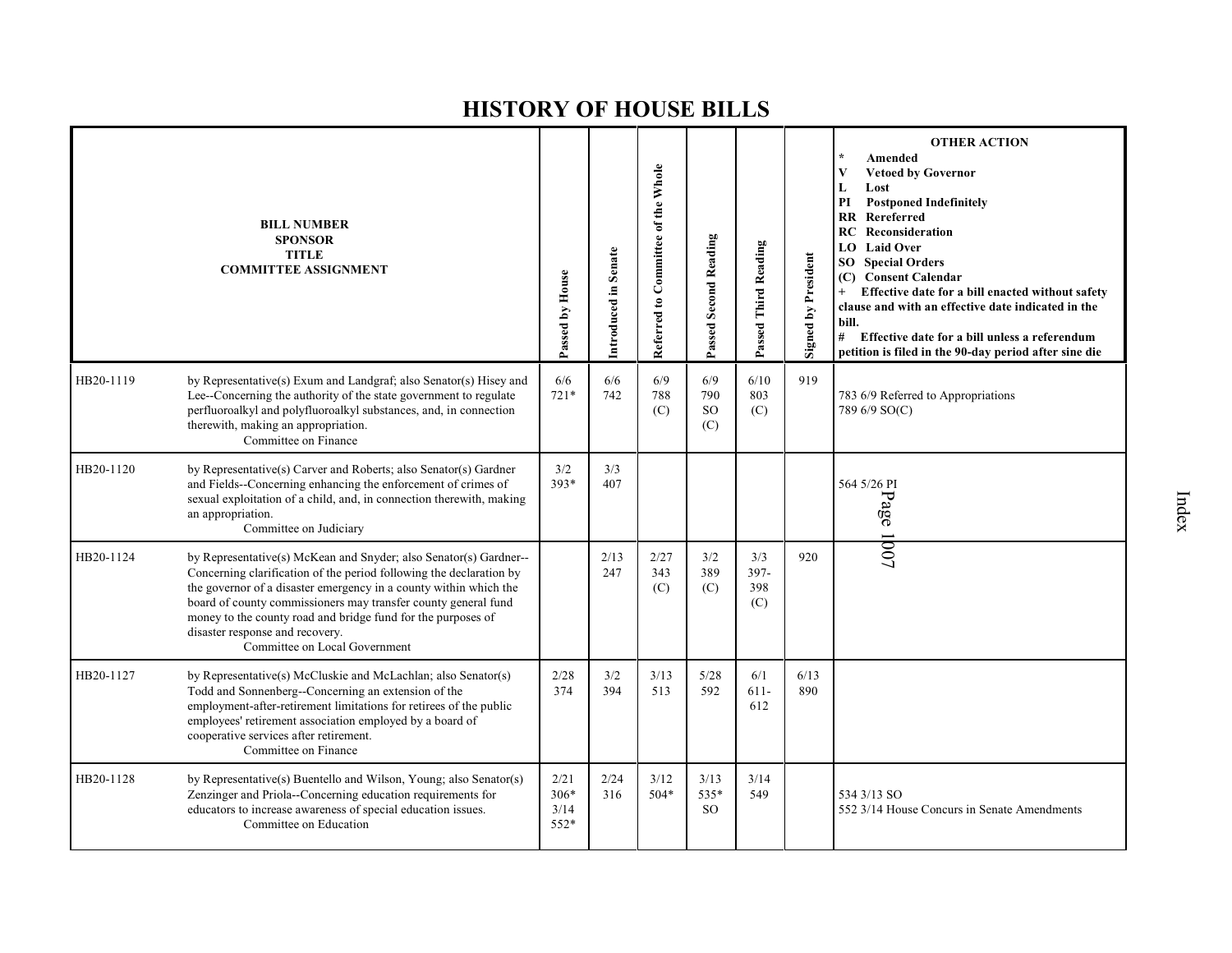|           | <b>BILL NUMBER</b><br><b>SPONSOR</b><br><b>TITLE</b><br><b>COMMITTEE ASSIGNMENT</b>                                                                                                                                                                                                                                                                                                                                 | Passed by House                  | Introduced in Senate | Referred to Committee of the Whole | Passed Second Reading          | Passed Third Reading      | <b>Signed by President</b> | <b>OTHER ACTION</b><br>Amended<br><b>Vetoed by Governor</b><br>V<br>L<br>Lost<br>PI<br><b>Postponed Indefinitely</b><br>Rereferred<br><b>RR</b><br><b>RC</b> Reconsideration<br><b>LO</b> Laid Over<br><b>SO</b> Special Orders<br>(C) Consent Calendar<br>$+$<br>Effective date for a bill enacted without safety<br>clause and with an effective date indicated in the<br>bill.<br>#<br>Effective date for a bill unless a referendum<br>petition is filed in the 90-day period after sine die |
|-----------|---------------------------------------------------------------------------------------------------------------------------------------------------------------------------------------------------------------------------------------------------------------------------------------------------------------------------------------------------------------------------------------------------------------------|----------------------------------|----------------------|------------------------------------|--------------------------------|---------------------------|----------------------------|--------------------------------------------------------------------------------------------------------------------------------------------------------------------------------------------------------------------------------------------------------------------------------------------------------------------------------------------------------------------------------------------------------------------------------------------------------------------------------------------------|
| HB20-1119 | by Representative(s) Exum and Landgraf; also Senator(s) Hisey and<br>Lee-Concerning the authority of the state government to regulate<br>perfluoroalkyl and polyfluoroalkyl substances, and, in connection<br>therewith, making an appropriation.<br>Committee on Finance                                                                                                                                           | 6/6<br>$721*$                    | 6/6<br>742           | 6/9<br>788<br>(C)                  | 6/9<br>790<br><b>SO</b><br>(C) | 6/10<br>803<br>(C)        | 919                        | 783 6/9 Referred to Appropriations<br>789 6/9 SO(C)                                                                                                                                                                                                                                                                                                                                                                                                                                              |
| HB20-1120 | by Representative(s) Carver and Roberts; also Senator(s) Gardner<br>and Fields--Concerning enhancing the enforcement of crimes of<br>sexual exploitation of a child, and, in connection therewith, making<br>an appropriation.<br>Committee on Judiciary                                                                                                                                                            | 3/2<br>$393*$                    | 3/3<br>407           |                                    |                                |                           |                            | 564 5/26 PI<br>Page                                                                                                                                                                                                                                                                                                                                                                                                                                                                              |
| HB20-1124 | by Representative(s) McKean and Snyder; also Senator(s) Gardner--<br>Concerning clarification of the period following the declaration by<br>the governor of a disaster emergency in a county within which the<br>board of county commissioners may transfer county general fund<br>money to the county road and bridge fund for the purposes of<br>disaster response and recovery.<br>Committee on Local Government |                                  | 2/13<br>247          | 2/27<br>343<br>(C)                 | 3/2<br>389<br>(C)              | 3/3<br>397-<br>398<br>(C) | 920                        | 1001                                                                                                                                                                                                                                                                                                                                                                                                                                                                                             |
| HB20-1127 | by Representative(s) McCluskie and McLachlan; also Senator(s)<br>Todd and Sonnenberg--Concerning an extension of the<br>employment-after-retirement limitations for retirees of the public<br>employees' retirement association employed by a board of<br>cooperative services after retirement.<br>Committee on Finance                                                                                            | 2/28<br>374                      | 3/2<br>394           | 3/13<br>513                        | 5/28<br>592                    | 6/1<br>$611-$<br>612      | 6/13<br>890                |                                                                                                                                                                                                                                                                                                                                                                                                                                                                                                  |
| HB20-1128 | by Representative(s) Buentello and Wilson, Young; also Senator(s)<br>Zenzinger and Priola--Concerning education requirements for<br>educators to increase awareness of special education issues.<br>Committee on Education                                                                                                                                                                                          | 2/21<br>$306*$<br>3/14<br>$552*$ | 2/24<br>316          | 3/12<br>504*                       | 3/13<br>535*<br><sub>SO</sub>  | 3/14<br>549               |                            | 534 3/13 SO<br>552 3/14 House Concurs in Senate Amendments                                                                                                                                                                                                                                                                                                                                                                                                                                       |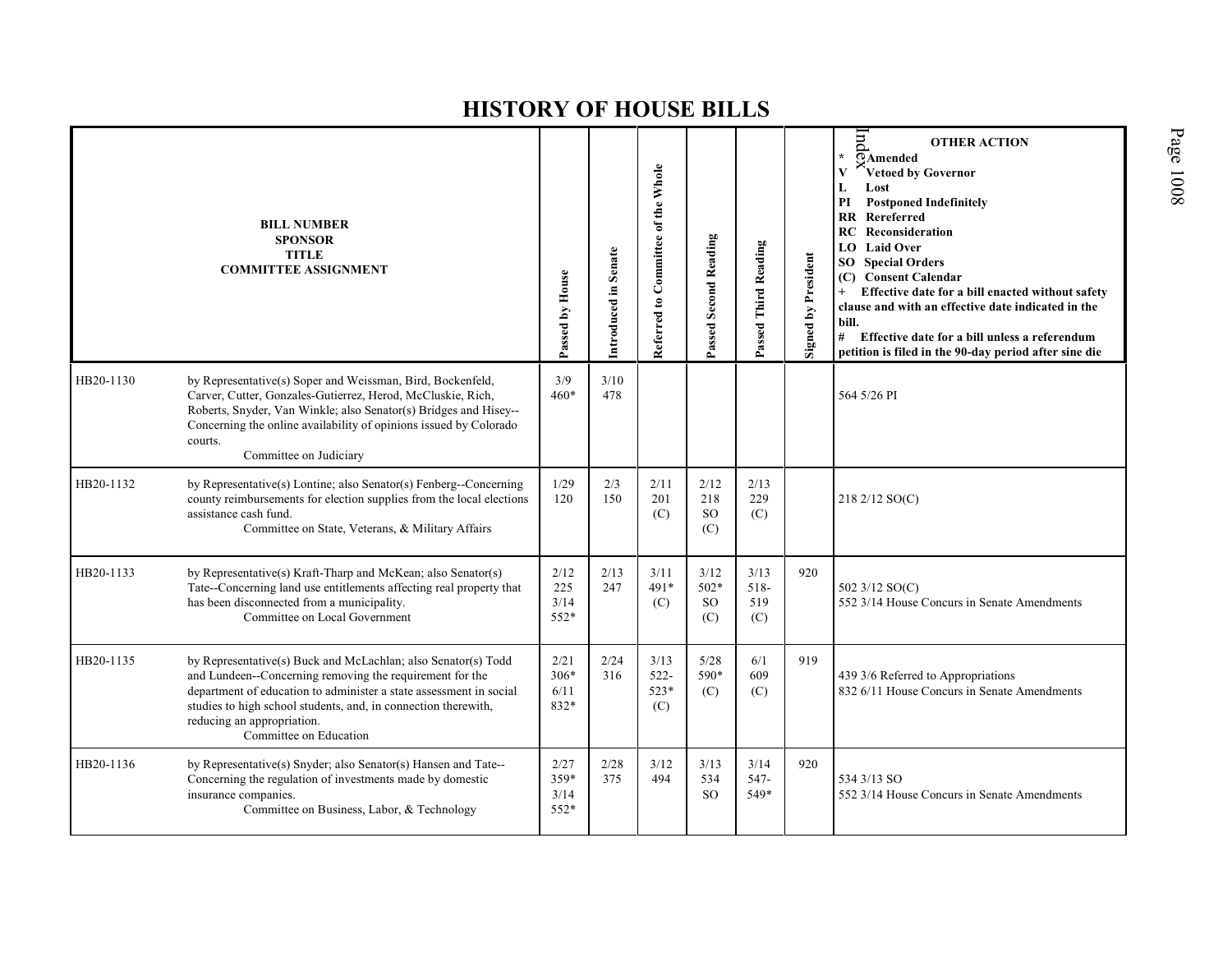|           | <b>BILL NUMBER</b><br><b>SPONSOR</b><br><b>TITLE</b><br><b>COMMITTEE ASSIGNMENT</b>                                                                                                                                                                                                                                       | Passed by House                | Introduced in Senate | Referred to Committee of the Whole | Passed Second Reading                  | Passed Third Reading       | <b>Signed by President</b> | pur<br><b>OTHER ACTION</b><br>¥.<br>OAmended<br>Vetoed by Governor<br>Lost<br>L<br><b>Postponed Indefinitely</b><br>PI<br><b>RR</b><br>Rereferred<br><b>RC</b> Reconsideration<br><b>LO</b> Laid Over<br><b>SO</b> Special Orders<br>(C) Consent Calendar<br>Effective date for a bill enacted without safety<br>clause and with an effective date indicated in the<br>bill.<br>#<br>Effective date for a bill unless a referendum<br>petition is filed in the 90-day period after sine die |
|-----------|---------------------------------------------------------------------------------------------------------------------------------------------------------------------------------------------------------------------------------------------------------------------------------------------------------------------------|--------------------------------|----------------------|------------------------------------|----------------------------------------|----------------------------|----------------------------|---------------------------------------------------------------------------------------------------------------------------------------------------------------------------------------------------------------------------------------------------------------------------------------------------------------------------------------------------------------------------------------------------------------------------------------------------------------------------------------------|
| HB20-1130 | by Representative(s) Soper and Weissman, Bird, Bockenfeld,<br>Carver, Cutter, Gonzales-Gutierrez, Herod, McCluskie, Rich,<br>Roberts, Snyder, Van Winkle; also Senator(s) Bridges and Hisey--<br>Concerning the online availability of opinions issued by Colorado<br>courts.<br>Committee on Judiciary                   | 3/9<br>$460*$                  | 3/10<br>478          |                                    |                                        |                            |                            | 564 5/26 PI                                                                                                                                                                                                                                                                                                                                                                                                                                                                                 |
| HB20-1132 | by Representative(s) Lontine; also Senator(s) Fenberg--Concerning<br>county reimbursements for election supplies from the local elections<br>assistance cash fund.<br>Committee on State, Veterans, & Military Affairs                                                                                                    | 1/29<br>120                    | 2/3<br>150           | 2/11<br>201<br>(C)                 | 2/12<br>218<br><sub>SO</sub><br>(C)    | 2/13<br>229<br>(C)         |                            | 218 2/12 SO(C)                                                                                                                                                                                                                                                                                                                                                                                                                                                                              |
| HB20-1133 | by Representative(s) Kraft-Tharp and McKean; also Senator(s)<br>Tate--Concerning land use entitlements affecting real property that<br>has been disconnected from a municipality.<br>Committee on Local Government                                                                                                        | 2/12<br>225<br>3/14<br>552*    | 2/13<br>247          | 3/11<br>491*<br>(C)                | 3/12<br>$502*$<br><sub>SO</sub><br>(C) | 3/13<br>518-<br>519<br>(C) | 920                        | 502 3/12 SO(C)<br>552 3/14 House Concurs in Senate Amendments                                                                                                                                                                                                                                                                                                                                                                                                                               |
| HB20-1135 | by Representative(s) Buck and McLachlan; also Senator(s) Todd<br>and Lundeen--Concerning removing the requirement for the<br>department of education to administer a state assessment in social<br>studies to high school students, and, in connection therewith,<br>reducing an appropriation.<br>Committee on Education | 2/21<br>$306*$<br>6/11<br>832* | 2/24<br>316          | 3/13<br>$522 -$<br>$523*$<br>(C)   | 5/28<br>590*<br>(C)                    | 6/1<br>609<br>(C)          | 919                        | 439 3/6 Referred to Appropriations<br>832 6/11 House Concurs in Senate Amendments                                                                                                                                                                                                                                                                                                                                                                                                           |
| HB20-1136 | by Representative(s) Snyder; also Senator(s) Hansen and Tate--<br>Concerning the regulation of investments made by domestic<br>insurance companies.<br>Committee on Business, Labor, & Technology                                                                                                                         | 2/27<br>359*<br>3/14<br>552*   | 2/28<br>375          | 3/12<br>494                        | 3/13<br>534<br><sub>SO</sub>           | 3/14<br>547-<br>549*       | 920                        | 534 3/13 SO<br>552 3/14 House Concurs in Senate Amendments                                                                                                                                                                                                                                                                                                                                                                                                                                  |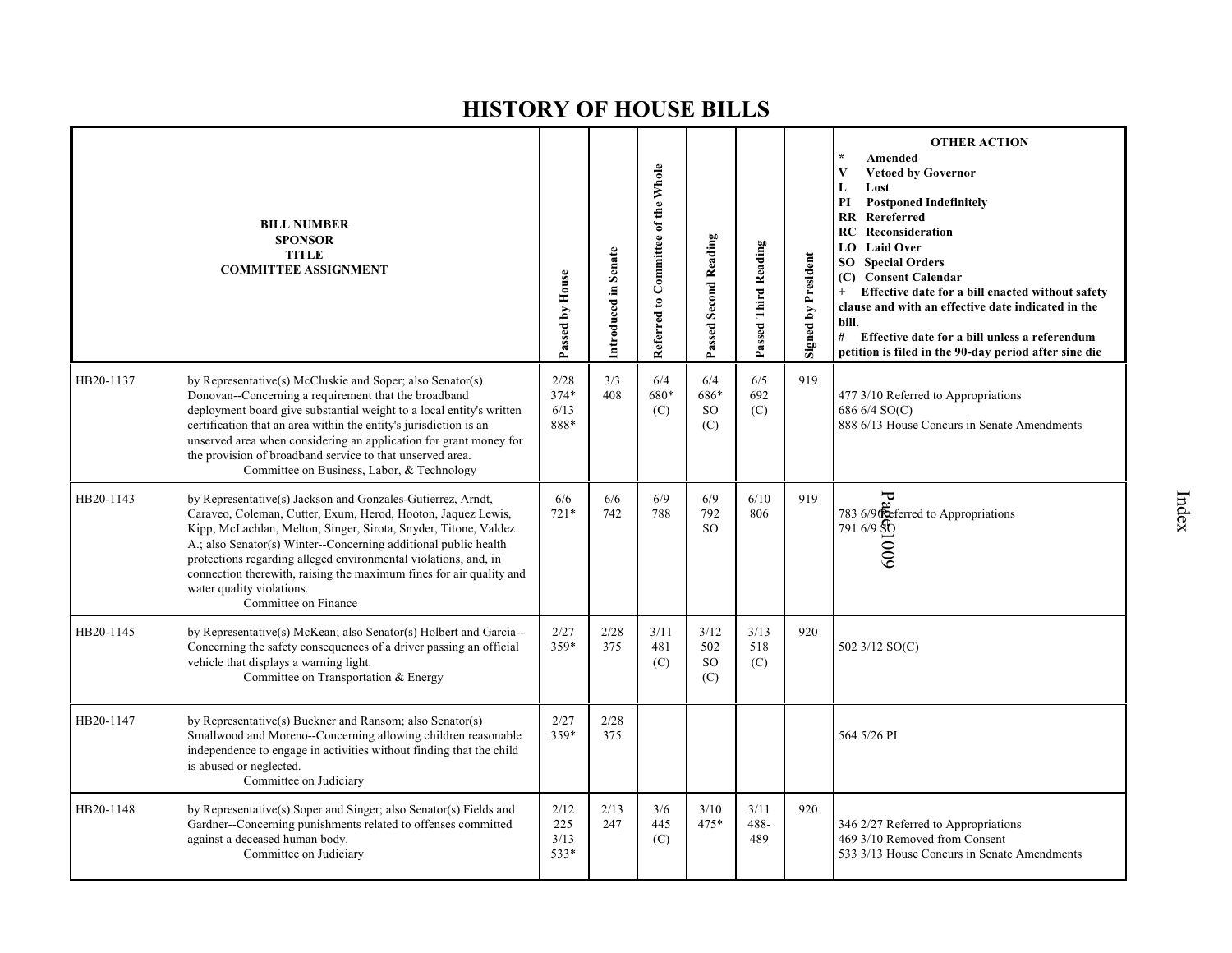|           | <b>BILL NUMBER</b><br><b>SPONSOR</b><br><b>TITLE</b><br><b>COMMITTEE ASSIGNMENT</b>                                                                                                                                                                                                                                                                                                                                                                              | Passed by House              | Introduced in Senate | Referred to Committee of the Whole | Passed Second Reading                 | Passed Third Reading | <b>Signed by President</b> | <b>OTHER ACTION</b><br>Amended<br>V<br><b>Vetoed by Governor</b><br>L<br>Lost<br>PI<br><b>Postponed Indefinitely</b><br>RR Rereferred<br>RC<br>Reconsideration<br>LO Laid Over<br><b>Special Orders</b><br>SO.<br>(C) Consent Calendar<br>Effective date for a bill enacted without safety<br>$^{+}$<br>clause and with an effective date indicated in the<br>bill.<br># Effective date for a bill unless a referendum<br>petition is filed in the 90-day period after sine die |
|-----------|------------------------------------------------------------------------------------------------------------------------------------------------------------------------------------------------------------------------------------------------------------------------------------------------------------------------------------------------------------------------------------------------------------------------------------------------------------------|------------------------------|----------------------|------------------------------------|---------------------------------------|----------------------|----------------------------|---------------------------------------------------------------------------------------------------------------------------------------------------------------------------------------------------------------------------------------------------------------------------------------------------------------------------------------------------------------------------------------------------------------------------------------------------------------------------------|
| HB20-1137 | by Representative(s) McCluskie and Soper; also Senator(s)<br>Donovan--Concerning a requirement that the broadband<br>deployment board give substantial weight to a local entity's written<br>certification that an area within the entity's jurisdiction is an<br>unserved area when considering an application for grant money for<br>the provision of broadband service to that unserved area.<br>Committee on Business, Labor, & Technology                   | 2/28<br>374*<br>6/13<br>888* | 3/3<br>408           | 6/4<br>680*<br>(C)                 | 6/4<br>686*<br>SO <sub>1</sub><br>(C) | 6/5<br>692<br>(C)    | 919                        | 477 3/10 Referred to Appropriations<br>686 6/4 SO(C)<br>888 6/13 House Concurs in Senate Amendments                                                                                                                                                                                                                                                                                                                                                                             |
| HB20-1143 | by Representative(s) Jackson and Gonzales-Gutierrez, Arndt,<br>Caraveo, Coleman, Cutter, Exum, Herod, Hooton, Jaquez Lewis,<br>Kipp, McLachlan, Melton, Singer, Sirota, Snyder, Titone, Valdez<br>A.; also Senator(s) Winter--Concerning additional public health<br>protections regarding alleged environmental violations, and, in<br>connection therewith, raising the maximum fines for air quality and<br>water quality violations.<br>Committee on Finance | 6/6<br>$721*$                | 6/6<br>742           | 6/9<br>788                         | 6/9<br>792<br>SO.                     | 6/10<br>806          | 919                        | $\overline{C}$<br>783 6/90 eferred to Appropriations<br>$791\frac{6}{9}\frac{80}{90}$                                                                                                                                                                                                                                                                                                                                                                                           |
| HB20-1145 | by Representative(s) McKean; also Senator(s) Holbert and Garcia--<br>Concerning the safety consequences of a driver passing an official<br>vehicle that displays a warning light.<br>Committee on Transportation & Energy                                                                                                                                                                                                                                        | 2/27<br>359*                 | 2/28<br>375          | 3/11<br>481<br>(C)                 | 3/12<br>502<br>SO.<br>(C)             | 3/13<br>518<br>(C)   | 920                        | 502 3/12 SO(C)                                                                                                                                                                                                                                                                                                                                                                                                                                                                  |
| HB20-1147 | by Representative(s) Buckner and Ransom; also Senator(s)<br>Smallwood and Moreno--Concerning allowing children reasonable<br>independence to engage in activities without finding that the child<br>is abused or neglected.<br>Committee on Judiciary                                                                                                                                                                                                            | 2/27<br>359*                 | 2/28<br>375          |                                    |                                       |                      |                            | 564 5/26 PI                                                                                                                                                                                                                                                                                                                                                                                                                                                                     |
| HB20-1148 | by Representative(s) Soper and Singer; also Senator(s) Fields and<br>Gardner--Concerning punishments related to offenses committed<br>against a deceased human body.<br>Committee on Judiciary                                                                                                                                                                                                                                                                   | 2/12<br>225<br>3/13<br>533*  | 2/13<br>247          | 3/6<br>445<br>(C)                  | 3/10<br>475*                          | 3/11<br>488-<br>489  | 920                        | 346 2/27 Referred to Appropriations<br>469 3/10 Removed from Consent<br>533 3/13 House Concurs in Senate Amendments                                                                                                                                                                                                                                                                                                                                                             |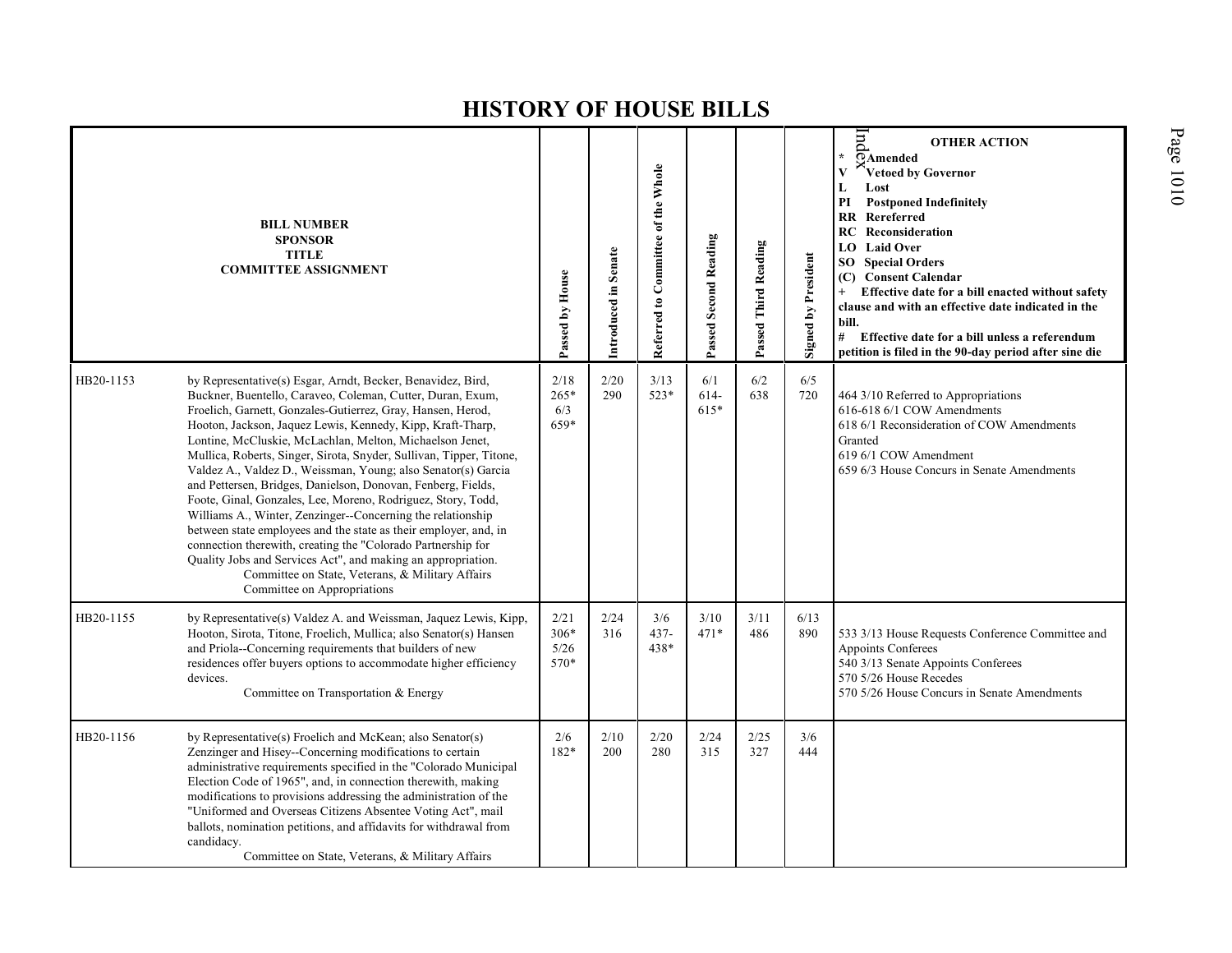|           | <b>BILL NUMBER</b><br><b>SPONSOR</b><br><b>TITLE</b><br><b>COMMITTEE ASSIGNMENT</b>                                                                                                                                                                                                                                                                                                                                                                                                                                                                                                                                                                                                                                                                                                                                                                                                                                                              | Passed by House                | Introduced in Senate | Referred to Committee of the Whole | Passed Second Reading | Passed Third Reading | <b>Signed by President</b> | lnd<br><b>OTHER ACTION</b><br>$\star$<br>OAmended<br>V<br>Vetoed by Governor<br>L<br>Lost<br>PI<br><b>Postponed Indefinitely</b><br><b>RR</b> Rereferred<br>RC<br>Reconsideration<br><b>LO</b> Laid Over<br><b>SO</b> Special Orders<br>(C) Consent Calendar<br>Effective date for a bill enacted without safety<br>$^{+}$<br>clause and with an effective date indicated in the<br>bill.<br>#<br>Effective date for a bill unless a referendum<br>petition is filed in the 90-day period after sine die |
|-----------|--------------------------------------------------------------------------------------------------------------------------------------------------------------------------------------------------------------------------------------------------------------------------------------------------------------------------------------------------------------------------------------------------------------------------------------------------------------------------------------------------------------------------------------------------------------------------------------------------------------------------------------------------------------------------------------------------------------------------------------------------------------------------------------------------------------------------------------------------------------------------------------------------------------------------------------------------|--------------------------------|----------------------|------------------------------------|-----------------------|----------------------|----------------------------|----------------------------------------------------------------------------------------------------------------------------------------------------------------------------------------------------------------------------------------------------------------------------------------------------------------------------------------------------------------------------------------------------------------------------------------------------------------------------------------------------------|
| HB20-1153 | by Representative(s) Esgar, Arndt, Becker, Benavidez, Bird,<br>Buckner, Buentello, Caraveo, Coleman, Cutter, Duran, Exum,<br>Froelich, Garnett, Gonzales-Gutierrez, Gray, Hansen, Herod,<br>Hooton, Jackson, Jaquez Lewis, Kennedy, Kipp, Kraft-Tharp,<br>Lontine, McCluskie, McLachlan, Melton, Michaelson Jenet,<br>Mullica, Roberts, Singer, Sirota, Snyder, Sullivan, Tipper, Titone,<br>Valdez A., Valdez D., Weissman, Young; also Senator(s) Garcia<br>and Pettersen, Bridges, Danielson, Donovan, Fenberg, Fields,<br>Foote, Ginal, Gonzales, Lee, Moreno, Rodriguez, Story, Todd,<br>Williams A., Winter, Zenzinger--Concerning the relationship<br>between state employees and the state as their employer, and, in<br>connection therewith, creating the "Colorado Partnership for<br>Quality Jobs and Services Act", and making an appropriation.<br>Committee on State, Veterans, & Military Affairs<br>Committee on Appropriations | 2/18<br>$265*$<br>6/3<br>659*  | 2/20<br>290          | 3/13<br>523*                       | 6/1<br>614-<br>615*   | 6/2<br>638           | 6/5<br>720                 | 464 3/10 Referred to Appropriations<br>616-618 6/1 COW Amendments<br>618 6/1 Reconsideration of COW Amendments<br>Granted<br>619 6/1 COW Amendment<br>659 6/3 House Concurs in Senate Amendments                                                                                                                                                                                                                                                                                                         |
| HB20-1155 | by Representative(s) Valdez A. and Weissman, Jaquez Lewis, Kipp,<br>Hooton, Sirota, Titone, Froelich, Mullica; also Senator(s) Hansen<br>and Priola--Concerning requirements that builders of new<br>residences offer buyers options to accommodate higher efficiency<br>devices.<br>Committee on Transportation & Energy                                                                                                                                                                                                                                                                                                                                                                                                                                                                                                                                                                                                                        | 2/21<br>$306*$<br>5/26<br>570* | 2/24<br>316          | 3/6<br>$437 -$<br>438*             | 3/10<br>$471*$        | 3/11<br>486          | 6/13<br>890                | 533 3/13 House Requests Conference Committee and<br>Appoints Conferees<br>540 3/13 Senate Appoints Conferees<br>570 5/26 House Recedes<br>570 5/26 House Concurs in Senate Amendments                                                                                                                                                                                                                                                                                                                    |
| HB20-1156 | by Representative(s) Froelich and McKean; also Senator(s)<br>Zenzinger and Hisey--Concerning modifications to certain<br>administrative requirements specified in the "Colorado Municipal<br>Election Code of 1965", and, in connection therewith, making<br>modifications to provisions addressing the administration of the<br>"Uniformed and Overseas Citizens Absentee Voting Act", mail<br>ballots, nomination petitions, and affidavits for withdrawal from<br>candidacy.<br>Committee on State, Veterans, & Military Affairs                                                                                                                                                                                                                                                                                                                                                                                                              | 2/6<br>182*                    | 2/10<br>200          | 2/20<br>280                        | 2/24<br>315           | 2/25<br>327          | 3/6<br>444                 |                                                                                                                                                                                                                                                                                                                                                                                                                                                                                                          |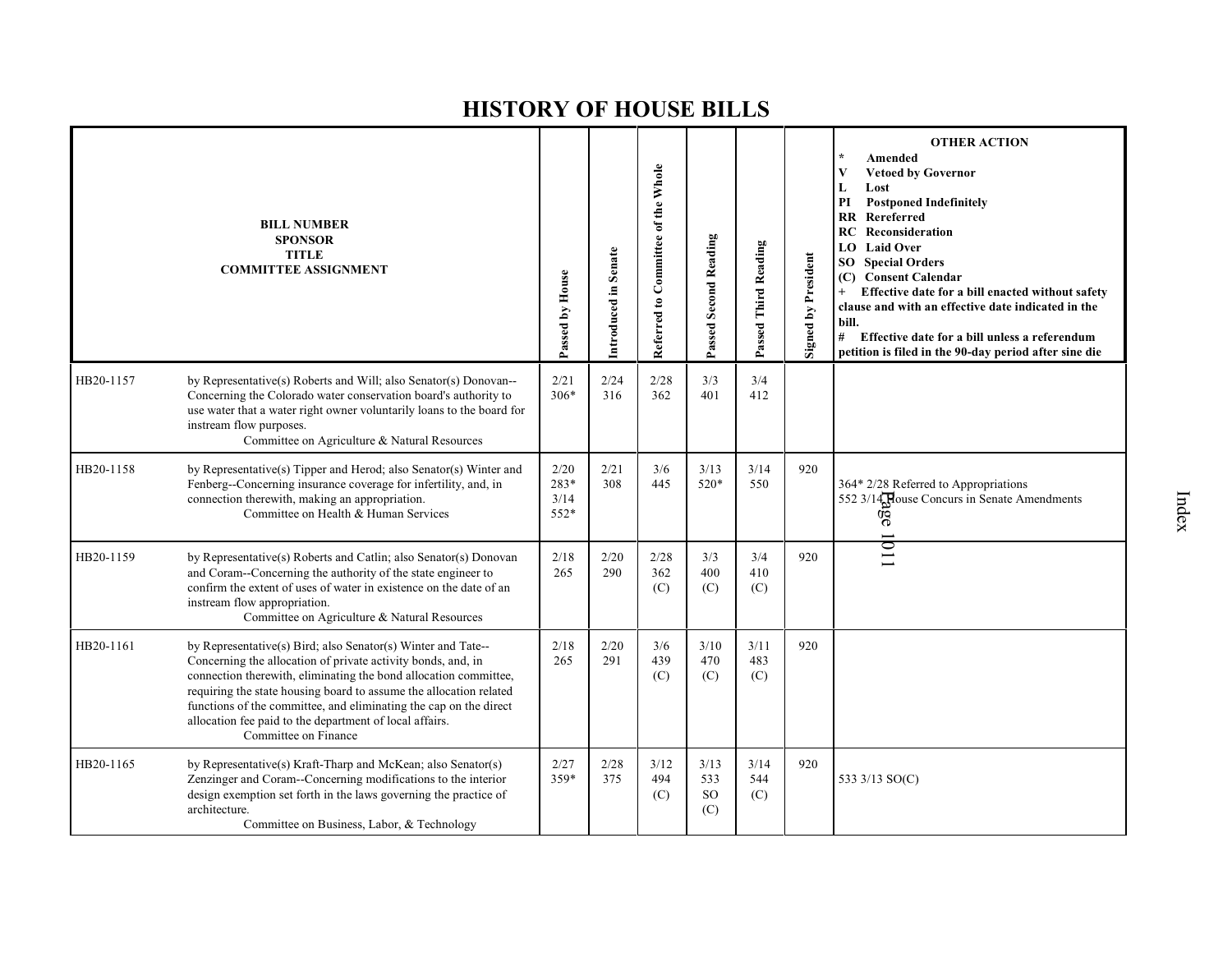|           | <b>BILL NUMBER</b><br><b>SPONSOR</b><br><b>TITLE</b><br><b>COMMITTEE ASSIGNMENT</b>                                                                                                                                                                                                                                                                                                                                            | Passed by House              | Introduced in Senate | Referred to Committee of the Whole | <b>Passed Second Reading</b>        | Passed Third Reading | <b>Signed by President</b> | <b>OTHER ACTION</b><br>$\star$<br>Amended<br><b>Vetoed by Governor</b><br>V<br>L<br>Lost<br>PI<br><b>Postponed Indefinitely</b><br>Rereferred<br><b>RR</b><br><b>RC</b> Reconsideration<br><b>Laid Over</b><br>LO.<br><b>Special Orders</b><br>SO<br><b>Consent Calendar</b><br>(C)<br>Effective date for a bill enacted without safety<br>clause and with an effective date indicated in the<br>bill.<br>#<br>Effective date for a bill unless a referendum<br>petition is filed in the 90-day period after sine die |
|-----------|--------------------------------------------------------------------------------------------------------------------------------------------------------------------------------------------------------------------------------------------------------------------------------------------------------------------------------------------------------------------------------------------------------------------------------|------------------------------|----------------------|------------------------------------|-------------------------------------|----------------------|----------------------------|-----------------------------------------------------------------------------------------------------------------------------------------------------------------------------------------------------------------------------------------------------------------------------------------------------------------------------------------------------------------------------------------------------------------------------------------------------------------------------------------------------------------------|
| HB20-1157 | by Representative(s) Roberts and Will; also Senator(s) Donovan--<br>Concerning the Colorado water conservation board's authority to<br>use water that a water right owner voluntarily loans to the board for<br>instream flow purposes.<br>Committee on Agriculture & Natural Resources                                                                                                                                        | 2/21<br>$306*$               | 2/24<br>316          | 2/28<br>362                        | 3/3<br>401                          | 3/4<br>412           |                            |                                                                                                                                                                                                                                                                                                                                                                                                                                                                                                                       |
| HB20-1158 | by Representative(s) Tipper and Herod; also Senator(s) Winter and<br>Fenberg--Concerning insurance coverage for infertility, and, in<br>connection therewith, making an appropriation.<br>Committee on Health & Human Services                                                                                                                                                                                                 | 2/20<br>283*<br>3/14<br>552* | 2/21<br>308          | 3/6<br>445                         | 3/13<br>520*                        | 3/14<br>550          | 920                        | 364* 2/28 Referred to Appropriations<br>552 3/14 House Concurs in Senate Amendments<br>äe                                                                                                                                                                                                                                                                                                                                                                                                                             |
| HB20-1159 | by Representative(s) Roberts and Catlin; also Senator(s) Donovan<br>and Coram--Concerning the authority of the state engineer to<br>confirm the extent of uses of water in existence on the date of an<br>instream flow appropriation.<br>Committee on Agriculture & Natural Resources                                                                                                                                         | 2/18<br>265                  | 2/20<br>290          | 2/28<br>362<br>(C)                 | 3/3<br>400<br>(C)                   | 3/4<br>410<br>(C)    | 920                        | l I                                                                                                                                                                                                                                                                                                                                                                                                                                                                                                                   |
| HB20-1161 | by Representative(s) Bird; also Senator(s) Winter and Tate--<br>Concerning the allocation of private activity bonds, and, in<br>connection therewith, eliminating the bond allocation committee,<br>requiring the state housing board to assume the allocation related<br>functions of the committee, and eliminating the cap on the direct<br>allocation fee paid to the department of local affairs.<br>Committee on Finance | 2/18<br>265                  | 2/20<br>291          | 3/6<br>439<br>(C)                  | 3/10<br>470<br>(C)                  | 3/11<br>483<br>(C)   | 920                        |                                                                                                                                                                                                                                                                                                                                                                                                                                                                                                                       |
| HB20-1165 | by Representative(s) Kraft-Tharp and McKean; also Senator(s)<br>Zenzinger and Coram--Concerning modifications to the interior<br>design exemption set forth in the laws governing the practice of<br>architecture.<br>Committee on Business, Labor, & Technology                                                                                                                                                               | 2/27<br>359*                 | 2/28<br>375          | 3/12<br>494<br>(C)                 | 3/13<br>533<br><sub>SO</sub><br>(C) | 3/14<br>544<br>(C)   | 920                        | 533 3/13 SO(C)                                                                                                                                                                                                                                                                                                                                                                                                                                                                                                        |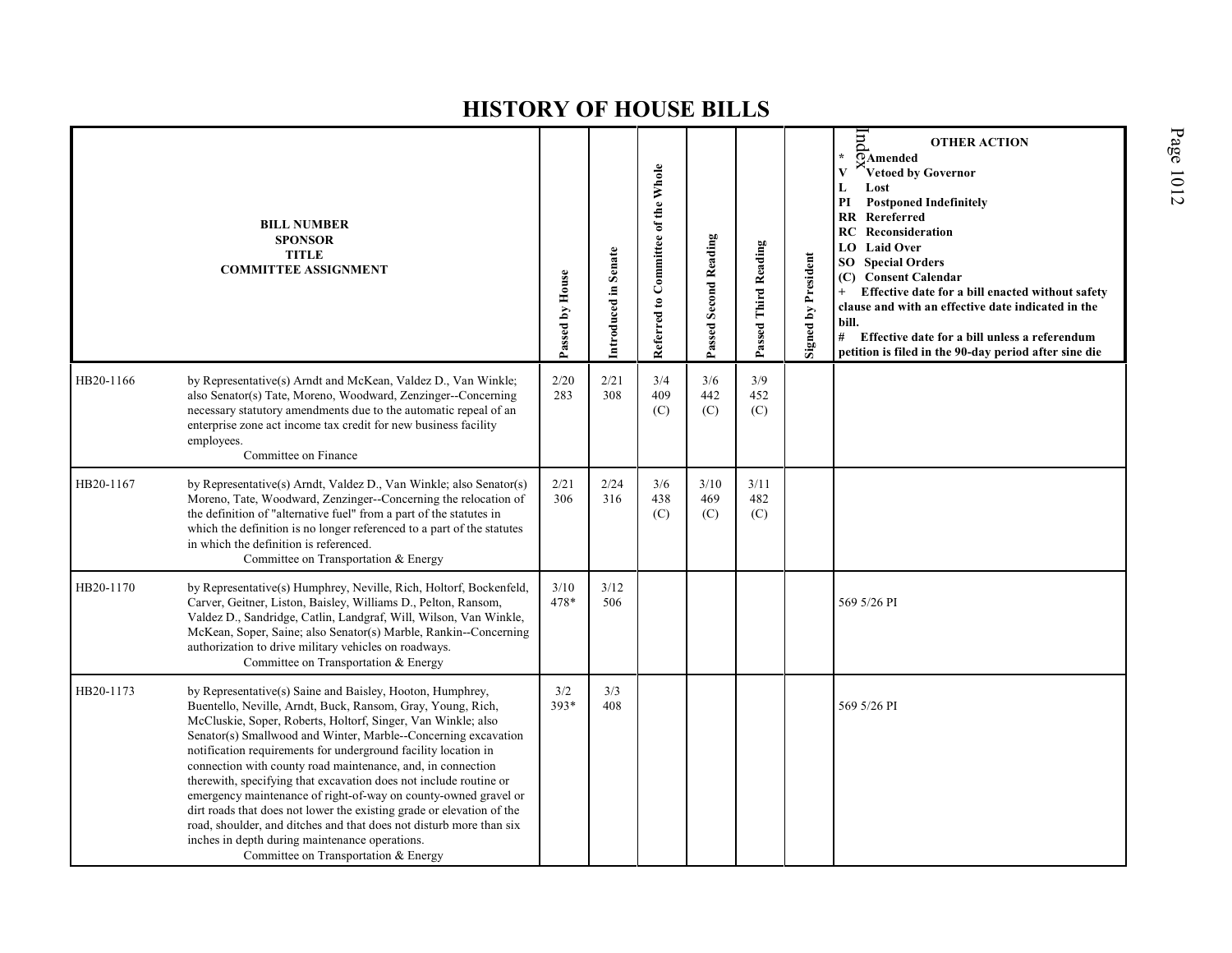|           | <b>BILL NUMBER</b><br><b>SPONSOR</b><br><b>TITLE</b><br><b>COMMITTEE ASSIGNMENT</b>                                                                                                                                                                                                                                                                                                                                                                                                                                                                                                                                                                                                                                                                                          | Passed by House | Introduced in Senate | Referred to Committee of the Whole | Passed Second Reading | Passed Third Reading | <b>Signed by President</b> | Ind<br><b>OTHER ACTION</b><br>$\star$<br>$\overline{Q}$ Amended<br>Vetoed by Governor<br>V<br>Lost<br>L<br>PI<br><b>Postponed Indefinitely</b><br><b>RR</b> Rereferred<br><b>RC</b> Reconsideration<br>LO Laid Over<br><b>Special Orders</b><br>SO<br><b>Consent Calendar</b><br>(C)<br>Effective date for a bill enacted without safety<br>clause and with an effective date indicated in the<br>bill.<br># Effective date for a bill unless a referendum<br>petition is filed in the 90-day period after sine die |
|-----------|------------------------------------------------------------------------------------------------------------------------------------------------------------------------------------------------------------------------------------------------------------------------------------------------------------------------------------------------------------------------------------------------------------------------------------------------------------------------------------------------------------------------------------------------------------------------------------------------------------------------------------------------------------------------------------------------------------------------------------------------------------------------------|-----------------|----------------------|------------------------------------|-----------------------|----------------------|----------------------------|---------------------------------------------------------------------------------------------------------------------------------------------------------------------------------------------------------------------------------------------------------------------------------------------------------------------------------------------------------------------------------------------------------------------------------------------------------------------------------------------------------------------|
| HB20-1166 | by Representative(s) Arndt and McKean, Valdez D., Van Winkle;<br>also Senator(s) Tate, Moreno, Woodward, Zenzinger--Concerning<br>necessary statutory amendments due to the automatic repeal of an<br>enterprise zone act income tax credit for new business facility<br>employees.<br>Committee on Finance                                                                                                                                                                                                                                                                                                                                                                                                                                                                  | 2/20<br>283     | 2/21<br>308          | 3/4<br>409<br>(C)                  | 3/6<br>442<br>(C)     | 3/9<br>452<br>(C)    |                            |                                                                                                                                                                                                                                                                                                                                                                                                                                                                                                                     |
| HB20-1167 | by Representative(s) Arndt, Valdez D., Van Winkle; also Senator(s)<br>Moreno, Tate, Woodward, Zenzinger--Concerning the relocation of<br>the definition of "alternative fuel" from a part of the statutes in<br>which the definition is no longer referenced to a part of the statutes<br>in which the definition is referenced.<br>Committee on Transportation & Energy                                                                                                                                                                                                                                                                                                                                                                                                     | 2/21<br>306     | 2/24<br>316          | 3/6<br>438<br>(C)                  | 3/10<br>469<br>(C)    | 3/11<br>482<br>(C)   |                            |                                                                                                                                                                                                                                                                                                                                                                                                                                                                                                                     |
| HB20-1170 | by Representative(s) Humphrey, Neville, Rich, Holtorf, Bockenfeld,<br>Carver, Geitner, Liston, Baisley, Williams D., Pelton, Ransom,<br>Valdez D., Sandridge, Catlin, Landgraf, Will, Wilson, Van Winkle,<br>McKean, Soper, Saine; also Senator(s) Marble, Rankin--Concerning<br>authorization to drive military vehicles on roadways.<br>Committee on Transportation & Energy                                                                                                                                                                                                                                                                                                                                                                                               | 3/10<br>478*    | $3/12$<br>506        |                                    |                       |                      |                            | 569 5/26 PI                                                                                                                                                                                                                                                                                                                                                                                                                                                                                                         |
| HB20-1173 | by Representative(s) Saine and Baisley, Hooton, Humphrey,<br>Buentello, Neville, Arndt, Buck, Ransom, Gray, Young, Rich,<br>McCluskie, Soper, Roberts, Holtorf, Singer, Van Winkle; also<br>Senator(s) Smallwood and Winter, Marble-Concerning excavation<br>notification requirements for underground facility location in<br>connection with county road maintenance, and, in connection<br>therewith, specifying that excavation does not include routine or<br>emergency maintenance of right-of-way on county-owned gravel or<br>dirt roads that does not lower the existing grade or elevation of the<br>road, shoulder, and ditches and that does not disturb more than six<br>inches in depth during maintenance operations.<br>Committee on Transportation & Energy | 3/2<br>393*     | 3/3<br>408           |                                    |                       |                      |                            | 569 5/26 PI                                                                                                                                                                                                                                                                                                                                                                                                                                                                                                         |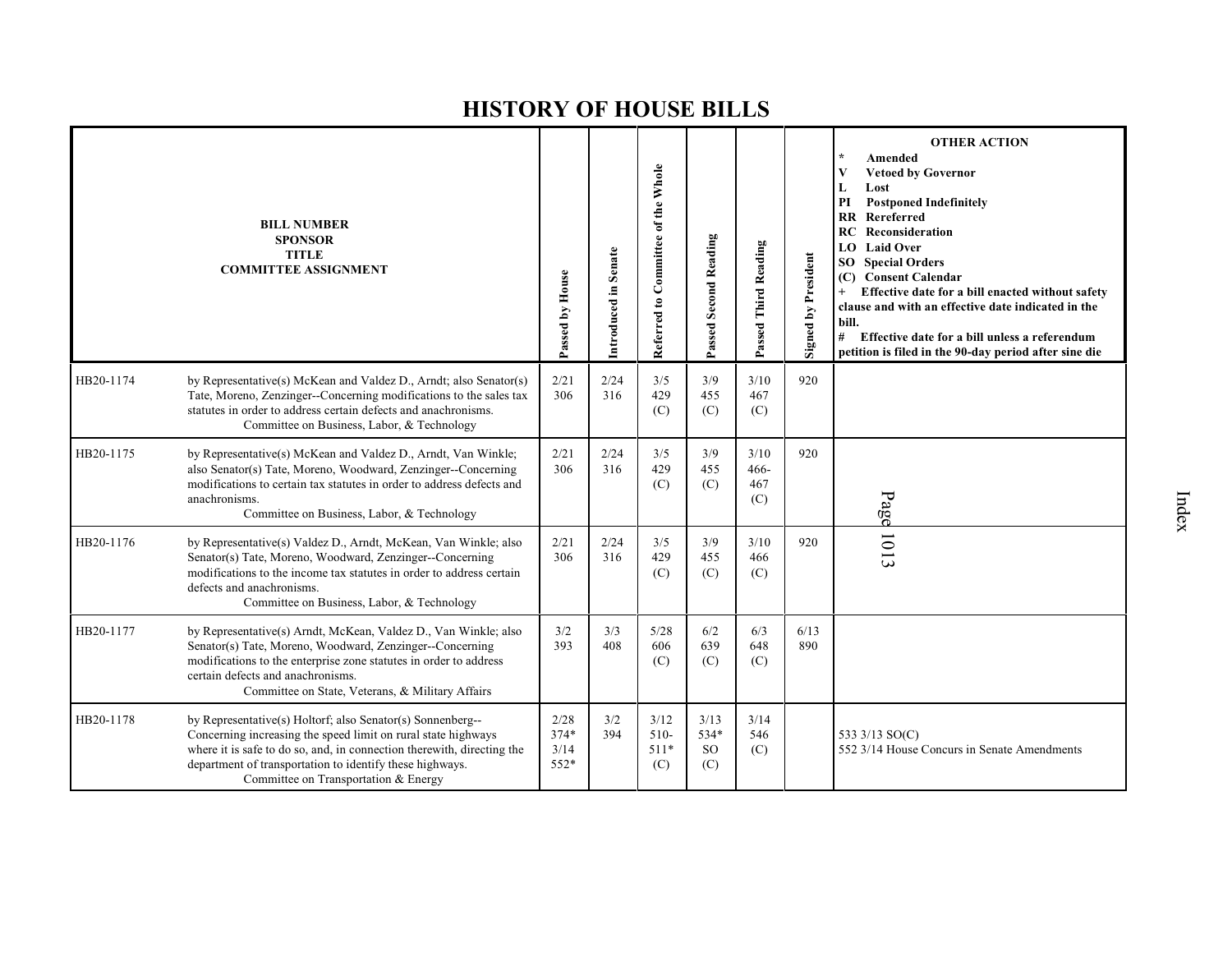|           | <b>BILL NUMBER</b><br><b>SPONSOR</b><br><b>TITLE</b><br><b>COMMITTEE ASSIGNMENT</b>                                                                                                                                                                                                                       | Passed by House                | Introduced in Senate | Referred to Committee of the Whole | Passed Second Reading            | Passed Third Reading         | Signed by President | <b>OTHER ACTION</b><br>Amended<br>V<br><b>Vetoed by Governor</b><br>Lost<br>L<br>PI<br><b>Postponed Indefinitely</b><br><b>RR</b> Rereferred<br><b>RC</b> Reconsideration<br><b>LO</b> Laid Over<br><b>SO</b> Special Orders<br><b>Consent Calendar</b><br>(C)<br>Effective date for a bill enacted without safety<br>clause and with an effective date indicated in the<br>bill.<br>#<br>Effective date for a bill unless a referendum<br>petition is filed in the 90-day period after sine die |
|-----------|-----------------------------------------------------------------------------------------------------------------------------------------------------------------------------------------------------------------------------------------------------------------------------------------------------------|--------------------------------|----------------------|------------------------------------|----------------------------------|------------------------------|---------------------|--------------------------------------------------------------------------------------------------------------------------------------------------------------------------------------------------------------------------------------------------------------------------------------------------------------------------------------------------------------------------------------------------------------------------------------------------------------------------------------------------|
| HB20-1174 | by Representative(s) McKean and Valdez D., Arndt; also Senator(s)<br>Tate, Moreno, Zenzinger--Concerning modifications to the sales tax<br>statutes in order to address certain defects and anachronisms.<br>Committee on Business, Labor, & Technology                                                   | 2/21<br>306                    | 2/24<br>316          | 3/5<br>429<br>(C)                  | 3/9<br>455<br>(C)                | 3/10<br>467<br>(C)           | 920                 |                                                                                                                                                                                                                                                                                                                                                                                                                                                                                                  |
| HB20-1175 | by Representative(s) McKean and Valdez D., Arndt, Van Winkle;<br>also Senator(s) Tate, Moreno, Woodward, Zenzinger--Concerning<br>modifications to certain tax statutes in order to address defects and<br>anachronisms.<br>Committee on Business, Labor, & Technology                                    | 2/21<br>306                    | 2/24<br>316          | 3/5<br>429<br>(C)                  | 3/9<br>455<br>(C)                | 3/10<br>$466-$<br>467<br>(C) | 920                 | Page                                                                                                                                                                                                                                                                                                                                                                                                                                                                                             |
| HB20-1176 | by Representative(s) Valdez D., Arndt, McKean, Van Winkle; also<br>Senator(s) Tate, Moreno, Woodward, Zenzinger--Concerning<br>modifications to the income tax statutes in order to address certain<br>defects and anachronisms.<br>Committee on Business, Labor, & Technology                            | 2/21<br>306                    | 2/24<br>316          | 3/5<br>429<br>(C)                  | 3/9<br>455<br>(C)                | 3/10<br>466<br>(C)           | 920                 | 1013                                                                                                                                                                                                                                                                                                                                                                                                                                                                                             |
| HB20-1177 | by Representative(s) Arndt, McKean, Valdez D., Van Winkle; also<br>Senator(s) Tate, Moreno, Woodward, Zenzinger--Concerning<br>modifications to the enterprise zone statutes in order to address<br>certain defects and anachronisms.<br>Committee on State, Veterans, & Military Affairs                 | 3/2<br>393                     | 3/3<br>408           | 5/28<br>606<br>(C)                 | 6/2<br>639<br>(C)                | 6/3<br>648<br>(C)            | 6/13<br>890         |                                                                                                                                                                                                                                                                                                                                                                                                                                                                                                  |
| HB20-1178 | by Representative(s) Holtorf; also Senator(s) Sonnenberg--<br>Concerning increasing the speed limit on rural state highways<br>where it is safe to do so, and, in connection therewith, directing the<br>department of transportation to identify these highways.<br>Committee on Transportation & Energy | 2/28<br>$374*$<br>3/14<br>552* | 3/2<br>394           | 3/12<br>$510-$<br>$511*$<br>(C)    | 3/13<br>534*<br><b>SO</b><br>(C) | 3/14<br>546<br>(C)           |                     | 533 3/13 SO(C)<br>552 3/14 House Concurs in Senate Amendments                                                                                                                                                                                                                                                                                                                                                                                                                                    |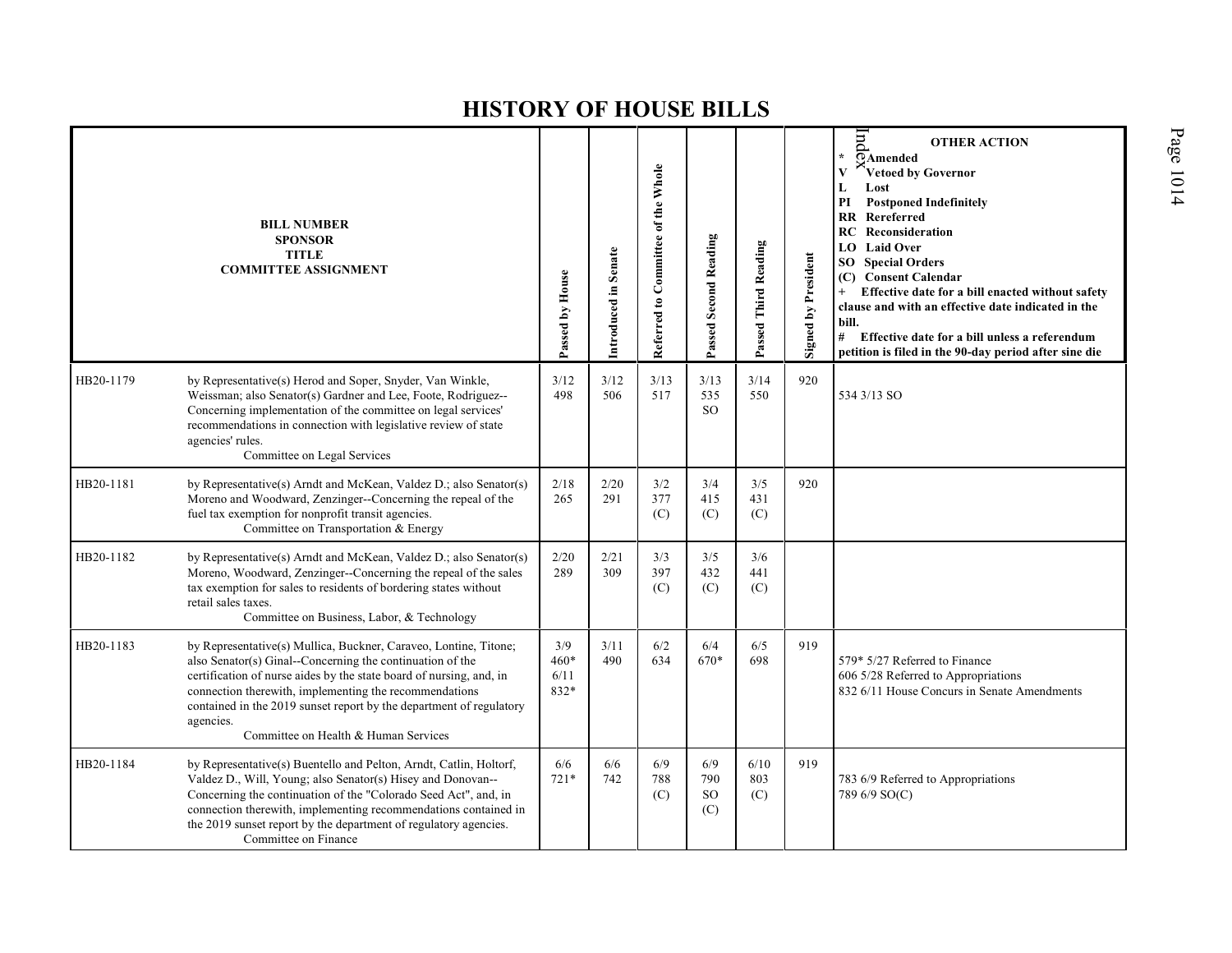|           | <b>BILL NUMBER</b><br><b>SPONSOR</b><br><b>TITLE</b><br><b>COMMITTEE ASSIGNMENT</b>                                                                                                                                                                                                                                                                                                        | Passed by House             | Introduced in Senate | Referred to Committee of the Whole | Passed Second Reading              | Passed Third Reading | Signed by President | pu<br><b>OTHER ACTION</b><br>¥.<br>$\overline{O}$ Amended<br>Vetoed by Governor<br>Lost<br>L<br>PI<br><b>Postponed Indefinitely</b><br>Rereferred<br>$\mathbf{R} \mathbf{R}$<br><b>RC</b> Reconsideration<br><b>Laid Over</b><br>LO.<br><b>SO</b> Special Orders<br><b>Consent Calendar</b><br>(C)<br>Effective date for a bill enacted without safety<br>$+$<br>clause and with an effective date indicated in the<br>bill.<br># Effective date for a bill unless a referendum<br>petition is filed in the 90-day period after sine die |
|-----------|--------------------------------------------------------------------------------------------------------------------------------------------------------------------------------------------------------------------------------------------------------------------------------------------------------------------------------------------------------------------------------------------|-----------------------------|----------------------|------------------------------------|------------------------------------|----------------------|---------------------|------------------------------------------------------------------------------------------------------------------------------------------------------------------------------------------------------------------------------------------------------------------------------------------------------------------------------------------------------------------------------------------------------------------------------------------------------------------------------------------------------------------------------------------|
| HB20-1179 | by Representative(s) Herod and Soper, Snyder, Van Winkle,<br>Weissman; also Senator(s) Gardner and Lee, Foote, Rodriguez--<br>Concerning implementation of the committee on legal services'<br>recommendations in connection with legislative review of state<br>agencies' rules.<br>Committee on Legal Services                                                                           | 3/12<br>498                 | 3/12<br>506          | 3/13<br>517                        | 3/13<br>535<br>SO <sub>2</sub>     | 3/14<br>550          | 920                 | 534 3/13 SO                                                                                                                                                                                                                                                                                                                                                                                                                                                                                                                              |
| HB20-1181 | by Representative(s) Arndt and McKean, Valdez D.; also Senator(s)<br>Moreno and Woodward, Zenzinger--Concerning the repeal of the<br>fuel tax exemption for nonprofit transit agencies.<br>Committee on Transportation & Energy                                                                                                                                                            | 2/18<br>265                 | 2/20<br>291          | 3/2<br>377<br>(C)                  | 3/4<br>415<br>(C)                  | 3/5<br>431<br>(C)    | 920                 |                                                                                                                                                                                                                                                                                                                                                                                                                                                                                                                                          |
| HB20-1182 | by Representative(s) Arndt and McKean, Valdez D.; also Senator(s)<br>Moreno, Woodward, Zenzinger--Concerning the repeal of the sales<br>tax exemption for sales to residents of bordering states without<br>retail sales taxes.<br>Committee on Business, Labor, & Technology                                                                                                              | 2/20<br>289                 | 2/21<br>309          | 3/3<br>397<br>(C)                  | 3/5<br>432<br>(C)                  | 3/6<br>441<br>(C)    |                     |                                                                                                                                                                                                                                                                                                                                                                                                                                                                                                                                          |
| HB20-1183 | by Representative(s) Mullica, Buckner, Caraveo, Lontine, Titone;<br>also Senator(s) Ginal--Concerning the continuation of the<br>certification of nurse aides by the state board of nursing, and, in<br>connection therewith, implementing the recommendations<br>contained in the 2019 sunset report by the department of regulatory<br>agencies.<br>Committee on Health & Human Services | 3/9<br>460*<br>6/11<br>832* | 3/11<br>490          | 6/2<br>634                         | 6/4<br>670*                        | 6/5<br>698           | 919                 | 579* 5/27 Referred to Finance<br>606 5/28 Referred to Appropriations<br>832 6/11 House Concurs in Senate Amendments                                                                                                                                                                                                                                                                                                                                                                                                                      |
| HB20-1184 | by Representative(s) Buentello and Pelton, Arndt, Catlin, Holtorf,<br>Valdez D., Will, Young; also Senator(s) Hisey and Donovan--<br>Concerning the continuation of the "Colorado Seed Act", and, in<br>connection therewith, implementing recommendations contained in<br>the 2019 sunset report by the department of regulatory agencies.<br>Committee on Finance                        | 6/6<br>$721*$               | 6/6<br>742           | 6/9<br>788<br>(C)                  | 6/9<br>790<br><sub>SO</sub><br>(C) | 6/10<br>803<br>(C)   | 919                 | 783 6/9 Referred to Appropriations<br>789 6/9 SO(C)                                                                                                                                                                                                                                                                                                                                                                                                                                                                                      |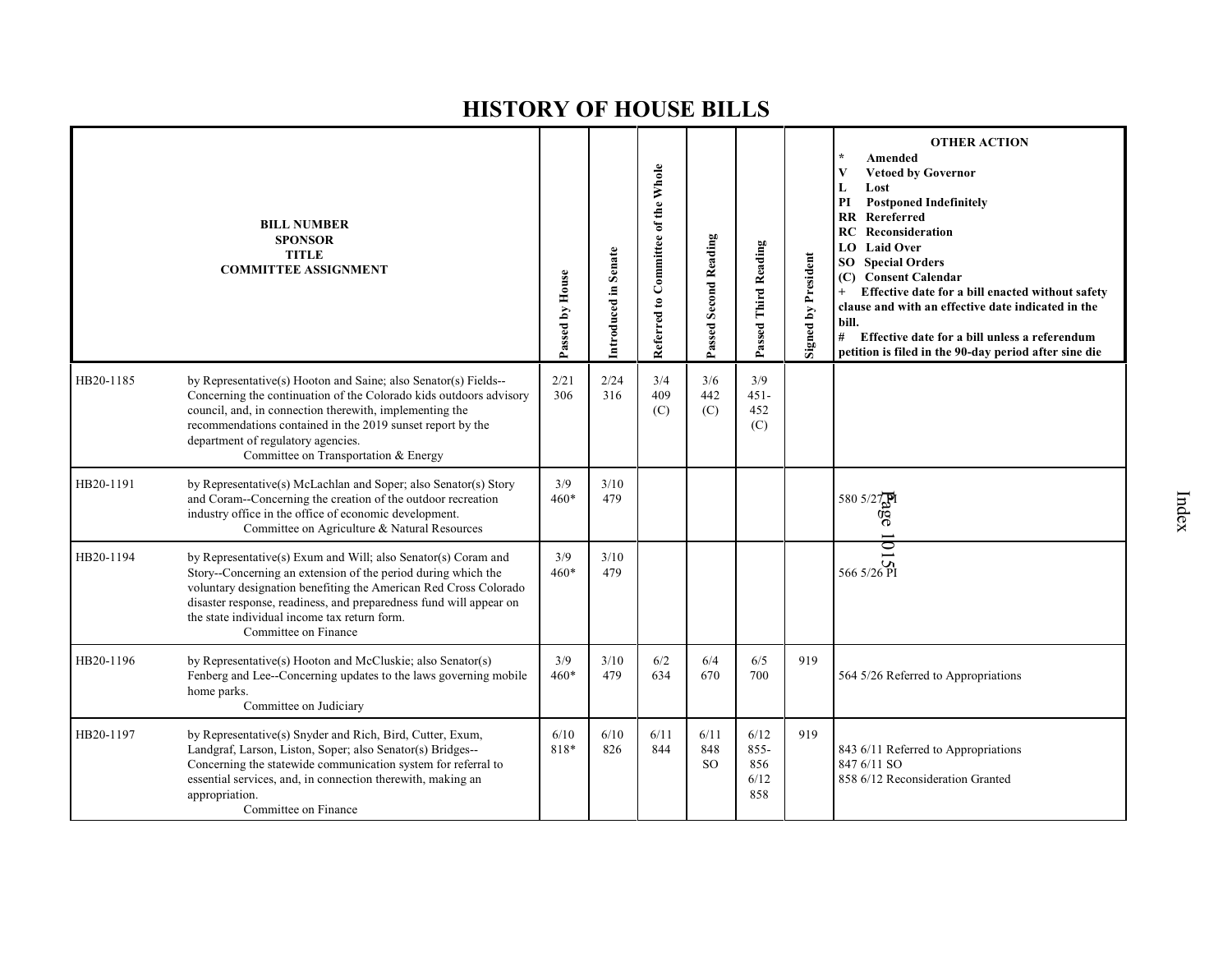|           | <b>BILL NUMBER</b><br><b>SPONSOR</b><br><b>TITLE</b><br><b>COMMITTEE ASSIGNMENT</b>                                                                                                                                                                                                                                                              | Passed by House | Introduced in Senate | Referred to Committee of the Whole | Passed Second Reading        | Passed Third Reading                  | <b>Signed by President</b> | <b>OTHER ACTION</b><br>Amended<br><b>Vetoed by Governor</b><br>V<br>Lost<br>L<br>PI<br><b>Postponed Indefinitely</b><br>$\mathbf{R}$<br>Rereferred<br>Reconsideration<br>RC<br><b>Laid Over</b><br>LO.<br>SO<br><b>Special Orders</b><br>(C) Consent Calendar<br>Effective date for a bill enacted without safety<br>clause and with an effective date indicated in the<br>bill.<br>#<br>Effective date for a bill unless a referendum<br>petition is filed in the 90-day period after sine die |
|-----------|--------------------------------------------------------------------------------------------------------------------------------------------------------------------------------------------------------------------------------------------------------------------------------------------------------------------------------------------------|-----------------|----------------------|------------------------------------|------------------------------|---------------------------------------|----------------------------|-------------------------------------------------------------------------------------------------------------------------------------------------------------------------------------------------------------------------------------------------------------------------------------------------------------------------------------------------------------------------------------------------------------------------------------------------------------------------------------------------|
| HB20-1185 | by Representative(s) Hooton and Saine; also Senator(s) Fields--<br>Concerning the continuation of the Colorado kids outdoors advisory<br>council, and, in connection therewith, implementing the<br>recommendations contained in the 2019 sunset report by the<br>department of regulatory agencies.<br>Committee on Transportation & Energy     | 2/21<br>306     | 2/24<br>316          | 3/4<br>409<br>(C)                  | 3/6<br>442<br>(C)            | 3/9<br>$451 -$<br>452<br>(C)          |                            |                                                                                                                                                                                                                                                                                                                                                                                                                                                                                                 |
| HB20-1191 | by Representative(s) McLachlan and Soper; also Senator(s) Story<br>and Coram--Concerning the creation of the outdoor recreation<br>industry office in the office of economic development.<br>Committee on Agriculture & Natural Resources                                                                                                        | 3/9<br>$460*$   | 3/10<br>479          |                                    |                              |                                       |                            | 19580 5/27<br>ඉං<br>ල                                                                                                                                                                                                                                                                                                                                                                                                                                                                           |
| HB20-1194 | by Representative(s) Exum and Will; also Senator(s) Coram and<br>Story--Concerning an extension of the period during which the<br>voluntary designation benefiting the American Red Cross Colorado<br>disaster response, readiness, and preparedness fund will appear on<br>the state individual income tax return form.<br>Committee on Finance | 3/9<br>$460*$   | 3/10<br>479          |                                    |                              |                                       |                            | $rac{1}{25}$<br>566 5/26 PI                                                                                                                                                                                                                                                                                                                                                                                                                                                                     |
| HB20-1196 | by Representative(s) Hooton and McCluskie; also Senator(s)<br>Fenberg and Lee--Concerning updates to the laws governing mobile<br>home parks.<br>Committee on Judiciary                                                                                                                                                                          | 3/9<br>$460*$   | 3/10<br>479          | 6/2<br>634                         | 6/4<br>670                   | 6/5<br>700                            | 919                        | 564 5/26 Referred to Appropriations                                                                                                                                                                                                                                                                                                                                                                                                                                                             |
| HB20-1197 | by Representative(s) Snyder and Rich, Bird, Cutter, Exum,<br>Landgraf, Larson, Liston, Soper; also Senator(s) Bridges--<br>Concerning the statewide communication system for referral to<br>essential services, and, in connection therewith, making an<br>appropriation.<br>Committee on Finance                                                | 6/10<br>818*    | 6/10<br>826          | 6/11<br>844                        | 6/11<br>848<br><sub>SO</sub> | 6/12<br>$855 -$<br>856<br>6/12<br>858 | 919                        | 843 6/11 Referred to Appropriations<br>847 6/11 SO<br>858 6/12 Reconsideration Granted                                                                                                                                                                                                                                                                                                                                                                                                          |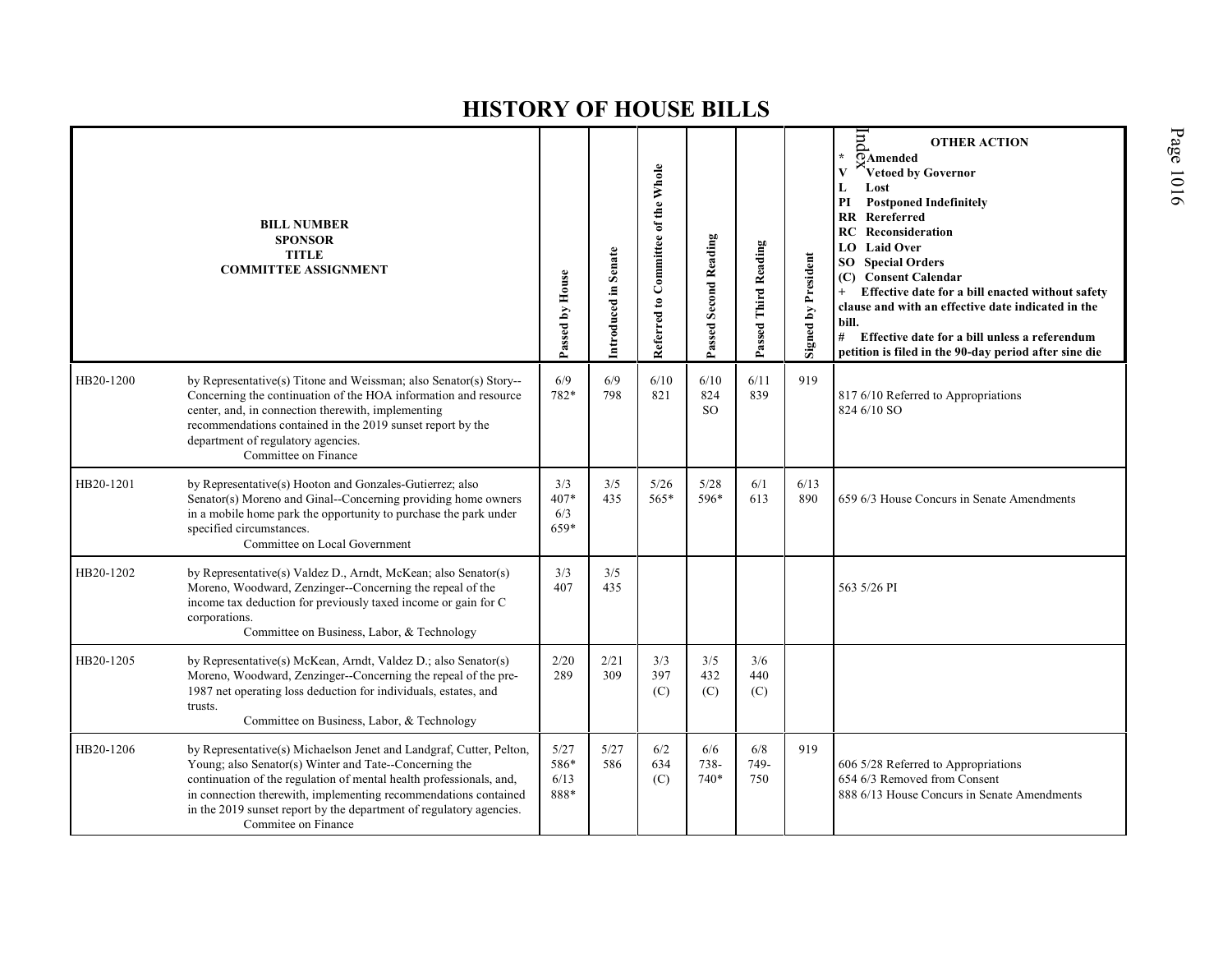|           | <b>BILL NUMBER</b><br><b>SPONSOR</b><br><b>TITLE</b><br><b>COMMITTEE ASSIGNMENT</b>                                                                                                                                                                                                                                                                                   | Passed by House              | Introduced in Senate | Referred to Committee of the Whole | Passed Second Reading          | Passed Third Reading | Signed by President | $\overline{m}$<br><b>OTHER ACTION</b><br>OAmended<br>Vetoed by Governor<br>Lost<br>L<br><b>Postponed Indefinitely</b><br>РI<br><b>RR</b><br>Rereferred<br><b>RC</b> Reconsideration<br><b>LO</b> Laid Over<br><b>Special Orders</b><br>SO -<br><b>Consent Calendar</b><br>(C)<br>Effective date for a bill enacted without safety<br>clause and with an effective date indicated in the<br>bill.<br>#<br>Effective date for a bill unless a referendum<br>petition is filed in the 90-day period after sine die |
|-----------|-----------------------------------------------------------------------------------------------------------------------------------------------------------------------------------------------------------------------------------------------------------------------------------------------------------------------------------------------------------------------|------------------------------|----------------------|------------------------------------|--------------------------------|----------------------|---------------------|-----------------------------------------------------------------------------------------------------------------------------------------------------------------------------------------------------------------------------------------------------------------------------------------------------------------------------------------------------------------------------------------------------------------------------------------------------------------------------------------------------------------|
| HB20-1200 | by Representative(s) Titone and Weissman; also Senator(s) Story--<br>Concerning the continuation of the HOA information and resource<br>center, and, in connection therewith, implementing<br>recommendations contained in the 2019 sunset report by the<br>department of regulatory agencies.<br>Committee on Finance                                                | 6/9<br>782*                  | 6/9<br>798           | 6/10<br>821                        | 6/10<br>824<br>SO <sub>2</sub> | 6/11<br>839          | 919                 | 817 6/10 Referred to Appropriations<br>824 6/10 SO                                                                                                                                                                                                                                                                                                                                                                                                                                                              |
| HB20-1201 | by Representative(s) Hooton and Gonzales-Gutierrez; also<br>Senator(s) Moreno and Ginal--Concerning providing home owners<br>in a mobile home park the opportunity to purchase the park under<br>specified circumstances.<br>Committee on Local Government                                                                                                            | 3/3<br>407*<br>6/3<br>659*   | 3/5<br>435           | 5/26<br>$565*$                     | 5/28<br>596*                   | 6/1<br>613           | 6/13<br>890         | 659 6/3 House Concurs in Senate Amendments                                                                                                                                                                                                                                                                                                                                                                                                                                                                      |
| HB20-1202 | by Representative(s) Valdez D., Arndt, McKean; also Senator(s)<br>Moreno, Woodward, Zenzinger--Concerning the repeal of the<br>income tax deduction for previously taxed income or gain for C<br>corporations.<br>Committee on Business, Labor, & Technology                                                                                                          | 3/3<br>407                   | 3/5<br>435           |                                    |                                |                      |                     | 563 5/26 PI                                                                                                                                                                                                                                                                                                                                                                                                                                                                                                     |
| HB20-1205 | by Representative(s) McKean, Arndt, Valdez D.; also Senator(s)<br>Moreno, Woodward, Zenzinger--Concerning the repeal of the pre-<br>1987 net operating loss deduction for individuals, estates, and<br>trusts.<br>Committee on Business, Labor, & Technology                                                                                                          | 2/20<br>289                  | 2/21<br>309          | 3/3<br>397<br>(C)                  | 3/5<br>432<br>(C)              | 3/6<br>440<br>(C)    |                     |                                                                                                                                                                                                                                                                                                                                                                                                                                                                                                                 |
| HB20-1206 | by Representative(s) Michaelson Jenet and Landgraf, Cutter, Pelton,<br>Young; also Senator(s) Winter and Tate--Concerning the<br>continuation of the regulation of mental health professionals, and,<br>in connection therewith, implementing recommendations contained<br>in the 2019 sunset report by the department of regulatory agencies.<br>Commitee on Finance | 5/27<br>586*<br>6/13<br>888* | 5/27<br>586          | 6/2<br>634<br>(C)                  | 6/6<br>738-<br>740*            | 6/8<br>749-<br>750   | 919                 | 606 5/28 Referred to Appropriations<br>654 6/3 Removed from Consent<br>888 6/13 House Concurs in Senate Amendments                                                                                                                                                                                                                                                                                                                                                                                              |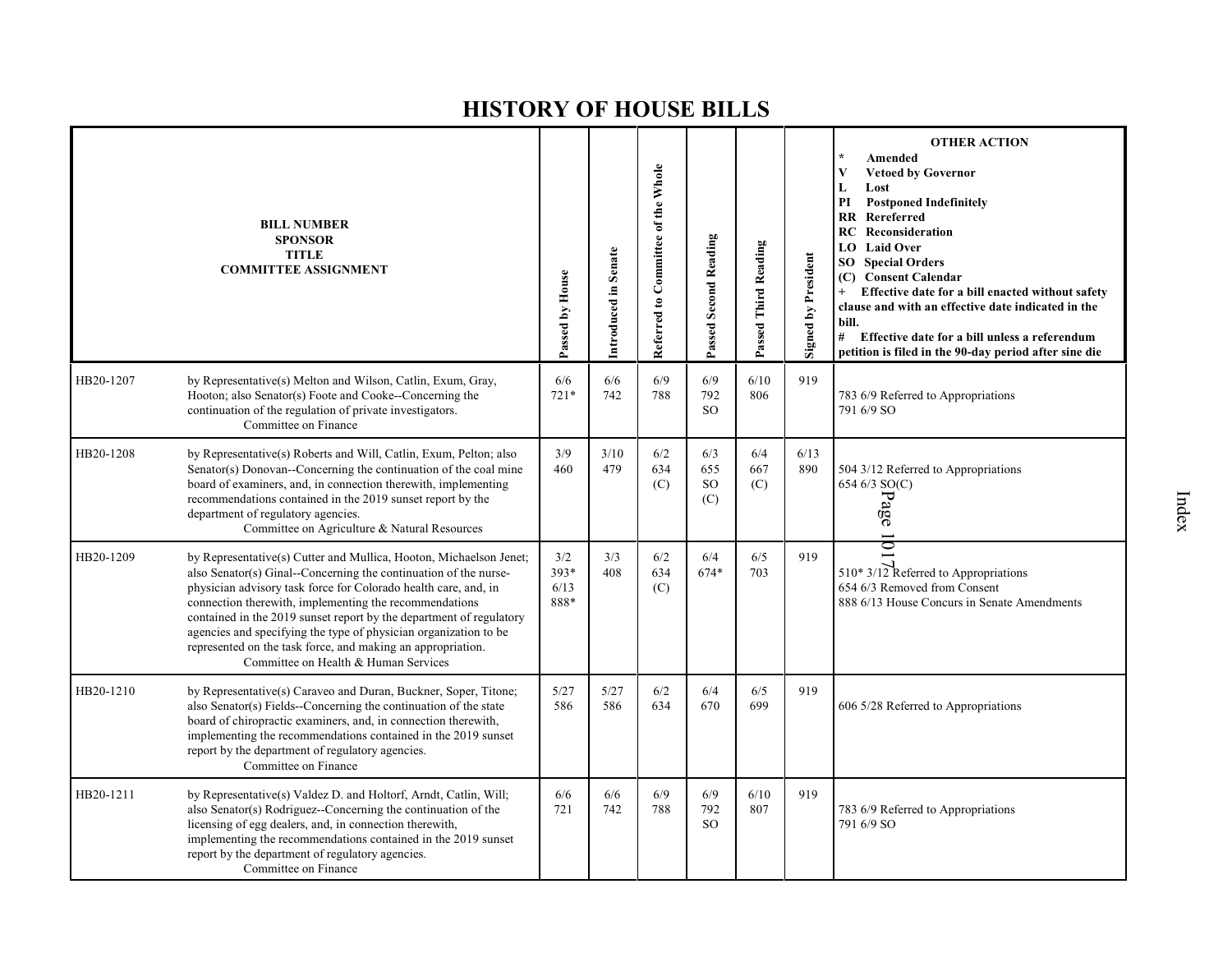|           | <b>BILL NUMBER</b><br><b>SPONSOR</b><br><b>TITLE</b><br><b>COMMITTEE ASSIGNMENT</b>                                                                                                                                                                                                                                                                                                                                                                                                                                   | Passed by House             | Introduced in Senate | Referred to Committee of the Whole | Passed Second Reading                | Passed Third Reading | Signed by President | <b>OTHER ACTION</b><br>Amended<br>V<br><b>Vetoed by Governor</b><br>L<br>Lost<br>PI<br><b>Postponed Indefinitely</b><br>$\mathbf{R}$<br>Rereferred<br>Reconsideration<br>RC<br><b>LO</b> Laid Over<br><b>Special Orders</b><br>SO<br>(C) Consent Calendar<br>Effective date for a bill enacted without safety<br>$+$<br>clause and with an effective date indicated in the<br>bill.<br># Effective date for a bill unless a referendum<br>petition is filed in the 90-day period after sine die |
|-----------|-----------------------------------------------------------------------------------------------------------------------------------------------------------------------------------------------------------------------------------------------------------------------------------------------------------------------------------------------------------------------------------------------------------------------------------------------------------------------------------------------------------------------|-----------------------------|----------------------|------------------------------------|--------------------------------------|----------------------|---------------------|-------------------------------------------------------------------------------------------------------------------------------------------------------------------------------------------------------------------------------------------------------------------------------------------------------------------------------------------------------------------------------------------------------------------------------------------------------------------------------------------------|
| HB20-1207 | by Representative(s) Melton and Wilson, Catlin, Exum, Gray,<br>Hooton; also Senator(s) Foote and Cooke--Concerning the<br>continuation of the regulation of private investigators.<br>Committee on Finance                                                                                                                                                                                                                                                                                                            | 6/6<br>$721*$               | 6/6<br>742           | 6/9<br>788                         | 6/9<br>792<br><b>SO</b>              | 6/10<br>806          | 919                 | 783 6/9 Referred to Appropriations<br>791 6/9 SO                                                                                                                                                                                                                                                                                                                                                                                                                                                |
| HB20-1208 | by Representative(s) Roberts and Will, Catlin, Exum, Pelton; also<br>Senator(s) Donovan--Concerning the continuation of the coal mine<br>board of examiners, and, in connection therewith, implementing<br>recommendations contained in the 2019 sunset report by the<br>department of regulatory agencies.<br>Committee on Agriculture & Natural Resources                                                                                                                                                           | 3/9<br>460                  | 3/10<br>479          | 6/2<br>634<br>(C)                  | 6/3<br>655<br>SO <sub>1</sub><br>(C) | 6/4<br>667<br>(C)    | 6/13<br>890         | 504 3/12 Referred to Appropriations<br>654 6/3 SO(C)<br>Page                                                                                                                                                                                                                                                                                                                                                                                                                                    |
| HB20-1209 | by Representative(s) Cutter and Mullica, Hooton, Michaelson Jenet;<br>also Senator(s) Ginal--Concerning the continuation of the nurse-<br>physician advisory task force for Colorado health care, and, in<br>connection therewith, implementing the recommendations<br>contained in the 2019 sunset report by the department of regulatory<br>agencies and specifying the type of physician organization to be<br>represented on the task force, and making an appropriation.<br>Committee on Health & Human Services | 3/2<br>393*<br>6/13<br>888* | 3/3<br>408           | 6/2<br>634<br>(C)                  | 6/4<br>674*                          | 6/5<br>703           | 919                 | $\overline{\mathbf{S}}$<br>510* 3/12 Referred to Appropriations<br>654 6/3 Removed from Consent<br>888 6/13 House Concurs in Senate Amendments                                                                                                                                                                                                                                                                                                                                                  |
| HB20-1210 | by Representative(s) Caraveo and Duran, Buckner, Soper, Titone;<br>also Senator(s) Fields--Concerning the continuation of the state<br>board of chiropractic examiners, and, in connection therewith,<br>implementing the recommendations contained in the 2019 sunset<br>report by the department of regulatory agencies.<br>Committee on Finance                                                                                                                                                                    | 5/27<br>586                 | 5/27<br>586          | 6/2<br>634                         | 6/4<br>670                           | 6/5<br>699           | 919                 | 606 5/28 Referred to Appropriations                                                                                                                                                                                                                                                                                                                                                                                                                                                             |
| HB20-1211 | by Representative(s) Valdez D. and Holtorf, Arndt, Catlin, Will;<br>also Senator(s) Rodriguez--Concerning the continuation of the<br>licensing of egg dealers, and, in connection therewith,<br>implementing the recommendations contained in the 2019 sunset<br>report by the department of regulatory agencies.<br>Committee on Finance                                                                                                                                                                             | 6/6<br>721                  | 6/6<br>742           | 6/9<br>788                         | 6/9<br>792<br><b>SO</b>              | 6/10<br>807          | 919                 | 783 6/9 Referred to Appropriations<br>791 6/9 SO                                                                                                                                                                                                                                                                                                                                                                                                                                                |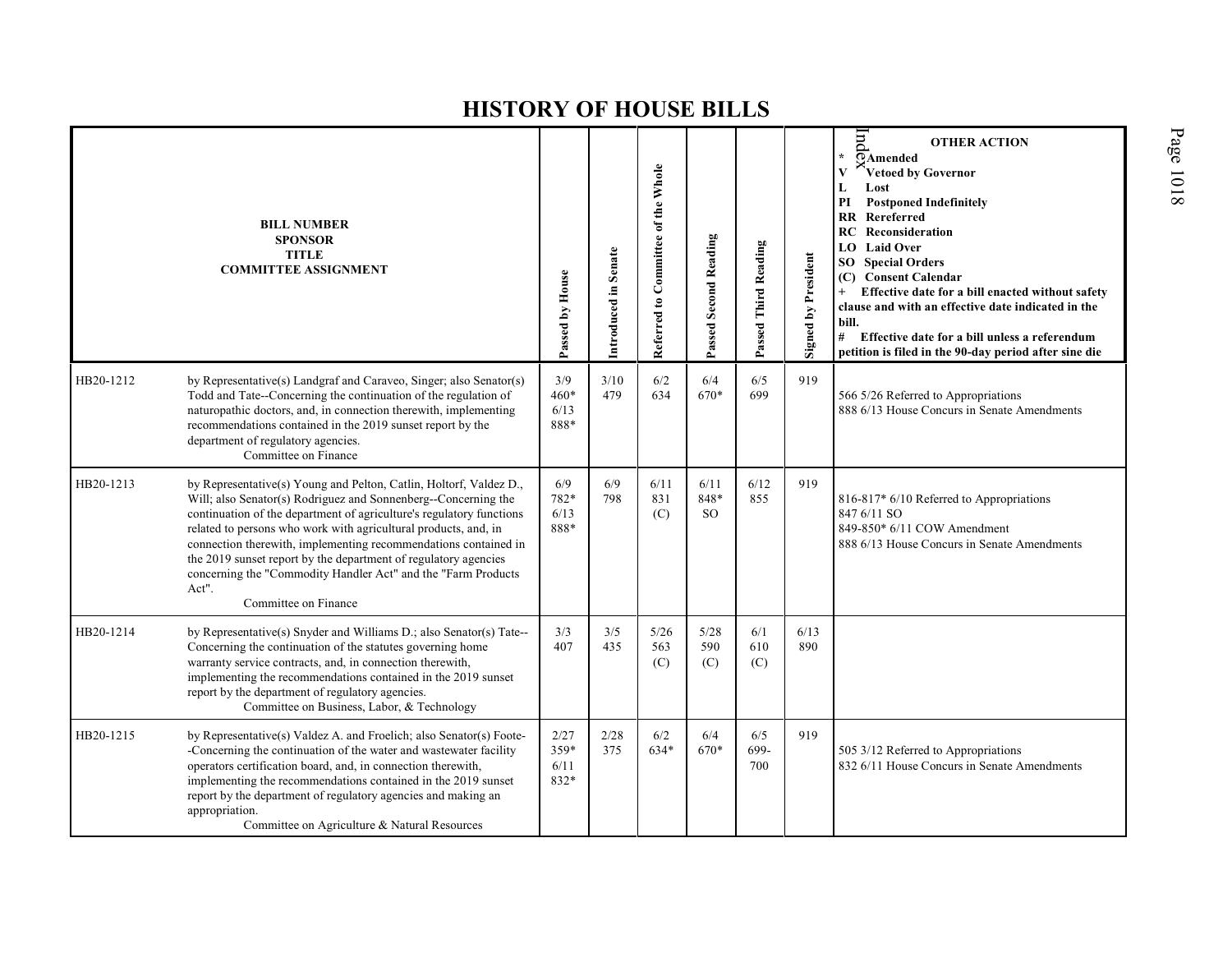|           | <b>BILL NUMBER</b><br><b>SPONSOR</b><br><b>TITLE</b><br><b>COMMITTEE ASSIGNMENT</b>                                                                                                                                                                                                                                                                                                                                                                                                                                     | Passed by House               | Introduced in Senate | Referred to Committee of the Whole | Passed Second Reading           | Passed Third Reading | <b>Signed by President</b> | $_{\rm{p}}$<br><b>OTHER ACTION</b><br>OAmended<br>Vetoed by Governor<br>Lost<br>L<br><b>Postponed Indefinitely</b><br>РI<br>Rereferred<br><b>RR</b><br><b>RC</b> Reconsideration<br>LO Laid Over<br><b>Special Orders</b><br>SO  <br><b>Consent Calendar</b><br>(C)<br>Effective date for a bill enacted without safety<br>clause and with an effective date indicated in the<br>bill.<br>#<br>Effective date for a bill unless a referendum<br>petition is filed in the 90-day period after sine die |
|-----------|-------------------------------------------------------------------------------------------------------------------------------------------------------------------------------------------------------------------------------------------------------------------------------------------------------------------------------------------------------------------------------------------------------------------------------------------------------------------------------------------------------------------------|-------------------------------|----------------------|------------------------------------|---------------------------------|----------------------|----------------------------|-------------------------------------------------------------------------------------------------------------------------------------------------------------------------------------------------------------------------------------------------------------------------------------------------------------------------------------------------------------------------------------------------------------------------------------------------------------------------------------------------------|
| HB20-1212 | by Representative(s) Landgraf and Caraveo, Singer; also Senator(s)<br>Todd and Tate--Concerning the continuation of the regulation of<br>naturopathic doctors, and, in connection therewith, implementing<br>recommendations contained in the 2019 sunset report by the<br>department of regulatory agencies.<br>Committee on Finance                                                                                                                                                                                   | 3/9<br>$460*$<br>6/13<br>888* | 3/10<br>479          | 6/2<br>634                         | 6/4<br>670*                     | 6/5<br>699           | 919                        | 566 5/26 Referred to Appropriations<br>888 6/13 House Concurs in Senate Amendments                                                                                                                                                                                                                                                                                                                                                                                                                    |
| HB20-1213 | by Representative(s) Young and Pelton, Catlin, Holtorf, Valdez D.,<br>Will; also Senator(s) Rodriguez and Sonnenberg--Concerning the<br>continuation of the department of agriculture's regulatory functions<br>related to persons who work with agricultural products, and, in<br>connection therewith, implementing recommendations contained in<br>the 2019 sunset report by the department of regulatory agencies<br>concerning the "Commodity Handler Act" and the "Farm Products<br>Act".<br>Committee on Finance | 6/9<br>782*<br>6/13<br>888*   | 6/9<br>798           | 6/11<br>831<br>(C)                 | 6/11<br>848*<br>SO <sub>2</sub> | 6/12<br>855          | 919                        | 816-817* 6/10 Referred to Appropriations<br>847 6/11 SO<br>849-850* 6/11 COW Amendment<br>888 6/13 House Concurs in Senate Amendments                                                                                                                                                                                                                                                                                                                                                                 |
| HB20-1214 | by Representative(s) Snyder and Williams D.; also Senator(s) Tate--<br>Concerning the continuation of the statutes governing home<br>warranty service contracts, and, in connection therewith,<br>implementing the recommendations contained in the 2019 sunset<br>report by the department of regulatory agencies.<br>Committee on Business, Labor, & Technology                                                                                                                                                       | 3/3<br>407                    | 3/5<br>435           | $5/26$<br>563<br>(C)               | 5/28<br>590<br>(C)              | 6/1<br>610<br>(C)    | 6/13<br>890                |                                                                                                                                                                                                                                                                                                                                                                                                                                                                                                       |
| HB20-1215 | by Representative(s) Valdez A. and Froelich; also Senator(s) Foote-<br>-Concerning the continuation of the water and wastewater facility<br>operators certification board, and, in connection therewith,<br>implementing the recommendations contained in the 2019 sunset<br>report by the department of regulatory agencies and making an<br>appropriation.<br>Committee on Agriculture & Natural Resources                                                                                                            | 2/27<br>359*<br>6/11<br>832*  | 2/28<br>375          | 6/2<br>634*                        | 6/4<br>670*                     | 6/5<br>699-<br>700   | 919                        | 505 3/12 Referred to Appropriations<br>832 6/11 House Concurs in Senate Amendments                                                                                                                                                                                                                                                                                                                                                                                                                    |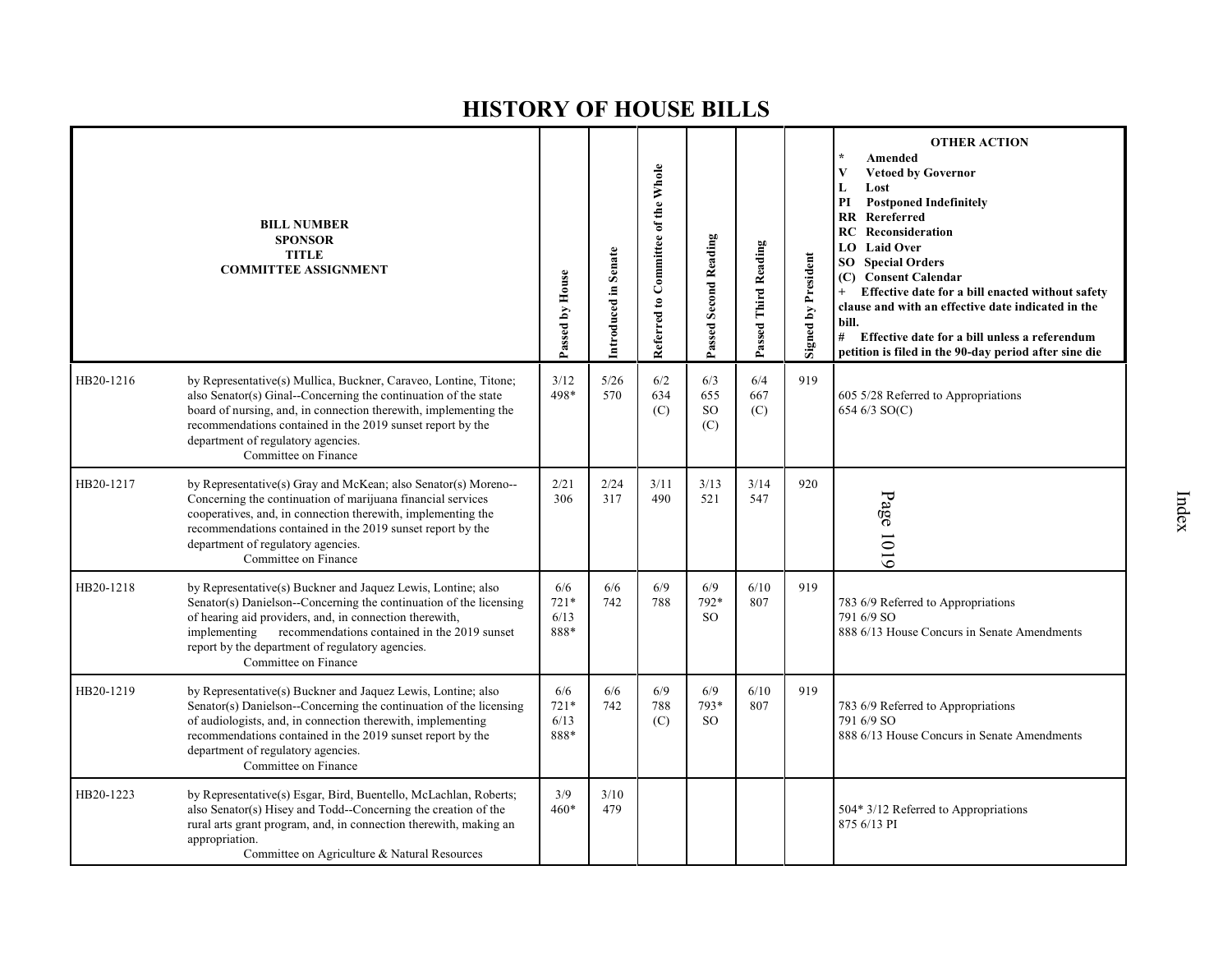|           | <b>BILL NUMBER</b><br><b>SPONSOR</b><br><b>TITLE</b><br><b>COMMITTEE ASSIGNMENT</b>                                                                                                                                                                                                                                                       | Passed by House               | Introduced in Senate | Referred to Committee of the Whole | Passed Second Reading                | Passed Third Reading | <b>Signed by President</b> | <b>OTHER ACTION</b><br>Amended<br><b>Vetoed by Governor</b><br>V<br>L<br>Lost<br>PI<br><b>Postponed Indefinitely</b><br><b>RR</b> Rereferred<br>Reconsideration<br>RC.<br><b>Laid Over</b><br>LO –<br><b>SO</b> Special Orders<br>(C) Consent Calendar<br>Effective date for a bill enacted without safety<br>$+$<br>clause and with an effective date indicated in the<br>bill.<br>#<br>Effective date for a bill unless a referendum<br>petition is filed in the 90-day period after sine die |
|-----------|-------------------------------------------------------------------------------------------------------------------------------------------------------------------------------------------------------------------------------------------------------------------------------------------------------------------------------------------|-------------------------------|----------------------|------------------------------------|--------------------------------------|----------------------|----------------------------|-------------------------------------------------------------------------------------------------------------------------------------------------------------------------------------------------------------------------------------------------------------------------------------------------------------------------------------------------------------------------------------------------------------------------------------------------------------------------------------------------|
| HB20-1216 | by Representative(s) Mullica, Buckner, Caraveo, Lontine, Titone;<br>also Senator(s) Ginal--Concerning the continuation of the state<br>board of nursing, and, in connection therewith, implementing the<br>recommendations contained in the 2019 sunset report by the<br>department of regulatory agencies.<br>Committee on Finance       | 3/12<br>498*                  | 5/26<br>570          | 6/2<br>634<br>(C)                  | 6/3<br>655<br>SO <sub>1</sub><br>(C) | 6/4<br>667<br>(C)    | 919                        | 605 5/28 Referred to Appropriations<br>654 6/3 SO(C)                                                                                                                                                                                                                                                                                                                                                                                                                                            |
| HB20-1217 | by Representative(s) Gray and McKean; also Senator(s) Moreno--<br>Concerning the continuation of marijuana financial services<br>cooperatives, and, in connection therewith, implementing the<br>recommendations contained in the 2019 sunset report by the<br>department of regulatory agencies.<br>Committee on Finance                 | 2/21<br>306                   | 2/24<br>317          | 3/11<br>490                        | 3/13<br>521                          | 3/14<br>547          | 920                        | Page 1019                                                                                                                                                                                                                                                                                                                                                                                                                                                                                       |
| HB20-1218 | by Representative(s) Buckner and Jaquez Lewis, Lontine; also<br>Senator(s) Danielson--Concerning the continuation of the licensing<br>of hearing aid providers, and, in connection therewith,<br>recommendations contained in the 2019 sunset<br>implementing<br>report by the department of regulatory agencies.<br>Committee on Finance | 6/6<br>$721*$<br>6/13<br>888* | 6/6<br>742           | 6/9<br>788                         | 6/9<br>792*<br><b>SO</b>             | 6/10<br>807          | 919                        | 783 6/9 Referred to Appropriations<br>791 6/9 SO<br>888 6/13 House Concurs in Senate Amendments                                                                                                                                                                                                                                                                                                                                                                                                 |
| HB20-1219 | by Representative(s) Buckner and Jaquez Lewis, Lontine; also<br>Senator(s) Danielson--Concerning the continuation of the licensing<br>of audiologists, and, in connection therewith, implementing<br>recommendations contained in the 2019 sunset report by the<br>department of regulatory agencies.<br>Committee on Finance             | 6/6<br>$721*$<br>6/13<br>888* | 6/6<br>742           | 6/9<br>788<br>(C)                  | 6/9<br>793*<br><sub>SO</sub>         | 6/10<br>807          | 919                        | 783 6/9 Referred to Appropriations<br>791 6/9 SO<br>888 6/13 House Concurs in Senate Amendments                                                                                                                                                                                                                                                                                                                                                                                                 |
| HB20-1223 | by Representative(s) Esgar, Bird, Buentello, McLachlan, Roberts;<br>also Senator(s) Hisey and Todd--Concerning the creation of the<br>rural arts grant program, and, in connection therewith, making an<br>appropriation.<br>Committee on Agriculture & Natural Resources                                                                 | 3/9<br>$460*$                 | 3/10<br>479          |                                    |                                      |                      |                            | 504* 3/12 Referred to Appropriations<br>875 6/13 PI                                                                                                                                                                                                                                                                                                                                                                                                                                             |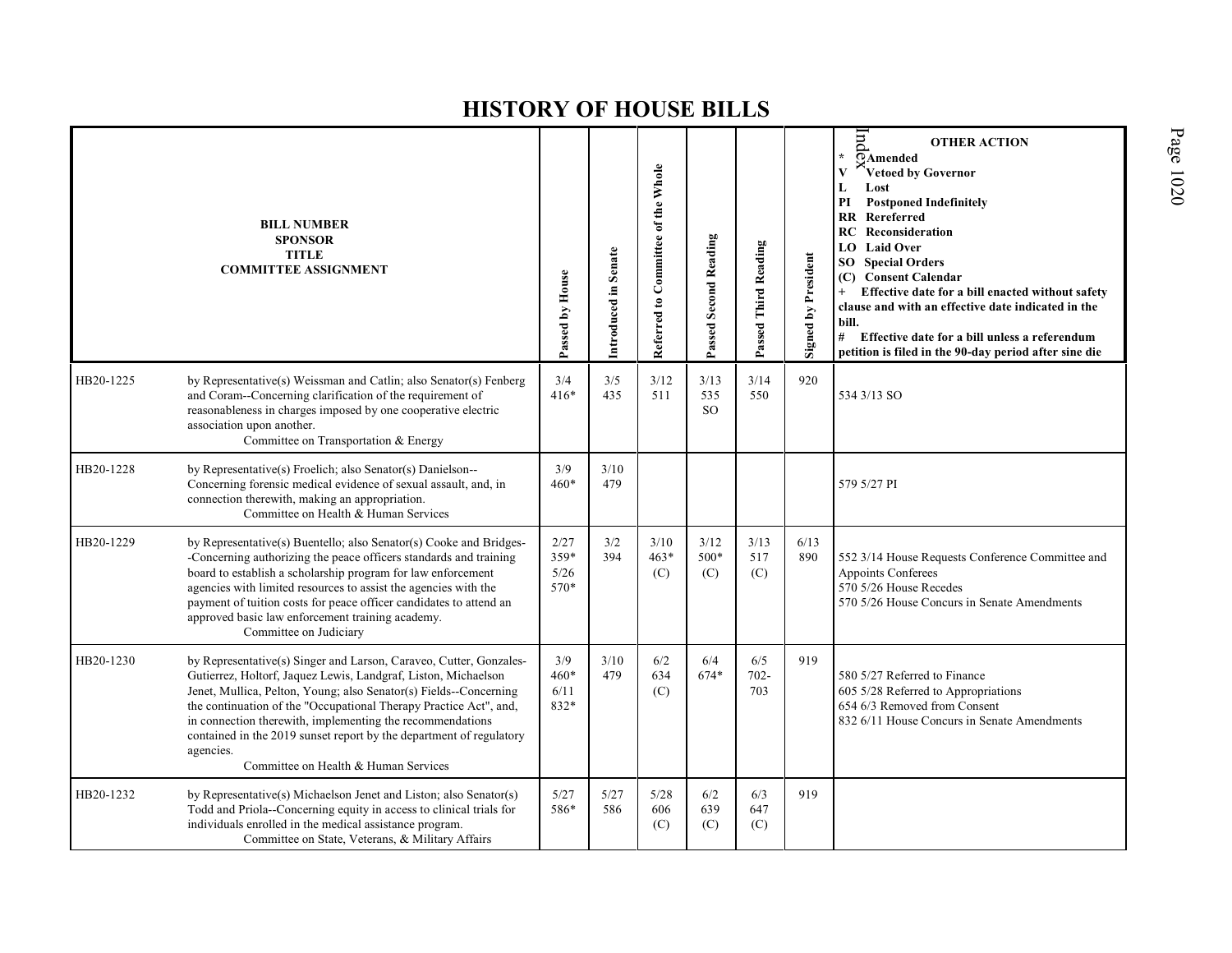|           | <b>BILL NUMBER</b><br><b>SPONSOR</b><br><b>TITLE</b><br><b>COMMITTEE ASSIGNMENT</b>                                                                                                                                                                                                                                                                                                                                                                                     | Passed by House              | Introduced in Senate | Referred to Committee of the Whole | Passed Second Reading        | Passed Third Reading  | <b>Signed by President</b> | ln d<br><b>OTHER ACTION</b><br>$\star$<br>OAmended<br>Vetoed by Governor<br>Lost<br>L<br>PI<br><b>Postponed Indefinitely</b><br>$\mathbf{R}$<br>Rereferred<br>Reconsideration<br>RC<br><b>Laid Over</b><br>LO.<br><b>SO</b> Special Orders<br><b>Consent Calendar</b><br>(C)<br>Effective date for a bill enacted without safety<br>$+$<br>clause and with an effective date indicated in the<br>bill.<br># Effective date for a bill unless a referendum<br>petition is filed in the 90-day period after sine die |
|-----------|-------------------------------------------------------------------------------------------------------------------------------------------------------------------------------------------------------------------------------------------------------------------------------------------------------------------------------------------------------------------------------------------------------------------------------------------------------------------------|------------------------------|----------------------|------------------------------------|------------------------------|-----------------------|----------------------------|--------------------------------------------------------------------------------------------------------------------------------------------------------------------------------------------------------------------------------------------------------------------------------------------------------------------------------------------------------------------------------------------------------------------------------------------------------------------------------------------------------------------|
| HB20-1225 | by Representative(s) Weissman and Catlin; also Senator(s) Fenberg<br>and Coram--Concerning clarification of the requirement of<br>reasonableness in charges imposed by one cooperative electric<br>association upon another.<br>Committee on Transportation & Energy                                                                                                                                                                                                    | 3/4<br>$416*$                | 3/5<br>435           | 3/12<br>511                        | 3/13<br>535<br><sub>SO</sub> | 3/14<br>550           | 920                        | 534 3/13 SO                                                                                                                                                                                                                                                                                                                                                                                                                                                                                                        |
| HB20-1228 | by Representative(s) Froelich; also Senator(s) Danielson--<br>Concerning forensic medical evidence of sexual assault, and, in<br>connection therewith, making an appropriation.<br>Committee on Health & Human Services                                                                                                                                                                                                                                                 | 3/9<br>$460*$                | 3/10<br>479          |                                    |                              |                       |                            | 579 5/27 PI                                                                                                                                                                                                                                                                                                                                                                                                                                                                                                        |
| HB20-1229 | by Representative(s) Buentello; also Senator(s) Cooke and Bridges-<br>-Concerning authorizing the peace officers standards and training<br>board to establish a scholarship program for law enforcement<br>agencies with limited resources to assist the agencies with the<br>payment of tuition costs for peace officer candidates to attend an<br>approved basic law enforcement training academy.<br>Committee on Judiciary                                          | 2/27<br>359*<br>5/26<br>570* | 3/2<br>394           | 3/10<br>463*<br>(C)                | 3/12<br>500*<br>(C)          | 3/13<br>517<br>(C)    | 6/13<br>890                | 552 3/14 House Requests Conference Committee and<br>Appoints Conferees<br>570 5/26 House Recedes<br>570 5/26 House Concurs in Senate Amendments                                                                                                                                                                                                                                                                                                                                                                    |
| HB20-1230 | by Representative(s) Singer and Larson, Caraveo, Cutter, Gonzales-<br>Gutierrez, Holtorf, Jaquez Lewis, Landgraf, Liston, Michaelson<br>Jenet, Mullica, Pelton, Young; also Senator(s) Fields--Concerning<br>the continuation of the "Occupational Therapy Practice Act", and,<br>in connection therewith, implementing the recommendations<br>contained in the 2019 sunset report by the department of regulatory<br>agencies.<br>Committee on Health & Human Services | 3/9<br>460*<br>6/11<br>832*  | 3/10<br>479          | 6/2<br>634<br>(C)                  | 6/4<br>674*                  | 6/5<br>$702 -$<br>703 | 919                        | 580 5/27 Referred to Finance<br>605 5/28 Referred to Appropriations<br>654 6/3 Removed from Consent<br>832 6/11 House Concurs in Senate Amendments                                                                                                                                                                                                                                                                                                                                                                 |
| HB20-1232 | by Representative(s) Michaelson Jenet and Liston; also Senator(s)<br>Todd and Priola--Concerning equity in access to clinical trials for<br>individuals enrolled in the medical assistance program.<br>Committee on State, Veterans, & Military Affairs                                                                                                                                                                                                                 | 5/27<br>586*                 | 5/27<br>586          | 5/28<br>606<br>(C)                 | 6/2<br>639<br>(C)            | 6/3<br>647<br>(C)     | 919                        |                                                                                                                                                                                                                                                                                                                                                                                                                                                                                                                    |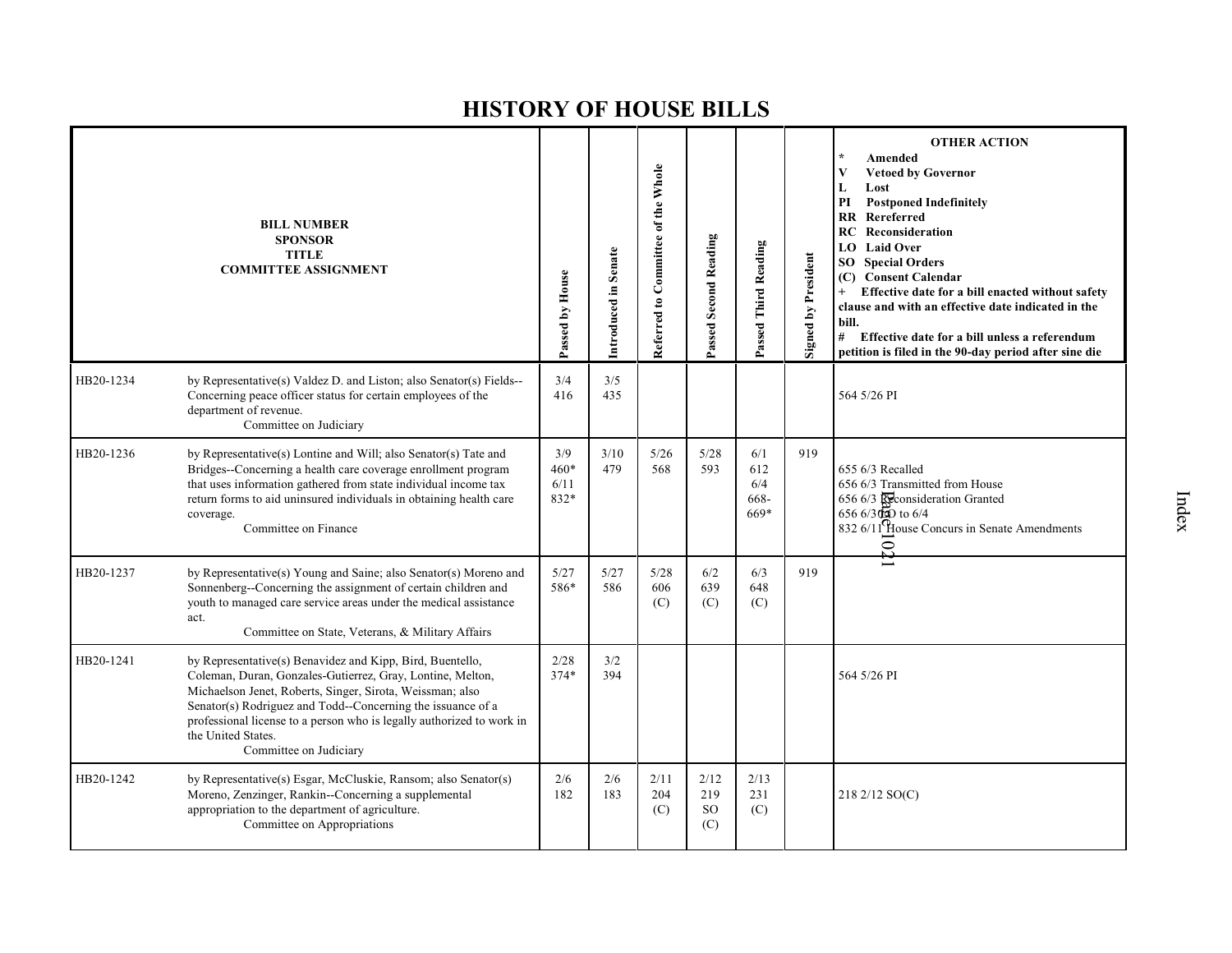|           | <b>BILL NUMBER</b><br><b>SPONSOR</b><br><b>TITLE</b><br><b>COMMITTEE ASSIGNMENT</b>                                                                                                                                                                                                                                                                                          | Passed by House               | Introduced in Senate | Referred to Committee of the Whole | Passed Second Reading               | Passed Third Reading              | <b>Signed by President</b> | <b>OTHER ACTION</b><br>Amended<br><b>Vetoed by Governor</b><br>V<br>L<br>Lost<br>PI<br><b>Postponed Indefinitely</b><br>Rereferred<br>RR<br>Reconsideration<br>RC<br><b>Laid Over</b><br>LO.<br><b>SO</b> Special Orders<br><b>Consent Calendar</b><br>(C)<br>Effective date for a bill enacted without safety<br>$+$<br>clause and with an effective date indicated in the<br>bill.<br># Effective date for a bill unless a referendum<br>petition is filed in the 90-day period after sine die |
|-----------|------------------------------------------------------------------------------------------------------------------------------------------------------------------------------------------------------------------------------------------------------------------------------------------------------------------------------------------------------------------------------|-------------------------------|----------------------|------------------------------------|-------------------------------------|-----------------------------------|----------------------------|--------------------------------------------------------------------------------------------------------------------------------------------------------------------------------------------------------------------------------------------------------------------------------------------------------------------------------------------------------------------------------------------------------------------------------------------------------------------------------------------------|
| HB20-1234 | by Representative(s) Valdez D. and Liston; also Senator(s) Fields--<br>Concerning peace officer status for certain employees of the<br>department of revenue.<br>Committee on Judiciary                                                                                                                                                                                      | 3/4<br>416                    | 3/5<br>435           |                                    |                                     |                                   |                            | 564 5/26 PI                                                                                                                                                                                                                                                                                                                                                                                                                                                                                      |
| HB20-1236 | by Representative(s) Lontine and Will; also Senator(s) Tate and<br>Bridges--Concerning a health care coverage enrollment program<br>that uses information gathered from state individual income tax<br>return forms to aid uninsured individuals in obtaining health care<br>coverage.<br>Committee on Finance                                                               | 3/9<br>$460*$<br>6/11<br>832* | 3/10<br>479          | $5/26$<br>568                      | 5/28<br>593                         | 6/1<br>612<br>6/4<br>668-<br>669* | 919                        | 655 6/3 Recalled<br>656 6/3 Transmitted from House<br>656 6/3 Reconsideration Granted<br>$6566/3000$ to $6/4$<br>832 6/11 House Concurs in Senate Amendments<br>$\Omega_{\rm 4}$                                                                                                                                                                                                                                                                                                                 |
| HB20-1237 | by Representative(s) Young and Saine; also Senator(s) Moreno and<br>Sonnenberg--Concerning the assignment of certain children and<br>youth to managed care service areas under the medical assistance<br>act.<br>Committee on State, Veterans, & Military Affairs                                                                                                            | 5/27<br>586*                  | 5/27<br>586          | 5/28<br>606<br>(C)                 | 6/2<br>639<br>(C)                   | 6/3<br>648<br>(C)                 | 919                        |                                                                                                                                                                                                                                                                                                                                                                                                                                                                                                  |
| HB20-1241 | by Representative(s) Benavidez and Kipp, Bird, Buentello,<br>Coleman, Duran, Gonzales-Gutierrez, Gray, Lontine, Melton,<br>Michaelson Jenet, Roberts, Singer, Sirota, Weissman; also<br>Senator(s) Rodriguez and Todd--Concerning the issuance of a<br>professional license to a person who is legally authorized to work in<br>the United States.<br>Committee on Judiciary | 2/28<br>$374*$                | 3/2<br>394           |                                    |                                     |                                   |                            | 564 5/26 PI                                                                                                                                                                                                                                                                                                                                                                                                                                                                                      |
| HB20-1242 | by Representative(s) Esgar, McCluskie, Ransom; also Senator(s)<br>Moreno, Zenzinger, Rankin--Concerning a supplemental<br>appropriation to the department of agriculture.<br>Committee on Appropriations                                                                                                                                                                     | 2/6<br>182                    | 2/6<br>183           | 2/11<br>204<br>(C)                 | 2/12<br>219<br><sub>SO</sub><br>(C) | 2/13<br>231<br>(C)                |                            | 218 2/12 SO(C)                                                                                                                                                                                                                                                                                                                                                                                                                                                                                   |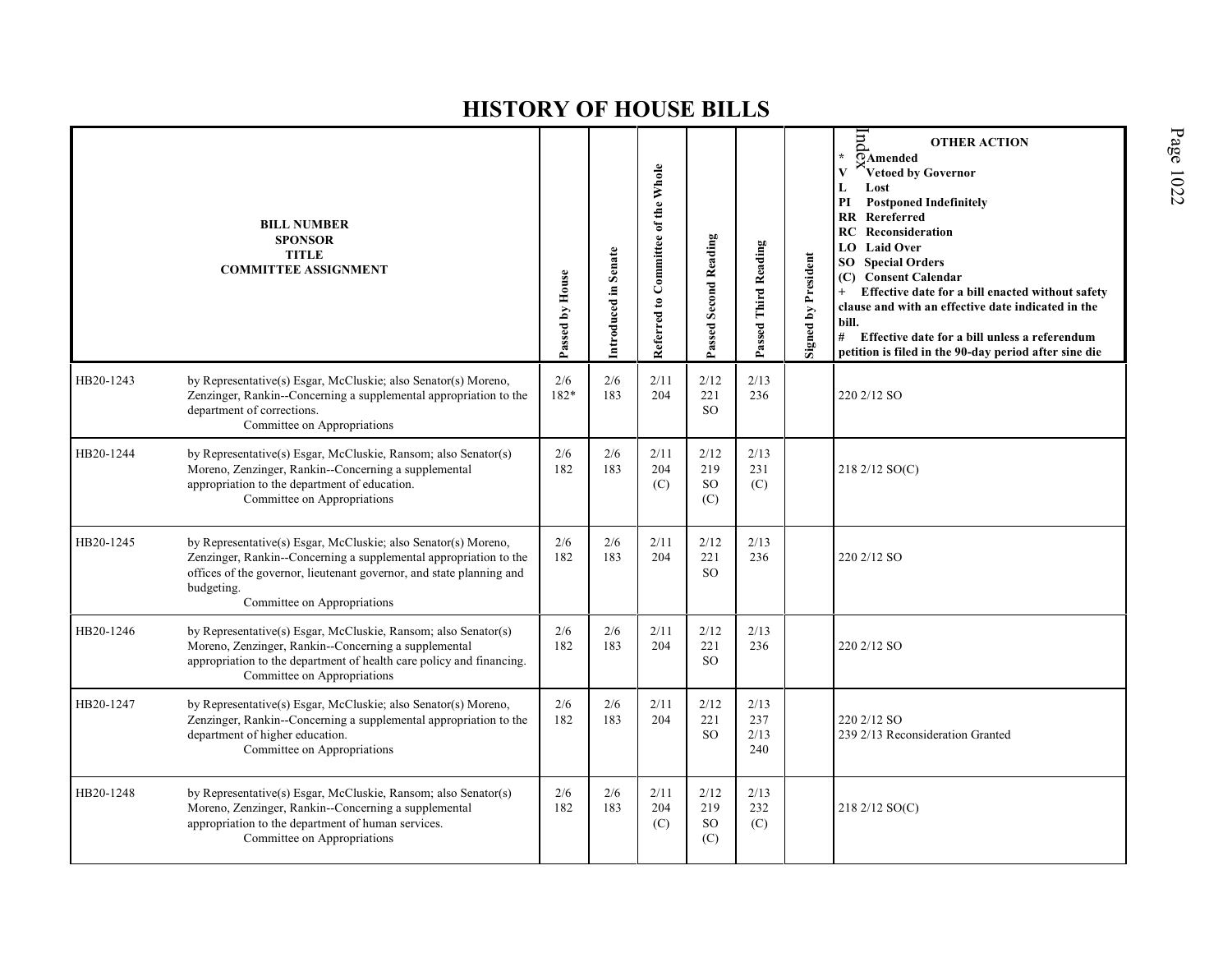|           | <b>BILL NUMBER</b><br><b>SPONSOR</b><br><b>TITLE</b><br><b>COMMITTEE ASSIGNMENT</b>                                                                                                                                                                      | Passed by House | Introduced in Senate | Referred to Committee of the Whole | Passed Second Reading                 | Passed Third Reading       | <b>Signed by President</b> | Ιnd<br><b>OTHER ACTION</b><br>$\star$<br>$\overline{\Omega}$ Amended<br>Vetoed by Governor<br>Lost<br>L<br><b>Postponed Indefinitely</b><br>PI<br><b>RR</b> Rereferred<br><b>RC</b> Reconsideration<br><b>LO</b> Laid Over<br><b>SO</b> Special Orders<br><b>Consent Calendar</b><br>(C)<br>Effective date for a bill enacted without safety<br>clause and with an effective date indicated in the<br>bill.<br># Effective date for a bill unless a referendum<br>petition is filed in the 90-day period after sine die |
|-----------|----------------------------------------------------------------------------------------------------------------------------------------------------------------------------------------------------------------------------------------------------------|-----------------|----------------------|------------------------------------|---------------------------------------|----------------------------|----------------------------|-------------------------------------------------------------------------------------------------------------------------------------------------------------------------------------------------------------------------------------------------------------------------------------------------------------------------------------------------------------------------------------------------------------------------------------------------------------------------------------------------------------------------|
| HB20-1243 | by Representative(s) Esgar, McCluskie; also Senator(s) Moreno,<br>Zenzinger, Rankin--Concerning a supplemental appropriation to the<br>department of corrections.<br>Committee on Appropriations                                                         | 2/6<br>182*     | 2/6<br>183           | 2/11<br>204                        | 2/12<br>221<br>SO <sub>2</sub>        | 2/13<br>236                |                            | 220 2/12 SO                                                                                                                                                                                                                                                                                                                                                                                                                                                                                                             |
| HB20-1244 | by Representative(s) Esgar, McCluskie, Ransom; also Senator(s)<br>Moreno, Zenzinger, Rankin--Concerning a supplemental<br>appropriation to the department of education.<br>Committee on Appropriations                                                   | 2/6<br>182      | 2/6<br>183           | 2/11<br>204<br>(C)                 | 2/12<br>219<br><b>SO</b><br>(C)       | 2/13<br>231<br>(C)         |                            | 218 2/12 SO(C)                                                                                                                                                                                                                                                                                                                                                                                                                                                                                                          |
| HB20-1245 | by Representative(s) Esgar, McCluskie; also Senator(s) Moreno,<br>Zenzinger, Rankin--Concerning a supplemental appropriation to the<br>offices of the governor, lieutenant governor, and state planning and<br>budgeting.<br>Committee on Appropriations | 2/6<br>182      | 2/6<br>183           | 2/11<br>204                        | 2/12<br>221<br>SO <sub>2</sub>        | 2/13<br>236                |                            | 220 2/12 SO                                                                                                                                                                                                                                                                                                                                                                                                                                                                                                             |
| HB20-1246 | by Representative(s) Esgar, McCluskie, Ransom; also Senator(s)<br>Moreno, Zenzinger, Rankin--Concerning a supplemental<br>appropriation to the department of health care policy and financing.<br>Committee on Appropriations                            | 2/6<br>182      | 2/6<br>183           | 2/11<br>204                        | 2/12<br>221<br><sub>SO</sub>          | 2/13<br>236                |                            | 220 2/12 SO                                                                                                                                                                                                                                                                                                                                                                                                                                                                                                             |
| HB20-1247 | by Representative(s) Esgar, McCluskie; also Senator(s) Moreno,<br>Zenzinger, Rankin--Concerning a supplemental appropriation to the<br>department of higher education.<br>Committee on Appropriations                                                    | 2/6<br>182      | 2/6<br>183           | 2/11<br>204                        | 2/12<br>221<br><b>SO</b>              | 2/13<br>237<br>2/13<br>240 |                            | 220 2/12 SO<br>239 2/13 Reconsideration Granted                                                                                                                                                                                                                                                                                                                                                                                                                                                                         |
| HB20-1248 | by Representative(s) Esgar, McCluskie, Ransom; also Senator(s)<br>Moreno, Zenzinger, Rankin--Concerning a supplemental<br>appropriation to the department of human services.<br>Committee on Appropriations                                              | 2/6<br>182      | 2/6<br>183           | 2/11<br>204<br>(C)                 | 2/12<br>219<br>SO <sub>1</sub><br>(C) | 2/13<br>232<br>(C)         |                            | 218 2/12 SO(C)                                                                                                                                                                                                                                                                                                                                                                                                                                                                                                          |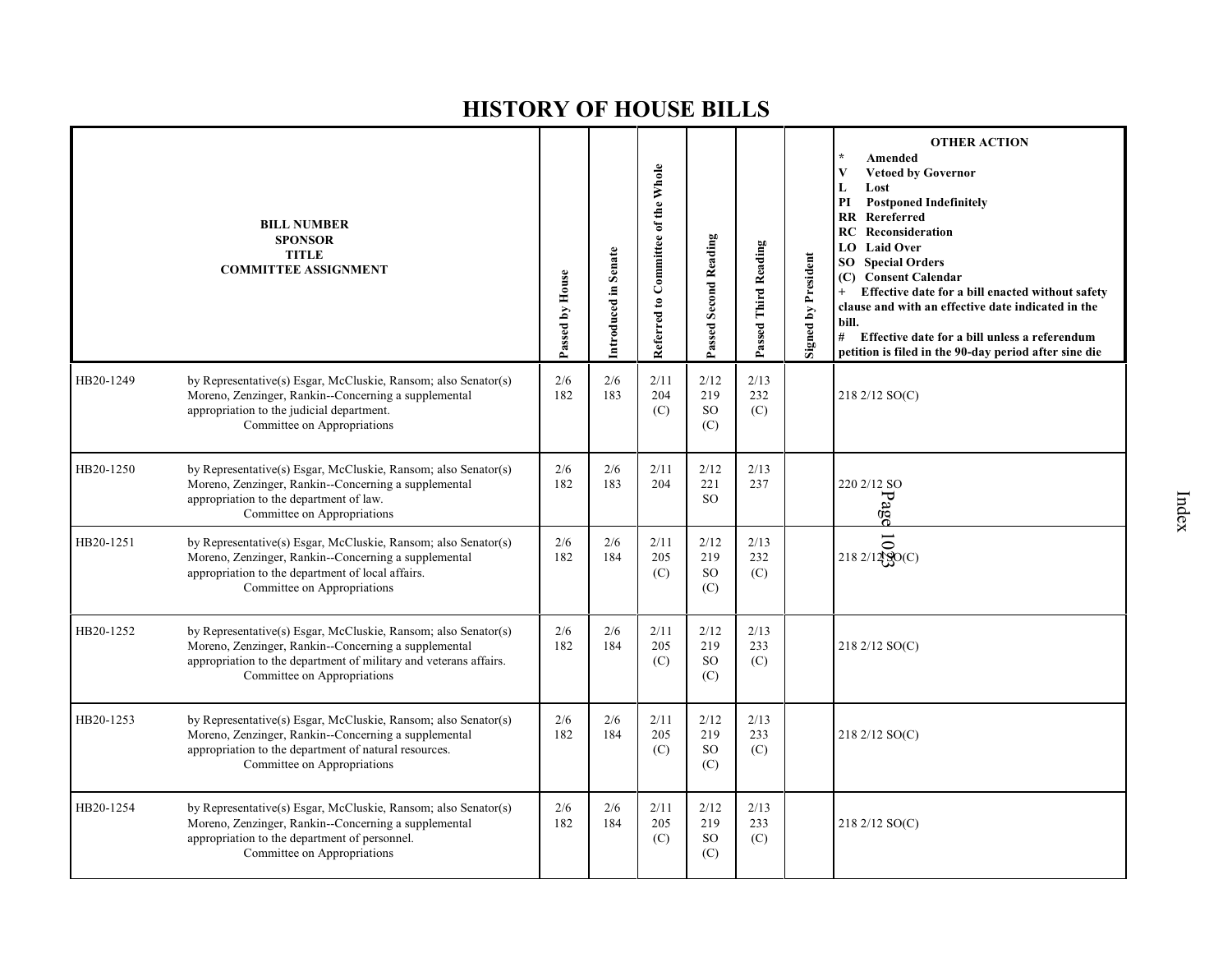|           | <b>BILL NUMBER</b><br><b>SPONSOR</b><br><b>TITLE</b><br><b>COMMITTEE ASSIGNMENT</b>                                                                                                                                        | Passed by House | Introduced in Senate | Referred to Committee of the Whole | Passed Second Reading           | Passed Third Reading | <b>Signed by President</b> | $\star$<br>Amended<br>V<br><b>Vetoed by Governor</b><br>L<br>Lost<br>PI<br><b>Postponed Indefinitely</b><br><b>RR</b> Rereferred<br><b>RC</b> Reconsideration<br><b>Laid Over</b><br>LO.<br><b>SO</b> Special Orders<br><b>Consent Calendar</b><br>(C)<br>Effective date for a bill enacted without safety<br>$+$<br>clause and with an effective date indicated in the<br>bill.<br># Effective date for a bill unless a referendum<br>petition is filed in the 90-day period after sine die |
|-----------|----------------------------------------------------------------------------------------------------------------------------------------------------------------------------------------------------------------------------|-----------------|----------------------|------------------------------------|---------------------------------|----------------------|----------------------------|----------------------------------------------------------------------------------------------------------------------------------------------------------------------------------------------------------------------------------------------------------------------------------------------------------------------------------------------------------------------------------------------------------------------------------------------------------------------------------------------|
| HB20-1249 | by Representative(s) Esgar, McCluskie, Ransom; also Senator(s)<br>Moreno, Zenzinger, Rankin--Concerning a supplemental<br>appropriation to the judicial department.<br>Committee on Appropriations                         | 2/6<br>182      | 2/6<br>183           | 2/11<br>204<br>(C)                 | 2/12<br>219<br>SO<br>(C)        | 2/13<br>232<br>(C)   |                            | 218 2/12 SO(C)                                                                                                                                                                                                                                                                                                                                                                                                                                                                               |
| HB20-1250 | by Representative(s) Esgar, McCluskie, Ransom; also Senator(s)<br>Moreno, Zenzinger, Rankin--Concerning a supplemental<br>appropriation to the department of law.<br>Committee on Appropriations                           | 2/6<br>182      | 2/6<br>183           | 2/11<br>204                        | 2/12<br>221<br><sub>SO</sub>    | 2/13<br>237          |                            | 220 2/12 SO<br>Page                                                                                                                                                                                                                                                                                                                                                                                                                                                                          |
| HB20-1251 | by Representative(s) Esgar, McCluskie, Ransom; also Senator(s)<br>Moreno, Zenzinger, Rankin--Concerning a supplemental<br>appropriation to the department of local affairs.<br>Committee on Appropriations                 | 2/6<br>182      | 2/6<br>184           | 2/11<br>205<br>(C)                 | 2/12<br>219<br><b>SO</b><br>(C) | 2/13<br>232<br>(C)   |                            | 2182/1280(C)                                                                                                                                                                                                                                                                                                                                                                                                                                                                                 |
| HB20-1252 | by Representative(s) Esgar, McCluskie, Ransom; also Senator(s)<br>Moreno, Zenzinger, Rankin--Concerning a supplemental<br>appropriation to the department of military and veterans affairs.<br>Committee on Appropriations | 2/6<br>182      | 2/6<br>184           | 2/11<br>205<br>(C)                 | 2/12<br>219<br><b>SO</b><br>(C) | 2/13<br>233<br>(C)   |                            | 218 2/12 SO(C)                                                                                                                                                                                                                                                                                                                                                                                                                                                                               |
| HB20-1253 | by Representative(s) Esgar, McCluskie, Ransom; also Senator(s)<br>Moreno, Zenzinger, Rankin--Concerning a supplemental<br>appropriation to the department of natural resources.<br>Committee on Appropriations             | 2/6<br>182      | 2/6<br>184           | 2/11<br>205<br>(C)                 | 2/12<br>219<br><b>SO</b><br>(C) | 2/13<br>233<br>(C)   |                            | 218 2/12 SO(C)                                                                                                                                                                                                                                                                                                                                                                                                                                                                               |
| HB20-1254 | by Representative(s) Esgar, McCluskie, Ransom; also Senator(s)<br>Moreno, Zenzinger, Rankin--Concerning a supplemental<br>appropriation to the department of personnel.<br>Committee on Appropriations                     | 2/6<br>182      | 2/6<br>184           | 2/11<br>205<br>(C)                 | 2/12<br>219<br><b>SO</b><br>(C) | 2/13<br>233<br>(C)   |                            | 218 2/12 SO(C)                                                                                                                                                                                                                                                                                                                                                                                                                                                                               |
|           |                                                                                                                                                                                                                            |                 |                      |                                    |                                 |                      |                            |                                                                                                                                                                                                                                                                                                                                                                                                                                                                                              |

**OTHER ACTION**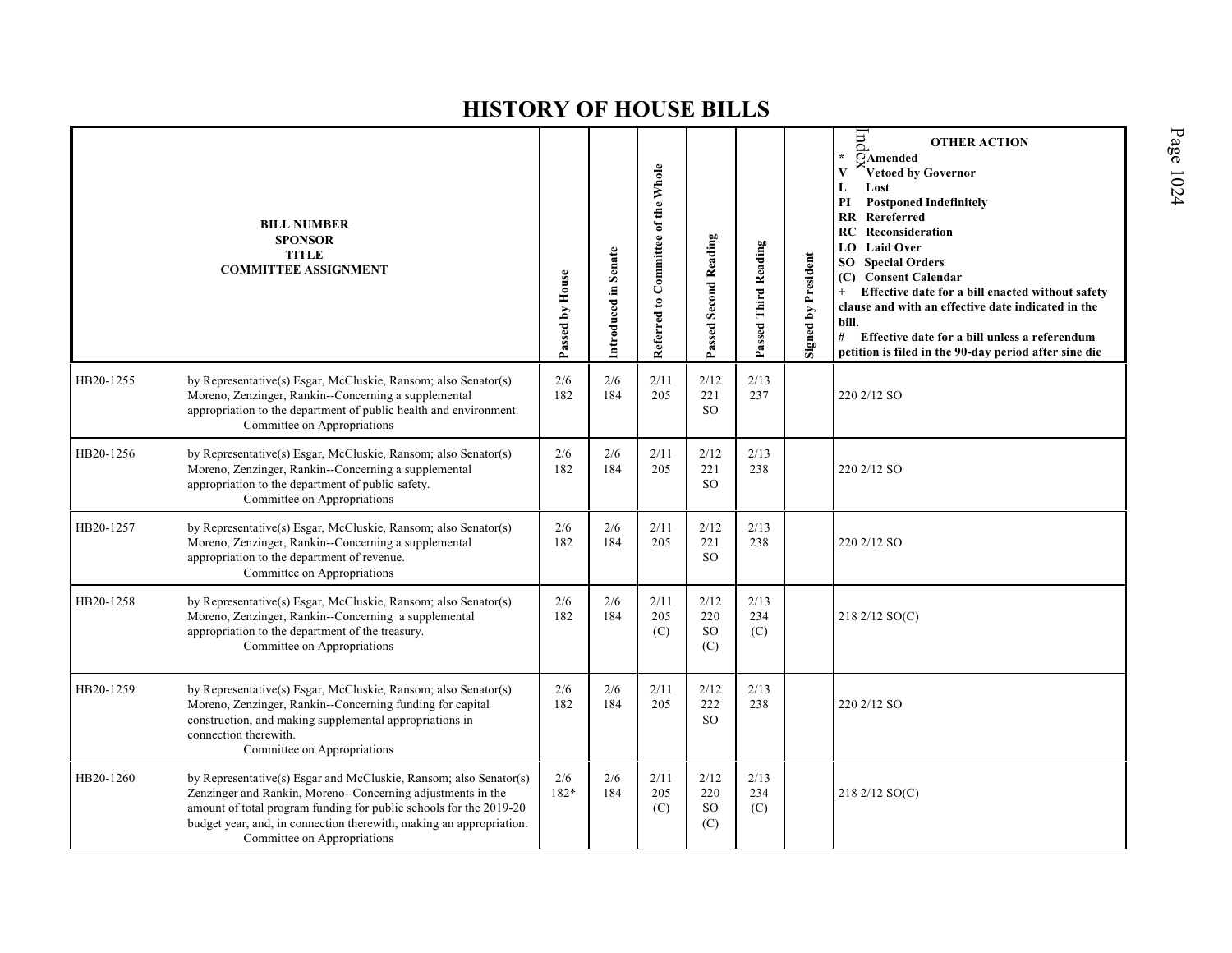|           | <b>BILL NUMBER</b><br><b>SPONSOR</b><br><b>TITLE</b><br><b>COMMITTEE ASSIGNMENT</b>                                                                                                                                                                                                                          | Passed by House | Introduced in Senate | Referred to Committee of the Whole | Passed Second Reading               | Passed Third Reading | Signed by President | $\mathop{\mathrm{Im}}$<br><b>OTHER ACTION</b><br>$\overline{O}$ Amended<br>$\star$<br>Vetoed by Governor<br>Lost<br>L<br>$\mathbf{PI}$<br><b>Postponed Indefinitely</b><br>Rereferred<br>RR<br><b>RC</b> Reconsideration<br><b>Laid Over</b><br>LO.<br><b>SO</b> Special Orders<br><b>Consent Calendar</b><br>(C)<br>Effective date for a bill enacted without safety<br>$+$<br>clause and with an effective date indicated in the<br>bill.<br># Effective date for a bill unless a referendum<br>petition is filed in the 90-day period after sine die |
|-----------|--------------------------------------------------------------------------------------------------------------------------------------------------------------------------------------------------------------------------------------------------------------------------------------------------------------|-----------------|----------------------|------------------------------------|-------------------------------------|----------------------|---------------------|---------------------------------------------------------------------------------------------------------------------------------------------------------------------------------------------------------------------------------------------------------------------------------------------------------------------------------------------------------------------------------------------------------------------------------------------------------------------------------------------------------------------------------------------------------|
| HB20-1255 | by Representative(s) Esgar, McCluskie, Ransom; also Senator(s)<br>Moreno, Zenzinger, Rankin--Concerning a supplemental<br>appropriation to the department of public health and environment.<br>Committee on Appropriations                                                                                   | 2/6<br>182      | 2/6<br>184           | 2/11<br>205                        | 2/12<br>221<br><b>SO</b>            | 2/13<br>237          |                     | 220 2/12 SO                                                                                                                                                                                                                                                                                                                                                                                                                                                                                                                                             |
| HB20-1256 | by Representative(s) Esgar, McCluskie, Ransom; also Senator(s)<br>Moreno, Zenzinger, Rankin--Concerning a supplemental<br>appropriation to the department of public safety.<br>Committee on Appropriations                                                                                                   | 2/6<br>182      | 2/6<br>184           | 2/11<br>205                        | 2/12<br>221<br><sub>SO</sub>        | 2/13<br>238          |                     | 220 2/12 SO                                                                                                                                                                                                                                                                                                                                                                                                                                                                                                                                             |
| HB20-1257 | by Representative(s) Esgar, McCluskie, Ransom; also Senator(s)<br>Moreno, Zenzinger, Rankin--Concerning a supplemental<br>appropriation to the department of revenue.<br>Committee on Appropriations                                                                                                         | 2/6<br>182      | 2/6<br>184           | 2/11<br>205                        | 2/12<br>221<br>SO.                  | 2/13<br>238          |                     | 220 2/12 SO                                                                                                                                                                                                                                                                                                                                                                                                                                                                                                                                             |
| HB20-1258 | by Representative(s) Esgar, McCluskie, Ransom; also Senator(s)<br>Moreno, Zenzinger, Rankin--Concerning a supplemental<br>appropriation to the department of the treasury.<br>Committee on Appropriations                                                                                                    | 2/6<br>182      | 2/6<br>184           | 2/11<br>205<br>(C)                 | 2/12<br>220<br>SO<br>(C)            | 2/13<br>234<br>(C)   |                     | 218 2/12 SO(C)                                                                                                                                                                                                                                                                                                                                                                                                                                                                                                                                          |
| HB20-1259 | by Representative(s) Esgar, McCluskie, Ransom; also Senator(s)<br>Moreno, Zenzinger, Rankin--Concerning funding for capital<br>construction, and making supplemental appropriations in<br>connection therewith.<br>Committee on Appropriations                                                               | 2/6<br>182      | 2/6<br>184           | 2/11<br>205                        | 2/12<br>222<br><b>SO</b>            | 2/13<br>238          |                     | 220 2/12 SO                                                                                                                                                                                                                                                                                                                                                                                                                                                                                                                                             |
| HB20-1260 | by Representative(s) Esgar and McCluskie, Ransom; also Senator(s)<br>Zenzinger and Rankin, Moreno--Concerning adjustments in the<br>amount of total program funding for public schools for the 2019-20<br>budget year, and, in connection therewith, making an appropriation.<br>Committee on Appropriations | 2/6<br>182*     | 2/6<br>184           | 2/11<br>205<br>(C)                 | 2/12<br>220<br><sub>SO</sub><br>(C) | 2/13<br>234<br>(C)   |                     | 218 2/12 SO(C)                                                                                                                                                                                                                                                                                                                                                                                                                                                                                                                                          |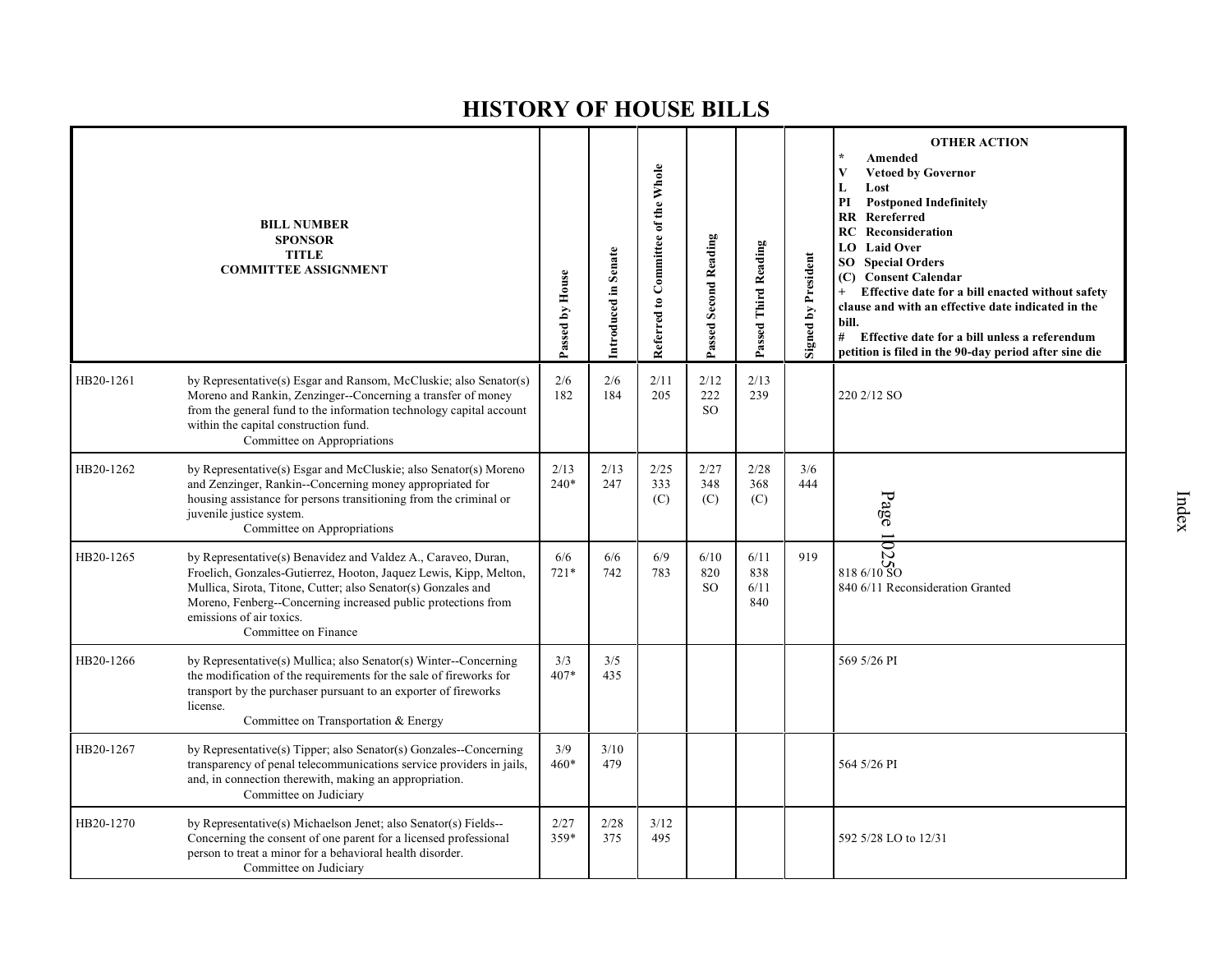|           | <b>BILL NUMBER</b><br><b>SPONSOR</b><br><b>TITLE</b><br><b>COMMITTEE ASSIGNMENT</b>                                                                                                                                                                                                                                      | Passed by House | Introduced in Senate | Referred to Committee of the Whole | Passed Second Reading        | Passed Third Reading       | Signed by President | <b>OTHER ACTION</b><br>Amended<br>$\mathbf{V}$<br><b>Vetoed by Governor</b><br>L<br>Lost<br>PI<br><b>Postponed Indefinitely</b><br><b>RR</b> Rereferred<br>Reconsideration<br>RC-<br>LO Laid Over<br><b>Special Orders</b><br>SO.<br>(C) Consent Calendar<br>Effective date for a bill enacted without safety<br>clause and with an effective date indicated in the<br>bill.<br>#<br>Effective date for a bill unless a referendum<br>petition is filed in the 90-day period after sine die |
|-----------|--------------------------------------------------------------------------------------------------------------------------------------------------------------------------------------------------------------------------------------------------------------------------------------------------------------------------|-----------------|----------------------|------------------------------------|------------------------------|----------------------------|---------------------|---------------------------------------------------------------------------------------------------------------------------------------------------------------------------------------------------------------------------------------------------------------------------------------------------------------------------------------------------------------------------------------------------------------------------------------------------------------------------------------------|
| HB20-1261 | by Representative(s) Esgar and Ransom, McCluskie; also Senator(s)<br>Moreno and Rankin, Zenzinger--Concerning a transfer of money<br>from the general fund to the information technology capital account<br>within the capital construction fund.<br>Committee on Appropriations                                         | 2/6<br>182      | 2/6<br>184           | 2/11<br>205                        | 2/12<br>222<br><sub>SO</sub> | 2/13<br>239                |                     | 220 2/12 SO                                                                                                                                                                                                                                                                                                                                                                                                                                                                                 |
| HB20-1262 | by Representative(s) Esgar and McCluskie; also Senator(s) Moreno<br>and Zenzinger, Rankin--Concerning money appropriated for<br>housing assistance for persons transitioning from the criminal or<br>juvenile justice system.<br>Committee on Appropriations                                                             | 2/13<br>$240*$  | 2/13<br>247          | 2/25<br>333<br>(C)                 | 2/27<br>348<br>(C)           | 2/28<br>368<br>(C)         | 3/6<br>444          | Page $\frac{1}{256}$<br>$\frac{1}{256}$                                                                                                                                                                                                                                                                                                                                                                                                                                                     |
| HB20-1265 | by Representative(s) Benavidez and Valdez A., Caraveo, Duran,<br>Froelich, Gonzales-Gutierrez, Hooton, Jaquez Lewis, Kipp, Melton,<br>Mullica, Sirota, Titone, Cutter; also Senator(s) Gonzales and<br>Moreno, Fenberg--Concerning increased public protections from<br>emissions of air toxics.<br>Committee on Finance | 6/6<br>$721*$   | 6/6<br>742           | 6/9<br>783                         | 6/10<br>820<br><sub>SO</sub> | 6/11<br>838<br>6/11<br>840 | 919                 | 840 6/11 Reconsideration Granted                                                                                                                                                                                                                                                                                                                                                                                                                                                            |
| HB20-1266 | by Representative(s) Mullica; also Senator(s) Winter--Concerning<br>the modification of the requirements for the sale of fireworks for<br>transport by the purchaser pursuant to an exporter of fireworks<br>license.<br>Committee on Transportation & Energy                                                            | 3/3<br>407*     | 3/5<br>435           |                                    |                              |                            |                     | 569 5/26 PI                                                                                                                                                                                                                                                                                                                                                                                                                                                                                 |
| HB20-1267 | by Representative(s) Tipper; also Senator(s) Gonzales--Concerning<br>transparency of penal telecommunications service providers in jails,<br>and, in connection therewith, making an appropriation.<br>Committee on Judiciary                                                                                            | 3/9<br>460*     | 3/10<br>479          |                                    |                              |                            |                     | 564 5/26 PI                                                                                                                                                                                                                                                                                                                                                                                                                                                                                 |
| HB20-1270 | by Representative(s) Michaelson Jenet; also Senator(s) Fields--<br>Concerning the consent of one parent for a licensed professional<br>person to treat a minor for a behavioral health disorder.<br>Committee on Judiciary                                                                                               | 2/27<br>359*    | 2/28<br>375          | 3/12<br>495                        |                              |                            |                     | 592 5/28 LO to 12/31                                                                                                                                                                                                                                                                                                                                                                                                                                                                        |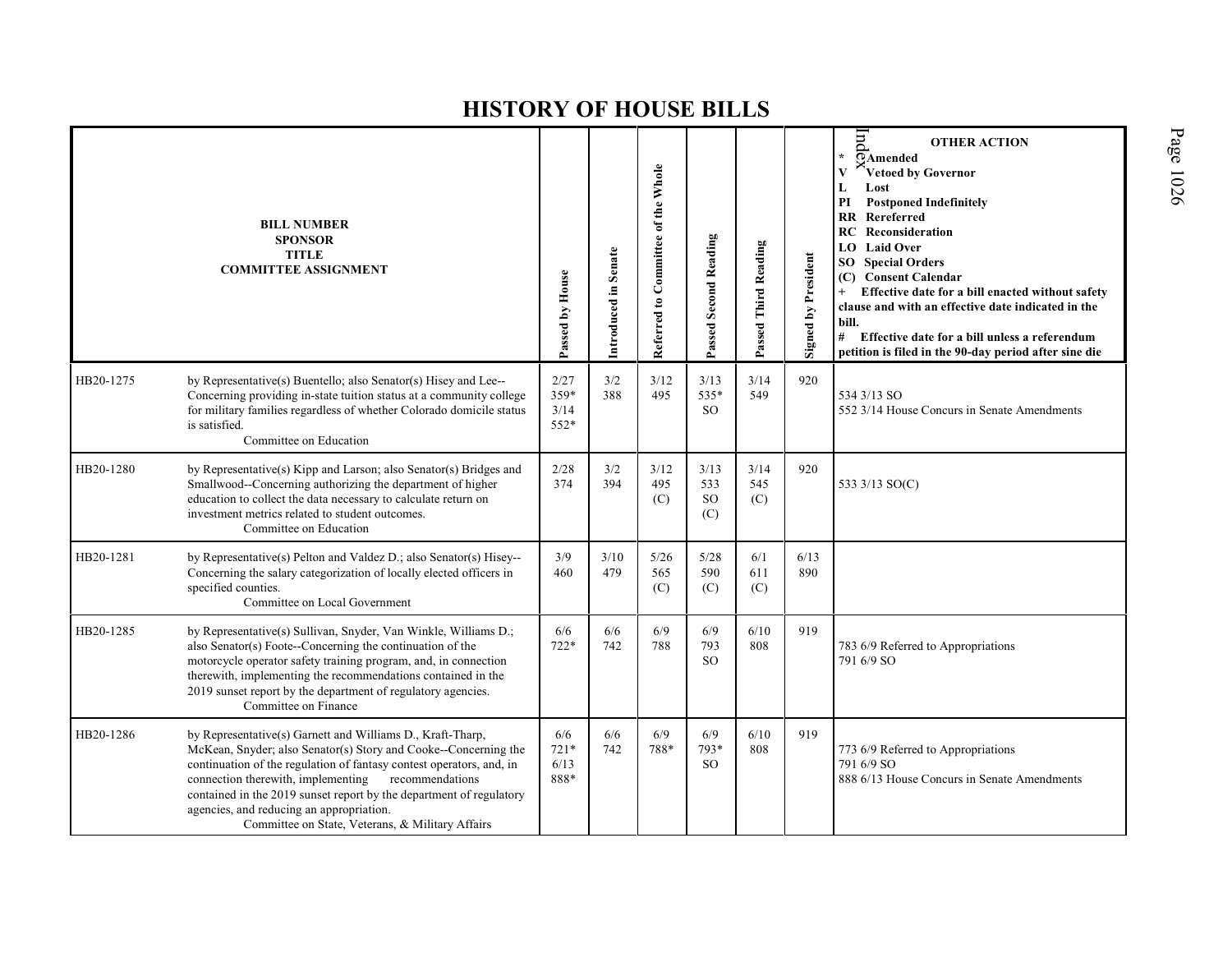|           | <b>BILL NUMBER</b><br><b>SPONSOR</b><br><b>TITLE</b><br><b>COMMITTEE ASSIGNMENT</b>                                                                                                                                                                                                                                                                                                                                                | Passed by House               | Introduced in Senate | Referred to Committee of the Whole | Passed Second Reading               | Passed Third Reading | Signed by President | $_{\rm{pnd}}$<br><b>OTHER ACTION</b><br>¥.<br>OAmended<br>Vetoed by Governor<br>Lost<br>L<br><b>Postponed Indefinitely</b><br>PI<br>Rereferred<br><b>RR</b><br><b>RC</b> Reconsideration<br><b>LO</b> Laid Over<br><b>SO</b> Special Orders<br><b>Consent Calendar</b><br>(C)<br>Effective date for a bill enacted without safety<br>clause and with an effective date indicated in the<br>bill.<br>#<br>Effective date for a bill unless a referendum<br>petition is filed in the 90-day period after sine die |
|-----------|------------------------------------------------------------------------------------------------------------------------------------------------------------------------------------------------------------------------------------------------------------------------------------------------------------------------------------------------------------------------------------------------------------------------------------|-------------------------------|----------------------|------------------------------------|-------------------------------------|----------------------|---------------------|-----------------------------------------------------------------------------------------------------------------------------------------------------------------------------------------------------------------------------------------------------------------------------------------------------------------------------------------------------------------------------------------------------------------------------------------------------------------------------------------------------------------|
| HB20-1275 | by Representative(s) Buentello; also Senator(s) Hisey and Lee--<br>Concerning providing in-state tuition status at a community college<br>for military families regardless of whether Colorado domicile status<br>is satisfied.<br>Committee on Education                                                                                                                                                                          | 2/27<br>359*<br>3/14<br>552*  | 3/2<br>388           | 3/12<br>495                        | 3/13<br>535*<br><sub>SO</sub>       | 3/14<br>549          | 920                 | 534 3/13 SO<br>552 3/14 House Concurs in Senate Amendments                                                                                                                                                                                                                                                                                                                                                                                                                                                      |
| HB20-1280 | by Representative(s) Kipp and Larson; also Senator(s) Bridges and<br>Smallwood--Concerning authorizing the department of higher<br>education to collect the data necessary to calculate return on<br>investment metrics related to student outcomes.<br>Committee on Education                                                                                                                                                     | 2/28<br>374                   | 3/2<br>394           | 3/12<br>495<br>(C)                 | 3/13<br>533<br><sub>SO</sub><br>(C) | 3/14<br>545<br>(C)   | 920                 | 533 3/13 SO(C)                                                                                                                                                                                                                                                                                                                                                                                                                                                                                                  |
| HB20-1281 | by Representative(s) Pelton and Valdez D.; also Senator(s) Hisey--<br>Concerning the salary categorization of locally elected officers in<br>specified counties.<br>Committee on Local Government                                                                                                                                                                                                                                  | 3/9<br>460                    | 3/10<br>479          | 5/26<br>565<br>(C)                 | 5/28<br>590<br>(C)                  | 6/1<br>611<br>(C)    | 6/13<br>890         |                                                                                                                                                                                                                                                                                                                                                                                                                                                                                                                 |
| HB20-1285 | by Representative(s) Sullivan, Snyder, Van Winkle, Williams D.;<br>also Senator(s) Foote--Concerning the continuation of the<br>motorcycle operator safety training program, and, in connection<br>therewith, implementing the recommendations contained in the<br>2019 sunset report by the department of regulatory agencies.<br>Committee on Finance                                                                            | 6/6<br>$722*$                 | 6/6<br>742           | 6/9<br>788                         | 6/9<br>793<br><sub>SO</sub>         | 6/10<br>808          | 919                 | 783 6/9 Referred to Appropriations<br>791 6/9 SO                                                                                                                                                                                                                                                                                                                                                                                                                                                                |
| HB20-1286 | by Representative(s) Garnett and Williams D., Kraft-Tharp,<br>McKean, Snyder; also Senator(s) Story and Cooke--Concerning the<br>continuation of the regulation of fantasy contest operators, and, in<br>connection therewith, implementing recommendations<br>contained in the 2019 sunset report by the department of regulatory<br>agencies, and reducing an appropriation.<br>Committee on State, Veterans, & Military Affairs | 6/6<br>$721*$<br>6/13<br>888* | 6/6<br>742           | 6/9<br>788*                        | 6/9<br>793*<br><sub>SO</sub>        | 6/10<br>808          | 919                 | 773 6/9 Referred to Appropriations<br>791 6/9 SO<br>888 6/13 House Concurs in Senate Amendments                                                                                                                                                                                                                                                                                                                                                                                                                 |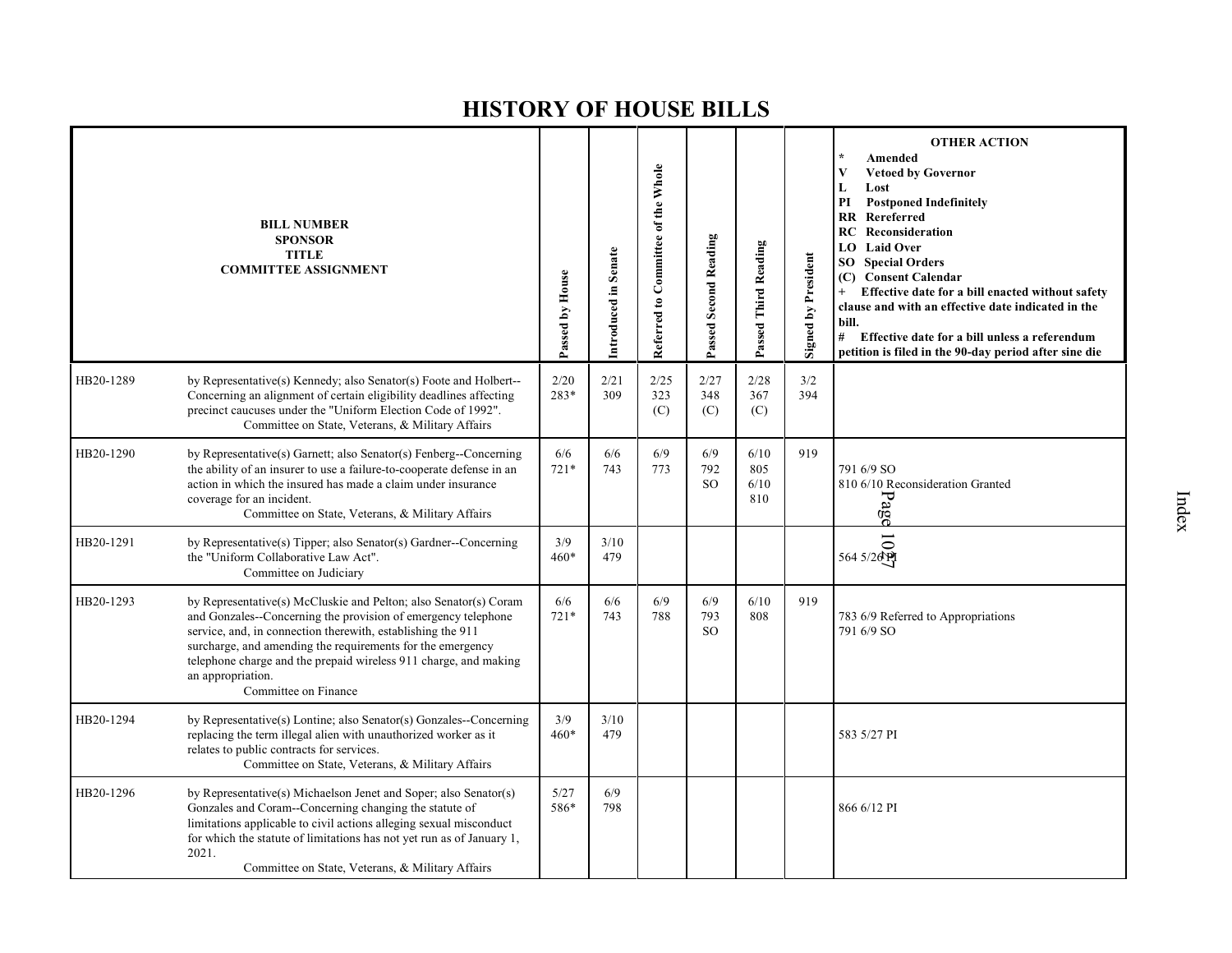|           | <b>BILL NUMBER</b><br><b>SPONSOR</b><br><b>TITLE</b><br><b>COMMITTEE ASSIGNMENT</b>                                                                                                                                                                                                                                                                                             | Passed by House | Introduced in Senate | Referred to Committee of the Whole | Passed Second Reading   | Passed Third Reading       | <b>Signed by President</b> | <b>OTHER ACTION</b><br>Amended<br>$\mathbf{V}$<br><b>Vetoed by Governor</b><br>L<br>Lost<br>PI<br><b>Postponed Indefinitely</b><br><b>RR</b> Rereferred<br>RC<br>Reconsideration<br><b>LO</b> Laid Over<br><b>Special Orders</b><br>SO.<br>(C) Consent Calendar<br>Effective date for a bill enacted without safety<br>clause and with an effective date indicated in the<br>bill.<br>#<br>Effective date for a bill unless a referendum<br>petition is filed in the 90-day period after sine die |
|-----------|---------------------------------------------------------------------------------------------------------------------------------------------------------------------------------------------------------------------------------------------------------------------------------------------------------------------------------------------------------------------------------|-----------------|----------------------|------------------------------------|-------------------------|----------------------------|----------------------------|---------------------------------------------------------------------------------------------------------------------------------------------------------------------------------------------------------------------------------------------------------------------------------------------------------------------------------------------------------------------------------------------------------------------------------------------------------------------------------------------------|
| HB20-1289 | by Representative(s) Kennedy; also Senator(s) Foote and Holbert--<br>Concerning an alignment of certain eligibility deadlines affecting<br>precinct caucuses under the "Uniform Election Code of 1992".<br>Committee on State, Veterans, & Military Affairs                                                                                                                     | 2/20<br>$283*$  | 2/21<br>309          | 2/25<br>323<br>(C)                 | 2/27<br>348<br>(C)      | 2/28<br>367<br>(C)         | 3/2<br>394                 |                                                                                                                                                                                                                                                                                                                                                                                                                                                                                                   |
| HB20-1290 | by Representative(s) Garnett; also Senator(s) Fenberg--Concerning<br>the ability of an insurer to use a failure-to-cooperate defense in an<br>action in which the insured has made a claim under insurance<br>coverage for an incident.<br>Committee on State, Veterans, & Military Affairs                                                                                     | 6/6<br>$721*$   | 6/6<br>743           | 6/9<br>773                         | 6/9<br>792<br><b>SO</b> | 6/10<br>805<br>6/10<br>810 | 919                        | 791 6/9 SO<br>810 6/10 Reconsideration Granted<br>Page                                                                                                                                                                                                                                                                                                                                                                                                                                            |
| HB20-1291 | by Representative(s) Tipper; also Senator(s) Gardner--Concerning<br>the "Uniform Collaborative Law Act".<br>Committee on Judiciary                                                                                                                                                                                                                                              | 3/9<br>$460*$   | 3/10<br>479          |                                    |                         |                            |                            | $\frac{1}{100}$                                                                                                                                                                                                                                                                                                                                                                                                                                                                                   |
| HB20-1293 | by Representative(s) McCluskie and Pelton; also Senator(s) Coram<br>and Gonzales--Concerning the provision of emergency telephone<br>service, and, in connection therewith, establishing the 911<br>surcharge, and amending the requirements for the emergency<br>telephone charge and the prepaid wireless 911 charge, and making<br>an appropriation.<br>Committee on Finance | 6/6<br>$721*$   | 6/6<br>743           | 6/9<br>788                         | 6/9<br>793<br>SO.       | 6/10<br>808                | 919                        | 783 6/9 Referred to Appropriations<br>791 6/9 SO                                                                                                                                                                                                                                                                                                                                                                                                                                                  |
| HB20-1294 | by Representative(s) Lontine; also Senator(s) Gonzales--Concerning<br>replacing the term illegal alien with unauthorized worker as it<br>relates to public contracts for services.<br>Committee on State, Veterans, & Military Affairs                                                                                                                                          | 3/9<br>$460*$   | 3/10<br>479          |                                    |                         |                            |                            | 583 5/27 PI                                                                                                                                                                                                                                                                                                                                                                                                                                                                                       |
| HB20-1296 | by Representative(s) Michaelson Jenet and Soper; also Senator(s)<br>Gonzales and Coram--Concerning changing the statute of<br>limitations applicable to civil actions alleging sexual misconduct<br>for which the statute of limitations has not yet run as of January 1,<br>2021.<br>Committee on State, Veterans, & Military Affairs                                          | 5/27<br>586*    | 6/9<br>798           |                                    |                         |                            |                            | 866 6/12 PI                                                                                                                                                                                                                                                                                                                                                                                                                                                                                       |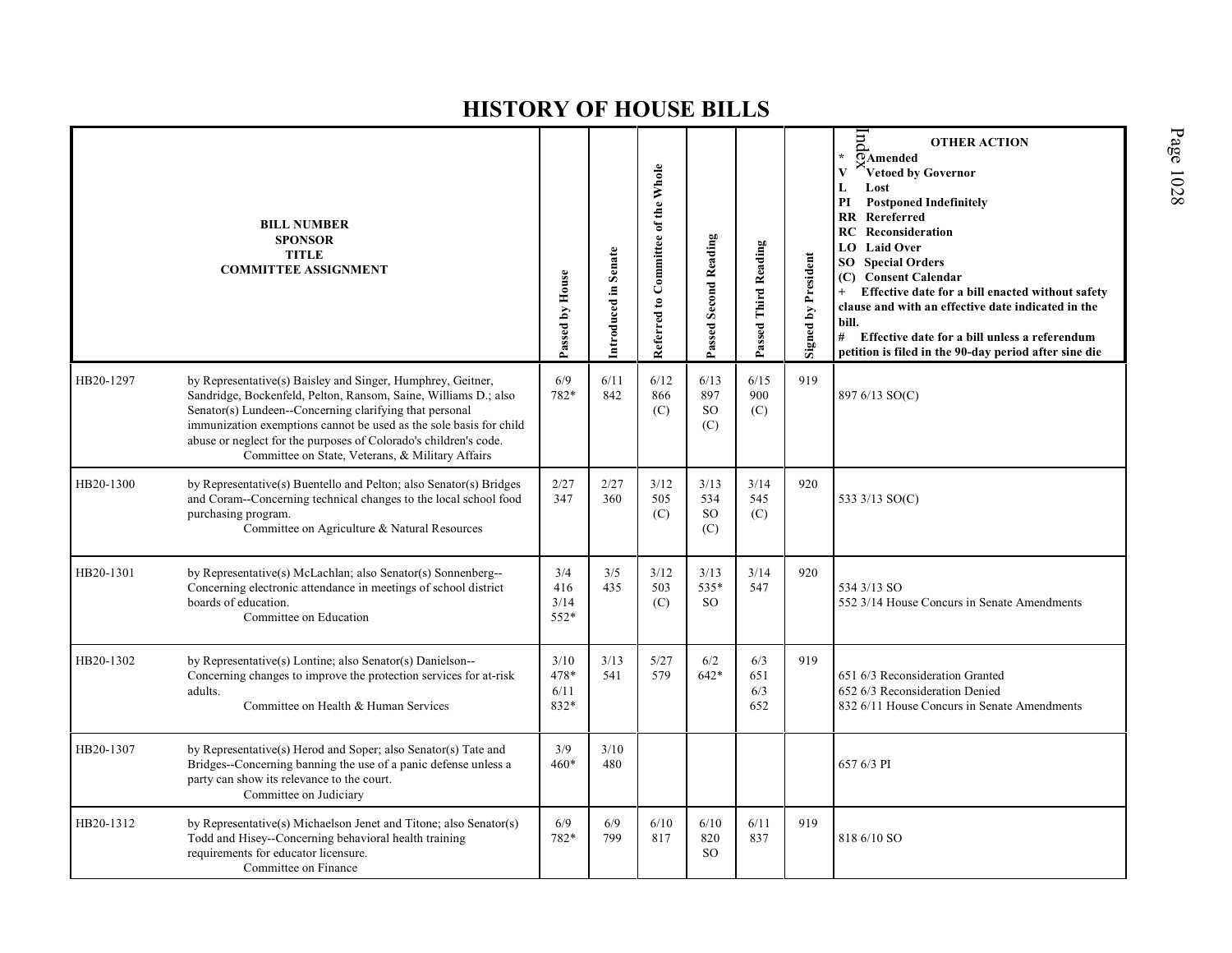|           | <b>BILL NUMBER</b><br><b>SPONSOR</b><br><b>TITLE</b><br><b>COMMITTEE ASSIGNMENT</b>                                                                                                                                                                                                                                                                                                     | Passed by House              | Introduced in Senate | Referred to Committee of the Whole | Passed Second Reading               | Passed Third Reading     | Signed by President | $\overline{m}$<br><b>OTHER ACTION</b><br>$\overline{\Omega}$ Amended<br><sup>s</sup> Vetoed by Governor<br>V<br>Lost<br>L<br>PI<br><b>Postponed Indefinitely</b><br><b>RR</b> Rereferred<br>Reconsideration<br>RC<br>LO Laid Over<br><b>SO</b> Special Orders<br>(C) Consent Calendar<br>Effective date for a bill enacted without safety<br>clause and with an effective date indicated in the<br>bill.<br># Effective date for a bill unless a referendum<br>petition is filed in the 90-day period after sine die |
|-----------|-----------------------------------------------------------------------------------------------------------------------------------------------------------------------------------------------------------------------------------------------------------------------------------------------------------------------------------------------------------------------------------------|------------------------------|----------------------|------------------------------------|-------------------------------------|--------------------------|---------------------|----------------------------------------------------------------------------------------------------------------------------------------------------------------------------------------------------------------------------------------------------------------------------------------------------------------------------------------------------------------------------------------------------------------------------------------------------------------------------------------------------------------------|
| HB20-1297 | by Representative(s) Baisley and Singer, Humphrey, Geitner,<br>Sandridge, Bockenfeld, Pelton, Ransom, Saine, Williams D.; also<br>Senator(s) Lundeen--Concerning clarifying that personal<br>immunization exemptions cannot be used as the sole basis for child<br>abuse or neglect for the purposes of Colorado's children's code.<br>Committee on State, Veterans, & Military Affairs | 6/9<br>782*                  | 6/11<br>842          | 6/12<br>866<br>(C)                 | 6/13<br>897<br><sub>SO</sub><br>(C) | 6/15<br>900<br>(C)       | 919                 | 897 6/13 SO(C)                                                                                                                                                                                                                                                                                                                                                                                                                                                                                                       |
| HB20-1300 | by Representative(s) Buentello and Pelton; also Senator(s) Bridges<br>and Coram--Concerning technical changes to the local school food<br>purchasing program.<br>Committee on Agriculture & Natural Resources                                                                                                                                                                           | 2/27<br>347                  | 2/27<br>360          | 3/12<br>505<br>(C)                 | 3/13<br>534<br><b>SO</b><br>(C)     | 3/14<br>545<br>(C)       | 920                 | 533 3/13 SO(C)                                                                                                                                                                                                                                                                                                                                                                                                                                                                                                       |
| HB20-1301 | by Representative(s) McLachlan; also Senator(s) Sonnenberg--<br>Concerning electronic attendance in meetings of school district<br>boards of education.<br>Committee on Education                                                                                                                                                                                                       | 3/4<br>416<br>3/14<br>552*   | 3/5<br>435           | 3/12<br>503<br>(C)                 | 3/13<br>535*<br><sub>SO</sub>       | 3/14<br>547              | 920                 | 534 3/13 SO<br>552 3/14 House Concurs in Senate Amendments                                                                                                                                                                                                                                                                                                                                                                                                                                                           |
| HB20-1302 | by Representative(s) Lontine; also Senator(s) Danielson--<br>Concerning changes to improve the protection services for at-risk<br>adults.<br>Committee on Health & Human Services                                                                                                                                                                                                       | 3/10<br>478*<br>6/11<br>832* | 3/13<br>541          | 5/27<br>579                        | 6/2<br>$642*$                       | 6/3<br>651<br>6/3<br>652 | 919                 | 651 6/3 Reconsideration Granted<br>652 6/3 Reconsideration Denied<br>832 6/11 House Concurs in Senate Amendments                                                                                                                                                                                                                                                                                                                                                                                                     |
| HB20-1307 | by Representative(s) Herod and Soper; also Senator(s) Tate and<br>Bridges--Concerning banning the use of a panic defense unless a<br>party can show its relevance to the court.<br>Committee on Judiciary                                                                                                                                                                               | 3/9<br>$460*$                | 3/10<br>480          |                                    |                                     |                          |                     | 657 6/3 PI                                                                                                                                                                                                                                                                                                                                                                                                                                                                                                           |
| HB20-1312 | by Representative(s) Michaelson Jenet and Titone; also Senator(s)<br>Todd and Hisey--Concerning behavioral health training<br>requirements for educator licensure.<br>Committee on Finance                                                                                                                                                                                              | 6/9<br>782*                  | 6/9<br>799           | 6/10<br>817                        | 6/10<br>820<br><sub>SO</sub>        | 6/11<br>837              | 919                 | 818 6/10 SO                                                                                                                                                                                                                                                                                                                                                                                                                                                                                                          |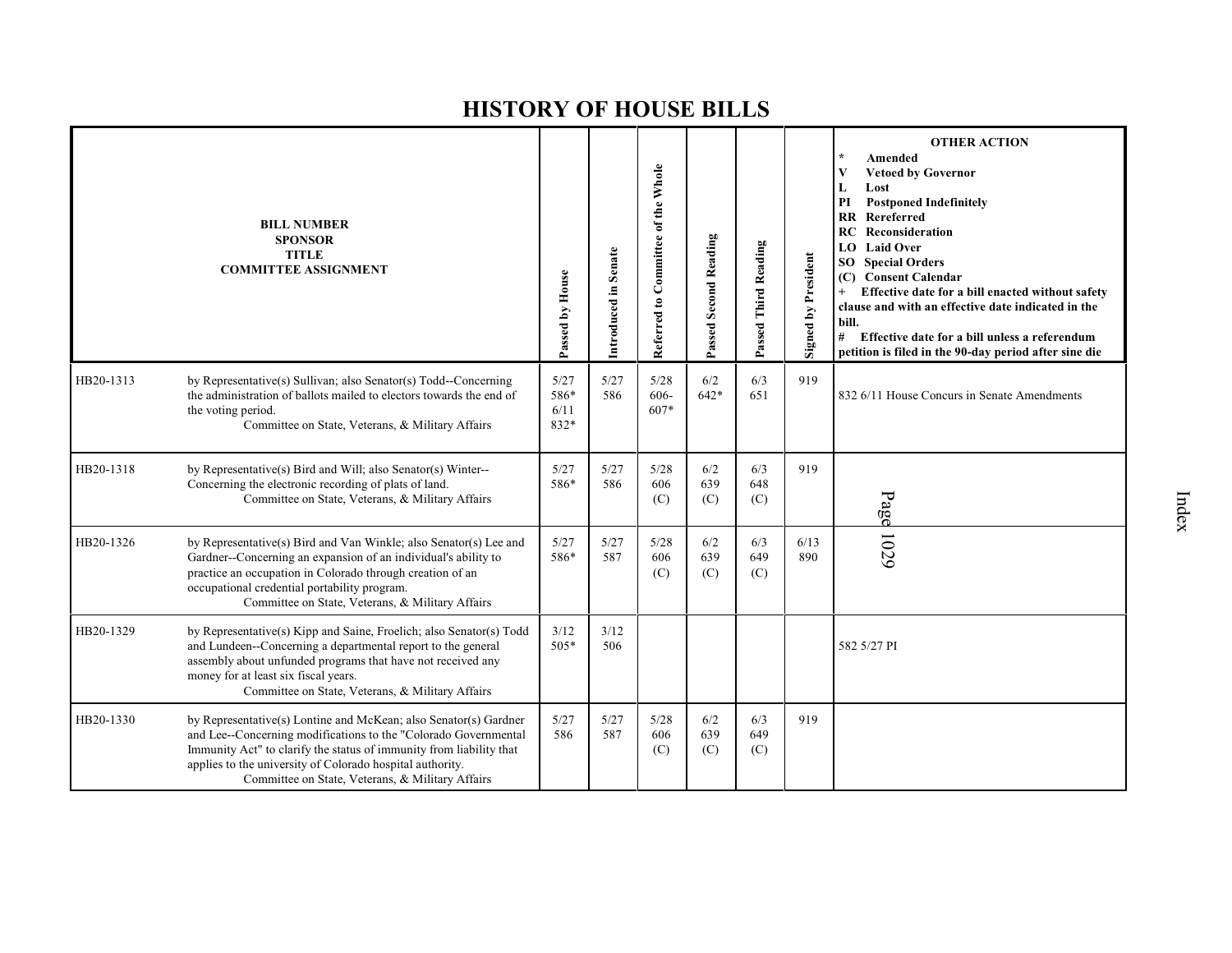|           | <b>BILL NUMBER</b><br><b>SPONSOR</b><br><b>TITLE</b><br><b>COMMITTEE ASSIGNMENT</b>                                                                                                                                                                                                                                         | Passed by House              | Introduced in Senate | Referred to Committee of the Whole | <b>Passed Second Reading</b> | Passed Third Reading | Signed by President | <b>OTHER ACTION</b><br>$\star$<br>Amended<br><b>Vetoed by Governor</b><br>V<br>Lost<br>L<br><b>Postponed Indefinitely</b><br>PI<br><b>RR</b> Rereferred<br>Reconsideration<br>RC<br><b>Laid Over</b><br>LO  <br><b>Special Orders</b><br>SO<br>(C) Consent Calendar<br>Effective date for a bill enacted without safety<br>clause and with an effective date indicated in the<br>bill.<br>#<br>Effective date for a bill unless a referendum<br>petition is filed in the 90-day period after sine die |
|-----------|-----------------------------------------------------------------------------------------------------------------------------------------------------------------------------------------------------------------------------------------------------------------------------------------------------------------------------|------------------------------|----------------------|------------------------------------|------------------------------|----------------------|---------------------|-------------------------------------------------------------------------------------------------------------------------------------------------------------------------------------------------------------------------------------------------------------------------------------------------------------------------------------------------------------------------------------------------------------------------------------------------------------------------------------------------------|
| HB20-1313 | by Representative(s) Sullivan; also Senator(s) Todd--Concerning<br>the administration of ballots mailed to electors towards the end of<br>the voting period.<br>Committee on State, Veterans, & Military Affairs                                                                                                            | 5/27<br>586*<br>6/11<br>832* | 5/27<br>586          | 5/28<br>606-<br>607*               | 6/2<br>$642*$                | 6/3<br>651           | 919                 | 832 6/11 House Concurs in Senate Amendments                                                                                                                                                                                                                                                                                                                                                                                                                                                           |
| HB20-1318 | by Representative(s) Bird and Will; also Senator(s) Winter--<br>Concerning the electronic recording of plats of land.<br>Committee on State, Veterans, & Military Affairs                                                                                                                                                   | 5/27<br>586*                 | 5/27<br>586          | 5/28<br>606<br>(C)                 | 6/2<br>639<br>(C)            | 6/3<br>648<br>(C)    | 919                 | Page                                                                                                                                                                                                                                                                                                                                                                                                                                                                                                  |
| HB20-1326 | by Representative(s) Bird and Van Winkle; also Senator(s) Lee and<br>Gardner--Concerning an expansion of an individual's ability to<br>practice an occupation in Colorado through creation of an<br>occupational credential portability program.<br>Committee on State, Veterans, & Military Affairs                        | 5/27<br>586*                 | 5/27<br>587          | 5/28<br>606<br>(C)                 | 6/2<br>639<br>(C)            | 6/3<br>649<br>(C)    | 6/13<br>890         | 1029                                                                                                                                                                                                                                                                                                                                                                                                                                                                                                  |
| HB20-1329 | by Representative(s) Kipp and Saine, Froelich; also Senator(s) Todd<br>and Lundeen--Concerning a departmental report to the general<br>assembly about unfunded programs that have not received any<br>money for at least six fiscal years.<br>Committee on State, Veterans, & Military Affairs                              | 3/12<br>$505*$               | 3/12<br>506          |                                    |                              |                      |                     | 582 5/27 PI                                                                                                                                                                                                                                                                                                                                                                                                                                                                                           |
| HB20-1330 | by Representative(s) Lontine and McKean; also Senator(s) Gardner<br>and Lee--Concerning modifications to the "Colorado Governmental<br>Immunity Act" to clarify the status of immunity from liability that<br>applies to the university of Colorado hospital authority.<br>Committee on State, Veterans, & Military Affairs | 5/27<br>586                  | 5/27<br>587          | 5/28<br>606<br>(C)                 | 6/2<br>639<br>(C)            | 6/3<br>649<br>(C)    | 919                 |                                                                                                                                                                                                                                                                                                                                                                                                                                                                                                       |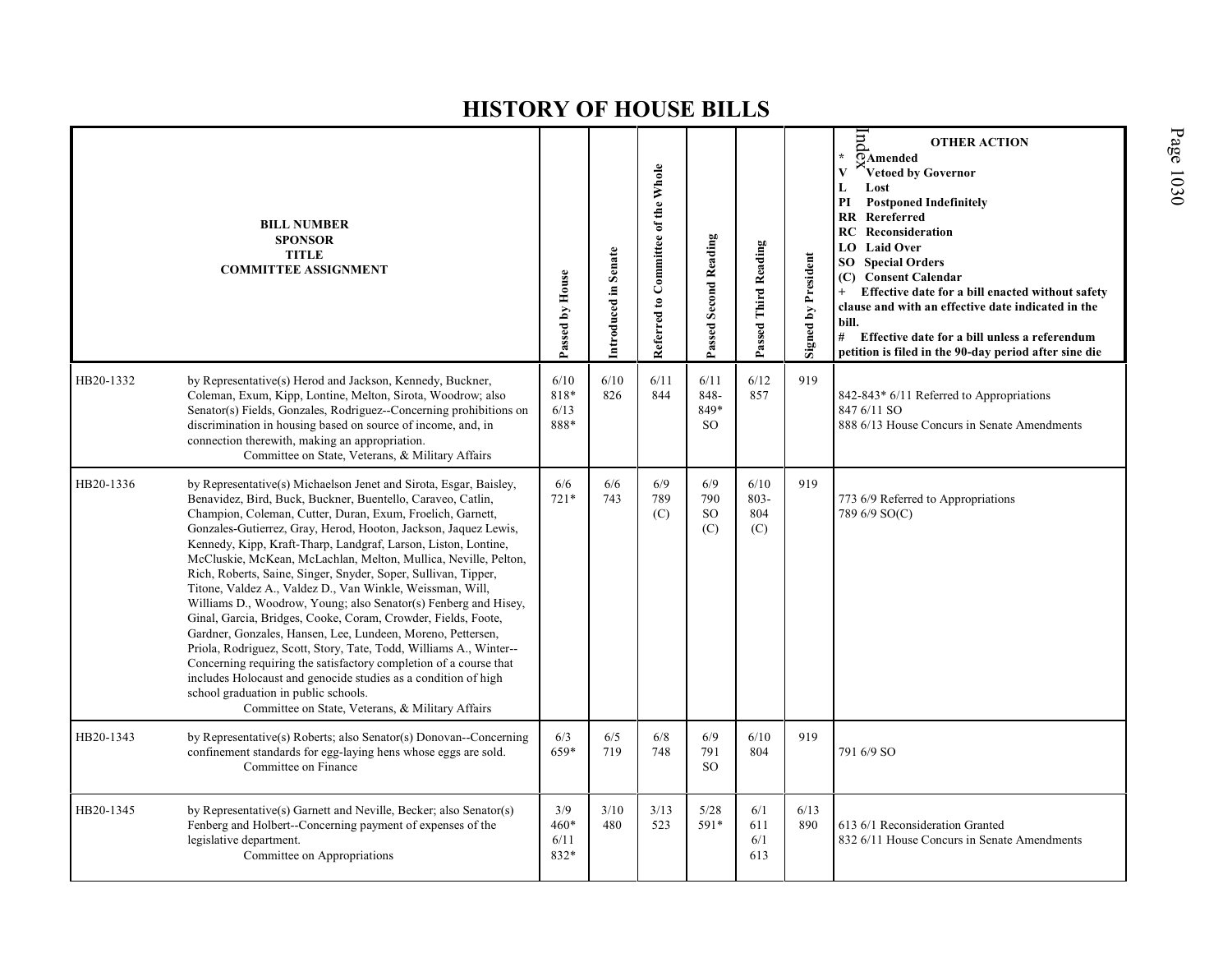|           | <b>BILL NUMBER</b><br><b>SPONSOR</b><br><b>TITLE</b><br><b>COMMITTEE ASSIGNMENT</b>                                                                                                                                                                                                                                                                                                                                                                                                                                                                                                                                                                                                                                                                                                                                                                                                                                                                                                                                                               | Passed by House               | Introduced in Senate | Referred to Committee of the Whole | Passed Second Reading          | Passed Third Reading          | Signed by President | E<br><b>OTHER ACTION</b><br>$\star$<br>$\overline{\Omega}$ Amended<br>Vetoed by Governor<br>V<br>Lost<br>L<br>PI<br><b>Postponed Indefinitely</b><br><b>RR</b> Rereferred<br><b>RC</b> Reconsideration<br>LO Laid Over<br><b>SO</b> Special Orders<br>(C) Consent Calendar<br>Effective date for a bill enacted without safety<br>clause and with an effective date indicated in the<br>bill.<br># Effective date for a bill unless a referendum<br>petition is filed in the 90-day period after sine die |
|-----------|---------------------------------------------------------------------------------------------------------------------------------------------------------------------------------------------------------------------------------------------------------------------------------------------------------------------------------------------------------------------------------------------------------------------------------------------------------------------------------------------------------------------------------------------------------------------------------------------------------------------------------------------------------------------------------------------------------------------------------------------------------------------------------------------------------------------------------------------------------------------------------------------------------------------------------------------------------------------------------------------------------------------------------------------------|-------------------------------|----------------------|------------------------------------|--------------------------------|-------------------------------|---------------------|-----------------------------------------------------------------------------------------------------------------------------------------------------------------------------------------------------------------------------------------------------------------------------------------------------------------------------------------------------------------------------------------------------------------------------------------------------------------------------------------------------------|
| HB20-1332 | by Representative(s) Herod and Jackson, Kennedy, Buckner,<br>Coleman, Exum, Kipp, Lontine, Melton, Sirota, Woodrow; also<br>Senator(s) Fields, Gonzales, Rodriguez--Concerning prohibitions on<br>discrimination in housing based on source of income, and, in<br>connection therewith, making an appropriation.<br>Committee on State, Veterans, & Military Affairs                                                                                                                                                                                                                                                                                                                                                                                                                                                                                                                                                                                                                                                                              | 6/10<br>818*<br>6/13<br>888*  | 6/10<br>826          | 6/11<br>844                        | 6/11<br>848-<br>849*<br>SO.    | 6/12<br>857                   | 919                 | 842-843* 6/11 Referred to Appropriations<br>847 6/11 SO<br>888 6/13 House Concurs in Senate Amendments                                                                                                                                                                                                                                                                                                                                                                                                    |
| HB20-1336 | by Representative(s) Michaelson Jenet and Sirota, Esgar, Baisley,<br>Benavidez, Bird, Buck, Buckner, Buentello, Caraveo, Catlin,<br>Champion, Coleman, Cutter, Duran, Exum, Froelich, Garnett,<br>Gonzales-Gutierrez, Gray, Herod, Hooton, Jackson, Jaquez Lewis,<br>Kennedy, Kipp, Kraft-Tharp, Landgraf, Larson, Liston, Lontine,<br>McCluskie, McKean, McLachlan, Melton, Mullica, Neville, Pelton,<br>Rich, Roberts, Saine, Singer, Snyder, Soper, Sullivan, Tipper,<br>Titone, Valdez A., Valdez D., Van Winkle, Weissman, Will,<br>Williams D., Woodrow, Young; also Senator(s) Fenberg and Hisey,<br>Ginal, Garcia, Bridges, Cooke, Coram, Crowder, Fields, Foote,<br>Gardner, Gonzales, Hansen, Lee, Lundeen, Moreno, Pettersen,<br>Priola, Rodriguez, Scott, Story, Tate, Todd, Williams A., Winter--<br>Concerning requiring the satisfactory completion of a course that<br>includes Holocaust and genocide studies as a condition of high<br>school graduation in public schools.<br>Committee on State, Veterans, & Military Affairs | 6/6<br>$721*$                 | 6/6<br>743           | 6/9<br>789<br>(C)                  | 6/9<br>790<br><b>SO</b><br>(C) | 6/10<br>$803 -$<br>804<br>(C) | 919                 | 773 6/9 Referred to Appropriations<br>789 6/9 SO(C)                                                                                                                                                                                                                                                                                                                                                                                                                                                       |
| HB20-1343 | by Representative(s) Roberts; also Senator(s) Donovan--Concerning<br>confinement standards for egg-laying hens whose eggs are sold.<br>Committee on Finance                                                                                                                                                                                                                                                                                                                                                                                                                                                                                                                                                                                                                                                                                                                                                                                                                                                                                       | 6/3<br>659*                   | 6/5<br>719           | 6/8<br>748                         | 6/9<br>791<br><sub>SO</sub>    | 6/10<br>804                   | 919                 | 791 6/9 SO                                                                                                                                                                                                                                                                                                                                                                                                                                                                                                |
| HB20-1345 | by Representative(s) Garnett and Neville, Becker; also Senator(s)<br>Fenberg and Holbert--Concerning payment of expenses of the<br>legislative department.<br>Committee on Appropriations                                                                                                                                                                                                                                                                                                                                                                                                                                                                                                                                                                                                                                                                                                                                                                                                                                                         | 3/9<br>$460*$<br>6/11<br>832* | 3/10<br>480          | 3/13<br>523                        | 5/28<br>591*                   | 6/1<br>611<br>6/1<br>613      | 6/13<br>890         | 613 6/1 Reconsideration Granted<br>832 6/11 House Concurs in Senate Amendments                                                                                                                                                                                                                                                                                                                                                                                                                            |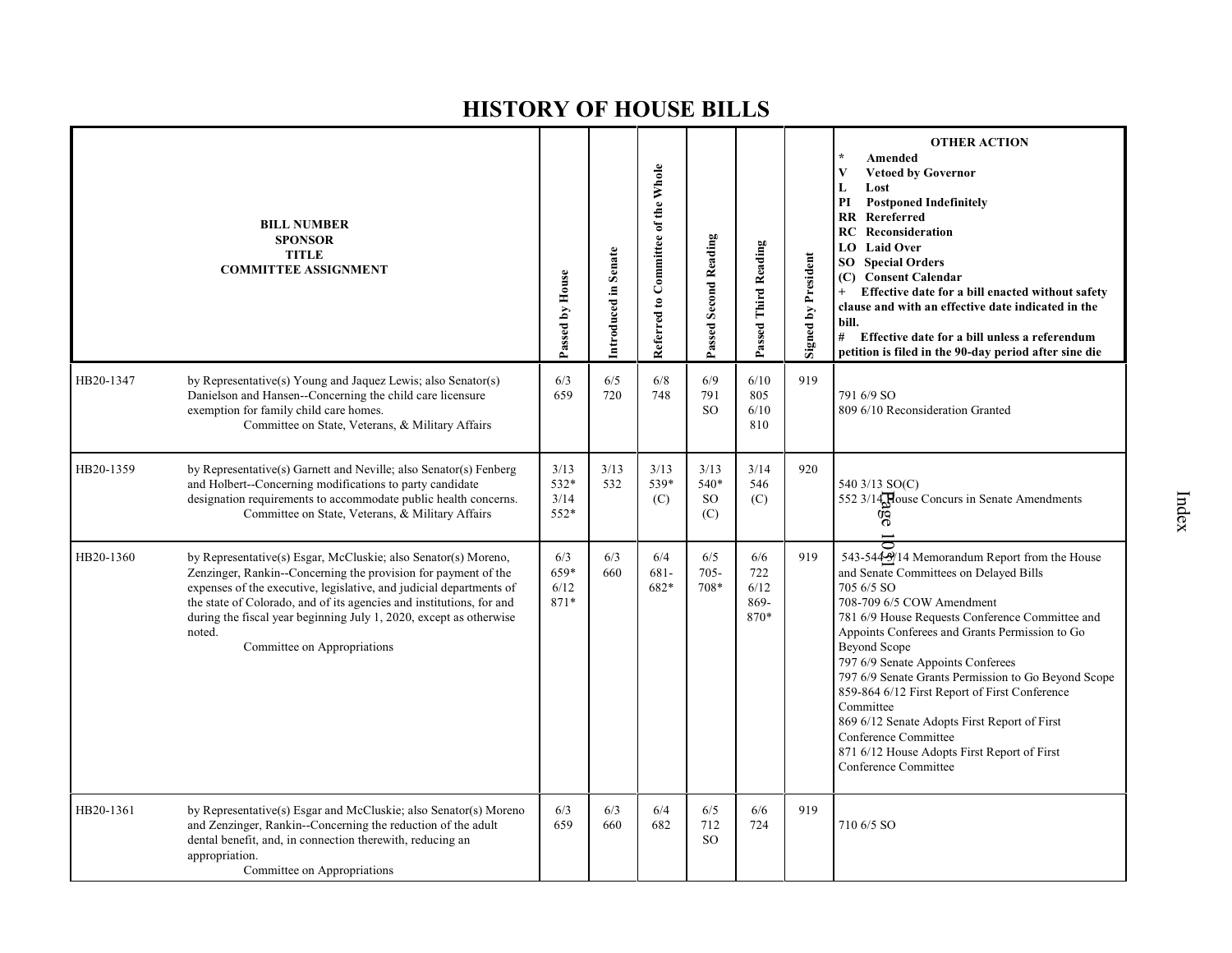|           | <b>BILL NUMBER</b><br><b>SPONSOR</b><br><b>TITLE</b><br><b>COMMITTEE ASSIGNMENT</b>                                                                                                                                                                                                                                                                                                            | Passed by House              | Introduced in Senate | Referred to Committee of the Whole | Passed Second Reading                  | Passed Third Reading               | <b>Signed by President</b> | <b>OTHER ACTION</b><br>Amended<br>V<br><b>Vetoed by Governor</b><br>L<br>Lost<br>PI<br><b>Postponed Indefinitely</b><br>$\mathbf{R}$<br>Rereferred<br>Reconsideration<br>RC<br>LO Laid Over<br><b>SO</b> Special Orders<br>(C) Consent Calendar<br>Effective date for a bill enacted without safety<br>$+$<br>clause and with an effective date indicated in the<br>bill.<br># Effective date for a bill unless a referendum<br>petition is filed in the 90-day period after sine die                                                                           |
|-----------|------------------------------------------------------------------------------------------------------------------------------------------------------------------------------------------------------------------------------------------------------------------------------------------------------------------------------------------------------------------------------------------------|------------------------------|----------------------|------------------------------------|----------------------------------------|------------------------------------|----------------------------|-----------------------------------------------------------------------------------------------------------------------------------------------------------------------------------------------------------------------------------------------------------------------------------------------------------------------------------------------------------------------------------------------------------------------------------------------------------------------------------------------------------------------------------------------------------------|
| HB20-1347 | by Representative(s) Young and Jaquez Lewis; also Senator(s)<br>Danielson and Hansen--Concerning the child care licensure<br>exemption for family child care homes.<br>Committee on State, Veterans, & Military Affairs                                                                                                                                                                        | 6/3<br>659                   | 6/5<br>720           | 6/8<br>748                         | 6/9<br>791<br><sub>SO</sub>            | 6/10<br>805<br>6/10<br>810         | 919                        | 791 6/9 SO<br>809 6/10 Reconsideration Granted                                                                                                                                                                                                                                                                                                                                                                                                                                                                                                                  |
| HB20-1359 | by Representative(s) Garnett and Neville; also Senator(s) Fenberg<br>and Holbert--Concerning modifications to party candidate<br>designation requirements to accommodate public health concerns.<br>Committee on State, Veterans, & Military Affairs                                                                                                                                           | 3/13<br>532*<br>3/14<br>552* | 3/13<br>532          | 3/13<br>539*<br>(C)                | 3/13<br>540*<br>SO <sub>1</sub><br>(C) | 3/14<br>546<br>(C)                 | 920                        | 540 3/13 SO(C)<br>552 3/14 Rouse Concurs in Senate Amendments<br>9g                                                                                                                                                                                                                                                                                                                                                                                                                                                                                             |
| HB20-1360 | by Representative(s) Esgar, McCluskie; also Senator(s) Moreno,<br>Zenzinger, Rankin--Concerning the provision for payment of the<br>expenses of the executive, legislative, and judicial departments of<br>the state of Colorado, and of its agencies and institutions, for and<br>during the fiscal year beginning July 1, 2020, except as otherwise<br>noted.<br>Committee on Appropriations | 6/3<br>659*<br>6/12<br>871*  | 6/3<br>660           | 6/4<br>$681-$<br>682*              | 6/5<br>$705 -$<br>708*                 | 6/6<br>722<br>6/12<br>869-<br>870* | 919                        | 543-5443/14 Memorandum Report from the House<br>and Senate Committees on Delayed Bills<br>705 6/5 SO<br>708-709 6/5 COW Amendment<br>781 6/9 House Requests Conference Committee and<br>Appoints Conferees and Grants Permission to Go<br>Beyond Scope<br>797 6/9 Senate Appoints Conferees<br>797 6/9 Senate Grants Permission to Go Beyond Scope<br>859-864 6/12 First Report of First Conference<br>Committee<br>869 6/12 Senate Adopts First Report of First<br>Conference Committee<br>871 6/12 House Adopts First Report of First<br>Conference Committee |
| HB20-1361 | by Representative(s) Esgar and McCluskie; also Senator(s) Moreno<br>and Zenzinger, Rankin--Concerning the reduction of the adult<br>dental benefit, and, in connection therewith, reducing an<br>appropriation.<br>Committee on Appropriations                                                                                                                                                 | 6/3<br>659                   | 6/3<br>660           | 6/4<br>682                         | 6/5<br>712<br>SO.                      | 6/6<br>724                         | 919                        | 710 6/5 SO                                                                                                                                                                                                                                                                                                                                                                                                                                                                                                                                                      |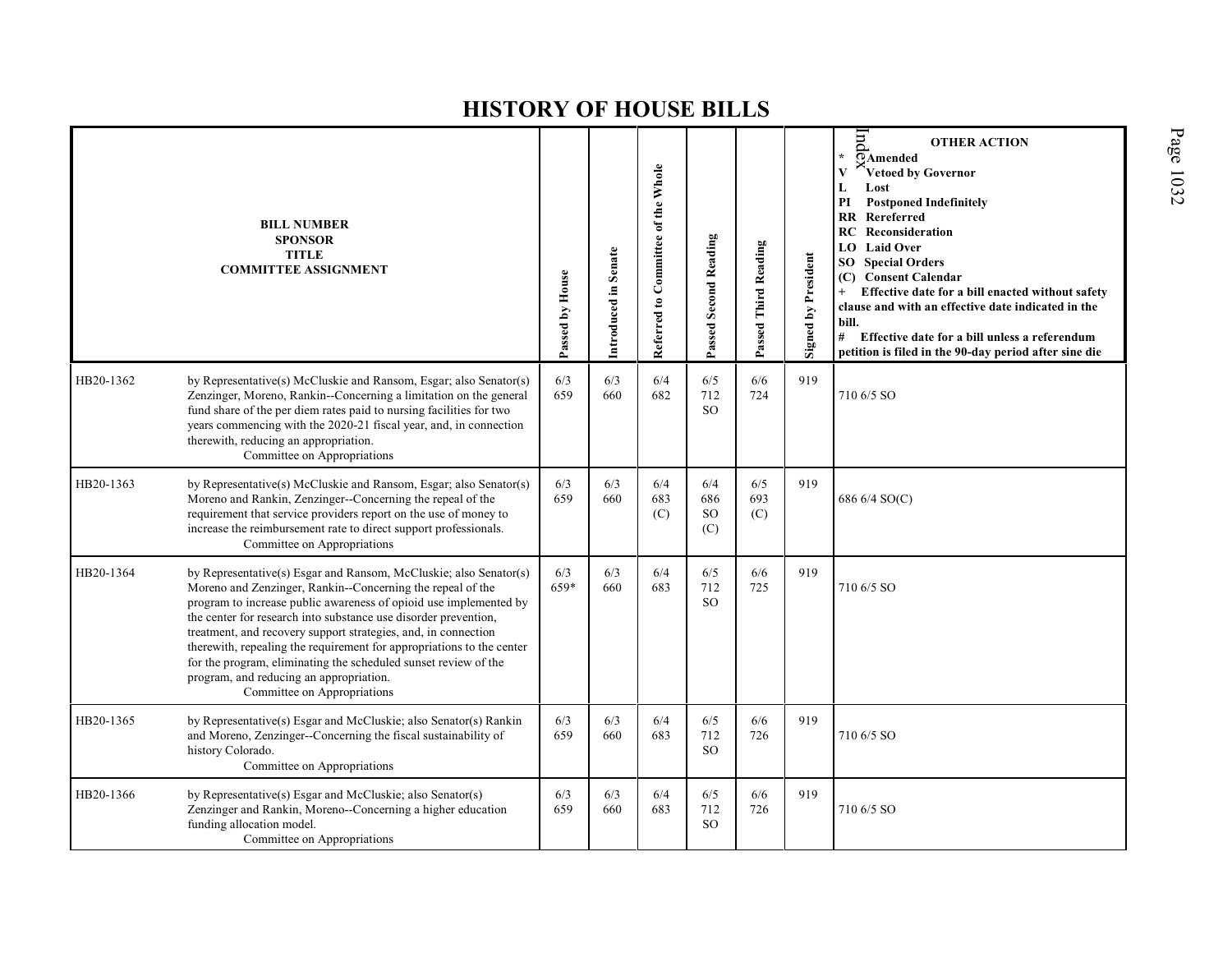|           | <b>BILL NUMBER</b><br><b>SPONSOR</b><br><b>TITLE</b><br><b>COMMITTEE ASSIGNMENT</b>                                                                                                                                                                                                                                                                                                                                                                                                                                                                             | Passed by House | Introduced in Senate | Referred to Committee of the Whole | Passed Second Reading              | Passed Third Reading | Signed by President | pu<br><b>OTHER ACTION</b><br>$\overline{O}$ Amended<br>$\star$<br>Vetoed by Governor<br>Lost<br>L<br>PI<br><b>Postponed Indefinitely</b><br>RR<br>Rereferred<br><b>RC</b> Reconsideration<br><b>Laid Over</b><br>LO -<br>SO Special Orders<br><b>Consent Calendar</b><br>(C)<br>Effective date for a bill enacted without safety<br>$+$<br>clause and with an effective date indicated in the<br>bill.<br>#<br>Effective date for a bill unless a referendum<br>petition is filed in the 90-day period after sine die |
|-----------|-----------------------------------------------------------------------------------------------------------------------------------------------------------------------------------------------------------------------------------------------------------------------------------------------------------------------------------------------------------------------------------------------------------------------------------------------------------------------------------------------------------------------------------------------------------------|-----------------|----------------------|------------------------------------|------------------------------------|----------------------|---------------------|-----------------------------------------------------------------------------------------------------------------------------------------------------------------------------------------------------------------------------------------------------------------------------------------------------------------------------------------------------------------------------------------------------------------------------------------------------------------------------------------------------------------------|
| HB20-1362 | by Representative(s) McCluskie and Ransom, Esgar; also Senator(s)<br>Zenzinger, Moreno, Rankin--Concerning a limitation on the general<br>fund share of the per diem rates paid to nursing facilities for two<br>years commencing with the 2020-21 fiscal year, and, in connection<br>therewith, reducing an appropriation.<br>Committee on Appropriations                                                                                                                                                                                                      | 6/3<br>659      | 6/3<br>660           | 6/4<br>682                         | 6/5<br>712<br><sub>SO</sub>        | 6/6<br>724           | 919                 | 710 6/5 SO                                                                                                                                                                                                                                                                                                                                                                                                                                                                                                            |
| HB20-1363 | by Representative(s) McCluskie and Ransom, Esgar; also Senator(s)<br>Moreno and Rankin, Zenzinger--Concerning the repeal of the<br>requirement that service providers report on the use of money to<br>increase the reimbursement rate to direct support professionals.<br>Committee on Appropriations                                                                                                                                                                                                                                                          | 6/3<br>659      | 6/3<br>660           | 6/4<br>683<br>(C)                  | 6/4<br>686<br><sub>SO</sub><br>(C) | 6/5<br>693<br>(C)    | 919                 | 686 6/4 SO(C)                                                                                                                                                                                                                                                                                                                                                                                                                                                                                                         |
| HB20-1364 | by Representative(s) Esgar and Ransom, McCluskie; also Senator(s)<br>Moreno and Zenzinger, Rankin--Concerning the repeal of the<br>program to increase public awareness of opioid use implemented by<br>the center for research into substance use disorder prevention,<br>treatment, and recovery support strategies, and, in connection<br>therewith, repealing the requirement for appropriations to the center<br>for the program, eliminating the scheduled sunset review of the<br>program, and reducing an appropriation.<br>Committee on Appropriations | 6/3<br>659*     | 6/3<br>660           | 6/4<br>683                         | 6/5<br>712<br><b>SO</b>            | 6/6<br>725           | 919                 | 710 6/5 SO                                                                                                                                                                                                                                                                                                                                                                                                                                                                                                            |
| HB20-1365 | by Representative(s) Esgar and McCluskie; also Senator(s) Rankin<br>and Moreno, Zenzinger--Concerning the fiscal sustainability of<br>history Colorado.<br>Committee on Appropriations                                                                                                                                                                                                                                                                                                                                                                          | 6/3<br>659      | 6/3<br>660           | 6/4<br>683                         | 6/5<br>712<br><sub>SO</sub>        | 6/6<br>726           | 919                 | 710 6/5 SO                                                                                                                                                                                                                                                                                                                                                                                                                                                                                                            |
| HB20-1366 | by Representative(s) Esgar and McCluskie; also Senator(s)<br>Zenzinger and Rankin, Moreno--Concerning a higher education<br>funding allocation model.<br>Committee on Appropriations                                                                                                                                                                                                                                                                                                                                                                            | 6/3<br>659      | 6/3<br>660           | 6/4<br>683                         | 6/5<br>712<br><sub>SO</sub>        | 6/6<br>726           | 919                 | 710 6/5 SO                                                                                                                                                                                                                                                                                                                                                                                                                                                                                                            |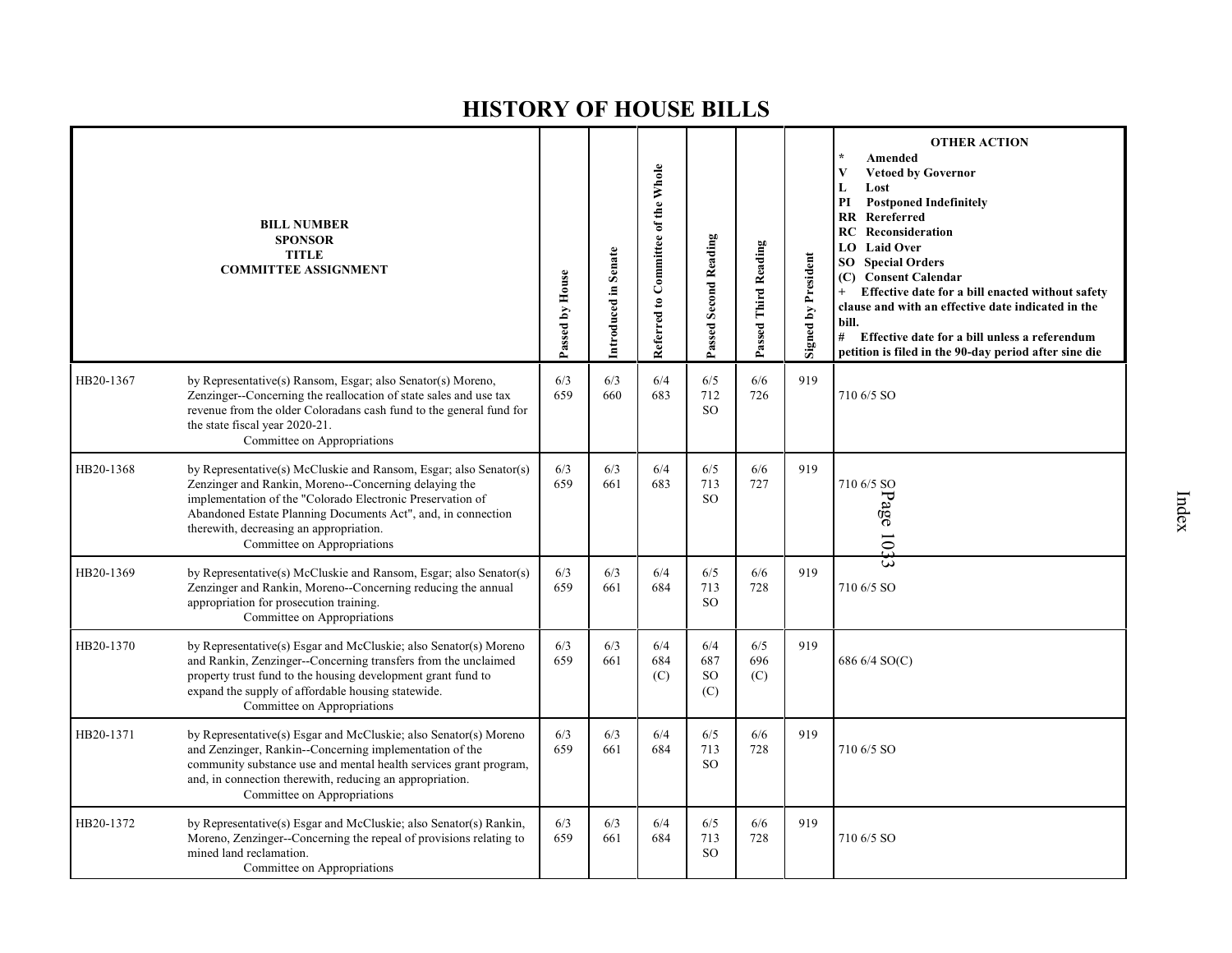|           | <b>BILL NUMBER</b><br><b>SPONSOR</b><br><b>TITLE</b><br><b>COMMITTEE ASSIGNMENT</b>                                                                                                                                                                                                                                                | Passed by House | Introduced in Senate | Referred to Committee of the Whole | Passed Second Reading          | Passed Third Reading | <b>Signed by President</b> | <b>OTHER ACTION</b><br>Amended<br><b>Vetoed by Governor</b><br>V<br>Lost<br>L<br><b>Postponed Indefinitely</b><br>PI<br><b>RR</b> Rereferred<br>RC<br>Reconsideration<br><b>LO</b> Laid Over<br><b>Special Orders</b><br>SO.<br>(C) Consent Calendar<br>Effective date for a bill enacted without safety<br>clause and with an effective date indicated in the<br>bill.<br># Effective date for a bill unless a referendum<br>petition is filed in the 90-day period after sine die |
|-----------|------------------------------------------------------------------------------------------------------------------------------------------------------------------------------------------------------------------------------------------------------------------------------------------------------------------------------------|-----------------|----------------------|------------------------------------|--------------------------------|----------------------|----------------------------|-------------------------------------------------------------------------------------------------------------------------------------------------------------------------------------------------------------------------------------------------------------------------------------------------------------------------------------------------------------------------------------------------------------------------------------------------------------------------------------|
| HB20-1367 | by Representative(s) Ransom, Esgar; also Senator(s) Moreno,<br>Zenzinger--Concerning the reallocation of state sales and use tax<br>revenue from the older Coloradans cash fund to the general fund for<br>the state fiscal year 2020-21.<br>Committee on Appropriations                                                           | 6/3<br>659      | 6/3<br>660           | 6/4<br>683                         | 6/5<br>712<br>SO <sub>2</sub>  | 6/6<br>726           | 919                        | 710 6/5 SO                                                                                                                                                                                                                                                                                                                                                                                                                                                                          |
| HB20-1368 | by Representative(s) McCluskie and Ransom, Esgar; also Senator(s)<br>Zenzinger and Rankin, Moreno--Concerning delaying the<br>implementation of the "Colorado Electronic Preservation of<br>Abandoned Estate Planning Documents Act", and, in connection<br>therewith, decreasing an appropriation.<br>Committee on Appropriations | 6/3<br>659      | 6/3<br>661           | 6/4<br>683                         | 6/5<br>713<br>SO <sub>2</sub>  | 6/6<br>727           | 919                        | 710 6/5 SO<br>Page 103                                                                                                                                                                                                                                                                                                                                                                                                                                                              |
| HB20-1369 | by Representative(s) McCluskie and Ransom, Esgar; also Senator(s)<br>Zenzinger and Rankin, Moreno--Concerning reducing the annual<br>appropriation for prosecution training.<br>Committee on Appropriations                                                                                                                        | 6/3<br>659      | 6/3<br>661           | 6/4<br>684                         | 6/5<br>713<br>SO <sub>2</sub>  | 6/6<br>728           | 919                        | ىت<br>710 6/5 SO                                                                                                                                                                                                                                                                                                                                                                                                                                                                    |
| HB20-1370 | by Representative(s) Esgar and McCluskie; also Senator(s) Moreno<br>and Rankin, Zenzinger--Concerning transfers from the unclaimed<br>property trust fund to the housing development grant fund to<br>expand the supply of affordable housing statewide.<br>Committee on Appropriations                                            | 6/3<br>659      | 6/3<br>661           | 6/4<br>684<br>(C)                  | 6/4<br>687<br><b>SO</b><br>(C) | 6/5<br>696<br>(C)    | 919                        | 686 6/4 SO(C)                                                                                                                                                                                                                                                                                                                                                                                                                                                                       |
| HB20-1371 | by Representative(s) Esgar and McCluskie; also Senator(s) Moreno<br>and Zenzinger, Rankin--Concerning implementation of the<br>community substance use and mental health services grant program,<br>and, in connection therewith, reducing an appropriation.<br>Committee on Appropriations                                        | 6/3<br>659      | 6/3<br>661           | 6/4<br>684                         | 6/5<br>713<br>SO <sub>2</sub>  | 6/6<br>728           | 919                        | 710 6/5 SO                                                                                                                                                                                                                                                                                                                                                                                                                                                                          |
| HB20-1372 | by Representative(s) Esgar and McCluskie; also Senator(s) Rankin,<br>Moreno, Zenzinger--Concerning the repeal of provisions relating to<br>mined land reclamation.<br>Committee on Appropriations                                                                                                                                  | 6/3<br>659      | 6/3<br>661           | 6/4<br>684                         | 6/5<br>713<br><sub>SO</sub>    | 6/6<br>728           | 919                        | 710 6/5 SO                                                                                                                                                                                                                                                                                                                                                                                                                                                                          |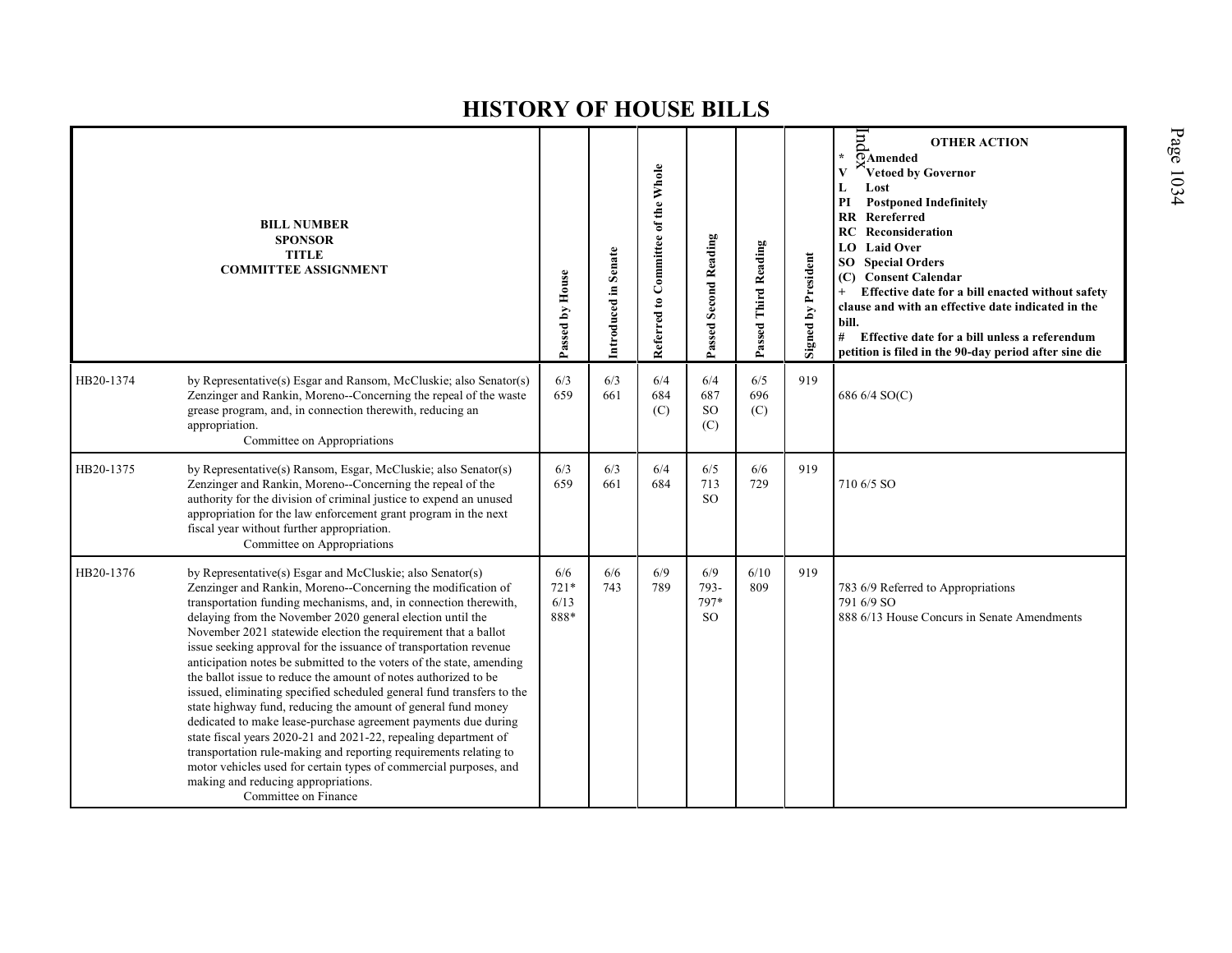|           | <b>BILL NUMBER</b><br><b>SPONSOR</b><br><b>TITLE</b><br><b>COMMITTEE ASSIGNMENT</b>                                                                                                                                                                                                                                                                                                                                                                                                                                                                                                                                                                                                                                                                                                                                                                                                                                                                                                                                                   | Passed by House               | Introduced in Senate | Referred to Committee of the Whole | <b>Passed Second Reading</b>         | Passed Third Reading | <b>Signed by President</b> | pu<br><b>OTHER ACTION</b><br><b>TAmended</b><br>Vetoed by Governor<br>V<br>Lost<br>L<br>PI<br><b>Postponed Indefinitely</b><br><b>RR</b> Rereferred<br>RC<br>Reconsideration<br><b>LO</b> Laid Over<br><b>Special Orders</b><br>SO<br><b>Consent Calendar</b><br>(C)<br>Effective date for a bill enacted without safety<br>clause and with an effective date indicated in the<br>bill.<br>#<br>Effective date for a bill unless a referendum<br>petition is filed in the 90-day period after sine die |
|-----------|---------------------------------------------------------------------------------------------------------------------------------------------------------------------------------------------------------------------------------------------------------------------------------------------------------------------------------------------------------------------------------------------------------------------------------------------------------------------------------------------------------------------------------------------------------------------------------------------------------------------------------------------------------------------------------------------------------------------------------------------------------------------------------------------------------------------------------------------------------------------------------------------------------------------------------------------------------------------------------------------------------------------------------------|-------------------------------|----------------------|------------------------------------|--------------------------------------|----------------------|----------------------------|--------------------------------------------------------------------------------------------------------------------------------------------------------------------------------------------------------------------------------------------------------------------------------------------------------------------------------------------------------------------------------------------------------------------------------------------------------------------------------------------------------|
| HB20-1374 | by Representative(s) Esgar and Ransom, McCluskie; also Senator(s)<br>Zenzinger and Rankin, Moreno--Concerning the repeal of the waste<br>grease program, and, in connection therewith, reducing an<br>appropriation.<br>Committee on Appropriations                                                                                                                                                                                                                                                                                                                                                                                                                                                                                                                                                                                                                                                                                                                                                                                   | 6/3<br>659                    | 6/3<br>661           | 6/4<br>684<br>(C)                  | 6/4<br>687<br><b>SO</b><br>(C)       | 6/5<br>696<br>(C)    | 919                        | 686 6/4 SO(C)                                                                                                                                                                                                                                                                                                                                                                                                                                                                                          |
| HB20-1375 | by Representative(s) Ransom, Esgar, McCluskie; also Senator(s)<br>Zenzinger and Rankin, Moreno--Concerning the repeal of the<br>authority for the division of criminal justice to expend an unused<br>appropriation for the law enforcement grant program in the next<br>fiscal year without further appropriation.<br>Committee on Appropriations                                                                                                                                                                                                                                                                                                                                                                                                                                                                                                                                                                                                                                                                                    | 6/3<br>659                    | 6/3<br>661           | 6/4<br>684                         | 6/5<br>713<br><sub>SO</sub>          | 6/6<br>729           | 919                        | 710 6/5 SO                                                                                                                                                                                                                                                                                                                                                                                                                                                                                             |
| HB20-1376 | by Representative(s) Esgar and McCluskie; also Senator(s)<br>Zenzinger and Rankin, Moreno--Concerning the modification of<br>transportation funding mechanisms, and, in connection therewith,<br>delaying from the November 2020 general election until the<br>November 2021 statewide election the requirement that a ballot<br>issue seeking approval for the issuance of transportation revenue<br>anticipation notes be submitted to the voters of the state, amending<br>the ballot issue to reduce the amount of notes authorized to be<br>issued, eliminating specified scheduled general fund transfers to the<br>state highway fund, reducing the amount of general fund money<br>dedicated to make lease-purchase agreement payments due during<br>state fiscal years 2020-21 and 2021-22, repealing department of<br>transportation rule-making and reporting requirements relating to<br>motor vehicles used for certain types of commercial purposes, and<br>making and reducing appropriations.<br>Committee on Finance | 6/6<br>$721*$<br>6/13<br>888* | 6/6<br>743           | 6/9<br>789                         | 6/9<br>793-<br>797*<br><sub>SO</sub> | 6/10<br>809          | 919                        | 783 6/9 Referred to Appropriations<br>791 6/9 SO<br>888 6/13 House Concurs in Senate Amendments                                                                                                                                                                                                                                                                                                                                                                                                        |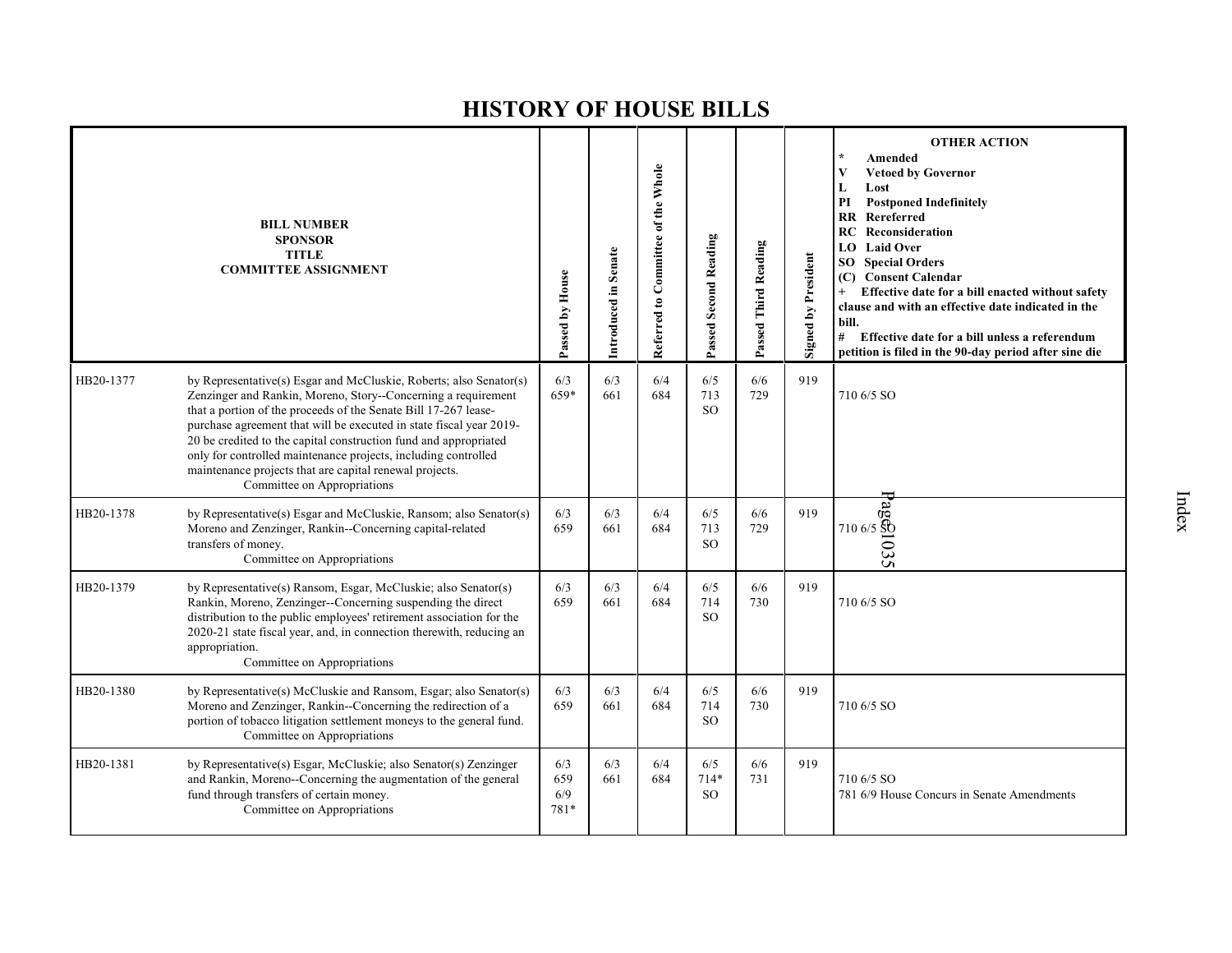|           | <b>BILL NUMBER</b><br><b>SPONSOR</b><br><b>TITLE</b><br><b>COMMITTEE ASSIGNMENT</b>                                                                                                                                                                                                                                                                                                                                                                                                                           | Passed by House           | Introduced in Senate | Referred to Committee of the Whole | Passed Second Reading       | Passed Third Reading | <b>Signed by President</b> | <b>OTHER ACTION</b><br>Amended<br><b>Vetoed by Governor</b><br>V<br>L<br>Lost<br><b>Postponed Indefinitely</b><br>PI<br>Rereferred<br><b>RR</b><br><b>RC</b> Reconsideration<br><b>Laid Over</b><br>LO<br><b>SO</b> Special Orders<br>(C) Consent Calendar<br>Effective date for a bill enacted without safety<br>$+$<br>clause and with an effective date indicated in the<br>bill.<br>#<br>Effective date for a bill unless a referendum<br>petition is filed in the 90-day period after sine die |
|-----------|---------------------------------------------------------------------------------------------------------------------------------------------------------------------------------------------------------------------------------------------------------------------------------------------------------------------------------------------------------------------------------------------------------------------------------------------------------------------------------------------------------------|---------------------------|----------------------|------------------------------------|-----------------------------|----------------------|----------------------------|-----------------------------------------------------------------------------------------------------------------------------------------------------------------------------------------------------------------------------------------------------------------------------------------------------------------------------------------------------------------------------------------------------------------------------------------------------------------------------------------------------|
| HB20-1377 | by Representative(s) Esgar and McCluskie, Roberts; also Senator(s)<br>Zenzinger and Rankin, Moreno, Story--Concerning a requirement<br>that a portion of the proceeds of the Senate Bill 17-267 lease-<br>purchase agreement that will be executed in state fiscal year 2019-<br>20 be credited to the capital construction fund and appropriated<br>only for controlled maintenance projects, including controlled<br>maintenance projects that are capital renewal projects.<br>Committee on Appropriations | 6/3<br>659*               | 6/3<br>661           | 6/4<br>684                         | 6/5<br>713<br><b>SO</b>     | 6/6<br>729           | 919                        | 710 6/5 SO                                                                                                                                                                                                                                                                                                                                                                                                                                                                                          |
| HB20-1378 | by Representative(s) Esgar and McCluskie, Ransom; also Senator(s)<br>Moreno and Zenzinger, Rankin--Concerning capital-related<br>transfers of money.<br>Committee on Appropriations                                                                                                                                                                                                                                                                                                                           | 6/3<br>659                | 6/3<br>661           | 6/4<br>684                         | 6/5<br>713<br><b>SO</b>     | 6/6<br>729           | 919                        | <b>Page 1035</b><br>T10 6/5 <u>Spo</u>                                                                                                                                                                                                                                                                                                                                                                                                                                                              |
| HB20-1379 | by Representative(s) Ransom, Esgar, McCluskie; also Senator(s)<br>Rankin, Moreno, Zenzinger--Concerning suspending the direct<br>distribution to the public employees' retirement association for the<br>2020-21 state fiscal year, and, in connection therewith, reducing an<br>appropriation.<br>Committee on Appropriations                                                                                                                                                                                | 6/3<br>659                | 6/3<br>661           | 6/4<br>684                         | 6/5<br>714<br><sub>SO</sub> | 6/6<br>730           | 919                        | 710 6/5 SO                                                                                                                                                                                                                                                                                                                                                                                                                                                                                          |
| HB20-1380 | by Representative(s) McCluskie and Ransom, Esgar; also Senator(s)<br>Moreno and Zenzinger, Rankin--Concerning the redirection of a<br>portion of tobacco litigation settlement moneys to the general fund.<br>Committee on Appropriations                                                                                                                                                                                                                                                                     | 6/3<br>659                | 6/3<br>661           | 6/4<br>684                         | 6/5<br>714<br><b>SO</b>     | 6/6<br>730           | 919                        | 710 6/5 SO                                                                                                                                                                                                                                                                                                                                                                                                                                                                                          |
| HB20-1381 | by Representative(s) Esgar, McCluskie; also Senator(s) Zenzinger<br>and Rankin, Moreno--Concerning the augmentation of the general<br>fund through transfers of certain money.<br>Committee on Appropriations                                                                                                                                                                                                                                                                                                 | 6/3<br>659<br>6/9<br>781* | 6/3<br>661           | 6/4<br>684                         | 6/5<br>$714*$<br>SO.        | 6/6<br>731           | 919                        | 710 6/5 SO<br>781 6/9 House Concurs in Senate Amendments                                                                                                                                                                                                                                                                                                                                                                                                                                            |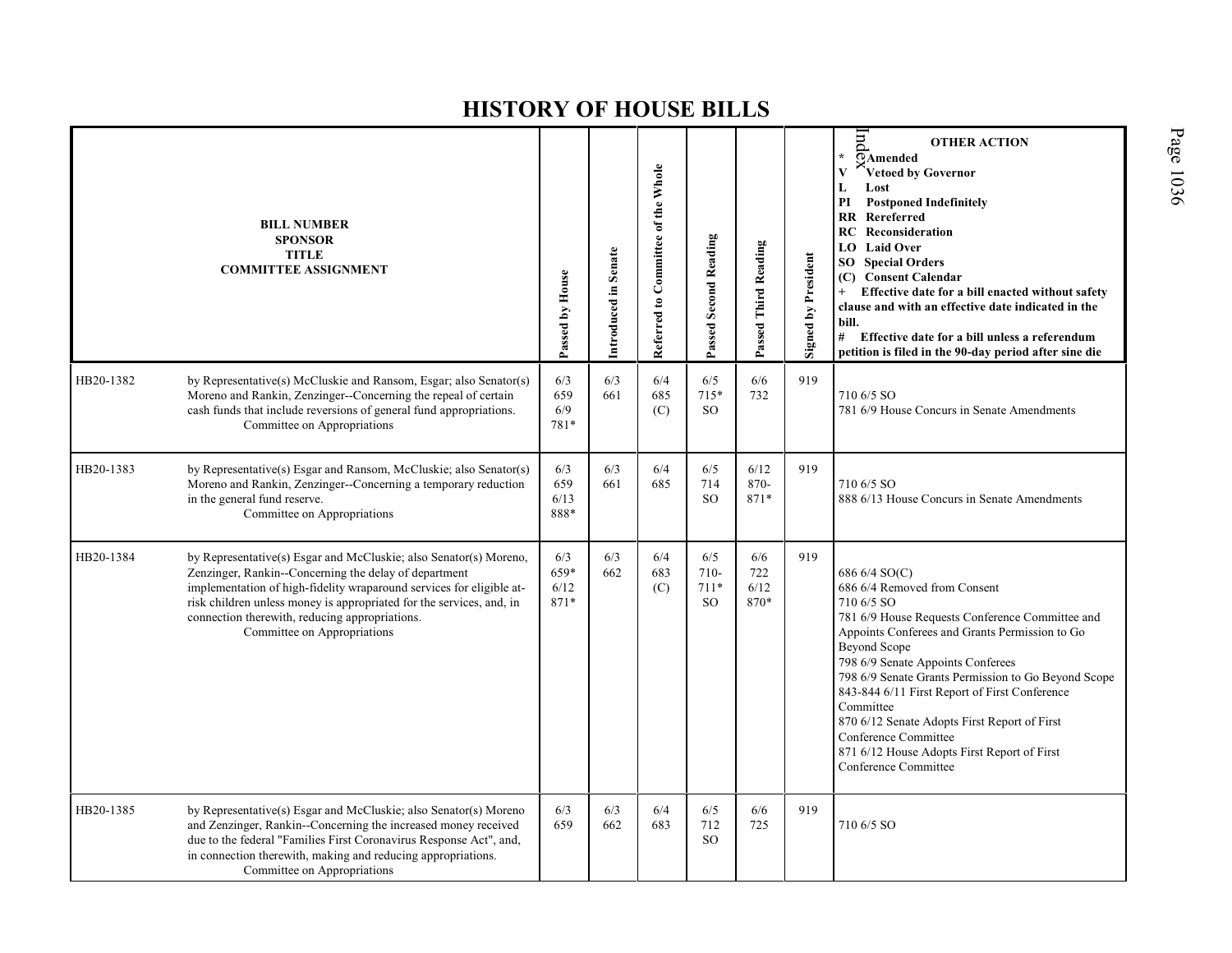|           | <b>BILL NUMBER</b><br><b>SPONSOR</b><br><b>TITLE</b><br><b>COMMITTEE ASSIGNMENT</b>                                                                                                                                                                                                                                                                         | Passed by House             | Introduced in Senate | Referred to Committee of the Whole | Passed Second Reading                    | Passed Third Reading       | <b>Signed by President</b> | pup<br><b>OTHER ACTION</b><br>$\star$<br>OAmended<br>Vetoed by Governor<br>$\mathbf{V}$<br>L<br>Lost<br><b>Postponed Indefinitely</b><br>PI<br><b>RR</b> Rereferred<br>Reconsideration<br>RC<br><b>LO</b> Laid Over<br><b>SO</b> Special Orders<br>(C) Consent Calendar<br>Effective date for a bill enacted without safety<br>$+$<br>clause and with an effective date indicated in the<br>bill.<br># Effective date for a bill unless a referendum<br>petition is filed in the 90-day period after sine die |
|-----------|-------------------------------------------------------------------------------------------------------------------------------------------------------------------------------------------------------------------------------------------------------------------------------------------------------------------------------------------------------------|-----------------------------|----------------------|------------------------------------|------------------------------------------|----------------------------|----------------------------|---------------------------------------------------------------------------------------------------------------------------------------------------------------------------------------------------------------------------------------------------------------------------------------------------------------------------------------------------------------------------------------------------------------------------------------------------------------------------------------------------------------|
| HB20-1382 | by Representative(s) McCluskie and Ransom, Esgar; also Senator(s)<br>Moreno and Rankin, Zenzinger--Concerning the repeal of certain<br>cash funds that include reversions of general fund appropriations.<br>Committee on Appropriations                                                                                                                    | 6/3<br>659<br>6/9<br>781*   | 6/3<br>661           | 6/4<br>685<br>(C)                  | 6/5<br>$715*$<br><sub>SO</sub>           | 6/6<br>732                 | 919                        | 710 6/5 SO<br>781 6/9 House Concurs in Senate Amendments                                                                                                                                                                                                                                                                                                                                                                                                                                                      |
| HB20-1383 | by Representative(s) Esgar and Ransom, McCluskie; also Senator(s)<br>Moreno and Rankin, Zenzinger--Concerning a temporary reduction<br>in the general fund reserve.<br>Committee on Appropriations                                                                                                                                                          | 6/3<br>659<br>6/13<br>888*  | 6/3<br>661           | 6/4<br>685                         | 6/5<br>714<br><sub>SO</sub>              | 6/12<br>870-<br>871*       | 919                        | 710 6/5 SO<br>888 6/13 House Concurs in Senate Amendments                                                                                                                                                                                                                                                                                                                                                                                                                                                     |
| HB20-1384 | by Representative(s) Esgar and McCluskie; also Senator(s) Moreno,<br>Zenzinger, Rankin--Concerning the delay of department<br>implementation of high-fidelity wraparound services for eligible at-<br>risk children unless money is appropriated for the services, and, in<br>connection therewith, reducing appropriations.<br>Committee on Appropriations | 6/3<br>659*<br>6/12<br>871* | 6/3<br>662           | 6/4<br>683<br>(C)                  | 6/5<br>$710-$<br>$711*$<br><sub>SO</sub> | 6/6<br>722<br>6/12<br>870* | 919                        | 686 6/4 SO(C)<br>686 6/4 Removed from Consent<br>710 6/5 SO<br>781 6/9 House Requests Conference Committee and<br>Appoints Conferees and Grants Permission to Go<br><b>Beyond Scope</b><br>798 6/9 Senate Appoints Conferees<br>798 6/9 Senate Grants Permission to Go Beyond Scope<br>843-844 6/11 First Report of First Conference<br>Committee<br>870 6/12 Senate Adopts First Report of First<br>Conference Committee<br>871 6/12 House Adopts First Report of First<br>Conference Committee              |
| HB20-1385 | by Representative(s) Esgar and McCluskie; also Senator(s) Moreno<br>and Zenzinger, Rankin--Concerning the increased money received<br>due to the federal "Families First Coronavirus Response Act", and,<br>in connection therewith, making and reducing appropriations.<br>Committee on Appropriations                                                     | 6/3<br>659                  | 6/3<br>662           | 6/4<br>683                         | 6/5<br>712<br><sub>SO</sub>              | 6/6<br>725                 | 919                        | 710 6/5 SO                                                                                                                                                                                                                                                                                                                                                                                                                                                                                                    |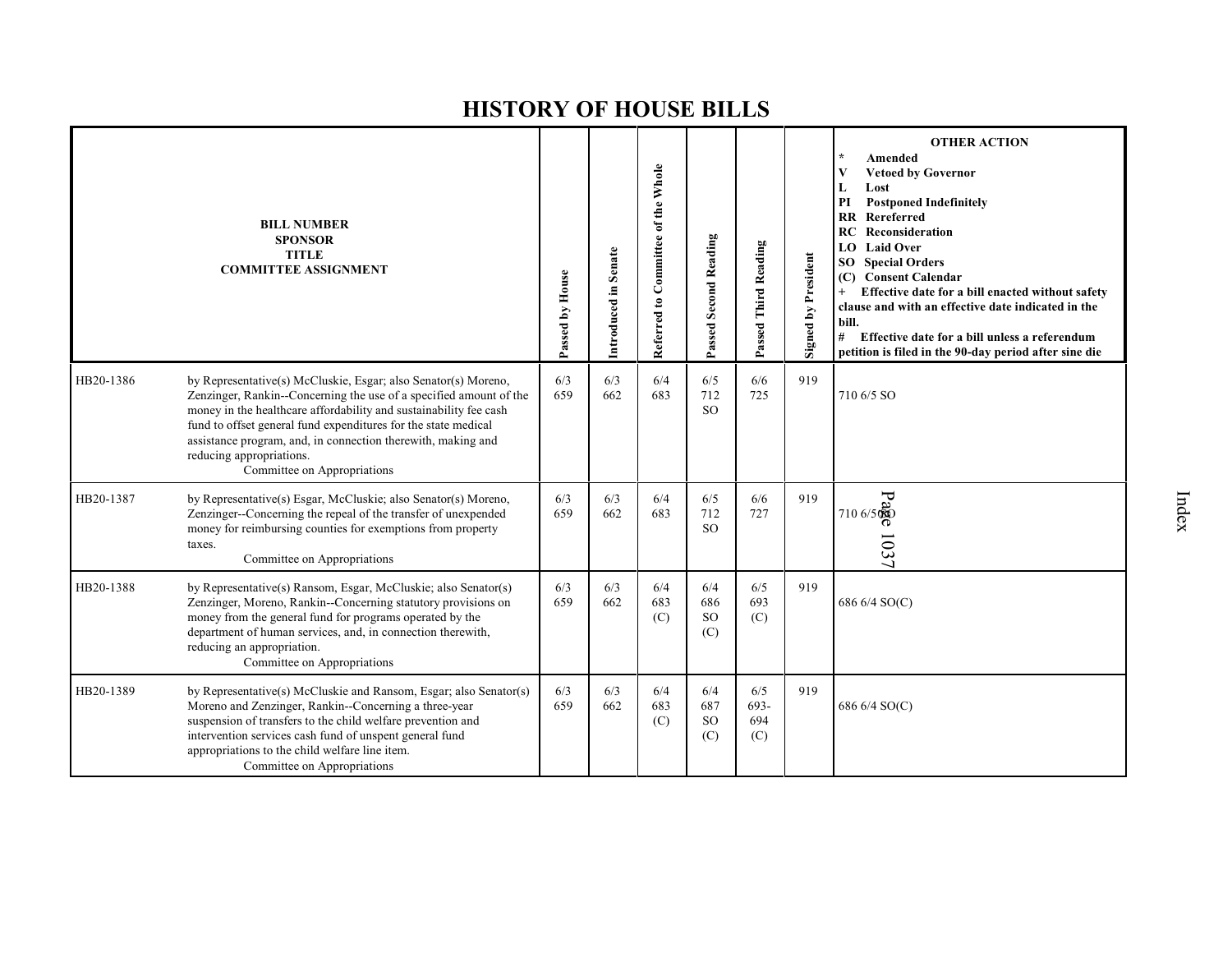|           | <b>BILL NUMBER</b><br><b>SPONSOR</b><br><b>TITLE</b><br><b>COMMITTEE ASSIGNMENT</b>                                                                                                                                                                                                                                                                                                                    | Passed by House | Introduced in Senate | Referred to Committee of the Whole | <b>Passed Second Reading</b>       | Passed Third Reading      | Signed by President | <b>OTHER ACTION</b><br>$\star$<br>Amended<br><b>Vetoed by Governor</b><br>V<br>Lost<br>L<br>PI<br><b>Postponed Indefinitely</b><br>Rereferred<br><b>RR</b><br>Reconsideration<br><b>RC</b><br><b>Laid Over</b><br>LO.<br><b>Special Orders</b><br>SO.<br><b>Consent Calendar</b><br>(C)<br>Effective date for a bill enacted without safety<br>$+$<br>clause and with an effective date indicated in the<br>bill.<br>#<br>Effective date for a bill unless a referendum<br>petition is filed in the 90-day period after sine die |
|-----------|--------------------------------------------------------------------------------------------------------------------------------------------------------------------------------------------------------------------------------------------------------------------------------------------------------------------------------------------------------------------------------------------------------|-----------------|----------------------|------------------------------------|------------------------------------|---------------------------|---------------------|----------------------------------------------------------------------------------------------------------------------------------------------------------------------------------------------------------------------------------------------------------------------------------------------------------------------------------------------------------------------------------------------------------------------------------------------------------------------------------------------------------------------------------|
| HB20-1386 | by Representative(s) McCluskie, Esgar; also Senator(s) Moreno,<br>Zenzinger, Rankin--Concerning the use of a specified amount of the<br>money in the healthcare affordability and sustainability fee cash<br>fund to offset general fund expenditures for the state medical<br>assistance program, and, in connection therewith, making and<br>reducing appropriations.<br>Committee on Appropriations | 6/3<br>659      | 6/3<br>662           | 6/4<br>683                         | 6/5<br>712<br>SO <sub>SO</sub>     | 6/6<br>725                | 919                 | 710 6/5 SO                                                                                                                                                                                                                                                                                                                                                                                                                                                                                                                       |
| HB20-1387 | by Representative(s) Esgar, McCluskie; also Senator(s) Moreno,<br>Zenzinger--Concerning the repeal of the transfer of unexpended<br>money for reimbursing counties for exemptions from property<br>taxes.<br>Committee on Appropriations                                                                                                                                                               | 6/3<br>659      | 6/3<br>662           | 6/4<br>683                         | 6/5<br>712<br><sub>SO</sub>        | 6/6<br>727                | 919                 | ား<br>(အီလ.) 017<br>103<br>ر                                                                                                                                                                                                                                                                                                                                                                                                                                                                                                     |
| HB20-1388 | by Representative(s) Ransom, Esgar, McCluskie; also Senator(s)<br>Zenzinger, Moreno, Rankin--Concerning statutory provisions on<br>money from the general fund for programs operated by the<br>department of human services, and, in connection therewith,<br>reducing an appropriation.<br>Committee on Appropriations                                                                                | 6/3<br>659      | 6/3<br>662           | 6/4<br>683<br>(C)                  | 6/4<br>686<br><b>SO</b><br>(C)     | 6/5<br>693<br>(C)         | 919                 | 686 6/4 SO(C)                                                                                                                                                                                                                                                                                                                                                                                                                                                                                                                    |
| HB20-1389 | by Representative(s) McCluskie and Ransom, Esgar; also Senator(s)<br>Moreno and Zenzinger, Rankin--Concerning a three-year<br>suspension of transfers to the child welfare prevention and<br>intervention services cash fund of unspent general fund<br>appropriations to the child welfare line item.<br>Committee on Appropriations                                                                  | 6/3<br>659      | 6/3<br>662           | 6/4<br>683<br>(C)                  | 6/4<br>687<br><sub>SO</sub><br>(C) | 6/5<br>693-<br>694<br>(C) | 919                 | 686 6/4 SO(C)                                                                                                                                                                                                                                                                                                                                                                                                                                                                                                                    |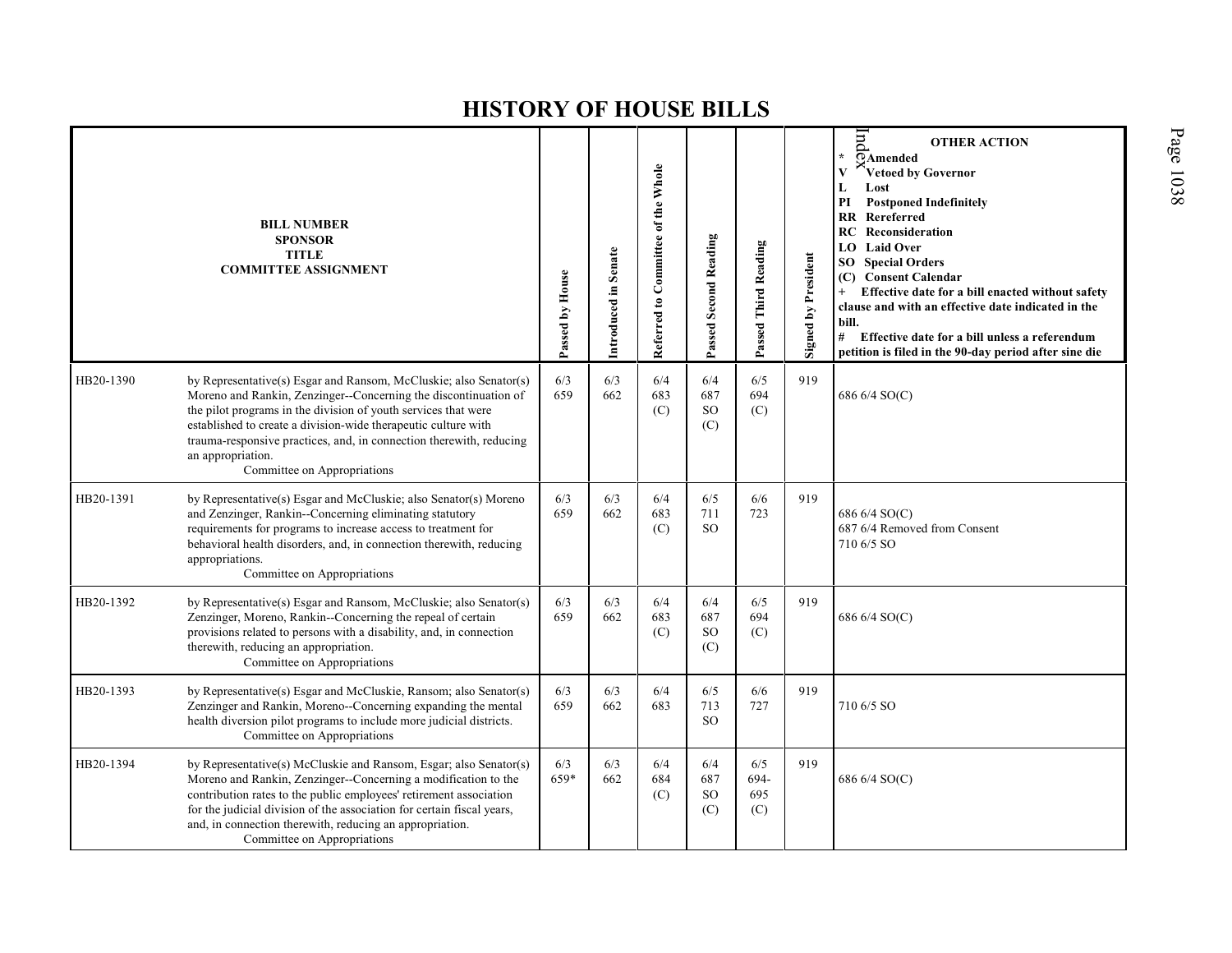|           | <b>BILL NUMBER</b><br><b>SPONSOR</b><br><b>TITLE</b><br><b>COMMITTEE ASSIGNMENT</b>                                                                                                                                                                                                                                                                                                                 | Passed by House | Introduced in Senate | Referred to Committee of the Whole | Passed Second Reading              | Passed Third Reading      | Signed by President | $_{\rm{par}}$<br><b>OTHER ACTION</b><br>¥.<br>OAmended<br>Vetoed by Governor<br>Lost<br>L<br>PI<br><b>Postponed Indefinitely</b><br>Rereferred<br><b>RR</b><br><b>RC</b> Reconsideration<br><b>Laid Over</b><br>LO.<br><b>SO</b> Special Orders<br><b>Consent Calendar</b><br>(C)<br>Effective date for a bill enacted without safety<br>$+$<br>clause and with an effective date indicated in the<br>bill.<br>#<br>Effective date for a bill unless a referendum<br>petition is filed in the 90-day period after sine die |
|-----------|-----------------------------------------------------------------------------------------------------------------------------------------------------------------------------------------------------------------------------------------------------------------------------------------------------------------------------------------------------------------------------------------------------|-----------------|----------------------|------------------------------------|------------------------------------|---------------------------|---------------------|----------------------------------------------------------------------------------------------------------------------------------------------------------------------------------------------------------------------------------------------------------------------------------------------------------------------------------------------------------------------------------------------------------------------------------------------------------------------------------------------------------------------------|
| HB20-1390 | by Representative(s) Esgar and Ransom, McCluskie; also Senator(s)<br>Moreno and Rankin, Zenzinger--Concerning the discontinuation of<br>the pilot programs in the division of youth services that were<br>established to create a division-wide therapeutic culture with<br>trauma-responsive practices, and, in connection therewith, reducing<br>an appropriation.<br>Committee on Appropriations | 6/3<br>659      | 6/3<br>662           | 6/4<br>683<br>(C)                  | 6/4<br>687<br><sub>SO</sub><br>(C) | 6/5<br>694<br>(C)         | 919                 | 686 6/4 SO(C)                                                                                                                                                                                                                                                                                                                                                                                                                                                                                                              |
| HB20-1391 | by Representative(s) Esgar and McCluskie; also Senator(s) Moreno<br>and Zenzinger, Rankin--Concerning eliminating statutory<br>requirements for programs to increase access to treatment for<br>behavioral health disorders, and, in connection therewith, reducing<br>appropriations.<br>Committee on Appropriations                                                                               | 6/3<br>659      | 6/3<br>662           | 6/4<br>683<br>(C)                  | 6/5<br>711<br>SO <sub>1</sub>      | 6/6<br>723                | 919                 | 686 6/4 SO(C)<br>687 6/4 Removed from Consent<br>710 6/5 SO                                                                                                                                                                                                                                                                                                                                                                                                                                                                |
| HB20-1392 | by Representative(s) Esgar and Ransom, McCluskie; also Senator(s)<br>Zenzinger, Moreno, Rankin--Concerning the repeal of certain<br>provisions related to persons with a disability, and, in connection<br>therewith, reducing an appropriation.<br>Committee on Appropriations                                                                                                                     | 6/3<br>659      | 6/3<br>662           | 6/4<br>683<br>(C)                  | 6/4<br>687<br><sub>SO</sub><br>(C) | 6/5<br>694<br>(C)         | 919                 | 686 6/4 SO(C)                                                                                                                                                                                                                                                                                                                                                                                                                                                                                                              |
| HB20-1393 | by Representative(s) Esgar and McCluskie, Ransom; also Senator(s)<br>Zenzinger and Rankin, Moreno--Concerning expanding the mental<br>health diversion pilot programs to include more judicial districts.<br>Committee on Appropriations                                                                                                                                                            | 6/3<br>659      | 6/3<br>662           | 6/4<br>683                         | 6/5<br>713<br>SO <sub>2</sub>      | 6/6<br>727                | 919                 | 710 6/5 SO                                                                                                                                                                                                                                                                                                                                                                                                                                                                                                                 |
| HB20-1394 | by Representative(s) McCluskie and Ransom, Esgar; also Senator(s)<br>Moreno and Rankin, Zenzinger--Concerning a modification to the<br>contribution rates to the public employees' retirement association<br>for the judicial division of the association for certain fiscal years,<br>and, in connection therewith, reducing an appropriation.<br>Committee on Appropriations                      | 6/3<br>659*     | 6/3<br>662           | 6/4<br>684<br>(C)                  | 6/4<br>687<br><sub>SO</sub><br>(C) | 6/5<br>694-<br>695<br>(C) | 919                 | 686 6/4 SO(C)                                                                                                                                                                                                                                                                                                                                                                                                                                                                                                              |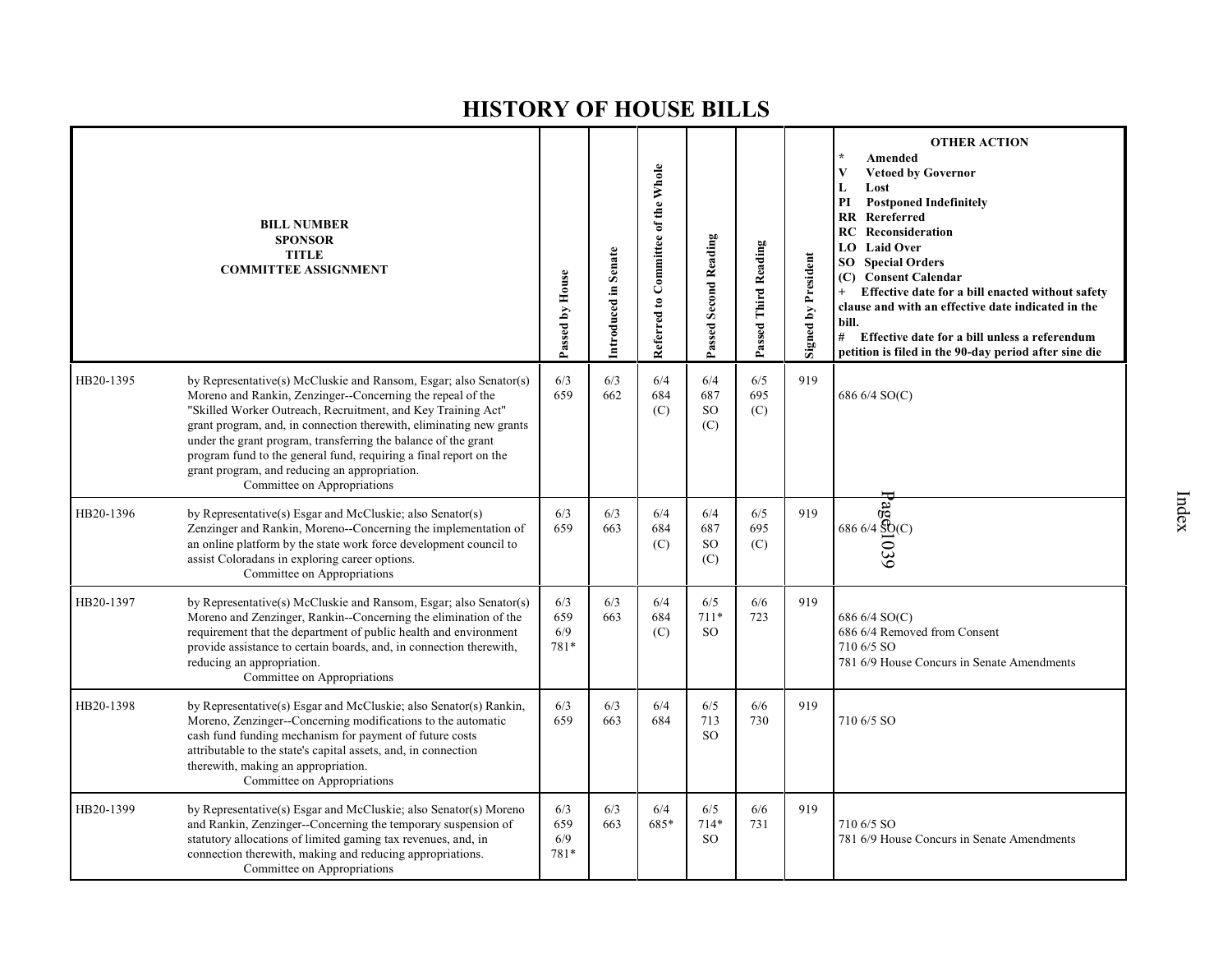|           | <b>BILL NUMBER</b><br><b>SPONSOR</b><br><b>TITLE</b><br><b>COMMITTEE ASSIGNMENT</b>                                                                                                                                                                                                                                                                                                                                                                                                           | Passed by House           | Introduced in Senate | Referred to Committee of the Whole | Passed Second Reading                | Passed Third Reading | <b>Signed by President</b> | <b>OTHER ACTION</b><br>Amended<br>V<br><b>Vetoed by Governor</b><br>L<br>Lost<br><b>Postponed Indefinitely</b><br>PI<br><b>RR</b> Rereferred<br>Reconsideration<br>RC.<br><b>LO</b> Laid Over<br><b>SO</b> Special Orders<br>(C) Consent Calendar<br>Effective date for a bill enacted without safety<br>clause and with an effective date indicated in the<br>bill.<br>#<br>Effective date for a bill unless a referendum<br>petition is filed in the 90-day period after sine die |
|-----------|-----------------------------------------------------------------------------------------------------------------------------------------------------------------------------------------------------------------------------------------------------------------------------------------------------------------------------------------------------------------------------------------------------------------------------------------------------------------------------------------------|---------------------------|----------------------|------------------------------------|--------------------------------------|----------------------|----------------------------|-------------------------------------------------------------------------------------------------------------------------------------------------------------------------------------------------------------------------------------------------------------------------------------------------------------------------------------------------------------------------------------------------------------------------------------------------------------------------------------|
| HB20-1395 | by Representative(s) McCluskie and Ransom, Esgar; also Senator(s)<br>Moreno and Rankin, Zenzinger--Concerning the repeal of the<br>"Skilled Worker Outreach, Recruitment, and Key Training Act"<br>grant program, and, in connection therewith, eliminating new grants<br>under the grant program, transferring the balance of the grant<br>program fund to the general fund, requiring a final report on the<br>grant program, and reducing an appropriation.<br>Committee on Appropriations | 6/3<br>659                | 6/3<br>662           | 6/4<br>684<br>(C)                  | 6/4<br>687<br>SO <sub>1</sub><br>(C) | 6/5<br>695<br>(C)    | 919                        | 686 6/4 SO(C)                                                                                                                                                                                                                                                                                                                                                                                                                                                                       |
| HB20-1396 | by Representative(s) Esgar and McCluskie; also Senator(s)<br>Zenzinger and Rankin, Moreno-Concerning the implementation of<br>an online platform by the state work force development council to<br>assist Coloradans in exploring career options.<br>Committee on Appropriations                                                                                                                                                                                                              | 6/3<br>659                | 6/3<br>663           | 6/4<br>684<br>(C)                  | 6/4<br>687<br><b>SO</b><br>(C)       | 6/5<br>695<br>(C)    | 919                        | Page51039<br>Page51039<br>89                                                                                                                                                                                                                                                                                                                                                                                                                                                        |
| HB20-1397 | by Representative(s) McCluskie and Ransom, Esgar; also Senator(s)<br>Moreno and Zenzinger, Rankin--Concerning the elimination of the<br>requirement that the department of public health and environment<br>provide assistance to certain boards, and, in connection therewith,<br>reducing an appropriation.<br>Committee on Appropriations                                                                                                                                                  | 6/3<br>659<br>6/9<br>781* | 6/3<br>663           | 6/4<br>684<br>(C)                  | 6/5<br>$711*$<br>SO.                 | 6/6<br>723           | 919                        | 686 6/4 SO(C)<br>686 6/4 Removed from Consent<br>710 6/5 SO<br>781 6/9 House Concurs in Senate Amendments                                                                                                                                                                                                                                                                                                                                                                           |
| HB20-1398 | by Representative(s) Esgar and McCluskie; also Senator(s) Rankin,<br>Moreno, Zenzinger--Concerning modifications to the automatic<br>cash fund funding mechanism for payment of future costs<br>attributable to the state's capital assets, and, in connection<br>therewith, making an appropriation.<br>Committee on Appropriations                                                                                                                                                          | 6/3<br>659                | 6/3<br>663           | 6/4<br>684                         | 6/5<br>713<br><b>SO</b>              | 6/6<br>730           | 919                        | 710 6/5 SO                                                                                                                                                                                                                                                                                                                                                                                                                                                                          |
| HB20-1399 | by Representative(s) Esgar and McCluskie; also Senator(s) Moreno<br>and Rankin, Zenzinger--Concerning the temporary suspension of<br>statutory allocations of limited gaming tax revenues, and, in<br>connection therewith, making and reducing appropriations.<br>Committee on Appropriations                                                                                                                                                                                                | 6/3<br>659<br>6/9<br>781* | 6/3<br>663           | 6/4<br>685*                        | 6/5<br>$714*$<br><sub>SO</sub>       | 6/6<br>731           | 919                        | 710 6/5 SO<br>781 6/9 House Concurs in Senate Amendments                                                                                                                                                                                                                                                                                                                                                                                                                            |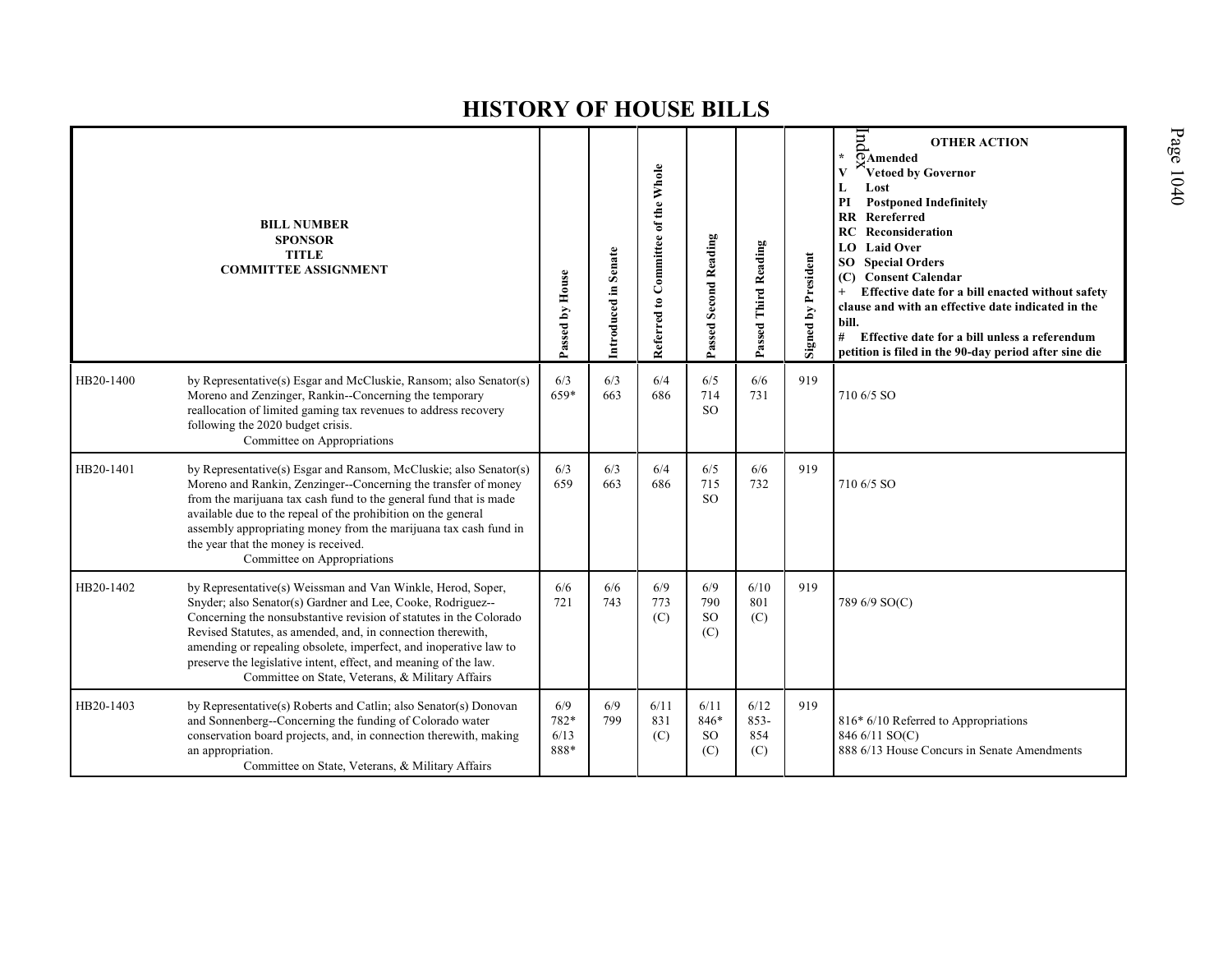|           | <b>BILL NUMBER</b><br><b>SPONSOR</b><br><b>TITLE</b><br><b>COMMITTEE ASSIGNMENT</b>                                                                                                                                                                                                                                                                                                                                                                          | Passed by House             | Introduced in Senate | Referred to Committee of the Whole | Passed Second Reading              | Passed Third Reading          | Signed by President | Ind<br><b>OTHER ACTION</b><br>$\star$<br>OAmended<br>Vetoed by Governor<br>Lost<br>L<br>PI<br><b>Postponed Indefinitely</b><br><b>RR</b> Rereferred<br><b>RC</b> Reconsideration<br><b>LO</b> Laid Over<br><b>Special Orders</b><br>SO -<br><b>Consent Calendar</b><br>(C)<br>Effective date for a bill enacted without safety<br>$+$<br>clause and with an effective date indicated in the<br>bill.<br>#<br>Effective date for a bill unless a referendum<br>petition is filed in the 90-day period after sine die |
|-----------|--------------------------------------------------------------------------------------------------------------------------------------------------------------------------------------------------------------------------------------------------------------------------------------------------------------------------------------------------------------------------------------------------------------------------------------------------------------|-----------------------------|----------------------|------------------------------------|------------------------------------|-------------------------------|---------------------|---------------------------------------------------------------------------------------------------------------------------------------------------------------------------------------------------------------------------------------------------------------------------------------------------------------------------------------------------------------------------------------------------------------------------------------------------------------------------------------------------------------------|
| HB20-1400 | by Representative(s) Esgar and McCluskie, Ransom; also Senator(s)<br>Moreno and Zenzinger, Rankin--Concerning the temporary<br>reallocation of limited gaming tax revenues to address recovery<br>following the 2020 budget crisis.<br>Committee on Appropriations                                                                                                                                                                                           | 6/3<br>659*                 | 6/3<br>663           | 6/4<br>686                         | 6/5<br>714<br><sub>SO</sub>        | 6/6<br>731                    | 919                 | 710 6/5 SO                                                                                                                                                                                                                                                                                                                                                                                                                                                                                                          |
| HB20-1401 | by Representative(s) Esgar and Ransom, McCluskie; also Senator(s)<br>Moreno and Rankin, Zenzinger--Concerning the transfer of money<br>from the marijuana tax cash fund to the general fund that is made<br>available due to the repeal of the prohibition on the general<br>assembly appropriating money from the marijuana tax cash fund in<br>the year that the money is received.<br>Committee on Appropriations                                         | 6/3<br>659                  | 6/3<br>663           | 6/4<br>686                         | 6/5<br>715<br><sub>SO</sub>        | 6/6<br>732                    | 919                 | 710 6/5 SO                                                                                                                                                                                                                                                                                                                                                                                                                                                                                                          |
| HB20-1402 | by Representative(s) Weissman and Van Winkle, Herod, Soper,<br>Snyder; also Senator(s) Gardner and Lee, Cooke, Rodriguez--<br>Concerning the nonsubstantive revision of statutes in the Colorado<br>Revised Statutes, as amended, and, in connection therewith,<br>amending or repealing obsolete, imperfect, and inoperative law to<br>preserve the legislative intent, effect, and meaning of the law.<br>Committee on State, Veterans, & Military Affairs | 6/6<br>721                  | 6/6<br>743           | 6/9<br>773<br>(C)                  | 6/9<br>790<br><sub>SO</sub><br>(C) | 6/10<br>801<br>(C)            | 919                 | 789 6/9 SO(C)                                                                                                                                                                                                                                                                                                                                                                                                                                                                                                       |
| HB20-1403 | by Representative(s) Roberts and Catlin; also Senator(s) Donovan<br>and Sonnenberg--Concerning the funding of Colorado water<br>conservation board projects, and, in connection therewith, making<br>an appropriation.<br>Committee on State, Veterans, & Military Affairs                                                                                                                                                                                   | 6/9<br>782*<br>6/13<br>888* | 6/9<br>799           | 6/11<br>831<br>(C)                 | 6/11<br>846*<br><b>SO</b><br>(C)   | 6/12<br>$853 -$<br>854<br>(C) | 919                 | 816* 6/10 Referred to Appropriations<br>846 6/11 SO(C)<br>888 6/13 House Concurs in Senate Amendments                                                                                                                                                                                                                                                                                                                                                                                                               |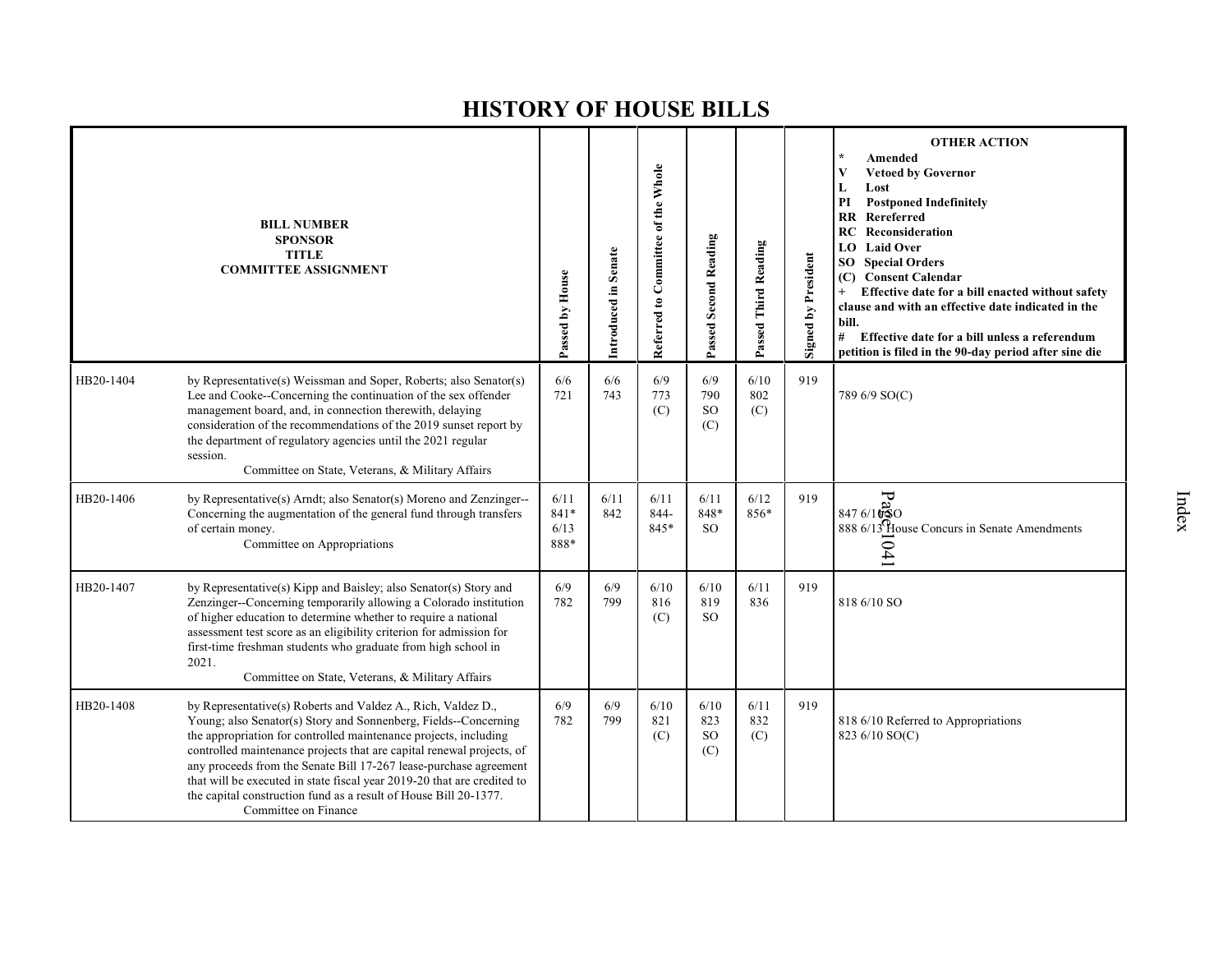|           | <b>BILL NUMBER</b><br><b>SPONSOR</b><br><b>TITLE</b><br><b>COMMITTEE ASSIGNMENT</b>                                                                                                                                                                                                                                                                                                                                                                                                                                      | Passed by House              | Introduced in Senate | Referred to Committee of the Whole | <b>Passed Second Reading</b>        | Passed Third Reading | <b>Signed by President</b> | <b>OTHER ACTION</b><br>Amended<br><b>Vetoed by Governor</b><br>V<br>Lost<br>L<br><b>Postponed Indefinitely</b><br>PI<br>Rereferred<br><b>RR</b><br>Reconsideration<br>RC<br>LO<br><b>Laid Over</b><br><b>Special Orders</b><br>SO<br>(C) Consent Calendar<br>Effective date for a bill enacted without safety<br>clause and with an effective date indicated in the<br>bill.<br>#<br>Effective date for a bill unless a referendum<br>petition is filed in the 90-day period after sine die |
|-----------|--------------------------------------------------------------------------------------------------------------------------------------------------------------------------------------------------------------------------------------------------------------------------------------------------------------------------------------------------------------------------------------------------------------------------------------------------------------------------------------------------------------------------|------------------------------|----------------------|------------------------------------|-------------------------------------|----------------------|----------------------------|---------------------------------------------------------------------------------------------------------------------------------------------------------------------------------------------------------------------------------------------------------------------------------------------------------------------------------------------------------------------------------------------------------------------------------------------------------------------------------------------|
| HB20-1404 | by Representative(s) Weissman and Soper, Roberts; also Senator(s)<br>Lee and Cooke--Concerning the continuation of the sex offender<br>management board, and, in connection therewith, delaying<br>consideration of the recommendations of the 2019 sunset report by<br>the department of regulatory agencies until the 2021 regular<br>session.<br>Committee on State, Veterans, & Military Affairs                                                                                                                     | 6/6<br>721                   | 6/6<br>743           | 6/9<br>773<br>(C)                  | 6/9<br>790<br><b>SO</b><br>(C)      | 6/10<br>802<br>(C)   | 919                        | 789 6/9 SO(C)                                                                                                                                                                                                                                                                                                                                                                                                                                                                               |
| HB20-1406 | by Representative(s) Arndt; also Senator(s) Moreno and Zenzinger--<br>Concerning the augmentation of the general fund through transfers<br>of certain money.<br>Committee on Appropriations                                                                                                                                                                                                                                                                                                                              | 6/11<br>841*<br>6/13<br>888* | 6/11<br>842          | 6/11<br>844-<br>845*               | 6/11<br>848*<br>SO <sub>2</sub>     | 6/12<br>856*         | 919                        | $\frac{5}{20}$<br>0 2010 138<br>888 6/13 House Concurs in Senate Amendments<br>041                                                                                                                                                                                                                                                                                                                                                                                                          |
| HB20-1407 | by Representative(s) Kipp and Baisley; also Senator(s) Story and<br>Zenzinger--Concerning temporarily allowing a Colorado institution<br>of higher education to determine whether to require a national<br>assessment test score as an eligibility criterion for admission for<br>first-time freshman students who graduate from high school in<br>2021.<br>Committee on State, Veterans, & Military Affairs                                                                                                             | 6/9<br>782                   | 6/9<br>799           | 6/10<br>816<br>(C)                 | 6/10<br>819<br><sub>SO</sub>        | 6/11<br>836          | 919                        | 818 6/10 SO                                                                                                                                                                                                                                                                                                                                                                                                                                                                                 |
| HB20-1408 | by Representative(s) Roberts and Valdez A., Rich, Valdez D.,<br>Young; also Senator(s) Story and Sonnenberg, Fields--Concerning<br>the appropriation for controlled maintenance projects, including<br>controlled maintenance projects that are capital renewal projects, of<br>any proceeds from the Senate Bill 17-267 lease-purchase agreement<br>that will be executed in state fiscal year 2019-20 that are credited to<br>the capital construction fund as a result of House Bill 20-1377.<br>Committee on Finance | 6/9<br>782                   | 6/9<br>799           | 6/10<br>821<br>(C)                 | 6/10<br>823<br><sub>SO</sub><br>(C) | 6/11<br>832<br>(C)   | 919                        | 818 6/10 Referred to Appropriations<br>823 6/10 SO(C)                                                                                                                                                                                                                                                                                                                                                                                                                                       |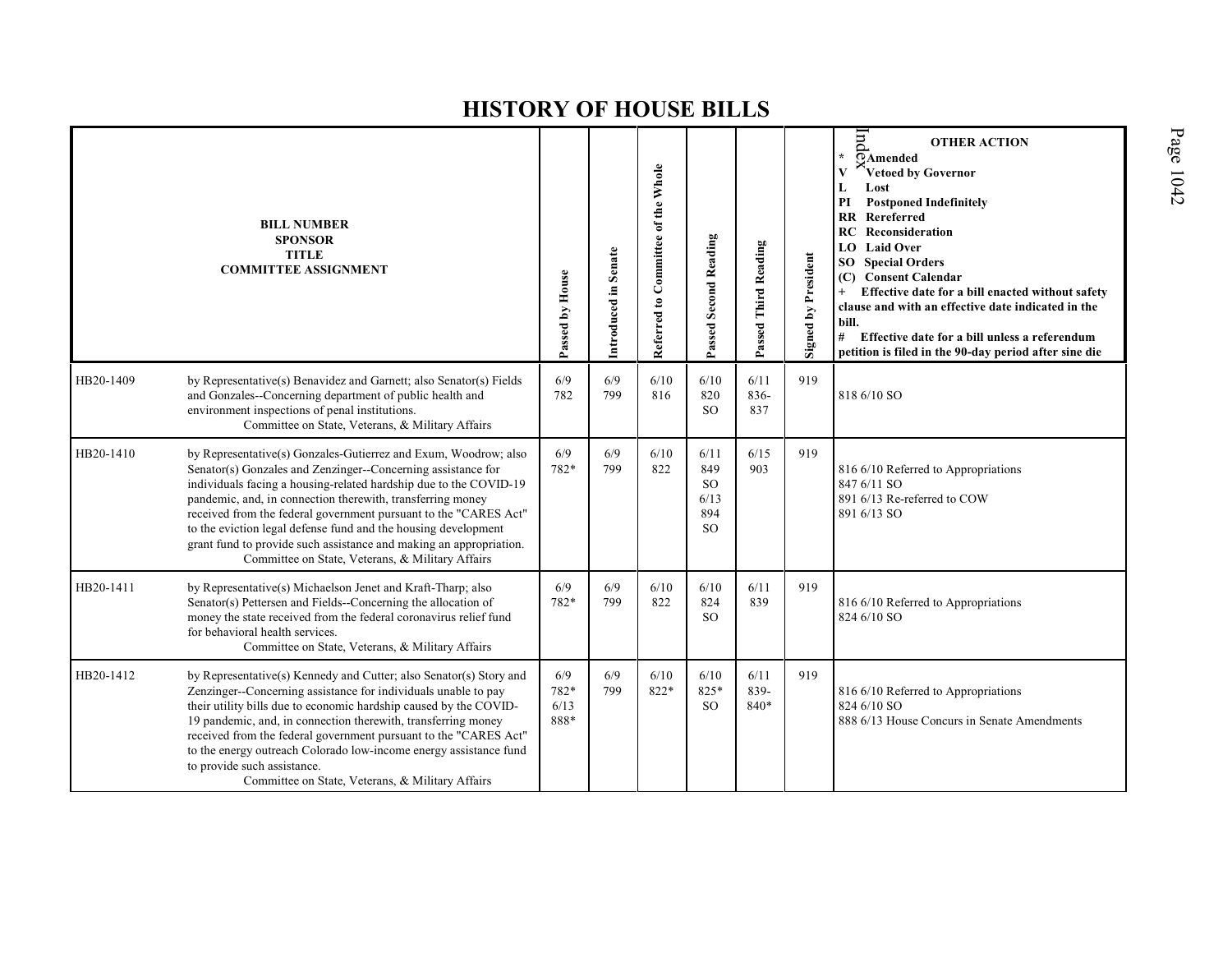|           | <b>BILL NUMBER</b><br><b>SPONSOR</b><br><b>TITLE</b><br><b>COMMITTEE ASSIGNMENT</b>                                                                                                                                                                                                                                                                                                                                                                                                                                                | Passed by House             | Introduced in Senate | Referred to Committee of the Whole | Passed Second Reading                                        | Passed Third Reading | <b>Signed by President</b> | $\ln d$<br><b>OTHER ACTION</b><br>$\star$<br>OAmended<br>Vetoed by Governor<br>Lost<br>L<br><b>Postponed Indefinitely</b><br>PI<br><b>RR</b> Rereferred<br><b>RC</b> Reconsideration<br><b>Laid Over</b><br>LO<br><b>Special Orders</b><br>SO -<br>(C) Consent Calendar<br>Effective date for a bill enacted without safety<br>clause and with an effective date indicated in the<br>bill.<br>#<br>Effective date for a bill unless a referendum<br>petition is filed in the 90-day period after sine die |
|-----------|------------------------------------------------------------------------------------------------------------------------------------------------------------------------------------------------------------------------------------------------------------------------------------------------------------------------------------------------------------------------------------------------------------------------------------------------------------------------------------------------------------------------------------|-----------------------------|----------------------|------------------------------------|--------------------------------------------------------------|----------------------|----------------------------|-----------------------------------------------------------------------------------------------------------------------------------------------------------------------------------------------------------------------------------------------------------------------------------------------------------------------------------------------------------------------------------------------------------------------------------------------------------------------------------------------------------|
| HB20-1409 | by Representative(s) Benavidez and Garnett; also Senator(s) Fields<br>and Gonzales--Concerning department of public health and<br>environment inspections of penal institutions.<br>Committee on State, Veterans, & Military Affairs                                                                                                                                                                                                                                                                                               | 6/9<br>782                  | 6/9<br>799           | 6/10<br>816                        | 6/10<br>820<br><sub>SO</sub>                                 | 6/11<br>836-<br>837  | 919                        | 818 6/10 SO                                                                                                                                                                                                                                                                                                                                                                                                                                                                                               |
| HB20-1410 | by Representative(s) Gonzales-Gutierrez and Exum, Woodrow; also<br>Senator(s) Gonzales and Zenzinger--Concerning assistance for<br>individuals facing a housing-related hardship due to the COVID-19<br>pandemic, and, in connection therewith, transferring money<br>received from the federal government pursuant to the "CARES Act"<br>to the eviction legal defense fund and the housing development<br>grant fund to provide such assistance and making an appropriation.<br>Committee on State, Veterans, & Military Affairs | 6/9<br>782*                 | 6/9<br>799           | 6/10<br>822                        | 6/11<br>849<br><sub>SO</sub><br>6/13<br>894<br><sub>SO</sub> | 6/15<br>903          | 919                        | 816 6/10 Referred to Appropriations<br>847 6/11 SO<br>891 6/13 Re-referred to COW<br>891 6/13 SO                                                                                                                                                                                                                                                                                                                                                                                                          |
| HB20-1411 | by Representative(s) Michaelson Jenet and Kraft-Tharp; also<br>Senator(s) Pettersen and Fields--Concerning the allocation of<br>money the state received from the federal coronavirus relief fund<br>for behavioral health services.<br>Committee on State, Veterans, & Military Affairs                                                                                                                                                                                                                                           | 6/9<br>782*                 | 6/9<br>799           | 6/10<br>822                        | 6/10<br>824<br><sub>SO</sub>                                 | 6/11<br>839          | 919                        | 816 6/10 Referred to Appropriations<br>824 6/10 SO                                                                                                                                                                                                                                                                                                                                                                                                                                                        |
| HB20-1412 | by Representative(s) Kennedy and Cutter; also Senator(s) Story and<br>Zenzinger--Concerning assistance for individuals unable to pay<br>their utility bills due to economic hardship caused by the COVID-<br>19 pandemic, and, in connection therewith, transferring money<br>received from the federal government pursuant to the "CARES Act"<br>to the energy outreach Colorado low-income energy assistance fund<br>to provide such assistance.<br>Committee on State, Veterans, & Military Affairs                             | 6/9<br>782*<br>6/13<br>888* | 6/9<br>799           | 6/10<br>822*                       | 6/10<br>825*<br><sub>SO</sub>                                | 6/11<br>839-<br>840* | 919                        | 816 6/10 Referred to Appropriations<br>824 6/10 SO<br>888 6/13 House Concurs in Senate Amendments                                                                                                                                                                                                                                                                                                                                                                                                         |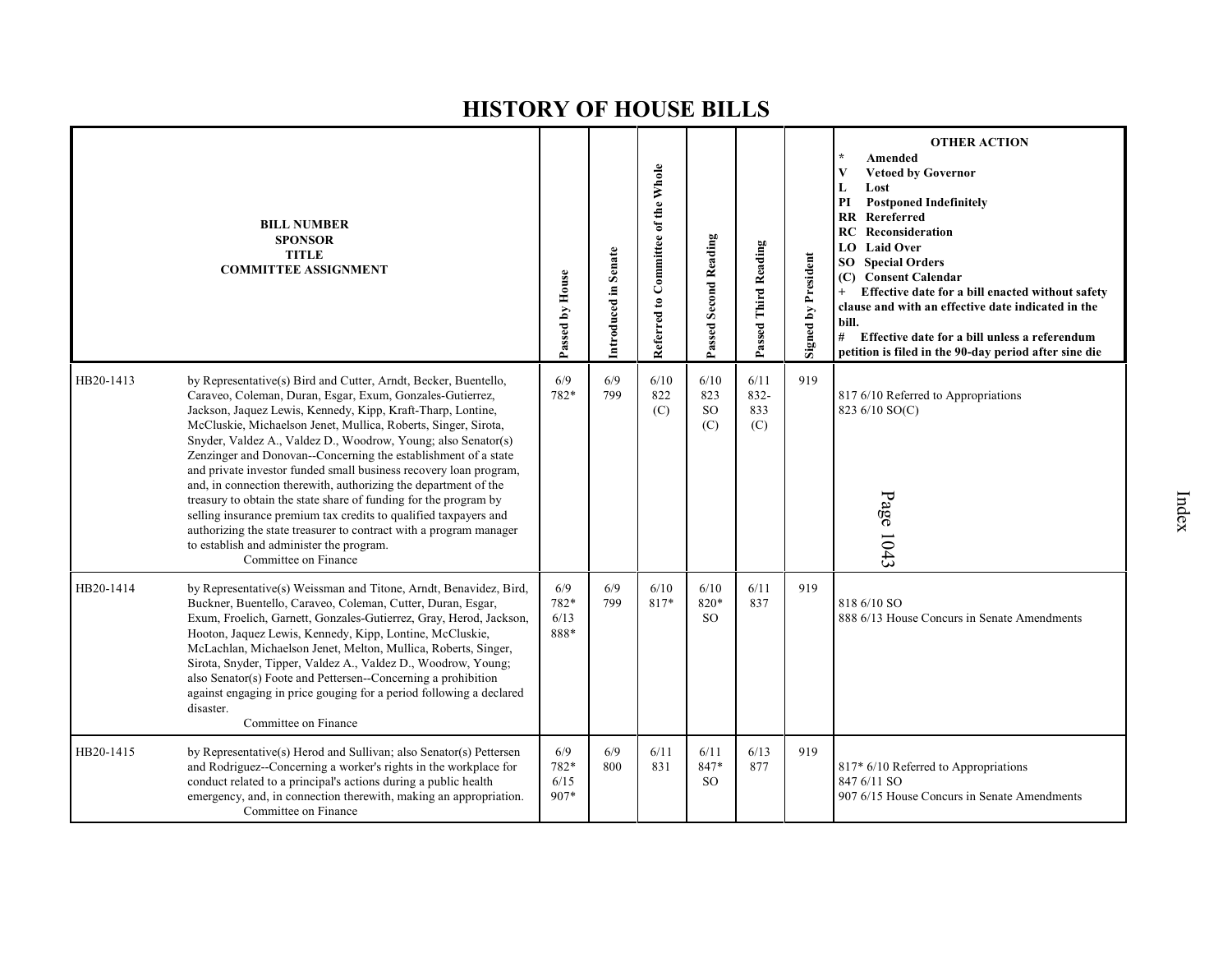|           | <b>BILL NUMBER</b><br><b>SPONSOR</b><br><b>TITLE</b><br><b>COMMITTEE ASSIGNMENT</b>                                                                                                                                                                                                                                                                                                                                                                                                                                                                                                                                                                                                                                                                                                                                        | Passed by House             | Introduced in Senate | Referred to Committee of the Whole | Passed Second Reading           | Passed Third Reading       | <b>Signed by President</b> | <b>OTHER ACTION</b><br>$\star$<br>Amended<br>V<br><b>Vetoed by Governor</b><br>L<br>Lost<br>PI<br><b>Postponed Indefinitely</b><br><b>RR</b> Rereferred<br>Reconsideration<br>RC<br><b>LO</b> Laid Over<br>SO.<br><b>Special Orders</b><br>(C) Consent Calendar<br>Effective date for a bill enacted without safety<br>$^{+}$<br>clause and with an effective date indicated in the<br>bill.<br>#<br>Effective date for a bill unless a referendum<br>petition is filed in the 90-day period after sine die |
|-----------|----------------------------------------------------------------------------------------------------------------------------------------------------------------------------------------------------------------------------------------------------------------------------------------------------------------------------------------------------------------------------------------------------------------------------------------------------------------------------------------------------------------------------------------------------------------------------------------------------------------------------------------------------------------------------------------------------------------------------------------------------------------------------------------------------------------------------|-----------------------------|----------------------|------------------------------------|---------------------------------|----------------------------|----------------------------|-------------------------------------------------------------------------------------------------------------------------------------------------------------------------------------------------------------------------------------------------------------------------------------------------------------------------------------------------------------------------------------------------------------------------------------------------------------------------------------------------------------|
| HB20-1413 | by Representative(s) Bird and Cutter, Arndt, Becker, Buentello,<br>Caraveo, Coleman, Duran, Esgar, Exum, Gonzales-Gutierrez,<br>Jackson, Jaquez Lewis, Kennedy, Kipp, Kraft-Tharp, Lontine,<br>McCluskie, Michaelson Jenet, Mullica, Roberts, Singer, Sirota,<br>Snyder, Valdez A., Valdez D., Woodrow, Young; also Senator(s)<br>Zenzinger and Donovan--Concerning the establishment of a state<br>and private investor funded small business recovery loan program,<br>and, in connection therewith, authorizing the department of the<br>treasury to obtain the state share of funding for the program by<br>selling insurance premium tax credits to qualified taxpayers and<br>authorizing the state treasurer to contract with a program manager<br>to establish and administer the program.<br>Committee on Finance | 6/9<br>782*                 | 6/9<br>799           | 6/10<br>822<br>(C)                 | 6/10<br>823<br><b>SO</b><br>(C) | 6/11<br>832-<br>833<br>(C) | 919                        | 817 6/10 Referred to Appropriations<br>823 6/10 SO(C)<br>Page 1043                                                                                                                                                                                                                                                                                                                                                                                                                                          |
| HB20-1414 | by Representative(s) Weissman and Titone, Arndt, Benavidez, Bird,<br>Buckner, Buentello, Caraveo, Coleman, Cutter, Duran, Esgar,<br>Exum, Froelich, Garnett, Gonzales-Gutierrez, Gray, Herod, Jackson,<br>Hooton, Jaquez Lewis, Kennedy, Kipp, Lontine, McCluskie,<br>McLachlan, Michaelson Jenet, Melton, Mullica, Roberts, Singer,<br>Sirota, Snyder, Tipper, Valdez A., Valdez D., Woodrow, Young;<br>also Senator(s) Foote and Pettersen--Concerning a prohibition<br>against engaging in price gouging for a period following a declared<br>disaster.<br>Committee on Finance                                                                                                                                                                                                                                         | 6/9<br>782*<br>6/13<br>888* | 6/9<br>799           | 6/10<br>817*                       | 6/10<br>820*<br>SO.             | 6/11<br>837                | 919                        | 818 6/10 SO<br>888 6/13 House Concurs in Senate Amendments                                                                                                                                                                                                                                                                                                                                                                                                                                                  |
| HB20-1415 | by Representative(s) Herod and Sullivan; also Senator(s) Pettersen<br>and Rodriguez--Concerning a worker's rights in the workplace for<br>conduct related to a principal's actions during a public health<br>emergency, and, in connection therewith, making an appropriation.<br>Committee on Finance                                                                                                                                                                                                                                                                                                                                                                                                                                                                                                                     | 6/9<br>782*<br>6/15<br>907* | 6/9<br>800           | 6/11<br>831                        | 6/11<br>847*<br><sub>SO</sub>   | 6/13<br>877                | 919                        | 817* 6/10 Referred to Appropriations<br>847 6/11 SO<br>907 6/15 House Concurs in Senate Amendments                                                                                                                                                                                                                                                                                                                                                                                                          |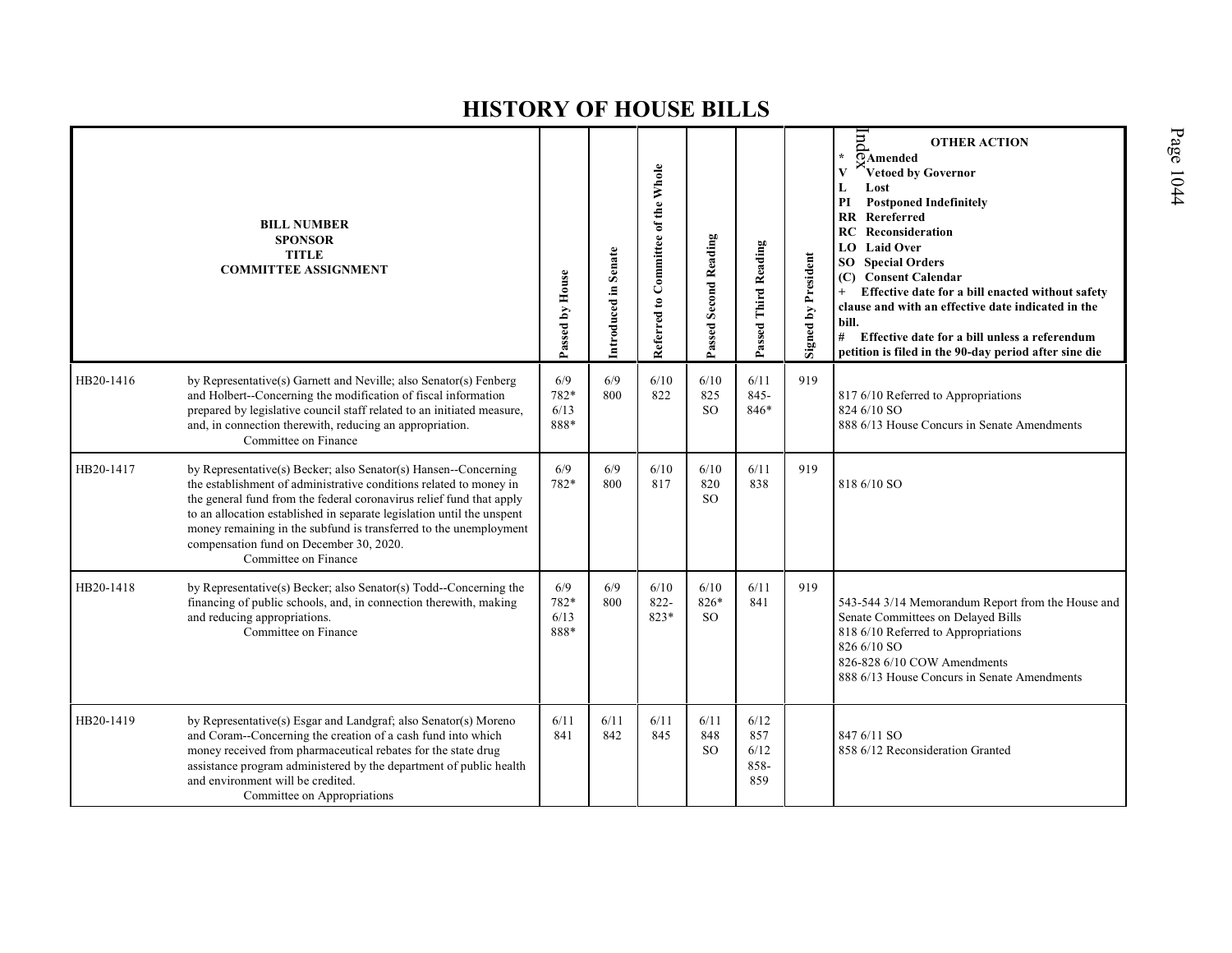|           | <b>BILL NUMBER</b><br><b>SPONSOR</b><br><b>TITLE</b><br><b>COMMITTEE ASSIGNMENT</b>                                                                                                                                                                                                                                                                                                                                             | Passed by House             | Introduced in Senate | Referred to Committee of the Whole | Passed Second Reading          | Passed Third Reading               | Signed by President | pu<br><b>OTHER ACTION</b><br>÷<br>$\overline{Q}$ Amended<br>Vetoed by Governor<br>V<br>Lost<br>L<br><b>Postponed Indefinitely</b><br>PI<br><b>RR</b> Rereferred<br><b>RC</b> Reconsideration<br><b>Laid Over</b><br>LO.<br><b>SO</b> Special Orders<br><b>Consent Calendar</b><br>(C)<br>Effective date for a bill enacted without safety<br>$+$<br>clause and with an effective date indicated in the<br>bill.<br># Effective date for a bill unless a referendum<br>petition is filed in the 90-day period after sine die |
|-----------|---------------------------------------------------------------------------------------------------------------------------------------------------------------------------------------------------------------------------------------------------------------------------------------------------------------------------------------------------------------------------------------------------------------------------------|-----------------------------|----------------------|------------------------------------|--------------------------------|------------------------------------|---------------------|-----------------------------------------------------------------------------------------------------------------------------------------------------------------------------------------------------------------------------------------------------------------------------------------------------------------------------------------------------------------------------------------------------------------------------------------------------------------------------------------------------------------------------|
| HB20-1416 | by Representative(s) Garnett and Neville; also Senator(s) Fenberg<br>and Holbert--Concerning the modification of fiscal information<br>prepared by legislative council staff related to an initiated measure,<br>and, in connection therewith, reducing an appropriation.<br>Committee on Finance                                                                                                                               | 6/9<br>782*<br>6/13<br>888* | 6/9<br>800           | 6/10<br>822                        | 6/10<br>825<br>SO <sub>2</sub> | 6/11<br>$845 -$<br>846*            | 919                 | 817 6/10 Referred to Appropriations<br>824 6/10 SO<br>888 6/13 House Concurs in Senate Amendments                                                                                                                                                                                                                                                                                                                                                                                                                           |
| HB20-1417 | by Representative(s) Becker; also Senator(s) Hansen--Concerning<br>the establishment of administrative conditions related to money in<br>the general fund from the federal coronavirus relief fund that apply<br>to an allocation established in separate legislation until the unspent<br>money remaining in the subfund is transferred to the unemployment<br>compensation fund on December 30, 2020.<br>Committee on Finance | 6/9<br>782*                 | 6/9<br>800           | 6/10<br>817                        | 6/10<br>820<br>SO <sub>2</sub> | 6/11<br>838                        | 919                 | 818 6/10 SO                                                                                                                                                                                                                                                                                                                                                                                                                                                                                                                 |
| HB20-1418 | by Representative(s) Becker; also Senator(s) Todd--Concerning the<br>financing of public schools, and, in connection therewith, making<br>and reducing appropriations.<br>Committee on Finance                                                                                                                                                                                                                                  | 6/9<br>782*<br>6/13<br>888* | 6/9<br>800           | 6/10<br>$822 -$<br>823*            | 6/10<br>826*<br><sub>SO</sub>  | 6/11<br>841                        | 919                 | 543-544 3/14 Memorandum Report from the House and<br>Senate Committees on Delayed Bills<br>818 6/10 Referred to Appropriations<br>826 6/10 SO<br>826-828 6/10 COW Amendments<br>888 6/13 House Concurs in Senate Amendments                                                                                                                                                                                                                                                                                                 |
| HB20-1419 | by Representative(s) Esgar and Landgraf; also Senator(s) Moreno<br>and Coram--Concerning the creation of a cash fund into which<br>money received from pharmaceutical rebates for the state drug<br>assistance program administered by the department of public health<br>and environment will be credited.<br>Committee on Appropriations                                                                                      | 6/11<br>841                 | 6/11<br>842          | 6/11<br>845                        | 6/11<br>848<br><sub>SO</sub>   | 6/12<br>857<br>6/12<br>858-<br>859 |                     | 847 6/11 SO<br>858 6/12 Reconsideration Granted                                                                                                                                                                                                                                                                                                                                                                                                                                                                             |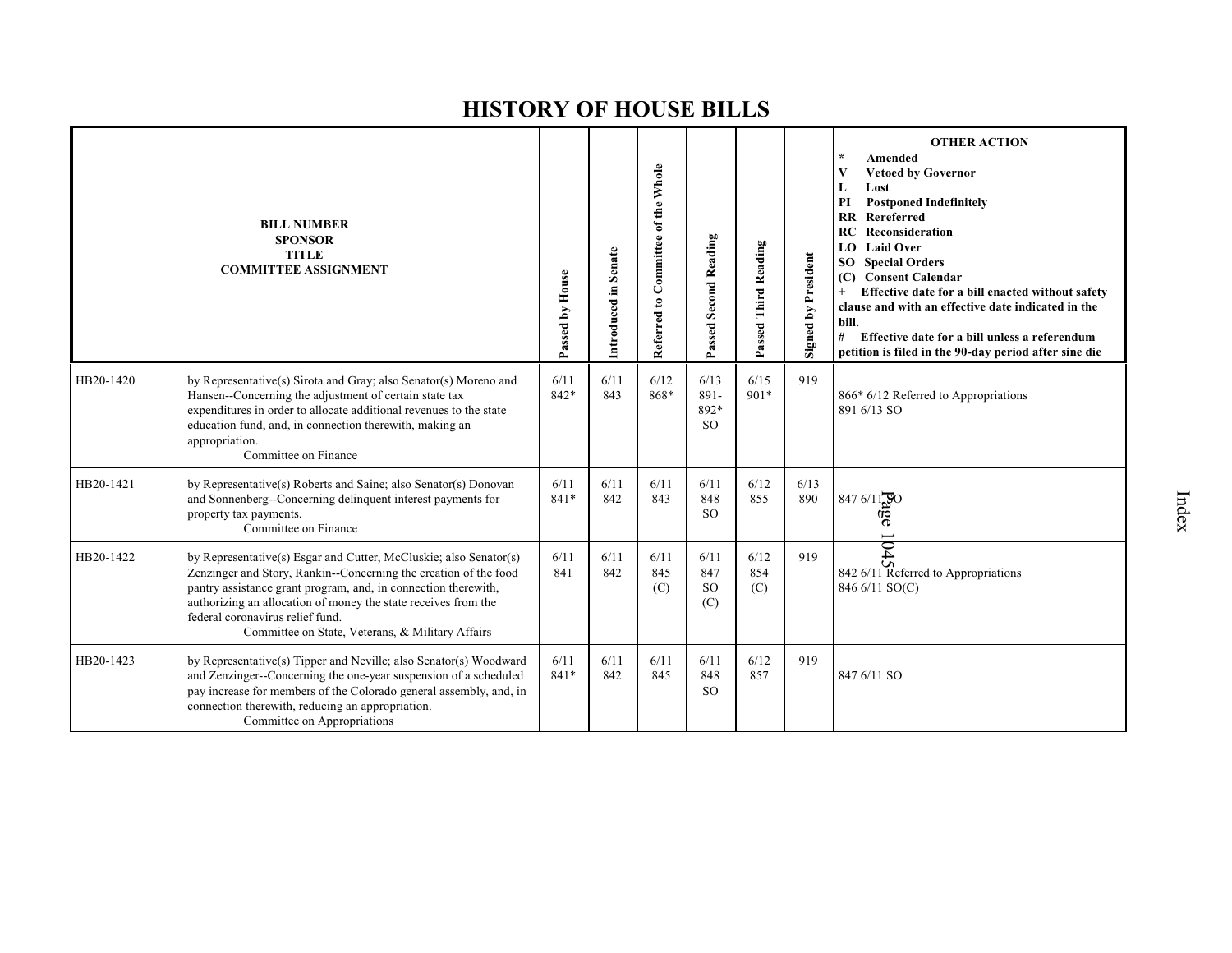|           | <b>BILL NUMBER</b><br><b>SPONSOR</b><br><b>TITLE</b><br><b>COMMITTEE ASSIGNMENT</b>                                                                                                                                                                                                                                                                               | Passed by House | Introduced in Senate | Referred to Committee of the Whole | Passed Second Reading             | Passed Third Reading | <b>Signed by President</b> | <b>OTHER ACTION</b><br>Amended<br><b>Vetoed by Governor</b><br>V<br>L<br>Lost<br>PI<br><b>Postponed Indefinitely</b><br>Rereferred<br>$\mathbf{R}$<br>RC.<br>Reconsideration<br><b>Laid Over</b><br>LO.<br><b>SO</b> Special Orders<br><b>Consent Calendar</b><br>(C)<br>$^{+}$<br>Effective date for a bill enacted without safety<br>clause and with an effective date indicated in the<br>bill.<br>#<br>Effective date for a bill unless a referendum<br>petition is filed in the 90-day period after sine die |
|-----------|-------------------------------------------------------------------------------------------------------------------------------------------------------------------------------------------------------------------------------------------------------------------------------------------------------------------------------------------------------------------|-----------------|----------------------|------------------------------------|-----------------------------------|----------------------|----------------------------|-------------------------------------------------------------------------------------------------------------------------------------------------------------------------------------------------------------------------------------------------------------------------------------------------------------------------------------------------------------------------------------------------------------------------------------------------------------------------------------------------------------------|
| HB20-1420 | by Representative(s) Sirota and Gray; also Senator(s) Moreno and<br>Hansen--Concerning the adjustment of certain state tax<br>expenditures in order to allocate additional revenues to the state<br>education fund, and, in connection therewith, making an<br>appropriation.<br>Committee on Finance                                                             | 6/11<br>842*    | 6/11<br>843          | 6/12<br>868*                       | 6/13<br>891-<br>892*<br><b>SO</b> | 6/15<br>$901*$       | 919                        | 866* 6/12 Referred to Appropriations<br>891 6/13 SO                                                                                                                                                                                                                                                                                                                                                                                                                                                               |
| HB20-1421 | by Representative(s) Roberts and Saine; also Senator(s) Donovan<br>and Sonnenberg--Concerning delinquent interest payments for<br>property tax payments.<br>Committee on Finance                                                                                                                                                                                  | 6/11<br>841*    | 6/11<br>842          | 6/11<br>843                        | 6/11<br>848<br><sub>SO</sub>      | 6/12<br>855          | 6/13<br>890                | 8476/1150                                                                                                                                                                                                                                                                                                                                                                                                                                                                                                         |
| HB20-1422 | by Representative(s) Esgar and Cutter, McCluskie; also Senator(s)<br>Zenzinger and Story, Rankin--Concerning the creation of the food<br>pantry assistance grant program, and, in connection therewith,<br>authorizing an allocation of money the state receives from the<br>federal coronavirus relief fund.<br>Committee on State, Veterans, & Military Affairs | 6/11<br>841     | 6/11<br>842          | 6/11<br>845<br>(C)                 | 6/11<br>847<br><b>SO</b><br>(C)   | 6/12<br>854<br>(C)   | 919                        | $\overline{\mathcal{C}}$<br>842 6/11 Referred to Appropriations<br>846 6/11 SO(C)                                                                                                                                                                                                                                                                                                                                                                                                                                 |
| HB20-1423 | by Representative(s) Tipper and Neville; also Senator(s) Woodward<br>and Zenzinger--Concerning the one-year suspension of a scheduled<br>pay increase for members of the Colorado general assembly, and, in<br>connection therewith, reducing an appropriation.<br>Committee on Appropriations                                                                    | 6/11<br>$841*$  | 6/11<br>842          | 6/11<br>845                        | 6/11<br>848<br><sub>SO</sub>      | 6/12<br>857          | 919                        | 847 6/11 SO                                                                                                                                                                                                                                                                                                                                                                                                                                                                                                       |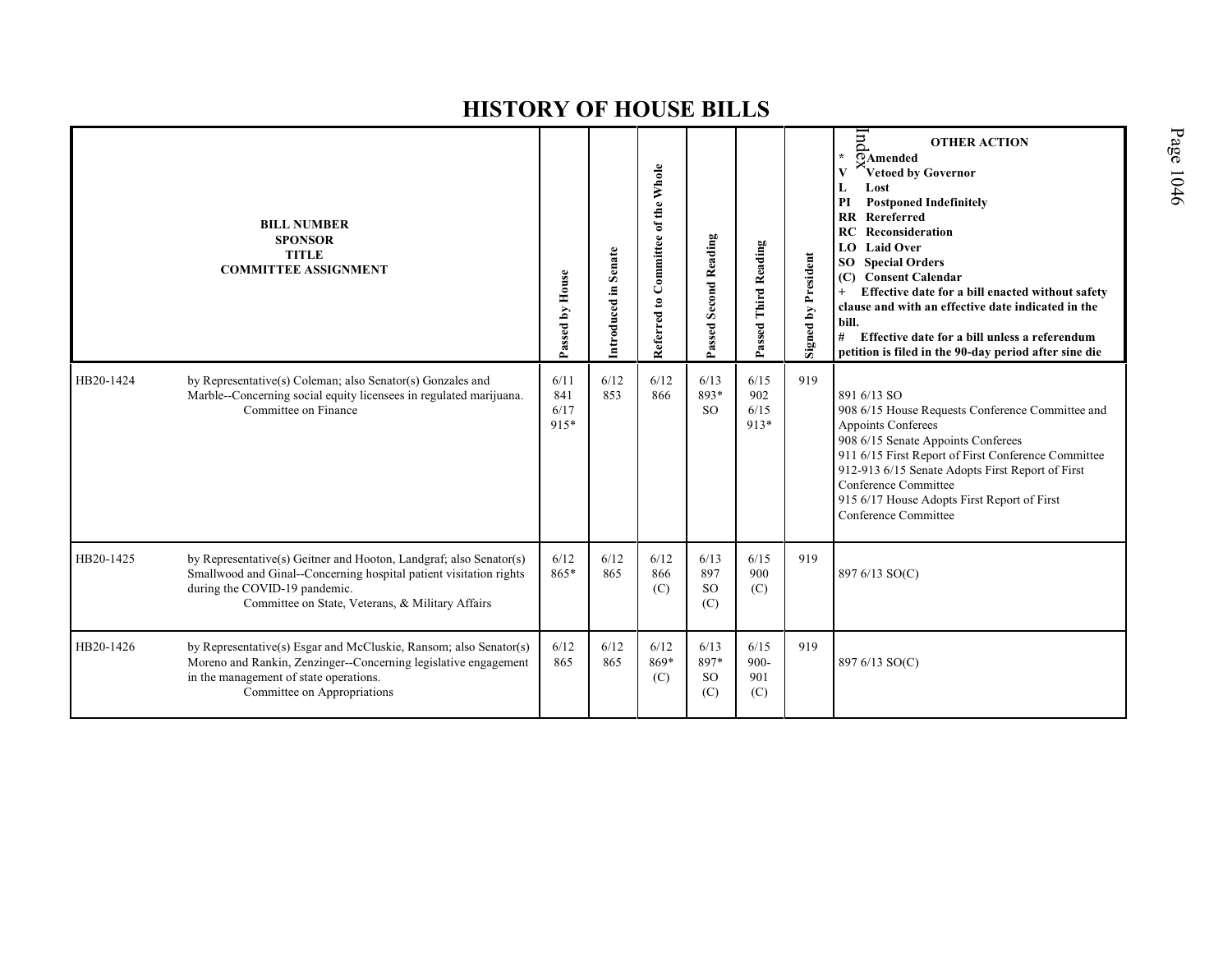|           | <b>BILL NUMBER</b><br><b>SPONSOR</b><br><b>TITLE</b><br><b>COMMITTEE ASSIGNMENT</b>                                                                                                                                           | Passed by House             | Introduced in Senate | Referred to Committee of the Whole | Passed Second Reading            | Passed Third Reading          | Signed by President | pur<br><b>OTHER ACTION</b><br>$\star$<br>$\overline{O}$ Amended<br>Vetoed by Governor<br>$\mathbf{V}$<br>Lost<br>L<br>$\mathbf{PI}$<br><b>Postponed Indefinitely</b><br>Rereferred<br>$\overline{\mathbf{R}}$<br>RC<br>Reconsideration<br><b>Laid Over</b><br>LO.<br><b>Special Orders</b><br>SO <sub>1</sub><br><b>Consent Calendar</b><br>(C)<br>Effective date for a bill enacted without safety<br>clause and with an effective date indicated in the<br>bill.<br>#<br>Effective date for a bill unless a referendum<br>petition is filed in the 90-day period after sine die |
|-----------|-------------------------------------------------------------------------------------------------------------------------------------------------------------------------------------------------------------------------------|-----------------------------|----------------------|------------------------------------|----------------------------------|-------------------------------|---------------------|-----------------------------------------------------------------------------------------------------------------------------------------------------------------------------------------------------------------------------------------------------------------------------------------------------------------------------------------------------------------------------------------------------------------------------------------------------------------------------------------------------------------------------------------------------------------------------------|
| HB20-1424 | by Representative(s) Coleman; also Senator(s) Gonzales and<br>Marble--Concerning social equity licensees in regulated marijuana.<br>Committee on Finance                                                                      | 6/11<br>841<br>6/17<br>915* | 6/12<br>853          | 6/12<br>866                        | 6/13<br>893*<br>SO.              | 6/15<br>902<br>6/15<br>913*   | 919                 | 891 6/13 SO<br>908 6/15 House Requests Conference Committee and<br>Appoints Conferees<br>908 6/15 Senate Appoints Conferees<br>911 6/15 First Report of First Conference Committee<br>912-913 6/15 Senate Adopts First Report of First<br>Conference Committee<br>915 6/17 House Adopts First Report of First<br>Conference Committee                                                                                                                                                                                                                                             |
| HB20-1425 | by Representative(s) Geitner and Hooton, Landgraf; also Senator(s)<br>Smallwood and Ginal--Concerning hospital patient visitation rights<br>during the COVID-19 pandemic.<br>Committee on State, Veterans, & Military Affairs | 6/12<br>865*                | 6/12<br>865          | 6/12<br>866<br>(C)                 | 6/13<br>897<br><b>SO</b><br>(C)  | 6/15<br>900<br>(C)            | 919                 | 897 6/13 SO(C)                                                                                                                                                                                                                                                                                                                                                                                                                                                                                                                                                                    |
| HB20-1426 | by Representative(s) Esgar and McCluskie, Ransom; also Senator(s)<br>Moreno and Rankin, Zenzinger--Concerning legislative engagement<br>in the management of state operations.<br>Committee on Appropriations                 | 6/12<br>865                 | 6/12<br>865          | 6/12<br>869*<br>(C)                | 6/13<br>897*<br><b>SO</b><br>(C) | 6/15<br>$900 -$<br>901<br>(C) | 919                 | 897 6/13 SO(C)                                                                                                                                                                                                                                                                                                                                                                                                                                                                                                                                                                    |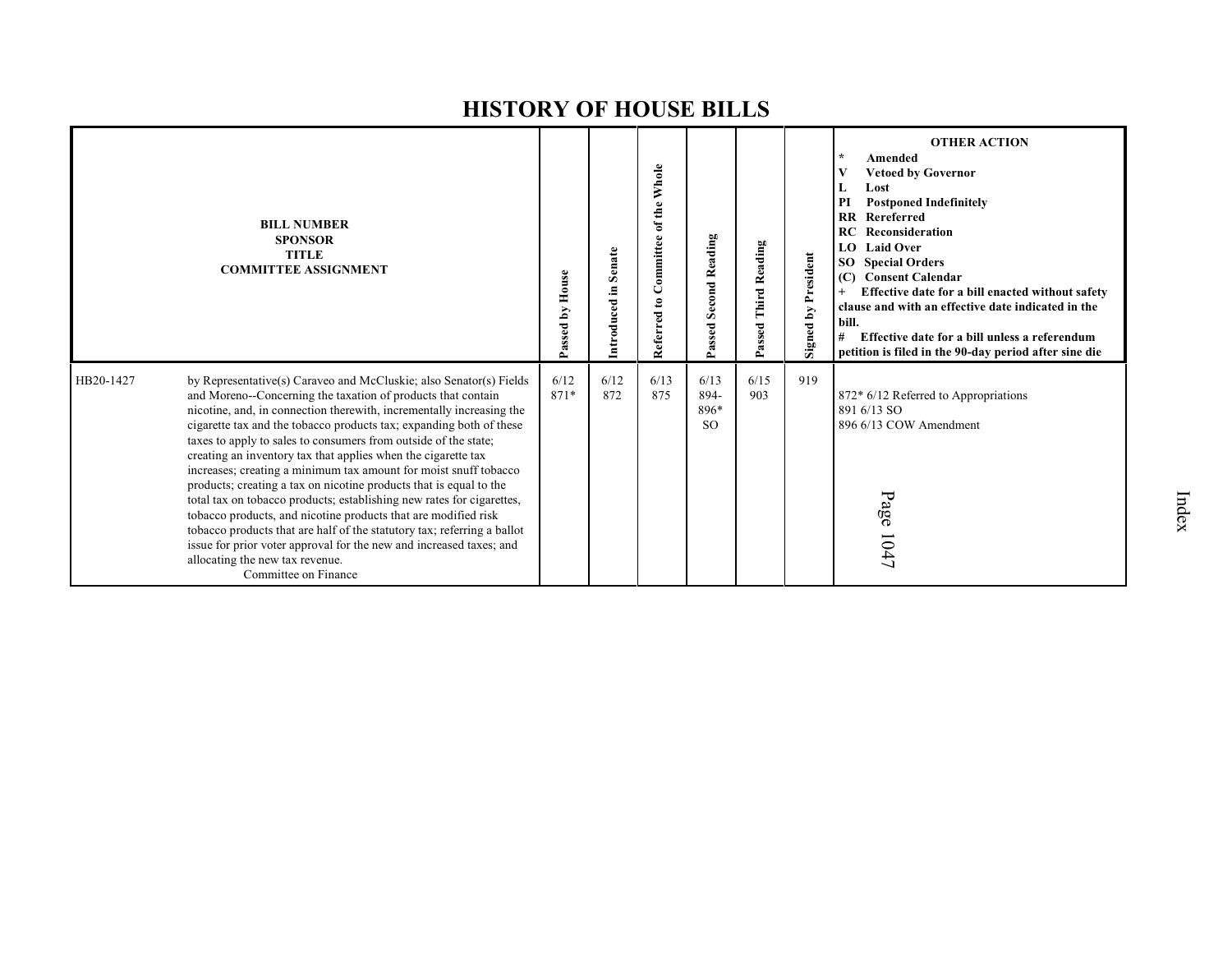|           | <b>BILL NUMBER</b><br><b>SPONSOR</b><br><b>TITLE</b><br><b>COMMITTEE ASSIGNMENT</b>                                                                                                                                                                                                                                                                                                                                                                                                                                                                                                                                                                                                                                                                                                                                                                                                                                     | House<br>Passed by | Senate<br>Introduced in | Committee of the Whole<br>$\mathbf{e}$<br>Referred | <b>Second Reading</b><br>Passed   | Third Reading<br>Passed | <b>Signed by President</b> | <b>OTHER ACTION</b><br>Amended<br><b>Vetoed by Governor</b><br>Lost<br>L<br><b>Postponed Indefinitely</b><br>PI<br>Rereferred<br>$\mathbf{R}$<br>Reconsideration<br>RC<br><b>Laid Over</b><br>LO.<br><b>Special Orders</b><br>SO.<br><b>Consent Calendar</b><br>(C)<br>Effective date for a bill enacted without safety<br>clause and with an effective date indicated in the<br>bill.<br>Effective date for a bill unless a referendum<br>#<br>petition is filed in the 90-day period after sine die |
|-----------|-------------------------------------------------------------------------------------------------------------------------------------------------------------------------------------------------------------------------------------------------------------------------------------------------------------------------------------------------------------------------------------------------------------------------------------------------------------------------------------------------------------------------------------------------------------------------------------------------------------------------------------------------------------------------------------------------------------------------------------------------------------------------------------------------------------------------------------------------------------------------------------------------------------------------|--------------------|-------------------------|----------------------------------------------------|-----------------------------------|-------------------------|----------------------------|-------------------------------------------------------------------------------------------------------------------------------------------------------------------------------------------------------------------------------------------------------------------------------------------------------------------------------------------------------------------------------------------------------------------------------------------------------------------------------------------------------|
| HB20-1427 | by Representative(s) Caraveo and McCluskie; also Senator(s) Fields<br>and Moreno--Concerning the taxation of products that contain<br>nicotine, and, in connection therewith, incrementally increasing the<br>cigarette tax and the tobacco products tax; expanding both of these<br>taxes to apply to sales to consumers from outside of the state;<br>creating an inventory tax that applies when the cigarette tax<br>increases; creating a minimum tax amount for moist snuff tobacco<br>products; creating a tax on nicotine products that is equal to the<br>total tax on tobacco products; establishing new rates for cigarettes,<br>tobacco products, and nicotine products that are modified risk<br>tobacco products that are half of the statutory tax; referring a ballot<br>issue for prior voter approval for the new and increased taxes; and<br>allocating the new tax revenue.<br>Committee on Finance | 6/12<br>871*       | 6/12<br>872             | 6/13<br>875                                        | 6/13<br>894-<br>896*<br><b>SO</b> | 6/15<br>903             | 919                        | 872* 6/12 Referred to Appropriations<br>891 6/13 SO<br>896 6/13 COW Amendment<br>Page<br>1047                                                                                                                                                                                                                                                                                                                                                                                                         |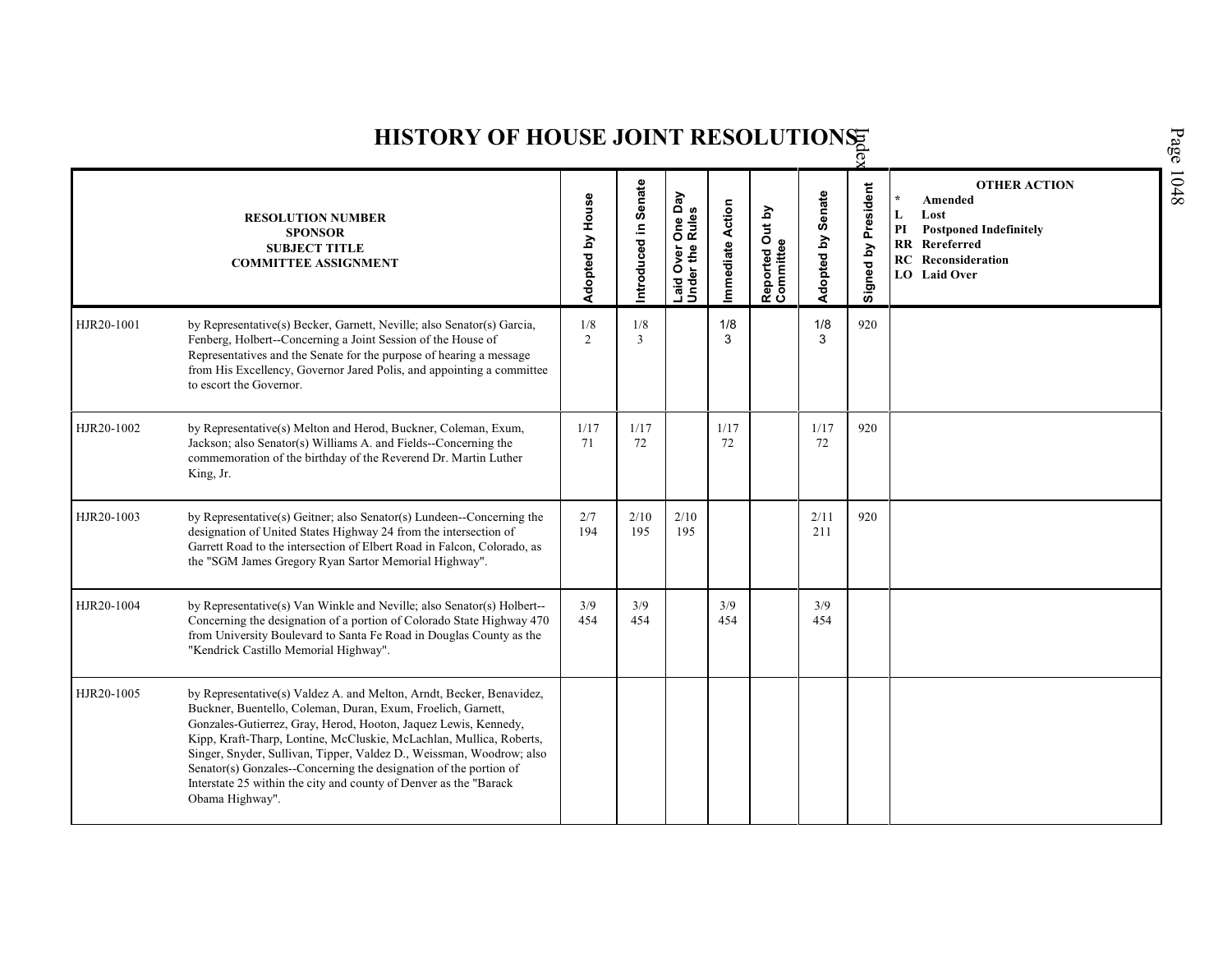| HISTORY OF HOUSE JOINT RESOLUTIONS |                                                                                                                                                                                                                                                                                                                                                                                                                                                                                                                     |                  |                      |                                                |                  |                                    |                         |                        |                                                                                                                                                                |  |  |
|------------------------------------|---------------------------------------------------------------------------------------------------------------------------------------------------------------------------------------------------------------------------------------------------------------------------------------------------------------------------------------------------------------------------------------------------------------------------------------------------------------------------------------------------------------------|------------------|----------------------|------------------------------------------------|------------------|------------------------------------|-------------------------|------------------------|----------------------------------------------------------------------------------------------------------------------------------------------------------------|--|--|
|                                    | <b>RESOLUTION NUMBER</b><br><b>SPONSOR</b><br><b>SUBJECT TITLE</b><br><b>COMMITTEE ASSIGNMENT</b>                                                                                                                                                                                                                                                                                                                                                                                                                   | Adopted by House | Introduced in Senate | One Day<br>Rules<br>Laid Over (<br>Under the I | Immediate Action | Out by<br>Reported Ou<br>Committee | Senate<br>Σq<br>Adopted | President<br>Signed by | <b>OTHER ACTION</b><br>Amended<br>Lost<br>L<br>PI<br><b>Postponed Indefinitely</b><br><b>RR</b> Rereferred<br><b>RC</b> Reconsideration<br><b>LO</b> Laid Over |  |  |
| HJR20-1001                         | by Representative(s) Becker, Garnett, Neville; also Senator(s) Garcia,<br>Fenberg, Holbert--Concerning a Joint Session of the House of<br>Representatives and the Senate for the purpose of hearing a message<br>from His Excellency, Governor Jared Polis, and appointing a committee<br>to escort the Governor.                                                                                                                                                                                                   | 1/8<br>2         | 1/8<br>3             |                                                | 1/8<br>3         |                                    | 1/8<br>3                | 920                    |                                                                                                                                                                |  |  |
| HJR20-1002                         | by Representative(s) Melton and Herod, Buckner, Coleman, Exum,<br>Jackson; also Senator(s) Williams A. and Fields--Concerning the<br>commemoration of the birthday of the Reverend Dr. Martin Luther<br>King, Jr.                                                                                                                                                                                                                                                                                                   | 1/17<br>71       | 1/17<br>72           |                                                | 1/17<br>72       |                                    | 1/17<br>72              | 920                    |                                                                                                                                                                |  |  |
| HJR20-1003                         | by Representative(s) Geitner; also Senator(s) Lundeen--Concerning the<br>designation of United States Highway 24 from the intersection of<br>Garrett Road to the intersection of Elbert Road in Falcon, Colorado, as<br>the "SGM James Gregory Ryan Sartor Memorial Highway".                                                                                                                                                                                                                                       | 2/7<br>194       | 2/10<br>195          | 2/10<br>195                                    |                  |                                    | 2/11<br>211             | 920                    |                                                                                                                                                                |  |  |
| HJR20-1004                         | by Representative(s) Van Winkle and Neville; also Senator(s) Holbert--<br>Concerning the designation of a portion of Colorado State Highway 470<br>from University Boulevard to Santa Fe Road in Douglas County as the<br>"Kendrick Castillo Memorial Highway".                                                                                                                                                                                                                                                     | 3/9<br>454       | 3/9<br>454           |                                                | 3/9<br>454       |                                    | 3/9<br>454              |                        |                                                                                                                                                                |  |  |
| HJR20-1005                         | by Representative(s) Valdez A. and Melton, Arndt, Becker, Benavidez,<br>Buckner, Buentello, Coleman, Duran, Exum, Froelich, Garnett,<br>Gonzales-Gutierrez, Gray, Herod, Hooton, Jaquez Lewis, Kennedy,<br>Kipp, Kraft-Tharp, Lontine, McCluskie, McLachlan, Mullica, Roberts,<br>Singer, Snyder, Sullivan, Tipper, Valdez D., Weissman, Woodrow; also<br>Senator(s) Gonzales--Concerning the designation of the portion of<br>Interstate 25 within the city and county of Denver as the "Barack<br>Obama Highway". |                  |                      |                                                |                  |                                    |                         |                        |                                                                                                                                                                |  |  |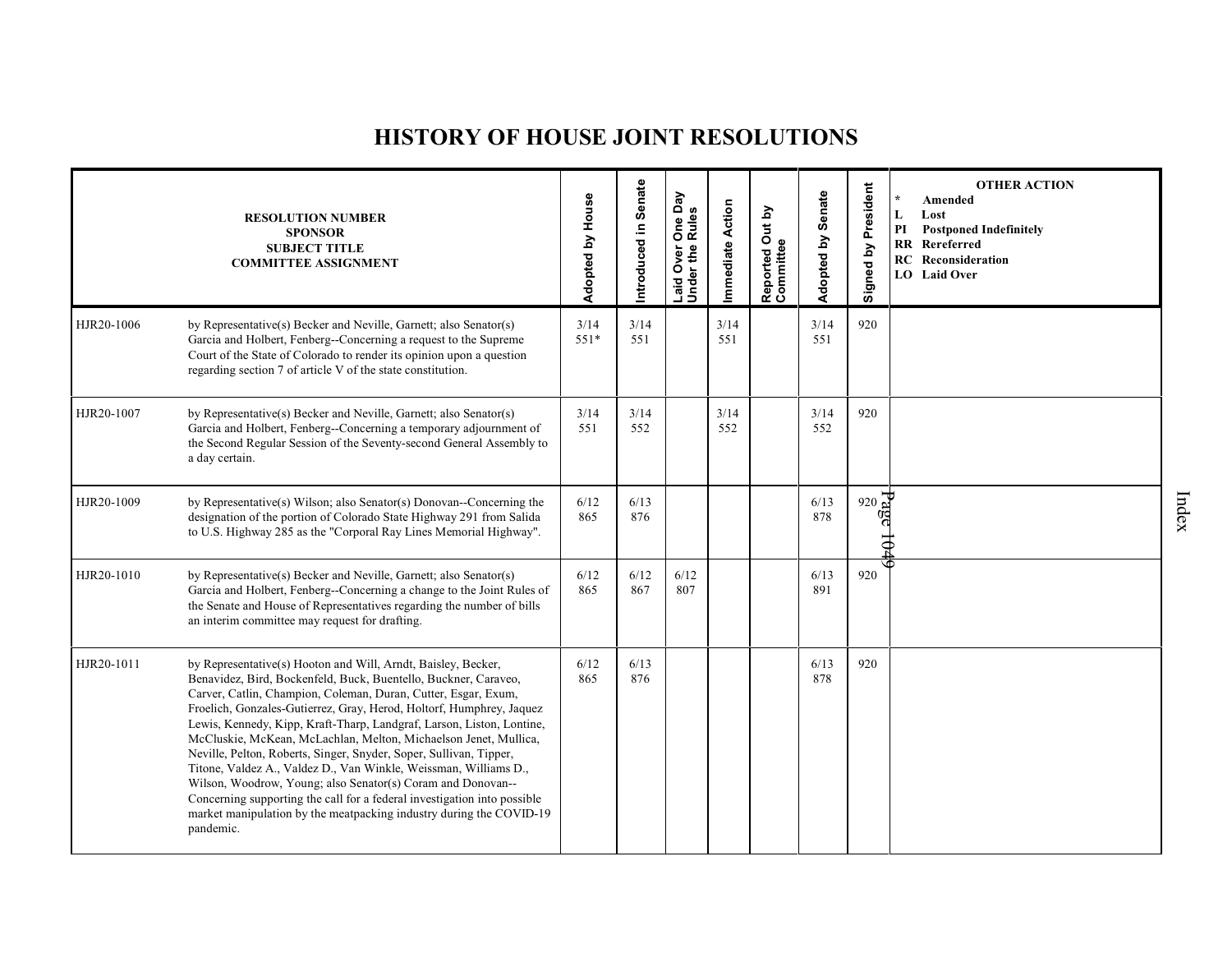## **HISTORY OF HOUSE JOINT RESOLUTIONS**

|            | <b>RESOLUTION NUMBER</b><br><b>SPONSOR</b><br><b>SUBJECT TITLE</b><br><b>COMMITTEE ASSIGNMENT</b>                                                                                                                                                                                                                                                                                                                                                                                                                                                                                                                                                                                                                                                                                                | Adopted by House | ntroduced in Senate | One Day<br>Rules<br>Laid Over | mmediate Action | Reported Out by<br>Committee | Adopted by Senate | Signed by President | <b>OTHER ACTION</b><br>$\star$<br>Amended<br>L<br>Lost<br>PI<br><b>Postponed Indefinitely</b><br><b>RR</b> Rereferred<br><b>RC</b> Reconsideration<br>LO Laid Over |
|------------|--------------------------------------------------------------------------------------------------------------------------------------------------------------------------------------------------------------------------------------------------------------------------------------------------------------------------------------------------------------------------------------------------------------------------------------------------------------------------------------------------------------------------------------------------------------------------------------------------------------------------------------------------------------------------------------------------------------------------------------------------------------------------------------------------|------------------|---------------------|-------------------------------|-----------------|------------------------------|-------------------|---------------------|--------------------------------------------------------------------------------------------------------------------------------------------------------------------|
| HJR20-1006 | by Representative(s) Becker and Neville, Garnett; also Senator(s)<br>Garcia and Holbert, Fenberg--Concerning a request to the Supreme<br>Court of the State of Colorado to render its opinion upon a question<br>regarding section 7 of article V of the state constitution.                                                                                                                                                                                                                                                                                                                                                                                                                                                                                                                     | 3/14<br>$551*$   | 3/14<br>551         |                               | 3/14<br>551     |                              | 3/14<br>551       | 920                 |                                                                                                                                                                    |
| HJR20-1007 | by Representative(s) Becker and Neville, Garnett; also Senator(s)<br>Garcia and Holbert, Fenberg--Concerning a temporary adjournment of<br>the Second Regular Session of the Seventy-second General Assembly to<br>a day certain.                                                                                                                                                                                                                                                                                                                                                                                                                                                                                                                                                                | 3/14<br>551      | 3/14<br>552         |                               | 3/14<br>552     |                              | 3/14<br>552       | 920                 |                                                                                                                                                                    |
| HJR20-1009 | by Representative(s) Wilson; also Senator(s) Donovan--Concerning the<br>designation of the portion of Colorado State Highway 291 from Salida<br>to U.S. Highway 285 as the "Corporal Ray Lines Memorial Highway".                                                                                                                                                                                                                                                                                                                                                                                                                                                                                                                                                                                | 6/12<br>865      | 6/13<br>876         |                               |                 |                              | 6/13<br>878       | 920                 |                                                                                                                                                                    |
| HJR20-1010 | by Representative(s) Becker and Neville, Garnett; also Senator(s)<br>Garcia and Holbert, Fenberg--Concerning a change to the Joint Rules of<br>the Senate and House of Representatives regarding the number of bills<br>an interim committee may request for drafting.                                                                                                                                                                                                                                                                                                                                                                                                                                                                                                                           | 6/12<br>865      | 6/12<br>867         | 6/12<br>807                   |                 |                              | 6/13<br>891       | 920                 |                                                                                                                                                                    |
| HJR20-1011 | by Representative(s) Hooton and Will, Arndt, Baisley, Becker,<br>Benavidez, Bird, Bockenfeld, Buck, Buentello, Buckner, Caraveo,<br>Carver, Catlin, Champion, Coleman, Duran, Cutter, Esgar, Exum,<br>Froelich, Gonzales-Gutierrez, Gray, Herod, Holtorf, Humphrey, Jaquez<br>Lewis, Kennedy, Kipp, Kraft-Tharp, Landgraf, Larson, Liston, Lontine,<br>McCluskie, McKean, McLachlan, Melton, Michaelson Jenet, Mullica,<br>Neville, Pelton, Roberts, Singer, Snyder, Soper, Sullivan, Tipper,<br>Titone, Valdez A., Valdez D., Van Winkle, Weissman, Williams D.,<br>Wilson, Woodrow, Young; also Senator(s) Coram and Donovan--<br>Concerning supporting the call for a federal investigation into possible<br>market manipulation by the meatpacking industry during the COVID-19<br>pandemic. | 6/12<br>865      | 6/13<br>876         |                               |                 |                              | 6/13<br>878       | 920                 |                                                                                                                                                                    |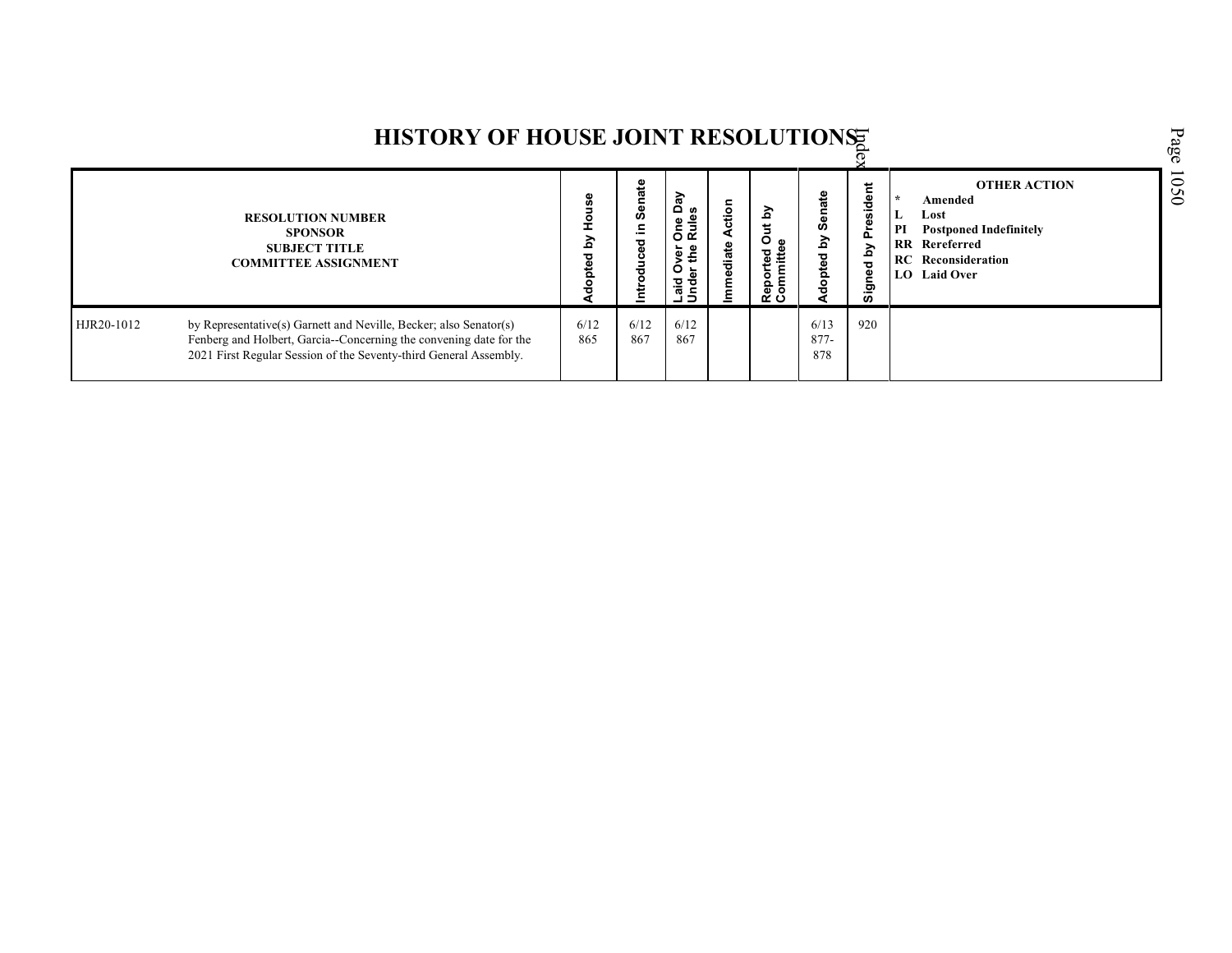|            | HISTORY OF HOUSE JOINT RESOLUTIONS                                                                                                                                                                           |             |                            |                                                            |                |                                                    |                              |                        |                                                                                                                                                                  |
|------------|--------------------------------------------------------------------------------------------------------------------------------------------------------------------------------------------------------------|-------------|----------------------------|------------------------------------------------------------|----------------|----------------------------------------------------|------------------------------|------------------------|------------------------------------------------------------------------------------------------------------------------------------------------------------------|
|            | <b>RESOLUTION NUMBER</b><br><b>SPONSOR</b><br><b>SUBJECT TITLE</b><br><b>COMMITTEE ASSIGNMENT</b>                                                                                                            | 3           | Senate<br>≅<br>ᄝ<br>콩<br>률 | ា<br>ត<br>One<br>Rule<br>er<br>the<br>o<br>Laid O<br>Under | ction<br>diate | <u>ج</u><br>O <sub>ω</sub><br>Reported<br>Committe | Senate<br><u>گ</u><br>dopted | President<br>Signed by | <b>OTHER ACTION</b><br><b>  ★</b><br>Amended<br>Lost<br>PI<br><b>Postponed Indefinitely</b><br><b>RR</b> Rereferred<br><b>RC</b> Reconsideration<br>LO Laid Over |
| HJR20-1012 | by Representative(s) Garnett and Neville, Becker; also Senator(s)<br>Fenberg and Holbert, Garcia--Concerning the convening date for the<br>2021 First Regular Session of the Seventy-third General Assembly. | 6/12<br>865 | 6/12<br>867                | 6/12<br>867                                                |                |                                                    | 6/13<br>$877 -$<br>878       | 920                    |                                                                                                                                                                  |